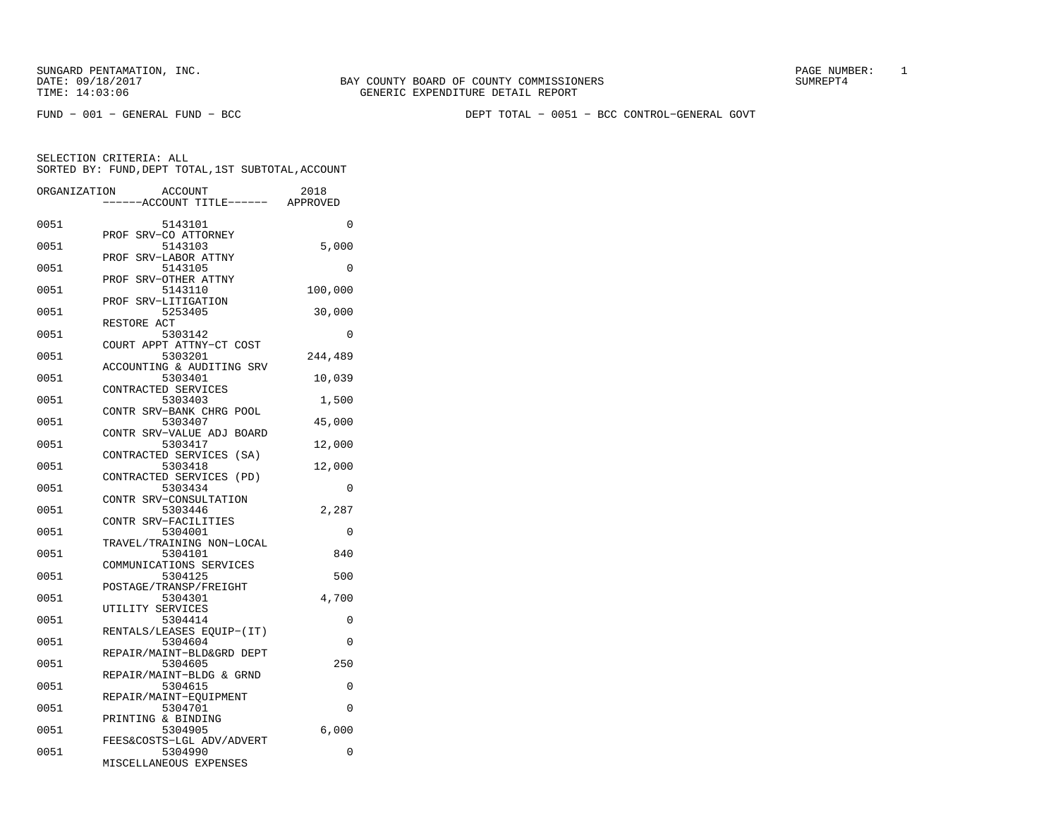FUND − 001 − GENERAL FUND − BCC DEPT TOTAL − 0051 − BCC CONTROL−GENERAL GOVT

| ORGANIZATION | <b>ACCOUNT</b><br>---ACCOUNT TITLE------ APPROVED | 2018       |
|--------------|---------------------------------------------------|------------|
| 0051         | 5143101<br>SRV-CO ATTORNEY<br>PROF                | 0          |
| 0051         | 5143103<br>SRV-LABOR ATTNY<br>PROF                | 5,000      |
| 0051         | 5143105<br>SRV-OTHER ATTNY<br>PROF                | 0          |
| 0051         | 5143110<br>SRV-LITIGATION<br>PROF                 | 100,000    |
| 0051         | 5253405<br>RESTORE ACT                            | 30,000     |
| 0051         | 5303142<br>COURT APPT ATTNY-CT COST               | 0          |
| 0051         | 5303201<br>ACCOUNTING & AUDITING SRV              | 244,489    |
| 0051         | 5303401<br>CONTRACTED SERVICES                    | 10,039     |
| 0051         | 5303403<br>CONTR SRV-BANK CHRG POOL               | 1,500      |
| 0051         | 5303407<br>CONTR SRV-VALUE ADJ BOARD              | 45,000     |
| 0051         | 5303417<br>CONTRACTED SERVICES (SA)               | 12,000     |
| 0051         | 5303418<br>CONTRACTED SERVICES (PD)               | 12,000     |
| 0051         | 5303434<br>CONTR SRV-CONSULTATION                 | 0          |
| 0051         | 5303446<br>CONTR SRV-FACILITIES                   | 2,287      |
| 0051         | 5304001<br>TRAVEL/TRAINING NON-LOCAL              | 0          |
| 0051         | 5304101<br>COMMUNICATIONS SERVICES                | 840        |
| 0051         | 5304125<br>POSTAGE/TRANSP/FREIGHT                 | 500        |
| 0051<br>0051 | 5304301<br>UTILITY SERVICES<br>5304414            | 4,700<br>0 |
| 0051         | RENTALS/LEASES EQUIP-(IT)<br>5304604              | 0          |
| 0051         | REPAIR/MAINT-BLD&GRD DEPT<br>5304605              | 250        |
| 0051         | REPAIR/MAINT-BLDG & GRND<br>5304615               | 0          |
| 0051         | REPAIR/MAINT-EQUIPMENT<br>5304701                 | 0          |
| 0051         | PRINTING & BINDING<br>5304905                     | 6,000      |
| 0051         | FEES&COSTS-LGL ADV/ADVERT<br>5304990              | 0          |
|              | MISCELLANEOUS EXPENSES                            |            |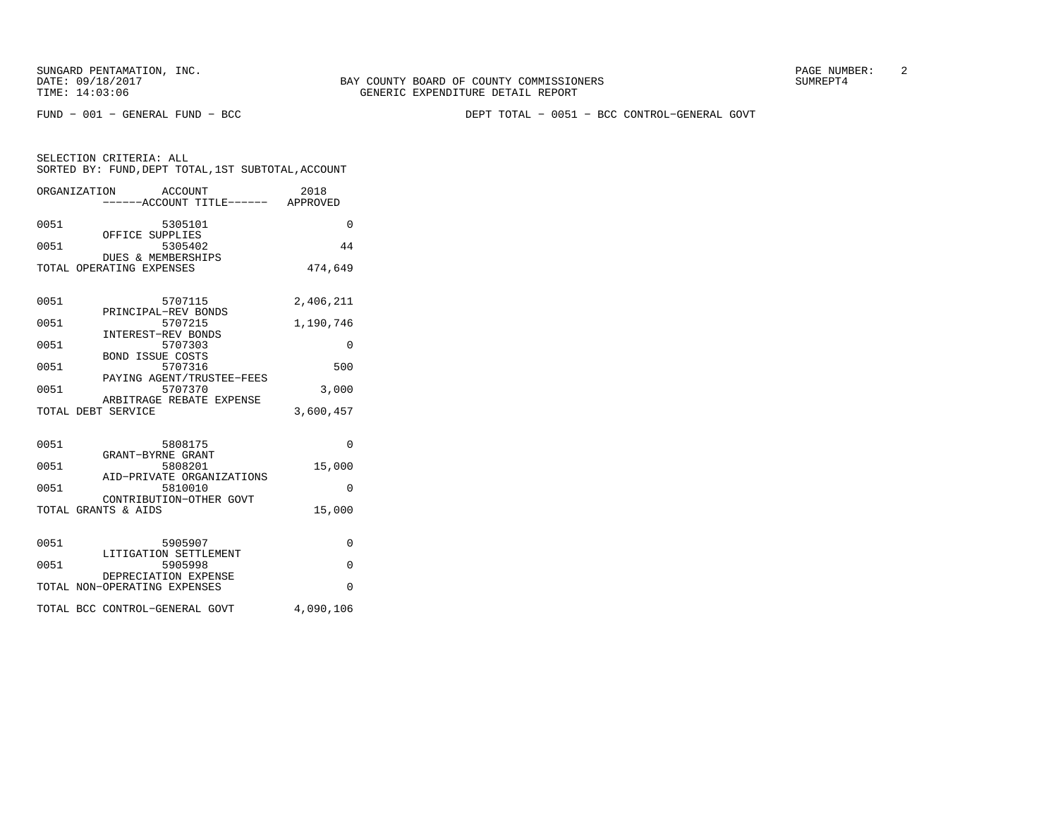BAY COUNTY BOARD OF COUNTY COMMISSIONERS TIME: 14:03:06 GENERIC EXPENDITURE DETAIL REPORT

FUND − 001 − GENERAL FUND − BCC DEPT TOTAL − 0051 − BCC CONTROL−GENERAL GOVT

|      | ORGANIZATION<br>ACCOUNT<br>-----ACCOUNT TITLE------ APPROVED | 2018      |
|------|--------------------------------------------------------------|-----------|
| 0051 | 5305101<br>OFFICE SUPPLIES                                   | $\Omega$  |
| 0051 | 5305402<br>DUES & MEMBERSHIPS                                | 44        |
|      | TOTAL OPERATING EXPENSES                                     | 474,649   |
| 0051 | 5707115<br>PRINCIPAL-REV BONDS                               | 2,406,211 |
| 0051 | 5707215<br>INTEREST-REV BONDS                                | 1,190,746 |
| 0051 | 5707303<br><b>BOND ISSUE COSTS</b>                           | $\Omega$  |
| 0051 | 5707316<br>PAYING AGENT/TRUSTEE-FEES                         | 500       |
| 0051 | 5707370<br>ARBITRAGE REBATE EXPENSE                          | 3,000     |
|      | TOTAL DEBT SERVICE                                           | 3,600,457 |
| 0051 | 5808175                                                      | $\Omega$  |
| 0051 | GRANT-BYRNE GRANT<br>5808201<br>AID-PRIVATE ORGANIZATIONS    | 15,000    |
| 0051 | 5810010<br>CONTRIBUTION-OTHER GOVT                           | $\Omega$  |
|      | TOTAL GRANTS & AIDS                                          | 15,000    |
| 0051 | 5905907                                                      | $\Omega$  |
| 0051 | LITIGATION SETTLEMENT<br>5905998                             | $\Omega$  |
|      | DEPRECIATION EXPENSE<br>TOTAL NON-OPERATING EXPENSES         | $\Omega$  |
|      | TOTAL BCC CONTROL-GENERAL GOVT                               | 4,090,106 |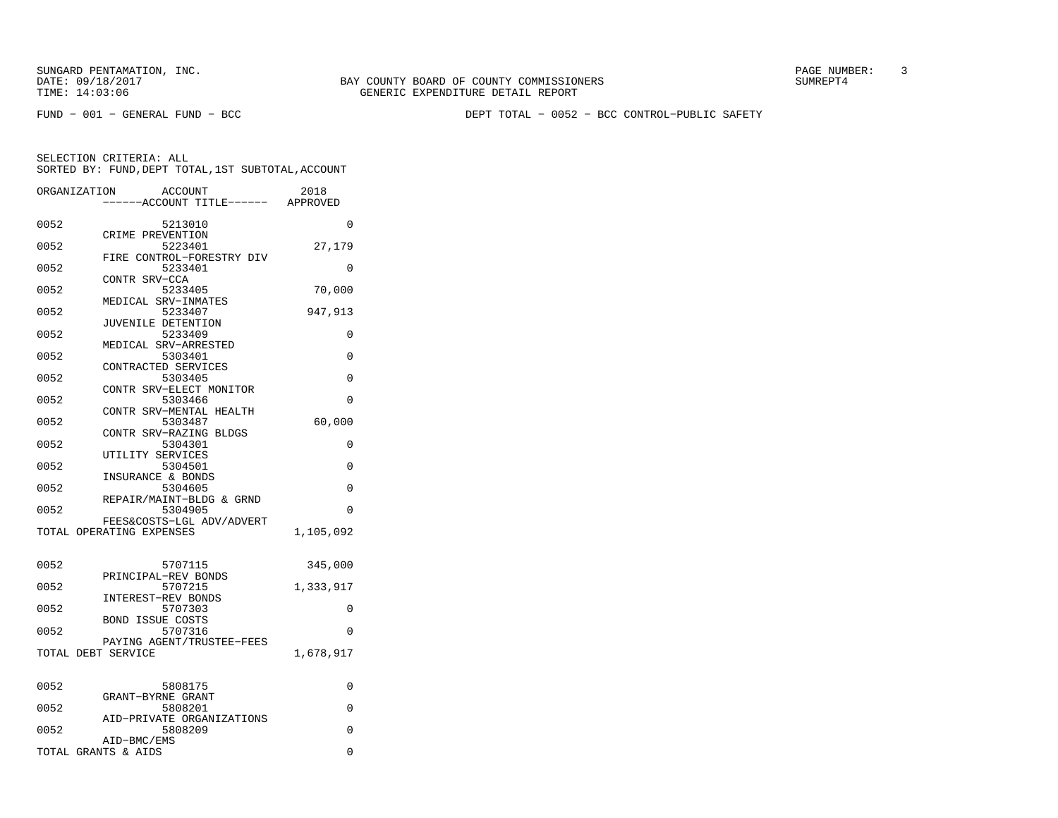FUND − 001 − GENERAL FUND − BCC DEPT TOTAL − 0052 − BCC CONTROL−PUBLIC SAFETY

|      | ORGANIZATION<br>ACCOUNT<br>---ACCOUNT TITLE------ APPROVED | 2018      |
|------|------------------------------------------------------------|-----------|
|      |                                                            |           |
| 0052 | 5213010                                                    | 0         |
| 0052 | CRIME PREVENTION<br>5223401                                | 27,179    |
|      | FIRE CONTROL-FORESTRY DIV                                  |           |
| 0052 | 5233401                                                    | 0         |
|      | CONTR SRV-CCA                                              |           |
| 0052 | 5233405                                                    | 70,000    |
|      | MEDICAL SRV-INMATES                                        |           |
| 0052 | 5233407<br>JUVENILE DETENTION                              | 947,913   |
| 0052 | 5233409                                                    | 0         |
|      | MEDICAL SRV-ARRESTED                                       |           |
| 0052 | 5303401                                                    | $\Omega$  |
|      | CONTRACTED SERVICES                                        |           |
| 0052 | 5303405                                                    | 0         |
| 0052 | CONTR SRV-ELECT MONITOR<br>5303466                         | 0         |
|      | CONTR SRV-MENTAL HEALTH                                    |           |
| 0052 | 5303487                                                    | 60,000    |
|      | CONTR SRV-RAZING BLDGS                                     |           |
| 0052 | 5304301                                                    | 0         |
|      | UTILITY SERVICES                                           |           |
| 0052 | 5304501<br>INSURANCE & BONDS                               | 0         |
| 0052 | 5304605                                                    | 0         |
|      | REPAIR/MAINT-BLDG & GRND                                   |           |
| 0052 | 5304905                                                    | 0         |
|      | FEES&COSTS-LGL ADV/ADVERT                                  |           |
|      | TOTAL OPERATING EXPENSES                                   | 1,105,092 |
| 0052 | 5707115                                                    | 345,000   |
|      | PRINCIPAL-REV BONDS                                        |           |
| 0052 | 5707215                                                    | 1,333,917 |
|      | INTEREST-REV BONDS                                         |           |
| 0052 | 5707303<br><b>BOND ISSUE COSTS</b>                         | 0         |
| 0052 | 5707316                                                    | 0         |
|      | PAYING AGENT/TRUSTEE-FEES                                  |           |
|      | TOTAL DEBT SERVICE                                         | 1,678,917 |
|      |                                                            |           |
| 0052 | 5808175                                                    | 0         |
|      | GRANT-BYRNE GRANT                                          |           |
| 0052 | 5808201                                                    | 0         |
| 0052 | AID-PRIVATE ORGANIZATIONS<br>5808209                       | $\Omega$  |
|      | AID-BMC/EMS                                                |           |
|      | TOTAL GRANTS & AIDS                                        | $\Omega$  |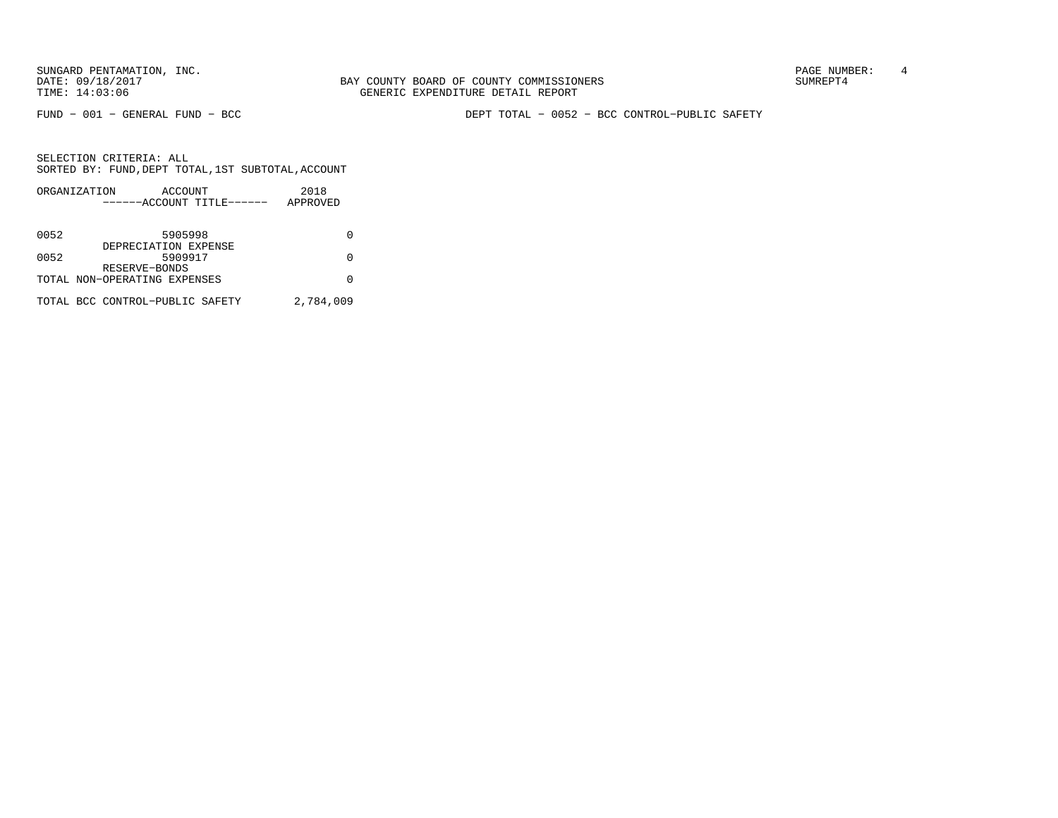SUNGARD PENTAMATION, INC.<br>
BAY COUNTY BOARD OF COUNTY COMMISSIONERS AND SUNREPT4 SUMREPT4

FUND − 001 − GENERAL FUND − BCC DEPT TOTAL − 0052 − BCC CONTROL−PUBLIC SAFETY

|      | ORGANIZATION                    | ACCOUNT |                           | 2018      |  |
|------|---------------------------------|---------|---------------------------|-----------|--|
|      |                                 |         | ------ACCOUNT TITLE------ | APPROVED  |  |
|      |                                 |         |                           |           |  |
| 0052 |                                 | 5905998 |                           |           |  |
|      | DEPRECIATION EXPENSE            |         |                           |           |  |
| 0052 |                                 | 5909917 |                           |           |  |
|      | RESERVE-BONDS                   |         |                           |           |  |
|      | TOTAL NON-OPERATING EXPENSES    |         |                           |           |  |
|      |                                 |         |                           |           |  |
|      | TOTAL BCC CONTROL-PUBLIC SAFETY |         |                           | 2,784,009 |  |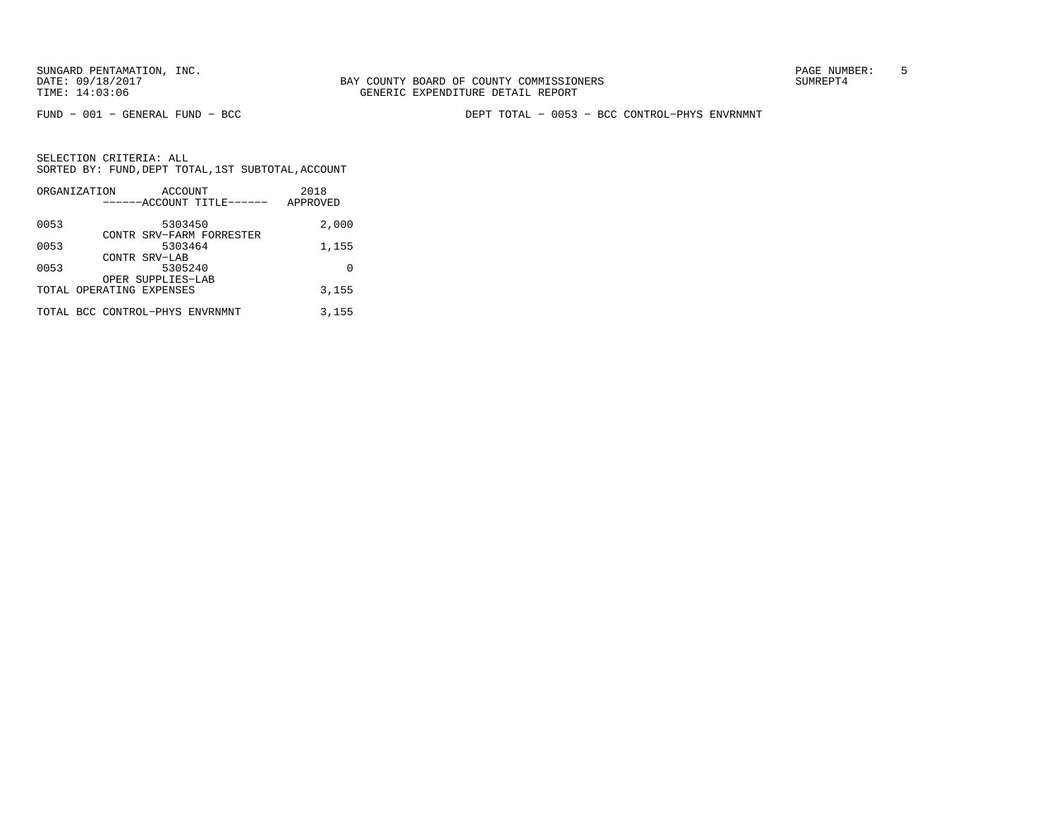FUND − 001 − GENERAL FUND − BCC DEPT TOTAL − 0053 − BCC CONTROL−PHYS ENVRNMNT

|      | ORGANIZATION<br>ACCOUNT         | 2018     |
|------|---------------------------------|----------|
|      | ------ACCOUNT TITLE------       | APPROVED |
| 0053 | 5303450                         | 2,000    |
|      | CONTR SRV-FARM FORRESTER        |          |
| 0053 | 5303464                         | 1,155    |
|      | CONTR SRV-LAB                   |          |
| 0053 | 5305240                         | U        |
|      | OPER SUPPLIES-LAB               |          |
|      | TOTAL OPERATING EXPENSES        | 3,155    |
|      | TOTAL BCC CONTROL-PHYS ENVRNMNT | 3,155    |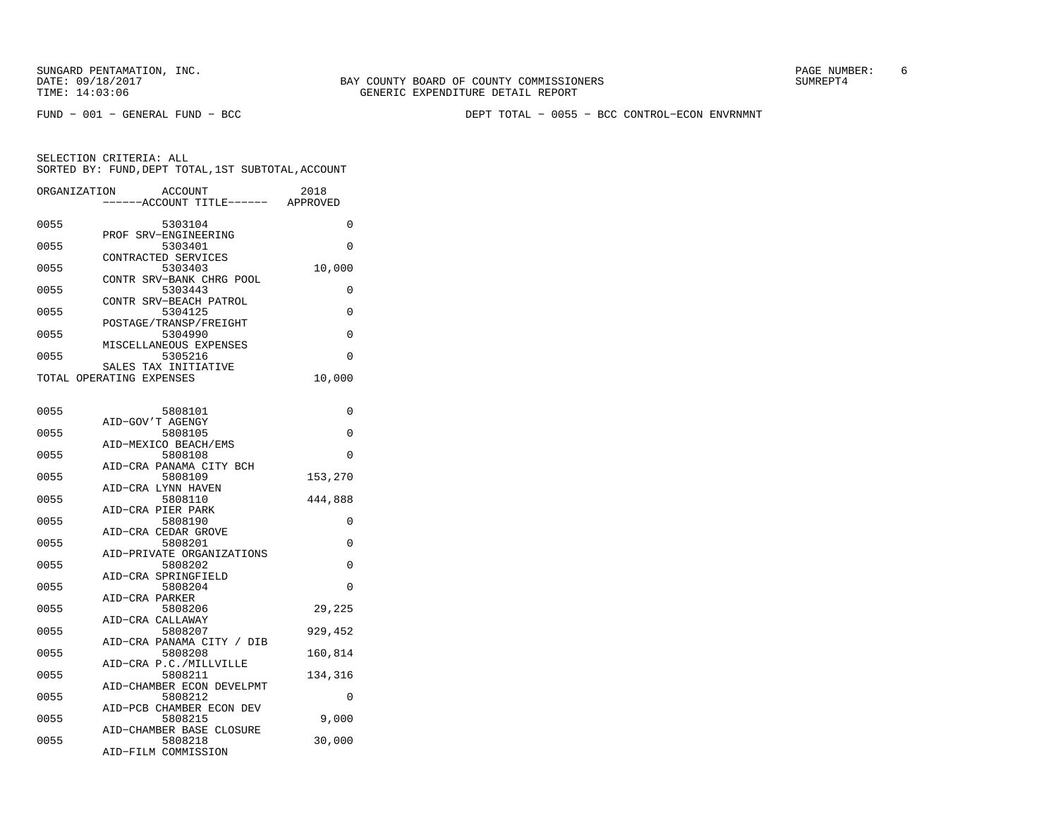FUND − 001 − GENERAL FUND − BCC DEPT TOTAL − 0055 − BCC CONTROL−ECON ENVRNMNT

SELECTION CRITERIA: ALL SORTED BY: FUND,DEPT TOTAL,1ST SUBTOTAL,ACCOUNTORGANIZATION ACCOUNT 2019

| URGANIZATION             |                      | ACCOUNT |                                   | 2018     |
|--------------------------|----------------------|---------|-----------------------------------|----------|
|                          |                      |         | -----ACCOUNT TITLE------ APPROVED |          |
| 0055                     |                      | 5303104 |                                   | 0        |
|                          | PROF SRV-ENGINEERING |         |                                   |          |
| 0055                     |                      | 5303401 |                                   | $\Omega$ |
|                          | CONTRACTED SERVICES  |         |                                   |          |
| 0055                     |                      | 5303403 |                                   | 10,000   |
|                          |                      |         | CONTR SRV-BANK CHRG POOL          |          |
| 0055                     |                      | 5303443 | CONTR SRV-BEACH PATROL            | 0        |
| 0055                     |                      | 5304125 |                                   | $\Omega$ |
|                          |                      |         | POSTAGE/TRANSP/FREIGHT            |          |
| 0055                     |                      | 5304990 |                                   | 0        |
|                          |                      |         | MISCELLANEOUS EXPENSES            |          |
| 0055                     |                      | 5305216 |                                   | $\Omega$ |
|                          | SALES TAX INITIATIVE |         |                                   |          |
| TOTAL OPERATING EXPENSES |                      |         |                                   | 10,000   |
|                          |                      |         |                                   |          |
| 0055                     |                      | 5808101 |                                   | 0        |
|                          | AID-GOV'T AGENGY     |         |                                   |          |
| 0055                     |                      | 5808105 |                                   | 0        |
|                          | AID-MEXICO BEACH/EMS |         |                                   |          |
| 0055                     |                      | 5808108 |                                   | $\Omega$ |
|                          |                      |         | AID-CRA PANAMA CITY BCH           |          |
| 0055                     |                      | 5808109 |                                   | 153,270  |
|                          | AID-CRA LYNN HAVEN   |         |                                   |          |
| 0055                     |                      | 5808110 |                                   | 444,888  |
|                          | AID-CRA PIER PARK    |         |                                   |          |
| 0055                     |                      | 5808190 |                                   | 0        |
| 0055                     | AID-CRA CEDAR GROVE  | 5808201 |                                   | 0        |
|                          |                      |         | AID-PRIVATE ORGANIZATIONS         |          |
| 0055                     |                      | 5808202 |                                   | 0        |
|                          | AID-CRA SPRINGFIELD  |         |                                   |          |
| 0055                     |                      | 5808204 |                                   | 0        |
|                          | AID-CRA PARKER       |         |                                   |          |
| 0055                     |                      | 5808206 |                                   | 29,225   |
|                          | AID-CRA CALLAWAY     |         |                                   |          |
| 0055                     |                      | 5808207 |                                   | 929,452  |
|                          |                      |         | AID-CRA PANAMA CITY / DIB         |          |
| 0055                     |                      | 5808208 | AID-CRA P.C./MILLVILLE            | 160,814  |
| 0055                     |                      | 5808211 |                                   | 134,316  |
|                          |                      |         | AID-CHAMBER ECON DEVELPMT         |          |
| 0055                     |                      | 5808212 |                                   | 0        |
|                          |                      |         | AID-PCB CHAMBER ECON DEV          |          |
| 0055                     |                      | 5808215 |                                   | 9,000    |
|                          |                      |         | AID-CHAMBER BASE CLOSURE          |          |
| 0055                     |                      | 5808218 |                                   | 30,000   |
|                          | AID-FILM COMMISSION  |         |                                   |          |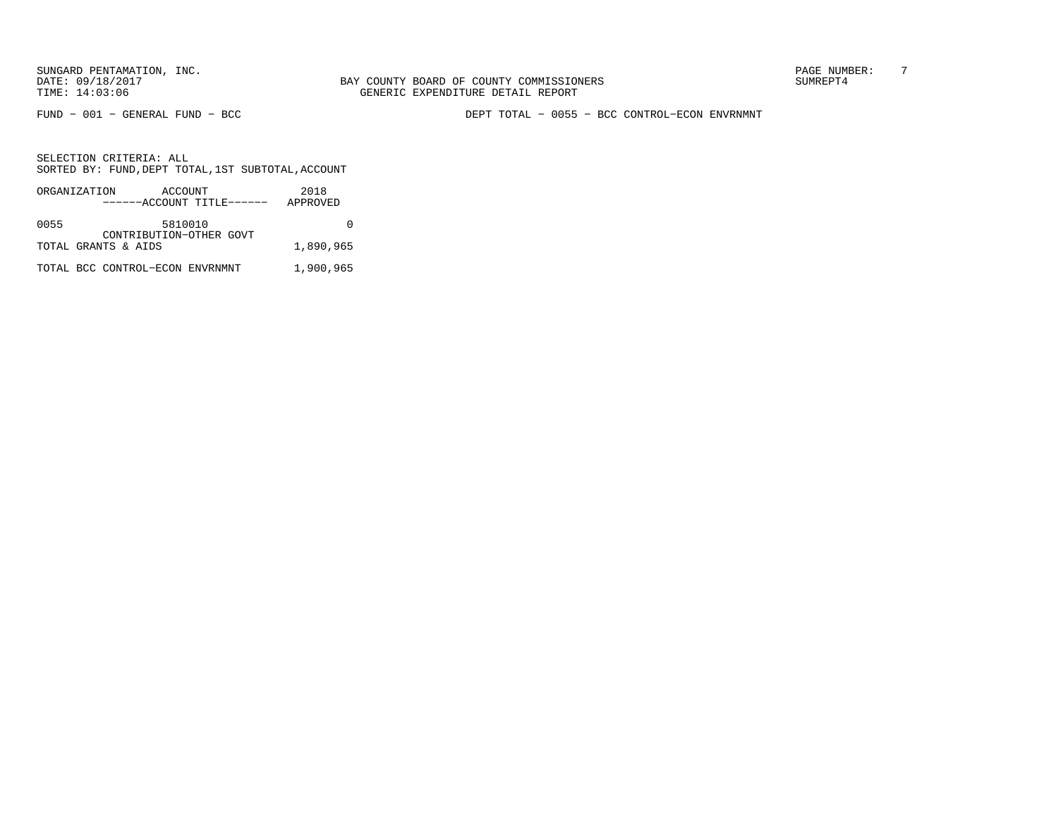BAY COUNTY BOARD OF COUNTY COMMISSIONERS TIME: 14:03:06 GENERIC EXPENDITURE DETAIL REPORT

FUND − 001 − GENERAL FUND − BCC DEPT TOTAL − 0055 − BCC CONTROL−ECON ENVRNMNT

|      | ORGANIZATION                    | ACCOUNT | ------ACCOUNT TITLE------ | 2018<br>APPROVED |
|------|---------------------------------|---------|---------------------------|------------------|
| 0055 |                                 | 5810010 | CONTRIBUTION-OTHER GOVT   |                  |
|      | TOTAL GRANTS & AIDS             |         |                           | 1,890,965        |
|      | TOTAL BCC CONTROL-ECON ENVRNMNT |         |                           | 1,900,965        |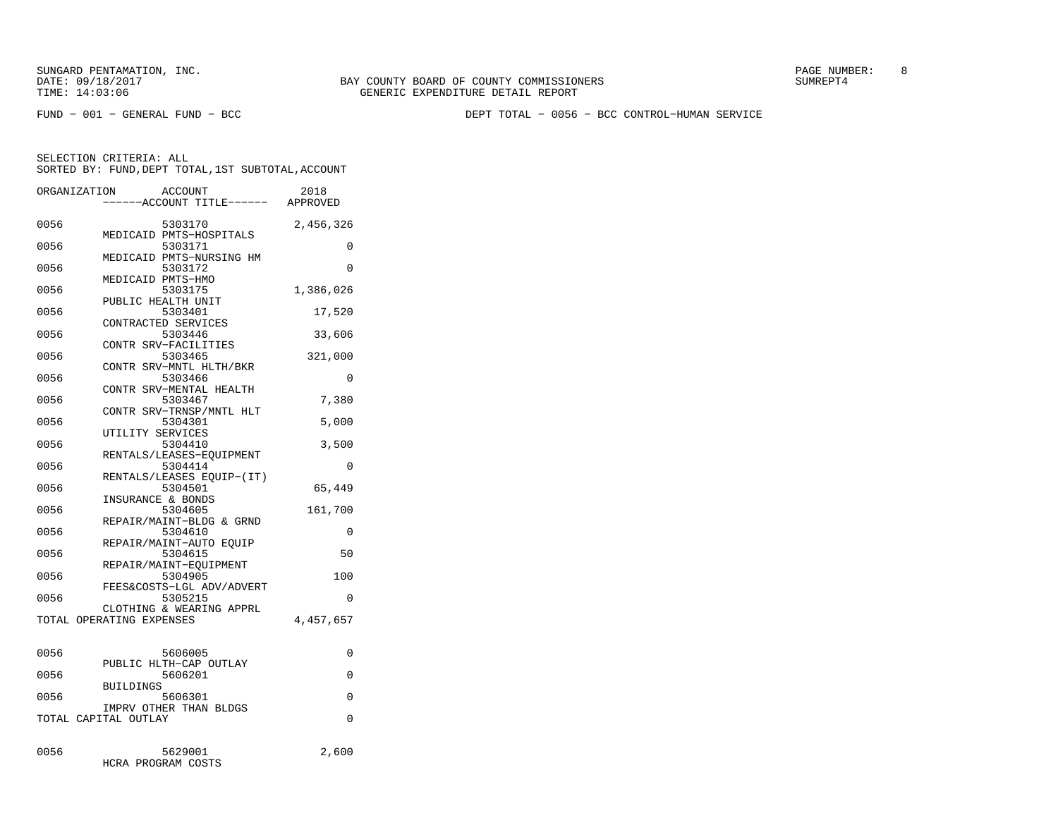FUND − 001 − GENERAL FUND − BCC DEPT TOTAL − 0056 − BCC CONTROL−HUMAN SERVICE

| ORGANIZATION | <b>ACCOUNT</b>                                 | 2018<br>---ACCOUNT TITLE------ APPROVED |
|--------------|------------------------------------------------|-----------------------------------------|
| 0056         | 5303170<br>MEDICAID PMTS-HOSPITALS             | 2,456,326                               |
| 0056         | 5303171<br>MEDICAID PMTS-NURSING HM            | 0                                       |
| 0056         | 5303172<br>MEDICAID PMTS-HMO                   | 0                                       |
| 0056         | 5303175<br>PUBLIC HEALTH UNIT                  | 1,386,026                               |
| 0056         | 5303401<br>CONTRACTED SERVICES                 | 17,520                                  |
| 0056         | 5303446<br>CONTR SRV-FACILITIES                | 33,606                                  |
| 0056         | 5303465<br>CONTR SRV-MNTL HLTH/BKR             | 321,000                                 |
| 0056         | 5303466<br>CONTR SRV-MENTAL HEALTH             | 0                                       |
| 0056         | 5303467<br>CONTR SRV-TRNSP/MNTL HLT            | 7,380                                   |
| 0056         | 5304301<br>UTILITY SERVICES                    | 5,000                                   |
| 0056         | 5304410<br>RENTALS/LEASES-EQUIPMENT            | 3,500                                   |
| 0056         | 5304414<br>RENTALS/LEASES EQUIP-(IT)           | 0                                       |
| 0056         | 5304501<br>INSURANCE & BONDS                   | 65,449                                  |
| 0056         | 5304605<br>REPAIR/MAINT-BLDG & GRND            | 161,700                                 |
| 0056         | 5304610<br>REPAIR/MAINT-AUTO EOUIP             | 0                                       |
| 0056         | 5304615<br>REPAIR/MAINT-EOUIPMENT              | 50                                      |
| 0056         | 5304905<br>FEES&COSTS-LGL ADV/ADVERT           | 100                                     |
| 0056         | 5305215<br>CLOTHING & WEARING APPRL            | 0                                       |
|              | TOTAL OPERATING EXPENSES                       | 4,457,657                               |
| 0056         | 5606005                                        | 0                                       |
| 0056         | PUBLIC HLTH-CAP OUTLAY<br>5606201              | 0                                       |
| 0056         | <b>BUILDINGS</b><br>5606301                    | 0                                       |
|              | IMPRV OTHER THAN BLDGS<br>TOTAL CAPITAL OUTLAY | 0                                       |
| 0056         | 5629001<br>HCRA PROGRAM COSTS                  | 2,600                                   |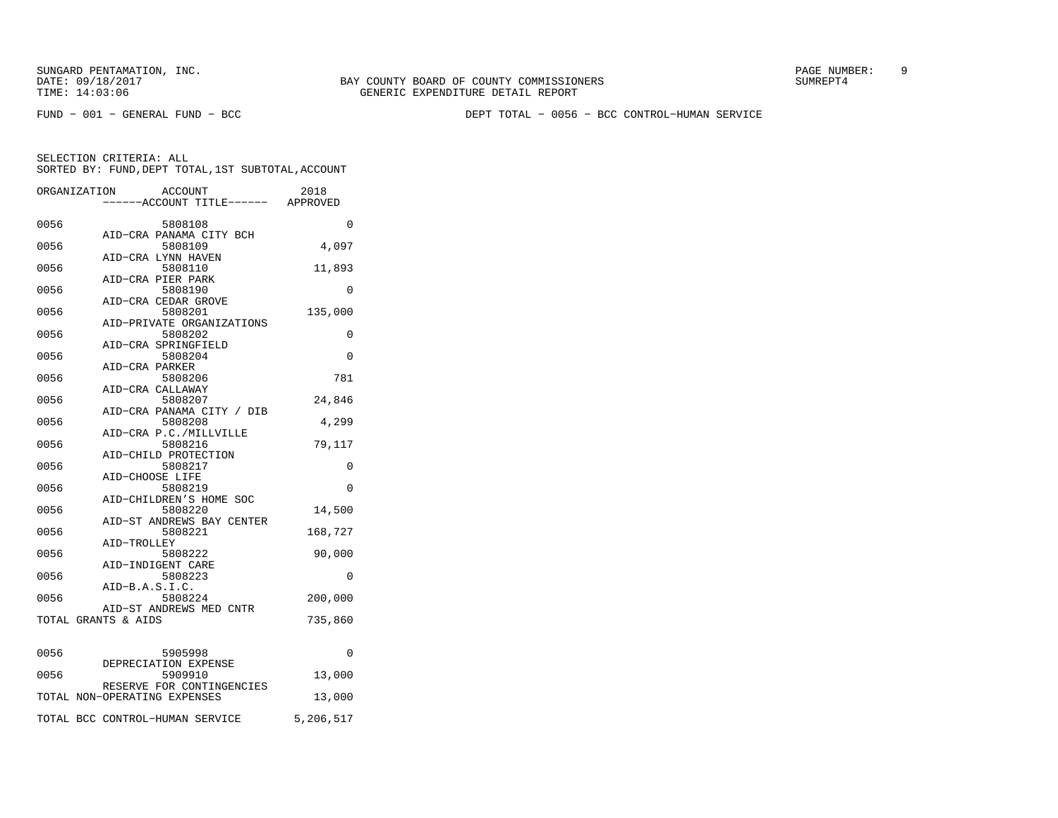FUND − 001 − GENERAL FUND − BCC DEPT TOTAL − 0056 − BCC CONTROL−HUMAN SERVICE

|      | ORGANIZATION                 | <b>ACCOUNT</b>                   | 2018      |
|------|------------------------------|----------------------------------|-----------|
|      |                              | ----ACCOUNT TITLE------ APPROVED |           |
| 0056 |                              | 5808108                          | 0         |
|      |                              | AID-CRA PANAMA CITY BCH          |           |
| 0056 |                              | 5808109                          | 4,097     |
|      |                              | AID-CRA LYNN HAVEN               |           |
| 0056 |                              | 5808110                          | 11,893    |
|      |                              | AID-CRA PIER PARK                |           |
| 0056 |                              | 5808190                          | 0         |
|      |                              | AID-CRA CEDAR GROVE              |           |
| 0056 |                              | 5808201                          | 135,000   |
|      |                              | AID-PRIVATE ORGANIZATIONS        |           |
| 0056 |                              | 5808202                          | 0         |
|      |                              | AID-CRA SPRINGFIELD              |           |
| 0056 |                              | 5808204                          | $\Omega$  |
|      | AID-CRA PARKER               |                                  |           |
| 0056 |                              | 5808206                          | 781       |
|      |                              | AID-CRA CALLAWAY                 |           |
| 0056 |                              | 5808207                          | 24,846    |
|      |                              | AID-CRA PANAMA CITY / DIB        |           |
| 0056 |                              | 5808208                          | 4,299     |
|      |                              | AID-CRA P.C./MILLVILLE           |           |
| 0056 |                              | 5808216                          | 79,117    |
|      |                              | AID-CHILD PROTECTION             |           |
| 0056 |                              | 5808217                          | $\Omega$  |
|      |                              | AID-CHOOSE LIFE                  |           |
| 0056 |                              | 5808219                          | 0         |
|      |                              | AID-CHILDREN'S HOME SOC          |           |
| 0056 |                              | 5808220                          | 14,500    |
|      |                              | AID-ST ANDREWS BAY CENTER        |           |
| 0056 |                              | 5808221                          | 168,727   |
|      | AID-TROLLEY                  |                                  |           |
| 0056 |                              | 5808222                          | 90,000    |
|      |                              | AID-INDIGENT CARE                |           |
| 0056 |                              | 5808223                          | 0         |
| 0056 | AID-B.A.S.I.C.               | 5808224                          |           |
|      |                              | AID-ST ANDREWS MED CNTR          | 200,000   |
|      | TOTAL GRANTS & AIDS          |                                  | 735,860   |
|      |                              |                                  |           |
|      |                              | 5905998                          | $\Omega$  |
| 0056 |                              |                                  |           |
| 0056 |                              | DEPRECIATION EXPENSE<br>5909910  | 13,000    |
|      |                              | RESERVE FOR CONTINGENCIES        |           |
|      | TOTAL NON-OPERATING EXPENSES |                                  | 13,000    |
|      |                              |                                  |           |
|      |                              | TOTAL BCC CONTROL-HUMAN SERVICE  | 5,206,517 |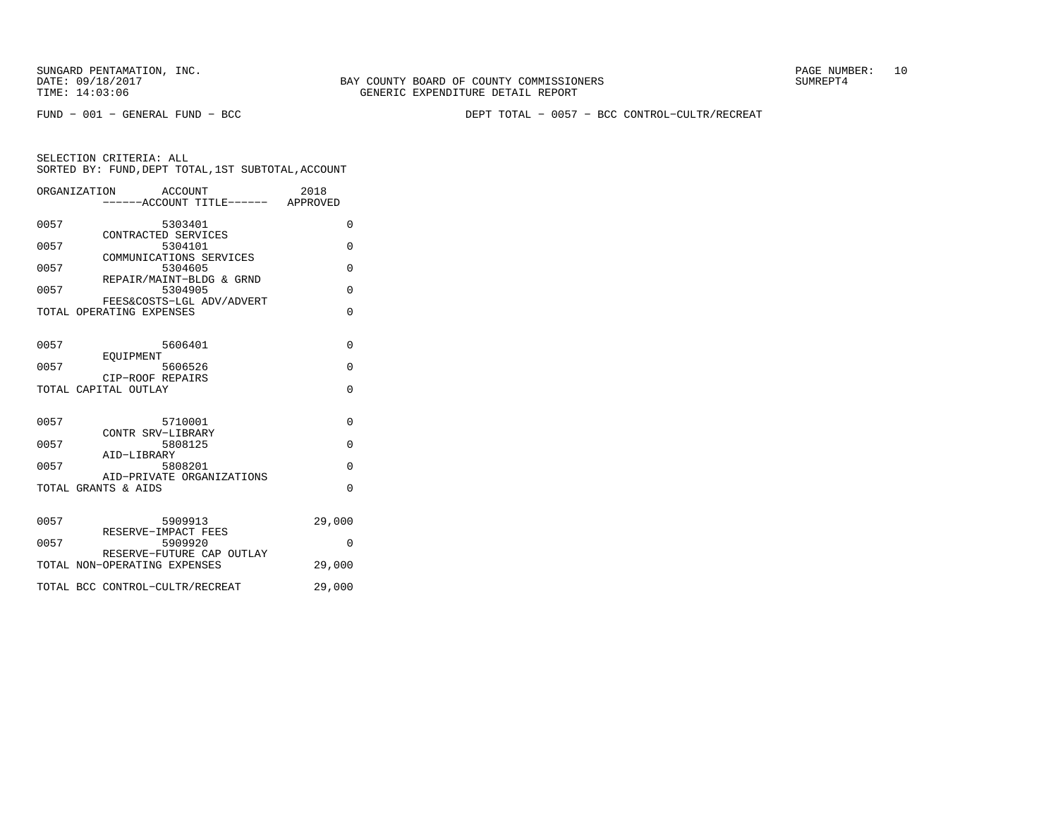FUND − 001 − GENERAL FUND − BCC DEPT TOTAL − 0057 − BCC CONTROL−CULTR/RECREAT

|      | ORGANIZATION<br>ACCOUNT              | ----ACCOUNT TITLE------ APPROVED | 2018     |
|------|--------------------------------------|----------------------------------|----------|
| 0057 | 5303401<br>CONTRACTED SERVICES       |                                  | 0        |
| 0057 | 5304101<br>COMMUNICATIONS SERVICES   |                                  | 0        |
| 0057 | 5304605<br>REPAIR/MAINT-BLDG & GRND  |                                  | $\Omega$ |
| 0057 | 5304905<br>FEES&COSTS-LGL ADV/ADVERT |                                  | $\Omega$ |
|      | TOTAL OPERATING EXPENSES             |                                  | O        |
| 0057 | 5606401<br>EOUIPMENT                 |                                  | $\Omega$ |
| 0057 | 5606526<br>CIP-ROOF REPAIRS          |                                  | $\Omega$ |
|      | TOTAL CAPITAL OUTLAY                 |                                  | $\Omega$ |
| 0057 | 5710001<br>CONTR SRV-LIBRARY         |                                  | $\Omega$ |
| 0057 | 5808125<br>AID-LIBRARY               |                                  | $\Omega$ |
| 0057 | 5808201<br>AID-PRIVATE ORGANIZATIONS |                                  | $\Omega$ |
|      | TOTAL GRANTS & AIDS                  |                                  | $\Omega$ |
| 0057 | 5909913<br>RESERVE-IMPACT FEES       |                                  | 29,000   |
| 0057 | 5909920<br>RESERVE-FUTURE CAP OUTLAY |                                  | $\Omega$ |
|      | TOTAL NON-OPERATING EXPENSES         |                                  | 29,000   |
|      | TOTAL BCC CONTROL-CULTR/RECREAT      |                                  | 29,000   |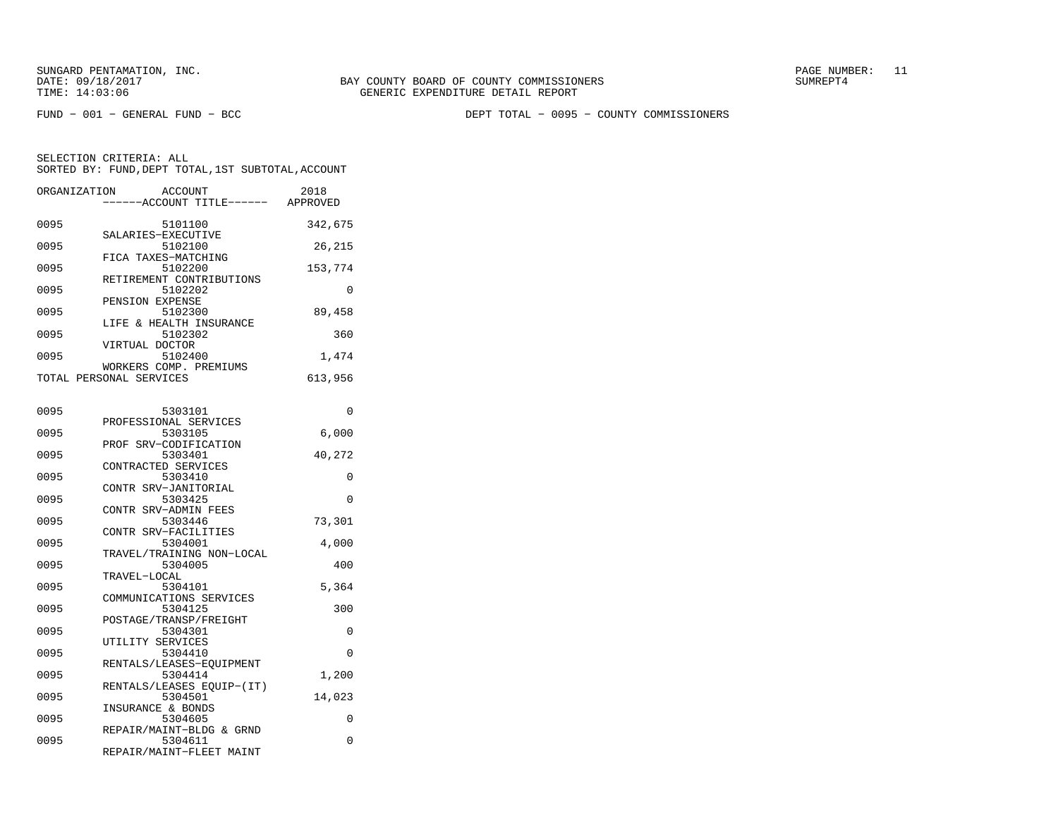FUND − 001 − GENERAL FUND − BCC DEPT TOTAL − 0095 − COUNTY COMMISSIONERS

| ORGANIZATION | <b>ACCOUNT</b><br>---ACCOUNT TITLE------          | 2018<br>APPROVED |
|--------------|---------------------------------------------------|------------------|
| 0095         | 5101100<br>SALARIES-EXECUTIVE                     | 342,675          |
| 0095         | 5102100                                           | 26,215           |
| 0095         | FICA TAXES-MATCHING<br>5102200                    | 153,774          |
| 0095         | RETIREMENT CONTRIBUTIONS<br>5102202               | 0                |
| 0095         | PENSION EXPENSE<br>5102300                        | 89,458           |
| 0095         | LIFE & HEALTH INSURANCE<br>5102302                | 360              |
| 0095         | VIRTUAL DOCTOR<br>5102400                         | 1,474            |
|              | WORKERS COMP. PREMIUMS<br>TOTAL PERSONAL SERVICES | 613,956          |
|              |                                                   |                  |
| 0095         | 5303101<br>PROFESSIONAL SERVICES                  | 0                |
| 0095         | 5303105                                           | 6,000            |
| 0095         | PROF SRV-CODIFICATION<br>5303401                  | 40,272           |
| 0095         | CONTRACTED SERVICES<br>5303410                    | 0                |
|              | CONTR SRV-JANITORIAL                              |                  |
| 0095         | 5303425<br>CONTR SRV-ADMIN FEES                   | 0                |
| 0095         | 5303446                                           | 73,301           |
|              | CONTR SRV-FACILITIES                              |                  |
| 0095         | 5304001                                           | 4,000            |
|              | TRAVEL/TRAINING NON-LOCAL                         |                  |
| 0095         | 5304005                                           | 400              |
|              | TRAVEL-LOCAL                                      |                  |
| 0095         | 5304101<br>COMMUNICATIONS SERVICES                | 5,364            |
| 0095         | 5304125                                           | 300              |
|              | POSTAGE/TRANSP/FREIGHT                            |                  |
| 0095         | 5304301                                           | 0                |
| 0095         | UTILITY SERVICES<br>5304410                       | 0                |
|              | RENTALS/LEASES-EQUIPMENT                          |                  |
| 0095         | 5304414                                           | 1,200            |
| 0095         | RENTALS/LEASES EQUIP-(IT)<br>5304501              | 14,023           |
| 0095         | INSURANCE & BONDS<br>5304605                      | 0                |
|              | REPAIR/MAINT-BLDG & GRND                          |                  |
| 0095         | 5304611<br>REPAIR/MAINT-FLEET MAINT               | 0                |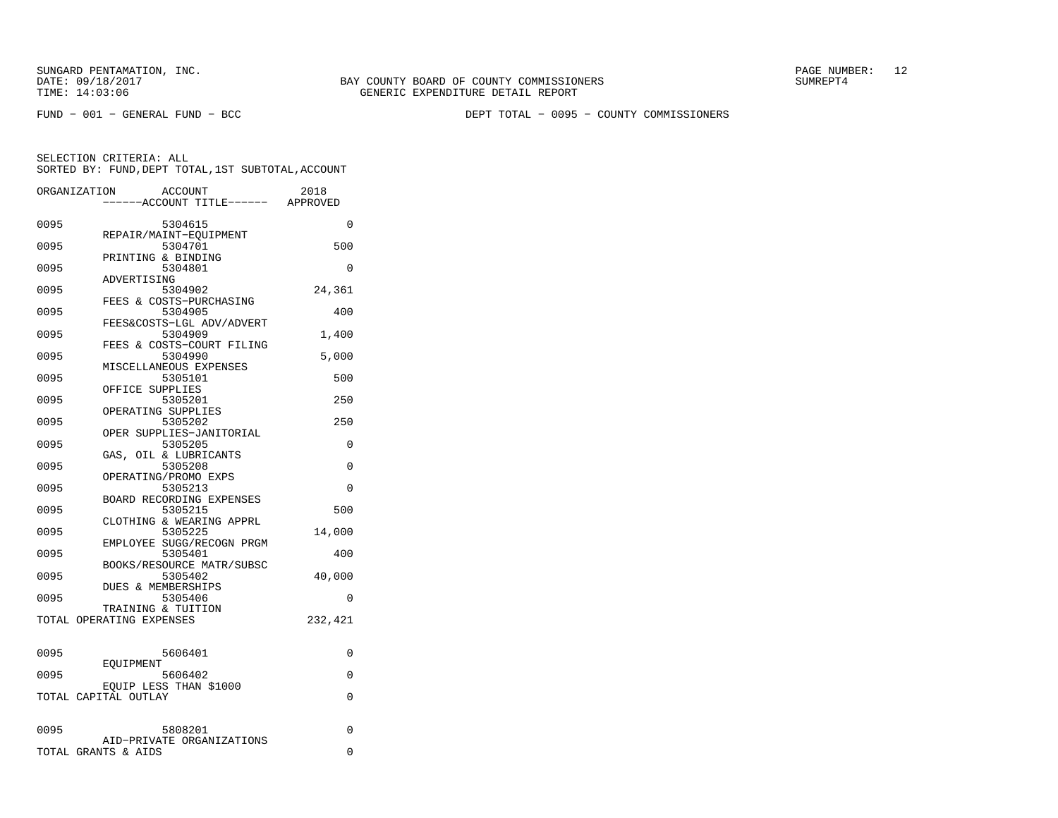FUND − 001 − GENERAL FUND − BCC DEPT TOTAL − 0095 − COUNTY COMMISSIONERS

|      | ORGANIZATION<br><b>ACCOUNT</b><br>---ACCOUNT TITLE------ APPROVED | 2018     |
|------|-------------------------------------------------------------------|----------|
| 0095 | 5304615<br>REPAIR/MAINT-EQUIPMENT                                 | $\Omega$ |
| 0095 | 5304701<br>PRINTING & BINDING                                     | 500      |
| 0095 | 5304801<br>ADVERTISING                                            | 0        |
| 0095 | 5304902<br>FEES & COSTS-PURCHASING                                | 24,361   |
| 0095 | 5304905<br>FEES&COSTS-LGL ADV/ADVERT                              | 400      |
| 0095 | 5304909<br>FEES & COSTS-COURT FILING                              | 1,400    |
| 0095 | 5304990<br>MISCELLANEOUS EXPENSES                                 | 5,000    |
| 0095 | 5305101<br>OFFICE SUPPLIES                                        | 500      |
| 0095 | 5305201<br>OPERATING SUPPLIES                                     | 250      |
| 0095 | 5305202<br>OPER SUPPLIES-JANITORIAL                               | 250      |
| 0095 | 5305205<br>GAS, OIL & LUBRICANTS                                  | $\Omega$ |
| 0095 | 5305208<br>OPERATING/PROMO EXPS                                   | 0        |
| 0095 | 5305213<br>BOARD RECORDING EXPENSES                               | $\Omega$ |
| 0095 | 5305215<br>CLOTHING & WEARING APPRL                               | 500      |
| 0095 | 5305225<br>EMPLOYEE SUGG/RECOGN PRGM                              | 14,000   |
| 0095 | 5305401<br>BOOKS/RESOURCE MATR/SUBSC                              | 400      |
| 0095 | 5305402<br>DUES & MEMBERSHIPS                                     | 40,000   |
| 0095 | 5305406<br>TRAINING & TUITION                                     | $\Omega$ |
|      | TOTAL OPERATING EXPENSES                                          | 232,421  |
| 0095 | 5606401                                                           | $\Omega$ |
| 0095 | EOUIPMENT<br>5606402                                              | $\Omega$ |
|      | EOUIP LESS THAN \$1000<br>TOTAL CAPITAL OUTLAY                    | 0        |
| 0095 | 5808201                                                           | 0        |
|      | AID-PRIVATE ORGANIZATIONS<br>TOTAL GRANTS & AIDS                  | 0        |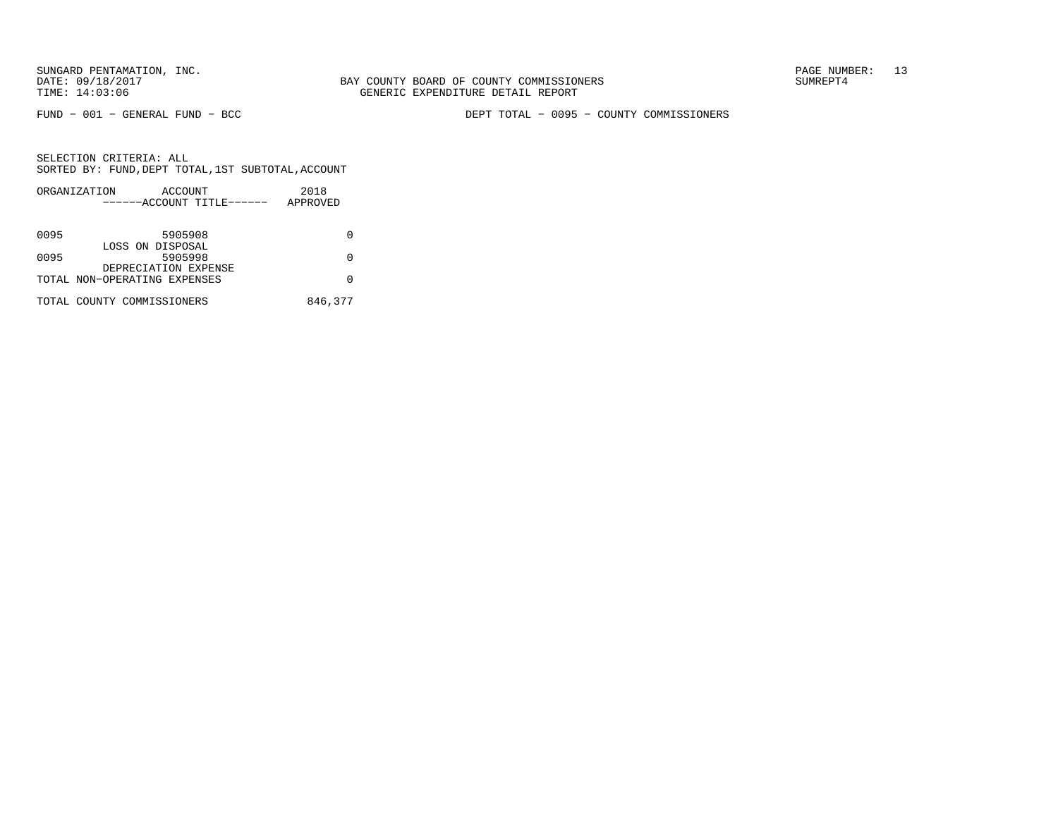FUND − 001 − GENERAL FUND − BCC DEPT TOTAL − 0095 − COUNTY COMMISSIONERS

| 2018     |
|----------|
| APPROVED |
|          |
|          |
|          |
|          |
| O        |
|          |
| O        |
|          |
| 846,377  |
|          |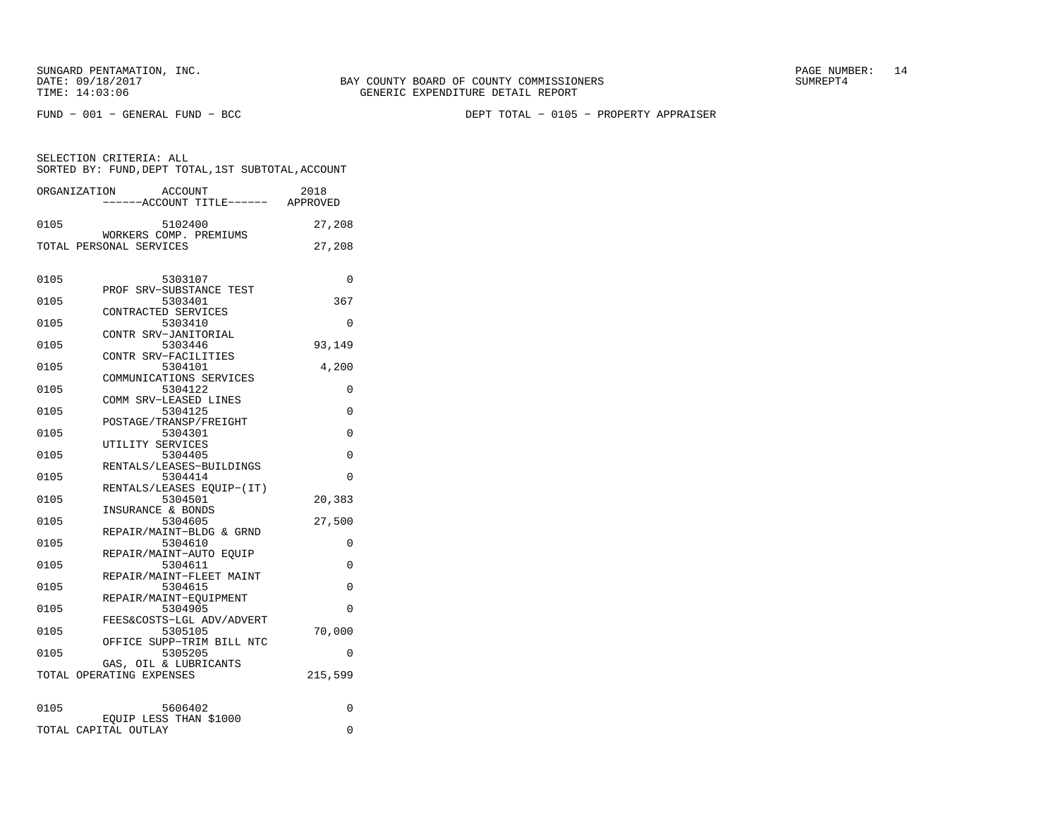FUND − 001 − GENERAL FUND − BCC DEPT TOTAL − 0105 − PROPERTY APPRAISER

|      | ACCOUNT<br>ORGANIZATION<br>----ACCOUNT TITLE------ APPROVED | 2018     |
|------|-------------------------------------------------------------|----------|
| 0105 | 5102400<br>WORKERS COMP. PREMIUMS                           | 27,208   |
|      | TOTAL PERSONAL SERVICES                                     | 27,208   |
| 0105 | 5303107<br>PROF SRV-SUBSTANCE TEST                          | 0        |
| 0105 | 5303401                                                     | 367      |
| 0105 | CONTRACTED SERVICES<br>5303410                              | 0        |
| 0105 | CONTR SRV-JANITORIAL<br>5303446                             | 93,149   |
| 0105 | CONTR SRV-FACILITIES<br>5304101                             | 4,200    |
| 0105 | COMMUNICATIONS SERVICES<br>5304122                          | 0        |
| 0105 | COMM SRV-LEASED LINES<br>5304125                            | 0        |
| 0105 | POSTAGE/TRANSP/FREIGHT<br>5304301                           | 0        |
| 0105 | UTILITY SERVICES<br>5304405                                 | 0        |
| 0105 | RENTALS/LEASES-BUILDINGS<br>5304414                         | $\Omega$ |
| 0105 | RENTALS/LEASES EQUIP-(IT)<br>5304501                        | 20,383   |
| 0105 | INSURANCE & BONDS<br>5304605                                | 27,500   |
| 0105 | REPAIR/MAINT-BLDG & GRND<br>5304610                         | 0        |
| 0105 | REPAIR/MAINT-AUTO EQUIP<br>5304611                          | $\Omega$ |
| 0105 | REPAIR/MAINT-FLEET MAINT<br>5304615                         | 0        |
| 0105 | REPAIR/MAINT-EQUIPMENT<br>5304905                           | $\Omega$ |
| 0105 | FEES&COSTS-LGL ADV/ADVERT<br>5305105                        | 70,000   |
|      | OFFICE SUPP-TRIM BILL NTC                                   |          |
| 0105 | 5305205<br>GAS, OIL & LUBRICANTS                            | 0        |
|      | TOTAL OPERATING EXPENSES                                    | 215,599  |
| 0105 | 5606402                                                     | 0        |
|      | EOUIP LESS THAN \$1000<br>TOTAL CAPITAL OUTLAY              | 0        |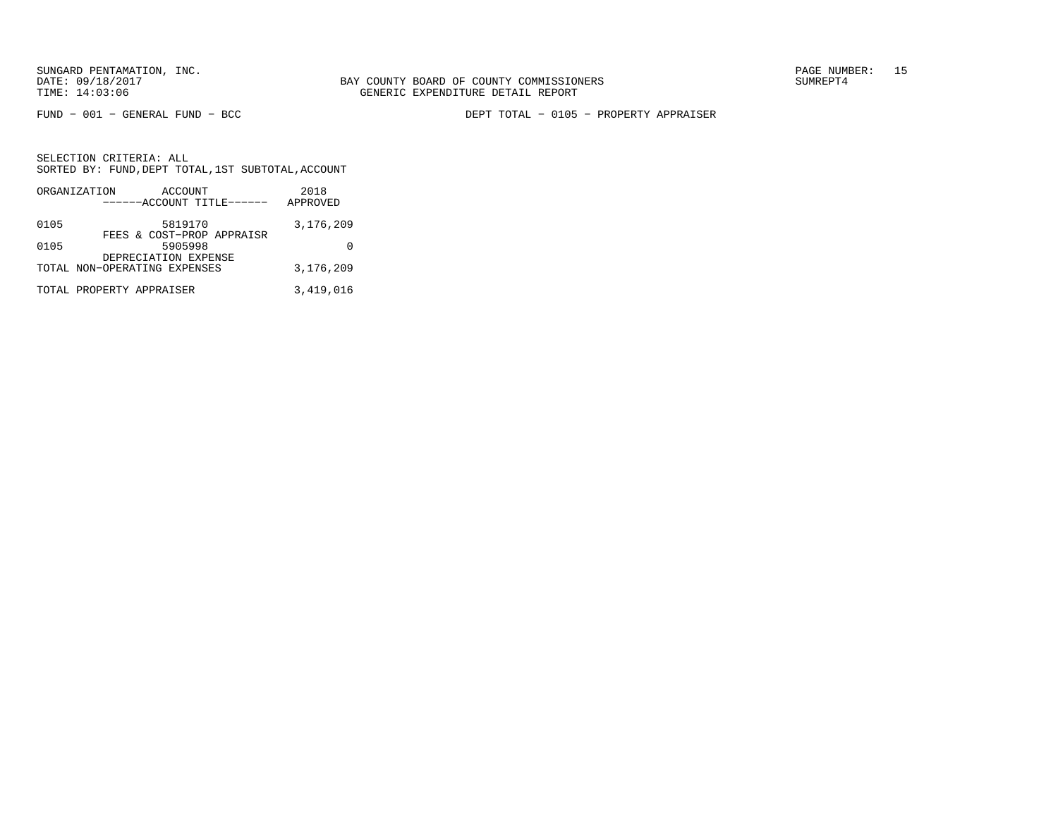FUND − 001 − GENERAL FUND − BCC DEPT TOTAL − 0105 − PROPERTY APPRAISER

|      | ORGANIZATION<br>ACCOUNT              | 2018      |
|------|--------------------------------------|-----------|
|      | ------ACCOUNT TITLE------            | APPROVED  |
| 0105 | 5819170<br>FEES & COST-PROP APPRAISR | 3,176,209 |
| 0105 | 5905998<br>DEPRECIATION EXPENSE      |           |
|      | TOTAL NON-OPERATING EXPENSES         | 3,176,209 |
|      | TOTAL PROPERTY APPRAISER             | 3,419,016 |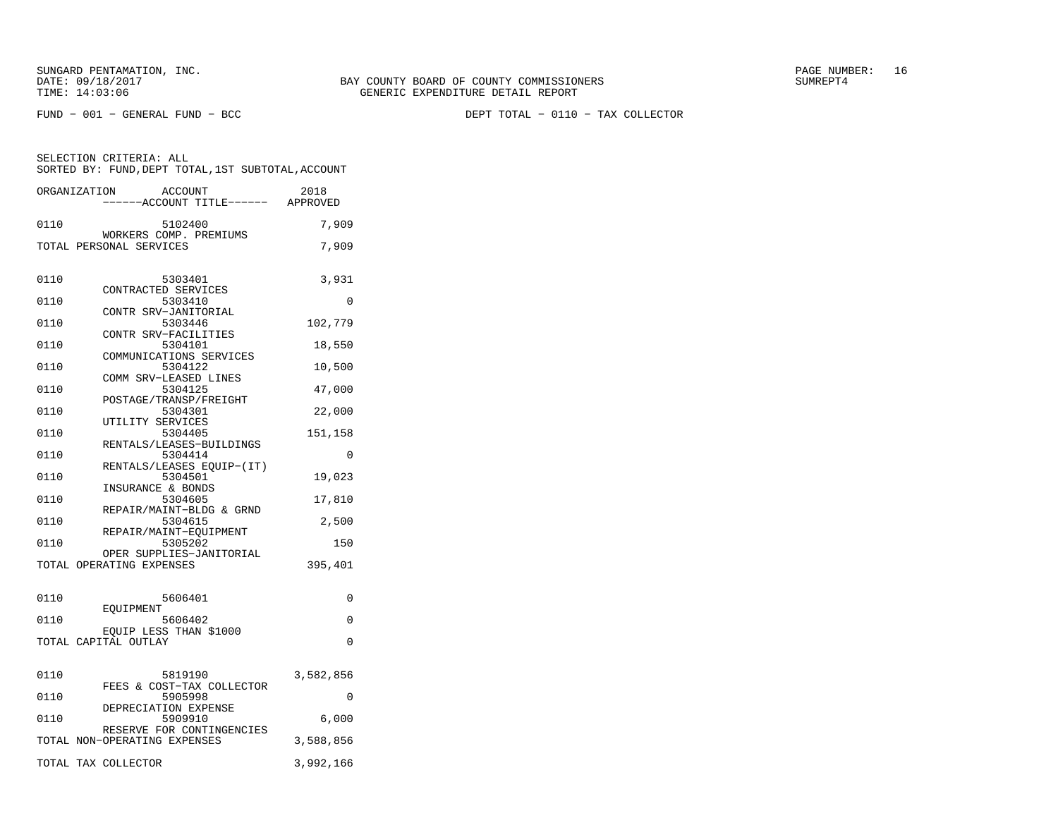FUND − 001 − GENERAL FUND − BCC DEPT TOTAL − 0110 − TAX COLLECTOR

SELECTION CRITERIA: ALL SORTED BY: FUND,DEPT TOTAL,1ST SUBTOTAL,ACCOUNTORGANIZATION ACCOUNT 2018

|      | ORGANIZATION<br>ACCOUNT<br>-----ACCOUNT TITLE------ APPROVED | 2018      |
|------|--------------------------------------------------------------|-----------|
|      |                                                              |           |
| 0110 | 5102400                                                      | 7,909     |
|      | WORKERS COMP. PREMIUMS<br>TOTAL PERSONAL SERVICES            | 7,909     |
|      |                                                              |           |
|      |                                                              |           |
| 0110 | 5303401                                                      | 3,931     |
| 0110 | CONTRACTED SERVICES<br>5303410                               | $\Omega$  |
|      | CONTR SRV-JANITORIAL                                         |           |
| 0110 | 5303446                                                      | 102,779   |
|      | CONTR SRV-FACILITIES                                         |           |
| 0110 | 5304101                                                      | 18,550    |
| 0110 | COMMUNICATIONS SERVICES<br>5304122                           | 10,500    |
|      | COMM SRV-LEASED LINES                                        |           |
| 0110 | 5304125                                                      | 47,000    |
|      | POSTAGE/TRANSP/FREIGHT                                       |           |
| 0110 | 5304301                                                      | 22,000    |
|      | UTILITY SERVICES                                             |           |
| 0110 | 5304405<br>RENTALS/LEASES-BUILDINGS                          | 151,158   |
| 0110 | 5304414                                                      | 0         |
|      | RENTALS/LEASES EQUIP-(IT)                                    |           |
| 0110 | 5304501                                                      | 19,023    |
|      | INSURANCE & BONDS                                            |           |
| 0110 | 5304605<br>REPAIR/MAINT-BLDG & GRND                          | 17,810    |
| 0110 | 5304615                                                      | 2,500     |
|      | REPAIR/MAINT-EQUIPMENT                                       |           |
| 0110 | 5305202                                                      | 150       |
|      | OPER SUPPLIES-JANITORIAL                                     |           |
|      | TOTAL OPERATING EXPENSES                                     | 395,401   |
|      |                                                              |           |
| 0110 | 5606401                                                      | 0         |
|      | EOUIPMENT                                                    |           |
| 0110 | 5606402                                                      | 0         |
|      | EQUIP LESS THAN \$1000                                       |           |
|      | TOTAL CAPITAL OUTLAY                                         | 0         |
|      |                                                              |           |
| 0110 | 5819190                                                      | 3,582,856 |
|      | FEES & COST-TAX COLLECTOR                                    |           |
| 0110 | 5905998                                                      | 0         |
| 0110 | DEPRECIATION EXPENSE<br>5909910                              | 6,000     |
|      | RESERVE FOR CONTINGENCIES                                    |           |
|      | TOTAL NON-OPERATING EXPENSES                                 | 3,588,856 |
|      |                                                              |           |
|      | TOTAL TAX COLLECTOR                                          | 3,992,166 |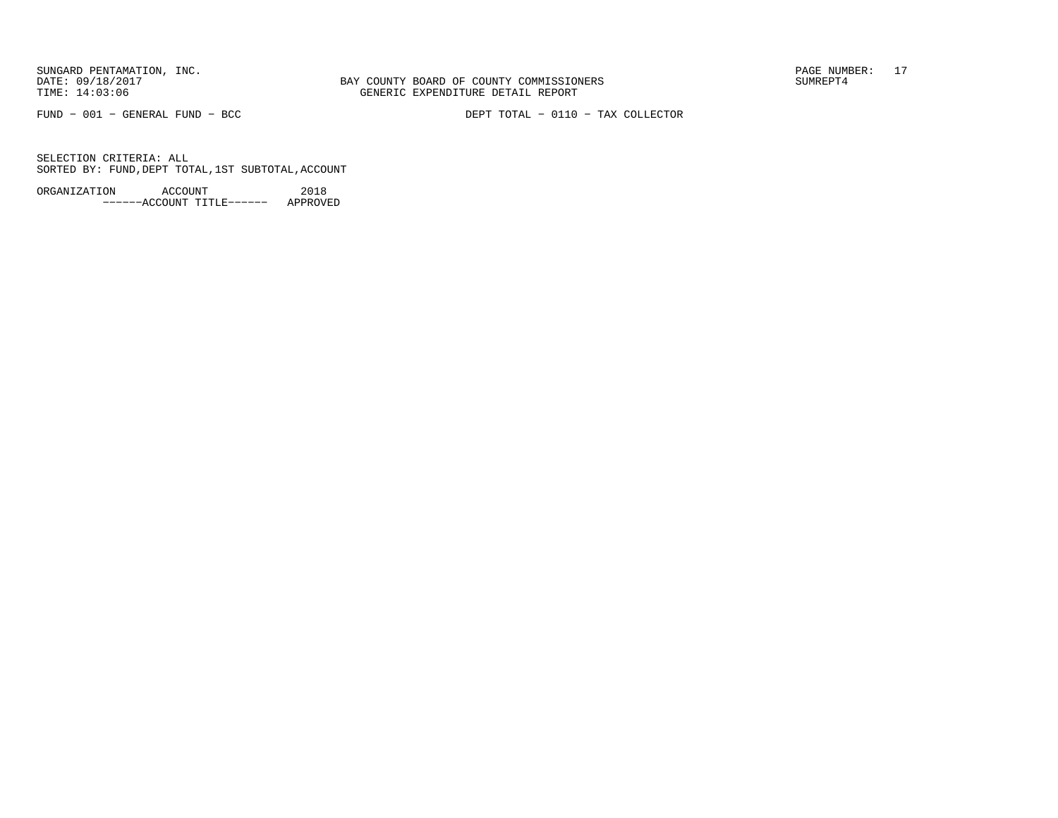BAY COUNTY BOARD OF COUNTY COMMISSIONERS TIME: 14:03:06 GENERIC EXPENDITURE DETAIL REPORT

FUND − 001 − GENERAL FUND − BCC DEPT TOTAL − 0110 − TAX COLLECTOR

SELECTION CRITERIA: ALLSORTED BY: FUND,DEPT TOTAL,1ST SUBTOTAL,ACCOUNT

ORGANIZATION ACCOUNT 2018−−−−−−ACCOUNT TITLE−−−−−− APPROVED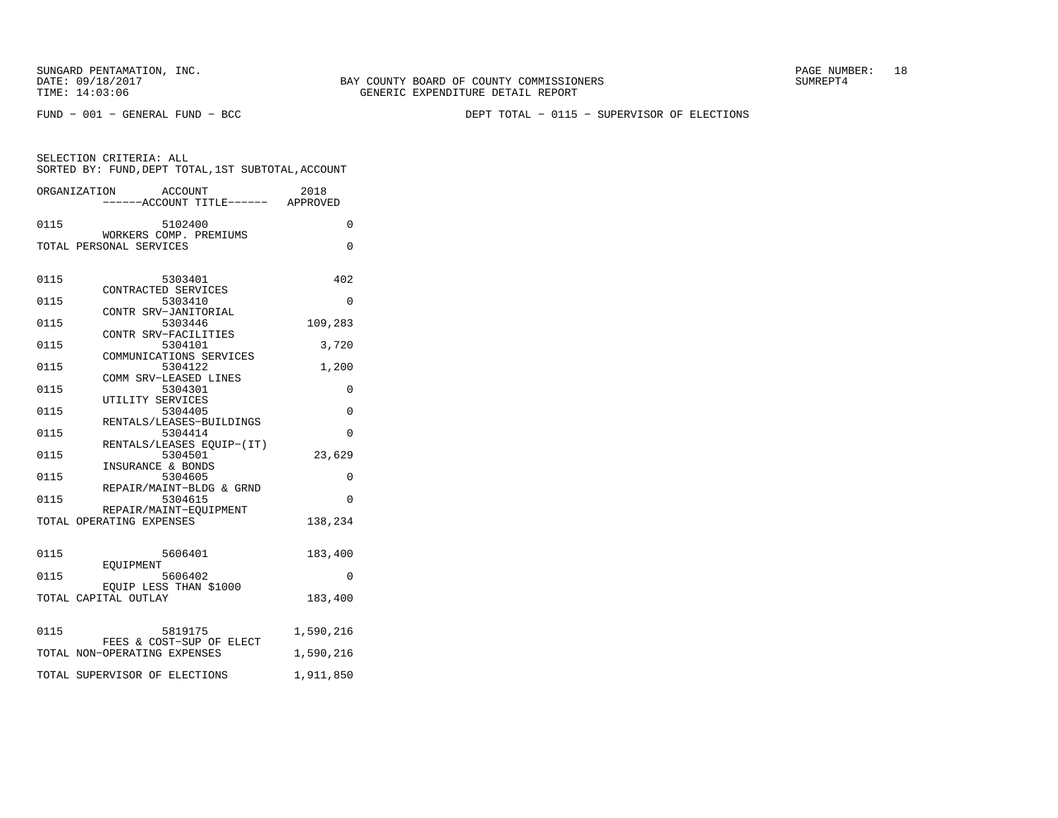BAY COUNTY BOARD OF COUNTY COMMISSIONERS TIME: 14:03:06 GENERIC EXPENDITURE DETAIL REPORT

FUND − 001 − GENERAL FUND − BCC DEPT TOTAL − 0115 − SUPERVISOR OF ELECTIONS

SELECTION CRITERIA: ALL SORTED BY: FUND,DEPT TOTAL,1ST SUBTOTAL,ACCOUNTORGANIZATION ACCOUNT 2018

|      | ------ACCOUNT TITLE------                      | APPROVED  |
|------|------------------------------------------------|-----------|
| 0115 | 5102400<br>WORKERS COMP. PREMIUMS              | $\Omega$  |
|      | TOTAL PERSONAL SERVICES                        | $\Omega$  |
|      |                                                |           |
| 0115 | 5303401<br>CONTRACTED SERVICES                 | 402       |
| 0115 | 5303410                                        | $\Omega$  |
| 0115 | CONTR SRV-JANITORIAL<br>5303446                | 109,283   |
| 0115 | CONTR SRV-FACILITIES<br>5304101                | 3,720     |
|      | COMMUNICATIONS SERVICES                        |           |
| 0115 | 5304122                                        | 1,200     |
| 0115 | COMM SRV-LEASED LINES<br>5304301               | 0         |
| 0115 | UTILITY SERVICES<br>5304405                    | $\Omega$  |
|      | RENTALS/LEASES-BUILDINGS                       |           |
| 0115 | 5304414                                        | $\Omega$  |
| 0115 | RENTALS/LEASES EQUIP-(IT)<br>5304501           | 23,629    |
| 0115 | INSURANCE & BONDS<br>5304605                   | 0         |
|      | REPAIR/MAINT-BLDG & GRND                       |           |
| 0115 | 5304615<br>REPAIR/MAINT-EOUIPMENT              | $\Omega$  |
|      | TOTAL OPERATING EXPENSES                       | 138,234   |
|      |                                                |           |
| 0115 | 5606401                                        | 183,400   |
| 0115 | EOUIPMENT<br>5606402                           | 0         |
|      | EQUIP LESS THAN \$1000<br>TOTAL CAPITAL OUTLAY | 183,400   |
|      |                                                |           |
| 0115 | 5819175                                        | 1,590,216 |
|      | FEES & COST-SUP OF ELECT                       |           |
|      | TOTAL NON-OPERATING EXPENSES                   | 1,590,216 |
|      | TOTAL SUPERVISOR OF ELECTIONS                  | 1,911,850 |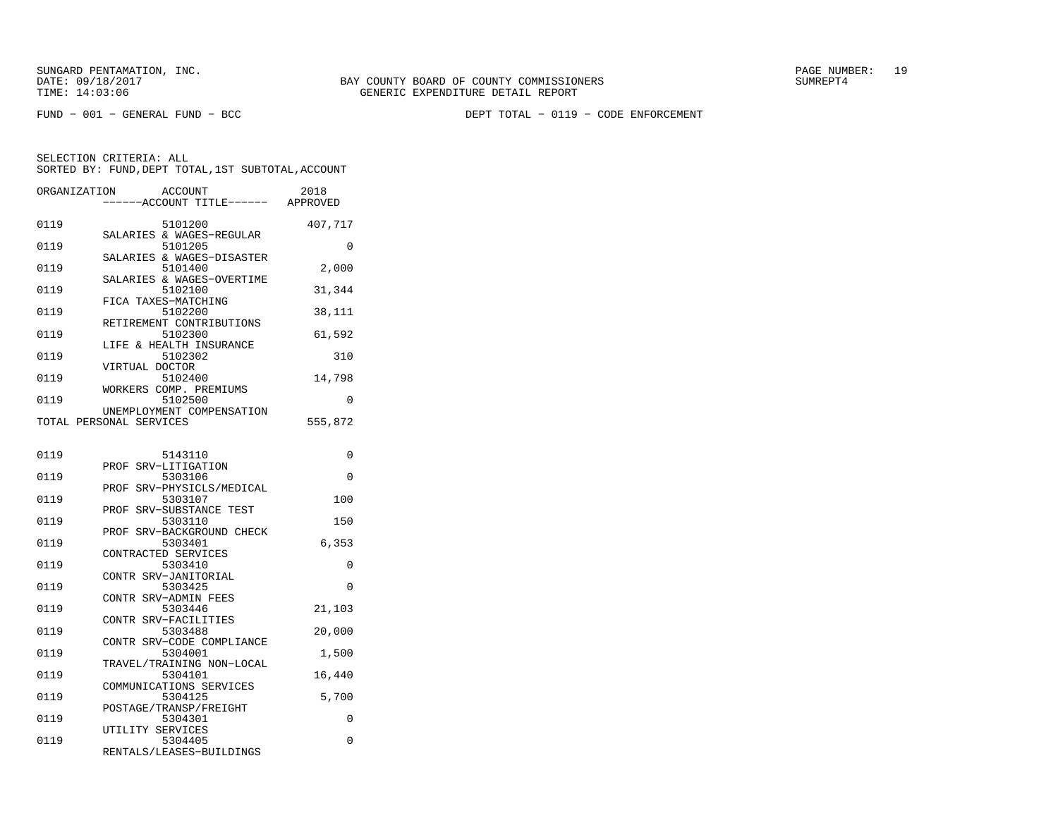FUND − 001 − GENERAL FUND − BCC DEPT TOTAL − 0119 − CODE ENFORCEMENT

| ORGANIZATION            |                  | <b>ACCOUNT</b><br>---ACCOUNT TITLE------ APPROVED | 2018    |
|-------------------------|------------------|---------------------------------------------------|---------|
|                         |                  |                                                   |         |
| 0119                    |                  | 5101200                                           | 407,717 |
| 0119                    |                  | SALARIES & WAGES-REGULAR<br>5101205               | 0       |
|                         |                  | SALARIES & WAGES-DISASTER                         |         |
| 0119                    |                  | 5101400                                           | 2,000   |
|                         |                  | SALARIES & WAGES-OVERTIME                         |         |
| 0119                    |                  | 5102100                                           | 31,344  |
| 0119                    |                  | FICA TAXES-MATCHING<br>5102200                    | 38,111  |
|                         |                  | RETIREMENT CONTRIBUTIONS                          |         |
| 0119                    |                  | 5102300                                           | 61,592  |
|                         |                  | LIFE & HEALTH INSURANCE                           |         |
| 0119                    |                  | 5102302                                           | 310     |
| 0119                    | VIRTUAL DOCTOR   | 5102400                                           | 14,798  |
|                         |                  | WORKERS COMP. PREMIUMS                            |         |
| 0119                    |                  | 5102500                                           | 0       |
|                         |                  | UNEMPLOYMENT COMPENSATION                         |         |
| TOTAL PERSONAL SERVICES |                  |                                                   | 555,872 |
|                         |                  |                                                   |         |
| 0119                    |                  | 5143110                                           | 0       |
|                         | PROF             | SRV-LITIGATION                                    |         |
| 0119                    |                  | 5303106                                           | 0       |
|                         | PROF             | SRV-PHYSICLS/MEDICAL                              |         |
| 0119                    |                  | 5303107                                           | 100     |
|                         |                  | PROF SRV-SUBSTANCE TEST                           |         |
| 0119                    | PROF             | 5303110<br>SRV-BACKGROUND CHECK                   | 150     |
| 0119                    |                  | 5303401                                           | 6,353   |
|                         |                  | CONTRACTED SERVICES                               |         |
| 0119                    |                  | 5303410                                           | 0       |
|                         |                  | CONTR SRV-JANITORIAL                              |         |
| 0119                    |                  | 5303425<br>CONTR SRV-ADMIN FEES                   | 0       |
| 0119                    |                  | 5303446                                           | 21,103  |
|                         |                  | CONTR SRV-FACILITIES                              |         |
| 0119                    |                  | 5303488                                           | 20,000  |
|                         |                  | CONTR SRV-CODE COMPLIANCE                         |         |
| 0119                    |                  | 5304001<br>TRAVEL/TRAINING NON-LOCAL              | 1,500   |
| 0119                    |                  | 5304101                                           | 16,440  |
|                         |                  | COMMUNICATIONS SERVICES                           |         |
| 0119                    |                  | 5304125                                           | 5,700   |
|                         |                  | POSTAGE/TRANSP/FREIGHT                            |         |
| 0119                    |                  | 5304301                                           | 0       |
| 0119                    | UTILITY SERVICES | 5304405                                           | 0       |
|                         |                  | RENTALS/LEASES-BUILDINGS                          |         |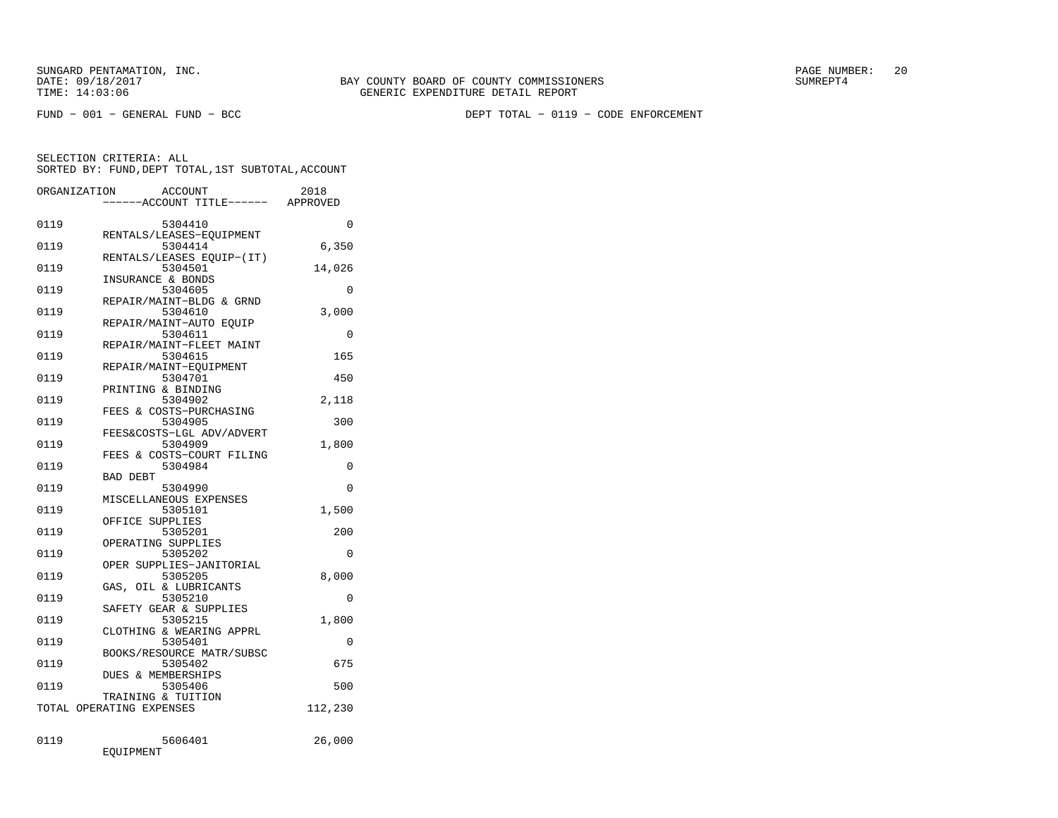FUND − 001 − GENERAL FUND − BCC DEPT TOTAL − 0119 − CODE ENFORCEMENT

|      | ORGANIZATION<br><b>ACCOUNT</b><br>--ACCOUNT TITLE------ | 2018<br>APPROVED |
|------|---------------------------------------------------------|------------------|
| 0119 | 5304410                                                 | $\Omega$         |
| 0119 | RENTALS/LEASES-EOUIPMENT<br>5304414                     | 6,350            |
| 0119 | RENTALS/LEASES EQUIP-(IT)<br>5304501                    | 14,026           |
| 0119 | INSURANCE & BONDS<br>5304605                            | 0                |
| 0119 | REPAIR/MAINT-BLDG & GRND<br>5304610                     | 3,000            |
| 0119 | REPAIR/MAINT-AUTO EOUIP<br>5304611                      | 0                |
| 0119 | REPAIR/MAINT-FLEET MAINT<br>5304615                     | 165              |
| 0119 | REPAIR/MAINT-EOUIPMENT<br>5304701                       | 450              |
| 0119 | PRINTING & BINDING<br>5304902                           | 2,118            |
| 0119 | FEES & COSTS-PURCHASING<br>5304905                      | 300              |
| 0119 | FEES&COSTS-LGL ADV/ADVERT<br>5304909                    | 1,800            |
| 0119 | FEES & COSTS-COURT FILING<br>5304984                    | 0                |
| 0119 | BAD DEBT<br>5304990                                     | $\Omega$         |
| 0119 | MISCELLANEOUS EXPENSES<br>5305101                       | 1,500            |
| 0119 | OFFICE SUPPLIES<br>5305201                              | 200              |
| 0119 | OPERATING SUPPLIES<br>5305202                           | $\Omega$         |
| 0119 | OPER SUPPLIES-JANITORIAL<br>5305205                     | 8,000            |
| 0119 | GAS, OIL & LUBRICANTS<br>5305210                        | 0                |
| 0119 | SAFETY GEAR & SUPPLIES<br>5305215                       | 1,800            |
| 0119 | CLOTHING & WEARING APPRL<br>5305401                     | 0                |
| 0119 | BOOKS/RESOURCE MATR/SUBSC<br>5305402                    | 675              |
| 0119 | DUES & MEMBERSHIPS<br>5305406                           | 500              |
|      | TRAINING & TUITION<br>TOTAL OPERATING EXPENSES          | 112,230          |
| 0119 | 5606401<br>EQUIPMENT                                    | 26,000           |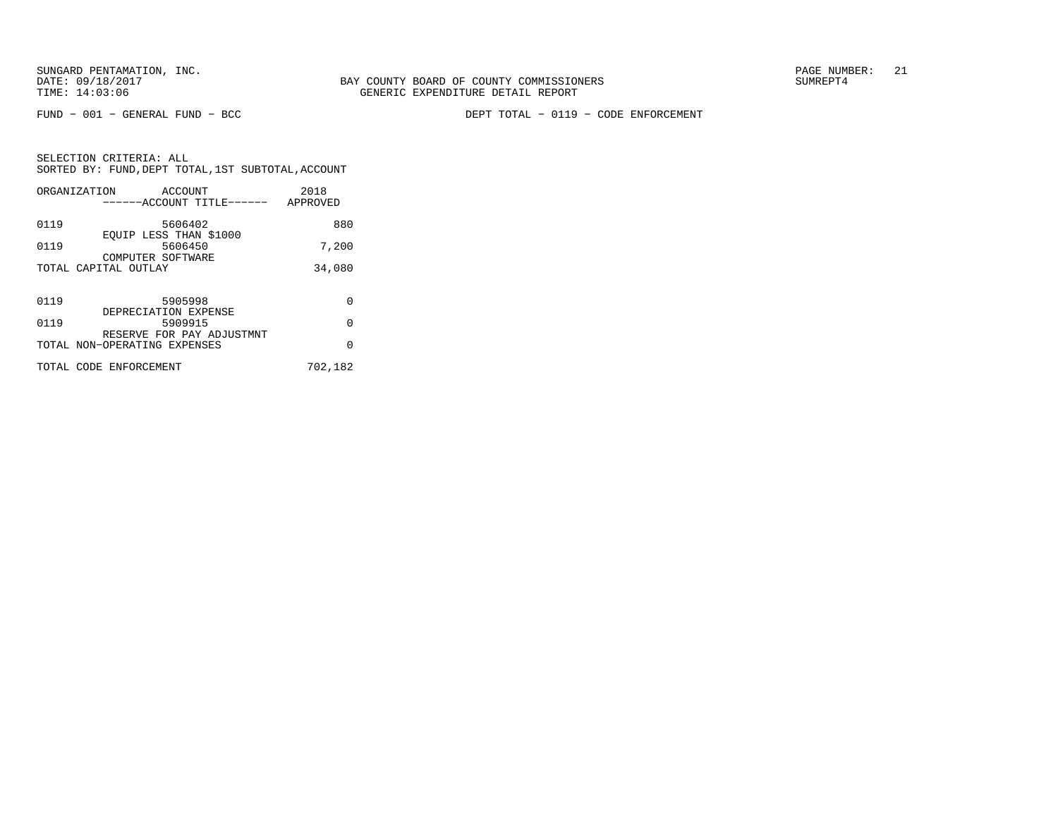FUND − 001 − GENERAL FUND − BCC DEPT TOTAL − 0119 − CODE ENFORCEMENT

|      | ORGANIZATION<br>ACCOUNT<br>------ACCOUNT TITLE------      | 2018<br>APPROVED |
|------|-----------------------------------------------------------|------------------|
| 0119 | 5606402                                                   | 880              |
| 0119 | EQUIP LESS THAN \$1000<br>5606450<br>COMPUTER SOFTWARE    | 7,200            |
|      | TOTAL CAPITAL OUTLAY                                      | 34,080           |
|      |                                                           |                  |
| 0119 | 5905998<br>DEPRECIATION EXPENSE                           | 0                |
| 0119 | 5909915                                                   | $\Omega$         |
|      | RESERVE FOR PAY ADJUSTMNT<br>TOTAL NON-OPERATING EXPENSES | $\Omega$         |
|      | TOTAL CODE ENFORCEMENT                                    | 702,182          |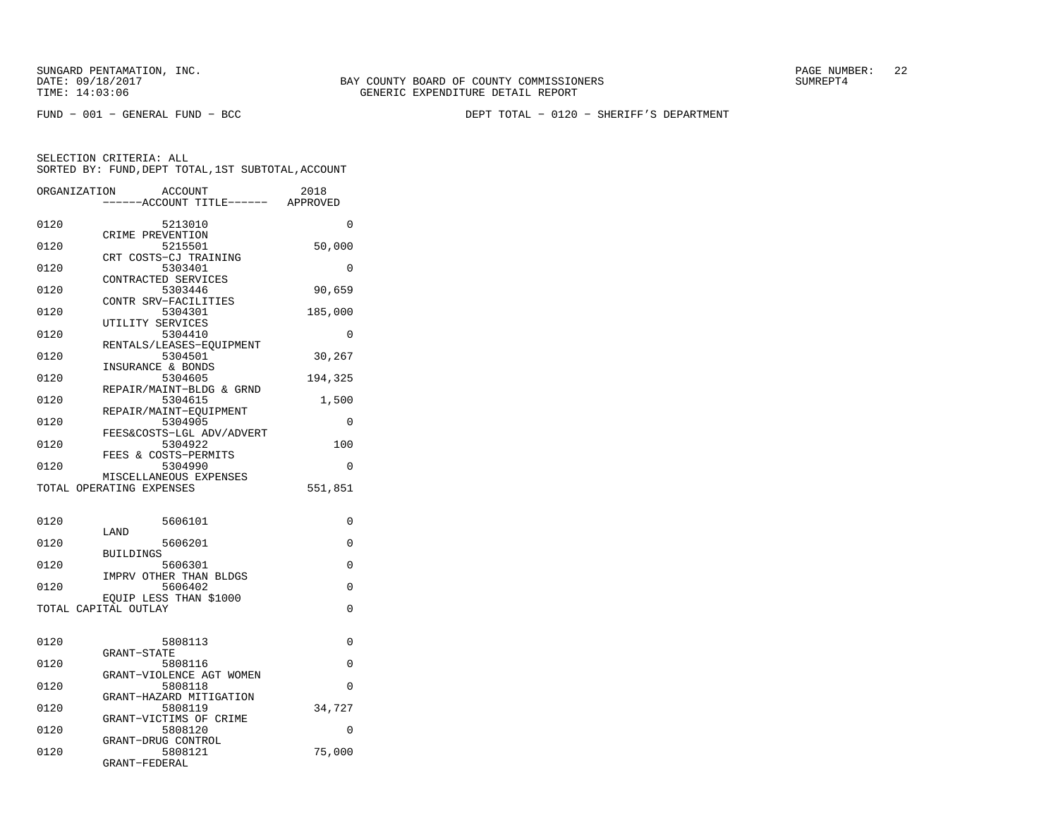FUND − 001 − GENERAL FUND − BCC DEPT TOTAL − 0120 − SHERIFF'S DEPARTMENT

| ORGANIZATION | <b>ACCOUNT</b>                      | 2018     |
|--------------|-------------------------------------|----------|
|              | ---ACCOUNT TITLE------              | APPROVED |
|              |                                     |          |
| 0120         | 5213010                             | $\Omega$ |
| 0120         | CRIME PREVENTION<br>5215501         | 50,000   |
|              | CRT COSTS-CJ TRAINING               |          |
| 0120         | 5303401                             | 0        |
|              | CONTRACTED SERVICES                 |          |
| 0120         | 5303446                             | 90,659   |
|              | CONTR SRV-FACILITIES                |          |
| 0120         | 5304301                             | 185,000  |
|              | UTILITY SERVICES                    |          |
| 0120         | 5304410                             | 0        |
| 0120         | RENTALS/LEASES-EOUIPMENT<br>5304501 | 30,267   |
|              | INSURANCE & BONDS                   |          |
| 0120         | 5304605                             | 194,325  |
|              | REPAIR/MAINT-BLDG & GRND            |          |
| 0120         | 5304615                             | 1,500    |
|              | REPAIR/MAINT-EOUIPMENT              |          |
| 0120         | 5304905                             | 0        |
|              | FEES&COSTS-LGL ADV/ADVERT           |          |
| 0120         | 5304922                             | 100      |
| 0120         | FEES & COSTS-PERMITS<br>5304990     | 0        |
|              | MISCELLANEOUS EXPENSES              |          |
|              | TOTAL OPERATING EXPENSES            | 551,851  |
|              |                                     |          |
|              |                                     |          |
| 0120         | 5606101                             | 0        |
|              | LAND                                |          |
| 0120         | 5606201<br><b>BUILDINGS</b>         | 0        |
| 0120         | 5606301                             | 0        |
|              | IMPRV OTHER THAN BLDGS              |          |
| 0120         | 5606402                             | 0        |
|              | EOUIP LESS THAN \$1000              |          |
|              | TOTAL CAPITAL OUTLAY                | 0        |
|              |                                     |          |
| 0120         | 5808113                             | $\Omega$ |
|              | GRANT-STATE                         |          |
| 0120         | 5808116                             | 0        |
|              | GRANT-VIOLENCE AGT WOMEN            |          |
| 0120         | 5808118                             | $\Omega$ |
|              | GRANT-HAZARD MITIGATION             |          |
| 0120         | 5808119                             | 34,727   |
|              | GRANT-VICTIMS OF CRIME              |          |
| 0120         | 5808120                             | $\Omega$ |
| 0120         | GRANT-DRUG CONTROL<br>5808121       | 75,000   |
|              | GRANT-FEDERAL                       |          |
|              |                                     |          |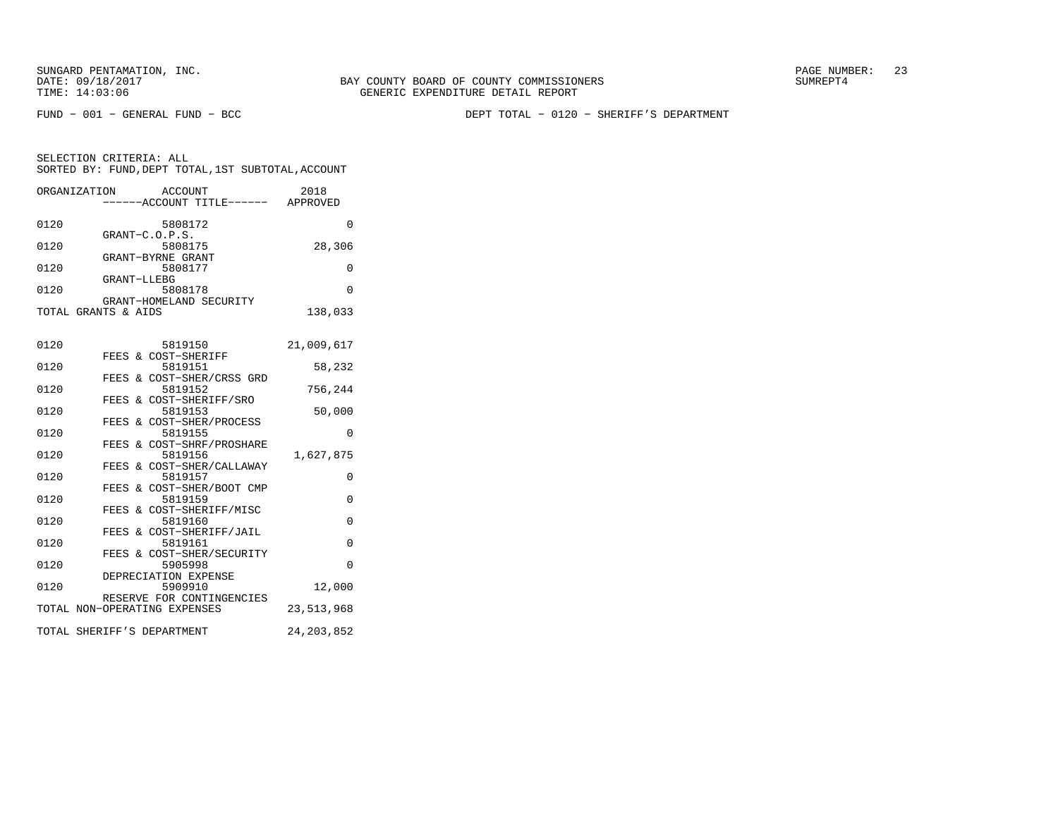BAY COUNTY BOARD OF COUNTY COMMISSIONERS TIME: 14:03:06 GENERIC EXPENDITURE DETAIL REPORT

FUND − 001 − GENERAL FUND − BCC DEPT TOTAL − 0120 − SHERIFF'S DEPARTMENT

SELECTION CRITERIA: ALL SORTED BY: FUND,DEPT TOTAL,1ST SUBTOTAL,ACCOUNTORGANIZATION ACCOUNT 2018

|      | ------ACCOUNT TITLE------                                 | APPROVED     |
|------|-----------------------------------------------------------|--------------|
| 0120 | 5808172<br>GRANT-C.O.P.S.                                 | 0            |
| 0120 | 5808175                                                   | 28,306       |
| 0120 | GRANT-BYRNE GRANT<br>5808177                              | 0            |
| 0120 | GRANT-LLEBG<br>5808178                                    | $\Omega$     |
|      | GRANT-HOMELAND SECURITY                                   |              |
|      | TOTAL GRANTS & AIDS                                       | 138,033      |
| 0120 | 5819150                                                   | 21,009,617   |
| 0120 | FEES & COST-SHERIFF<br>5819151                            | 58,232       |
|      | FEES & COST-SHER/CRSS GRD                                 |              |
| 0120 | 5819152<br>& COST-SHERIFF/SRO<br>FEES                     | 756,244      |
| 0120 | 5819153                                                   | 50,000       |
| 0120 | & COST-SHER/PROCESS<br>FEES<br>5819155                    | $\Omega$     |
| 0120 | & COST-SHRF/PROSHARE<br>FEES<br>5819156                   | 1,627,875    |
|      | FEES & COST-SHER/CALLAWAY                                 |              |
| 0120 | 5819157<br>& COST-SHER/BOOT CMP<br>FEES                   | $\Omega$     |
| 0120 | 5819159                                                   | $\Omega$     |
| 0120 | FEES & COST-SHERIFF/MISC<br>5819160                       | $\Omega$     |
| 0120 | FEES & COST-SHERIFF/JAIL<br>5819161                       | $\Omega$     |
|      | FEES & COST-SHER/SECURITY                                 |              |
| 0120 | 5905998<br>DEPRECIATION EXPENSE                           | $\Omega$     |
| 0120 | 5909910                                                   | 12,000       |
|      | RESERVE FOR CONTINGENCIES<br>TOTAL NON-OPERATING EXPENSES | 23, 513, 968 |
|      |                                                           |              |
|      | TOTAL SHERIFF'S DEPARTMENT                                | 24, 203, 852 |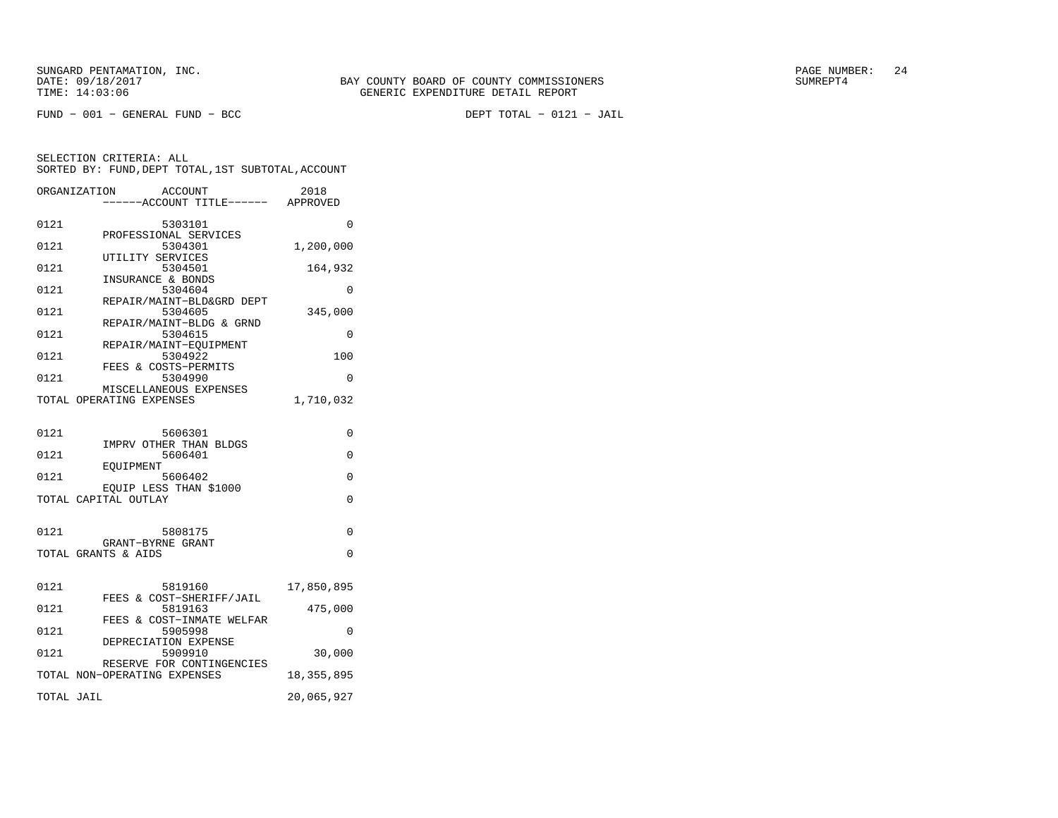FUND − 001 − GENERAL FUND − BCC DEPT TOTAL − 0121 − JAIL

|            | ORGANIZATION<br><b>ACCOUNT</b><br>---ACCOUNT TITLE------ APPROVED | 2018         |
|------------|-------------------------------------------------------------------|--------------|
| 0121       | 5303101                                                           | 0            |
| 0121       | PROFESSIONAL SERVICES<br>5304301                                  | 1,200,000    |
| 0121       | UTILITY SERVICES<br>5304501                                       | 164,932      |
| 0121       | INSURANCE & BONDS<br>5304604                                      | 0            |
| 0121       | REPAIR/MAINT-BLD&GRD DEPT<br>5304605                              | 345,000      |
| 0121       | REPAIR/MAINT-BLDG & GRND<br>5304615                               | $\Omega$     |
|            | REPAIR/MAINT-EQUIPMENT                                            |              |
| 0121       | 5304922<br>FEES & COSTS-PERMITS                                   | 100          |
| 0121       | 5304990<br>MISCELLANEOUS EXPENSES                                 | $\Omega$     |
|            | TOTAL OPERATING EXPENSES                                          | 1,710,032    |
| 0121       | 5606301                                                           | $\Omega$     |
| 0121       | IMPRV OTHER THAN BLDGS<br>5606401                                 | $\Omega$     |
| 0121       | EOUIPMENT<br>5606402                                              | $\Omega$     |
|            | EQUIP LESS THAN \$1000                                            |              |
|            | TOTAL CAPITAL OUTLAY                                              | $\Omega$     |
| 0121       | 5808175                                                           | $\Omega$     |
|            | GRANT-BYRNE GRANT<br>TOTAL GRANTS & AIDS                          | 0            |
|            |                                                                   |              |
| 0121       | 5819160<br>FEES & COST-SHERIFF/JAIL                               | 17,850,895   |
| 0121       | 5819163<br>FEES & COST-INMATE WELFAR                              | 475,000      |
| 0121       | 5905998                                                           | 0            |
| 0121       | DEPRECIATION EXPENSE<br>5909910                                   | 30,000       |
|            | RESERVE FOR CONTINGENCIES<br>TOTAL NON-OPERATING EXPENSES         | 18, 355, 895 |
| TOTAL JAIL |                                                                   | 20,065,927   |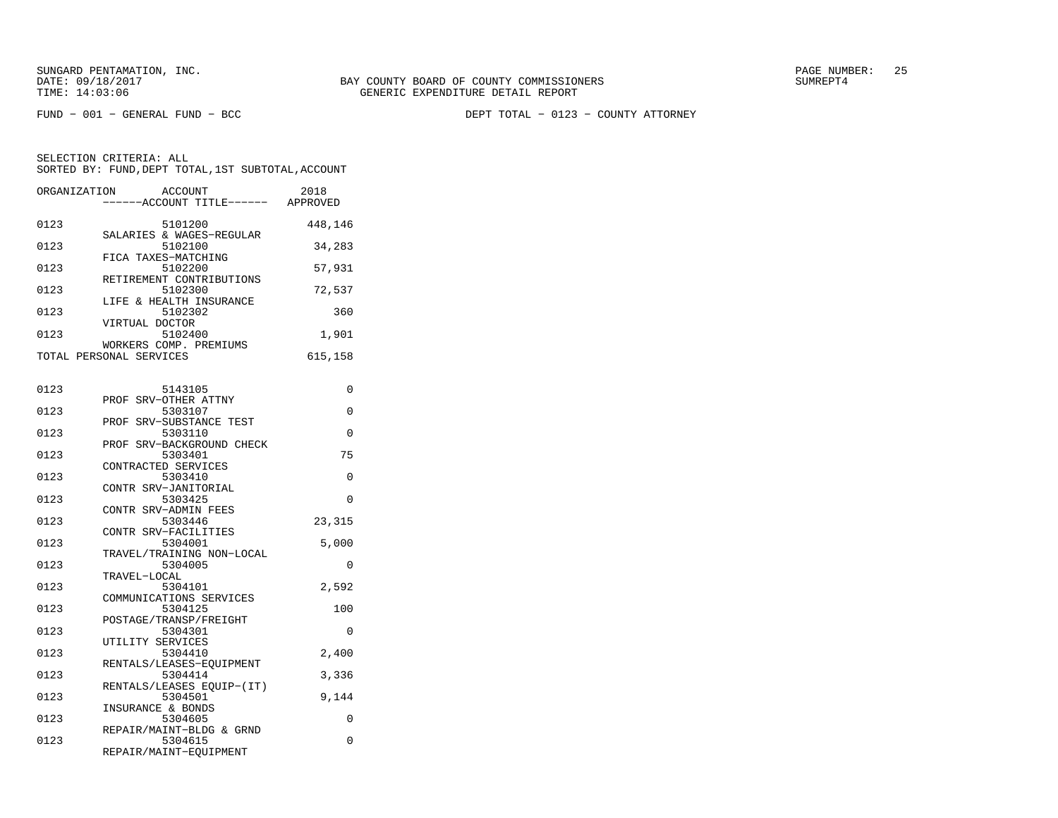FUND − 001 − GENERAL FUND − BCC DEPT TOTAL − 0123 − COUNTY ATTORNEY

| ORGANIZATION | <b>ACCOUNT</b><br>---ACCOUNT TITLE------ APPROVED              | 2018    |
|--------------|----------------------------------------------------------------|---------|
| 0123         | 5101200<br>SALARIES & WAGES-REGULAR                            | 448,146 |
| 0123         | 5102100<br>FICA TAXES-MATCHING                                 | 34,283  |
| 0123         | 5102200                                                        | 57,931  |
| 0123         | RETIREMENT CONTRIBUTIONS<br>5102300<br>LIFE & HEALTH INSURANCE | 72,537  |
| 0123         | 5102302<br>VIRTUAL DOCTOR                                      | 360     |
| 0123         | 5102400<br>WORKERS COMP. PREMIUMS                              | 1,901   |
|              | TOTAL PERSONAL SERVICES                                        | 615,158 |
| 0123         | 5143105                                                        | 0       |
| 0123         | PROF SRV-OTHER ATTNY<br>5303107                                | 0       |
| 0123         | PROF SRV-SUBSTANCE TEST<br>5303110                             | 0       |
| 0123         | PROF SRV-BACKGROUND CHECK<br>5303401                           | 75      |
| 0123         | CONTRACTED SERVICES<br>5303410                                 | 0       |
| 0123         | CONTR SRV-JANITORIAL<br>5303425                                | 0       |
| 0123         | CONTR SRV-ADMIN FEES<br>5303446                                | 23,315  |
| 0123         | CONTR SRV-FACILITIES<br>5304001                                | 5,000   |
| 0123         | TRAVEL/TRAINING NON-LOCAL<br>5304005                           | 0       |
| 0123         | TRAVEL-LOCAL<br>5304101<br>COMMUNICATIONS SERVICES             | 2,592   |
| 0123         | 5304125<br>POSTAGE/TRANSP/FREIGHT                              | 100     |
| 0123         | 5304301<br>UTILITY SERVICES                                    | 0       |
| 0123         | 5304410<br>RENTALS/LEASES-EQUIPMENT                            | 2,400   |
| 0123         | 5304414<br>RENTALS/LEASES EQUIP-(IT)                           | 3,336   |
| 0123         | 5304501<br>INSURANCE & BONDS                                   | 9,144   |
| 0123         | 5304605<br>REPAIR/MAINT-BLDG & GRND                            | 0       |
| 0123         | 5304615<br>REPAIR/MAINT-EQUIPMENT                              | 0       |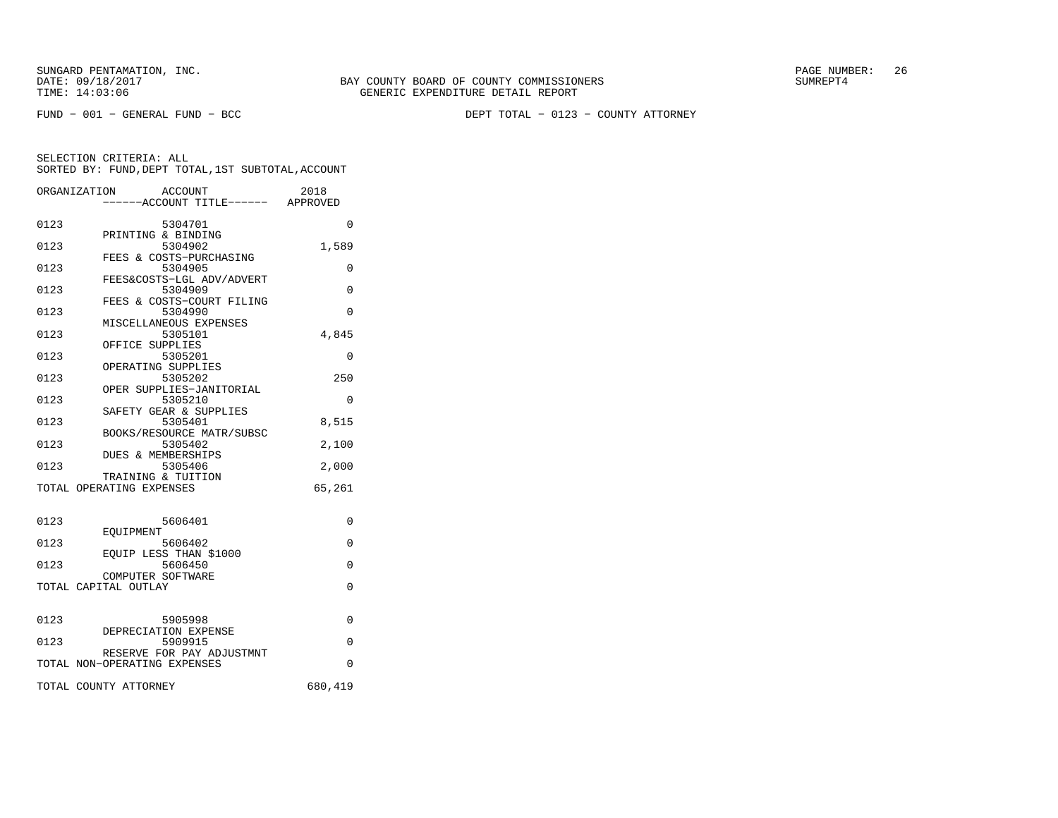FUND − 001 − GENERAL FUND − BCC DEPT TOTAL − 0123 − COUNTY ATTORNEY

|      | ORGANIZATION<br>ACCOUNT<br>-----ACCOUNT TITLE------ APPROVED | 2018     |
|------|--------------------------------------------------------------|----------|
| 0123 | 5304701                                                      | 0        |
| 0123 | PRINTING & BINDING<br>5304902<br>FEES & COSTS-PURCHASING     | 1,589    |
| 0123 | 5304905<br>FEES&COSTS-LGL ADV/ADVERT                         | 0        |
| 0123 | 5304909<br>FEES & COSTS-COURT FILING                         | $\Omega$ |
| 0123 | 5304990<br>MISCELLANEOUS EXPENSES                            | 0        |
| 0123 | 5305101                                                      | 4,845    |
| 0123 | OFFICE SUPPLIES<br>5305201                                   | $\Omega$ |
| 0123 | OPERATING SUPPLIES<br>5305202                                | 250      |
| 0123 | OPER SUPPLIES-JANITORIAL<br>5305210                          | 0        |
| 0123 | SAFETY GEAR & SUPPLIES<br>5305401                            | 8,515    |
| 0123 | BOOKS/RESOURCE MATR/SUBSC<br>5305402                         | 2,100    |
| 0123 | <b>DUES &amp; MEMBERSHIPS</b><br>5305406                     | 2,000    |
|      | TRAINING & TUITION<br>TOTAL OPERATING EXPENSES               | 65,261   |
| 0123 | 5606401                                                      | $\Omega$ |
| 0123 | EOUIPMENT<br>5606402                                         | $\Omega$ |
| 0123 | EOUIP LESS THAN \$1000<br>5606450                            | $\Omega$ |
|      | COMPUTER SOFTWARE<br>TOTAL CAPITAL OUTLAY                    | 0        |
| 0123 | 5905998                                                      | $\Omega$ |
| 0123 | DEPRECIATION EXPENSE<br>5909915                              | $\Omega$ |
|      | RESERVE FOR PAY ADJUSTMNT<br>TOTAL NON-OPERATING EXPENSES    | $\Omega$ |
|      | TOTAL COUNTY ATTORNEY                                        | 680,419  |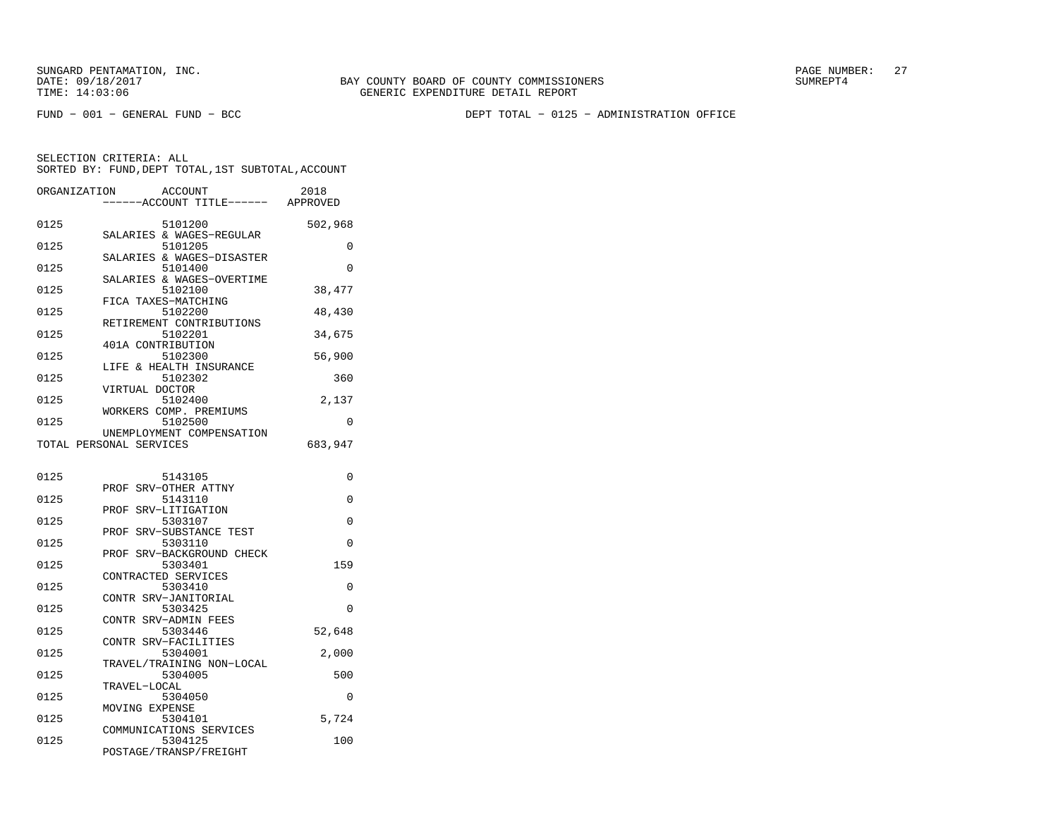FUND − 001 − GENERAL FUND − BCC DEPT TOTAL − 0125 − ADMINISTRATION OFFICE

| ORGANIZATION | ACCOUNT<br>----ACCOUNT TITLE------ APPROVED          | 2018     |
|--------------|------------------------------------------------------|----------|
|              |                                                      |          |
| 0125         | 5101200                                              | 502,968  |
| 0125         | SALARIES & WAGES-REGULAR<br>5101205                  | 0        |
|              | SALARIES & WAGES-DISASTER                            |          |
| 0125         | 5101400                                              | 0        |
|              | SALARIES & WAGES-OVERTIME                            |          |
| 0125         | 5102100                                              | 38,477   |
| 0125         | FICA TAXES-MATCHING<br>5102200                       | 48,430   |
|              | RETIREMENT CONTRIBUTIONS                             |          |
| 0125         | 5102201                                              | 34,675   |
|              | 401A CONTRIBUTION                                    |          |
| 0125         | 5102300                                              | 56,900   |
| 0125         | LIFE & HEALTH INSURANCE<br>5102302                   | 360      |
|              | VIRTUAL DOCTOR                                       |          |
| 0125         | 5102400                                              | 2,137    |
|              | WORKERS COMP. PREMIUMS                               |          |
| 0125         | 5102500                                              | $\Omega$ |
|              | UNEMPLOYMENT COMPENSATION<br>TOTAL PERSONAL SERVICES | 683,947  |
|              |                                                      |          |
|              |                                                      |          |
| 0125         | 5143105                                              | 0        |
|              | PROF SRV-OTHER ATTNY                                 |          |
| 0125         | 5143110<br>PROF SRV-LITIGATION                       | 0        |
| 0125         | 5303107                                              | $\Omega$ |
|              | SRV-SUBSTANCE TEST<br>PROF                           |          |
| 0125         | 5303110                                              | $\Omega$ |
|              | SRV-BACKGROUND CHECK<br>PROF                         |          |
| 0125         | 5303401<br>CONTRACTED SERVICES                       | 159      |
| 0125         | 5303410                                              | 0        |
|              | CONTR SRV-JANITORIAL                                 |          |
| 0125         | 5303425                                              | $\Omega$ |
| 0125         | CONTR SRV-ADMIN FEES<br>5303446                      |          |
|              | CONTR SRV-FACILITIES                                 | 52,648   |
| 0125         | 5304001                                              | 2,000    |
|              | TRAVEL/TRAINING NON-LOCAL                            |          |
| 0125         | 5304005                                              | 500      |
| 0125         | TRAVEL-LOCAL<br>5304050                              | 0        |
|              | MOVING EXPENSE                                       |          |
| 0125         | 5304101                                              | 5,724    |
|              | COMMUNICATIONS SERVICES                              |          |
| 0125         | 5304125                                              | 100      |
|              | POSTAGE/TRANSP/FREIGHT                               |          |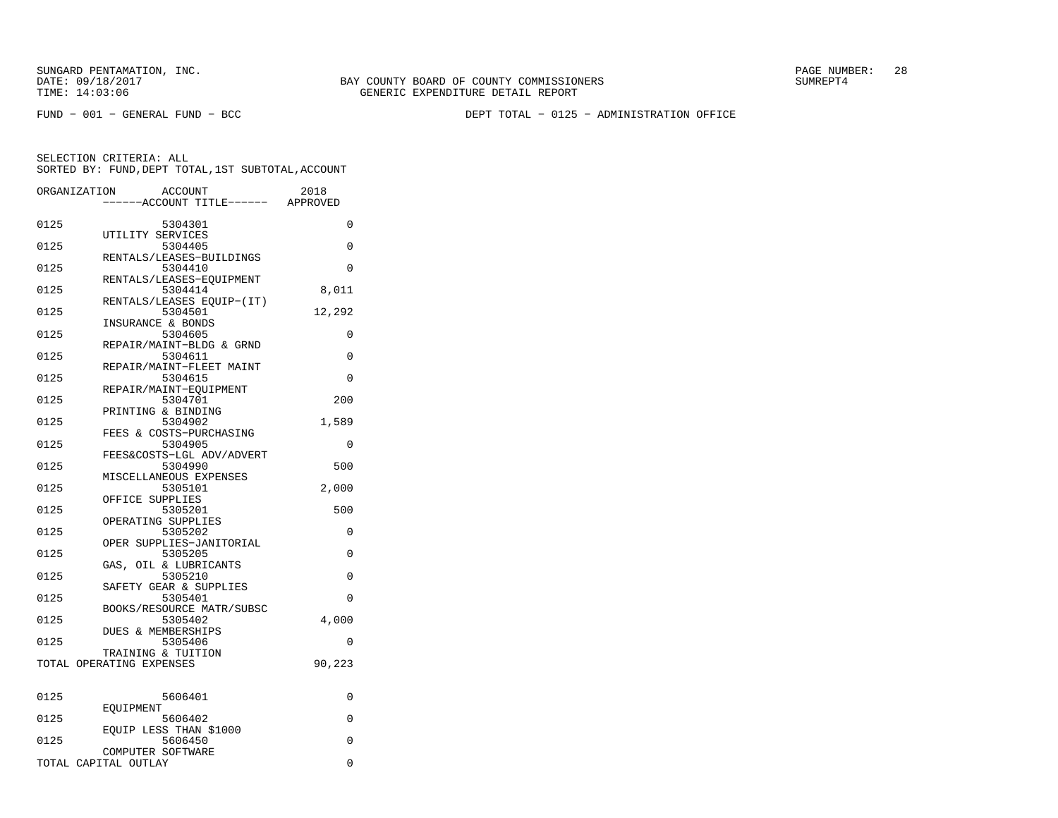FUND − 001 − GENERAL FUND − BCC DEPT TOTAL − 0125 − ADMINISTRATION OFFICE

| ORGANIZATION |                                                | <b>ACCOUNT</b><br>---ACCOUNT TITLE------ APPROVED | 2018     |
|--------------|------------------------------------------------|---------------------------------------------------|----------|
| 0125         | UTILITY SERVICES                               | 5304301                                           | 0        |
| 0125         |                                                | 5304405<br>RENTALS/LEASES-BUILDINGS               | 0        |
| 0125         |                                                | 5304410<br>RENTALS/LEASES-EOUIPMENT               | $\Omega$ |
| 0125         |                                                | 5304414<br>RENTALS/LEASES EQUIP-(IT)              | 8,011    |
| 0125         | INSURANCE & BONDS                              | 5304501                                           | 12,292   |
| 0125         |                                                | 5304605<br>REPAIR/MAINT-BLDG & GRND               | 0        |
| 0125         |                                                | 5304611                                           | 0        |
| 0125         |                                                | REPAIR/MAINT-FLEET MAINT<br>5304615               | 0        |
| 0125         |                                                | REPAIR/MAINT-EOUIPMENT<br>5304701                 | 200      |
| 0125         | PRINTING & BINDING                             | 5304902                                           | 1,589    |
| 0125         |                                                | FEES & COSTS-PURCHASING<br>5304905                | 0        |
| 0125         |                                                | FEES&COSTS-LGL ADV/ADVERT<br>5304990              | 500      |
| 0125         |                                                | MISCELLANEOUS EXPENSES<br>5305101                 | 2,000    |
| 0125         | OFFICE SUPPLIES                                | 5305201                                           | 500      |
| 0125         | OPERATING SUPPLIES                             | 5305202                                           | 0        |
| 0125         |                                                | OPER SUPPLIES-JANITORIAL<br>5305205               | 0        |
| 0125         |                                                | GAS, OIL & LUBRICANTS<br>5305210                  | 0        |
| 0125         |                                                | SAFETY GEAR & SUPPLIES<br>5305401                 | $\Omega$ |
| 0125         |                                                | BOOKS/RESOURCE MATR/SUBSC<br>5305402              | 4,000    |
| 0125         | DUES & MEMBERSHIPS                             | 5305406                                           | 0        |
|              | TRAINING & TUITION<br>TOTAL OPERATING EXPENSES |                                                   | 90,223   |
| 0125         |                                                | 5606401                                           | 0        |
| 0125         | EOUIPMENT                                      | 5606402                                           | 0        |
| 0125         |                                                | EQUIP LESS THAN \$1000<br>5606450                 | 0        |
|              | COMPUTER SOFTWARE<br>TOTAL CAPITAL OUTLAY      |                                                   | 0        |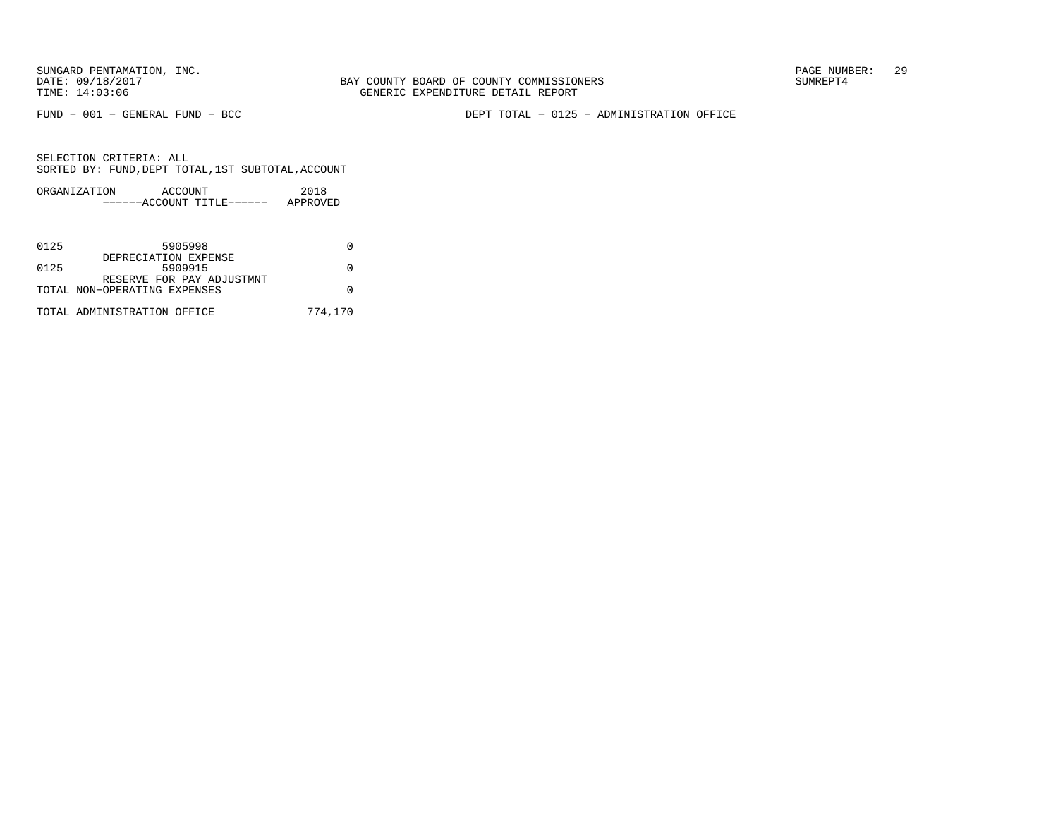FUND − 001 − GENERAL FUND − BCC DEPT TOTAL − 0125 − ADMINISTRATION OFFICE

| ORGANIZATION | ACCOUNT |                           | 2018     |
|--------------|---------|---------------------------|----------|
|              |         | ------ACCOUNT TITLE------ | APPROVED |

| 0125 | 5905998                      |         |
|------|------------------------------|---------|
|      | DEPRECIATION EXPENSE         |         |
| 0125 | 5909915                      |         |
|      | RESERVE FOR PAY ADJUSTMNT    |         |
|      | TOTAL NON-OPERATING EXPENSES |         |
|      | TOTAL ADMINISTRATION OFFICE  | 774,170 |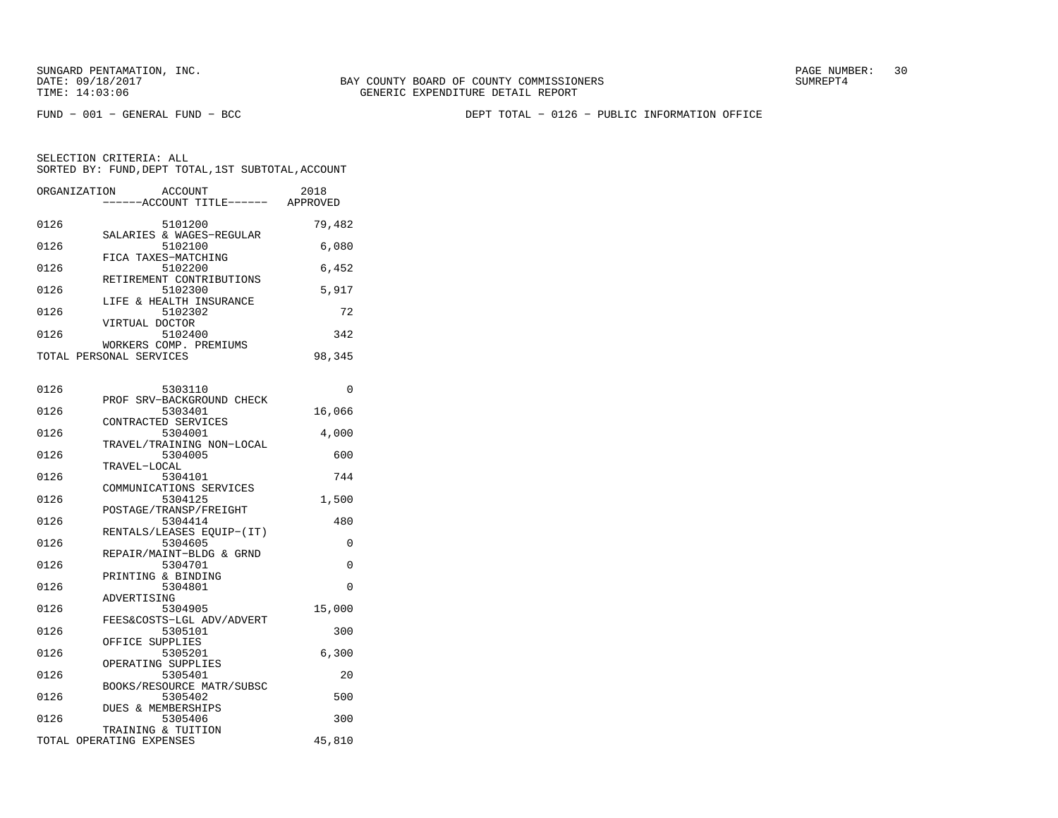FUND − 001 − GENERAL FUND − BCC DEPT TOTAL − 0126 − PUBLIC INFORMATION OFFICE

|      | ORGANIZATION<br>ACCOUNT<br>------ACCOUNT TITLE------ | 2018<br>APPROVED |
|------|------------------------------------------------------|------------------|
| 0126 | 5101200                                              | 79,482           |
| 0126 | SALARIES & WAGES-REGULAR<br>5102100                  | 6,080            |
| 0126 | FICA TAXES-MATCHING<br>5102200                       | 6,452            |
| 0126 | RETIREMENT CONTRIBUTIONS<br>5102300                  | 5,917            |
| 0126 | LIFE & HEALTH INSURANCE<br>5102302                   | 72               |
| 0126 | VIRTUAL DOCTOR<br>5102400                            | 342              |
|      | WORKERS COMP. PREMIUMS<br>TOTAL PERSONAL SERVICES    | 98,345           |

| 0126 | 5303110                   | $\Omega$ |
|------|---------------------------|----------|
|      | PROF SRV-BACKGROUND CHECK |          |
| 0126 | 5303401                   | 16,066   |
|      | CONTRACTED SERVICES       |          |
| 0126 | 5304001                   | 4,000    |
|      | TRAVEL/TRAINING NON-LOCAL |          |
| 0126 | 5304005                   | 600      |
|      | TRAVEL-LOCAL              |          |
| 0126 | 5304101                   | 744      |
|      | COMMUNICATIONS SERVICES   |          |
| 0126 | 5304125                   | 1,500    |
|      | POSTAGE/TRANSP/FREIGHT    |          |
| 0126 | 5304414                   | 480      |
|      | RENTALS/LEASES EQUIP-(IT) |          |
| 0126 | 5304605                   | $\Omega$ |
|      | REPAIR/MAINT-BLDG & GRND  |          |
| 0126 | 5304701                   | $\Omega$ |
|      | PRINTING & BINDING        |          |
| 0126 | 5304801                   | $\Omega$ |
|      | ADVERTISING               |          |
| 0126 | 5304905                   | 15,000   |
|      | FEES&COSTS-LGL ADV/ADVERT |          |
| 0126 | 5305101                   | 300      |
|      | OFFICE SUPPLIES           |          |
| 0126 | 5305201                   | 6,300    |
|      | OPERATING SUPPLIES        |          |
| 0126 | 5305401                   | 20       |
|      | BOOKS/RESOURCE MATR/SUBSC |          |
| 0126 | 5305402                   | 500      |
|      | DUES & MEMBERSHIPS        |          |
| 0126 | 5305406                   | 300      |
|      | TRAINING & TUITION        |          |
|      | TOTAL OPERATING EXPENSES  | 45,810   |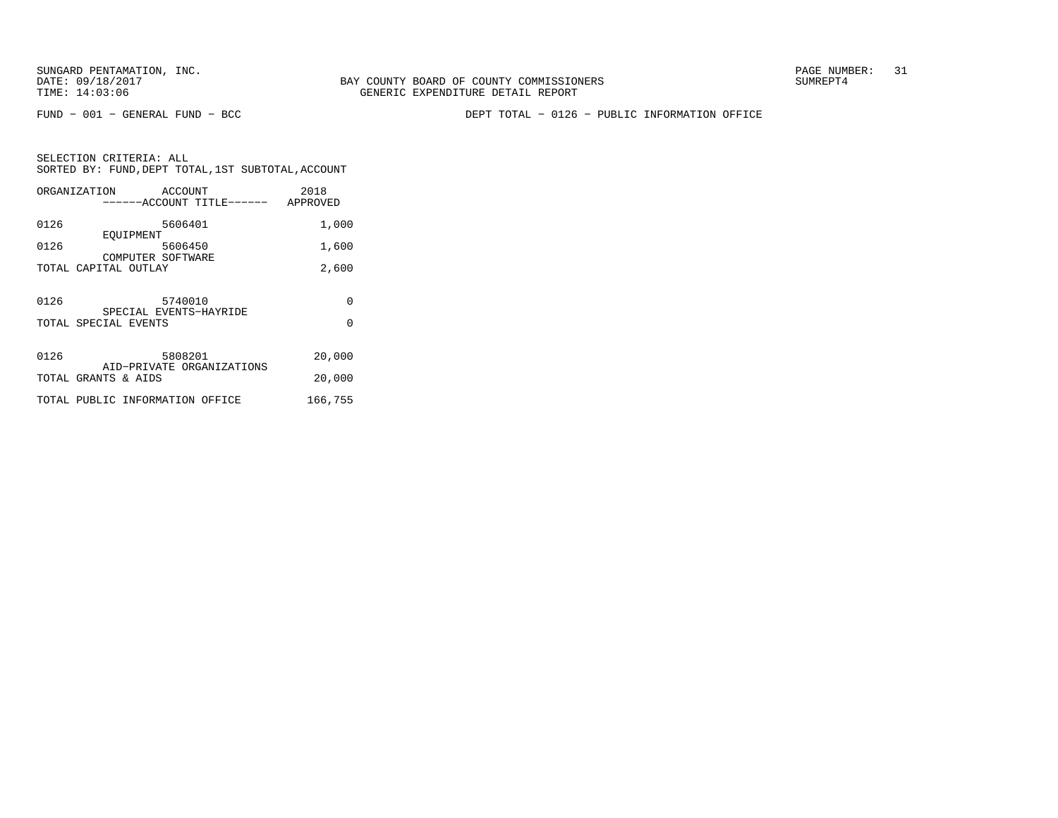FUND − 001 − GENERAL FUND − BCC DEPT TOTAL − 0126 − PUBLIC INFORMATION OFFICE

|      | ORGANIZATION<br>ACCOUNT         |                                    | 2018     |
|------|---------------------------------|------------------------------------|----------|
|      |                                 | ------ACCOUNT TITLE------ APPROVED |          |
| 0126 | 5606401                         |                                    | 1,000    |
|      | EOUIPMENT                       |                                    |          |
| 0126 | 5606450                         |                                    | 1,600    |
|      | COMPUTER SOFTWARE               |                                    |          |
|      | TOTAL CAPITAL OUTLAY            |                                    | 2,600    |
|      |                                 |                                    |          |
|      |                                 |                                    |          |
| 0126 | 5740010                         |                                    | $\Omega$ |
|      | SPECIAL EVENTS-HAYRIDE          |                                    |          |
|      | TOTAL SPECIAL EVENTS            |                                    | $\Omega$ |
|      |                                 |                                    |          |
| 0126 | 5808201                         |                                    | 20,000   |
|      | AID-PRIVATE ORGANIZATIONS       |                                    |          |
|      | TOTAL GRANTS & AIDS             |                                    | 20,000   |
|      |                                 |                                    |          |
|      | TOTAL PUBLIC INFORMATION OFFICE |                                    | 166,755  |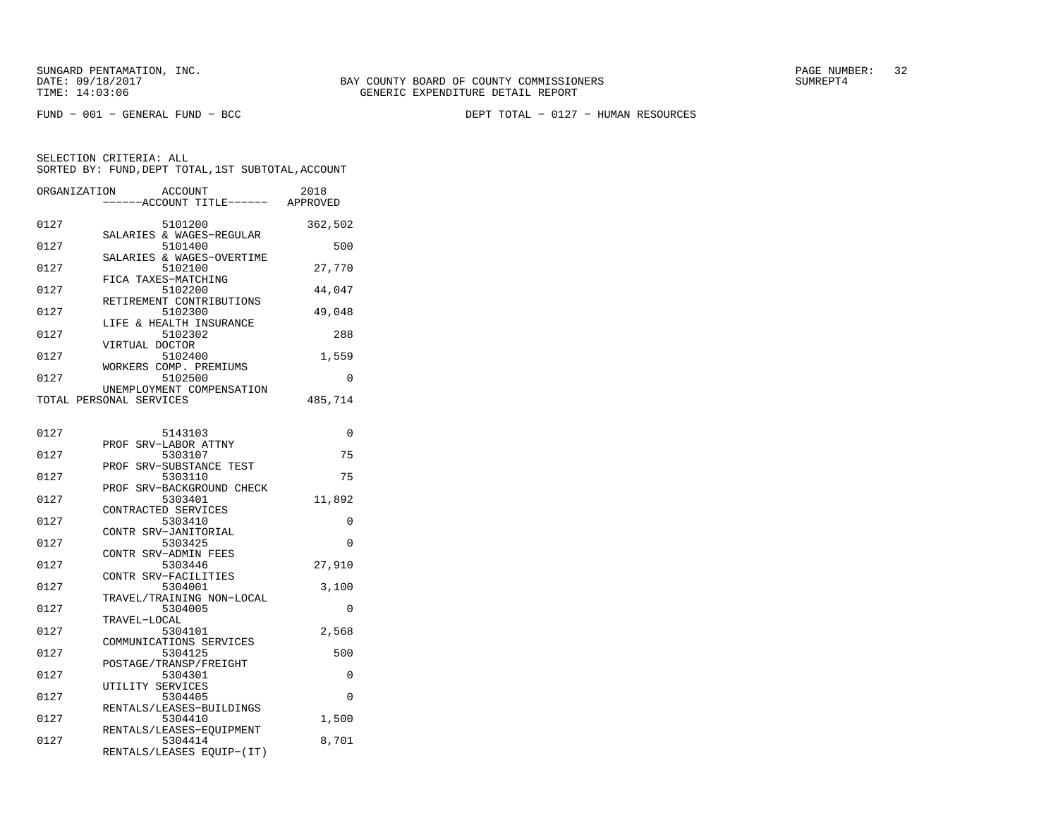FUND − 001 − GENERAL FUND − BCC DEPT TOTAL − 0127 − HUMAN RESOURCES

| ORGANIZATION<br>ACCOUNT<br>------ACCOUNT TITLE------ APPROVED            | 2018     |
|--------------------------------------------------------------------------|----------|
| 0127<br>5101200                                                          | 362,502  |
| SALARIES & WAGES-REGULAR<br>0127<br>5101400                              | 500      |
| SALARIES & WAGES-OVERTIME<br>0127<br>5102100                             | 27,770   |
| FICA TAXES-MATCHING<br>0127<br>5102200                                   | 44,047   |
| RETIREMENT CONTRIBUTIONS<br>0127<br>5102300                              | 49,048   |
| LIFE & HEALTH INSURANCE<br>0127<br>5102302                               | 288      |
| VIRTUAL DOCTOR<br>0127<br>5102400                                        | 1,559    |
| WORKERS COMP. PREMIUMS<br>5102500<br>0127                                | 0        |
| UNEMPLOYMENT COMPENSATION<br>TOTAL PERSONAL SERVICES                     | 485,714  |
| 0127<br>5143103                                                          | 0        |
| PROF SRV-LABOR ATTNY<br>0127<br>5303107                                  | 75       |
| PROF SRV-SUBSTANCE TEST                                                  | 75       |
| 0127<br>5303110<br>PROF SRV-BACKGROUND CHECK                             |          |
| 5303401<br>0127<br>CONTRACTED SERVICES                                   | 11,892   |
| 0127<br>5303410<br>CONTR SRV-JANITORIAL                                  | 0        |
| 0127<br>5303425<br>CONTR SRV-ADMIN FEES                                  | $\Omega$ |
| 0127<br>5303446<br>CONTR SRV-FACILITIES                                  | 27,910   |
| 0127<br>5304001<br>TRAVEL/TRAINING NON-LOCAL                             | 3,100    |
| 0127<br>5304005<br>TRAVEL-LOCAL                                          | 0        |
| 0127<br>5304101<br>COMMUNICATIONS SERVICES                               | 2,568    |
| 0127<br>5304125<br>POSTAGE/TRANSP/FREIGHT                                | 500      |
| 0127<br>5304301                                                          | 0        |
| UTILITY SERVICES<br>0127<br>5304405                                      | 0        |
| RENTALS/LEASES-BUILDINGS<br>0127<br>5304410                              | 1,500    |
| RENTALS/LEASES-EQUIPMENT<br>0127<br>5304414<br>RENTALS/LEASES EQUIP-(IT) | 8,701    |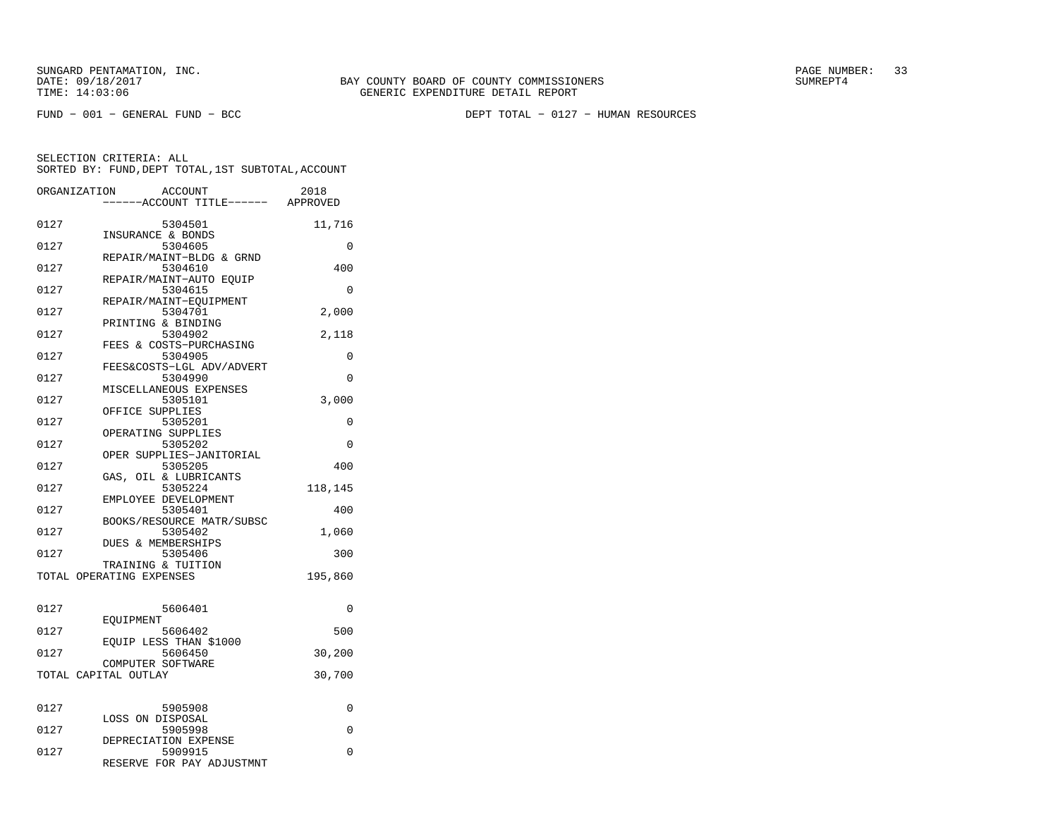FUND − 001 − GENERAL FUND − BCC DEPT TOTAL − 0127 − HUMAN RESOURCES

|      | ORGANIZATION<br>ACCOUNT<br>---ACCOUNT TITLE------ APPROVED   | 2018     |
|------|--------------------------------------------------------------|----------|
| 0127 | 5304501                                                      | 11,716   |
| 0127 | INSURANCE & BONDS<br>5304605                                 | 0        |
| 0127 | REPAIR/MAINT-BLDG & GRND<br>5304610                          | 400      |
| 0127 | REPAIR/MAINT-AUTO EOUIP<br>5304615                           | 0        |
| 0127 | REPAIR/MAINT-EOUIPMENT<br>5304701                            | 2,000    |
| 0127 | PRINTING & BINDING<br>5304902                                | 2,118    |
| 0127 | FEES & COSTS-PURCHASING<br>5304905                           | 0        |
| 0127 | FEES&COSTS-LGL ADV/ADVERT<br>5304990                         | $\Omega$ |
| 0127 | MISCELLANEOUS EXPENSES<br>5305101                            | 3,000    |
| 0127 | OFFICE SUPPLIES<br>5305201                                   | $\Omega$ |
| 0127 | OPERATING SUPPLIES<br>5305202                                | 0        |
| 0127 | OPER SUPPLIES-JANITORIAL<br>5305205                          | 400      |
| 0127 | GAS, OIL & LUBRICANTS<br>5305224                             | 118,145  |
| 0127 | EMPLOYEE DEVELOPMENT<br>5305401                              | 400      |
| 0127 | BOOKS/RESOURCE MATR/SUBSC<br>5305402                         | 1,060    |
| 0127 | DUES & MEMBERSHIPS<br>5305406                                | 300      |
|      | TRAINING & TUITION<br>TOTAL OPERATING EXPENSES               | 195,860  |
|      |                                                              |          |
| 0127 | 5606401<br>EOUIPMENT                                         | 0        |
| 0127 | 5606402                                                      | 500      |
| 0127 | EOUIP LESS THAN \$1000<br>5606450                            | 30,200   |
|      | COMPUTER SOFTWARE<br>TOTAL CAPITAL OUTLAY                    | 30,700   |
| 0127 | 5905908                                                      | 0        |
| 0127 | LOSS ON DISPOSAL<br>5905998                                  | 0        |
| 0127 | DEPRECIATION EXPENSE<br>5909915<br>RESERVE FOR PAY ADJUSTMNT | 0        |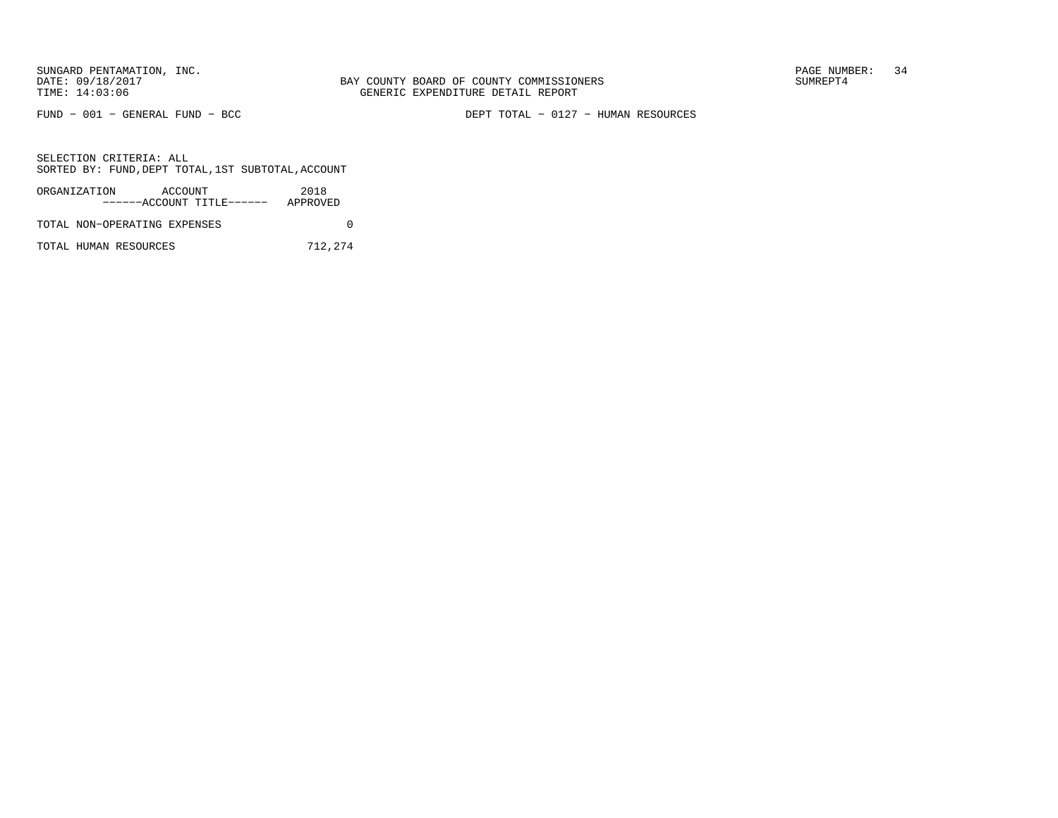FUND − 001 − GENERAL FUND − BCC DEPT TOTAL − 0127 − HUMAN RESOURCES

SELECTION CRITERIA: ALLSORTED BY: FUND,DEPT TOTAL,1ST SUBTOTAL,ACCOUNT

| ORGANIZATION                 | ACCOUNT |                           | 2018     |  |
|------------------------------|---------|---------------------------|----------|--|
|                              |         | ------ACCOUNT TITLE------ | APPROVED |  |
| TOTAL NON-OPERATING EXPENSES |         |                           |          |  |

TOTAL HUMAN RESOURCES 712,274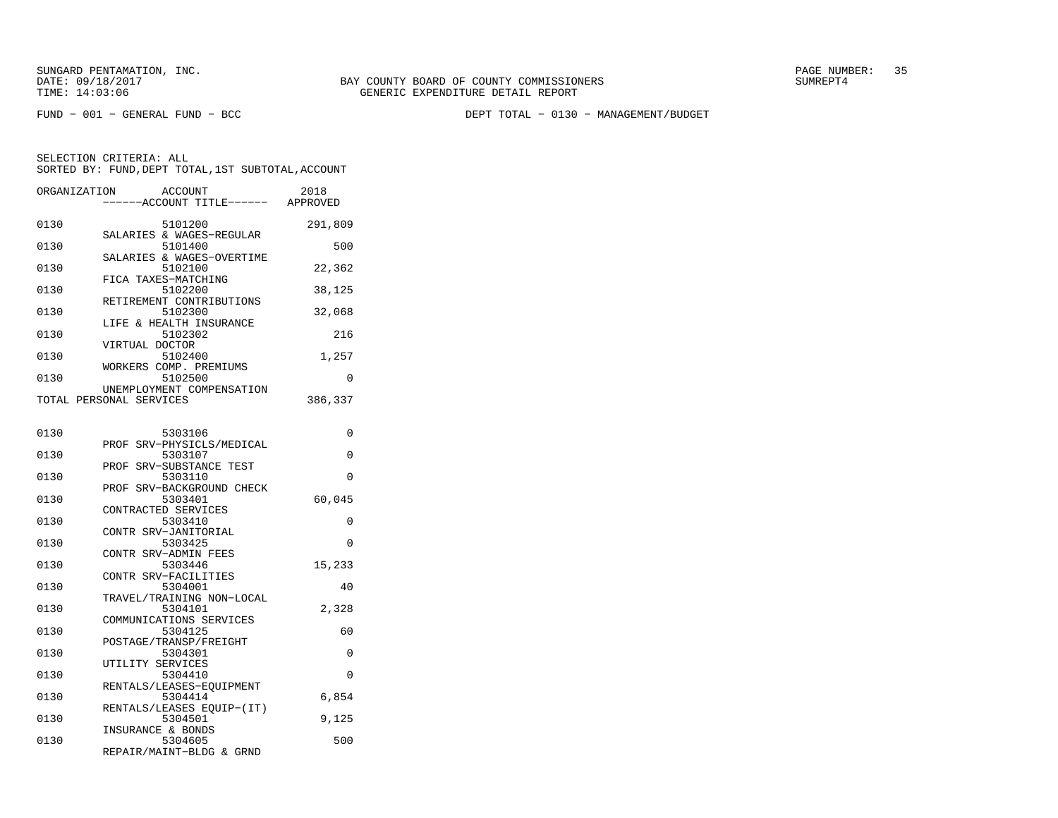FUND − 001 − GENERAL FUND − BCC DEPT TOTAL − 0130 − MANAGEMENT/BUDGET

| ORGANIZATION | <b>ACCOUNT</b><br>---ACCOUNT TITLE------ APPROVED    | 2018     |
|--------------|------------------------------------------------------|----------|
| 0130         | 5101200<br>SALARIES & WAGES-REGULAR                  | 291,809  |
| 0130         | 5101400                                              | 500      |
| 0130         | SALARIES & WAGES-OVERTIME<br>5102100                 | 22,362   |
| 0130         | FICA TAXES-MATCHING<br>5102200                       | 38,125   |
| 0130         | RETIREMENT CONTRIBUTIONS<br>5102300                  | 32,068   |
| 0130         | LIFE & HEALTH INSURANCE<br>5102302                   | 216      |
| 0130         | VIRTUAL DOCTOR<br>5102400                            | 1,257    |
| 0130         | WORKERS COMP. PREMIUMS<br>5102500                    | 0        |
|              | UNEMPLOYMENT COMPENSATION<br>TOTAL PERSONAL SERVICES | 386,337  |
|              |                                                      |          |
| 0130         | 5303106<br>PROF SRV-PHYSICLS/MEDICAL                 | 0        |
| 0130         | 5303107<br>PROF SRV-SUBSTANCE TEST                   | 0        |
| 0130         | 5303110<br>PROF SRV-BACKGROUND CHECK                 | $\Omega$ |
| 0130         | 5303401<br>CONTRACTED SERVICES                       | 60,045   |
| 0130         | 5303410                                              | 0        |
| 0130         | CONTR SRV-JANITORIAL<br>5303425                      | $\Omega$ |
| 0130         | CONTR SRV-ADMIN FEES<br>5303446                      | 15,233   |
| 0130         | CONTR SRV-FACILITIES<br>5304001                      | 40       |
| 0130         | TRAVEL/TRAINING NON-LOCAL<br>5304101                 | 2,328    |
| 0130         | COMMUNICATIONS SERVICES<br>5304125                   | 60       |
| 0130         | POSTAGE/TRANSP/FREIGHT<br>5304301                    | 0        |
| 0130         | UTILITY SERVICES<br>5304410                          | 0        |
|              | RENTALS/LEASES-EQUIPMENT                             |          |
| 0130         | 5304414<br>RENTALS/LEASES EQUIP-(IT)                 | 6,854    |
| 0130         | 5304501<br>INSURANCE & BONDS                         | 9,125    |
| 0130         | 5304605<br>REPAIR/MAINT-BLDG & GRND                  | 500      |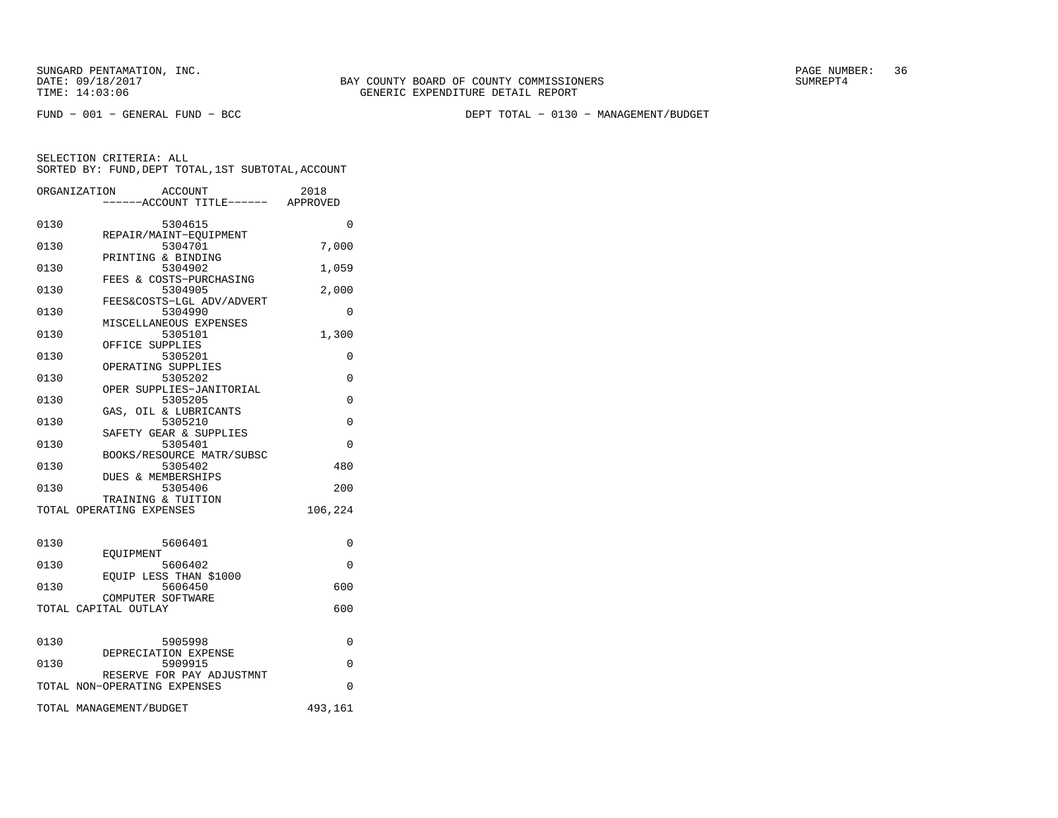FUND − 001 − GENERAL FUND − BCC DEPT TOTAL − 0130 − MANAGEMENT/BUDGET

|      | ORGANIZATION<br>ACCOUNT<br>----ACCOUNT TITLE------ APPROVED | 2018     |
|------|-------------------------------------------------------------|----------|
| 0130 | 5304615                                                     | $\Omega$ |
| 0130 | REPAIR/MAINT-EOUIPMENT<br>5304701                           | 7,000    |
| 0130 | PRINTING & BINDING<br>5304902                               | 1,059    |
| 0130 | FEES & COSTS-PURCHASING<br>5304905                          | 2,000    |
| 0130 | FEES&COSTS-LGL ADV/ADVERT<br>5304990                        | 0        |
| 0130 | MISCELLANEOUS EXPENSES<br>5305101                           | 1,300    |
| 0130 | OFFICE SUPPLIES<br>5305201                                  | 0        |
| 0130 | OPERATING SUPPLIES<br>5305202                               | 0        |
| 0130 | OPER SUPPLIES-JANITORIAL                                    |          |
|      | 5305205<br>GAS, OIL & LUBRICANTS                            | $\Omega$ |
| 0130 | 5305210<br>SAFETY GEAR & SUPPLIES                           | 0        |
| 0130 | 5305401<br>BOOKS/RESOURCE MATR/SUBSC                        | $\Omega$ |
| 0130 | 5305402<br><b>DUES &amp; MEMBERSHIPS</b>                    | 480      |
| 0130 | 5305406<br>TRAINING & TUITION                               | 200      |
|      | TOTAL OPERATING EXPENSES                                    | 106,224  |
| 0130 | 5606401                                                     | 0        |
| 0130 | EOUIPMENT<br>5606402                                        | $\Omega$ |
| 0130 | EQUIP LESS THAN \$1000<br>5606450                           | 600      |
|      | COMPUTER SOFTWARE                                           |          |
|      | TOTAL CAPITAL OUTLAY                                        | 600      |
| 0130 | 5905998                                                     | 0        |
| 0130 | DEPRECIATION EXPENSE<br>5909915                             | $\Omega$ |
|      | RESERVE FOR PAY ADJUSTMNT<br>TOTAL NON-OPERATING EXPENSES   | $\Omega$ |
|      | TOTAL MANAGEMENT/BUDGET                                     | 493,161  |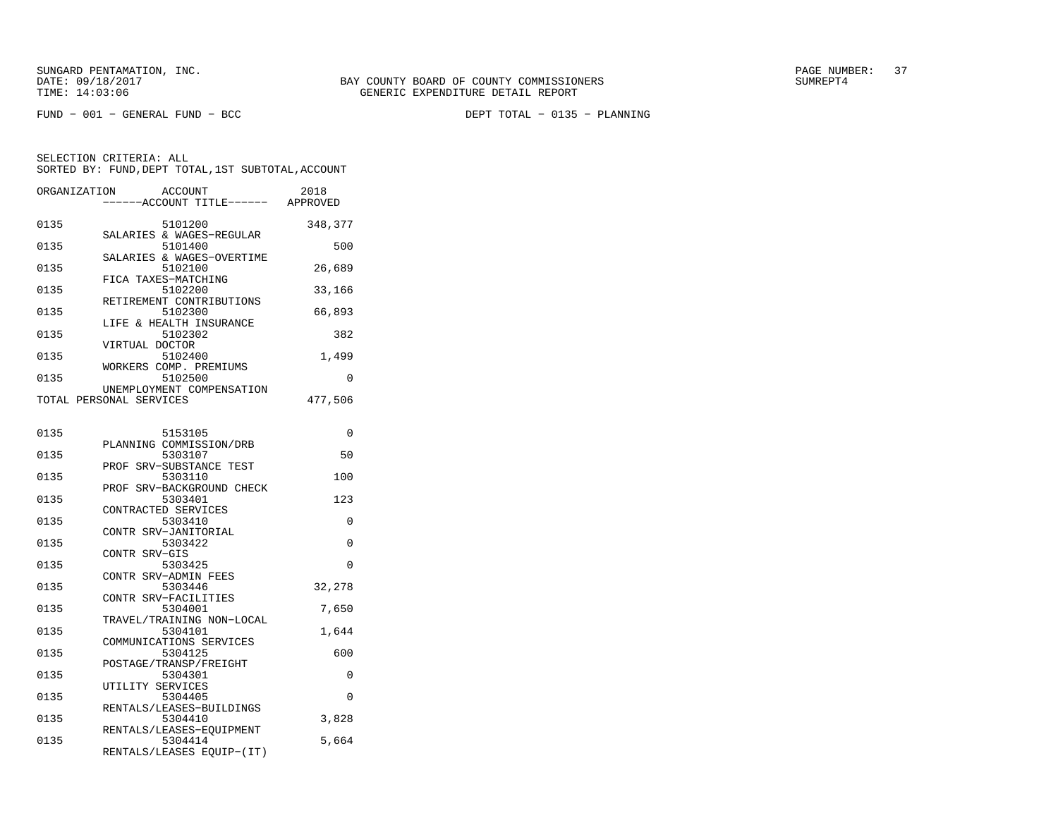| ORGANIZATION<br>ACCOUNT<br>---ACCOUNT TITLE------                        | 2018<br>APPROVED |
|--------------------------------------------------------------------------|------------------|
| 0135<br>5101200                                                          | 348,377          |
| SALARIES & WAGES-REGULAR<br>0135<br>5101400                              | 500              |
| SALARIES & WAGES-OVERTIME<br>0135<br>5102100                             | 26,689           |
| FICA TAXES-MATCHING<br>0135<br>5102200                                   | 33,166           |
| RETIREMENT CONTRIBUTIONS<br>0135<br>5102300                              | 66,893           |
| LIFE & HEALTH INSURANCE<br>0135<br>5102302                               | 382              |
| VIRTUAL DOCTOR<br>0135<br>5102400                                        | 1,499            |
| WORKERS COMP. PREMIUMS<br>0135<br>5102500                                | 0                |
| UNEMPLOYMENT COMPENSATION<br>TOTAL PERSONAL SERVICES                     | 477,506          |
|                                                                          |                  |
| 0135<br>5153105<br>PLANNING COMMISSION/DRB                               | 0                |
| 0135<br>5303107<br>PROF SRV-SUBSTANCE TEST                               | 50               |
| 5303110<br>0135<br>PROF SRV-BACKGROUND CHECK                             | 100              |
| 0135<br>5303401<br>CONTRACTED SERVICES                                   | 123              |
| 0135<br>5303410<br>CONTR SRV-JANITORIAL                                  | $\Omega$         |
| 0135<br>5303422<br>CONTR SRV-GIS                                         | 0                |
| 0135<br>5303425                                                          | 0                |
| CONTR SRV-ADMIN FEES<br>0135<br>5303446                                  | 32,278           |
| CONTR SRV-FACILITIES<br>5304001<br>0135                                  | 7,650            |
| TRAVEL/TRAINING NON-LOCAL<br>0135<br>5304101                             | 1,644            |
| COMMUNICATIONS SERVICES<br>5304125<br>0135                               | 600              |
| POSTAGE/TRANSP/FREIGHT<br>0135<br>5304301                                | 0                |
| UTILITY SERVICES<br>0135<br>5304405                                      | 0                |
| RENTALS/LEASES-BUILDINGS<br>0135<br>5304410                              | 3,828            |
| RENTALS/LEASES-EQUIPMENT<br>0135<br>5304414<br>RENTALS/LEASES EQUIP-(IT) | 5,664            |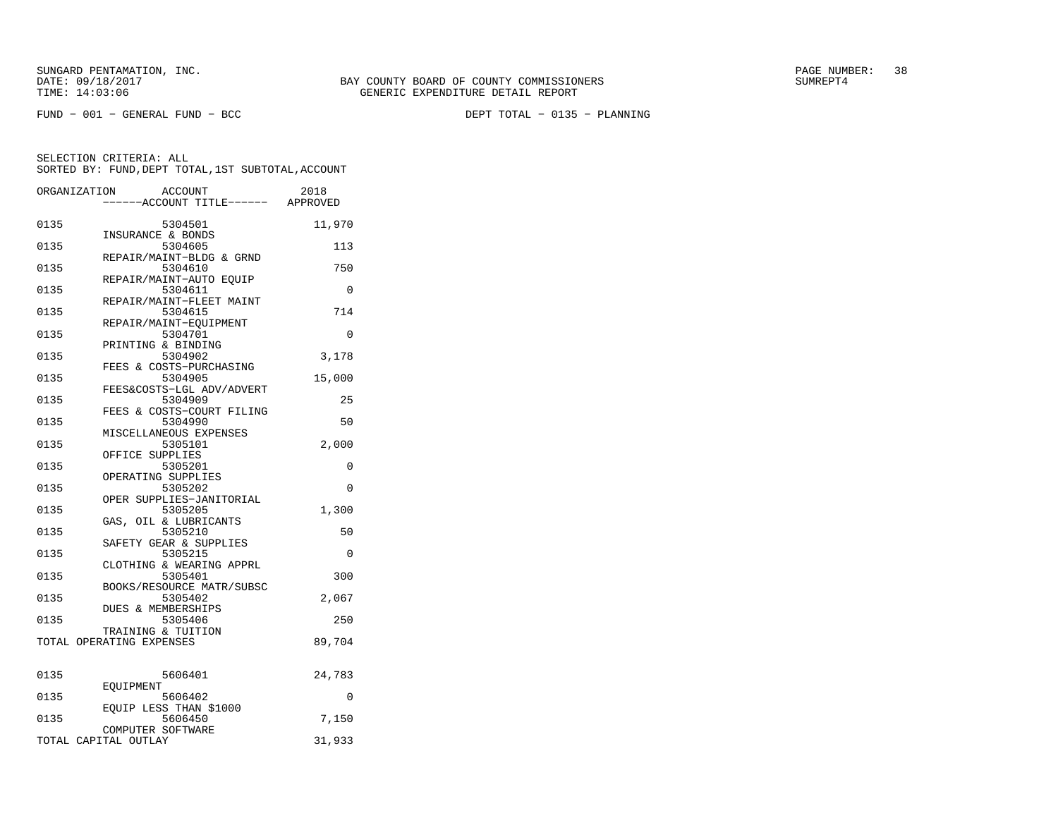|      | ORGANIZATION<br><b>ACCOUNT</b><br>---ACCOUNT TITLE------ APPROVED | 2018     |
|------|-------------------------------------------------------------------|----------|
| 0135 | 5304501<br>INSURANCE & BONDS                                      | 11,970   |
| 0135 | 5304605<br>REPAIR/MAINT-BLDG & GRND                               | 113      |
| 0135 | 5304610                                                           | 750      |
| 0135 | REPAIR/MAINT-AUTO EQUIP<br>5304611                                | 0        |
| 0135 | REPAIR/MAINT-FLEET MAINT<br>5304615                               | 714      |
| 0135 | REPAIR/MAINT-EQUIPMENT<br>5304701                                 | 0        |
| 0135 | PRINTING & BINDING<br>5304902                                     | 3,178    |
| 0135 | FEES & COSTS-PURCHASING<br>5304905                                | 15,000   |
| 0135 | FEES&COSTS-LGL ADV/ADVERT<br>5304909                              | 25       |
| 0135 | FEES & COSTS-COURT FILING<br>5304990                              | 50       |
| 0135 | MISCELLANEOUS EXPENSES<br>5305101                                 | 2,000    |
| 0135 | OFFICE SUPPLIES<br>5305201                                        | 0        |
| 0135 | OPERATING SUPPLIES<br>5305202                                     | $\Omega$ |
| 0135 | OPER SUPPLIES-JANITORIAL<br>5305205                               | 1,300    |
| 0135 | GAS, OIL & LUBRICANTS<br>5305210                                  | 50       |
| 0135 | SAFETY GEAR & SUPPLIES<br>5305215                                 | 0        |
| 0135 | CLOTHING & WEARING APPRL<br>5305401                               | 300      |
| 0135 | BOOKS/RESOURCE MATR/SUBSC<br>5305402                              | 2,067    |
| 0135 | DUES & MEMBERSHIPS<br>5305406                                     | 250      |
|      | TRAINING & TUITION<br>TOTAL OPERATING EXPENSES                    | 89,704   |
|      |                                                                   |          |
| 0135 | 5606401<br>EOUIPMENT                                              | 24,783   |
| 0135 | 5606402<br>EQUIP LESS THAN \$1000                                 | $\Omega$ |
| 0135 | 5606450<br>COMPUTER SOFTWARE                                      | 7,150    |
|      | TOTAL CAPITAL OUTLAY                                              | 31,933   |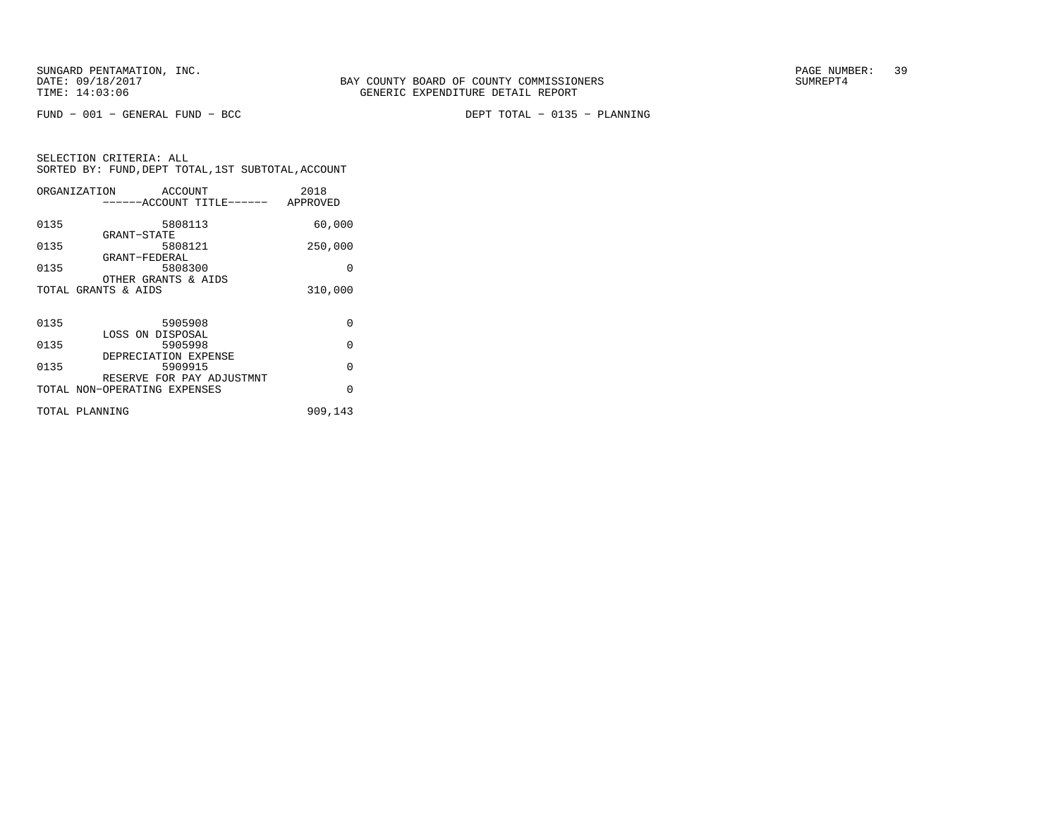FUND − 001 − GENERAL FUND − BCC DEPT TOTAL − 0135 − PLANNING

|      | ORGANIZATION<br>ACCOUNT                                   | 2018     |
|------|-----------------------------------------------------------|----------|
|      | ------ACCOUNT TITLE------ APPROVED                        |          |
| 0135 | 5808113<br>GRANT-STATE                                    | 60,000   |
| 0135 | 5808121<br>GRANT-FEDERAL                                  | 250,000  |
| 0135 | 5808300<br>OTHER GRANTS & AIDS                            | O        |
|      | TOTAL GRANTS & AIDS                                       | 310,000  |
|      |                                                           |          |
| 0135 | 5905908                                                   | $\Omega$ |
| 0135 | LOSS ON DISPOSAL<br>5905998                               | $\Omega$ |
| 0135 | DEPRECIATION EXPENSE<br>5909915                           | $\Omega$ |
|      | RESERVE FOR PAY ADJUSTMNT<br>TOTAL NON-OPERATING EXPENSES | $\Omega$ |
|      | TOTAL PLANNING                                            | 909,143  |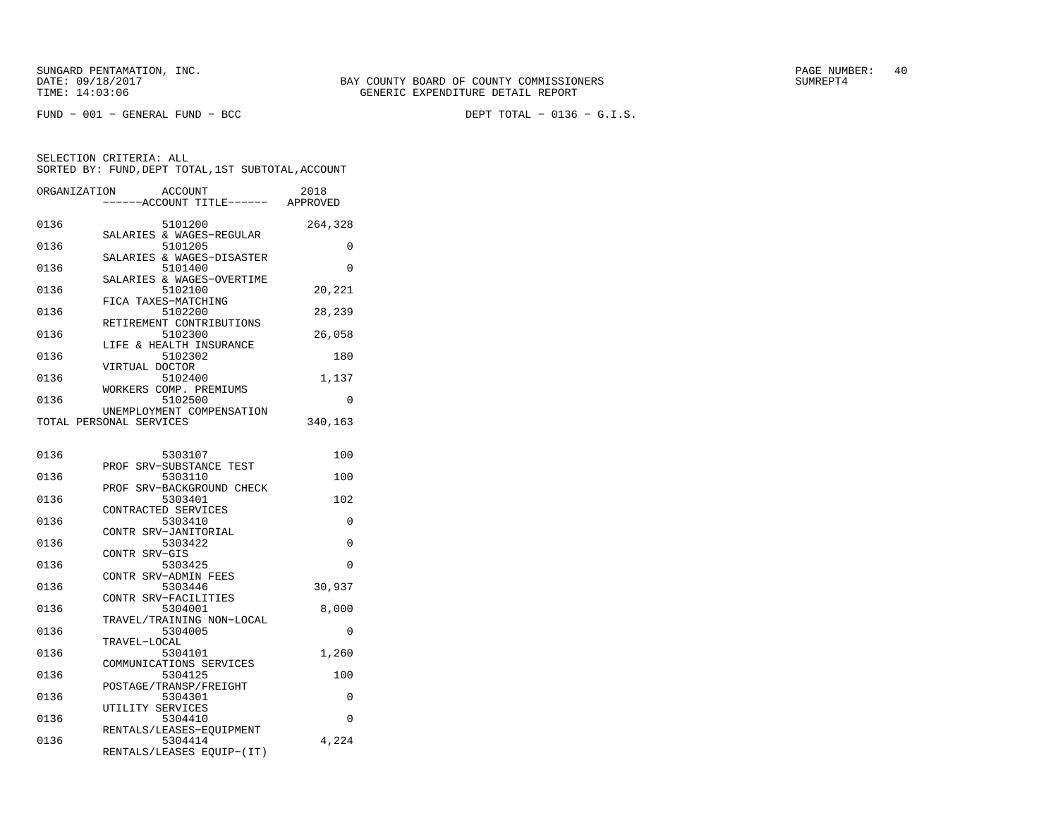| ORGANIZATION | ACCOUNT<br>-----ACCOUNT TITLE------ APPROVED         | 2018     |
|--------------|------------------------------------------------------|----------|
| 0136         | 5101200                                              | 264,328  |
| 0136         | SALARIES & WAGES-REGULAR<br>5101205                  | 0        |
| 0136         | SALARIES & WAGES-DISASTER<br>5101400                 | $\Omega$ |
| 0136         | SALARIES & WAGES-OVERTIME<br>5102100                 | 20,221   |
| 0136         | FICA TAXES-MATCHING<br>5102200                       | 28,239   |
| 0136         | RETIREMENT CONTRIBUTIONS<br>5102300                  | 26,058   |
| 0136         | LIFE & HEALTH INSURANCE<br>5102302                   | 180      |
| 0136         | VIRTUAL DOCTOR<br>5102400                            | 1,137    |
| 0136         | WORKERS COMP. PREMIUMS<br>5102500                    | 0        |
|              | UNEMPLOYMENT COMPENSATION<br>TOTAL PERSONAL SERVICES | 340,163  |
|              |                                                      |          |
| 0136         | 5303107<br>PROF SRV-SUBSTANCE TEST                   | 100      |
| 0136         | 5303110<br>PROF<br>SRV-BACKGROUND CHECK              | 100      |
| 0136         | 5303401                                              | 102      |
| 0136         | CONTRACTED SERVICES<br>5303410                       | 0        |
| 0136         | CONTR SRV-JANITORIAL<br>5303422                      | $\Omega$ |
| 0136         | CONTR SRV-GIS<br>5303425                             | $\Omega$ |
| 0136         | CONTR SRV-ADMIN FEES<br>5303446                      | 30,937   |
| 0136         | CONTR SRV-FACILITIES<br>5304001                      | 8,000    |
| 0136         | TRAVEL/TRAINING NON-LOCAL<br>5304005                 | 0        |
| 0136         | TRAVEL-LOCAL<br>5304101                              | 1,260    |
| 0136         | COMMUNICATIONS SERVICES<br>5304125                   | 100      |
| 0136         | POSTAGE/TRANSP/FREIGHT<br>5304301                    | 0        |
| 0136         | UTILITY SERVICES<br>5304410                          | 0        |
| 0136         | RENTALS/LEASES-EOUIPMENT<br>5304414                  | 4,224    |
|              | RENTALS/LEASES EQUIP-(IT)                            |          |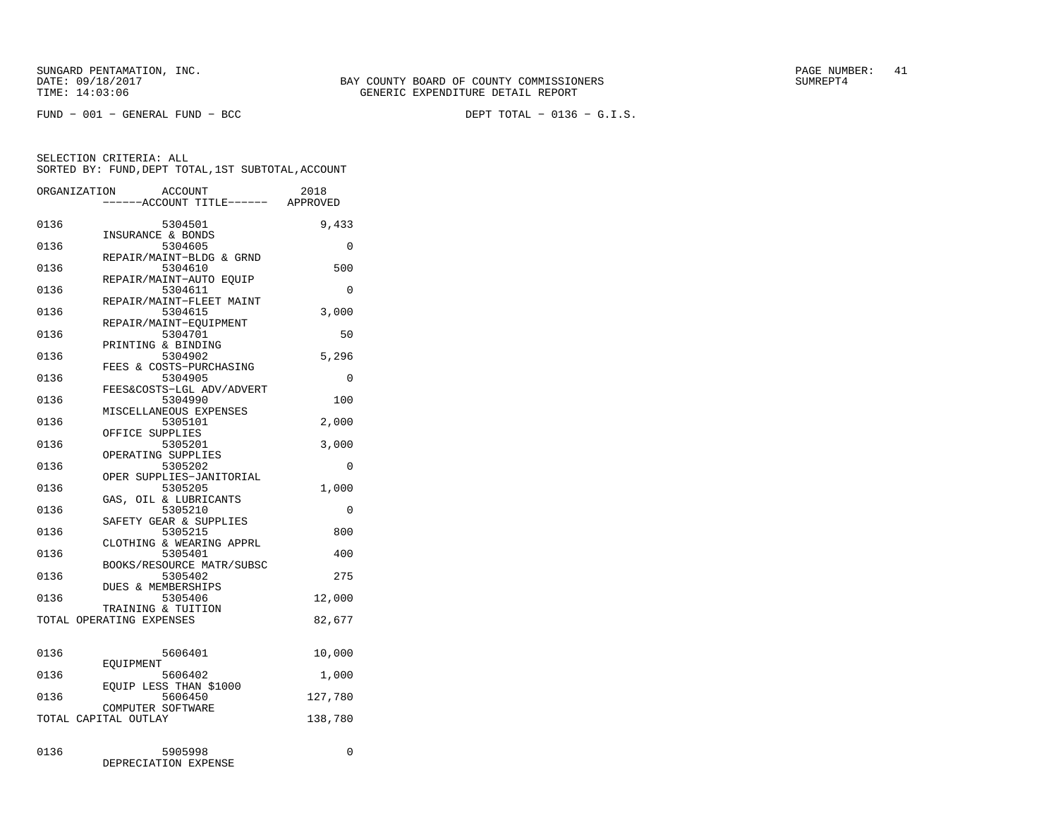FUND − 001 − GENERAL FUND − BCC DEPT TOTAL − 0136 − G.I.S.

| ORGANIZATION | <b>ACCOUNT</b><br>--ACCOUNT TITLE------ APPROVED         | 2018     |
|--------------|----------------------------------------------------------|----------|
| 0136         | 5304501                                                  | 9,433    |
| 0136         | INSURANCE & BONDS<br>5304605<br>REPAIR/MAINT-BLDG & GRND | $\Omega$ |
| 0136         | 5304610<br>REPAIR/MAINT-AUTO EOUIP                       | 500      |
| 0136         | 5304611<br>REPAIR/MAINT-FLEET MAINT                      | $\Omega$ |
| 0136         | 5304615<br>REPAIR/MAINT-EQUIPMENT                        | 3,000    |
| 0136         | 5304701<br>PRINTING & BINDING                            | 50       |
| 0136         | 5304902<br>FEES & COSTS-PURCHASING                       | 5,296    |
| 0136         | 5304905<br>FEES&COSTS-LGL ADV/ADVERT                     | 0        |
| 0136         | 5304990<br>MISCELLANEOUS EXPENSES                        | 100      |
| 0136         | 5305101<br>OFFICE SUPPLIES                               | 2,000    |
| 0136         | 5305201<br>OPERATING SUPPLIES                            | 3,000    |
| 0136         | 5305202<br>OPER SUPPLIES-JANITORIAL                      | 0        |
| 0136         | 5305205<br>GAS, OIL & LUBRICANTS                         | 1,000    |
| 0136         | 5305210<br>SAFETY GEAR & SUPPLIES                        | 0        |
| 0136         | 5305215<br>CLOTHING & WEARING APPRL                      | 800      |
| 0136         | 5305401<br>BOOKS/RESOURCE MATR/SUBSC                     | 400      |
| 0136         | 5305402<br><b>DUES &amp; MEMBERSHIPS</b>                 | 275      |
| 0136         | 5305406<br>TRAINING & TUITION                            | 12,000   |
|              | TOTAL OPERATING EXPENSES                                 | 82,677   |
| 0136         | 5606401                                                  | 10,000   |
| 0136         | EOUIPMENT<br>5606402                                     | 1,000    |
| 0136         | EOUIP LESS THAN \$1000<br>5606450                        | 127,780  |
|              | COMPUTER SOFTWARE<br>TOTAL CAPITAL OUTLAY                | 138,780  |
| 0136         | 5905998<br>DEPRECIATION EXPENSE                          | 0        |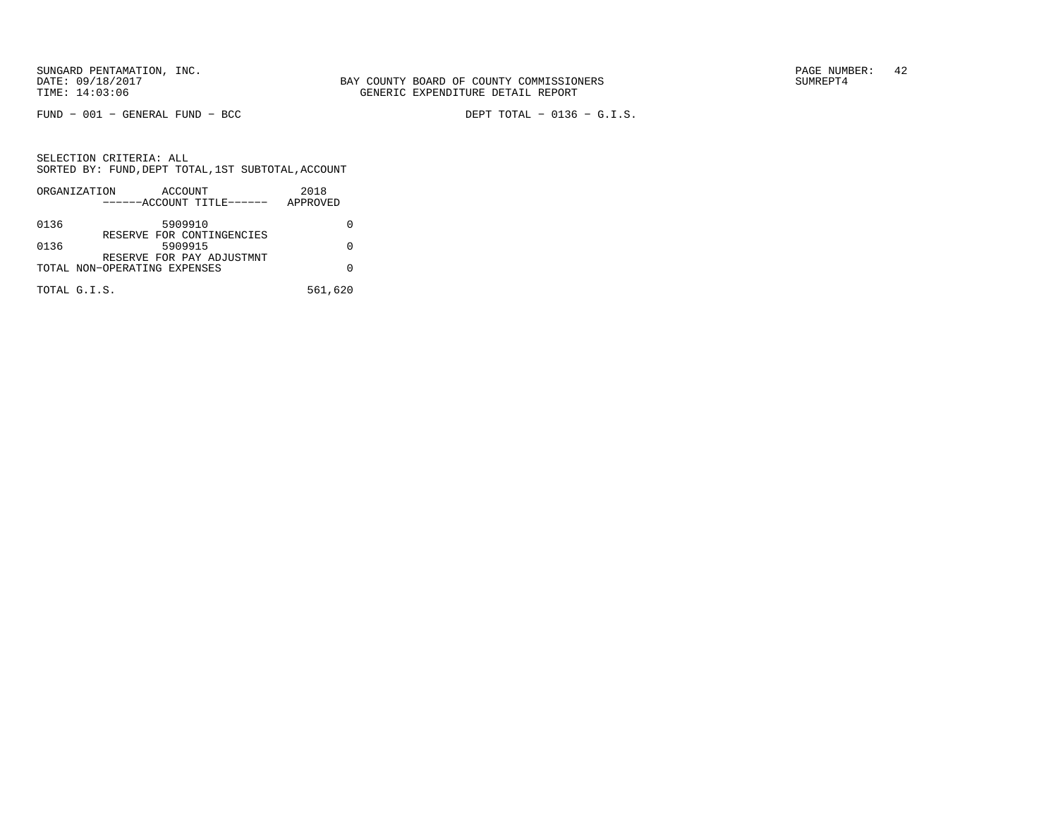FUND − 001 − GENERAL FUND − BCC DEPT TOTAL − 0136 − G.I.S.

|      | ORGANIZATION<br>ACCOUNT                                   | 2018     |
|------|-----------------------------------------------------------|----------|
|      | ------ACCOUNT TITLE------                                 | APPROVED |
| 0136 | 5909910                                                   |          |
| 0136 | RESERVE FOR CONTINGENCIES<br>5909915                      | O        |
|      | RESERVE FOR PAY ADJUSTMNT<br>TOTAL NON-OPERATING EXPENSES |          |
|      | TOTAL G.I.S.                                              | 561,620  |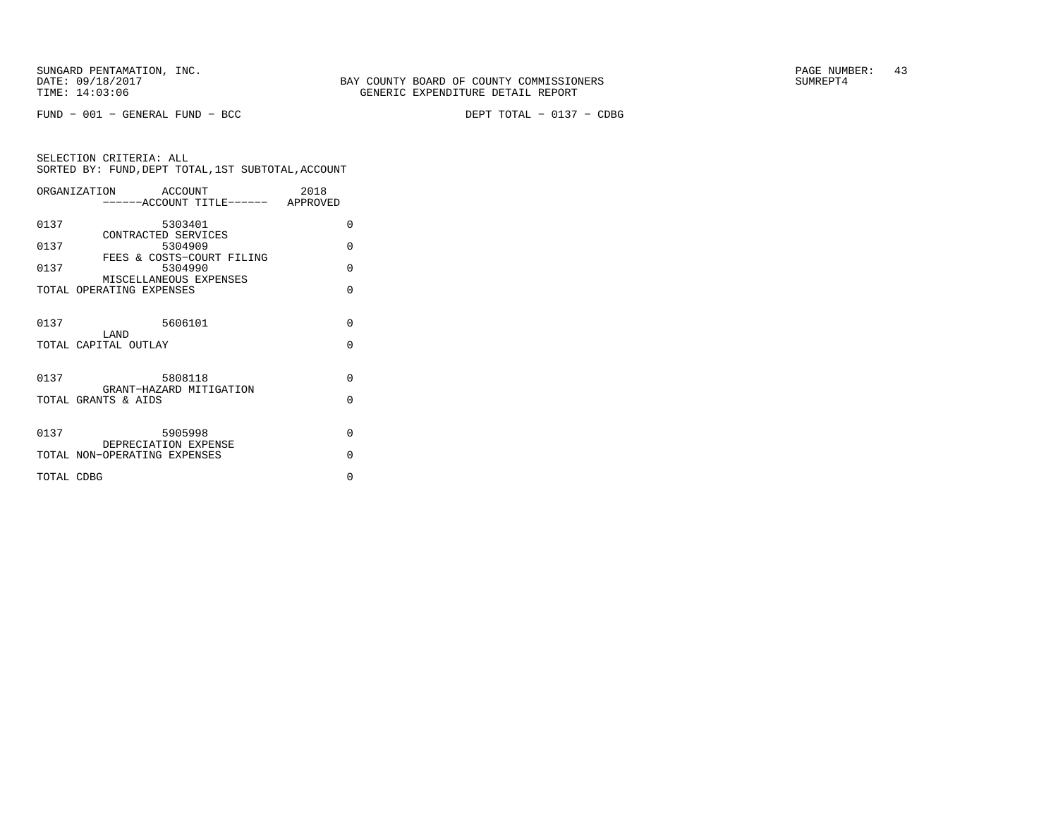FUND − 001 − GENERAL FUND − BCC DEPT TOTAL − 0137 − CDBG

|            | ORGANIZATION<br><b>ACCOUNT</b>                              | 2018     |
|------------|-------------------------------------------------------------|----------|
|            | -----ACCOUNT TITLE------ APPROVED                           |          |
| 0137       | 5303401                                                     | $\Omega$ |
| 0137       | CONTRACTED SERVICES<br>5304909<br>FEES & COSTS-COURT FILING | $\Omega$ |
| 0137       | 5304990<br>MISCELLANEOUS EXPENSES                           | $\Omega$ |
|            | TOTAL OPERATING EXPENSES                                    | $\Omega$ |
| 0137       | 5606101                                                     | $\Omega$ |
|            | LAND<br>TOTAL CAPITAL OUTLAY                                | $\Omega$ |
|            |                                                             |          |
| 0137       | 5808118<br>GRANT-HAZARD MITIGATION                          | $\Omega$ |
|            | TOTAL GRANTS & AIDS                                         | $\Omega$ |
| 0137       | 5905998                                                     | $\Omega$ |
|            | DEPRECIATION EXPENSE<br>TOTAL NON-OPERATING EXPENSES        | $\Omega$ |
| TOTAL CDBG |                                                             | $\Omega$ |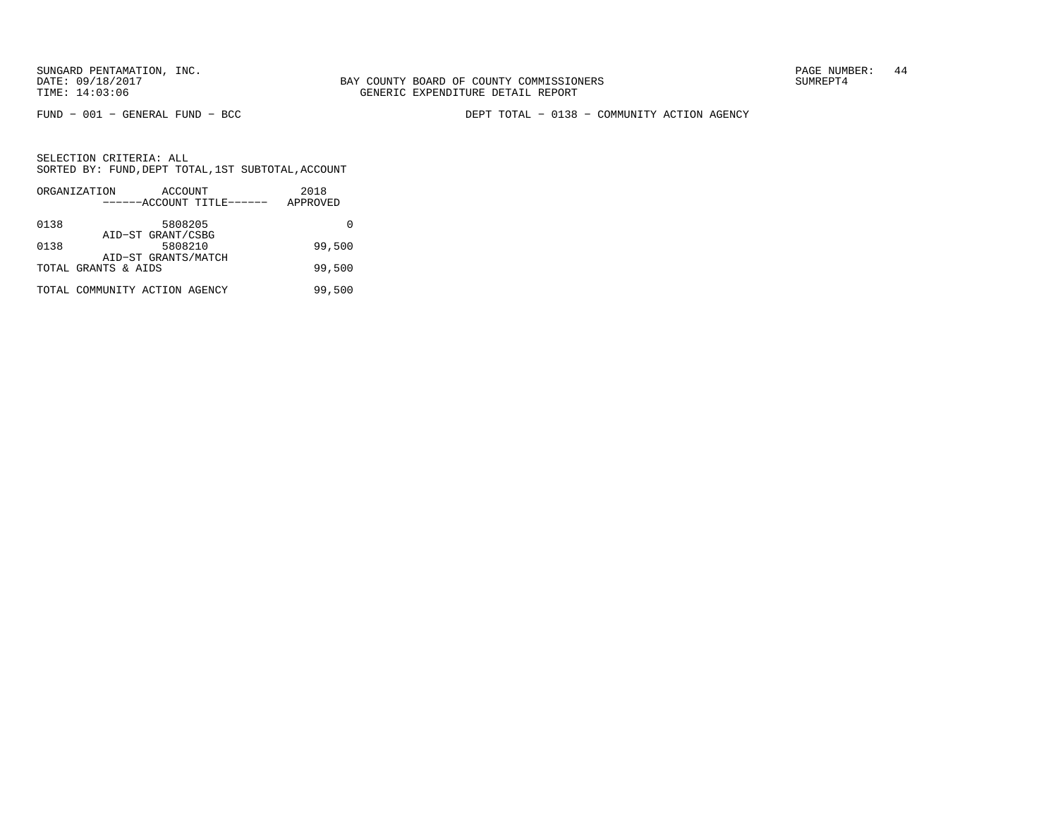BAY COUNTY BOARD OF COUNTY COMMISSIONERS TIME: 14:03:06 GENERIC EXPENDITURE DETAIL REPORT

FUND − 001 − GENERAL FUND − BCC DEPT TOTAL − 0138 − COMMUNITY ACTION AGENCY

|      | ORGANIZATION                  | ACCOUNT             |                           | 2018     |
|------|-------------------------------|---------------------|---------------------------|----------|
|      |                               |                     | ------ACCOUNT TITLE------ | APPROVED |
| 0138 |                               | 5808205             |                           |          |
|      |                               | AID-ST GRANT/CSBG   |                           |          |
| 0138 |                               | 5808210             |                           | 99,500   |
|      |                               | AID-ST GRANTS/MATCH |                           |          |
|      | TOTAL GRANTS & AIDS           |                     |                           | 99,500   |
|      | TOTAL COMMUNITY ACTION AGENCY |                     |                           | 99,500   |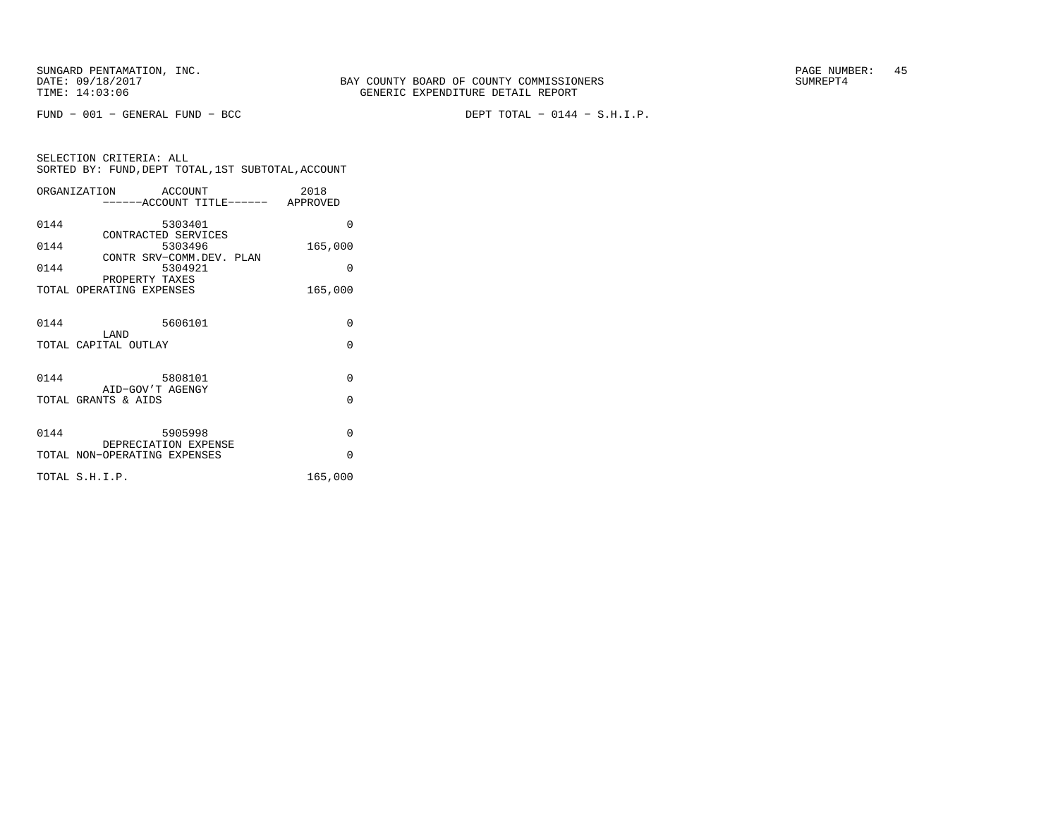FUND − 001 − GENERAL FUND − BCC DEPT TOTAL − 0144 − S.H.I.P.

|      | ORGANIZATION                               | ACCOUNT<br>------ACCOUNT TITLE------ APPROVED | 2018     |
|------|--------------------------------------------|-----------------------------------------------|----------|
|      |                                            |                                               |          |
| 0144 |                                            | 5303401                                       | $\Omega$ |
| 0144 | CONTRACTED SERVICES                        | 5303496                                       | 165,000  |
|      |                                            | CONTR SRV-COMM.DEV. PLAN                      |          |
| 0144 |                                            | 5304921                                       | $\Omega$ |
|      | PROPERTY TAXES<br>TOTAL OPERATING EXPENSES |                                               | 165,000  |
|      |                                            |                                               |          |
| 0144 |                                            | 5606101                                       | $\Omega$ |
|      | T.AND                                      |                                               |          |
|      | TOTAL CAPITAL OUTLAY                       |                                               | $\Omega$ |
|      |                                            |                                               |          |
| 0144 |                                            | 5808101                                       | $\Omega$ |
|      | AID-GOV'T AGENGY<br>TOTAL GRANTS & AIDS    |                                               | $\Omega$ |
|      |                                            |                                               |          |
| 0144 |                                            | 5905998                                       | $\Omega$ |
|      | DEPRECIATION EXPENSE                       |                                               |          |
|      | TOTAL NON-OPERATING EXPENSES               |                                               | $\Omega$ |
|      | TOTAL S.H.I.P.                             |                                               | 165,000  |
|      |                                            |                                               |          |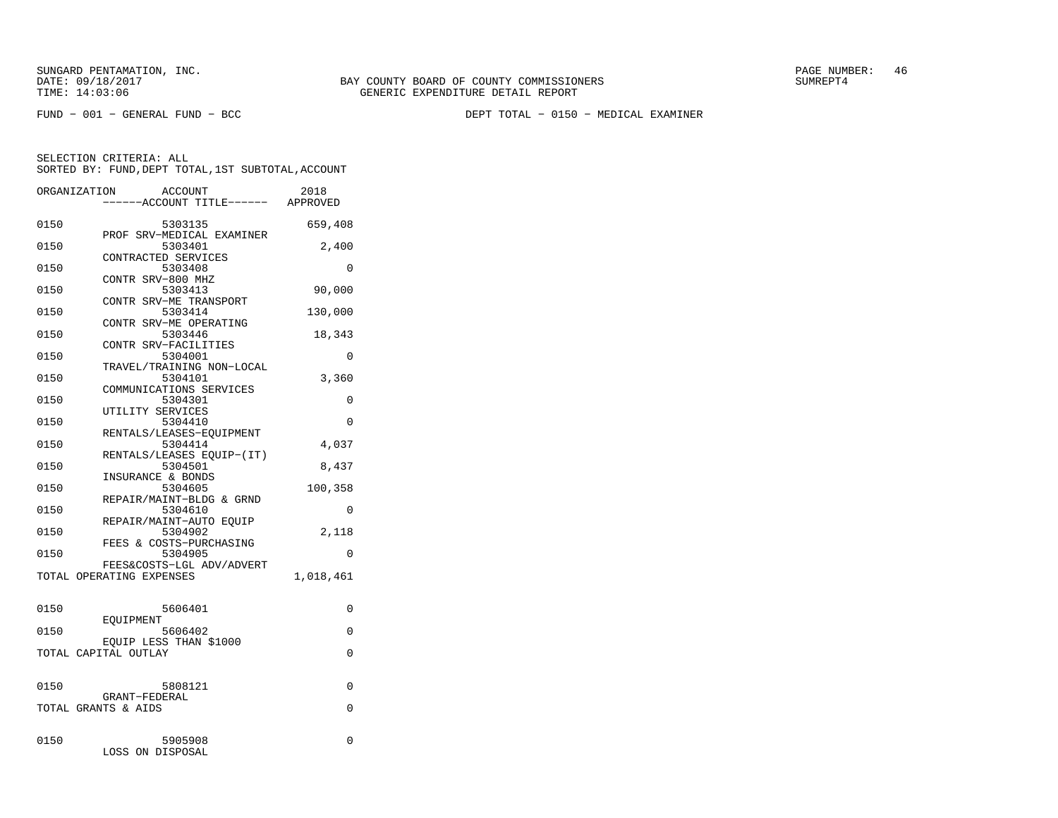FUND − 001 − GENERAL FUND − BCC DEPT TOTAL − 0150 − MEDICAL EXAMINER

|      | ORGANIZATION<br><b>ACCOUNT</b><br>---ACCOUNT TITLE------ APPROVED | 2018      |
|------|-------------------------------------------------------------------|-----------|
| 0150 | 5303135<br>PROF SRV-MEDICAL EXAMINER                              | 659,408   |
| 0150 | 5303401                                                           | 2,400     |
| 0150 | CONTRACTED SERVICES<br>5303408                                    | 0         |
| 0150 | CONTR SRV-800 MHZ<br>5303413                                      | 90,000    |
| 0150 | CONTR SRV-ME TRANSPORT<br>5303414                                 | 130,000   |
| 0150 | CONTR SRV-ME OPERATING<br>5303446                                 | 18,343    |
| 0150 | CONTR SRV-FACILITIES<br>5304001                                   | 0         |
| 0150 | TRAVEL/TRAINING NON-LOCAL<br>5304101                              | 3,360     |
| 0150 | COMMUNICATIONS SERVICES<br>5304301                                | 0         |
| 0150 | UTILITY SERVICES<br>5304410                                       | 0         |
| 0150 | RENTALS/LEASES-EOUIPMENT<br>5304414                               | 4,037     |
| 0150 | RENTALS/LEASES EOUIP-(IT)<br>5304501                              | 8,437     |
| 0150 | INSURANCE & BONDS<br>5304605                                      | 100,358   |
| 0150 | REPAIR/MAINT-BLDG & GRND<br>5304610                               | 0         |
| 0150 | REPAIR/MAINT-AUTO EQUIP<br>5304902                                | 2,118     |
| 0150 | FEES & COSTS-PURCHASING<br>5304905                                | 0         |
|      | FEES&COSTS-LGL ADV/ADVERT<br>TOTAL OPERATING EXPENSES             | 1,018,461 |
|      |                                                                   |           |
| 0150 | 5606401<br>EOUIPMENT                                              | 0         |
| 0150 | 5606402<br>EOUIP LESS THAN \$1000                                 | 0         |
|      | TOTAL CAPITAL OUTLAY                                              | $\Omega$  |
| 0150 | 5808121                                                           | $\Omega$  |
|      | GRANT-FEDERAL<br>TOTAL GRANTS & AIDS                              | $\Omega$  |
| 0150 | 5905908<br>LOSS ON DISPOSAL                                       | 0         |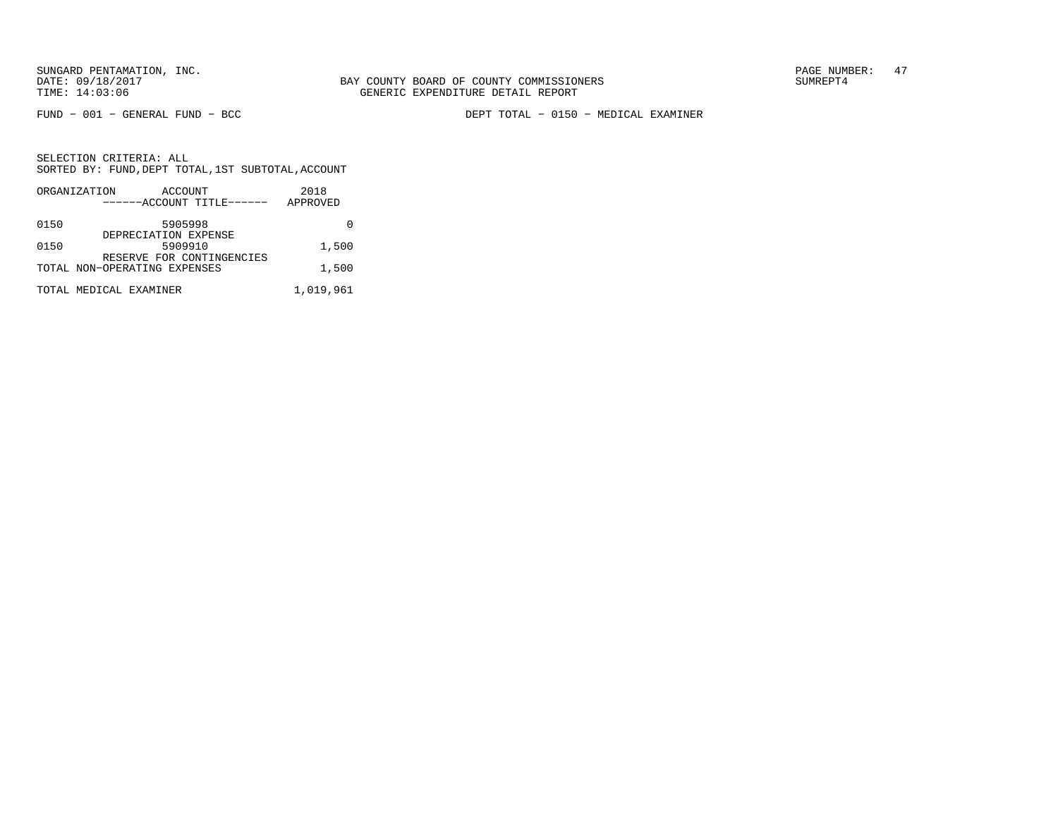FUND − 001 − GENERAL FUND − BCC DEPT TOTAL − 0150 − MEDICAL EXAMINER

|      | ORGANIZATION                 | ACCOUNT                         |                           | 2018      |
|------|------------------------------|---------------------------------|---------------------------|-----------|
|      |                              |                                 | ------ACCOUNT TITLE------ | APPROVED  |
| 0150 |                              | 5905998<br>DEPRECIATION EXPENSE |                           |           |
| 0150 |                              | 5909910                         | RESERVE FOR CONTINGENCIES | 1,500     |
|      | TOTAL NON-OPERATING EXPENSES |                                 |                           | 1,500     |
|      | TOTAL MEDICAL EXAMINER       |                                 |                           | 1,019,961 |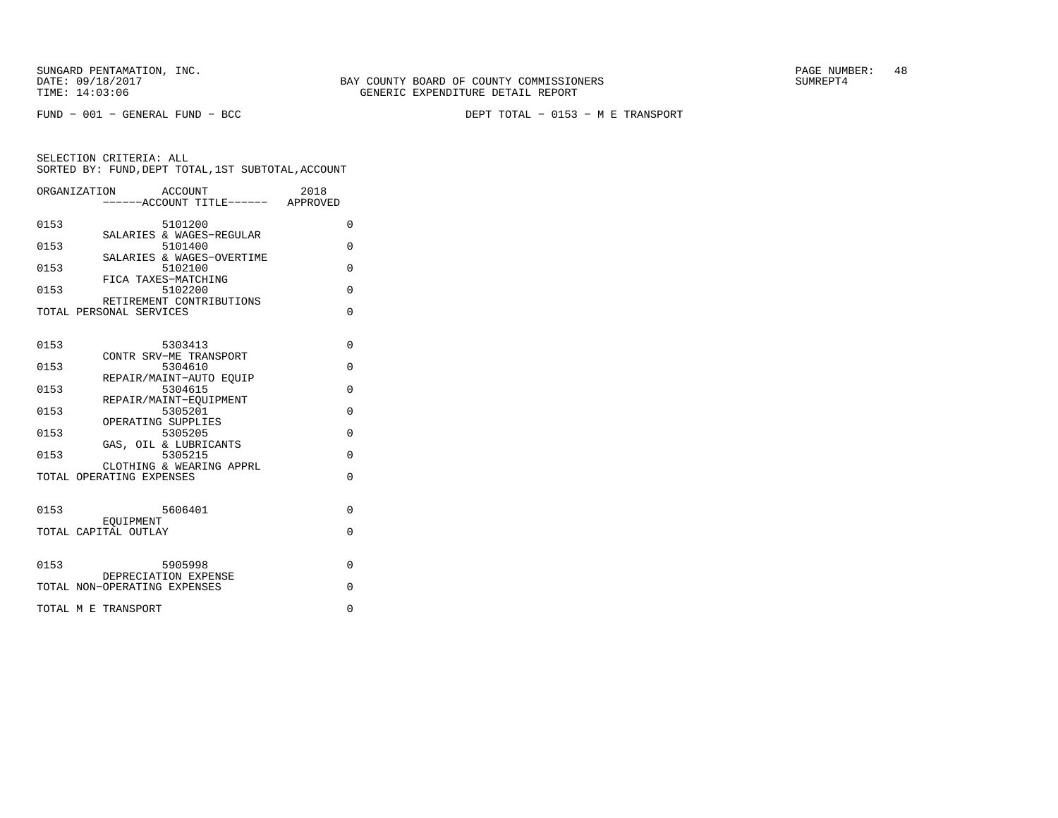FUND − 001 − GENERAL FUND − BCC DEPT TOTAL − 0153 − M E TRANSPORT

| ORGANIZATION                 |           | ACCOUNT<br><br>-----ACCOUNT TITLE------ APPROVED | 2018 |          |
|------------------------------|-----------|--------------------------------------------------|------|----------|
| 0153                         |           | 5101200                                          |      | $\Omega$ |
| 0153                         |           | SALARIES & WAGES-REGULAR<br>5101400              |      | 0        |
| 0153                         |           | SALARIES & WAGES-OVERTIME<br>5102100             |      | $\Omega$ |
| 0153                         |           | FICA TAXES-MATCHING<br>5102200                   |      | $\Omega$ |
| TOTAL PERSONAL SERVICES      |           | RETIREMENT CONTRIBUTIONS                         |      | $\Omega$ |
|                              |           |                                                  |      |          |
| 0153                         |           | 5303413<br>CONTR SRV-ME TRANSPORT                |      | $\Omega$ |
| 0153                         |           | 5304610<br>REPAIR/MAINT-AUTO EOUIP               |      | $\Omega$ |
| 0153                         |           | 5304615                                          |      | $\Omega$ |
| 0153                         |           | REPAIR/MAINT-EOUIPMENT<br>5305201                |      | $\Omega$ |
| 0153                         |           | OPERATING SUPPLIES<br>5305205                    |      | $\Omega$ |
| 0153                         |           | GAS, OIL & LUBRICANTS<br>5305215                 |      | 0        |
| TOTAL OPERATING EXPENSES     |           | CLOTHING & WEARING APPRL                         |      | $\Omega$ |
|                              |           |                                                  |      |          |
| 0153                         |           | 5606401                                          |      | 0        |
| TOTAL CAPITAL OUTLAY         | EOUIPMENT |                                                  |      | O        |
|                              |           |                                                  |      |          |
| 0153                         |           | 5905998<br>DEPRECIATION EXPENSE                  |      | $\Omega$ |
| TOTAL NON-OPERATING EXPENSES |           |                                                  |      | O        |
| TOTAL M E TRANSPORT          |           |                                                  |      | 0        |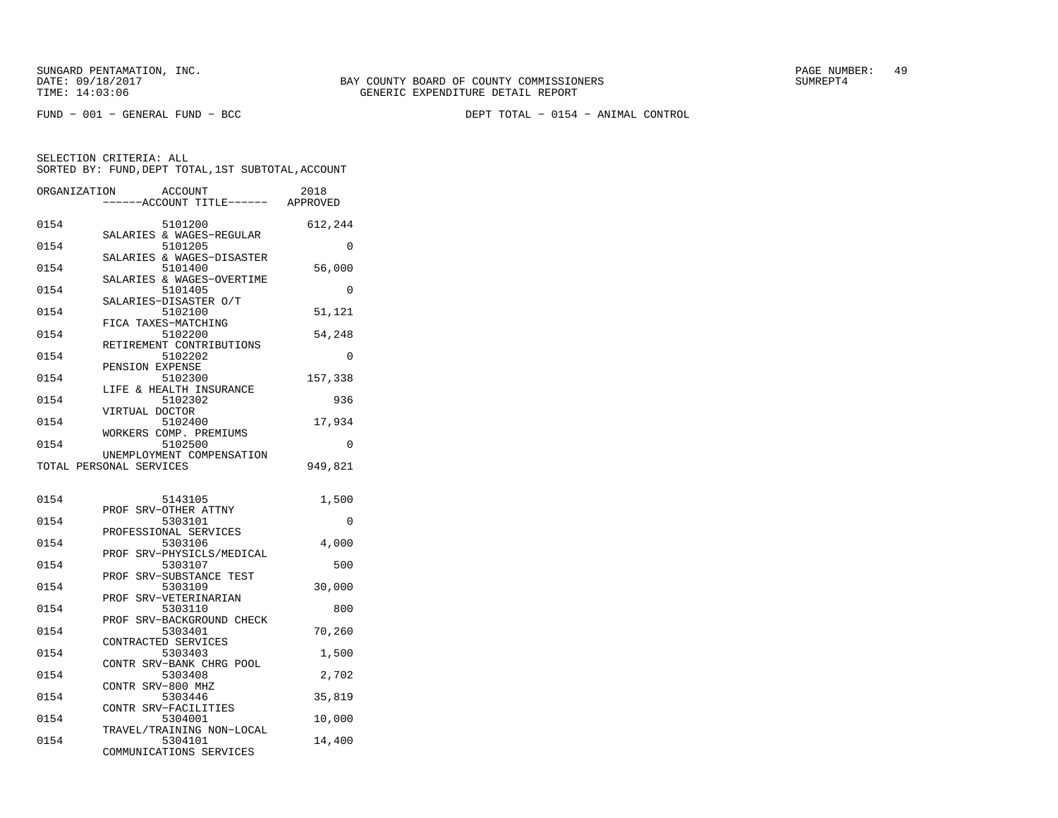FUND − 001 − GENERAL FUND − BCC DEPT TOTAL − 0154 − ANIMAL CONTROL

| ORGANIZATION |                         | <b>ACCOUNT</b><br>---ACCOUNT TITLE------ | 2018<br>APPROVED |
|--------------|-------------------------|------------------------------------------|------------------|
| 0154         |                         | 5101200                                  | 612,244          |
| 0154         |                         | SALARIES & WAGES-REGULAR<br>5101205      | 0                |
| 0154         |                         | SALARIES & WAGES-DISASTER<br>5101400     | 56,000           |
| 0154         |                         | SALARIES & WAGES-OVERTIME<br>5101405     | 0                |
| 0154         |                         | SALARIES-DISASTER O/T<br>5102100         | 51,121           |
| 0154         | FICA TAXES-MATCHING     | 5102200                                  | 54,248           |
| 0154         |                         | RETIREMENT CONTRIBUTIONS<br>5102202      | 0                |
| 0154         | PENSION EXPENSE         | 5102300                                  | 157,338          |
| 0154         |                         | LIFE & HEALTH INSURANCE<br>5102302       | 936              |
| 0154         | VIRTUAL DOCTOR          | 5102400                                  | 17,934           |
| 0154         |                         | WORKERS COMP. PREMIUMS<br>5102500        | 0                |
|              | TOTAL PERSONAL SERVICES | UNEMPLOYMENT COMPENSATION                | 949,821          |
| 0154         |                         | 5143105                                  | 1,500            |
| 0154         |                         | PROF SRV-OTHER ATTNY<br>5303101          | $\Omega$         |
| 0154         |                         | PROFESSIONAL SERVICES<br>5303106         | 4,000            |
| 0154         | PROF                    | SRV-PHYSICLS/MEDICAL<br>5303107          | 500              |
| 0154         |                         | PROF SRV-SUBSTANCE TEST<br>5303109       | 30,000           |
| 0154         | PROF                    | SRV-VETERINARIAN<br>5303110              | 800              |
| 0154         |                         | PROF SRV-BACKGROUND CHECK<br>5303401     | 70,260           |
| 0154         | CONTRACTED SERVICES     | 5303403                                  | 1,500            |
| 0154         |                         | CONTR SRV-BANK CHRG POOL<br>5303408      | 2,702            |
| 0154         | CONTR SRV-800 MHZ       | 5303446                                  | 35,819           |
| 0154         |                         | CONTR SRV-FACILITIES<br>5304001          | 10,000           |
| 0154         |                         | TRAVEL/TRAINING NON-LOCAL<br>5304101     | 14,400           |
|              |                         | COMMUNICATIONS SERVICES                  |                  |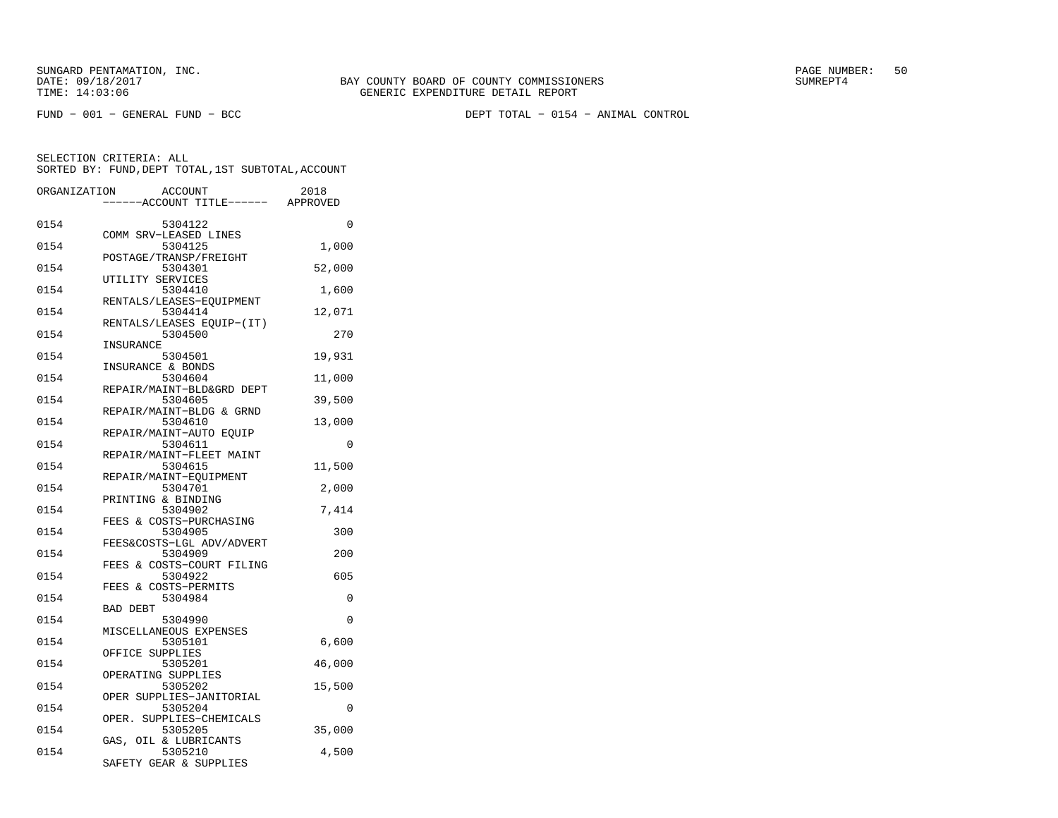FUND − 001 − GENERAL FUND − BCC DEPT TOTAL − 0154 − ANIMAL CONTROL

| ORGANIZATION |                       | ACCOUNT<br>---ACCOUNT TITLE------ APPROVED | 2018     |
|--------------|-----------------------|--------------------------------------------|----------|
|              |                       |                                            |          |
| 0154         | COMM SRV-LEASED LINES | 5304122                                    | 0        |
| 0154         |                       | 5304125                                    | 1,000    |
| 0154         |                       | POSTAGE/TRANSP/FREIGHT<br>5304301          | 52,000   |
| 0154         | UTILITY SERVICES      | 5304410                                    | 1,600    |
| 0154         |                       | RENTALS/LEASES-EQUIPMENT<br>5304414        | 12,071   |
|              |                       | RENTALS/LEASES EOUIP-(IT)                  |          |
| 0154         | INSURANCE             | 5304500                                    | 270      |
| 0154         |                       | 5304501                                    | 19,931   |
|              | INSURANCE & BONDS     |                                            |          |
| 0154         |                       | 5304604                                    | 11,000   |
|              |                       | REPAIR/MAINT-BLD&GRD DEPT                  |          |
| 0154         |                       | 5304605                                    | 39,500   |
|              |                       | REPAIR/MAINT-BLDG & GRND                   |          |
| 0154         |                       | 5304610                                    | 13,000   |
| 0154         |                       | REPAIR/MAINT-AUTO EQUIP<br>5304611         | $\Omega$ |
| 0154         |                       | REPAIR/MAINT-FLEET MAINT<br>5304615        | 11,500   |
|              |                       | REPAIR/MAINT-EQUIPMENT                     |          |
| 0154         |                       | 5304701                                    | 2,000    |
|              | PRINTING & BINDING    |                                            |          |
| 0154         |                       | 5304902                                    | 7,414    |
|              |                       | FEES & COSTS-PURCHASING                    |          |
| 0154         |                       | 5304905                                    | 300      |
|              |                       | FEES&COSTS-LGL ADV/ADVERT                  |          |
| 0154         |                       | 5304909                                    | 200      |
| 0154         |                       | FEES & COSTS-COURT FILING<br>5304922       | 605      |
|              | FEES                  | & COSTS-PERMITS                            |          |
| 0154         |                       | 5304984                                    | 0        |
|              | <b>BAD DEBT</b>       |                                            |          |
| 0154         |                       | 5304990                                    | 0        |
|              |                       | MISCELLANEOUS EXPENSES                     |          |
| 0154         |                       | 5305101                                    | 6,600    |
|              | OFFICE SUPPLIES       |                                            |          |
| 0154         |                       | 5305201                                    | 46,000   |
|              | OPERATING SUPPLIES    |                                            |          |
| 0154         |                       | 5305202                                    | 15,500   |
|              |                       | OPER SUPPLIES-JANITORIAL                   |          |
| 0154         |                       | 5305204                                    | 0        |
|              | OPER.                 | SUPPLIES-CHEMICALS                         |          |
| 0154         |                       | 5305205                                    | 35,000   |
| 0154         | GAS, OIL & LUBRICANTS | 5305210                                    | 4,500    |
|              |                       | SAFETY GEAR & SUPPLIES                     |          |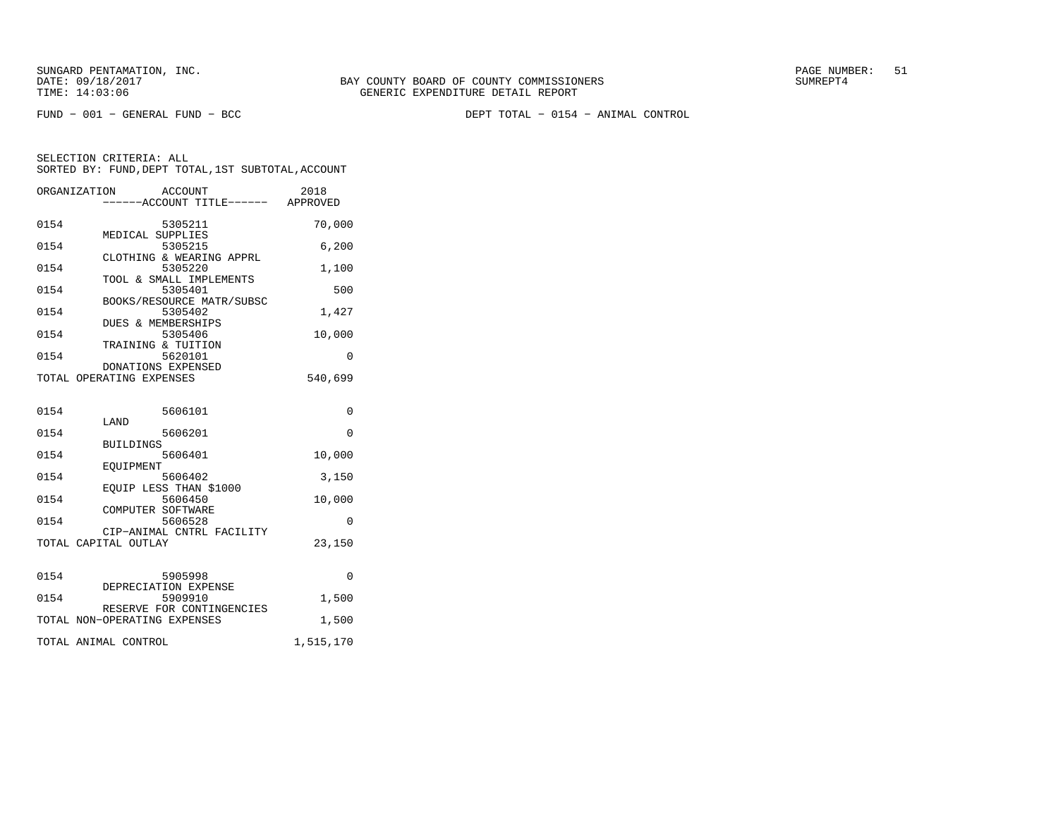FUND − 001 − GENERAL FUND − BCC DEPT TOTAL − 0154 − ANIMAL CONTROL

| ORGANIZATION | ACCOUNT<br>-----ACCOUNT TITLE------ APPROVED              | 2018         |
|--------------|-----------------------------------------------------------|--------------|
| 0154         | 5305211<br>MEDICAL SUPPLIES                               | 70,000       |
| 0154         | 5305215<br>CLOTHING & WEARING APPRL                       | 6,200        |
| 0154         | 5305220<br>TOOL & SMALL IMPLEMENTS                        | 1,100        |
| 0154         | 5305401<br>BOOKS/RESOURCE MATR/SUBSC                      | 500          |
| 0154         | 5305402<br>DUES & MEMBERSHIPS                             | 1,427        |
| 0154         | 5305406<br>TRAINING & TUITION                             | 10,000       |
| 0154         | 5620101<br>DONATIONS EXPENSED                             | $\Omega$     |
|              | TOTAL OPERATING EXPENSES                                  | 540,699      |
| 0154         | 5606101                                                   | 0            |
| 0154         | LAND<br>5606201                                           | 0            |
| 0154         | <b>BUILDINGS</b><br>5606401                               | 10,000       |
| 0154         | EOUIPMENT<br>5606402                                      | 3,150        |
| 0154         | EQUIP LESS THAN \$1000<br>5606450                         | 10,000       |
| 0154         | COMPUTER SOFTWARE<br>5606528                              | 0            |
|              | CIP-ANIMAL CNTRL FACILITY<br>TOTAL CAPITAL OUTLAY         | 23,150       |
| 0154         | 5905998                                                   | <sup>0</sup> |
| 0154         | DEPRECIATION EXPENSE<br>5909910                           | 1,500        |
|              | RESERVE FOR CONTINGENCIES<br>TOTAL NON-OPERATING EXPENSES | 1,500        |
|              | TOTAL ANIMAL CONTROL                                      | 1,515,170    |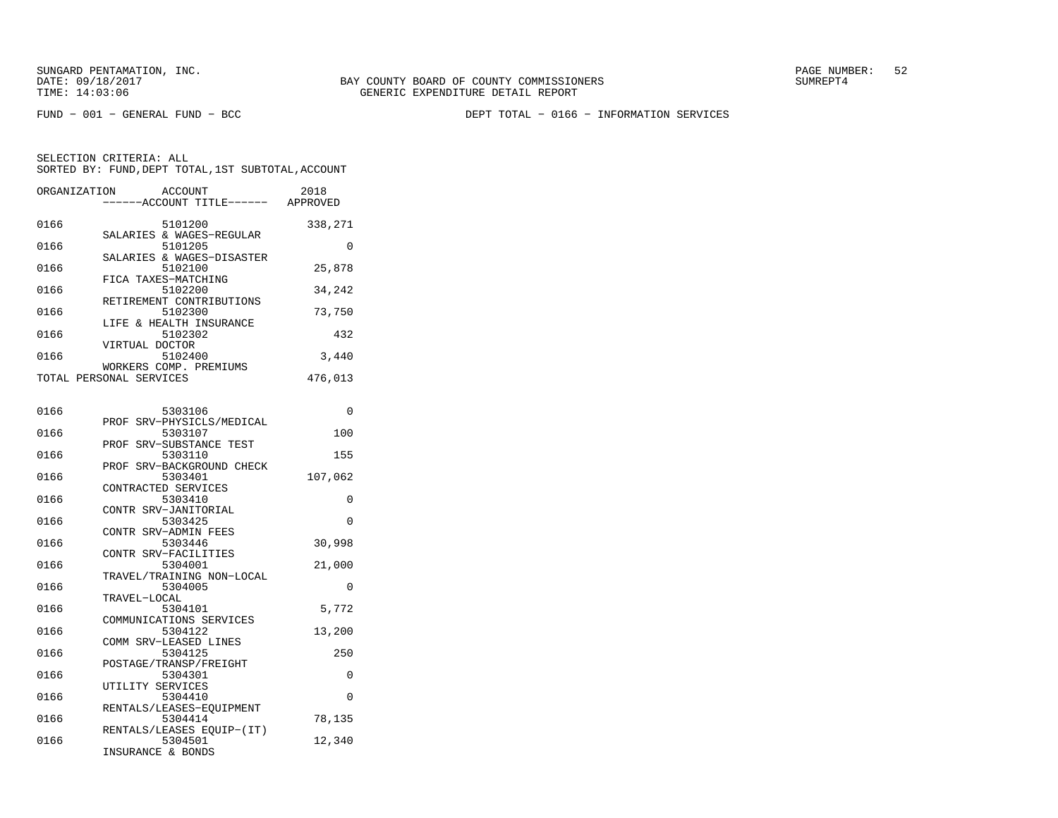FUND − 001 − GENERAL FUND − BCC DEPT TOTAL − 0166 − INFORMATION SERVICES

|         | 2018<br>APPROVED                                                                                                                                                                                                                                                |
|---------|-----------------------------------------------------------------------------------------------------------------------------------------------------------------------------------------------------------------------------------------------------------------|
| 5101200 | 338,271                                                                                                                                                                                                                                                         |
| 5101205 | O                                                                                                                                                                                                                                                               |
| 5102100 | 25,878                                                                                                                                                                                                                                                          |
| 5102200 | 34,242                                                                                                                                                                                                                                                          |
| 5102300 | 73,750                                                                                                                                                                                                                                                          |
| 5102302 | 432                                                                                                                                                                                                                                                             |
| 5102400 | 3,440                                                                                                                                                                                                                                                           |
|         | 476,013                                                                                                                                                                                                                                                         |
|         | ORGANIZATION ACCOUNT<br>------ACCOUNT TITLE------<br>SALARIES & WAGES-REGULAR<br>SALARIES & WAGES-DISASTER<br>FICA TAXES-MATCHING<br>RETIREMENT CONTRIBUTIONS<br>LIFE & HEALTH INSURANCE<br>VIRTUAL DOCTOR<br>WORKERS COMP. PREMIUMS<br>TOTAL PERSONAL SERVICES |

| 0166 | 5303106                             | 0        |
|------|-------------------------------------|----------|
|      | PROF SRV-PHYSICLS/MEDICAL           |          |
| 0166 | 5303107                             | 100      |
|      | PROF SRV-SUBSTANCE TEST             |          |
| 0166 | 5303110                             | 155      |
|      | PROF SRV-BACKGROUND CHECK           |          |
| 0166 | 5303401                             | 107,062  |
|      | CONTRACTED SERVICES                 |          |
| 0166 | 5303410                             | 0        |
|      | CONTR SRV-JANITORIAL                |          |
| 0166 | 5303425                             | $\Omega$ |
|      | CONTR SRV-ADMIN FEES                |          |
| 0166 | 5303446                             | 30,998   |
|      | CONTR SRV-FACILITIES                |          |
| 0166 | 5304001                             | 21,000   |
|      | TRAVEL/TRAINING NON-LOCAL           |          |
| 0166 | 5304005                             | $\Omega$ |
|      | TRAVEL-LOCAL                        |          |
| 0166 | 5304101                             | 5,772    |
|      | COMMUNICATIONS SERVICES             |          |
| 0166 | 5304122                             | 13,200   |
|      | COMM SRV-LEASED LINES               |          |
| 0166 | 5304125                             | 250      |
|      | POSTAGE/TRANSP/FREIGHT              | $\Omega$ |
| 0166 | 5304301                             |          |
| 0166 | UTILITY SERVICES<br>5304410         | $\Omega$ |
|      |                                     |          |
| 0166 | RENTALS/LEASES-EQUIPMENT<br>5304414 |          |
|      | RENTALS/LEASES EOUIP-(IT)           | 78,135   |
| 0166 | 5304501                             | 12,340   |
|      | INSURANCE & BONDS                   |          |
|      |                                     |          |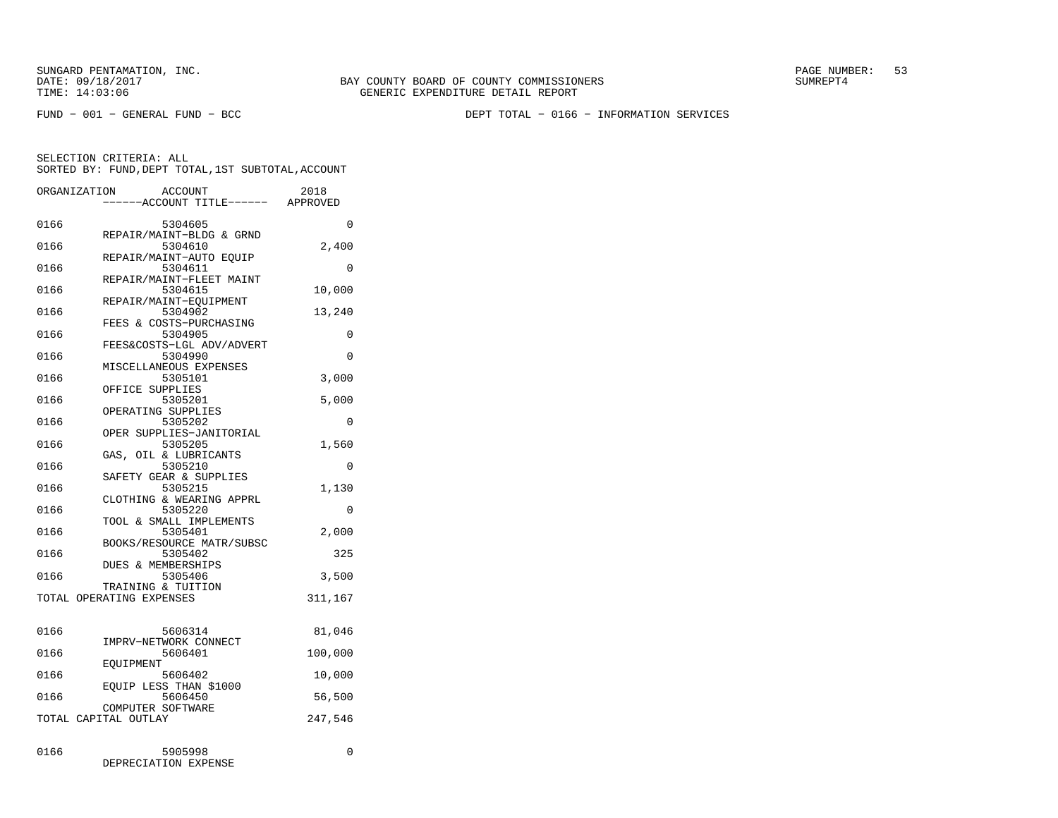FUND − 001 − GENERAL FUND − BCC DEPT TOTAL − 0166 − INFORMATION SERVICES

|      | ORGANIZATION             | <b>ACCOUNT</b><br>---ACCOUNT TITLE------ APPROVED              | 2018             |
|------|--------------------------|----------------------------------------------------------------|------------------|
| 0166 |                          | 5304605                                                        | 0                |
| 0166 |                          | REPAIR/MAINT-BLDG & GRND<br>5304610<br>REPAIR/MAINT-AUTO EQUIP | 2,400            |
| 0166 |                          | 5304611<br>REPAIR/MAINT-FLEET MAINT                            | 0                |
| 0166 |                          | 5304615<br>REPAIR/MAINT-EQUIPMENT                              | 10,000           |
| 0166 |                          | 5304902<br>FEES & COSTS-PURCHASING                             | 13,240           |
| 0166 |                          | 5304905<br>FEES&COSTS-LGL ADV/ADVERT                           | 0                |
| 0166 |                          | 5304990<br>MISCELLANEOUS EXPENSES                              | 0                |
| 0166 |                          | 5305101<br>OFFICE SUPPLIES                                     | 3,000            |
| 0166 |                          | 5305201<br>OPERATING SUPPLIES                                  | 5,000            |
| 0166 |                          | 5305202<br>OPER SUPPLIES-JANITORIAL                            | 0                |
| 0166 |                          | 5305205<br>GAS, OIL & LUBRICANTS                               | 1,560            |
| 0166 |                          | 5305210<br>SAFETY GEAR & SUPPLIES                              | 0                |
| 0166 |                          | 5305215<br>CLOTHING & WEARING APPRL                            | 1,130            |
| 0166 |                          | 5305220<br>TOOL & SMALL IMPLEMENTS                             | 0                |
| 0166 |                          | 5305401<br>BOOKS/RESOURCE MATR/SUBSC                           | 2,000            |
| 0166 |                          | 5305402<br>DUES & MEMBERSHIPS                                  | 325              |
| 0166 | TOTAL OPERATING EXPENSES | 5305406<br>TRAINING & TUITION                                  | 3,500<br>311,167 |
|      |                          |                                                                |                  |
| 0166 |                          | 5606314<br>IMPRV-NETWORK CONNECT                               | 81,046           |
| 0166 | EQUIPMENT                | 5606401                                                        | 100,000          |
| 0166 |                          | 5606402<br>EQUIP LESS THAN \$1000                              | 10,000           |
| 0166 |                          | 5606450<br>COMPUTER SOFTWARE                                   | 56,500           |
|      | TOTAL CAPITAL OUTLAY     |                                                                | 247,546          |
| 0166 |                          | 5905998<br>DEPRECIATION EXPENSE                                | 0                |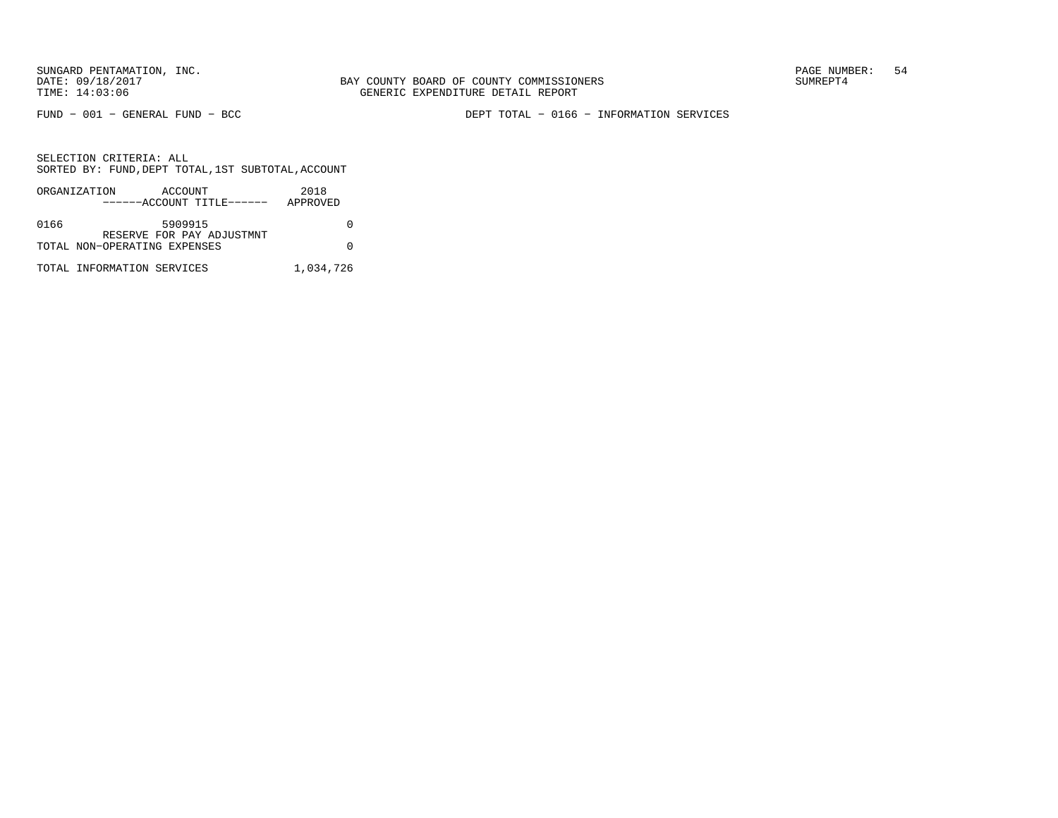FUND − 001 − GENERAL FUND − BCC DEPT TOTAL − 0166 − INFORMATION SERVICES

|      | ORGANIZATION                 | ACCOUNT |                           | 2018      |
|------|------------------------------|---------|---------------------------|-----------|
|      |                              |         | ------ACCOUNT TITLE------ | APPROVED  |
|      |                              |         |                           |           |
| 0166 |                              | 5909915 |                           |           |
|      |                              |         | RESERVE FOR PAY ADJUSTMNT |           |
|      | TOTAL NON-OPERATING EXPENSES |         |                           |           |
|      |                              |         |                           |           |
|      | TOTAL INFORMATION SERVICES   |         |                           | 1,034,726 |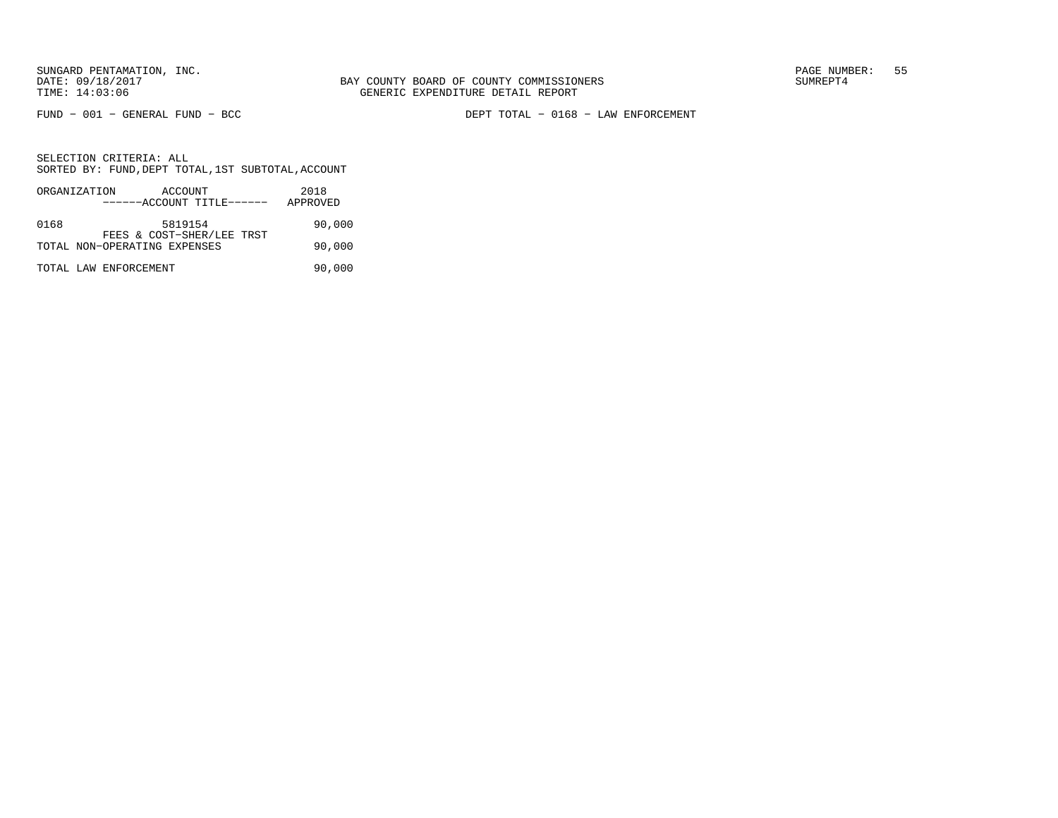FUND − 001 − GENERAL FUND − BCC DEPT TOTAL − 0168 − LAW ENFORCEMENT

|      | ORGANIZATION          | ACCOUNT                      |  | 2018     |        |
|------|-----------------------|------------------------------|--|----------|--------|
|      |                       | ------ACCOUNT TITLE------    |  | APPROVED |        |
|      |                       |                              |  |          |        |
| 0168 |                       | 5819154                      |  |          | 90,000 |
|      |                       | FEES & COST-SHER/LEE TRST    |  |          |        |
|      |                       | TOTAL NON-OPERATING EXPENSES |  |          | 90,000 |
|      |                       |                              |  |          |        |
|      | TOTAL LAW ENFORCEMENT |                              |  |          | 90,000 |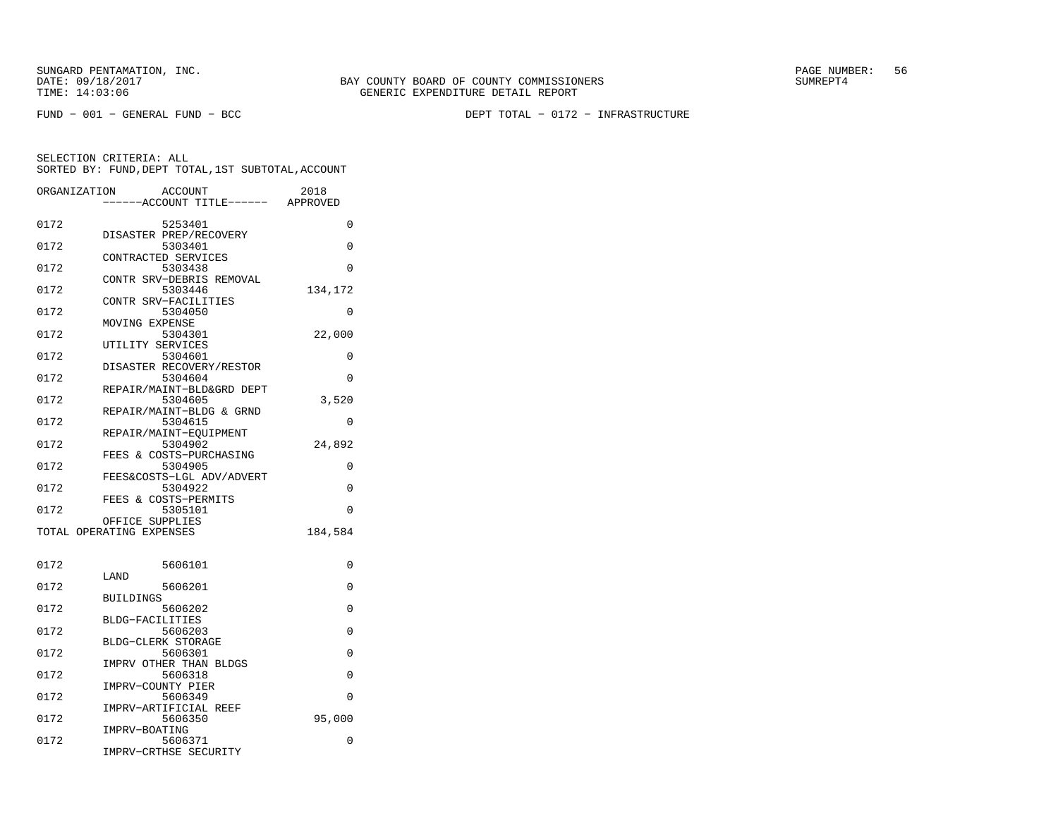FUND − 001 − GENERAL FUND − BCC DEPT TOTAL − 0172 − INFRASTRUCTURE

| ORGANIZATION | <b>ACCOUNT</b>                       | --ACCOUNT TITLE------ APPROVED | 2018     |
|--------------|--------------------------------------|--------------------------------|----------|
|              |                                      |                                |          |
| 0172         | 5253401                              |                                | 0        |
| 0172         | DISASTER PREP/RECOVERY<br>5303401    |                                | $\Omega$ |
|              | CONTRACTED SERVICES                  |                                |          |
| 0172         | 5303438                              |                                | 0        |
|              | CONTR SRV-DEBRIS REMOVAL             |                                |          |
| 0172         | 5303446                              |                                | 134,172  |
|              | CONTR SRV-FACILITIES                 |                                |          |
| 0172         | 5304050                              |                                | $\Omega$ |
|              | MOVING EXPENSE                       |                                |          |
| 0172         | 5304301                              |                                | 22,000   |
| 0172         | UTILITY SERVICES                     |                                |          |
|              | 5304601<br>DISASTER RECOVERY/RESTOR  |                                | 0        |
| 0172         | 5304604                              |                                | 0        |
|              | REPAIR/MAINT-BLD&GRD DEPT            |                                |          |
| 0172         | 5304605                              |                                | 3,520    |
|              | REPAIR/MAINT-BLDG & GRND             |                                |          |
| 0172         | 5304615                              |                                | $\Omega$ |
|              | REPAIR/MAINT-EOUIPMENT               |                                |          |
| 0172         | 5304902                              |                                | 24,892   |
|              | FEES & COSTS-PURCHASING              |                                |          |
| 0172         | 5304905                              |                                | 0        |
| 0172         | FEES&COSTS-LGL ADV/ADVERT<br>5304922 |                                | 0        |
|              | FEES & COSTS-PERMITS                 |                                |          |
| 0172         | 5305101                              |                                | 0        |
|              | OFFICE SUPPLIES                      |                                |          |
|              | TOTAL OPERATING EXPENSES             |                                | 184,584  |
|              |                                      |                                |          |
| 0172         | 5606101                              |                                | 0        |
|              | LAND                                 |                                |          |
| 0172         | 5606201                              |                                | 0        |
|              | BUILDINGS                            |                                |          |
| 0172         | 5606202                              |                                | 0        |
| 0172         | <b>BLDG-FACILITIES</b><br>5606203    |                                | $\Omega$ |
|              | BLDG-CLERK STORAGE                   |                                |          |
| 0172         | 5606301                              |                                | 0        |
|              | IMPRV OTHER THAN BLDGS               |                                |          |
| 0172         | 5606318                              |                                | 0        |
|              | IMPRV-COUNTY PIER                    |                                |          |
| 0172         | 5606349                              |                                | 0        |
|              | IMPRV-ARTIFICIAL REEF                |                                |          |
| 0172         | 5606350                              |                                | 95,000   |
|              | IMPRV-BOATING                        |                                |          |
| 0172         | 5606371<br>IMPRV-CRTHSE SECURITY     |                                | 0        |
|              |                                      |                                |          |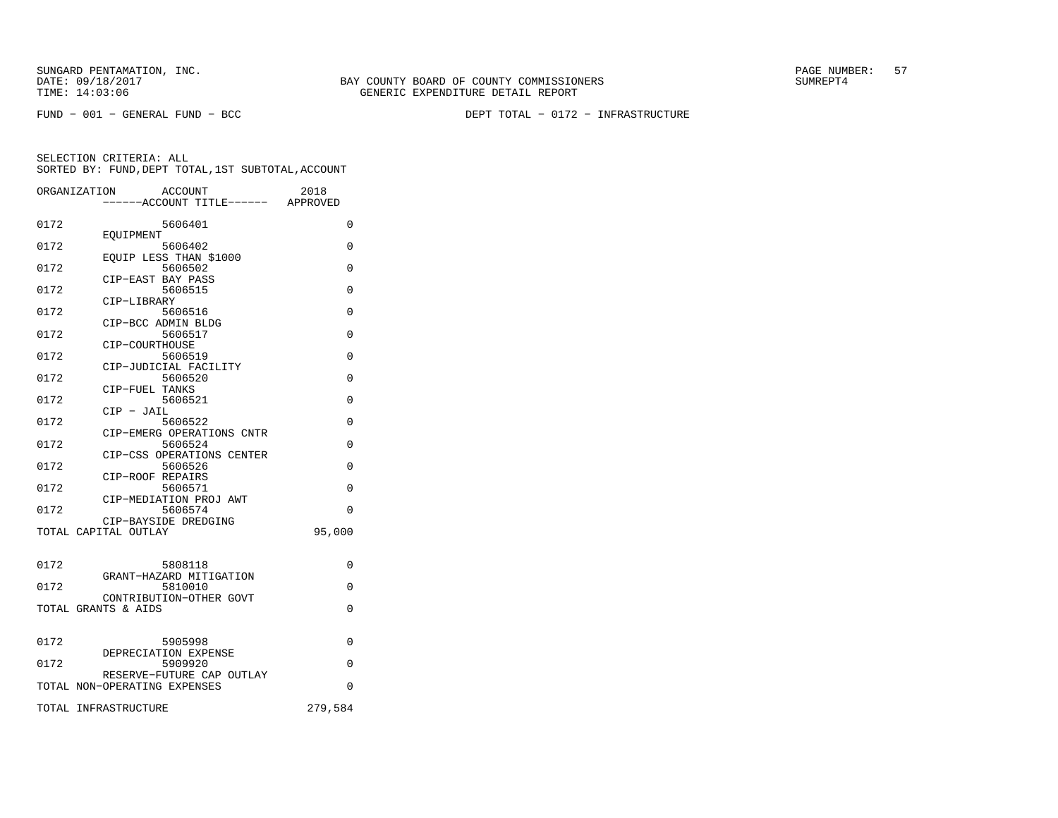FUND − 001 − GENERAL FUND − BCC DEPT TOTAL − 0172 − INFRASTRUCTURE

|      | ORGANIZATION<br><b>ACCOUNT</b><br>----ACCOUNT TITLE------ APPROVED | 2018     |
|------|--------------------------------------------------------------------|----------|
| 0172 | 5606401                                                            | $\Omega$ |
| 0172 | EOUIPMENT<br>5606402                                               | 0        |
| 0172 | EQUIP LESS THAN \$1000<br>5606502                                  | $\Omega$ |
| 0172 | CIP-EAST BAY PASS<br>5606515                                       | $\Omega$ |
| 0172 | CIP-LIBRARY<br>5606516                                             | $\Omega$ |
|      | CIP-BCC ADMIN BLDG                                                 |          |
| 0172 | 5606517<br>CIP-COURTHOUSE                                          | 0        |
| 0172 | 5606519<br>CIP-JUDICIAL FACILITY                                   | 0        |
| 0172 | 5606520<br>CIP-FUEL TANKS                                          | $\Omega$ |
| 0172 | 5606521<br>$CIP - JAIL$                                            | 0        |
| 0172 | 5606522                                                            | 0        |
| 0172 | CIP-EMERG OPERATIONS CNTR<br>5606524                               | $\Omega$ |
| 0172 | CIP-CSS OPERATIONS CENTER<br>5606526                               | $\Omega$ |
| 0172 | CIP-ROOF REPAIRS<br>5606571                                        | 0        |
| 0172 | CIP-MEDIATION PROJ AWT<br>5606574                                  | $\Omega$ |
|      | CIP-BAYSIDE DREDGING                                               |          |
|      | TOTAL CAPITAL OUTLAY                                               | 95,000   |
| 0172 | 5808118                                                            | 0        |
| 0172 | GRANT-HAZARD MITIGATION<br>5810010                                 | $\Omega$ |
|      | CONTRIBUTION-OTHER GOVT<br>TOTAL GRANTS & AIDS                     | $\Omega$ |
|      |                                                                    |          |
| 0172 | 5905998                                                            | 0        |
| 0172 | DEPRECIATION EXPENSE<br>5909920                                    | $\Omega$ |
|      | RESERVE-FUTURE CAP OUTLAY<br>TOTAL NON-OPERATING EXPENSES          | $\Omega$ |
|      | TOTAL INFRASTRUCTURE                                               | 279,584  |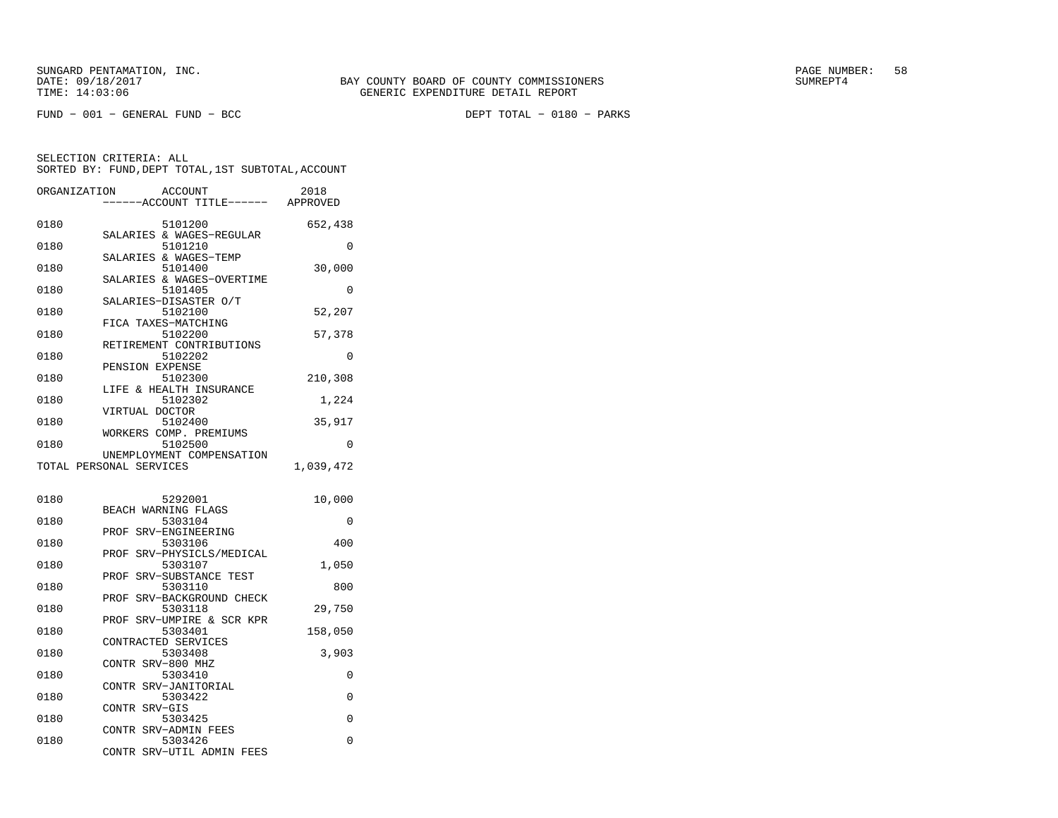| ORGANIZATION | ACCOUNT<br>---ACCOUNT TITLE------ APPROVED                    | 2018      |
|--------------|---------------------------------------------------------------|-----------|
| 0180         | 5101200<br>SALARIES & WAGES-REGULAR                           | 652,438   |
| 0180         | 5101210                                                       | 0         |
| 0180         | SALARIES & WAGES-TEMP<br>5101400                              | 30,000    |
| 0180         | SALARIES & WAGES-OVERTIME<br>5101405<br>SALARIES-DISASTER O/T | 0         |
| 0180         | 5102100                                                       | 52,207    |
| 0180         | FICA TAXES-MATCHING<br>5102200                                | 57,378    |
| 0180         | RETIREMENT CONTRIBUTIONS<br>5102202<br>PENSION EXPENSE        | $\Omega$  |
| 0180         | 5102300<br>LIFE & HEALTH INSURANCE                            | 210,308   |
| 0180         | 5102302                                                       | 1,224     |
| 0180         | VIRTUAL DOCTOR<br>5102400                                     | 35,917    |
| 0180         | WORKERS COMP. PREMIUMS<br>5102500                             | 0         |
|              | UNEMPLOYMENT COMPENSATION<br>TOTAL PERSONAL SERVICES          | 1,039,472 |
| 0180         | 5292001                                                       | 10,000    |
| 0180         | BEACH WARNING FLAGS<br>5303104                                | 0         |
| 0180         | PROF SRV-ENGINEERING<br>5303106                               | 400       |
| 0180         | SRV-PHYSICLS/MEDICAL<br>PROF<br>5303107                       | 1,050     |
| 0180         | SRV-SUBSTANCE TEST<br>PROF<br>5303110                         | 800       |
| 0180         | SRV-BACKGROUND CHECK<br>PROF<br>5303118                       | 29,750    |
| 0180         | PROF<br>SRV-UMPIRE & SCR KPR<br>5303401                       | 158,050   |
| 0180         | CONTRACTED SERVICES<br>5303408                                | 3,903     |
| 0180         | CONTR SRV-800 MHZ<br>5303410                                  | 0         |
| 0180         | CONTR SRV-JANITORIAL<br>5303422                               | 0         |
| 0180         | CONTR SRV-GIS<br>5303425                                      | 0         |
| 0180         | CONTR SRV-ADMIN FEES<br>5303426                               | 0         |
|              | CONTR<br>SRV-UTIL ADMIN FEES                                  |           |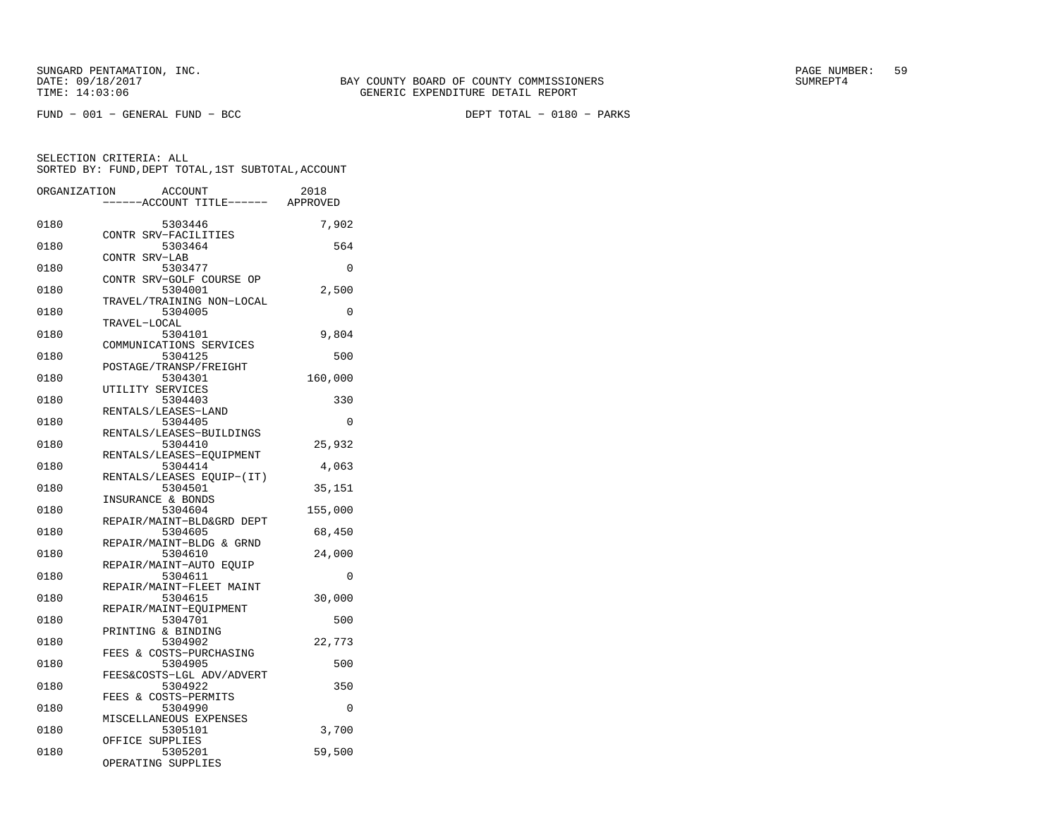FUND − 001 − GENERAL FUND − BCC DEPT TOTAL − 0180 − PARKS

SELECTION CRITERIA: ALL

|              | SORTED BY: FUND, DEPT TOTAL, 1ST SUBTOTAL, ACCOUNT |          |
|--------------|----------------------------------------------------|----------|
| ORGANIZATION | ACCOUNT<br>----ACCOUNT TITLE------ APPROVED        | 2018     |
| 0180         | 5303446                                            | 7,902    |
| 0180         | CONTR SRV-FACILITIES<br>5303464                    | 564      |
| 0180         | CONTR SRV-LAB<br>5303477                           | $\Omega$ |
| 0180         | CONTR SRV-GOLF COURSE OP<br>5304001                | 2,500    |
| 0180         | TRAVEL/TRAINING NON-LOCAL<br>5304005               | $\Omega$ |
| 0180         | TRAVEL-LOCAL<br>5304101                            | 9,804    |
| 0180         | COMMUNICATIONS SERVICES<br>5304125                 | 500      |
| 0180         | POSTAGE/TRANSP/FREIGHT<br>5304301                  | 160,000  |
| 0180         | UTILITY SERVICES<br>5304403                        | 330      |
| 0180         | RENTALS/LEASES-LAND<br>5304405                     | $\Omega$ |
| 0180         | RENTALS/LEASES-BUILDINGS<br>5304410                |          |
|              | RENTALS/LEASES-EOUIPMENT                           | 25,932   |
| 0180         | 5304414<br>RENTALS/LEASES EQUIP-(IT)               | 4,063    |
| 0180         | 5304501<br>INSURANCE & BONDS                       | 35,151   |
| 0180         | 5304604<br>REPAIR/MAINT-BLD&GRD DEPT               | 155,000  |
| 0180         | 5304605<br>REPAIR/MAINT-BLDG & GRND                | 68,450   |
| 0180         | 5304610<br>REPAIR/MAINT-AUTO EOUIP                 | 24,000   |
| 0180         | 5304611<br>REPAIR/MAINT-FLEET MAINT                | 0        |
| 0180         | 5304615<br>REPAIR/MAINT-EOUIPMENT                  | 30,000   |
| 0180         | 5304701<br>PRINTING & BINDING                      | 500      |
| 0180         | 5304902<br>FEES & COSTS-PURCHASING                 | 22,773   |
| 0180         | 5304905                                            | 500      |
| 0180         | FEES&COSTS-LGL ADV/ADVERT<br>5304922               | 350      |
| 0180         | FEES & COSTS-PERMITS<br>5304990                    | $\Omega$ |
| 0180         | MISCELLANEOUS EXPENSES<br>5305101                  | 3,700    |
| 0180         | OFFICE SUPPLIES<br>5305201<br>OPERATING SUPPLIES   | 59,500   |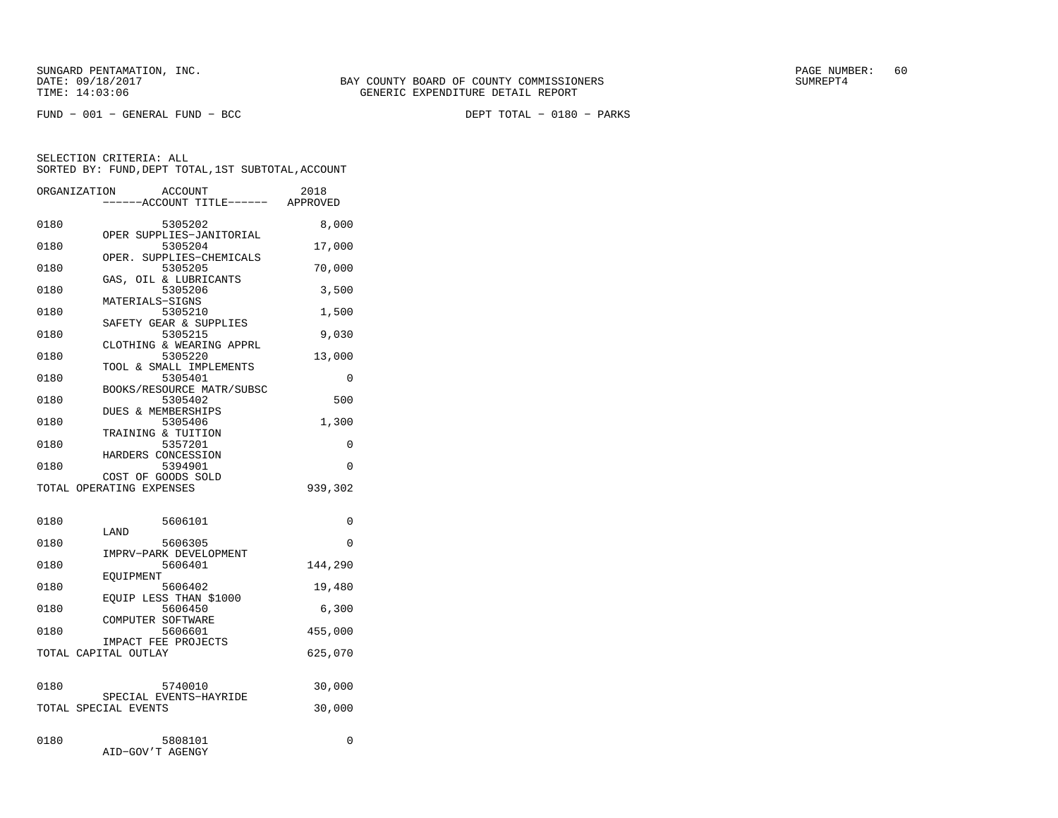FUND − 001 − GENERAL FUND − BCC DEPT TOTAL − 0180 − PARKS

|      | ORGANIZATION<br>ACCOUNT<br>---ACCOUNT TITLE------ APPROVED | 2018     |
|------|------------------------------------------------------------|----------|
| 0180 | 5305202                                                    | 8,000    |
| 0180 | OPER SUPPLIES-JANITORIAL<br>5305204                        | 17,000   |
| 0180 | OPER. SUPPLIES-CHEMICALS<br>5305205                        | 70,000   |
| 0180 | GAS, OIL & LUBRICANTS<br>5305206                           | 3,500    |
| 0180 | MATERIALS-SIGNS<br>5305210                                 | 1,500    |
| 0180 | SAFETY GEAR & SUPPLIES<br>5305215                          | 9,030    |
| 0180 | CLOTHING & WEARING APPRL<br>5305220                        | 13,000   |
| 0180 | TOOL & SMALL IMPLEMENTS<br>5305401                         | 0        |
| 0180 | BOOKS/RESOURCE MATR/SUBSC<br>5305402                       | 500      |
| 0180 | DUES & MEMBERSHIPS<br>5305406                              | 1,300    |
| 0180 | TRAINING & TUITION<br>5357201                              | 0        |
|      | HARDERS CONCESSION                                         | $\Omega$ |
| 0180 | 5394901<br>COST OF GOODS SOLD                              |          |
|      | TOTAL OPERATING EXPENSES                                   | 939,302  |
| 0180 | 5606101                                                    | 0        |
| 0180 | LAND<br>5606305                                            | 0        |
| 0180 | IMPRV-PARK DEVELOPMENT<br>5606401                          | 144,290  |
| 0180 | EQUIPMENT<br>5606402                                       | 19,480   |
| 0180 | EQUIP LESS THAN \$1000<br>5606450                          | 6,300    |
| 0180 | COMPUTER SOFTWARE<br>5606601                               | 455,000  |
|      | IMPACT FEE PROJECTS<br>TOTAL CAPITAL OUTLAY                | 625,070  |
|      |                                                            |          |
| 0180 | 5740010<br>SPECIAL EVENTS-HAYRIDE                          | 30,000   |
|      | TOTAL SPECIAL EVENTS                                       | 30,000   |
| 0180 | 5808101<br>AID-GOV'T AGENGY                                | 0        |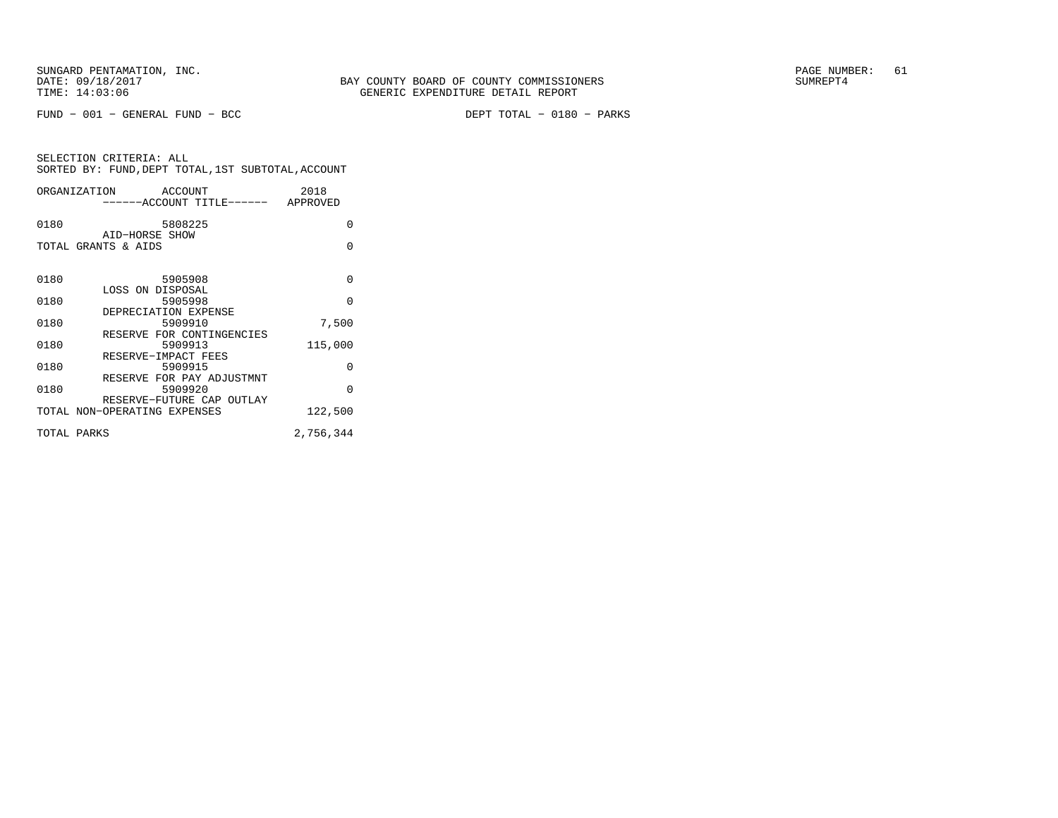FUND − 001 − GENERAL FUND − BCC DEPT TOTAL − 0180 − PARKS

| ORGANIZATION | ACCOUNT                               | 2018      |
|--------------|---------------------------------------|-----------|
|              | ------ACCOUNT TITLE------ APPROVED    |           |
| 0180         | 5808225                               | $\Omega$  |
|              | AID-HORSE SHOW<br>TOTAL GRANTS & AIDS | O         |
|              |                                       |           |
| 0180         | 5905908                               | $\Omega$  |
| 0180         | LOSS ON DISPOSAL<br>5905998           | $\Omega$  |
|              | DEPRECIATION EXPENSE                  |           |
| 0180         | 5909910                               | 7,500     |
| 0180         | RESERVE FOR CONTINGENCIES<br>5909913  | 115,000   |
|              | RESERVE-IMPACT FEES                   |           |
| 0180         | 5909915<br>RESERVE FOR PAY ADJUSTMNT  | $\Omega$  |
| 0180         | 5909920                               | $\Omega$  |
|              | RESERVE-FUTURE CAP OUTLAY             |           |
|              | TOTAL NON-OPERATING EXPENSES          | 122,500   |
| TOTAL PARKS  |                                       | 2,756,344 |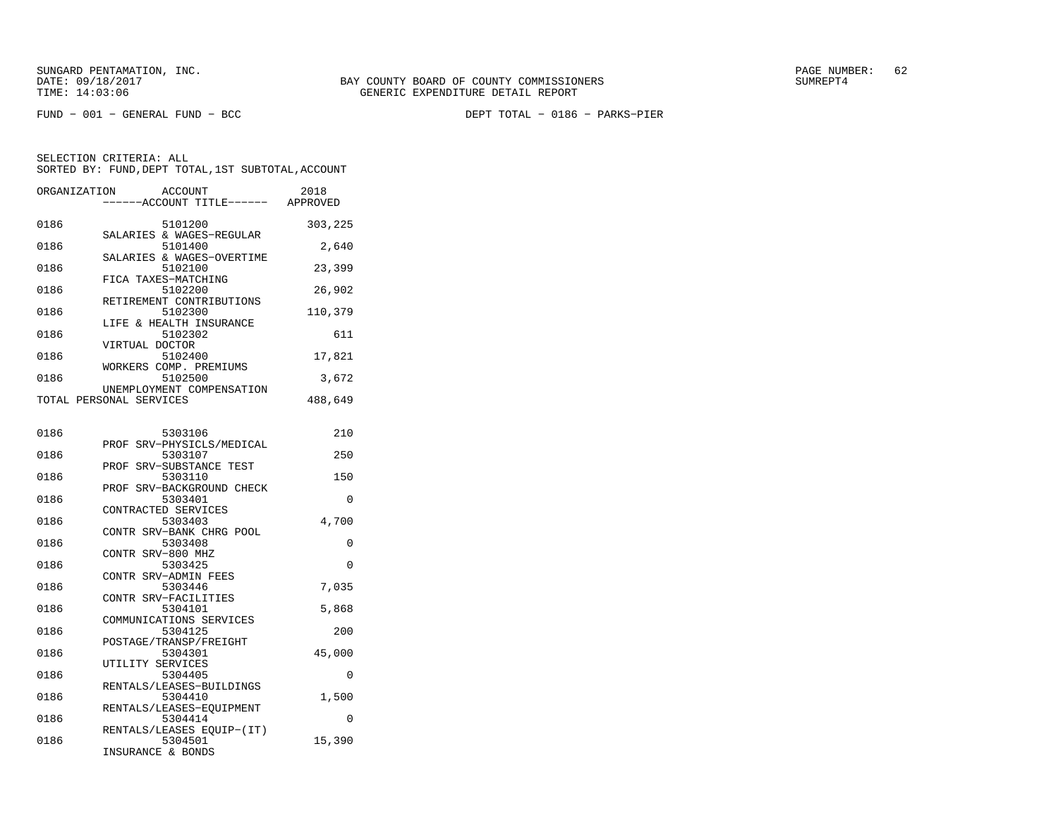FUND − 001 − GENERAL FUND − BCC DEPT TOTAL − 0186 − PARKS−PIER

| ORGANIZATION | ACCOUNT<br>---ACCOUNT TITLE------ APPROVED                       | 2018     |
|--------------|------------------------------------------------------------------|----------|
| 0186         | 5101200                                                          | 303,225  |
| 0186         | SALARIES & WAGES-REGULAR<br>5101400<br>SALARIES & WAGES-OVERTIME | 2,640    |
| 0186         | 5102100<br>FICA TAXES-MATCHING                                   | 23,399   |
| 0186         | 5102200<br>RETIREMENT CONTRIBUTIONS                              | 26,902   |
| 0186         | 5102300<br>LIFE & HEALTH INSURANCE                               | 110,379  |
| 0186         | 5102302<br>VIRTUAL DOCTOR                                        | 611      |
| 0186         | 5102400<br>WORKERS COMP. PREMIUMS                                | 17,821   |
| 0186         | 5102500<br>UNEMPLOYMENT COMPENSATION                             | 3,672    |
|              | TOTAL PERSONAL SERVICES                                          | 488,649  |
| 0186         | 5303106                                                          | 210      |
| 0186         | PROF SRV-PHYSICLS/MEDICAL<br>5303107                             | 250      |
| 0186         | PROF SRV-SUBSTANCE TEST<br>5303110                               | 150      |
| 0186         | PROF SRV-BACKGROUND CHECK<br>5303401                             | 0        |
| 0186         | CONTRACTED SERVICES<br>5303403                                   | 4,700    |
| 0186         | CONTR SRV-BANK CHRG POOL<br>5303408                              | 0        |
| 0186         | CONTR SRV-800 MHZ<br>5303425                                     | $\Omega$ |
| 0186         | CONTR SRV-ADMIN FEES<br>5303446                                  | 7,035    |
| 0186         | CONTR SRV-FACILITIES<br>5304101                                  | 5,868    |
| 0186         | COMMUNICATIONS SERVICES<br>5304125                               | 200      |
| 0186         | POSTAGE/TRANSP/FREIGHT<br>5304301<br>UTILITY SERVICES            | 45,000   |
| 0186         | 5304405<br>RENTALS/LEASES-BUILDINGS                              | 0        |
| 0186         | 5304410<br>RENTALS/LEASES-EOUIPMENT                              | 1,500    |
| 0186         | 5304414<br>RENTALS/LEASES EQUIP-(IT)                             | $\Omega$ |
| 0186         | 5304501<br>INSURANCE & BONDS                                     | 15,390   |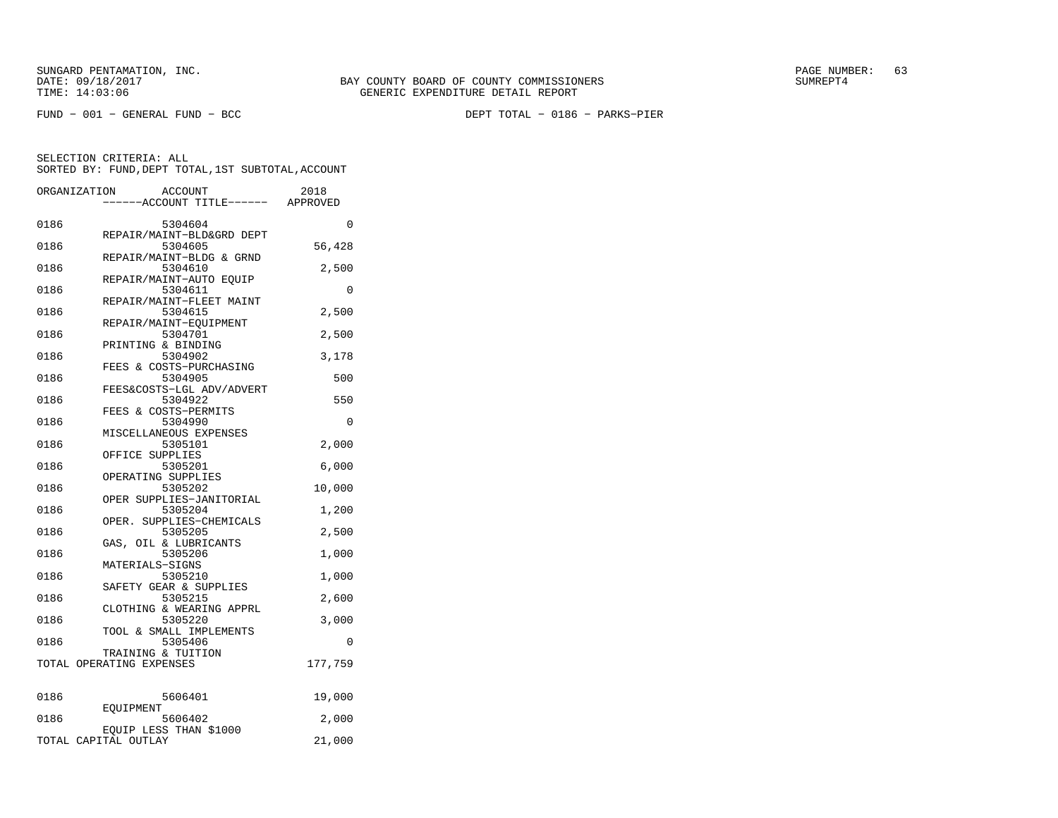FUND − 001 − GENERAL FUND − BCC DEPT TOTAL − 0186 − PARKS−PIER

|      | ORGANIZATION<br>ACCOUNT<br>---ACCOUNT TITLE------ APPROVED | 2018    |
|------|------------------------------------------------------------|---------|
| 0186 | 5304604                                                    | 0       |
| 0186 | REPAIR/MAINT-BLD&GRD DEPT<br>5304605                       | 56,428  |
| 0186 | REPAIR/MAINT-BLDG & GRND<br>5304610                        | 2,500   |
| 0186 | REPAIR/MAINT-AUTO EOUIP<br>5304611                         | 0       |
| 0186 | REPAIR/MAINT-FLEET MAINT<br>5304615                        | 2,500   |
| 0186 | REPAIR/MAINT-EQUIPMENT<br>5304701                          | 2,500   |
| 0186 | PRINTING & BINDING<br>5304902                              | 3,178   |
| 0186 | FEES & COSTS-PURCHASING<br>5304905                         | 500     |
| 0186 | FEES&COSTS-LGL ADV/ADVERT<br>5304922                       | 550     |
| 0186 | FEES & COSTS-PERMITS<br>5304990                            | 0       |
| 0186 | MISCELLANEOUS EXPENSES<br>5305101                          | 2,000   |
| 0186 | OFFICE SUPPLIES<br>5305201                                 | 6,000   |
| 0186 | OPERATING SUPPLIES<br>5305202                              | 10,000  |
| 0186 | OPER SUPPLIES-JANITORIAL<br>5305204                        | 1,200   |
| 0186 | OPER. SUPPLIES-CHEMICALS<br>5305205                        | 2,500   |
| 0186 | GAS, OIL & LUBRICANTS<br>5305206<br>MATERIALS-SIGNS        | 1,000   |
| 0186 | 5305210<br>SAFETY GEAR & SUPPLIES                          | 1,000   |
| 0186 | 5305215<br>CLOTHING & WEARING APPRL                        | 2,600   |
| 0186 | 5305220<br>TOOL & SMALL IMPLEMENTS                         | 3,000   |
| 0186 | 5305406<br>TRAINING & TUITION                              | 0       |
|      | TOTAL OPERATING EXPENSES                                   | 177,759 |
| 0186 | 5606401                                                    | 19,000  |
| 0186 | EOUIPMENT<br>5606402                                       | 2,000   |
|      | EQUIP LESS THAN \$1000<br>TOTAL CAPITAL OUTLAY             | 21,000  |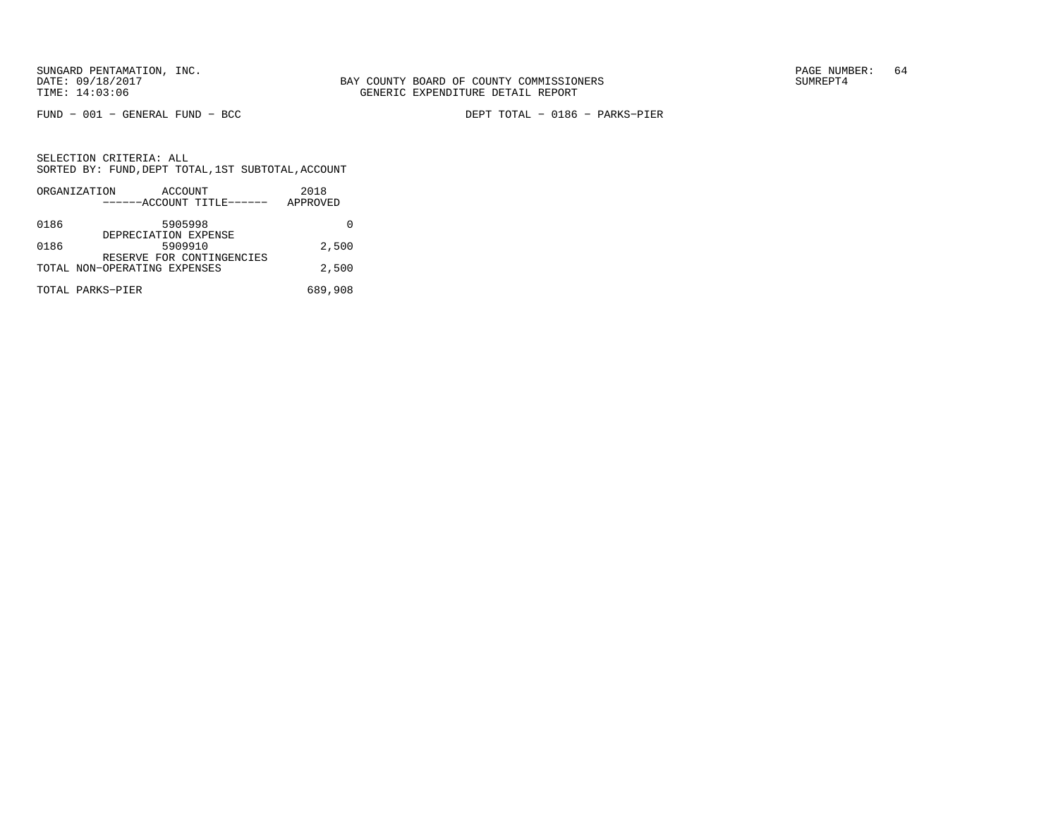FUND − 001 − GENERAL FUND − BCC DEPT TOTAL − 0186 − PARKS−PIER

|      | ORGANIZATION                 | ACCOUNT                         |                           | 2018     |
|------|------------------------------|---------------------------------|---------------------------|----------|
|      |                              |                                 | ------ACCOUNT TITLE------ | APPROVED |
| 0186 |                              | 5905998<br>DEPRECIATION EXPENSE |                           |          |
| 0186 |                              | 5909910                         | RESERVE FOR CONTINGENCIES | 2,500    |
|      | TOTAL NON-OPERATING EXPENSES |                                 |                           | 2,500    |
|      | TOTAL PARKS-PIER             |                                 |                           | 689,908  |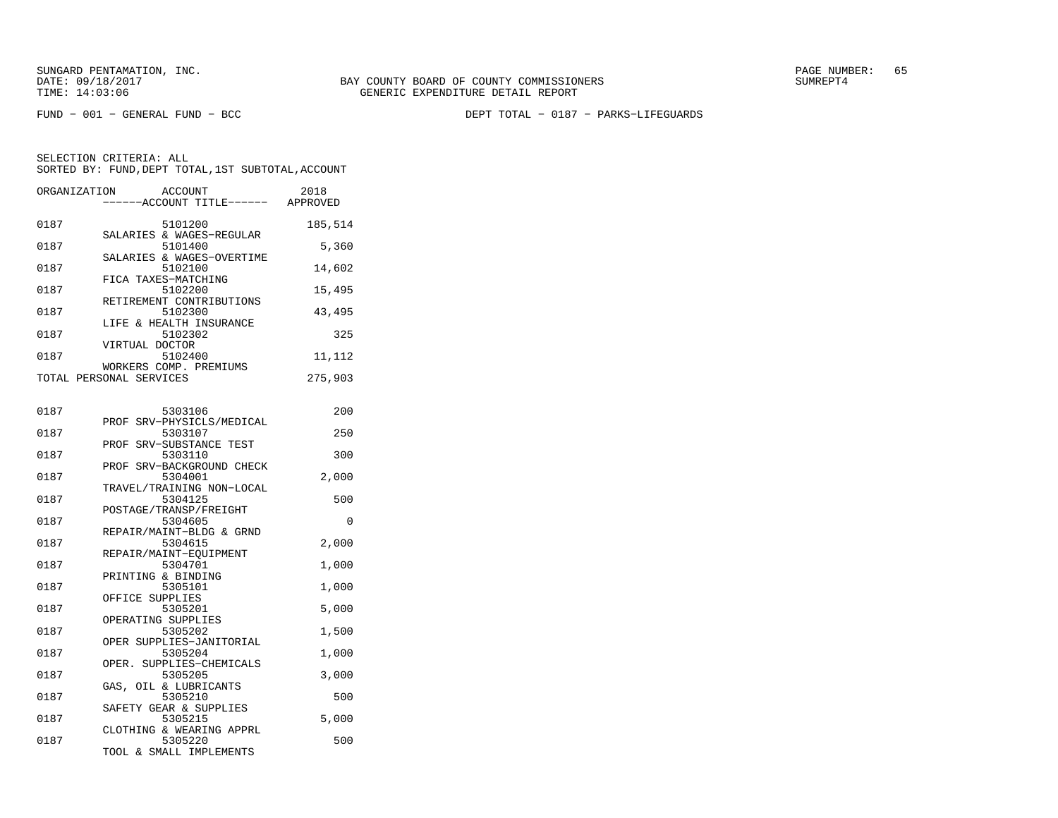FUND − 001 − GENERAL FUND − BCC DEPT TOTAL − 0187 − PARKS−LIFEGUARDS

SELECTION CRITERIA: ALLSORTED BY: FUND,DEPT TOTAL,1ST SUBTOTAL,ACCOUNT

|      | ORGANIZATION ACCOUNT<br>------ACCOUNT TITLE------ APPROVED | 2018    |
|------|------------------------------------------------------------|---------|
| 0187 | 5101200                                                    | 185,514 |
| 0187 | SALARIES & WAGES-REGULAR<br>5101400                        | 5,360   |
| 0187 | SALARIES & WAGES-OVERTIME<br>5102100                       | 14,602  |
| 0187 | FICA TAXES-MATCHING<br>5102200                             | 15,495  |
| 0187 | RETIREMENT CONTRIBUTIONS<br>5102300                        | 43,495  |
| 0187 | LIFE & HEALTH INSURANCE<br>5102302                         | 325     |
| 0187 | VIRTUAL DOCTOR<br>5102400                                  | 11,112  |
|      | WORKERS COMP. PREMIUMS<br>TOTAL PERSONAL SERVICES          | 275,903 |
|      |                                                            |         |
| 0187 | 5303106                                                    | 200     |
| 0187 | PROF SRV-PHYSICLS/MEDICAL<br>5303107                       | 250     |
| 0187 | PROF SRV-SUBSTANCE TEST<br>5303110                         | 300     |
|      | PROF SRV-BACKGROUND CHECK                                  |         |

|      | PROF SRV-BACKGROUND CHECK |          |
|------|---------------------------|----------|
| 0187 | 5304001                   | 2,000    |
|      | TRAVEL/TRAINING NON-LOCAL |          |
| 0187 | 5304125                   | 500      |
|      | POSTAGE/TRANSP/FREIGHT    |          |
| 0187 | 5304605                   | $\Omega$ |
|      | REPAIR/MAINT-BLDG & GRND  |          |
| 0187 | 5304615                   | 2,000    |
|      | REPAIR/MAINT-EOUIPMENT    |          |
| 0187 | 5304701                   | 1,000    |
|      | PRINTING & BINDING        |          |
| 0187 | 5305101                   | 1,000    |
|      | OFFICE SUPPLIES           |          |
| 0187 | 5305201                   | 5,000    |
|      | OPERATING SUPPLIES        |          |
| 0187 | 5305202                   | 1,500    |
|      | OPER SUPPLIES-JANITORIAL  |          |
| 0187 | 5305204                   | 1,000    |
|      | OPER. SUPPLIES-CHEMICALS  |          |
| 0187 | 5305205                   | 3,000    |
|      | GAS, OIL & LUBRICANTS     |          |
| 0187 | 5305210                   | 500      |
|      | SAFETY GEAR & SUPPLIES    |          |
| 0187 | 5305215                   | 5,000    |
|      | CLOTHING & WEARING APPRL  |          |
| 0187 | 5305220                   | 500      |

TOOL & SMALL IMPLEMENTS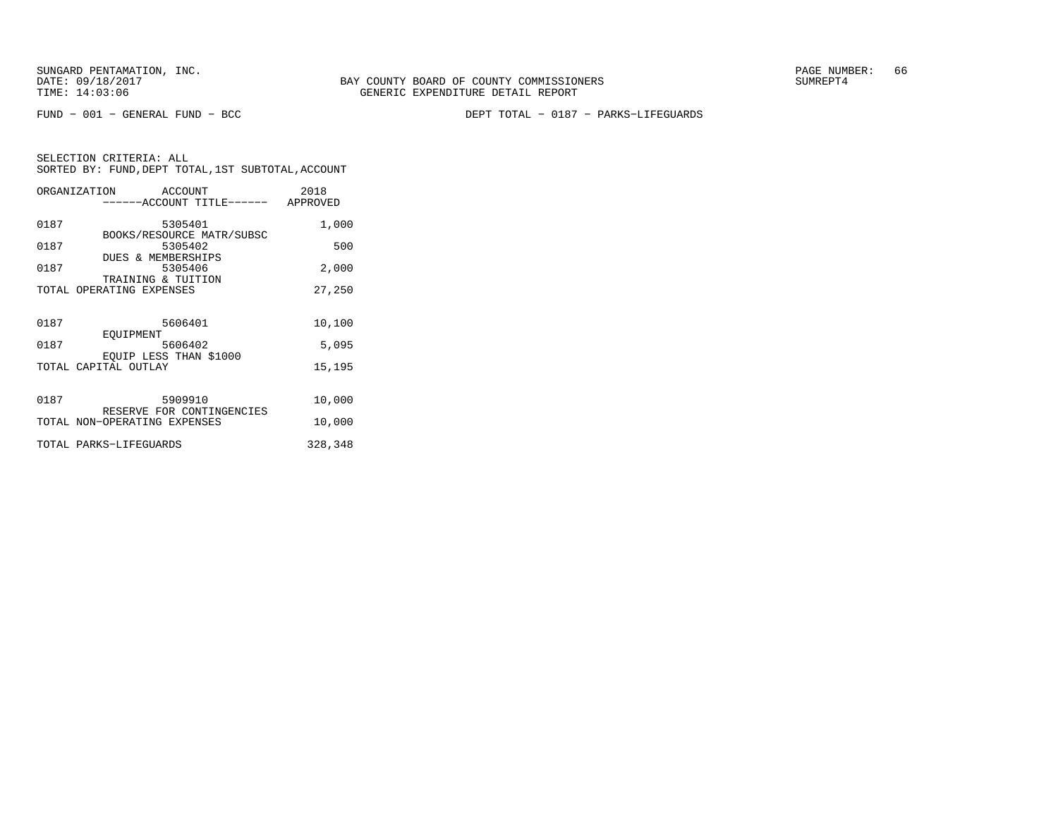FUND − 001 − GENERAL FUND − BCC DEPT TOTAL − 0187 − PARKS−LIFEGUARDS

|      | ORGANIZATION                                   | ACCOUNT | ------ACCOUNT TITLE------ APPROVED | 2018    |
|------|------------------------------------------------|---------|------------------------------------|---------|
|      |                                                |         |                                    |         |
| 0187 |                                                | 5305401 |                                    | 1,000   |
| 0187 |                                                | 5305402 | BOOKS/RESOURCE MATR/SUBSC          | 500     |
| 0187 | <b>DUES &amp; MEMBERSHIPS</b>                  | 5305406 |                                    | 2,000   |
|      | TRAINING & TUITION<br>TOTAL OPERATING EXPENSES |         |                                    | 27,250  |
|      |                                                |         |                                    |         |
| 0187 |                                                | 5606401 |                                    | 10,100  |
| 0187 | EOUIPMENT                                      | 5606402 |                                    | 5,095   |
|      | EQUIP LESS THAN \$1000<br>TOTAL CAPITAL OUTLAY |         |                                    | 15,195  |
|      |                                                |         |                                    |         |
| 0187 |                                                | 5909910 | RESERVE FOR CONTINGENCIES          | 10,000  |
|      | TOTAL NON-OPERATING EXPENSES                   |         |                                    | 10,000  |
|      | TOTAL PARKS-LIFEGUARDS                         |         |                                    | 328,348 |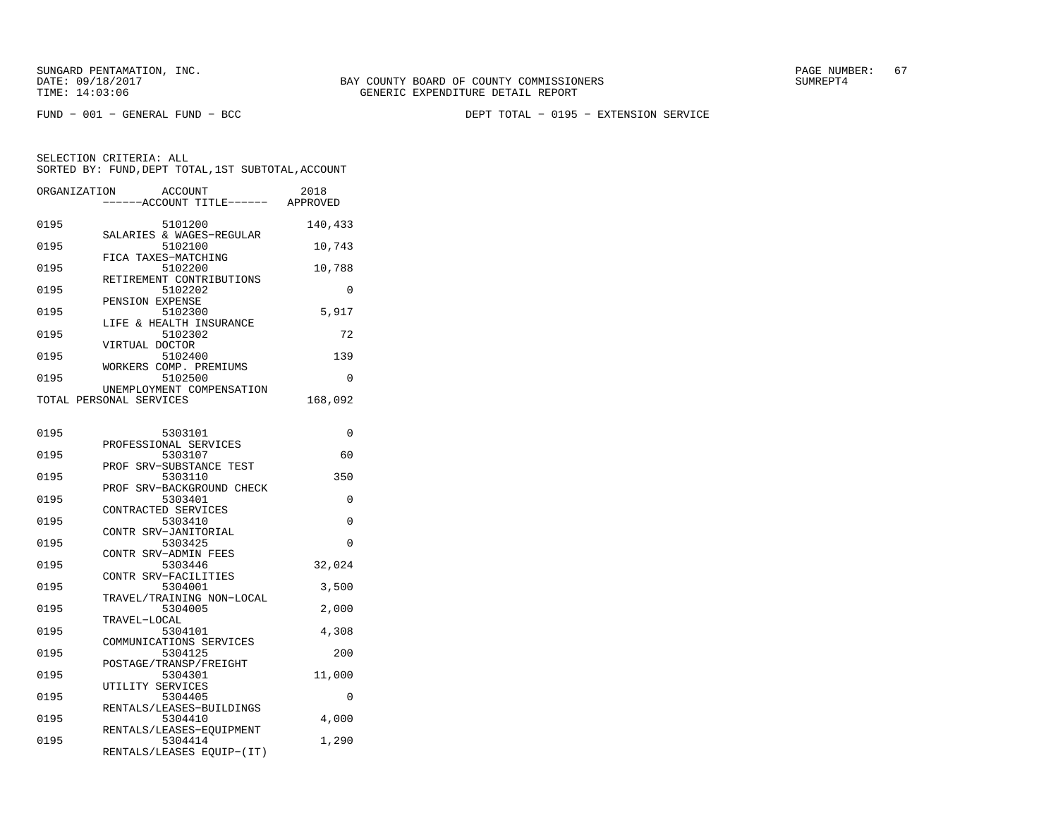FUND − 001 − GENERAL FUND − BCC DEPT TOTAL − 0195 − EXTENSION SERVICE

| ORGANIZATION | <b>ACCOUNT</b>                                                   | 2018<br>---ACCOUNT TITLE------ APPROVED |
|--------------|------------------------------------------------------------------|-----------------------------------------|
| 0195         | 5101200<br>SALARIES & WAGES-REGULAR                              | 140,433                                 |
| 0195         | 5102100<br>FICA TAXES-MATCHING                                   | 10,743                                  |
| 0195         | 5102200                                                          | 10,788                                  |
| 0195         | RETIREMENT CONTRIBUTIONS<br>5102202                              | 0                                       |
| 0195         | PENSION EXPENSE<br>5102300                                       | 5,917                                   |
| 0195         | LIFE & HEALTH INSURANCE<br>5102302                               | 72                                      |
| 0195         | VIRTUAL DOCTOR<br>5102400                                        | 139                                     |
| 0195         | WORKERS COMP. PREMIUMS<br>5102500                                | 0                                       |
|              | UNEMPLOYMENT COMPENSATION<br>TOTAL PERSONAL SERVICES             | 168,092                                 |
| 0195         | 5303101                                                          | 0                                       |
|              | PROFESSIONAL SERVICES                                            |                                         |
| 0195         | 5303107<br>PROF SRV-SUBSTANCE TEST                               | 60                                      |
| 0195         | 5303110<br>PROF SRV-BACKGROUND CHECK                             | 350                                     |
| 0195         | 5303401<br>CONTRACTED SERVICES                                   | 0                                       |
| 0195         | 5303410<br>CONTR SRV-JANITORIAL                                  | 0                                       |
| 0195         | 5303425<br>CONTR SRV-ADMIN FEES                                  | $\Omega$                                |
| 0195         | 5303446<br>CONTR SRV-FACILITIES                                  | 32,024                                  |
| 0195         | 5304001<br>TRAVEL/TRAINING NON-LOCAL                             | 3,500                                   |
| 0195         | 5304005<br>TRAVEL-LOCAL                                          | 2,000                                   |
| 0195         | 5304101                                                          | 4,308                                   |
| 0195         | COMMUNICATIONS SERVICES<br>5304125                               | 200                                     |
| 0195         | POSTAGE/TRANSP/FREIGHT<br>5304301                                | 11,000                                  |
| 0195         | UTILITY SERVICES<br>5304405                                      | 0                                       |
| 0195         | RENTALS/LEASES-BUILDINGS<br>5304410                              | 4,000                                   |
| 0195         | RENTALS/LEASES-EOUIPMENT<br>5304414<br>RENTALS/LEASES EQUIP-(IT) | 1,290                                   |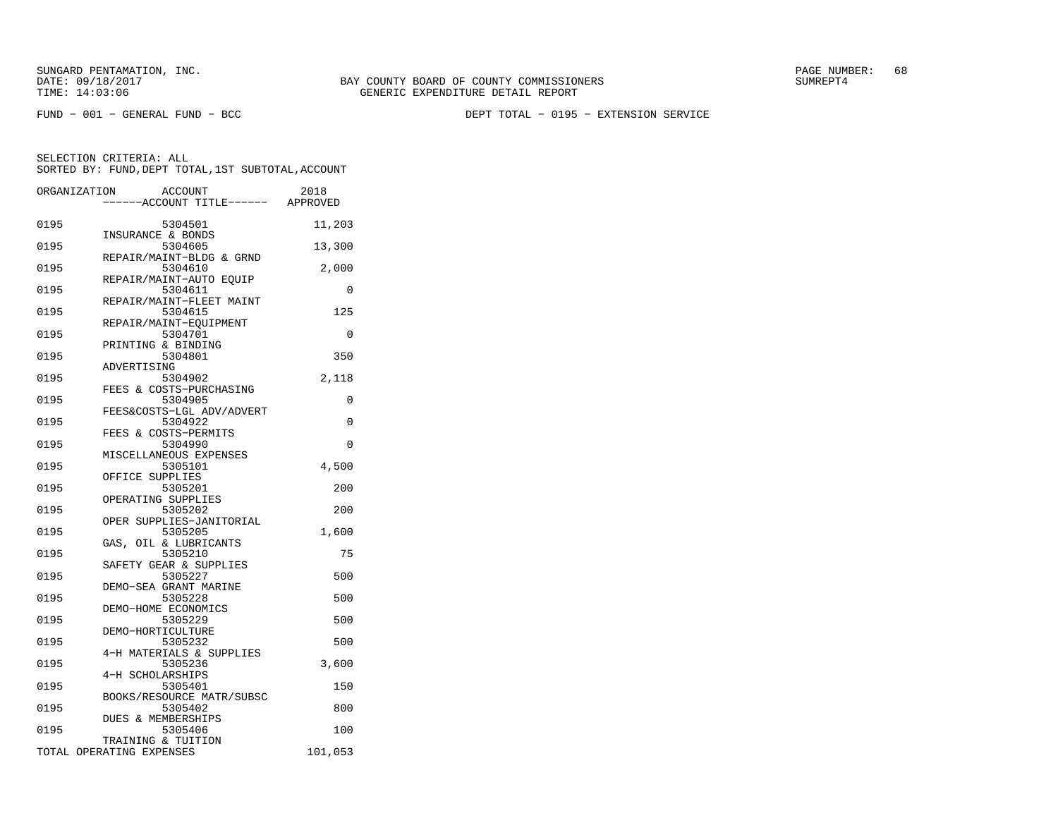FUND − 001 − GENERAL FUND − BCC DEPT TOTAL − 0195 − EXTENSION SERVICE

|      | <b>ACCOUNT</b><br>ORGANIZATION<br>---ACCOUNT TITLE------ APPROVED | 2018     |
|------|-------------------------------------------------------------------|----------|
| 0195 | 5304501<br>INSURANCE & BONDS                                      | 11,203   |
| 0195 | 5304605                                                           | 13,300   |
| 0195 | REPAIR/MAINT-BLDG & GRND<br>5304610                               | 2,000    |
| 0195 | REPAIR/MAINT-AUTO EQUIP<br>5304611                                | 0        |
| 0195 | REPAIR/MAINT-FLEET MAINT<br>5304615                               | 125      |
| 0195 | REPAIR/MAINT-EQUIPMENT<br>5304701                                 | 0        |
| 0195 | PRINTING & BINDING<br>5304801                                     | 350      |
| 0195 | ADVERTISING<br>5304902                                            | 2,118    |
| 0195 | FEES & COSTS-PURCHASING<br>5304905                                | 0        |
| 0195 | FEES&COSTS-LGL ADV/ADVERT<br>5304922                              | $\Omega$ |
| 0195 | FEES & COSTS-PERMITS<br>5304990                                   | $\Omega$ |
| 0195 | MISCELLANEOUS EXPENSES<br>5305101                                 | 4,500    |
| 0195 | OFFICE SUPPLIES<br>5305201                                        | 200      |
| 0195 | OPERATING SUPPLIES<br>5305202                                     | 200      |
| 0195 | OPER SUPPLIES-JANITORIAL<br>5305205                               | 1,600    |
| 0195 | GAS, OIL & LUBRICANTS<br>5305210                                  | 75       |
| 0195 | SAFETY GEAR & SUPPLIES<br>5305227                                 | 500      |
| 0195 | DEMO-SEA GRANT MARINE<br>5305228                                  | 500      |
| 0195 | DEMO-HOME ECONOMICS<br>5305229                                    | 500      |
| 0195 | DEMO-HORTICULTURE<br>5305232                                      | 500      |
| 0195 | 4-H MATERIALS & SUPPLIES<br>5305236                               | 3,600    |
| 0195 | 4-H SCHOLARSHIPS<br>5305401                                       | 150      |
| 0195 | BOOKS/RESOURCE MATR/SUBSC<br>5305402                              | 800      |
| 0195 | DUES & MEMBERSHIPS<br>5305406                                     | 100      |
|      | TRAINING & TUITION<br>TOTAL OPERATING EXPENSES                    | 101,053  |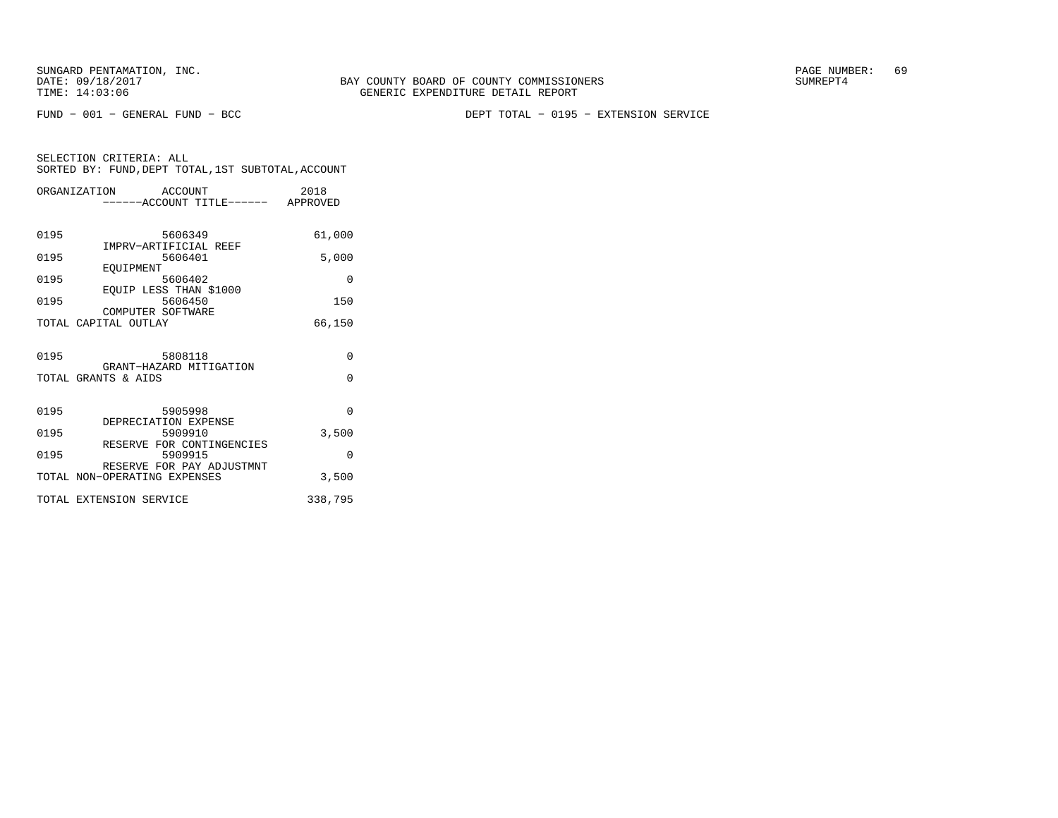FUND − 001 − GENERAL FUND − BCC DEPT TOTAL − 0195 − EXTENSION SERVICE

|      | ORGANIZATION ACCOUNT                      |         | -----ACCOUNT TITLE------ APPROVED | 2018     |
|------|-------------------------------------------|---------|-----------------------------------|----------|
|      |                                           |         |                                   |          |
| 0195 |                                           | 5606349 |                                   | 61,000   |
| 0195 | IMPRV-ARTIFICIAL REEF                     | 5606401 |                                   | 5,000    |
| 0195 | EOUIPMENT                                 | 5606402 |                                   | $\Omega$ |
| 0195 | EOUIP LESS THAN \$1000                    | 5606450 |                                   | 150      |
|      | COMPUTER SOFTWARE<br>TOTAL CAPITAL OUTLAY |         |                                   | 66,150   |
|      |                                           |         |                                   |          |
| 0195 |                                           | 5808118 | GRANT-HAZARD MITIGATION           | 0        |
|      | TOTAL GRANTS & AIDS                       |         |                                   | $\Omega$ |
|      |                                           |         |                                   |          |
| 0195 | DEPRECIATION EXPENSE                      | 5905998 |                                   | $\Omega$ |
| 0195 |                                           | 5909910 |                                   | 3,500    |
| 0195 |                                           | 5909915 | RESERVE FOR CONTINGENCIES         | $\Omega$ |
|      | TOTAL NON-OPERATING EXPENSES              |         | RESERVE FOR PAY ADJUSTMNT         | 3,500    |
|      | TOTAL EXTENSION SERVICE                   |         |                                   | 338,795  |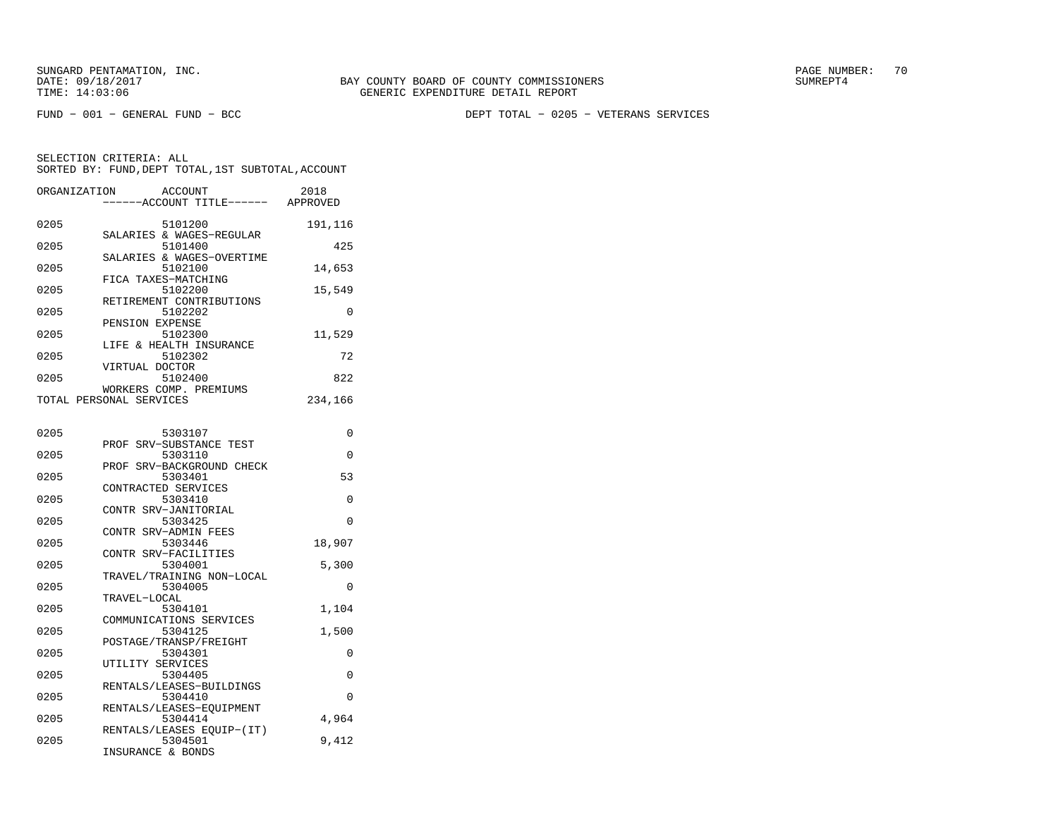FUND − 001 − GENERAL FUND − BCC DEPT TOTAL − 0205 − VETERANS SERVICES

| ORGANIZATION | <b>ACCOUNT</b><br>---ACCOUNT TITLE------ APPROVED | 2018     |
|--------------|---------------------------------------------------|----------|
| 0205         | 5101200<br>SALARIES & WAGES-REGULAR               | 191,116  |
| 0205         | 5101400<br>SALARIES & WAGES-OVERTIME              | 425      |
| 0205         | 5102100                                           | 14,653   |
| 0205         | FICA TAXES-MATCHING<br>5102200                    | 15,549   |
| 0205         | RETIREMENT CONTRIBUTIONS<br>5102202               | $\Omega$ |
| 0205         | PENSION EXPENSE<br>5102300                        | 11,529   |
| 0205         | LIFE & HEALTH INSURANCE<br>5102302                | 72       |
| 0205         | VIRTUAL DOCTOR<br>5102400                         | 822      |
|              | WORKERS COMP. PREMIUMS<br>TOTAL PERSONAL SERVICES | 234,166  |
| 0205         | 5303107                                           | 0        |
| 0205         | PROF SRV-SUBSTANCE TEST<br>5303110                | 0        |
| 0205         | PROF SRV-BACKGROUND CHECK<br>5303401              | 53       |
| 0205         | CONTRACTED SERVICES<br>5303410                    | 0        |
| 0205         | CONTR SRV-JANITORIAL<br>5303425                   | $\Omega$ |
|              | CONTR SRV-ADMIN FEES                              |          |
| 0205         | 5303446<br>CONTR SRV-FACILITIES                   | 18,907   |
| 0205         | 5304001<br>TRAVEL/TRAINING NON-LOCAL              | 5,300    |
| 0205         | 5304005<br>TRAVEL-LOCAL                           | $\Omega$ |
| 0205         | 5304101<br>COMMUNICATIONS SERVICES                | 1,104    |
| 0205         | 5304125<br>POSTAGE/TRANSP/FREIGHT                 | 1,500    |
| 0205         | 5304301<br>UTILITY SERVICES                       | $\Omega$ |
| 0205         | 5304405<br>RENTALS/LEASES-BUILDINGS               | 0        |
| 0205         | 5304410<br>RENTALS/LEASES-EQUIPMENT               | $\Omega$ |
| 0205         | 5304414<br>RENTALS/LEASES EQUIP-(IT)              | 4,964    |
| 0205         | 5304501<br>INSURANCE & RONDS                      | 9,412    |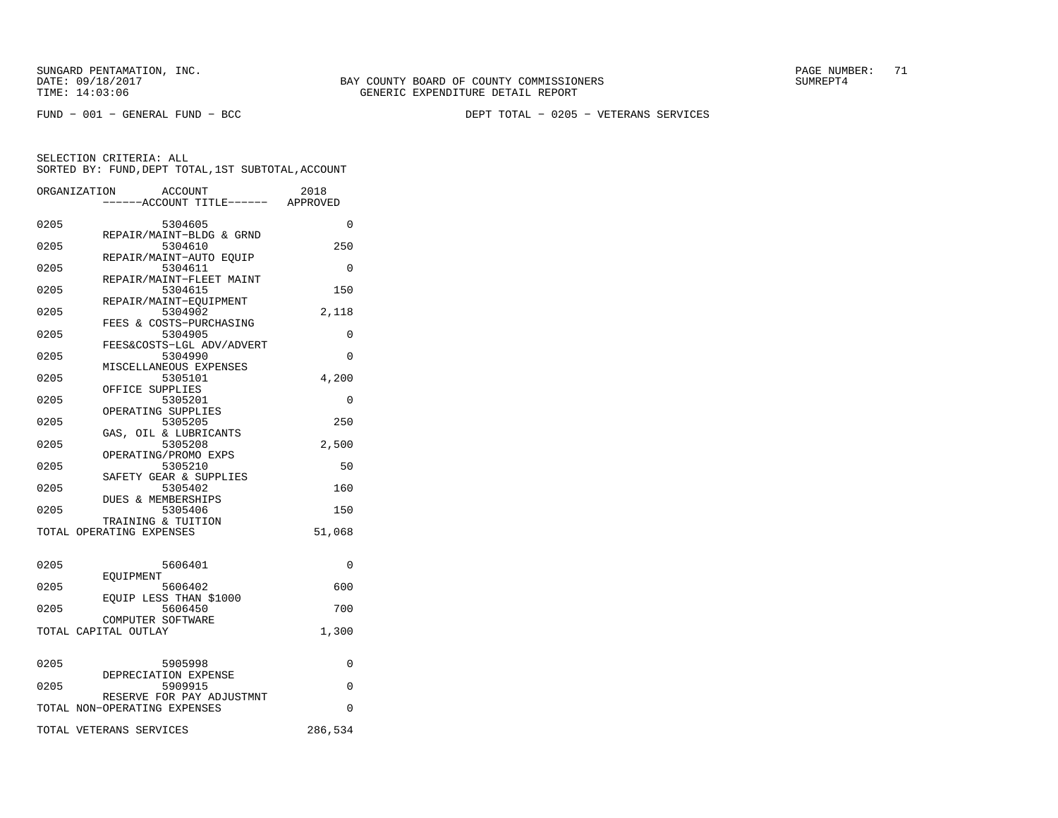FUND − 001 − GENERAL FUND − BCC DEPT TOTAL − 0205 − VETERANS SERVICES

|      | ORGANIZATION<br><b>ACCOUNT</b><br>----ACCOUNT TITLE------ APPROVED | 2018     |
|------|--------------------------------------------------------------------|----------|
| 0205 | 5304605                                                            | 0        |
| 0205 | REPAIR/MAINT-BLDG & GRND<br>5304610                                | 250      |
| 0205 | REPAIR/MAINT-AUTO EQUIP<br>5304611                                 | $\Omega$ |
| 0205 | REPAIR/MAINT-FLEET MAINT<br>5304615                                | 150      |
| 0205 | REPAIR/MAINT-EQUIPMENT<br>5304902                                  | 2,118    |
| 0205 | FEES & COSTS-PURCHASING<br>5304905                                 | $\Omega$ |
| 0205 | FEES&COSTS-LGL ADV/ADVERT<br>5304990                               | 0        |
| 0205 | MISCELLANEOUS EXPENSES<br>5305101                                  | 4,200    |
|      | OFFICE SUPPLIES                                                    |          |
| 0205 | 5305201<br>OPERATING SUPPLIES                                      | 0        |
| 0205 | 5305205<br>GAS, OIL & LUBRICANTS                                   | 250      |
| 0205 | 5305208<br>OPERATING/PROMO EXPS                                    | 2,500    |
| 0205 | 5305210<br>SAFETY GEAR & SUPPLIES                                  | 50       |
| 0205 | 5305402<br>DUES & MEMBERSHIPS                                      | 160      |
| 0205 | 5305406<br>TRAINING & TUITION                                      | 150      |
|      | TOTAL OPERATING EXPENSES                                           | 51,068   |
|      |                                                                    |          |
| 0205 | 5606401<br>EOUIPMENT                                               | 0        |
| 0205 | 5606402<br>EQUIP LESS THAN \$1000                                  | 600      |
| 0205 | 5606450<br>COMPUTER SOFTWARE                                       | 700      |
|      | TOTAL CAPITAL OUTLAY                                               | 1,300    |
| 0205 | 5905998                                                            | 0        |
| 0205 | DEPRECIATION EXPENSE<br>5909915                                    | $\Omega$ |
|      | RESERVE FOR PAY ADJUSTMNT<br>TOTAL NON-OPERATING EXPENSES          | $\Omega$ |
|      | TOTAL VETERANS SERVICES                                            | 286,534  |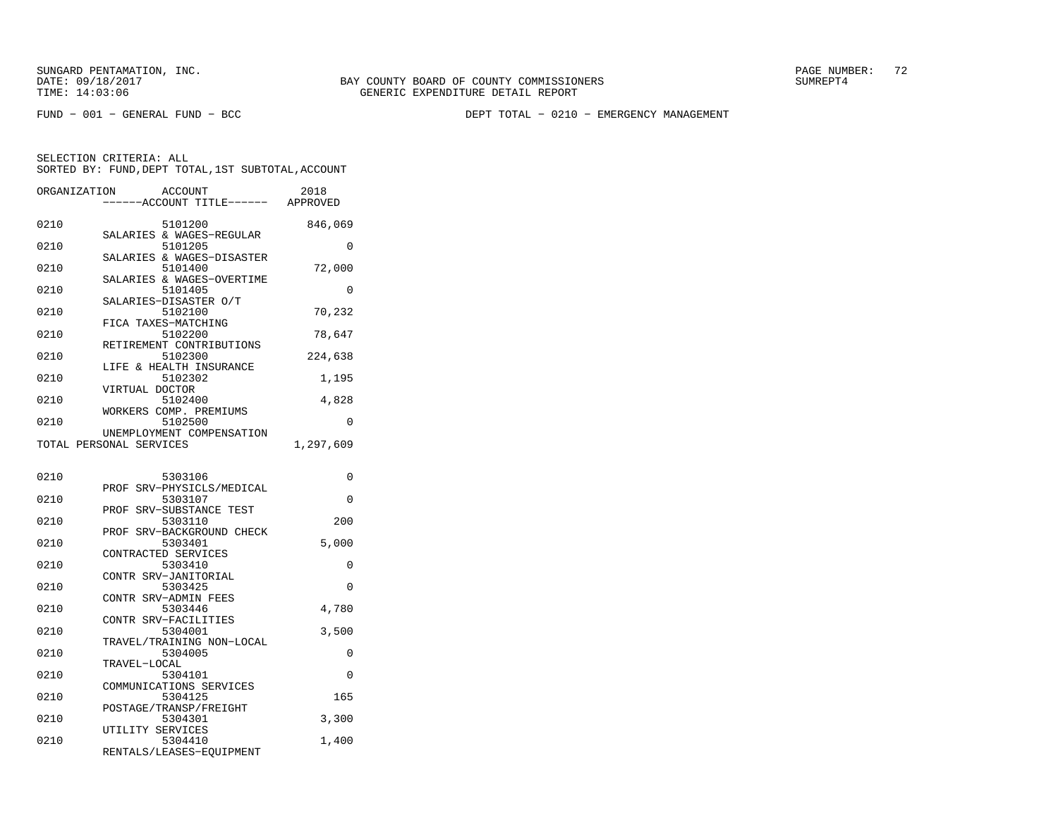FUND − 001 − GENERAL FUND − BCC DEPT TOTAL − 0210 − EMERGENCY MANAGEMENT

| ORGANIZATION | <b>ACCOUNT</b><br>---ACCOUNT TITLE------ APPROVED | 2018      |
|--------------|---------------------------------------------------|-----------|
|              |                                                   |           |
| 0210         | 5101200<br>SALARIES & WAGES-REGULAR               | 846,069   |
| 0210         | 5101205                                           | 0         |
| 0210         | SALARIES & WAGES-DISASTER<br>5101400              | 72,000    |
| 0210         | SALARIES & WAGES-OVERTIME<br>5101405              | 0         |
| 0210         | SALARIES-DISASTER O/T<br>5102100                  | 70,232    |
| 0210         | FICA TAXES-MATCHING<br>5102200                    | 78,647    |
| 0210         | RETIREMENT CONTRIBUTIONS<br>5102300               | 224,638   |
| 0210         | & HEALTH INSURANCE<br>LIFE<br>5102302             | 1,195     |
|              | VIRTUAL DOCTOR                                    |           |
| 0210         | 5102400<br>WORKERS COMP. PREMIUMS                 | 4,828     |
| 0210         | 5102500<br>UNEMPLOYMENT COMPENSATION              | $\Omega$  |
|              | TOTAL PERSONAL SERVICES                           | 1,297,609 |
| 0210         | 5303106                                           | 0         |
| 0210         | SRV-PHYSICLS/MEDICAL<br>PROF<br>5303107           | 0         |
| 0210         | SRV-SUBSTANCE TEST<br>PROF<br>5303110             | 200       |
| 0210         | SRV-BACKGROUND CHECK<br>PROF<br>5303401           | 5,000     |
| 0210         | CONTRACTED SERVICES<br>5303410                    | 0         |
|              | CONTR SRV-JANITORIAL                              |           |
| 0210         | 5303425<br>CONTR SRV-ADMIN FEES                   | 0         |
| 0210         | 5303446<br>CONTR SRV-FACILITIES                   | 4,780     |
| 0210         | 5304001<br>TRAVEL/TRAINING NON-LOCAL              | 3,500     |
| 0210         | 5304005<br>TRAVEL-LOCAL                           | 0         |
| 0210         | 5304101                                           | 0         |
| 0210         | COMMUNICATIONS SERVICES<br>5304125                | 165       |
| 0210         | POSTAGE/TRANSP/FREIGHT<br>5304301                 | 3,300     |
| 0210         | UTILITY SERVICES<br>5304410                       | 1,400     |
|              | RENTALS/LEASES-EQUIPMENT                          |           |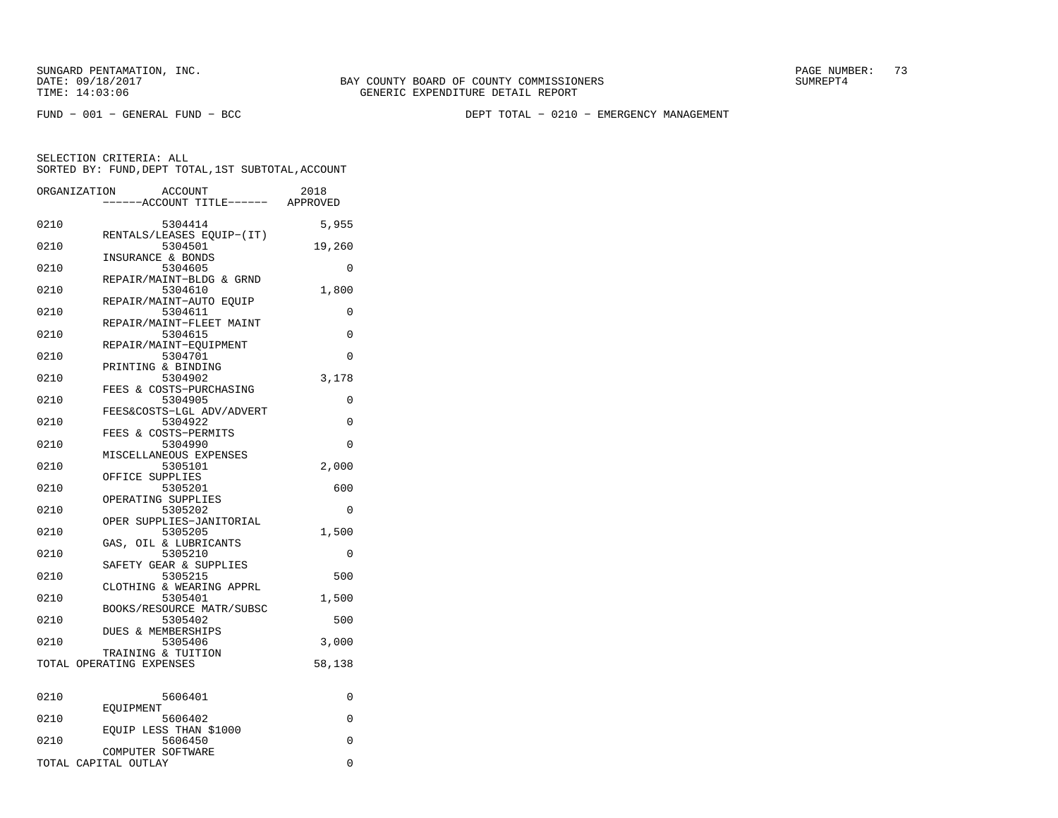FUND − 001 − GENERAL FUND − BCC DEPT TOTAL − 0210 − EMERGENCY MANAGEMENT

| ORGANIZATION | <b>ACCOUNT</b><br>---ACCOUNT TITLE------  | 2018<br>APPROVED |
|--------------|-------------------------------------------|------------------|
| 0210         | 5304414                                   | 5,955            |
| 0210         | RENTALS/LEASES EQUIP-(IT)<br>5304501      | 19,260           |
| 0210         | INSURANCE & BONDS<br>5304605              | 0                |
| 0210         | REPAIR/MAINT-BLDG & GRND<br>5304610       | 1,800            |
| 0210         | REPAIR/MAINT-AUTO EQUIP<br>5304611        | $\Omega$         |
| 0210         | REPAIR/MAINT-FLEET MAINT<br>5304615       | 0                |
| 0210         | REPAIR/MAINT-EOUIPMENT<br>5304701         | 0                |
| 0210         | PRINTING & BINDING<br>5304902             | 3,178            |
| 0210         | FEES & COSTS-PURCHASING<br>5304905        | 0                |
| 0210         | FEES&COSTS-LGL ADV/ADVERT<br>5304922      | 0                |
| 0210         | FEES & COSTS-PERMITS<br>5304990           | 0                |
| 0210         | MISCELLANEOUS EXPENSES<br>5305101         | 2,000            |
| 0210         | OFFICE SUPPLIES<br>5305201                | 600              |
| 0210         | OPERATING SUPPLIES<br>5305202             | 0                |
|              | OPER SUPPLIES-JANITORIAL                  |                  |
| 0210         | 5305205<br>GAS, OIL & LUBRICANTS          | 1,500            |
| 0210         | 5305210<br>SAFETY GEAR & SUPPLIES         | 0                |
| 0210         | 5305215<br>CLOTHING & WEARING APPRL       | 500              |
| 0210         | 5305401<br>BOOKS/RESOURCE MATR/SUBSC      | 1,500            |
| 0210         | 5305402<br><b>DUES &amp; MEMBERSHIPS</b>  | 500              |
| 0210         | 5305406<br>TRAINING & TUITION             | 3,000            |
|              | TOTAL OPERATING EXPENSES                  | 58,138           |
| 0210         | 5606401                                   | $\Omega$         |
| 0210         | EOUIPMENT<br>5606402                      | 0                |
| 0210         | EOUIP LESS THAN \$1000<br>5606450         | 0                |
|              | COMPUTER SOFTWARE<br>TOTAL CAPITAL OUTLAY | 0                |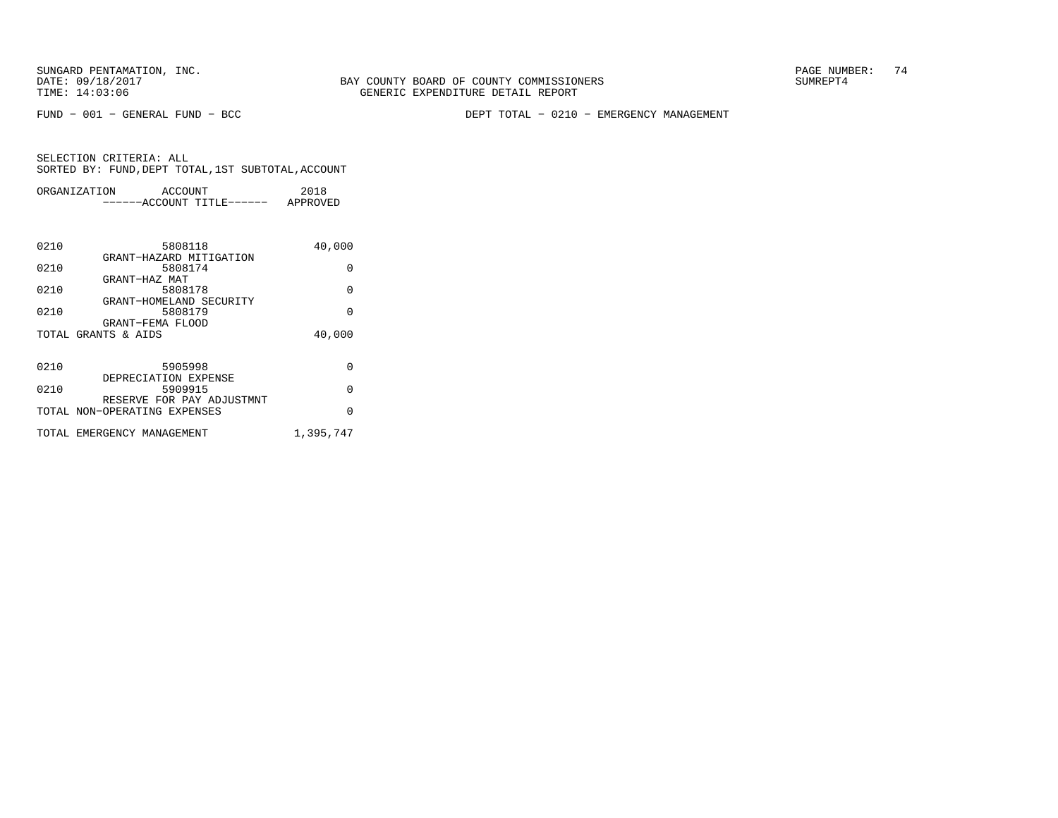FUND − 001 − GENERAL FUND − BCC DEPT TOTAL − 0210 − EMERGENCY MANAGEMENT

| ORGANIZATION | ACCOUNT               | 2018     |
|--------------|-----------------------|----------|
|              | $---ACCOINT TITLE---$ | APPROVED |

| 0210 | 5808118                                                   | 40,000    |
|------|-----------------------------------------------------------|-----------|
| 0210 | GRANT-HAZARD MITIGATION<br>5808174                        | $\Omega$  |
|      | GRANT-HAZ MAT                                             |           |
| 0210 | 5808178<br>GRANT-HOMELAND SECURITY                        | $\Omega$  |
| 0210 | 5808179                                                   | $\Omega$  |
|      | GRANT-FEMA FLOOD<br>TOTAL GRANTS & AIDS                   | 40,000    |
|      |                                                           |           |
| 0210 | 5905998                                                   | $\Omega$  |
|      | DEPRECIATION EXPENSE                                      |           |
| 0210 | 5909915                                                   | $\Omega$  |
|      | RESERVE FOR PAY ADJUSTMNT<br>TOTAL NON-OPERATING EXPENSES | $\Omega$  |
|      |                                                           |           |
|      | TOTAL EMERGENCY MANAGEMENT                                | 1,395,747 |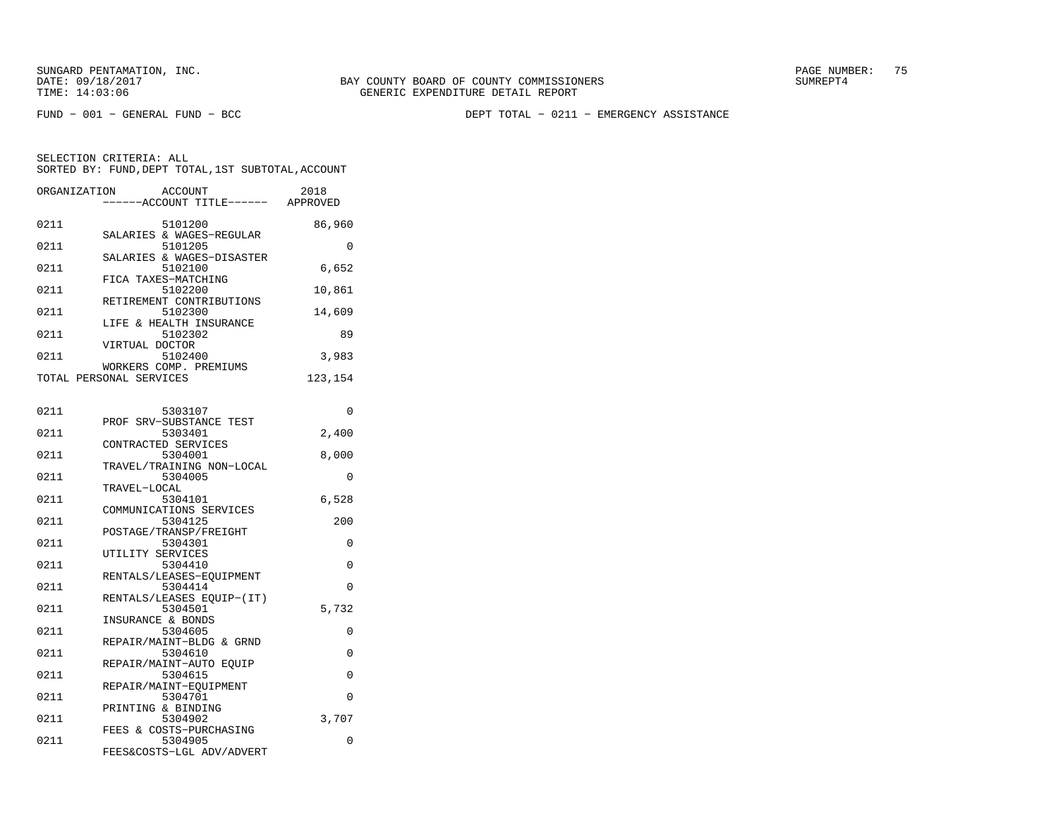FUND − 001 − GENERAL FUND − BCC DEPT TOTAL − 0211 − EMERGENCY ASSISTANCE

| ORGANIZATION | <b>ACCOUNT</b><br>--ACCOUNT TITLE------           | 2018<br>APPROVED |
|--------------|---------------------------------------------------|------------------|
| 0211         | 5101200<br>SALARIES & WAGES-REGULAR               | 86,960           |
| 0211         | 5101205                                           | 0                |
| 0211         | SALARIES & WAGES-DISASTER<br>5102100              | 6,652            |
| 0211         | FICA TAXES-MATCHING<br>5102200                    | 10,861           |
| 0211         | RETIREMENT CONTRIBUTIONS<br>5102300               | 14,609           |
| 0211         | LIFE & HEALTH INSURANCE<br>5102302                | 89               |
| 0211         | VIRTUAL DOCTOR<br>5102400                         | 3,983            |
|              | WORKERS COMP. PREMIUMS<br>TOTAL PERSONAL SERVICES | 123,154          |
|              |                                                   |                  |
| 0211         | 5303107<br>PROF SRV-SUBSTANCE TEST                | 0                |
| 0211         | 5303401                                           | 2,400            |
| 0211         | CONTRACTED SERVICES<br>5304001                    | 8,000            |
| 0211         | TRAVEL/TRAINING NON-LOCAL<br>5304005              | 0                |
| 0211         | TRAVEL-LOCAL<br>5304101                           | 6,528            |
|              | COMMUNICATIONS SERVICES                           |                  |
| 0211         | 5304125                                           | 200              |
| 0211         | POSTAGE/TRANSP/FREIGHT<br>5304301                 | 0                |
|              | UTILITY SERVICES                                  |                  |
| 0211         | 5304410                                           | 0                |
| 0211         | RENTALS/LEASES-EQUIPMENT<br>5304414               | 0                |
|              | RENTALS/LEASES EQUIP-(IT)                         |                  |
| 0211         | 5304501<br>INSURANCE & BONDS                      | 5,732            |
| 0211         | 5304605                                           | 0                |
| 0211         | REPAIR/MAINT-BLDG & GRND<br>5304610               | 0                |
| 0211         | REPAIR/MAINT-AUTO EQUIP<br>5304615                | 0                |
|              | REPAIR/MAINT-EQUIPMENT                            |                  |
| 0211         | 5304701                                           | 0                |
| 0211         | PRINTING & BINDING<br>5304902                     | 3,707            |
| 0211         | FEES & COSTS-PURCHASING<br>5304905                | 0                |
|              | FEES&COSTS-LGL ADV/ADVERT                         |                  |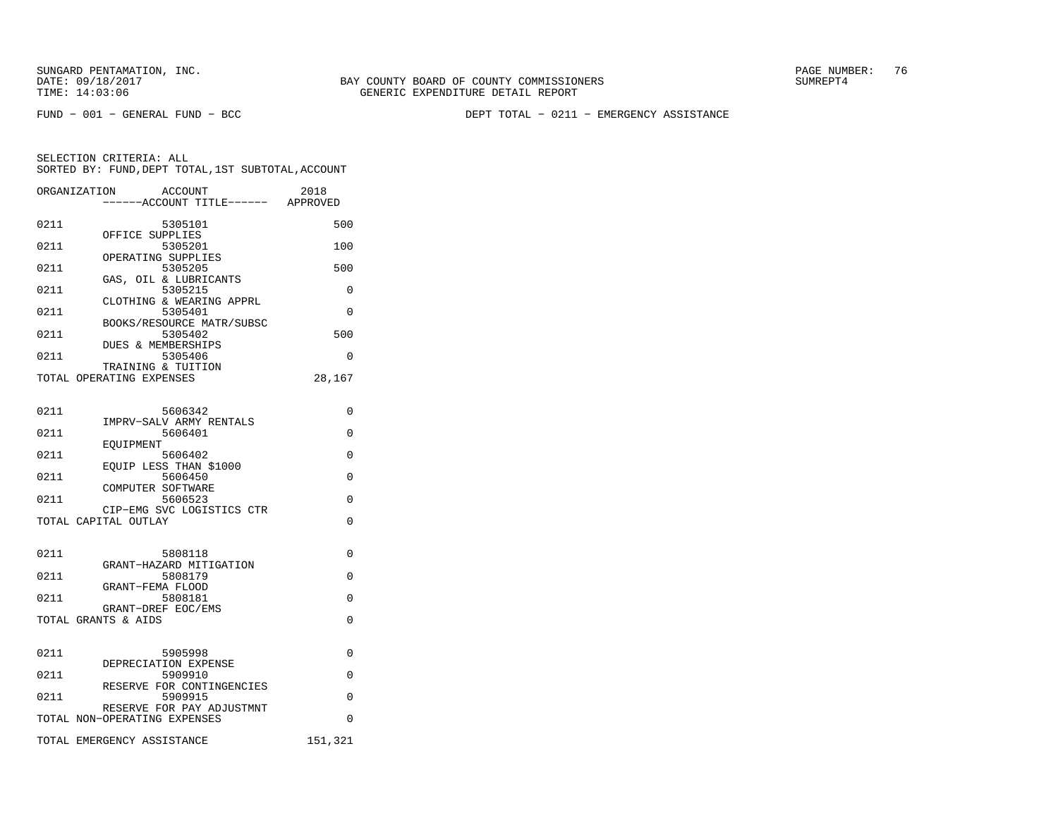FUND − 001 − GENERAL FUND − BCC DEPT TOTAL − 0211 − EMERGENCY ASSISTANCE

|      | ORGANIZATION                                   | <b>ACCOUNT</b><br>----ACCOUNT TITLE------ APPROVED | 2018     |
|------|------------------------------------------------|----------------------------------------------------|----------|
| 0211 |                                                | 5305101                                            | 500      |
| 0211 | OFFICE SUPPLIES                                | 5305201                                            | 100      |
| 0211 | OPERATING SUPPLIES                             | 5305205                                            | 500      |
| 0211 |                                                | GAS, OIL & LUBRICANTS<br>5305215                   | $\Omega$ |
| 0211 |                                                | CLOTHING & WEARING APPRL<br>5305401                | $\Omega$ |
| 0211 |                                                | BOOKS/RESOURCE MATR/SUBSC<br>5305402               | 500      |
| 0211 | <b>DUES &amp; MEMBERSHIPS</b>                  | 5305406                                            | $\Omega$ |
|      | TRAINING & TUITION<br>TOTAL OPERATING EXPENSES |                                                    | 28,167   |
| 0211 |                                                | 5606342<br>IMPRV-SALV ARMY RENTALS                 | $\Omega$ |
| 0211 | EOUIPMENT                                      | 5606401                                            | 0        |
| 0211 |                                                | 5606402<br>EOUIP LESS THAN \$1000                  | $\Omega$ |
| 0211 |                                                | 5606450                                            | $\Omega$ |
| 0211 | COMPUTER SOFTWARE                              | 5606523                                            | $\Omega$ |
|      | TOTAL CAPITAL OUTLAY                           | CIP-EMG SVC LOGISTICS CTR                          | $\Omega$ |
| 0211 |                                                | 5808118<br>GRANT-HAZARD MITIGATION                 | 0        |
| 0211 |                                                | 5808179                                            | $\Omega$ |
| 0211 | GRANT-FEMA FLOOD                               | 5808181                                            | $\Omega$ |
|      | GRANT-DREF EOC/EMS<br>TOTAL GRANTS & AIDS      |                                                    | $\Omega$ |
| 0211 |                                                | 5905998                                            | 0        |
| 0211 | DEPRECIATION EXPENSE                           | 5909910                                            | 0        |
| 0211 |                                                | RESERVE FOR CONTINGENCIES<br>5909915               | $\Omega$ |
|      | TOTAL NON-OPERATING EXPENSES                   | RESERVE FOR PAY ADJUSTMNT                          | 0        |
|      | TOTAL EMERGENCY ASSISTANCE                     |                                                    | 151,321  |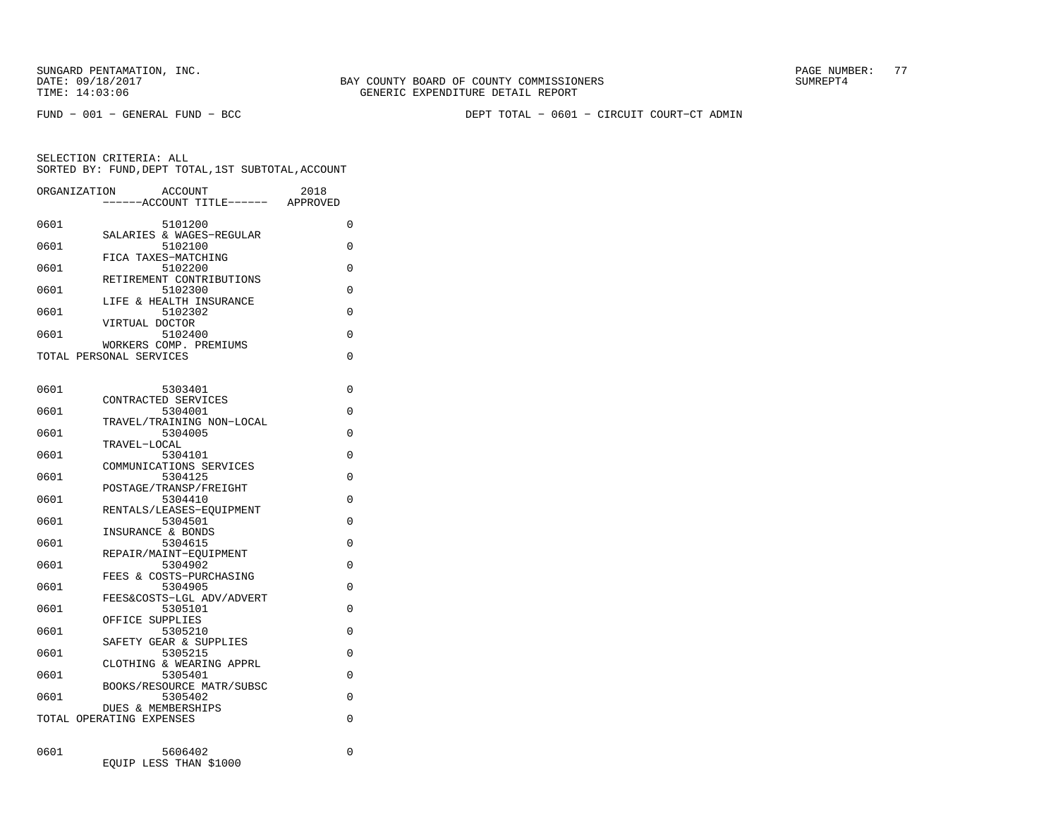FUND − 001 − GENERAL FUND − BCC DEPT TOTAL − 0601 − CIRCUIT COURT−CT ADMIN

SELECTION CRITERIA: ALLSORTED BY: FUND,DEPT TOTAL,1ST SUBTOTAL,ACCOUNT

|      | ORGANIZATION<br>ACCOUNT<br>---ACCOUNT TITLE------         | 2018<br>APPROVED |
|------|-----------------------------------------------------------|------------------|
| 0601 | 5101200                                                   | 0                |
| 0601 | SALARIES & WAGES-REGULAR<br>5102100                       | 0                |
| 0601 | FICA TAXES-MATCHING<br>5102200                            | 0                |
| 0601 | RETIREMENT CONTRIBUTIONS<br>5102300                       | 0                |
| 0601 | LIFE & HEALTH INSURANCE<br>5102302                        | 0                |
|      | VIRTUAL DOCTOR                                            |                  |
| 0601 | 5102400<br>WORKERS COMP. PREMIUMS                         | 0                |
|      | TOTAL PERSONAL SERVICES                                   | 0                |
| 0601 | 5303401                                                   | 0                |
|      | CONTRACTED SERVICES                                       |                  |
| 0601 | 5304001<br>TRAVEL/TRAINING NON-LOCAL                      | 0                |
| 0601 | 5304005<br>TRAVEL-LOCAL                                   | 0                |
| 0601 | 5304101                                                   | 0                |
| 0601 | COMMUNICATIONS SERVICES<br>5304125                        | 0                |
| 0601 | POSTAGE/TRANSP/FREIGHT<br>5304410                         | 0                |
|      | RENTALS/LEASES-EOUIPMENT                                  |                  |
| 0601 | 5304501<br>INSURANCE & BONDS                              | 0                |
| 0601 | 5304615<br>REPAIR/MAINT-EOUIPMENT                         | 0                |
| 0601 | 5304902                                                   | 0                |
| 0601 | FEES & COSTS-PURCHASING<br>5304905                        | 0                |
| 0601 | FEES&COSTS-LGL ADV/ADVERT<br>5305101                      | 0                |
|      | OFFICE SUPPLIES                                           |                  |
| 0601 | 5305210<br>SAFETY GEAR & SUPPLIES                         | 0                |
| 0601 | 5305215<br>CLOTHING & WEARING APPRL                       | 0                |
| 0601 | 5305401                                                   | 0                |
| 0601 | BOOKS/RESOURCE MATR/SUBSC<br>5305402                      | 0                |
|      | <b>DUES &amp; MEMBERSHIPS</b><br>TOTAL OPERATING EXPENSES | 0                |
|      |                                                           |                  |
| 0601 | 5606402                                                   | $\Omega$         |

EQUIP LESS THAN \$1000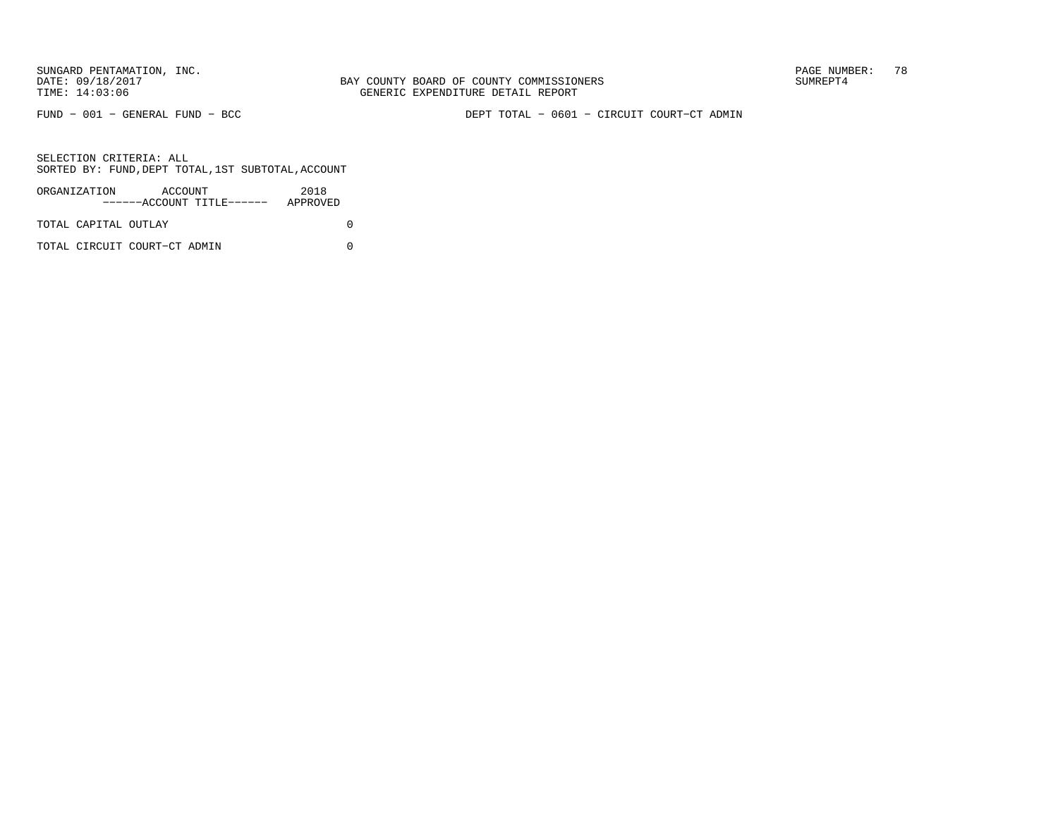FUND − 001 − GENERAL FUND − BCC DEPT TOTAL − 0601 − CIRCUIT COURT−CT ADMIN

| ORGANIZATION         | ACCOUNT                      | ------ACCOUNT TITLE------ | 2018<br>APPROVED |  |
|----------------------|------------------------------|---------------------------|------------------|--|
| TOTAL CAPITAL OUTLAY |                              |                           |                  |  |
|                      | TOTAL CIRCUIT COURT-CT ADMIN |                           |                  |  |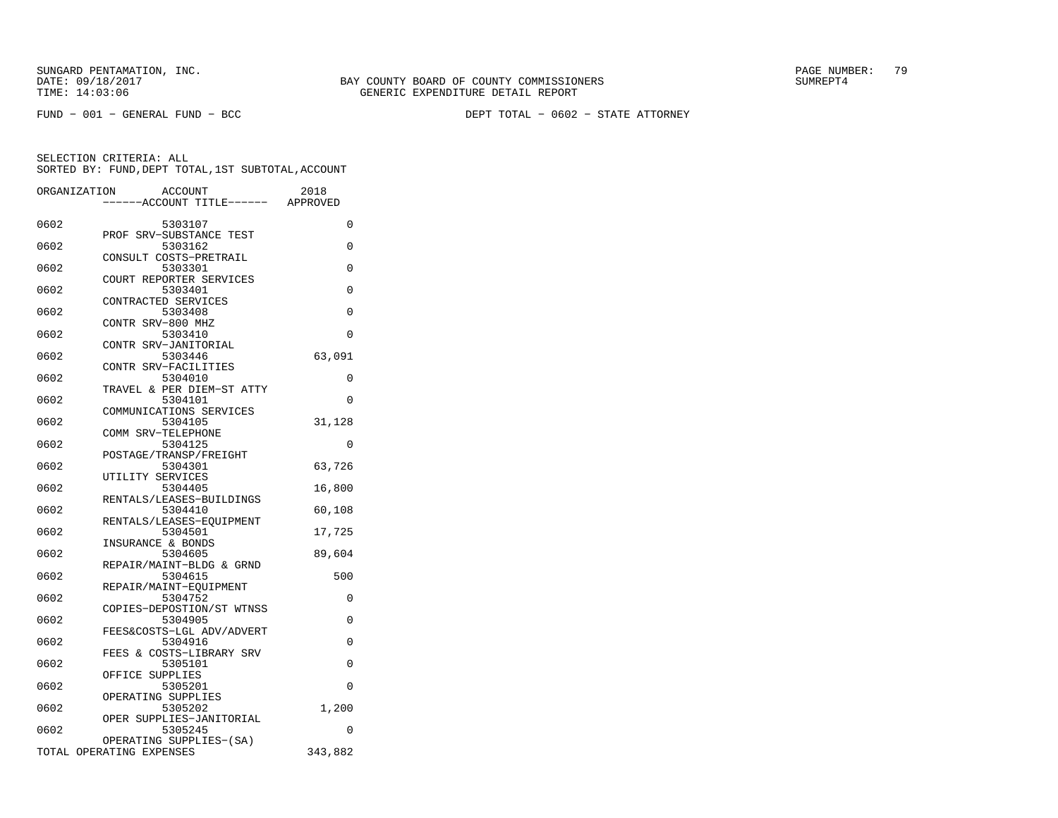FUND − 001 − GENERAL FUND − BCC DEPT TOTAL − 0602 − STATE ATTORNEY

|      | ORGANIZATION<br><b>ACCOUNT</b>     | 2018     |
|------|------------------------------------|----------|
|      | ---ACCOUNT TITLE------ APPROVED    |          |
| 0602 |                                    |          |
|      | 5303107<br>PROF SRV-SUBSTANCE TEST | 0        |
| 0602 | 5303162                            | 0        |
|      | CONSULT COSTS-PRETRAIL             |          |
| 0602 | 5303301                            | 0        |
|      | COURT REPORTER SERVICES            |          |
| 0602 | 5303401                            | 0        |
|      | CONTRACTED SERVICES                |          |
| 0602 | 5303408                            | 0        |
|      | CONTR SRV-800 MHZ                  |          |
| 0602 | 5303410<br>CONTR SRV-JANITORIAL    | 0        |
| 0602 | 5303446                            | 63,091   |
|      | CONTR SRV-FACILITIES               |          |
| 0602 | 5304010                            | 0        |
|      | TRAVEL & PER DIEM-ST ATTY          |          |
| 0602 | 5304101                            | $\Omega$ |
|      | COMMUNICATIONS SERVICES            |          |
| 0602 | 5304105                            | 31,128   |
|      | COMM SRV-TELEPHONE                 |          |
| 0602 | 5304125                            | 0        |
| 0602 | POSTAGE/TRANSP/FREIGHT<br>5304301  | 63,726   |
|      | UTILITY SERVICES                   |          |
| 0602 | 5304405                            | 16,800   |
|      | RENTALS/LEASES-BUILDINGS           |          |
| 0602 | 5304410                            | 60,108   |
|      | RENTALS/LEASES-EQUIPMENT           |          |
| 0602 | 5304501                            | 17,725   |
|      | INSURANCE & BONDS                  |          |
| 0602 | 5304605                            | 89,604   |
|      | REPAIR/MAINT-BLDG & GRND           |          |
| 0602 | 5304615<br>REPAIR/MAINT-EOUIPMENT  | 500      |
| 0602 | 5304752                            | 0        |
|      | COPIES-DEPOSTION/ST WTNSS          |          |
| 0602 | 5304905                            | $\Omega$ |
|      | FEES&COSTS-LGL ADV/ADVERT          |          |
| 0602 | 5304916                            | $\Omega$ |
|      | FEES & COSTS-LIBRARY SRV           |          |
| 0602 | 5305101                            | 0        |
| 0602 | OFFICE SUPPLIES<br>5305201         | 0        |
|      | OPERATING SUPPLIES                 |          |
| 0602 | 5305202                            | 1,200    |
|      | OPER SUPPLIES-JANITORIAL           |          |
| 0602 | 5305245                            | 0        |
|      | OPERATING SUPPLIES-(SA)            |          |
|      | TOTAL OPERATING EXPENSES           | 343,882  |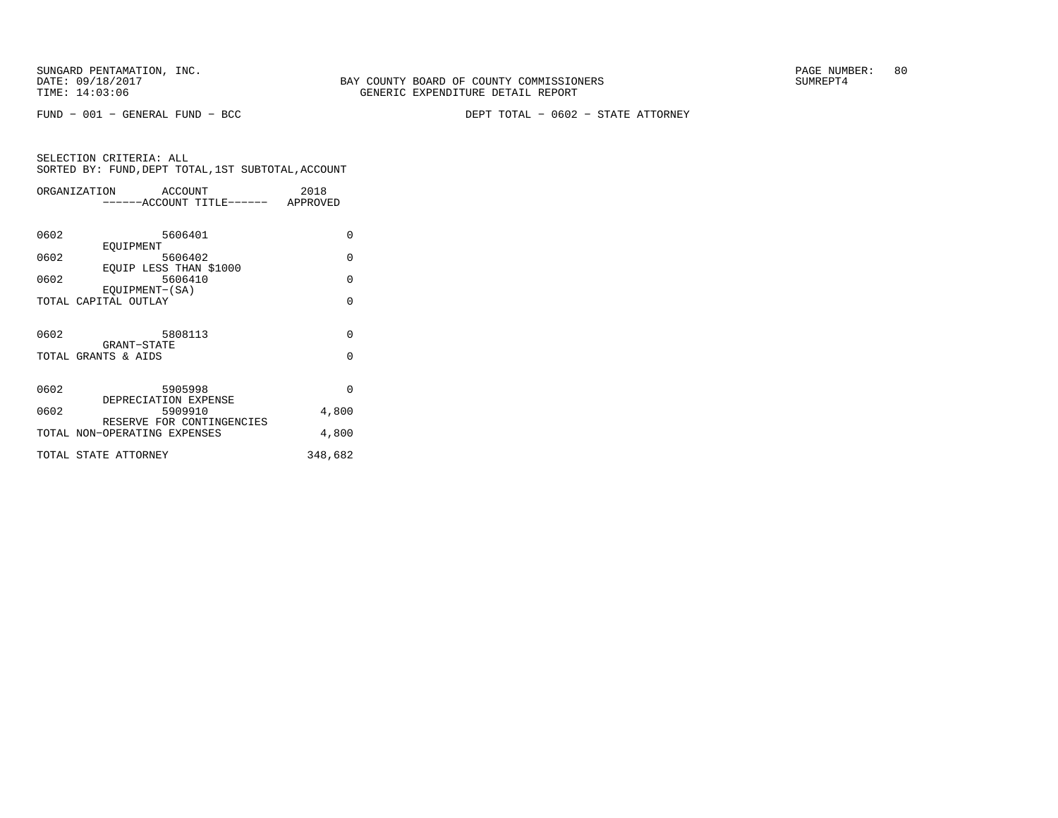FUND − 001 − GENERAL FUND − BCC DEPT TOTAL − 0602 − STATE ATTORNEY

|      | ORGANIZATION<br>ACCOUNT            | 2018     |
|------|------------------------------------|----------|
|      | ------ACCOUNT TITLE------ APPROVED |          |
|      |                                    |          |
| 0602 | 5606401                            | $\Omega$ |
|      | EOUIPMENT                          |          |
| 0602 | 5606402                            | $\Omega$ |
|      | EOUIP LESS THAN \$1000             |          |
| 0602 | 5606410                            | $\Omega$ |
|      | EOUIPMENT-(SA)                     |          |
|      | TOTAL CAPITAL OUTLAY               | $\Omega$ |
|      |                                    |          |
| 0602 | 5808113                            | $\Omega$ |
|      | GRANT-STATE                        |          |
|      | TOTAL GRANTS & AIDS                | $\Omega$ |
|      |                                    |          |
|      |                                    |          |
| 0602 | 5905998                            | $\Omega$ |
|      | DEPRECIATION EXPENSE               |          |
| 0602 | 5909910                            | 4,800    |
|      | RESERVE FOR CONTINGENCIES          |          |
|      | TOTAL NON-OPERATING EXPENSES       | 4,800    |
|      | TOTAL STATE ATTORNEY               | 348,682  |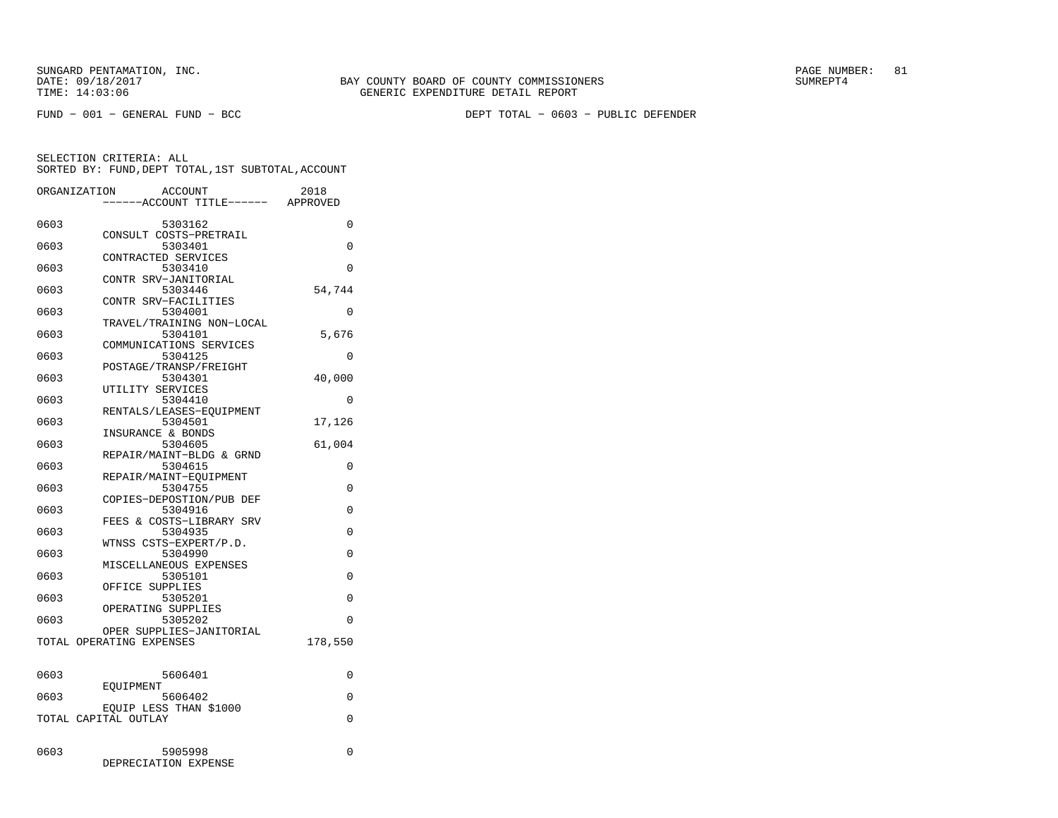FUND − 001 − GENERAL FUND − BCC DEPT TOTAL − 0603 − PUBLIC DEFENDER

|      | ORGANIZATION             | <b>ACCOUNT</b>                    |                           | 2018     |
|------|--------------------------|-----------------------------------|---------------------------|----------|
|      |                          |                                   | ---ACCOUNT TITLE------    | APPROVED |
| 0603 |                          | 5303162                           |                           | 0        |
|      |                          |                                   | CONSULT COSTS-PRETRAIL    |          |
| 0603 |                          | 5303401                           |                           | 0        |
| 0603 |                          | CONTRACTED SERVICES               |                           | $\Omega$ |
|      |                          | 5303410<br>CONTR SRV-JANITORIAL   |                           |          |
| 0603 |                          | 5303446                           |                           | 54,744   |
|      |                          | CONTR SRV-FACILITIES              |                           |          |
| 0603 |                          | 5304001                           |                           | 0        |
| 0603 |                          | 5304101                           | TRAVEL/TRAINING NON-LOCAL | 5,676    |
|      |                          |                                   | COMMUNICATIONS SERVICES   |          |
| 0603 |                          | 5304125                           |                           | $\Omega$ |
|      |                          | POSTAGE/TRANSP/FREIGHT            |                           |          |
| 0603 |                          | 5304301<br>UTILITY SERVICES       |                           | 40,000   |
| 0603 |                          | 5304410                           |                           | 0        |
|      |                          |                                   | RENTALS/LEASES-EOUIPMENT  |          |
| 0603 |                          | 5304501                           |                           | 17,126   |
|      |                          | INSURANCE & BONDS                 |                           |          |
| 0603 |                          | 5304605                           | REPAIR/MAINT-BLDG & GRND  | 61,004   |
| 0603 |                          | 5304615                           |                           | 0        |
|      |                          | REPAIR/MAINT-EQUIPMENT            |                           |          |
| 0603 |                          | 5304755                           |                           | $\Omega$ |
| 0603 |                          | 5304916                           | COPIES-DEPOSTION/PUB DEF  | 0        |
|      |                          |                                   | FEES & COSTS-LIBRARY SRV  |          |
| 0603 |                          | 5304935                           |                           | 0        |
|      |                          | WTNSS CSTS-EXPERT/P.D.            |                           |          |
| 0603 |                          | 5304990                           |                           | $\Omega$ |
| 0603 |                          | MISCELLANEOUS EXPENSES<br>5305101 |                           | 0        |
|      |                          | OFFICE SUPPLIES                   |                           |          |
| 0603 |                          | 5305201                           |                           | 0        |
|      |                          | OPERATING SUPPLIES                |                           |          |
| 0603 |                          | 5305202                           | OPER SUPPLIES-JANITORIAL  | 0        |
|      | TOTAL OPERATING EXPENSES |                                   |                           | 178,550  |
|      |                          |                                   |                           |          |
|      |                          |                                   |                           |          |
| 0603 | EOUIPMENT                | 5606401                           |                           | 0        |
| 0603 |                          | 5606402                           |                           | $\Omega$ |
|      |                          | EQUIP LESS THAN \$1000            |                           |          |
|      | TOTAL CAPITAL OUTLAY     |                                   |                           | 0        |
|      |                          |                                   |                           |          |
| 0603 |                          | 5905998                           |                           | 0        |
|      |                          | DEPRECIATION EXPENSE              |                           |          |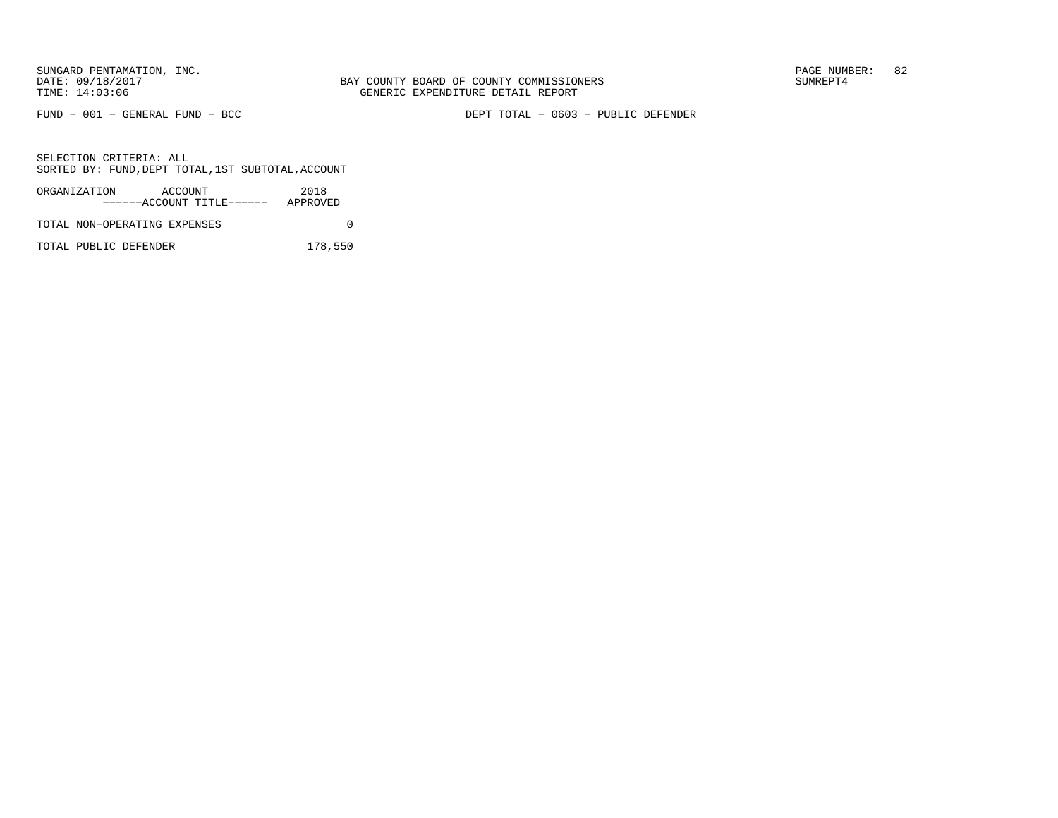FUND − 001 − GENERAL FUND − BCC DEPT TOTAL − 0603 − PUBLIC DEFENDER

SELECTION CRITERIA: ALLSORTED BY: FUND,DEPT TOTAL,1ST SUBTOTAL,ACCOUNT

| ORGANIZATION                 | ACCOUNT |                           | 2018     |  |
|------------------------------|---------|---------------------------|----------|--|
|                              |         | ------ACCOUNT TITLE------ | APPROVED |  |
| TOTAL NON-OPERATING EXPENSES |         |                           |          |  |

TOTAL PUBLIC DEFENDER 178,550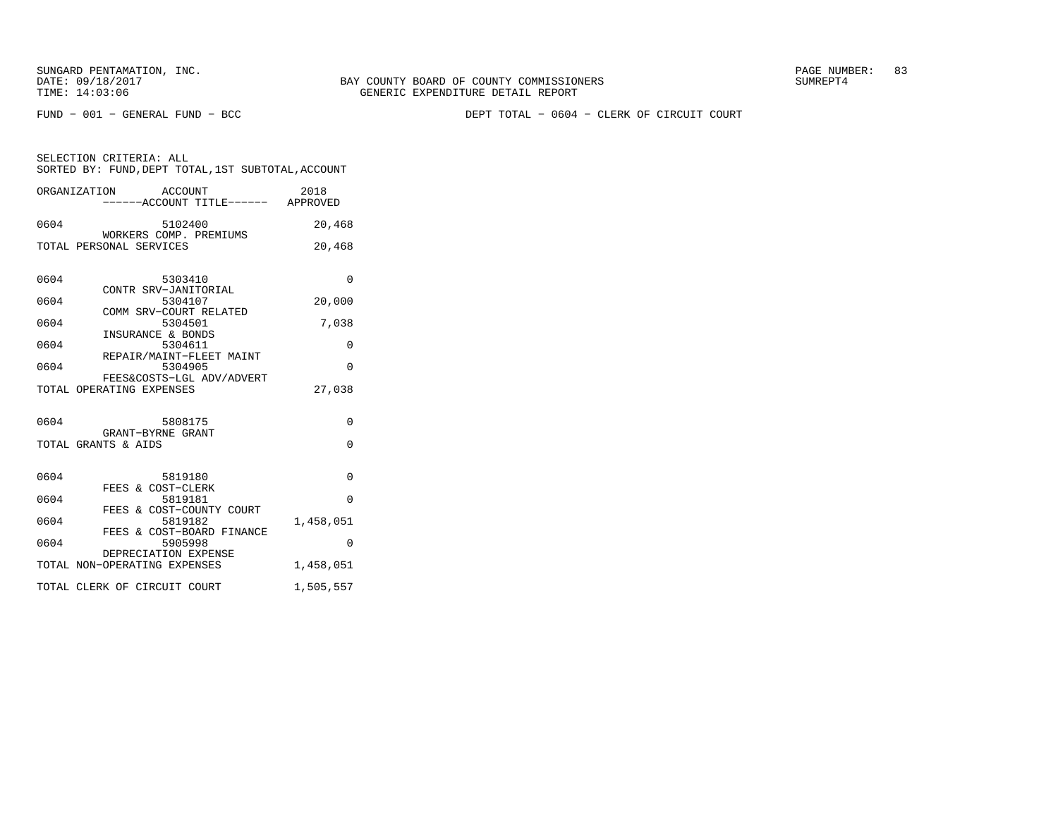FUND − 001 − GENERAL FUND − BCC DEPT TOTAL − 0604 − CLERK OF CIRCUIT COURT

| SELECTION CRITERIA: ALL |  |                                                    |  |
|-------------------------|--|----------------------------------------------------|--|
|                         |  | SORTED BY: FUND. DEPT TOTAL. 1ST SUBTOTAL. ACCOUNT |  |

|      | ORGANIZATION<br>ACCOUNT<br>-----ACCOUNT TITLE------ APPROVED | 2018      |
|------|--------------------------------------------------------------|-----------|
| 0604 | 5102400                                                      | 20,468    |
|      | WORKERS COMP. PREMIUMS<br>TOTAL PERSONAL SERVICES            | 20,468    |
| 0604 | 5303410                                                      | $\Omega$  |
| 0604 | CONTR SRV-JANITORIAL<br>5304107                              | 20,000    |
| 0604 | COMM SRV-COURT RELATED<br>5304501                            | 7,038     |
| 0604 | INSURANCE & BONDS<br>5304611                                 | 0         |
| 0604 | REPAIR/MAINT-FLEET MAINT<br>5304905                          | $\Omega$  |
|      | FEES&COSTS-LGL ADV/ADVERT<br>TOTAL OPERATING EXPENSES        | 27,038    |
| 0604 | 5808175<br>GRANT-BYRNE GRANT                                 | $\Omega$  |
|      | TOTAL GRANTS & AIDS                                          | $\Omega$  |
| 0604 | 5819180<br>FEES & COST-CLERK                                 | $\Omega$  |
| 0604 | 5819181                                                      | $\Omega$  |
| 0604 | FEES & COST-COUNTY COURT<br>5819182                          | 1,458,051 |
| 0604 | FEES & COST-BOARD FINANCE<br>5905998                         | $\Omega$  |
|      | DEPRECIATION EXPENSE<br>TOTAL NON-OPERATING EXPENSES         | 1,458,051 |
|      | TOTAL CLERK OF CIRCUIT COURT                                 | 1,505,557 |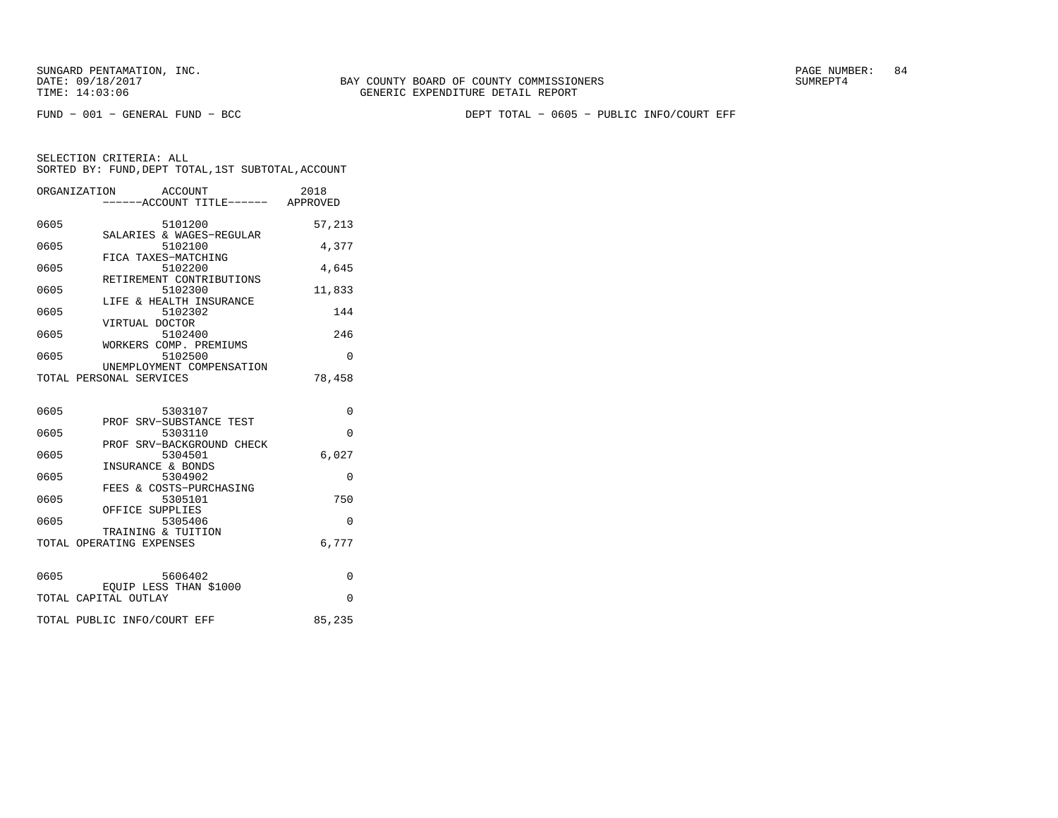FUND − 001 − GENERAL FUND − BCC DEPT TOTAL − 0605 − PUBLIC INFO/COURT EFF

| ORGANIZATION | ACCOUNT<br>-----ACCOUNT TITLE------ APPROVED         | 2018     |
|--------------|------------------------------------------------------|----------|
| 0605         | 5101200                                              | 57,213   |
| 0605         | SALARIES & WAGES-REGULAR<br>5102100                  | 4,377    |
| 0605         | FICA TAXES-MATCHING<br>5102200                       | 4,645    |
| 0605         | RETIREMENT CONTRIBUTIONS<br>5102300                  | 11,833   |
| 0605         | LIFE & HEALTH INSURANCE<br>5102302                   | 144      |
| 0605         | VIRTUAL DOCTOR<br>5102400                            | 246      |
| 0605         | WORKERS COMP. PREMIUMS<br>5102500                    | $\Omega$ |
|              | UNEMPLOYMENT COMPENSATION<br>TOTAL PERSONAL SERVICES | 78,458   |
| 0605         | 5303107                                              | $\Omega$ |
| 0605         | PROF SRV-SUBSTANCE TEST<br>5303110                   | $\Omega$ |
|              | PROF SRV-BACKGROUND CHECK                            |          |
| 0605         | 5304501<br>INSURANCE & BONDS                         | 6,027    |
| 0605         | 5304902<br>FEES & COSTS-PURCHASING                   | $\Omega$ |
| 0605         | 5305101<br>OFFICE SUPPLIES                           | 750      |
| 0605         | 5305406<br>TRAINING & TUITION                        | $\Omega$ |
|              | TOTAL OPERATING EXPENSES                             | 6.777    |

| 0605 | 5606402                     |        |
|------|-----------------------------|--------|
|      | EQUIP LESS THAN \$1000      |        |
|      | TOTAL CAPITAL OUTLAY        |        |
|      |                             |        |
|      | TOTAL PUBLIC INFO/COURT EFF | 85,235 |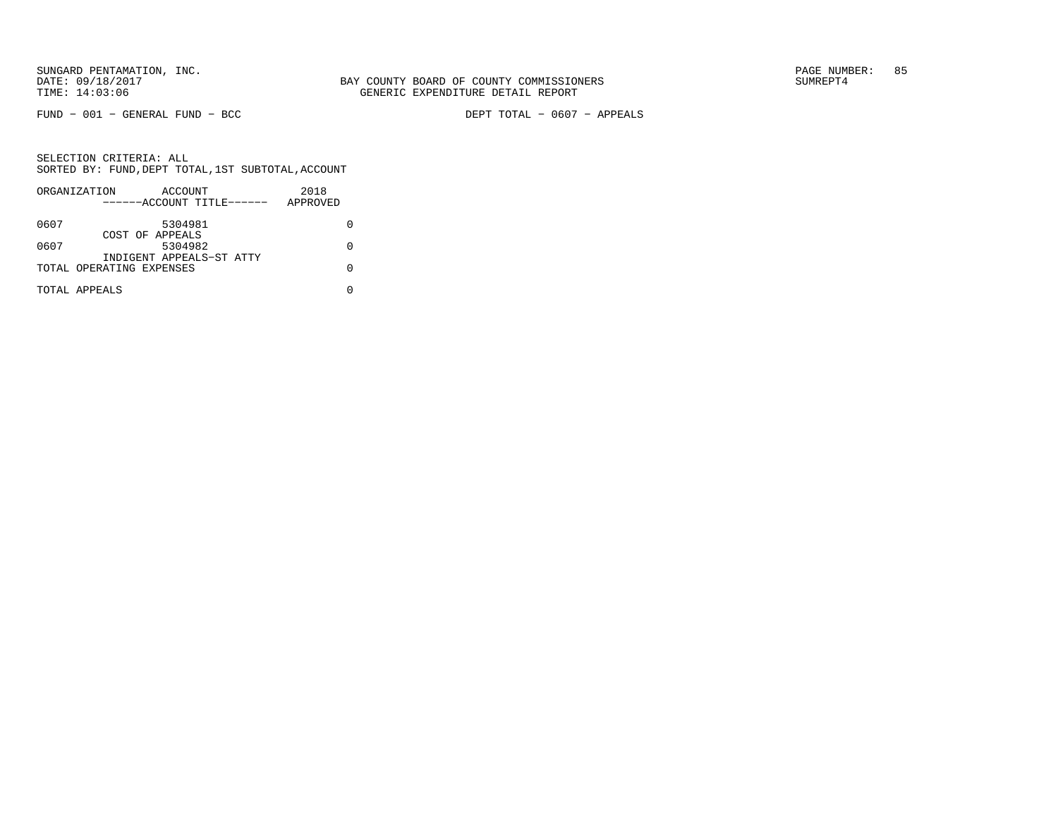FUND − 001 − GENERAL FUND − BCC DEPT TOTAL − 0607 − APPEALS

|      | ORGANIZATION             | ACCOUNT                   | 2018     |  |
|------|--------------------------|---------------------------|----------|--|
|      |                          | ------ACCOUNT TITLE------ | APPROVED |  |
| 0607 |                          | 5304981                   |          |  |
|      |                          | COST OF APPEALS           |          |  |
| 0607 |                          | 5304982                   |          |  |
|      |                          | INDIGENT APPEALS-ST ATTY  |          |  |
|      | TOTAL OPERATING EXPENSES |                           |          |  |
|      |                          |                           |          |  |
|      | TOTAL APPEALS            |                           |          |  |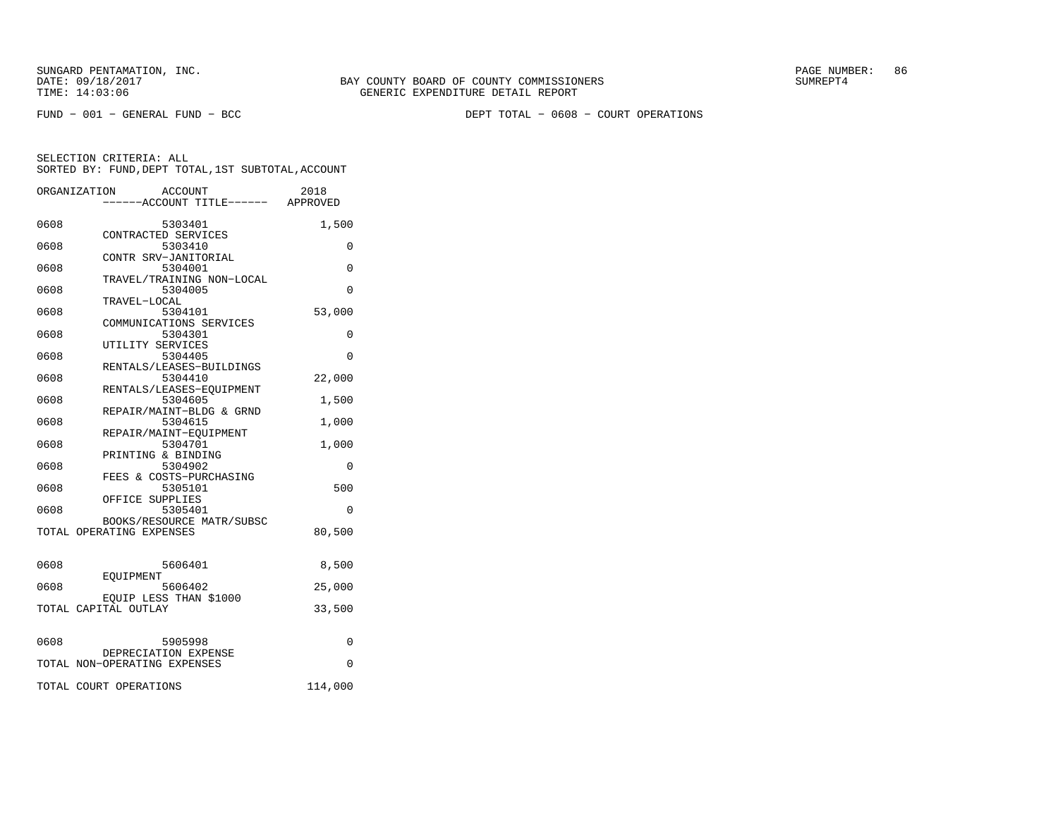FUND − 001 − GENERAL FUND − BCC DEPT TOTAL − 0608 − COURT OPERATIONS

|      | ORGANIZATION<br>ACCOUNT<br>-----ACCOUNT TITLE------ APPROVED | 2018         |
|------|--------------------------------------------------------------|--------------|
|      |                                                              |              |
| 0608 | 5303401                                                      | 1,500        |
|      | CONTRACTED SERVICES                                          |              |
| 0608 | 5303410                                                      | $\Omega$     |
|      | CONTR SRV-JANITORIAL                                         |              |
| 0608 | 5304001                                                      | $\Omega$     |
|      | TRAVEL/TRAINING NON-LOCAL                                    |              |
| 0608 | 5304005                                                      | $\Omega$     |
|      | TRAVEL-LOCAL                                                 |              |
| 0608 | 5304101                                                      | 53,000       |
|      | COMMUNICATIONS SERVICES                                      |              |
| 0608 | 5304301                                                      | 0            |
|      | UTILITY SERVICES                                             |              |
| 0608 | 5304405                                                      | $\Omega$     |
| 0608 | RENTALS/LEASES-BUILDINGS<br>5304410                          |              |
|      | RENTALS/LEASES-EQUIPMENT                                     | 22,000       |
| 0608 | 5304605                                                      | 1,500        |
|      | REPAIR/MAINT-BLDG & GRND                                     |              |
| 0608 | 5304615                                                      | 1,000        |
|      | REPAIR/MAINT-EOUIPMENT                                       |              |
| 0608 | 5304701                                                      | 1,000        |
|      | PRINTING & BINDING                                           |              |
| 0608 | 5304902                                                      | 0            |
|      | FEES & COSTS-PURCHASING                                      |              |
| 0608 | 5305101                                                      | 500          |
|      | OFFICE SUPPLIES                                              |              |
| 0608 | 5305401                                                      | $\Omega$     |
|      | BOOKS/RESOURCE MATR/SUBSC                                    |              |
|      | TOTAL OPERATING EXPENSES                                     | 80,500       |
|      |                                                              |              |
|      |                                                              |              |
| 0608 | 5606401                                                      | 8,500        |
|      | EOUIPMENT                                                    |              |
| 0608 | 5606402                                                      | 25,000       |
|      | EQUIP LESS THAN \$1000                                       |              |
|      | TOTAL CAPITAL OUTLAY                                         | 33,500       |
|      |                                                              |              |
|      |                                                              |              |
| 0608 | 5905998                                                      | 0            |
|      | DEPRECIATION EXPENSE                                         |              |
|      |                                                              |              |
|      |                                                              |              |
|      | TOTAL NON-OPERATING EXPENSES<br>TOTAL COURT OPERATIONS       | 0<br>114,000 |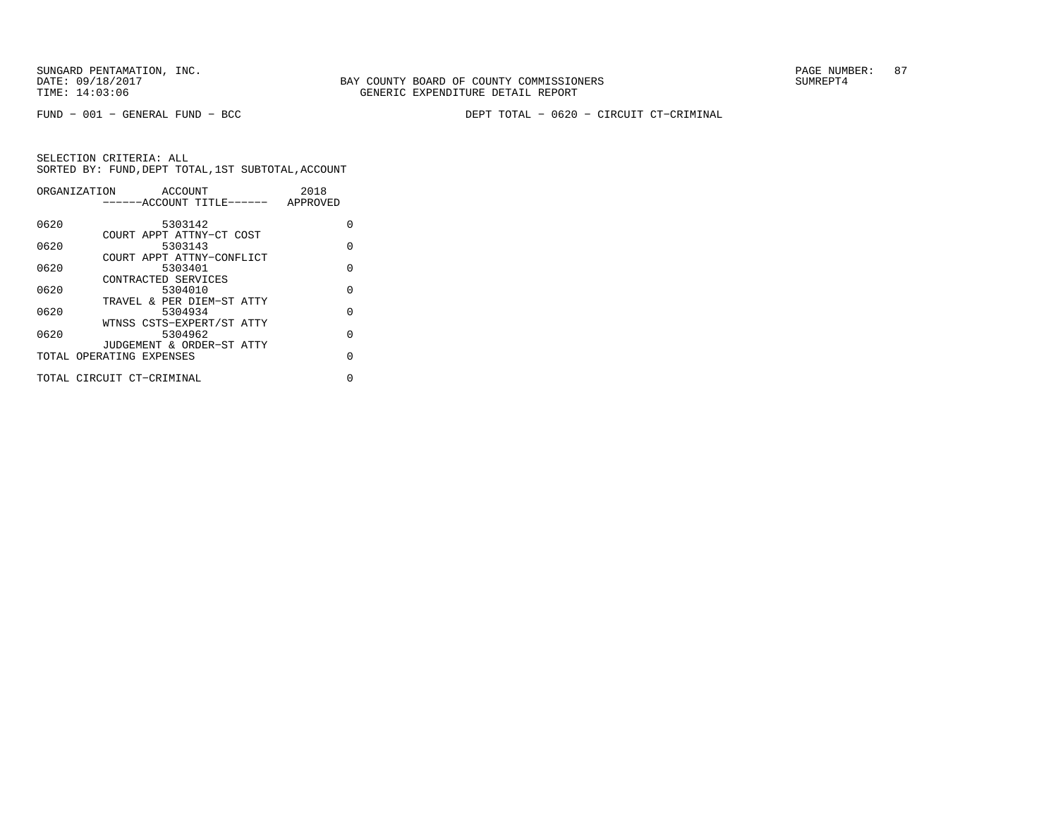FUND − 001 − GENERAL FUND − BCC DEPT TOTAL − 0620 − CIRCUIT CT−CRIMINAL

| ORGANIZATION | ACCOUNT                   | 2018     |
|--------------|---------------------------|----------|
|              | ------ACCOUNT TITLE------ | APPROVED |
|              |                           |          |
| 0620         | 5303142                   | O        |
|              | COURT APPT ATTNY-CT COST  |          |
| 0620         | 5303143                   | $\Omega$ |
|              | COURT APPT ATTNY-CONFLICT |          |
| 0620         | 5303401                   | O        |
|              | CONTRACTED SERVICES       |          |
| 0620         | 5304010                   | $\Omega$ |
|              | TRAVEL & PER DIEM-ST ATTY |          |
| 0620         | 5304934                   | $\Omega$ |
|              | WTNSS CSTS-EXPERT/ST ATTY |          |
| 0620         | 5304962                   | $\Omega$ |
|              | JUDGEMENT & ORDER-ST ATTY |          |
|              | TOTAL OPERATING EXPENSES  | $\Omega$ |
|              |                           |          |
|              | TOTAL CIRCUIT CT-CRIMINAL | 0        |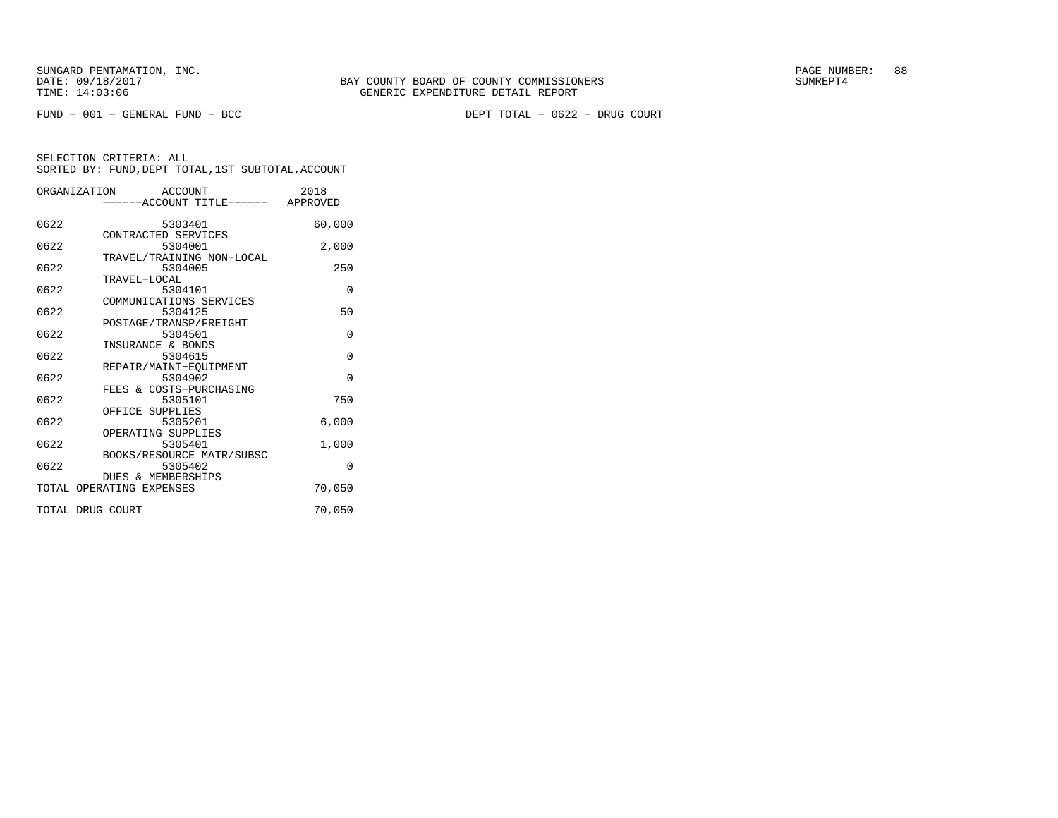|                  | ORGANIZATION ACCOUNT<br>------ACCOUNT TITLE------ | 2018<br>APPROVED |
|------------------|---------------------------------------------------|------------------|
| 0622             | 5303401<br>CONTRACTED SERVICES                    | 60,000           |
| 0622             | 5304001<br>TRAVEL/TRAINING NON-LOCAL              | 2,000            |
| 0622             | 5304005<br>TRAVEL-LOCAL                           | 250              |
| 0622             | 5304101<br>COMMUNICATIONS SERVICES                | $\Omega$         |
| 0622             | 5304125<br>POSTAGE/TRANSP/FREIGHT                 | 50               |
| 0622             | 5304501<br>INSURANCE & BONDS                      | $\Omega$         |
| 0622             | 5304615<br>REPAIR/MAINT-EQUIPMENT                 | $\Omega$         |
| 0622             | 5304902<br>FEES & COSTS-PURCHASING                | $\Omega$         |
| 0622             | 5305101<br>OFFICE SUPPLIES                        | 750              |
| 0622             | 5305201<br>OPERATING SUPPLIES                     | 6,000            |
| 0622             | 5305401<br>BOOKS/RESOURCE MATR/SUBSC              | 1,000            |
| 0622             | 5305402<br><b>DUES &amp; MEMBERSHIPS</b>          | $\Omega$         |
|                  | TOTAL OPERATING EXPENSES                          | 70,050           |
| TOTAL DRUG COURT |                                                   | 70,050           |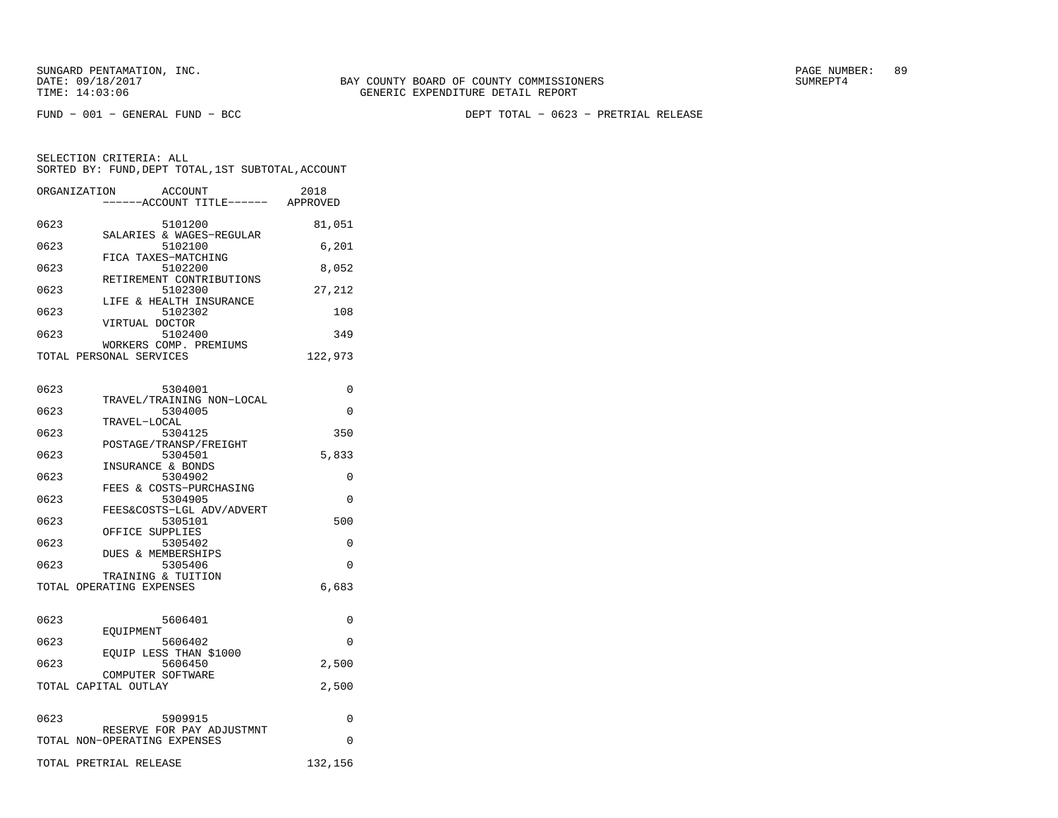FUND − 001 − GENERAL FUND − BCC DEPT TOTAL − 0623 − PRETRIAL RELEASE

|      | ORGANIZATION<br>ACCOUNT<br>------ACCOUNT TITLE------ | 2018<br>APPROVED |
|------|------------------------------------------------------|------------------|
| 0623 | 5101200                                              | 81,051           |
| 0623 | SALARIES & WAGES-REGULAR<br>5102100                  | 6,201            |
| 0623 | FICA TAXES-MATCHING<br>5102200                       | 8,052            |
| 0623 | RETIREMENT CONTRIBUTIONS<br>5102300                  | 27,212           |
| 0623 | LIFE & HEALTH INSURANCE<br>5102302                   | 108              |
| 0623 | VIRTUAL DOCTOR<br>5102400                            | 349              |
|      | WORKERS COMP. PREMIUMS                               |                  |
|      | TOTAL PERSONAL SERVICES                              | 122,973          |

| 0623 | 5304001                                        | 0        |
|------|------------------------------------------------|----------|
|      | TRAVEL/TRAINING NON-LOCAL                      |          |
| 0623 | 5304005                                        | $\Omega$ |
| 0623 | TRAVEL-LOCAL<br>5304125                        | 350      |
|      | POSTAGE/TRANSP/FREIGHT                         |          |
| 0623 | 5304501                                        | 5,833    |
|      | INSURANCE & BONDS                              |          |
| 0623 | 5304902                                        | $\Omega$ |
|      | FEES & COSTS-PURCHASING                        |          |
| 0623 | 5304905                                        | $\Omega$ |
|      | FEES&COSTS-LGL ADV/ADVERT                      |          |
| 0623 | 5305101                                        | 500      |
|      | OFFICE SUPPLIES                                |          |
| 0623 | 5305402                                        | $\Omega$ |
|      | DUES & MEMBERSHIPS                             |          |
| 0623 | 5305406                                        | $\Omega$ |
|      | TRAINING & TUITION<br>TOTAL OPERATING EXPENSES | 6,683    |
|      |                                                |          |
|      |                                                |          |
| 0623 | 5606401                                        | $\Omega$ |
|      | EOUIPMENT                                      |          |
| 0623 | 5606402                                        | $\Omega$ |
|      | EOUIP LESS THAN \$1000                         |          |
| 0623 | 5606450                                        | 2,500    |
|      | COMPUTER SOFTWARE                              |          |
|      | TOTAL CAPITAL OUTLAY                           | 2,500    |
|      |                                                |          |
| 0623 |                                                | $\Omega$ |
|      | 5909915<br>RESERVE FOR PAY ADJUSTMNT           |          |
|      | TOTAL NON-OPERATING EXPENSES                   | $\Omega$ |
|      |                                                |          |
|      | TOTAL PRETRIAL RELEASE                         | 132,156  |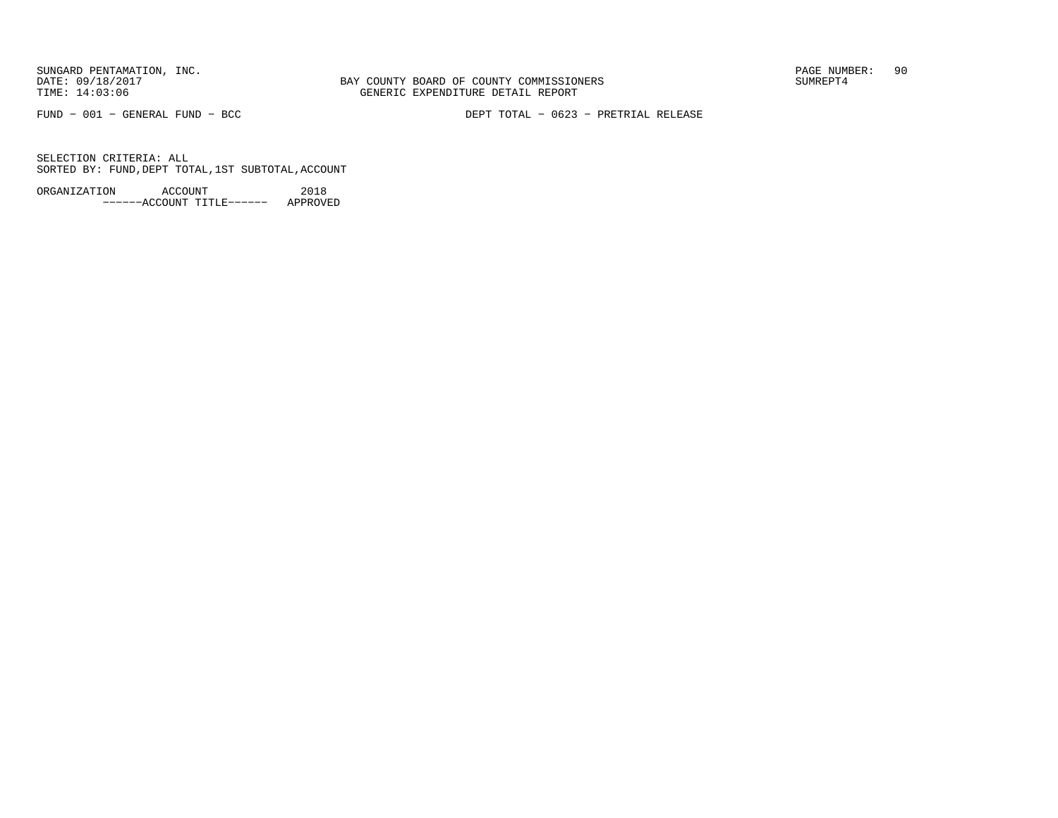BAY COUNTY BOARD OF COUNTY COMMISSIONERS TIME: 14:03:06 GENERIC EXPENDITURE DETAIL REPORT

FUND − 001 − GENERAL FUND − BCC DEPT TOTAL − 0623 − PRETRIAL RELEASE

SELECTION CRITERIA: ALLSORTED BY: FUND,DEPT TOTAL,1ST SUBTOTAL,ACCOUNT

ORGANIZATION ACCOUNT 2018−−−−−−ACCOUNT TITLE−−−−−− APPROVED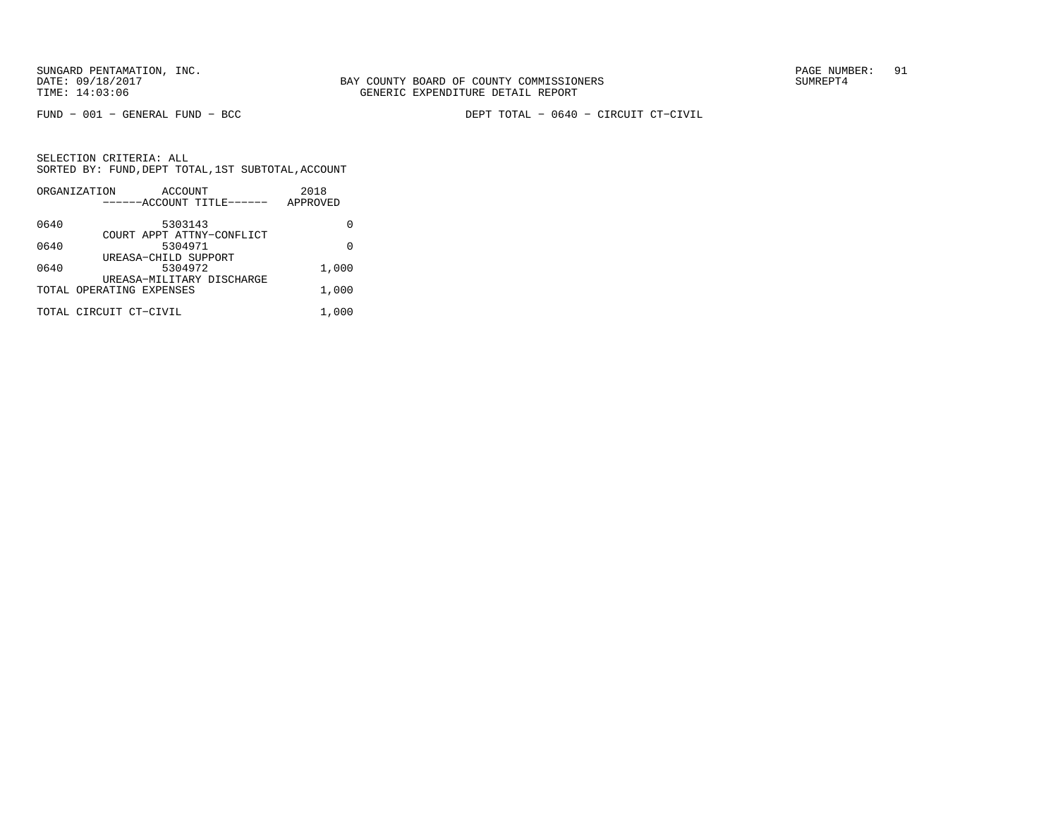FUND − 001 − GENERAL FUND − BCC DEPT TOTAL − 0640 − CIRCUIT CT−CIVIL

|      | ORGANIZATION             | ACCOUNT |                           | 2018     |       |
|------|--------------------------|---------|---------------------------|----------|-------|
|      |                          |         | ------ACCOUNT TITLE------ | APPROVED |       |
| 0640 |                          | 5303143 |                           |          |       |
|      |                          |         | COURT APPT ATTNY-CONFLICT |          |       |
| 0640 |                          | 5304971 |                           |          | U     |
|      | UREASA-CHILD SUPPORT     |         |                           |          |       |
| 0640 |                          | 5304972 |                           |          | 1,000 |
|      |                          |         | UREASA-MILITARY DISCHARGE |          |       |
|      | TOTAL OPERATING EXPENSES |         |                           |          | 1,000 |
|      | TOTAL CIRCUIT CT-CIVIL   |         |                           |          | 1,000 |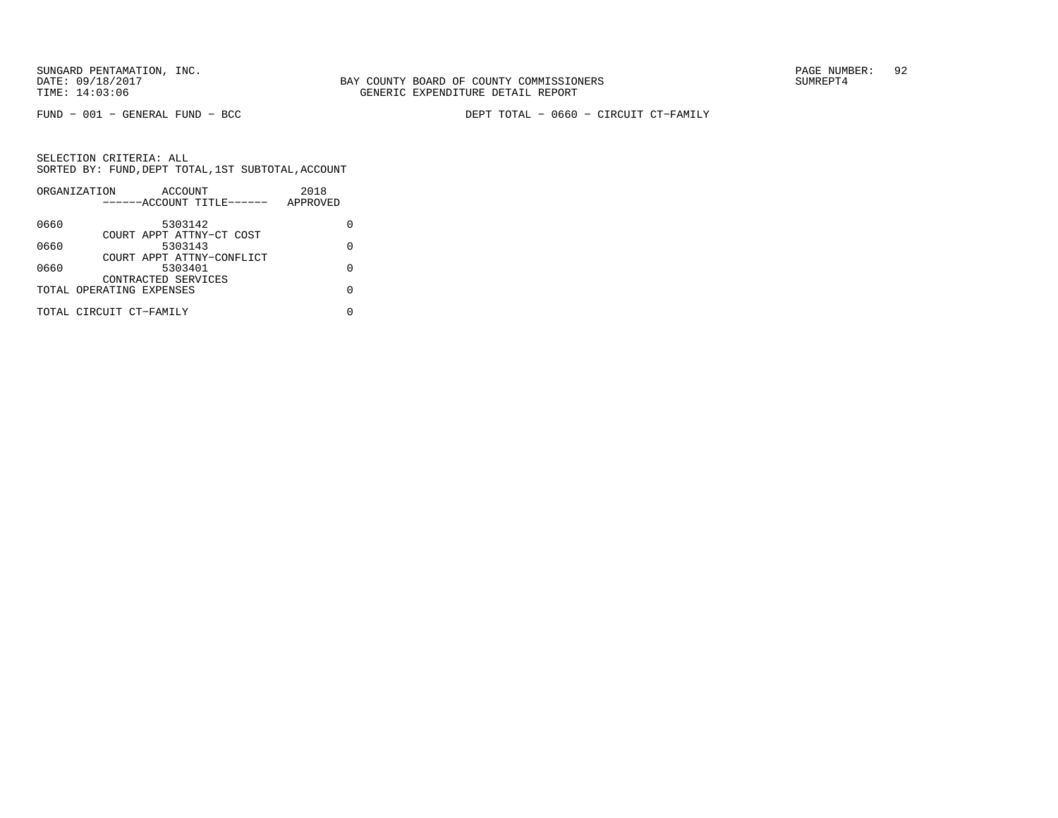FUND − 001 − GENERAL FUND − BCC DEPT TOTAL − 0660 − CIRCUIT CT−FAMILY

|      | ORGANIZATION             | ACCOUNT                   |  | 2018     |   |
|------|--------------------------|---------------------------|--|----------|---|
|      |                          | ------ACCOUNT TITLE------ |  | APPROVED |   |
| 0660 |                          | 5303142                   |  |          |   |
|      |                          | COURT APPT ATTNY-CT COST  |  |          |   |
| 0660 |                          | 5303143                   |  |          | O |
|      |                          | COURT APPT ATTNY-CONFLICT |  |          |   |
| 0660 |                          | 5303401                   |  |          | U |
|      |                          | CONTRACTED SERVICES       |  |          |   |
|      | TOTAL OPERATING EXPENSES |                           |  |          |   |
|      | TOTAL CIRCUIT CT-FAMILY  |                           |  |          |   |
|      |                          |                           |  |          |   |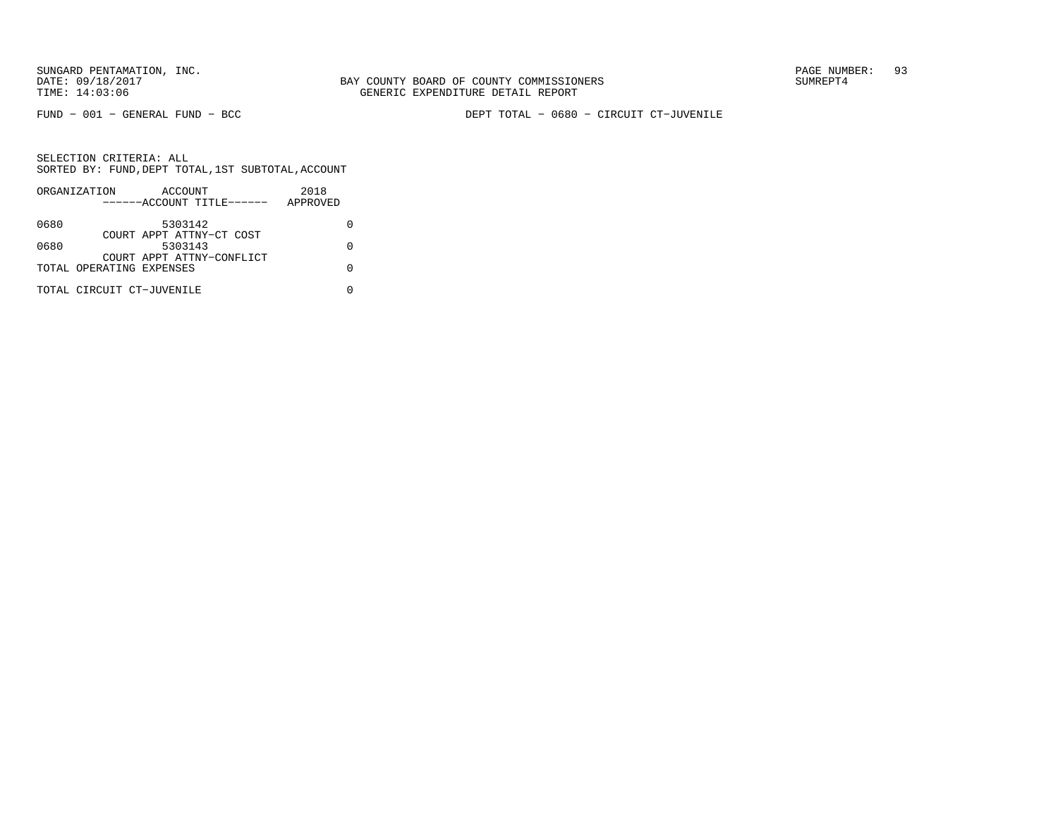FUND − 001 − GENERAL FUND − BCC DEPT TOTAL − 0680 − CIRCUIT CT−JUVENILE

|      | ORGANIZATION              | ACCOUNT                   |  | 2018     |  |
|------|---------------------------|---------------------------|--|----------|--|
|      |                           | ------ACCOUNT TITLE------ |  | APPROVED |  |
| 0680 |                           | 5303142                   |  |          |  |
|      |                           | COURT APPT ATTNY-CT COST  |  |          |  |
| 0680 |                           | 5303143                   |  |          |  |
|      |                           | COURT APPT ATTNY-CONFLICT |  |          |  |
|      | TOTAL OPERATING EXPENSES  |                           |  |          |  |
|      | TOTAL CIRCUIT CT-JUVENILE |                           |  |          |  |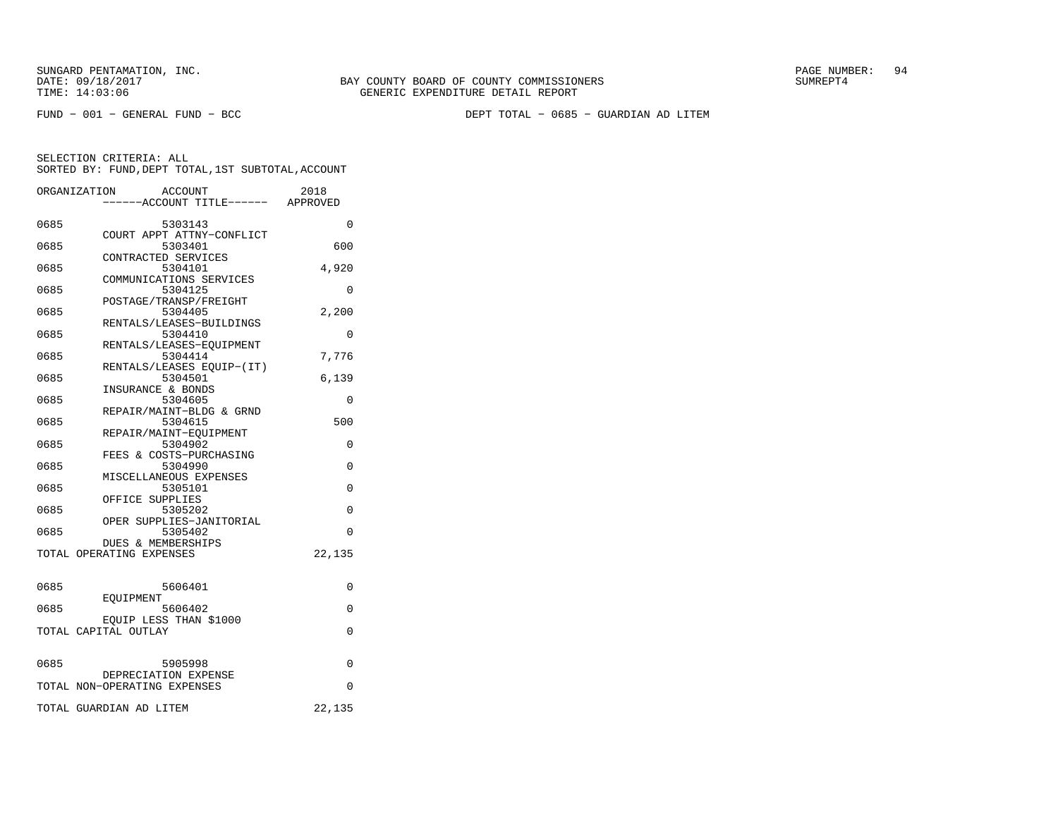FUND − 001 − GENERAL FUND − BCC DEPT TOTAL − 0685 − GUARDIAN AD LITEM

|      | ORGANIZATION<br>ACCOUNT<br>----ACCOUNT TITLE------ APPROVED | 2018     |
|------|-------------------------------------------------------------|----------|
| 0685 | 5303143                                                     | $\Omega$ |
| 0685 | COURT APPT ATTNY-CONFLICT<br>5303401                        | 600      |
| 0685 | CONTRACTED SERVICES<br>5304101                              | 4,920    |
| 0685 | COMMUNICATIONS SERVICES<br>5304125                          | $\Omega$ |
| 0685 | POSTAGE/TRANSP/FREIGHT<br>5304405                           | 2,200    |
| 0685 | RENTALS/LEASES-BUILDINGS<br>5304410                         | $\Omega$ |
| 0685 | RENTALS/LEASES-EOUIPMENT<br>5304414                         | 7,776    |
| 0685 | RENTALS/LEASES EQUIP-(IT)<br>5304501                        | 6,139    |
| 0685 | INSURANCE & BONDS<br>5304605                                | $\Omega$ |
| 0685 | REPAIR/MAINT-BLDG & GRND<br>5304615                         | 500      |
| 0685 | REPAIR/MAINT-EQUIPMENT<br>5304902                           | 0        |
| 0685 | FEES & COSTS-PURCHASING<br>5304990                          | $\Omega$ |
| 0685 | MISCELLANEOUS EXPENSES<br>5305101                           | $\Omega$ |
| 0685 | OFFICE SUPPLIES<br>5305202                                  | 0        |
| 0685 | OPER SUPPLIES-JANITORIAL<br>5305402                         | 0        |
|      | DUES & MEMBERSHIPS<br>TOTAL OPERATING EXPENSES              | 22,135   |
|      |                                                             |          |
| 0685 | 5606401<br>EOUIPMENT                                        | 0        |
| 0685 | 5606402<br>EQUIP LESS THAN \$1000                           | 0        |
|      | TOTAL CAPITAL OUTLAY                                        | 0        |
| 0685 | 5905998                                                     | $\Omega$ |
|      | DEPRECIATION EXPENSE<br>TOTAL NON-OPERATING EXPENSES        | 0        |
|      |                                                             |          |
|      | TOTAL GUARDIAN AD LITEM                                     | 22,135   |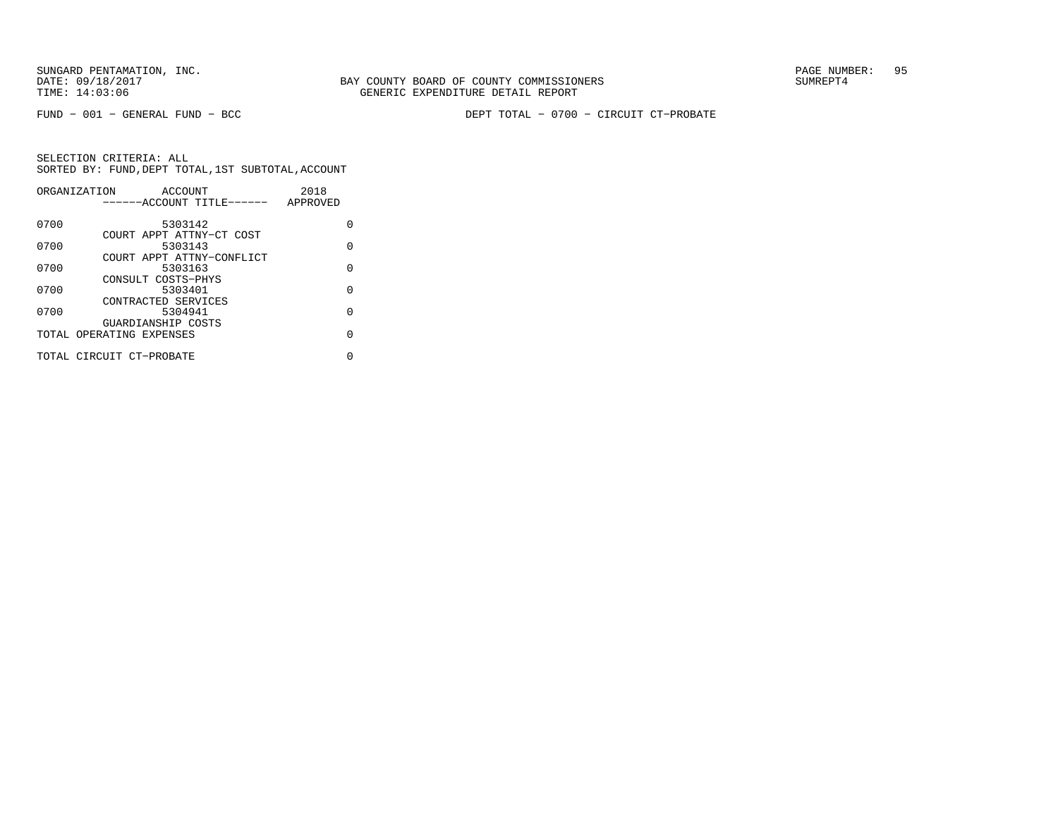FUND − 001 − GENERAL FUND − BCC DEPT TOTAL − 0700 − CIRCUIT CT−PROBATE

|      | ORGANIZATION<br>ACCOUNT   | 2018     |
|------|---------------------------|----------|
|      | ------ACCOUNT TITLE------ | APPROVED |
| 0700 | 5303142                   | U        |
|      | COURT APPT ATTNY-CT COST  |          |
| 0700 | 5303143                   | O        |
|      | COURT APPT ATTNY-CONFLICT |          |
| 0700 | 5303163                   | $\Omega$ |
|      | CONSULT COSTS-PHYS        |          |
| 0700 | 5303401                   | U        |
|      | CONTRACTED SERVICES       |          |
| 0700 | 5304941                   | $\Omega$ |
|      | GUARDIANSHIP COSTS        |          |
|      | TOTAL OPERATING EXPENSES  | U        |
|      | TOTAL CIRCUIT CT-PROBATE  | U        |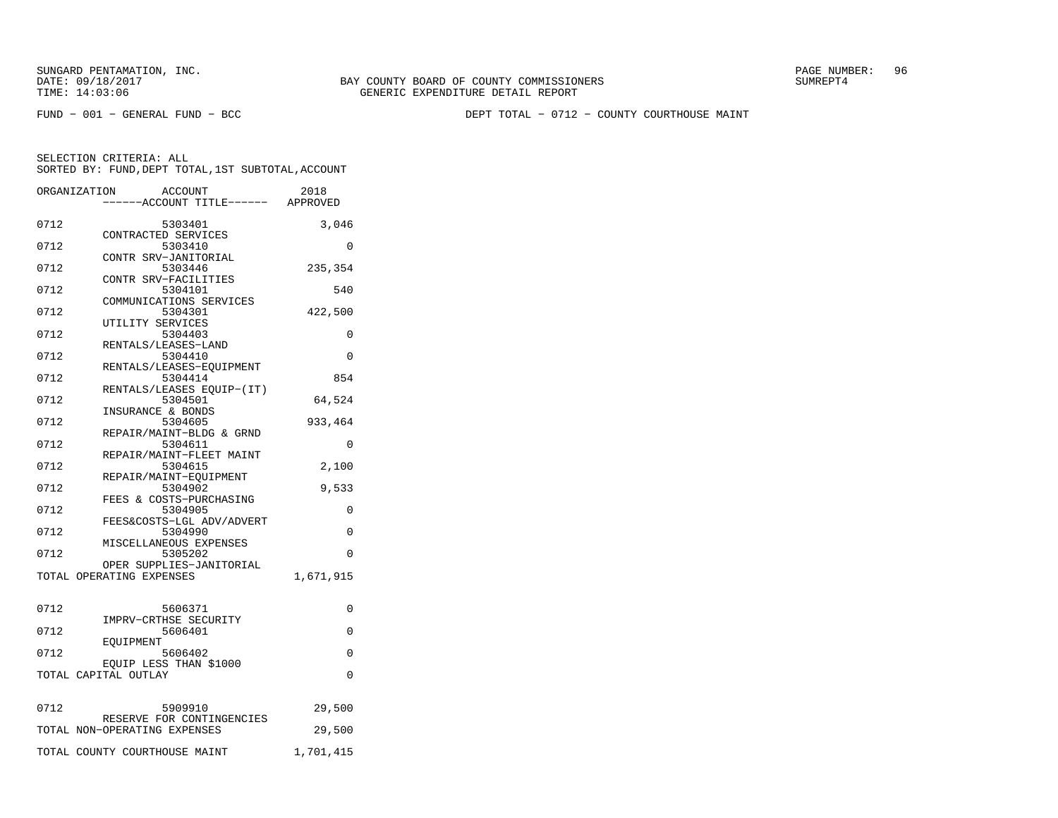FUND − 001 − GENERAL FUND − BCC DEPT TOTAL − 0712 − COUNTY COURTHOUSE MAINT

|      | ORGANIZATION<br><b>ACCOUNT</b><br>----ACCOUNT TITLE------ APPROVED | 2018      |
|------|--------------------------------------------------------------------|-----------|
| 0712 | 5303401<br>CONTRACTED SERVICES                                     | 3,046     |
| 0712 | 5303410<br>CONTR SRV-JANITORIAL                                    | $\Omega$  |
| 0712 | 5303446<br>CONTR SRV-FACILITIES                                    | 235,354   |
| 0712 | 5304101<br>COMMUNICATIONS SERVICES                                 | 540       |
| 0712 | 5304301<br>UTILITY SERVICES                                        | 422,500   |
| 0712 | 5304403                                                            | 0         |
| 0712 | RENTALS/LEASES-LAND<br>5304410                                     | 0         |
| 0712 | RENTALS/LEASES-EOUIPMENT<br>5304414                                | 854       |
| 0712 | RENTALS/LEASES EQUIP-(IT)<br>5304501                               | 64,524    |
| 0712 | INSURANCE & BONDS<br>5304605                                       | 933,464   |
| 0712 | REPAIR/MAINT-BLDG & GRND<br>5304611                                | 0         |
| 0712 | REPAIR/MAINT-FLEET MAINT<br>5304615                                | 2,100     |
| 0712 | REPAIR/MAINT-EQUIPMENT<br>5304902                                  | 9,533     |
| 0712 | FEES & COSTS-PURCHASING<br>5304905                                 | 0         |
| 0712 | FEES&COSTS-LGL ADV/ADVERT<br>5304990                               | 0         |
| 0712 | MISCELLANEOUS EXPENSES<br>5305202                                  | 0         |
|      | OPER SUPPLIES-JANITORIAL<br>TOTAL OPERATING EXPENSES               | 1,671,915 |
|      |                                                                    |           |
| 0712 | 5606371<br>IMPRV-CRTHSE SECURITY                                   | 0         |
| 0712 | 5606401<br>EOUIPMENT                                               | $\Omega$  |
| 0712 | 5606402<br>EQUIP LESS THAN \$1000                                  | 0         |
|      | TOTAL CAPITAL OUTLAY                                               | $\Omega$  |
| 0712 | 5909910                                                            | 29,500    |
|      | RESERVE FOR CONTINGENCIES<br>TOTAL NON-OPERATING EXPENSES          | 29,500    |
|      | TOTAL COUNTY COURTHOUSE MAINT                                      | 1,701,415 |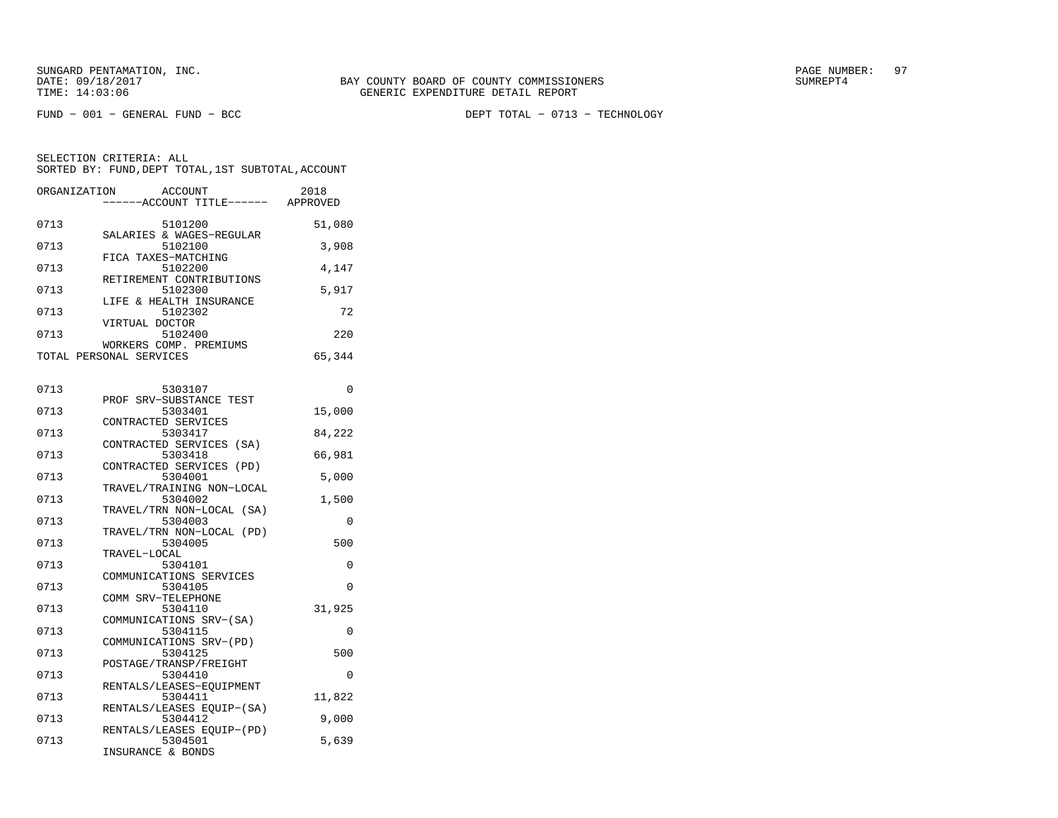FUND − 001 − GENERAL FUND − BCC DEPT TOTAL − 0713 − TECHNOLOGY

| ORGANIZATION | ACCOUNT<br>------ACCOUNT TITLE------ | 2018<br>APPROVED |
|--------------|--------------------------------------|------------------|
| 0713         | 5101200                              | 51,080           |
| 0713         | SALARIES & WAGES-REGULAR<br>5102100  | 3,908            |
| 0713         | FICA TAXES-MATCHING<br>5102200       | 4,147            |
| 0713         | RETIREMENT CONTRIBUTIONS<br>5102300  | 5,917            |
| 0713         | LIFE & HEALTH INSURANCE<br>5102302   | 72               |
| 0713         | VIRTUAL DOCTOR<br>5102400            | 220              |
|              | WORKERS COMP. PREMIUMS               |                  |
|              | TOTAL PERSONAL SERVICES              | 65,344           |

| 0713 | 5303107                            | 0        |
|------|------------------------------------|----------|
|      | PROF SRV-SUBSTANCE TEST            |          |
| 0713 | 5303401                            | 15,000   |
|      | CONTRACTED SERVICES                |          |
| 0713 | 5303417                            | 84,222   |
|      | CONTRACTED SERVICES (SA)           |          |
| 0713 | 5303418                            | 66,981   |
|      | CONTRACTED SERVICES (PD)           |          |
| 0713 | 5304001                            | 5,000    |
|      | TRAVEL/TRAINING NON-LOCAL          |          |
| 0713 | 5304002                            | 1,500    |
|      | TRAVEL/TRN NON-LOCAL (SA)          |          |
| 0713 | 5304003                            | $\Omega$ |
|      | TRAVEL/TRN NON-LOCAL (PD)          |          |
| 0713 | 5304005                            | 500      |
|      | TRAVEL-LOCAL                       |          |
| 0713 | 5304101                            | 0        |
|      | COMMUNICATIONS SERVICES            |          |
| 0713 | 5304105                            | $\Omega$ |
| 0713 | COMM SRV-TELEPHONE                 |          |
|      | 5304110                            | 31,925   |
| 0713 | COMMUNICATIONS SRV-(SA)<br>5304115 | $\Omega$ |
|      | COMMUNICATIONS SRV-(PD)            |          |
| 0713 | 5304125                            | 500      |
|      | POSTAGE/TRANSP/FREIGHT             |          |
| 0713 | 5304410                            | $\Omega$ |
|      | RENTALS/LEASES-EOUIPMENT           |          |
| 0713 | 5304411                            | 11,822   |
|      | RENTALS/LEASES EQUIP-(SA)          |          |
| 0713 | 5304412                            | 9,000    |
|      | RENTALS/LEASES EOUIP-(PD)          |          |
| 0713 | 5304501                            | 5,639    |
|      | INSURANCE & BONDS                  |          |
|      |                                    |          |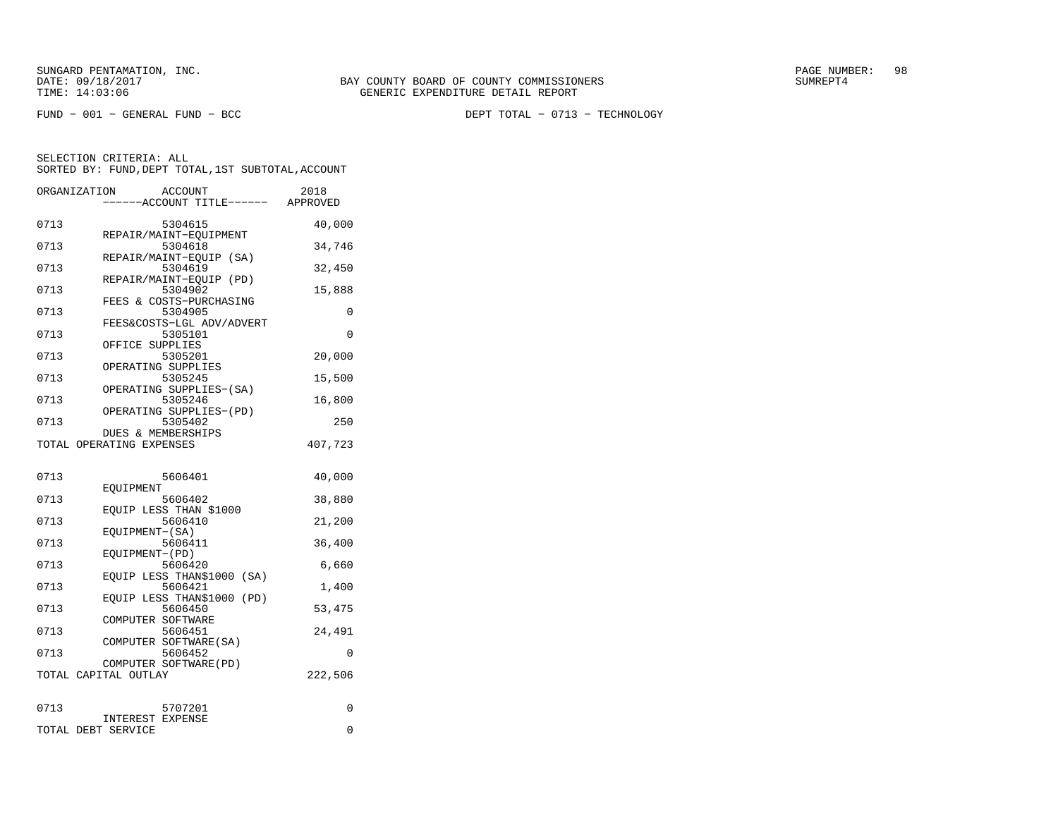FUND − 001 − GENERAL FUND − BCC DEPT TOTAL − 0713 − TECHNOLOGY

|      | ORGANIZATION<br><b>ACCOUNT</b><br>---ACCOUNT TITLE------ APPROVED | 2018     |
|------|-------------------------------------------------------------------|----------|
|      |                                                                   |          |
| 0713 | 5304615                                                           | 40,000   |
| 0713 | REPAIR/MAINT-EOUIPMENT<br>5304618                                 | 34,746   |
| 0713 | REPAIR/MAINT-EOUIP (SA)<br>5304619                                | 32,450   |
|      | REPAIR/MAINT-EOUIP<br>(PD)                                        |          |
| 0713 | 5304902<br>FEES & COSTS-PURCHASING                                | 15,888   |
| 0713 | 5304905<br>FEES&COSTS-LGL ADV/ADVERT                              | 0        |
| 0713 | 5305101                                                           | 0        |
| 0713 | OFFICE SUPPLIES<br>5305201                                        | 20,000   |
|      | OPERATING SUPPLIES                                                |          |
| 0713 | 5305245<br>OPERATING SUPPLIES-(SA)                                | 15,500   |
| 0713 | 5305246<br>OPERATING SUPPLIES-(PD)                                | 16,800   |
| 0713 | 5305402                                                           | 250      |
|      | <b>DUES &amp; MEMBERSHIPS</b><br>TOTAL OPERATING EXPENSES         | 407,723  |
|      |                                                                   |          |
| 0713 | 5606401                                                           | 40,000   |
|      | EOUIPMENT                                                         |          |
| 0713 | 5606402<br>EQUIP LESS THAN \$1000                                 | 38,880   |
| 0713 | 5606410                                                           | 21,200   |
| 0713 | EQUIPMENT-(SA)<br>5606411                                         | 36,400   |
|      | EQUIPMENT-(PD)                                                    |          |
| 0713 | 5606420<br>EQUIP LESS THAN\$1000 (SA)                             | 6,660    |
| 0713 | 5606421<br>EOUIP LESS THAN\$1000<br>(PD)                          | 1,400    |
| 0713 | 5606450                                                           | 53,475   |
| 0713 | COMPUTER SOFTWARE<br>5606451                                      | 24,491   |
|      | COMPUTER SOFTWARE (SA)                                            |          |
| 0713 | 5606452<br>COMPUTER SOFTWARE (PD)                                 | $\Omega$ |
|      | TOTAL CAPITAL OUTLAY                                              | 222,506  |
|      |                                                                   |          |
| 0713 | 5707201                                                           | 0        |
|      | <b>INTEREST EXPENSE</b><br>TOTAL DEBT SERVICE                     | 0        |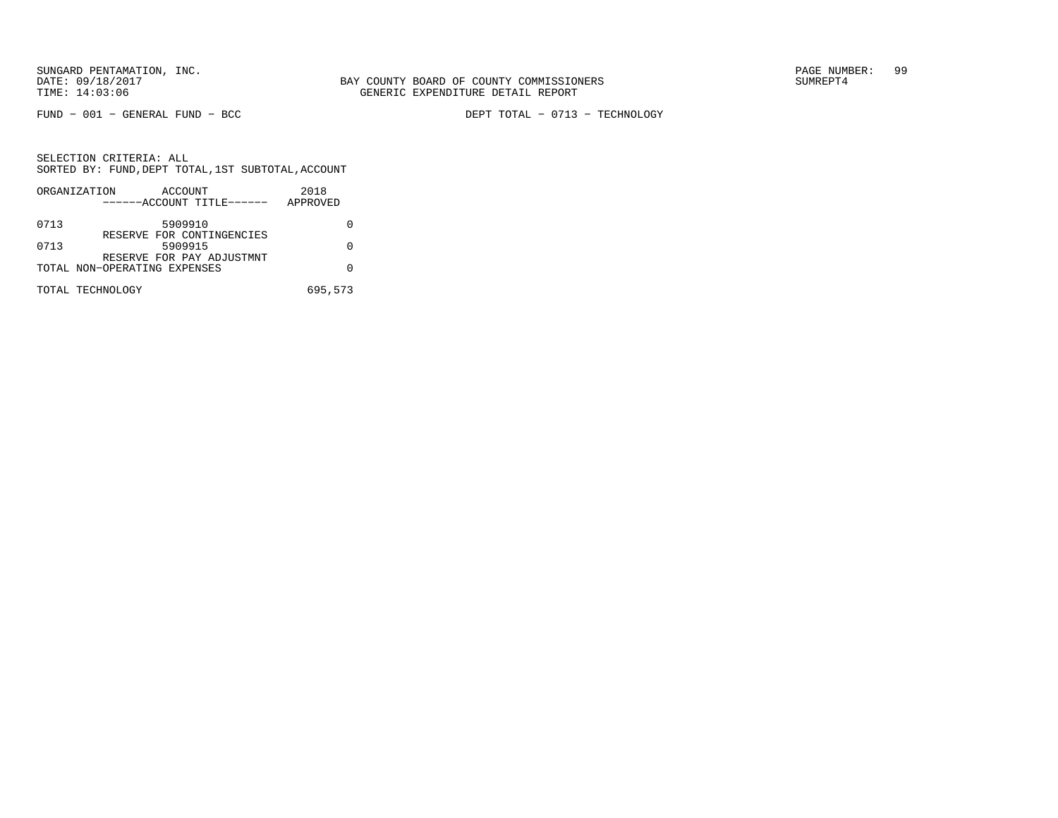FUND − 001 − GENERAL FUND − BCC DEPT TOTAL − 0713 − TECHNOLOGY

|      | ORGANIZATION<br>ACCOUNT<br>------ACCOUNT TITLE------ | 2018<br>APPROVED |
|------|------------------------------------------------------|------------------|
|      |                                                      |                  |
| 0713 | 5909910                                              |                  |
| 0713 | RESERVE FOR CONTINGENCIES<br>5909915                 |                  |
|      | RESERVE FOR PAY ADJUSTMNT                            |                  |
|      | TOTAL NON-OPERATING EXPENSES                         |                  |
|      |                                                      |                  |
|      | TOTAL TECHNOLOGY                                     | 695,573          |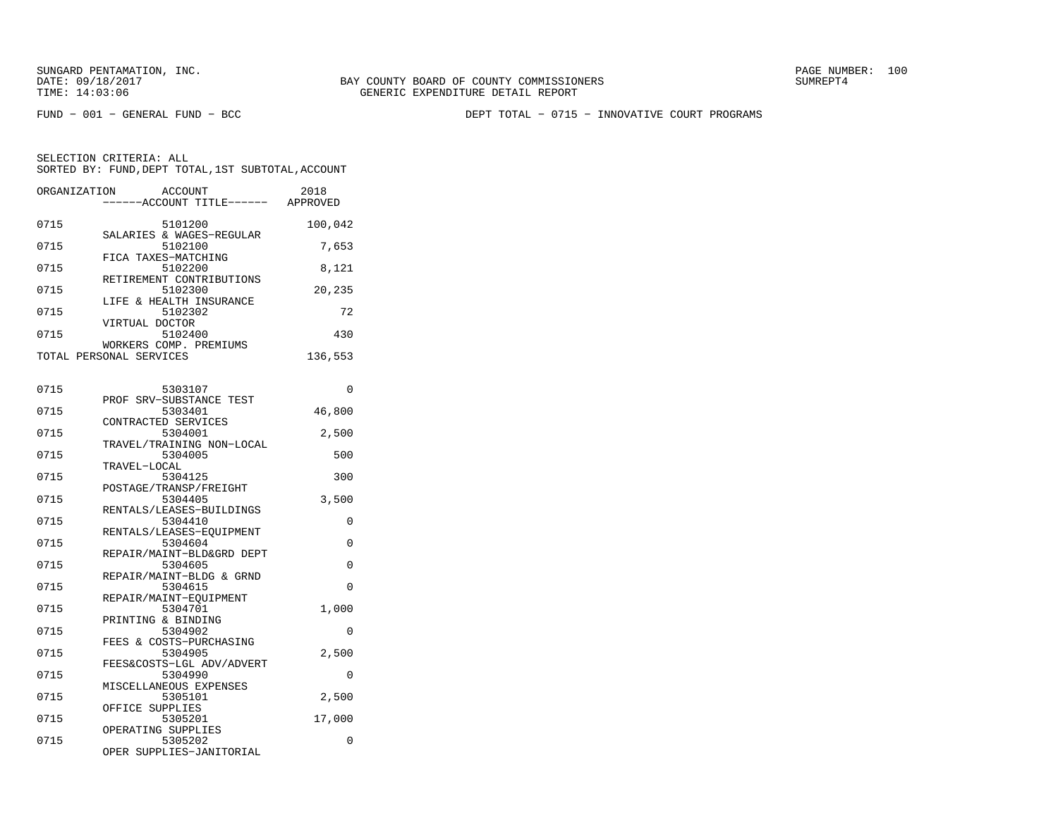FUND − 001 − GENERAL FUND − BCC DEPT TOTAL − 0715 − INNOVATIVE COURT PROGRAMS

| ORGANIZATION            | ACCOUNT<br>------ACCOUNT TITLE------                       | 2018<br>APPROVED |
|-------------------------|------------------------------------------------------------|------------------|
| 0715                    | 5101200                                                    | 100,042          |
| 0715                    | SALARIES & WAGES-REGULAR<br>5102100                        | 7,653            |
| 0715                    | FICA TAXES-MATCHING<br>5102200<br>RETIREMENT CONTRIBUTIONS | 8,121            |
| 0715                    | 5102300                                                    | 20,235           |
| 0715                    | LIFE & HEALTH INSURANCE<br>5102302<br>VIRTUAL DOCTOR       | 72               |
| 0715                    | 5102400                                                    | 430              |
| TOTAL PERSONAL SERVICES | WORKERS COMP. PREMIUMS                                     | 136,553          |

| 0715 | 5303107                   | 0           |
|------|---------------------------|-------------|
|      | PROF SRV-SUBSTANCE TEST   |             |
| 0715 | 5303401                   | 46,800      |
|      | CONTRACTED SERVICES       |             |
| 0715 | 5304001                   | 2,500       |
|      | TRAVEL/TRAINING NON-LOCAL |             |
| 0715 | 5304005                   | 500         |
|      | TRAVEL-LOCAL              |             |
| 0715 | 5304125                   | 300         |
|      | POSTAGE/TRANSP/FREIGHT    |             |
| 0715 | 5304405                   | 3,500       |
|      | RENTALS/LEASES-BUILDINGS  |             |
| 0715 | 5304410                   | $\Omega$    |
|      | RENTALS/LEASES-EOUIPMENT  |             |
| 0715 | 5304604                   | $\mathbf 0$ |
|      | REPAIR/MAINT-BLD&GRD DEPT |             |
| 0715 | 5304605                   | $\Omega$    |
|      | REPAIR/MAINT-BLDG & GRND  |             |
| 0715 | 5304615                   | $\Omega$    |
|      | REPAIR/MAINT-EOUIPMENT    |             |
| 0715 | 5304701                   | 1,000       |
|      | PRINTING & BINDING        |             |
| 0715 | 5304902                   | $\Omega$    |
|      | FEES & COSTS-PURCHASING   |             |
| 0715 | 5304905                   | 2,500       |
|      | FEES&COSTS-LGL ADV/ADVERT |             |
| 0715 | 5304990                   | $\Omega$    |
|      | MISCELLANEOUS EXPENSES    |             |
| 0715 | 5305101                   | 2,500       |
|      | OFFICE SUPPLIES           |             |
| 0715 | 5305201                   | 17,000      |
|      | OPERATING SUPPLIES        |             |
| 0715 | 5305202                   | $\Omega$    |
|      | OPER SUPPLIES-JANITORIAL  |             |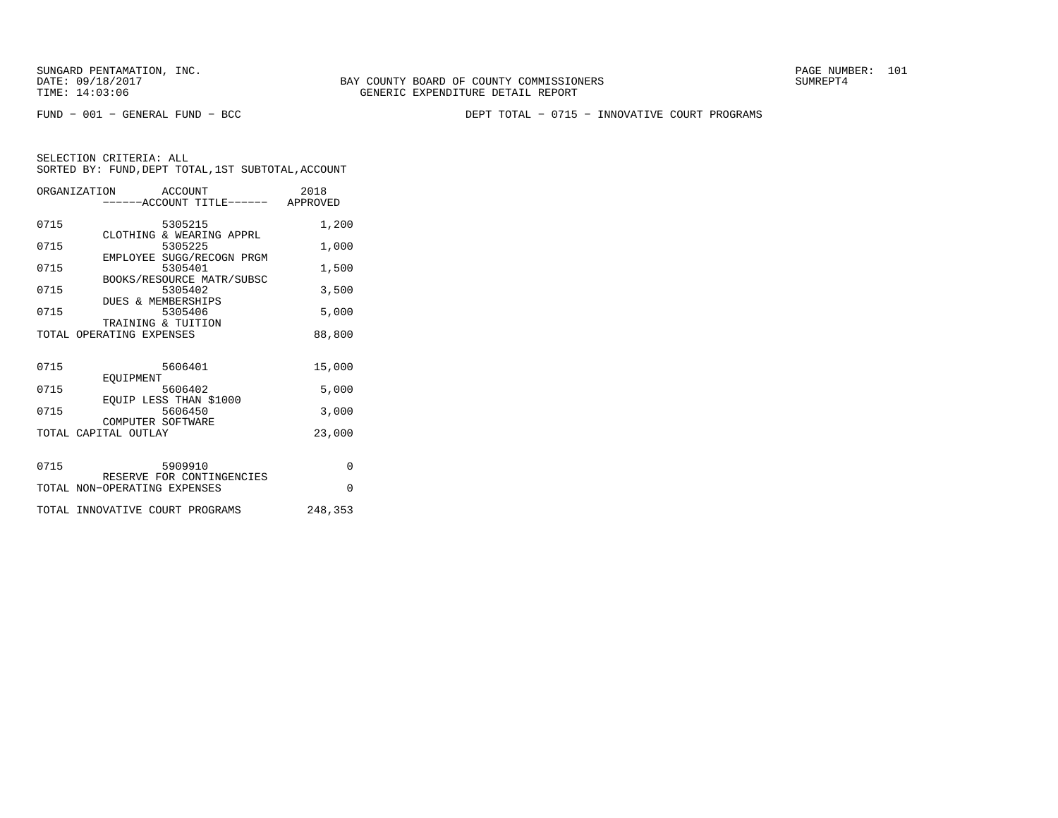FUND − 001 − GENERAL FUND − BCC DEPT TOTAL − 0715 − INNOVATIVE COURT PROGRAMS

|      | ORGANIZATION ACCOUNT<br>-----ACCOUNT TITLE------ APPROVED | 2018     |
|------|-----------------------------------------------------------|----------|
| 0715 | 5305215<br>CLOTHING & WEARING APPRL                       | 1,200    |
| 0715 | 5305225                                                   | 1,000    |
| 0715 | EMPLOYEE SUGG/RECOGN PRGM<br>5305401                      | 1,500    |
| 0715 | BOOKS/RESOURCE MATR/SUBSC<br>5305402                      | 3,500    |
| 0715 | <b>DUES &amp; MEMBERSHIPS</b><br>5305406                  | 5,000    |
|      | TRAINING & TUITION<br>TOTAL OPERATING EXPENSES            | 88,800   |
|      |                                                           |          |
| 0715 | 5606401<br>EOUIPMENT                                      | 15,000   |
| 0715 | 5606402                                                   | 5,000    |
| 0715 | EOUIP LESS THAN \$1000<br>5606450                         | 3,000    |
|      | COMPUTER SOFTWARE<br>TOTAL CAPITAL OUTLAY                 | 23,000   |
|      |                                                           |          |
| 0715 | 5909910<br>RESERVE FOR CONTINGENCIES                      | $\Omega$ |
|      | TOTAL NON-OPERATING EXPENSES                              | $\Omega$ |
|      | TOTAL INNOVATIVE COURT PROGRAMS                           | 248,353  |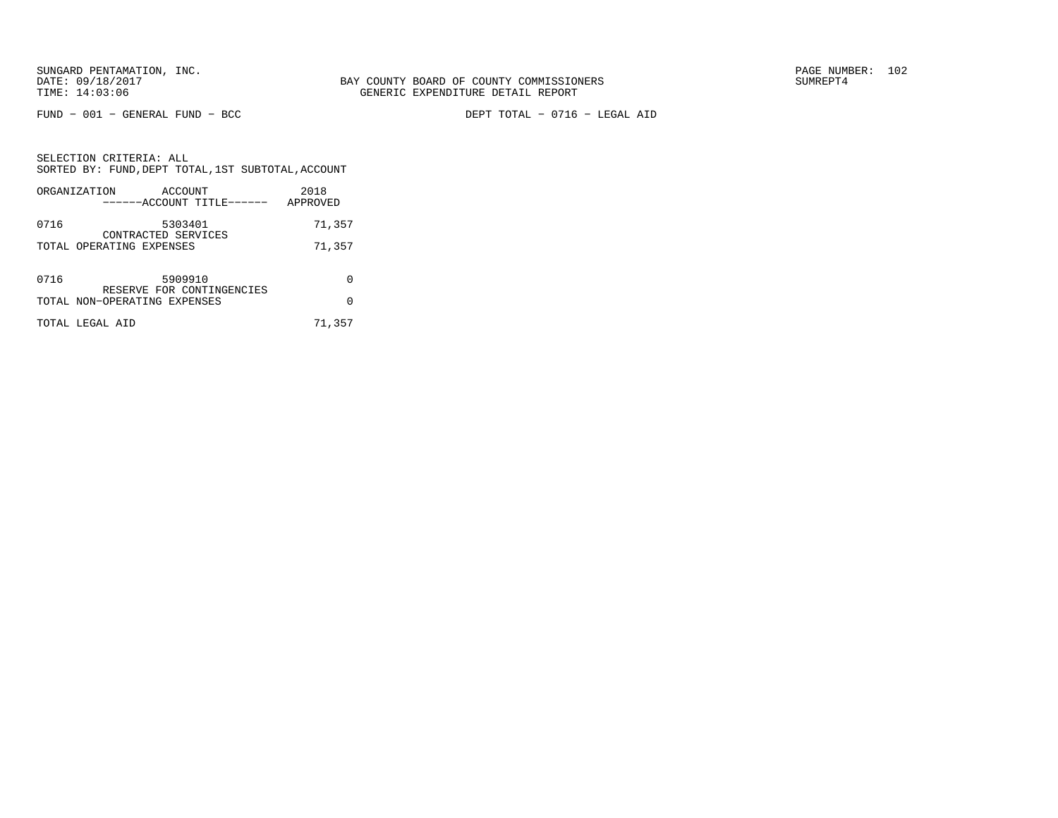FUND − 001 − GENERAL FUND − BCC DEPT TOTAL − 0716 − LEGAL AID

SELECTION CRITERIA: ALL SORTED BY: FUND,DEPT TOTAL,1ST SUBTOTAL,ACCOUNTORGANIZATION ACCOUNT 2018

|      | URGANIZAI IUN<br>ACCOUN 1<br>------ACCOUNT TITLE------    | ZU LO<br>APPROVED |
|------|-----------------------------------------------------------|-------------------|
| 0716 | 5303401<br>CONTRACTED SERVICES                            | 71,357            |
|      | TOTAL OPERATING EXPENSES                                  | 71,357            |
| 0716 | 5909910                                                   | 0                 |
|      | RESERVE FOR CONTINGENCIES<br>TOTAL NON-OPERATING EXPENSES | 0                 |
|      | TOTAL LEGAL AID                                           | 71,357            |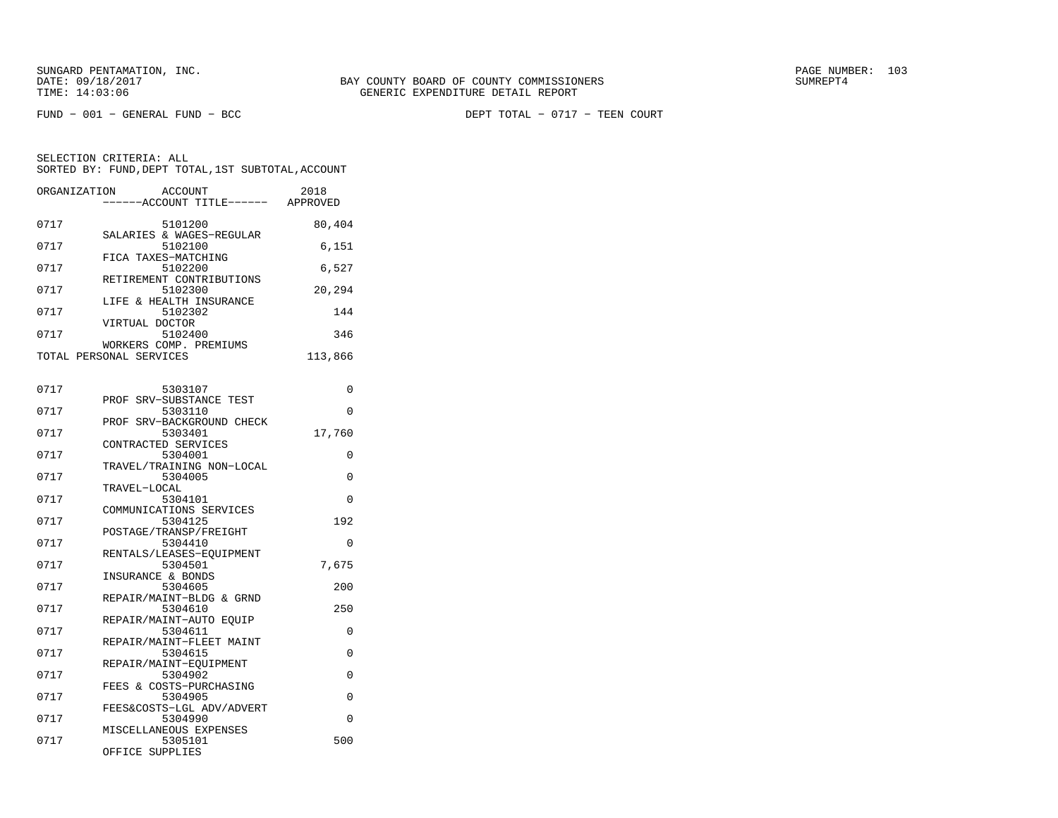| ORGANIZATION | <b>ACCOUNT</b><br>---ACCOUNT TITLE------             | 2018<br>APPROVED |
|--------------|------------------------------------------------------|------------------|
| 0717         | 5101200<br>SALARIES & WAGES-REGULAR                  | 80,404           |
| 0717         | 5102100<br>FICA TAXES-MATCHING                       | 6,151            |
| 0717         | 5102200<br>RETIREMENT CONTRIBUTIONS                  | 6,527            |
| 0717         | 5102300<br>LIFE & HEALTH INSURANCE                   | 20,294           |
| 0717         | 5102302<br>VIRTUAL DOCTOR                            | 144              |
| 0717         | 5102400<br>WORKERS COMP. PREMIUMS                    | 346              |
|              | TOTAL PERSONAL SERVICES                              | 113,866          |
| 0717         | 5303107                                              | 0                |
| 0717         | SRV-SUBSTANCE TEST<br>PROF<br>5303110                | 0                |
| 0717         | PROF SRV-BACKGROUND CHECK<br>5303401                 | 17,760           |
| 0717         | CONTRACTED SERVICES<br>5304001                       | 0                |
| 0717         | TRAVEL/TRAINING NON-LOCAL<br>5304005                 | 0                |
| 0717         | TRAVEL-LOCAL<br>5304101                              | 0                |
| 0717         | COMMUNICATIONS SERVICES<br>5304125                   | 192              |
| 0717         | POSTAGE/TRANSP/FREIGHT<br>5304410                    | $\Omega$         |
| 0717         | RENTALS/LEASES-EOUIPMENT<br>5304501                  | 7,675            |
| 0717         | INSURANCE & BONDS<br>5304605                         | 200              |
| 0717         | REPAIR/MAINT-BLDG & GRND<br>5304610                  | 250              |
| 0717         | REPAIR/MAINT-AUTO EQUIP<br>5304611                   | 0                |
| 0717         | REPAIR/MAINT-FLEET MAINT<br>5304615                  | 0                |
| 0717         | REPAIR/MAINT-EQUIPMENT<br>5304902                    | 0                |
| 0717         | FEES & COSTS-PURCHASING<br>5304905                   | 0                |
| 0717         | FEES&COSTS-LGL ADV/ADVERT<br>5304990                 | 0                |
| 0717         | MISCELLANEOUS EXPENSES<br>5305101<br>OFFICE SUPPLIES | 500              |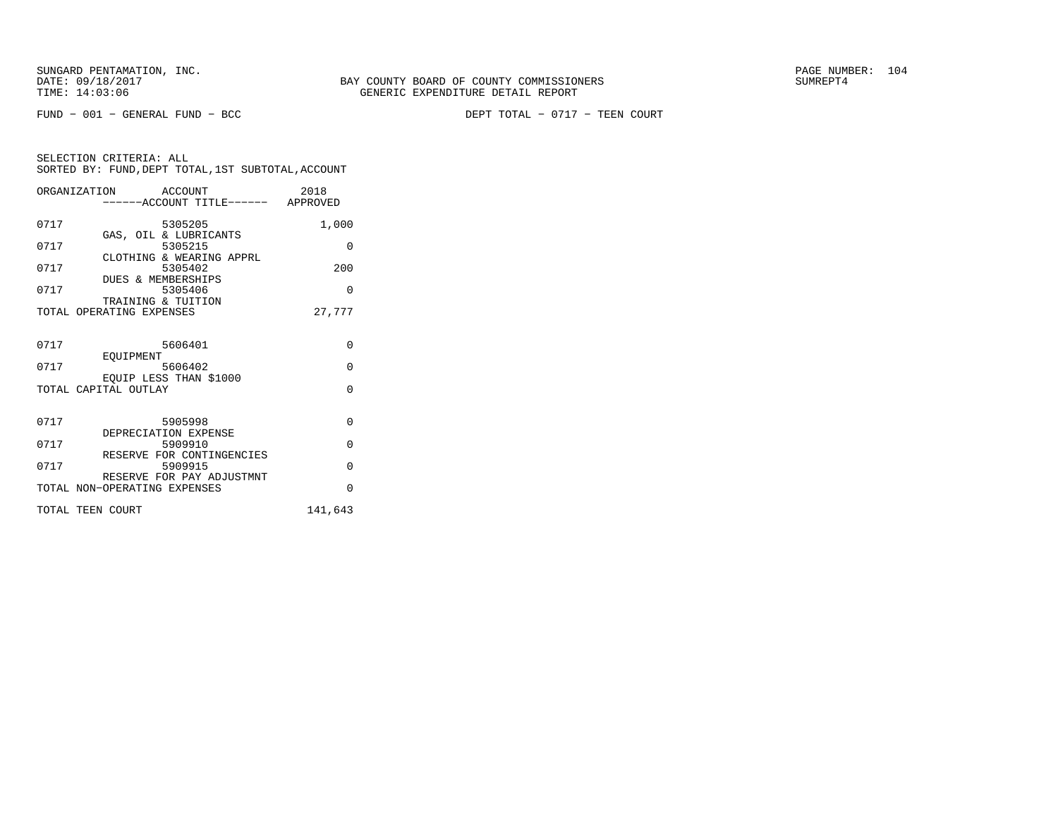FUND − 001 − GENERAL FUND − BCC DEPT TOTAL − 0717 − TEEN COURT

|      | ORGANIZATION ACCOUNT         | -----ACCOUNT TITLE------ APPROVED    | 2018     |
|------|------------------------------|--------------------------------------|----------|
|      |                              |                                      |          |
| 0717 |                              | 5305205<br>GAS, OIL & LUBRICANTS     | 1,000    |
| 0717 |                              | 5305215                              | $\Omega$ |
| 0717 |                              | CLOTHING & WEARING APPRL             | 200      |
|      | DUES & MEMBERSHIPS           | 5305402                              |          |
| 0717 |                              | 5305406                              | $\Omega$ |
|      | TRAINING & TUITION           |                                      |          |
|      | TOTAL OPERATING EXPENSES     |                                      | 27.777   |
|      |                              |                                      |          |
| 0717 | 5606401                      |                                      | $\Omega$ |
| 0717 | EQUIPMENT                    | 5606402                              | $\Omega$ |
|      |                              | EOUIP LESS THAN \$1000               |          |
|      | TOTAL CAPITAL OUTLAY         |                                      | $\Omega$ |
|      |                              |                                      |          |
| 0717 |                              | 5905998                              | $\Omega$ |
|      | DEPRECIATION EXPENSE         |                                      |          |
| 0717 |                              | 5909910<br>RESERVE FOR CONTINGENCIES | $\Omega$ |
| 0717 |                              | 5909915                              | $\Omega$ |
|      |                              | RESERVE FOR PAY ADJUSTMNT            |          |
|      | TOTAL NON-OPERATING EXPENSES |                                      | $\Omega$ |
|      | TOTAL TEEN COURT             |                                      | 141,643  |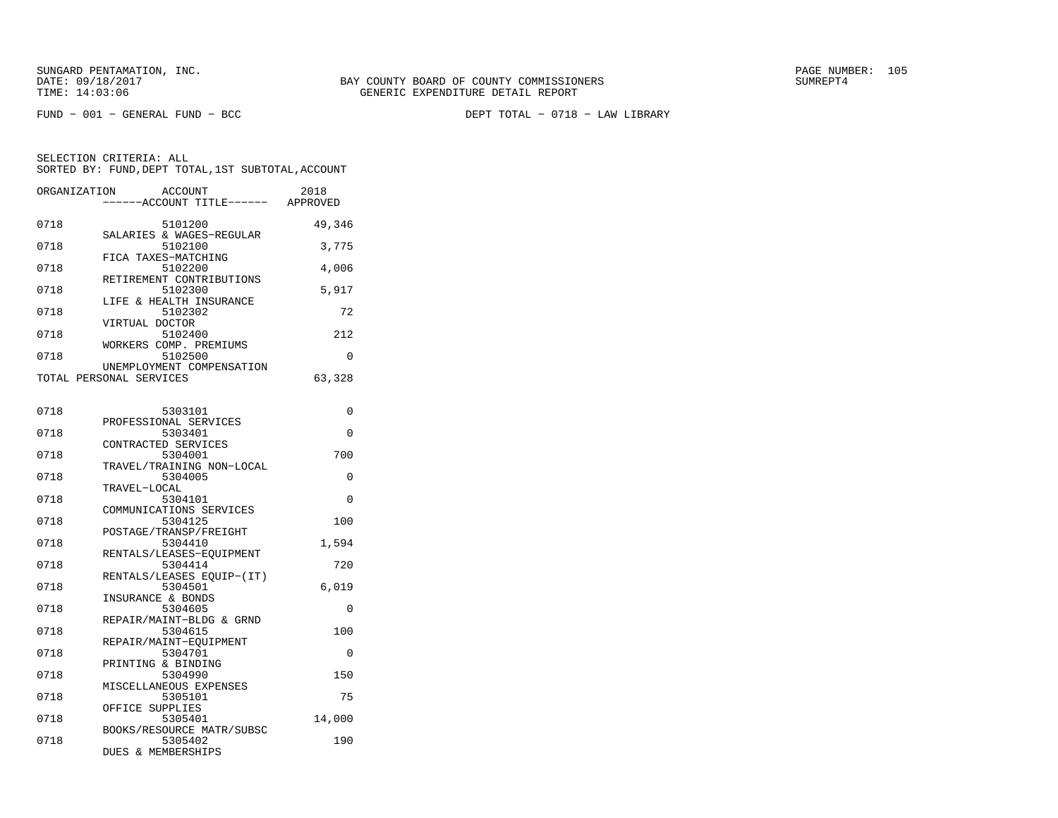FUND − 001 − GENERAL FUND − BCC DEPT TOTAL − 0718 − LAW LIBRARY

| 49,346<br>0718<br>5101200<br>SALARIES & WAGES-REGULAR<br>0718<br>5102100<br>3,775<br>FICA TAXES-MATCHING<br>5102200<br>0718<br>4,006<br>RETIREMENT CONTRIBUTIONS<br>5102300<br>5,917<br>0718<br>LIFE & HEALTH INSURANCE<br>5102302<br>0718<br>72<br>VIRTUAL DOCTOR<br>5102400<br>0718<br>212<br>WORKERS COMP. PREMIUMS<br>5102500<br>0718<br>0<br>UNEMPLOYMENT COMPENSATION<br>63,328<br>TOTAL PERSONAL SERVICES<br>0718<br>5303101<br>0<br>PROFESSIONAL SERVICES<br>0718<br>5303401<br>0<br>CONTRACTED SERVICES<br>5304001<br>700<br>0718<br>TRAVEL/TRAINING NON-LOCAL<br>0718<br>5304005<br>0<br>TRAVEL-LOCAL<br>5304101<br>0718<br>0<br>COMMUNICATIONS SERVICES<br>0718<br>5304125<br>100<br>POSTAGE/TRANSP/FREIGHT<br>5304410<br>1,594<br>0718<br>RENTALS/LEASES-EQUIPMENT<br>5304414<br>0718<br>720<br>RENTALS/LEASES EQUIP-(IT)<br>5304501<br>6,019<br>0718<br>INSURANCE & BONDS<br>0718<br>5304605<br>0<br>REPAIR/MAINT-BLDG & GRND<br>0718<br>5304615<br>100<br>REPAIR/MAINT-EQUIPMENT<br>0718<br>5304701<br>0<br>PRINTING & BINDING<br>0718<br>5304990<br>150<br>MISCELLANEOUS EXPENSES<br>0718<br>5305101<br>75<br>OFFICE SUPPLIES<br>0718<br>5305401<br>14,000<br>BOOKS/RESOURCE MATR/SUBSC<br>0718<br>5305402<br>190<br>DUES & MEMBERSHIPS | ORGANIZATION | <b>ACCOUNT</b><br>---ACCOUNT TITLE------ APPROVED | 2018 |
|--------------------------------------------------------------------------------------------------------------------------------------------------------------------------------------------------------------------------------------------------------------------------------------------------------------------------------------------------------------------------------------------------------------------------------------------------------------------------------------------------------------------------------------------------------------------------------------------------------------------------------------------------------------------------------------------------------------------------------------------------------------------------------------------------------------------------------------------------------------------------------------------------------------------------------------------------------------------------------------------------------------------------------------------------------------------------------------------------------------------------------------------------------------------------------------------------------------------------------------------------------|--------------|---------------------------------------------------|------|
|                                                                                                                                                                                                                                                                                                                                                                                                                                                                                                                                                                                                                                                                                                                                                                                                                                                                                                                                                                                                                                                                                                                                                                                                                                                        |              |                                                   |      |
|                                                                                                                                                                                                                                                                                                                                                                                                                                                                                                                                                                                                                                                                                                                                                                                                                                                                                                                                                                                                                                                                                                                                                                                                                                                        |              |                                                   |      |
|                                                                                                                                                                                                                                                                                                                                                                                                                                                                                                                                                                                                                                                                                                                                                                                                                                                                                                                                                                                                                                                                                                                                                                                                                                                        |              |                                                   |      |
|                                                                                                                                                                                                                                                                                                                                                                                                                                                                                                                                                                                                                                                                                                                                                                                                                                                                                                                                                                                                                                                                                                                                                                                                                                                        |              |                                                   |      |
|                                                                                                                                                                                                                                                                                                                                                                                                                                                                                                                                                                                                                                                                                                                                                                                                                                                                                                                                                                                                                                                                                                                                                                                                                                                        |              |                                                   |      |
|                                                                                                                                                                                                                                                                                                                                                                                                                                                                                                                                                                                                                                                                                                                                                                                                                                                                                                                                                                                                                                                                                                                                                                                                                                                        |              |                                                   |      |
|                                                                                                                                                                                                                                                                                                                                                                                                                                                                                                                                                                                                                                                                                                                                                                                                                                                                                                                                                                                                                                                                                                                                                                                                                                                        |              |                                                   |      |
|                                                                                                                                                                                                                                                                                                                                                                                                                                                                                                                                                                                                                                                                                                                                                                                                                                                                                                                                                                                                                                                                                                                                                                                                                                                        |              |                                                   |      |
|                                                                                                                                                                                                                                                                                                                                                                                                                                                                                                                                                                                                                                                                                                                                                                                                                                                                                                                                                                                                                                                                                                                                                                                                                                                        |              |                                                   |      |
|                                                                                                                                                                                                                                                                                                                                                                                                                                                                                                                                                                                                                                                                                                                                                                                                                                                                                                                                                                                                                                                                                                                                                                                                                                                        |              |                                                   |      |
|                                                                                                                                                                                                                                                                                                                                                                                                                                                                                                                                                                                                                                                                                                                                                                                                                                                                                                                                                                                                                                                                                                                                                                                                                                                        |              |                                                   |      |
|                                                                                                                                                                                                                                                                                                                                                                                                                                                                                                                                                                                                                                                                                                                                                                                                                                                                                                                                                                                                                                                                                                                                                                                                                                                        |              |                                                   |      |
|                                                                                                                                                                                                                                                                                                                                                                                                                                                                                                                                                                                                                                                                                                                                                                                                                                                                                                                                                                                                                                                                                                                                                                                                                                                        |              |                                                   |      |
|                                                                                                                                                                                                                                                                                                                                                                                                                                                                                                                                                                                                                                                                                                                                                                                                                                                                                                                                                                                                                                                                                                                                                                                                                                                        |              |                                                   |      |
|                                                                                                                                                                                                                                                                                                                                                                                                                                                                                                                                                                                                                                                                                                                                                                                                                                                                                                                                                                                                                                                                                                                                                                                                                                                        |              |                                                   |      |
|                                                                                                                                                                                                                                                                                                                                                                                                                                                                                                                                                                                                                                                                                                                                                                                                                                                                                                                                                                                                                                                                                                                                                                                                                                                        |              |                                                   |      |
|                                                                                                                                                                                                                                                                                                                                                                                                                                                                                                                                                                                                                                                                                                                                                                                                                                                                                                                                                                                                                                                                                                                                                                                                                                                        |              |                                                   |      |
|                                                                                                                                                                                                                                                                                                                                                                                                                                                                                                                                                                                                                                                                                                                                                                                                                                                                                                                                                                                                                                                                                                                                                                                                                                                        |              |                                                   |      |
|                                                                                                                                                                                                                                                                                                                                                                                                                                                                                                                                                                                                                                                                                                                                                                                                                                                                                                                                                                                                                                                                                                                                                                                                                                                        |              |                                                   |      |
|                                                                                                                                                                                                                                                                                                                                                                                                                                                                                                                                                                                                                                                                                                                                                                                                                                                                                                                                                                                                                                                                                                                                                                                                                                                        |              |                                                   |      |
|                                                                                                                                                                                                                                                                                                                                                                                                                                                                                                                                                                                                                                                                                                                                                                                                                                                                                                                                                                                                                                                                                                                                                                                                                                                        |              |                                                   |      |
|                                                                                                                                                                                                                                                                                                                                                                                                                                                                                                                                                                                                                                                                                                                                                                                                                                                                                                                                                                                                                                                                                                                                                                                                                                                        |              |                                                   |      |
|                                                                                                                                                                                                                                                                                                                                                                                                                                                                                                                                                                                                                                                                                                                                                                                                                                                                                                                                                                                                                                                                                                                                                                                                                                                        |              |                                                   |      |
|                                                                                                                                                                                                                                                                                                                                                                                                                                                                                                                                                                                                                                                                                                                                                                                                                                                                                                                                                                                                                                                                                                                                                                                                                                                        |              |                                                   |      |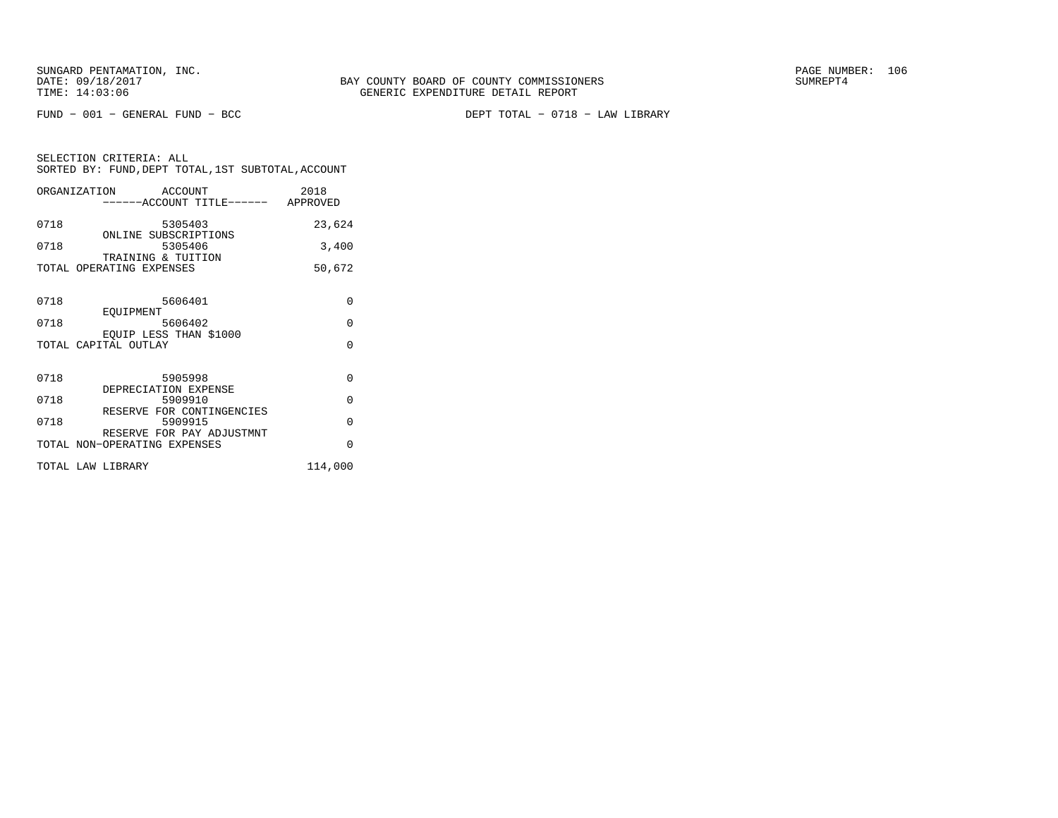FUND − 001 − GENERAL FUND − BCC DEPT TOTAL − 0718 − LAW LIBRARY

|      | ORGANIZATION ACCOUNT<br>------ACCOUNT TITLE------ APPROVED | 2018     |
|------|------------------------------------------------------------|----------|
| 0718 | 5305403<br>ONLINE SUBSCRIPTIONS                            | 23,624   |
| 0718 | 5305406<br>TRAINING & TUITION                              | 3,400    |
|      | TOTAL OPERATING EXPENSES                                   | 50,672   |
| 0718 | 5606401                                                    | $\Omega$ |
| 0718 | EOUIPMENT<br>5606402                                       | $\Omega$ |
|      | EOUIP LESS THAN \$1000<br>TOTAL CAPITAL OUTLAY             | $\Omega$ |
| 0718 | 5905998                                                    | $\Omega$ |
| 0718 | DEPRECIATION EXPENSE<br>5909910                            | $\Omega$ |
| 0718 | RESERVE FOR CONTINGENCIES<br>5909915                       | $\Omega$ |
|      | RESERVE FOR PAY ADJUSTMNT<br>TOTAL NON-OPERATING EXPENSES  | $\Omega$ |
|      | TOTAL LAW LIBRARY                                          | 114,000  |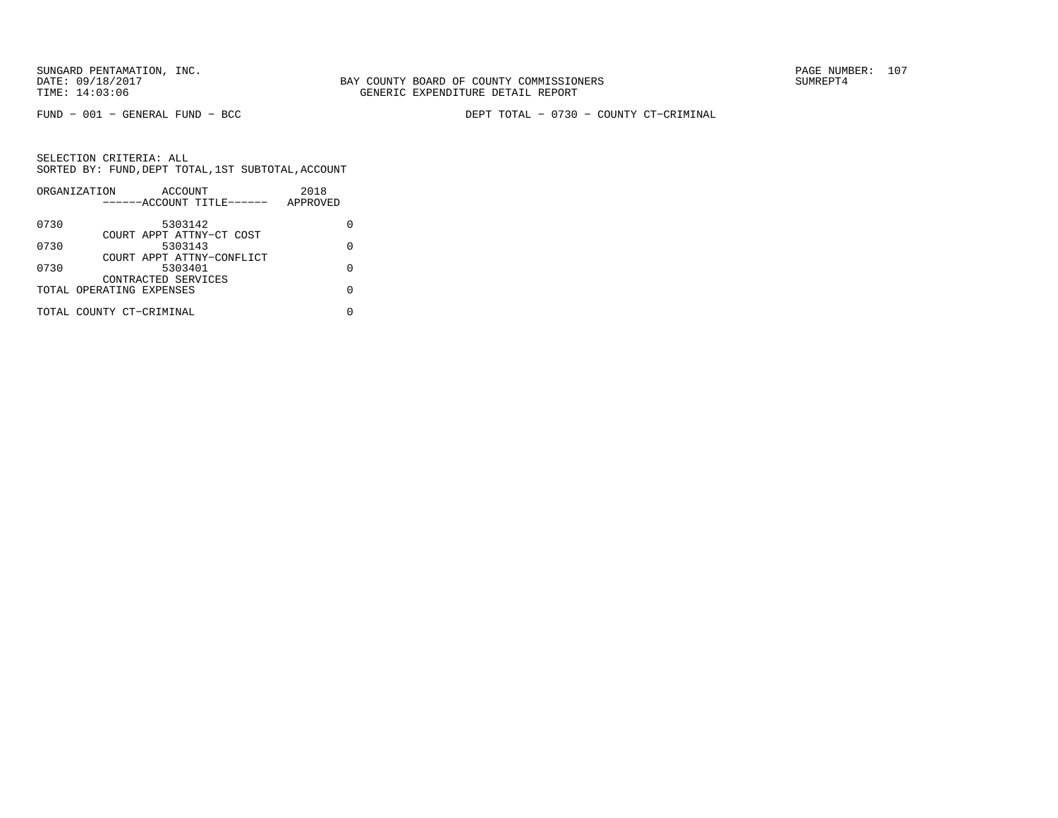BAY COUNTY BOARD OF COUNTY COMMISSIONERS TIME: 14:03:06 GENERIC EXPENDITURE DETAIL REPORT

FUND − 001 − GENERAL FUND − BCC DEPT TOTAL − 0730 − COUNTY CT−CRIMINAL

|      | ORGANIZATION             | ACCOUNT                   |  | 2018     |   |
|------|--------------------------|---------------------------|--|----------|---|
|      |                          | ------ACCOUNT TITLE------ |  | APPROVED |   |
| 0730 |                          | 5303142                   |  |          |   |
|      |                          | COURT APPT ATTNY-CT COST  |  |          |   |
| 0730 |                          | 5303143                   |  |          |   |
|      |                          | COURT APPT ATTNY-CONFLICT |  |          |   |
| 0730 |                          | 5303401                   |  |          | U |
|      |                          | CONTRACTED SERVICES       |  |          |   |
|      | TOTAL OPERATING EXPENSES |                           |  |          |   |
|      |                          |                           |  |          |   |
|      | TOTAL COUNTY CT-CRIMINAL |                           |  |          |   |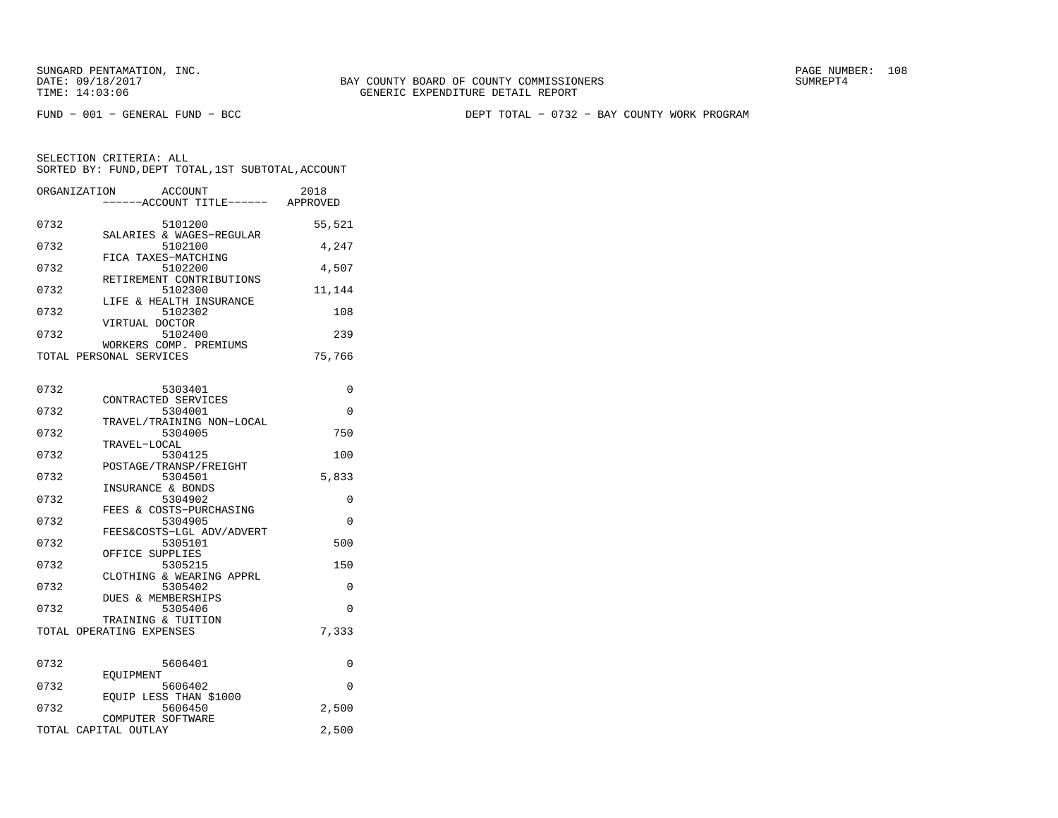FUND − 001 − GENERAL FUND − BCC DEPT TOTAL − 0732 − BAY COUNTY WORK PROGRAM

| ORGANIZATION | ACCOUNT<br>------ACCOUNT TITLE------              | 2018<br>APPROVED |
|--------------|---------------------------------------------------|------------------|
| 0732         | 5101200                                           | 55,521           |
| 0732         | SALARIES & WAGES-REGULAR<br>5102100               | 4,247            |
| 0732         | FICA TAXES-MATCHING<br>5102200                    | 4,507            |
| 0732         | RETIREMENT CONTRIBUTIONS<br>5102300               | 11,144           |
| 0732         | LIFE & HEALTH INSURANCE<br>5102302                | 108              |
| 0732         | VIRTUAL DOCTOR<br>5102400                         | 239              |
|              | WORKERS COMP. PREMIUMS<br>TOTAL PERSONAL SERVICES | 75,766           |

| 0732 | 5303401                       | $\Omega$ |
|------|-------------------------------|----------|
|      | CONTRACTED SERVICES           |          |
| 0732 | 5304001                       | $\Omega$ |
|      | TRAVEL/TRAINING NON-LOCAL     |          |
| 0732 | 5304005                       | 750      |
|      | TRAVEL-LOCAL                  |          |
| 0732 | 5304125                       | 100      |
|      | POSTAGE/TRANSP/FREIGHT        |          |
| 0732 | 5304501                       | 5,833    |
|      | INSURANCE & BONDS             |          |
| 0732 | 5304902                       | $\Omega$ |
|      | FEES & COSTS-PURCHASING       |          |
| 0732 | 5304905                       | $\Omega$ |
|      | FEES&COSTS-LGL ADV/ADVERT     |          |
| 0732 | 5305101                       | 500      |
|      | OFFICE SUPPLIES               |          |
| 0732 | 5305215                       | 150      |
|      | CLOTHING & WEARING APPRL      |          |
| 0732 | 5305402                       | $\Omega$ |
|      | <b>DUES &amp; MEMBERSHIPS</b> |          |
| 0732 | 5305406                       | $\Omega$ |
|      | TRAINING & TUITION            |          |
|      |                               |          |
|      | TOTAL OPERATING EXPENSES      | 7,333    |
|      |                               |          |
| 0732 |                               |          |
|      | 5606401                       | 0        |
|      | EOUIPMENT                     |          |
| 0732 | 5606402                       | $\Omega$ |
|      | EOUIP LESS THAN \$1000        |          |
| 0732 | 5606450                       | 2,500    |
|      | COMPUTER SOFTWARE             |          |
|      | TOTAL CAPITAL OUTLAY          | 2,500    |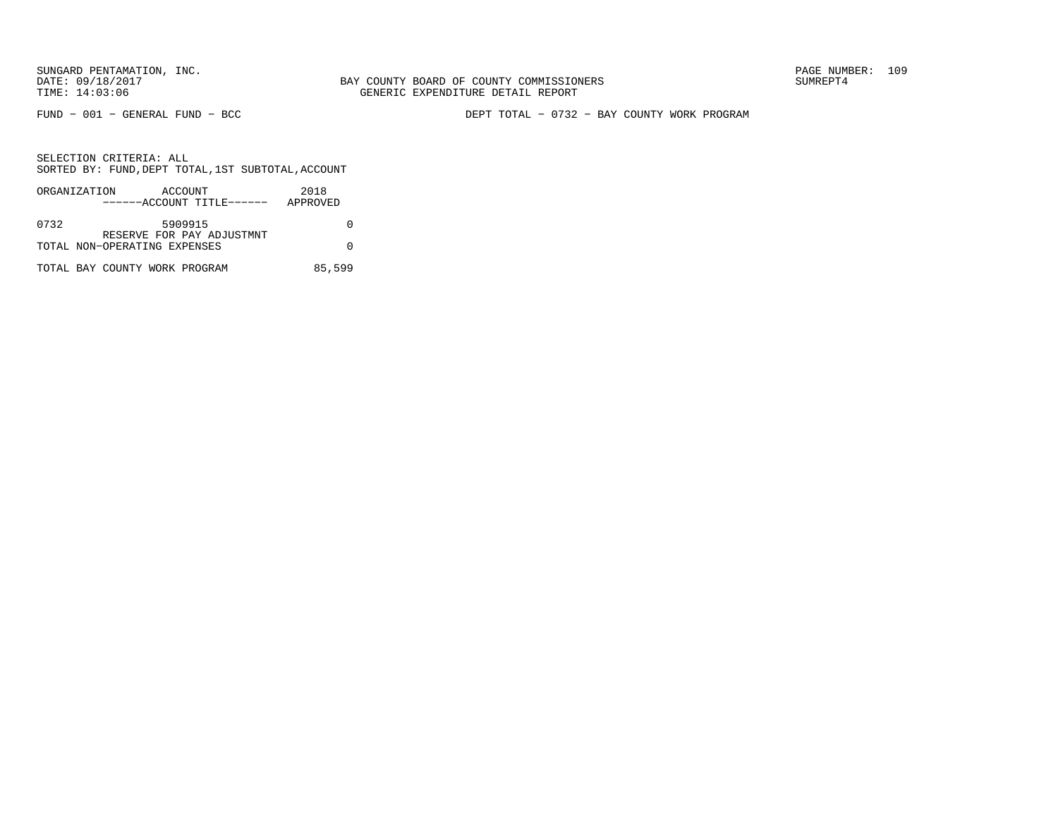BAY COUNTY BOARD OF COUNTY COMMISSIONERS TIME: 14:03:06 GENERIC EXPENDITURE DETAIL REPORT

FUND − 001 − GENERAL FUND − BCC DEPT TOTAL − 0732 − BAY COUNTY WORK PROGRAM

|      | ORGANIZATION                  | ACCOUNT |                           | 2018     |
|------|-------------------------------|---------|---------------------------|----------|
|      |                               |         | ------ACCOUNT TITLE------ | APPROVED |
|      |                               |         |                           |          |
| 0732 |                               | 5909915 |                           |          |
|      |                               |         | RESERVE FOR PAY ADJUSTMNT |          |
|      | TOTAL NON-OPERATING EXPENSES  |         |                           |          |
|      |                               |         |                           |          |
|      | TOTAL BAY COUNTY WORK PROGRAM |         |                           | 85,599   |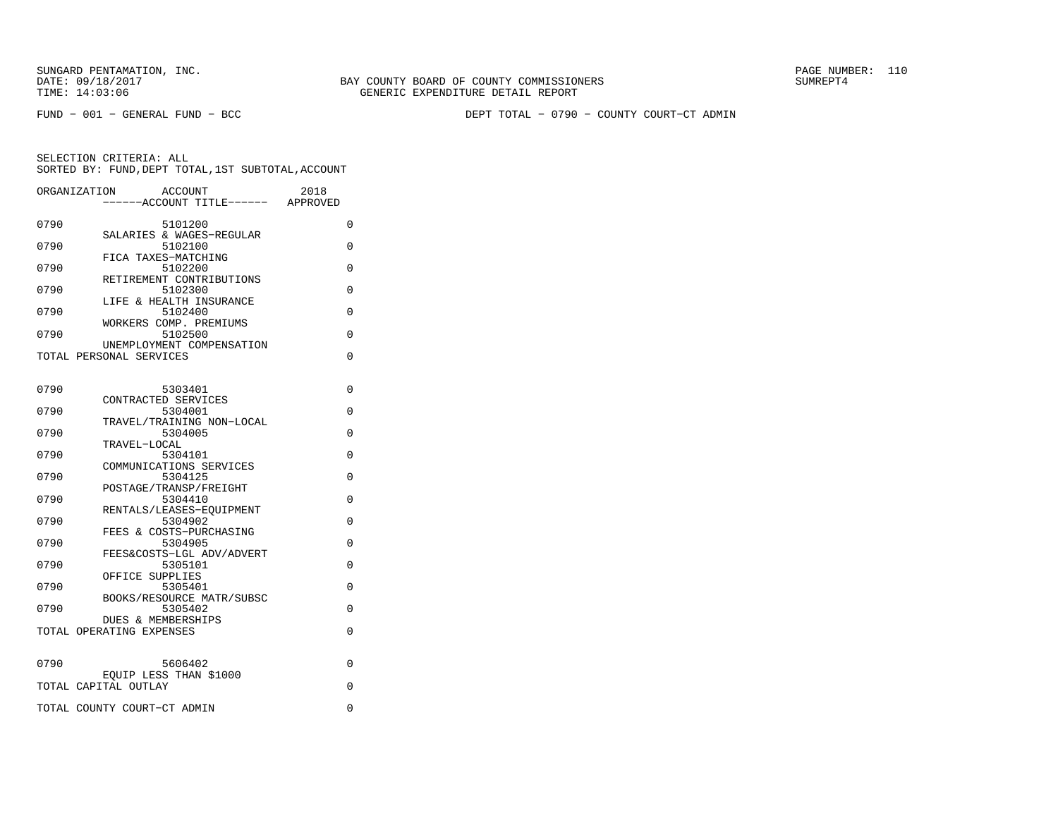FUND − 001 − GENERAL FUND − BCC DEPT TOTAL − 0790 − COUNTY COURT−CT ADMIN

| ORGANIZATION | ACCOUNT<br>---ACCOUNT TITLE------ APPROVED                | 2018     |
|--------------|-----------------------------------------------------------|----------|
| 0790         | 5101200                                                   | 0        |
| 0790         | SALARIES & WAGES-REGULAR<br>5102100                       | 0        |
| 0790         | FICA TAXES-MATCHING<br>5102200                            | 0        |
| 0790         | RETIREMENT CONTRIBUTIONS<br>5102300                       | 0        |
| 0790         | LIFE & HEALTH INSURANCE<br>5102400                        | 0        |
|              | WORKERS COMP. PREMIUMS                                    |          |
| 0790         | 5102500<br>UNEMPLOYMENT COMPENSATION                      | $\Omega$ |
|              | TOTAL PERSONAL SERVICES                                   | 0        |
| 0790         | 5303401                                                   | 0        |
|              | CONTRACTED SERVICES                                       |          |
| 0790         | 5304001<br>TRAVEL/TRAINING NON-LOCAL                      | 0        |
| 0790         | 5304005                                                   | 0        |
| 0790         | TRAVEL-LOCAL<br>5304101                                   | 0        |
| 0790         | COMMUNICATIONS SERVICES<br>5304125                        | 0        |
|              | POSTAGE/TRANSP/FREIGHT                                    |          |
| 0790         | 5304410<br>RENTALS/LEASES-EOUIPMENT                       | 0        |
| 0790         | 5304902                                                   | 0        |
| 0790         | FEES & COSTS-PURCHASING<br>5304905                        | 0        |
| 0790         | FEES&COSTS-LGL ADV/ADVERT<br>5305101                      | 0        |
|              | OFFICE SUPPLIES                                           |          |
| 0790         | 5305401<br>BOOKS/RESOURCE MATR/SUBSC                      | 0        |
| 0790         | 5305402                                                   | 0        |
|              | <b>DUES &amp; MEMBERSHIPS</b><br>TOTAL OPERATING EXPENSES | 0        |
|              |                                                           |          |
| 0790         | 5606402<br>EQUIP LESS THAN \$1000                         | 0        |
|              | TOTAL CAPITAL OUTLAY                                      | 0        |
|              | TOTAL COUNTY COURT-CT ADMIN                               | 0        |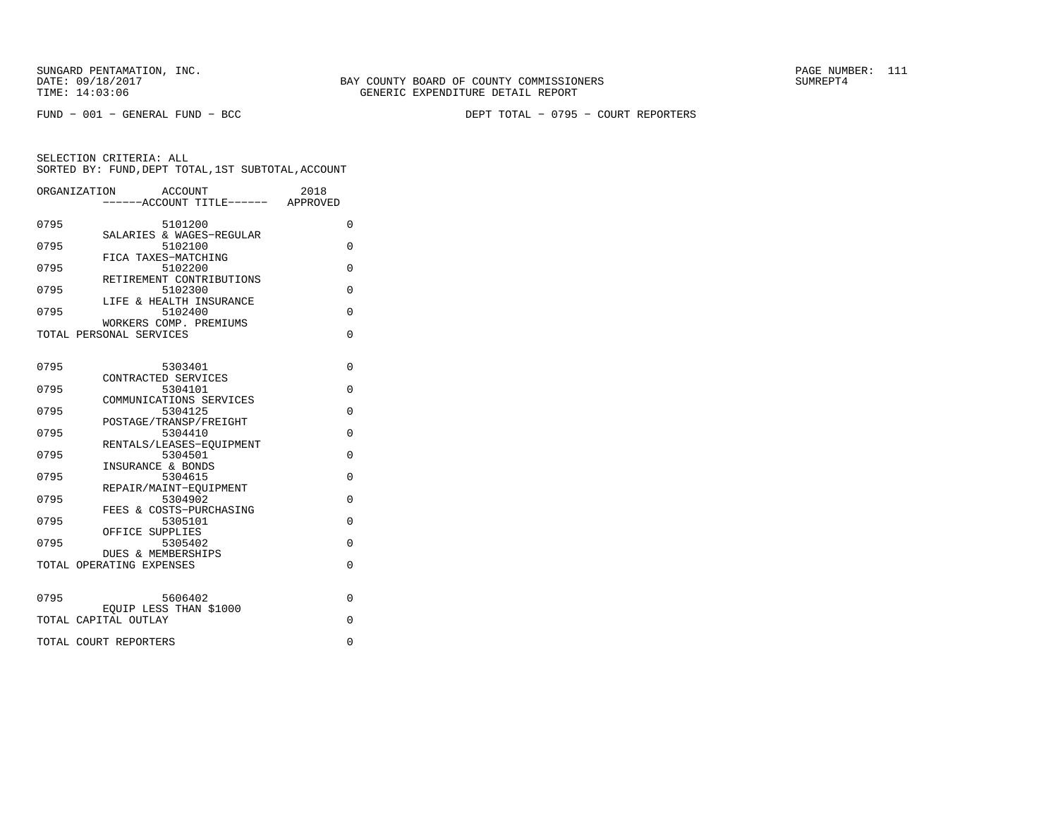FUND − 001 − GENERAL FUND − BCC DEPT TOTAL − 0795 − COURT REPORTERS

|      | ORGANIZATION<br>ACCOUNT                        | 2018     |
|------|------------------------------------------------|----------|
|      | -----ACCOUNT TITLE------ APPROVED              |          |
| 0795 | 5101200<br>SALARIES & WAGES-REGULAR            | 0        |
| 0795 | 5102100<br>FICA TAXES-MATCHING                 | $\Omega$ |
| 0795 | 5102200<br>RETIREMENT CONTRIBUTIONS            | $\Omega$ |
| 0795 | 5102300<br>LIFE & HEALTH INSURANCE             | $\Omega$ |
| 0795 | 5102400<br>WORKERS COMP. PREMIUMS              | 0        |
|      | TOTAL PERSONAL SERVICES                        | $\Omega$ |
| 0795 | 5303401                                        | $\Omega$ |
|      | CONTRACTED SERVICES                            |          |
| 0795 | 5304101<br>COMMUNICATIONS SERVICES             | 0        |
| 0795 | 5304125                                        | $\Omega$ |
| 0795 | POSTAGE/TRANSP/FREIGHT<br>5304410              | $\Omega$ |
| 0795 | RENTALS/LEASES-EQUIPMENT<br>5304501            | $\Omega$ |
|      | INSURANCE & BONDS                              |          |
| 0795 | 5304615<br>REPAIR/MAINT-EOUIPMENT              | $\Omega$ |
| 0795 | 5304902                                        | $\Omega$ |
| 0795 | FEES & COSTS-PURCHASING<br>5305101             | $\Omega$ |
| 0795 | OFFICE SUPPLIES<br>5305402                     | $\Omega$ |
|      | DUES & MEMBERSHIPS<br>TOTAL OPERATING EXPENSES | $\Omega$ |
|      |                                                |          |
| 0795 | 5606402                                        | $\Omega$ |
|      | EQUIP LESS THAN \$1000<br>TOTAL CAPITAL OUTLAY | $\Omega$ |
|      | TOTAL COURT REPORTERS                          | 0        |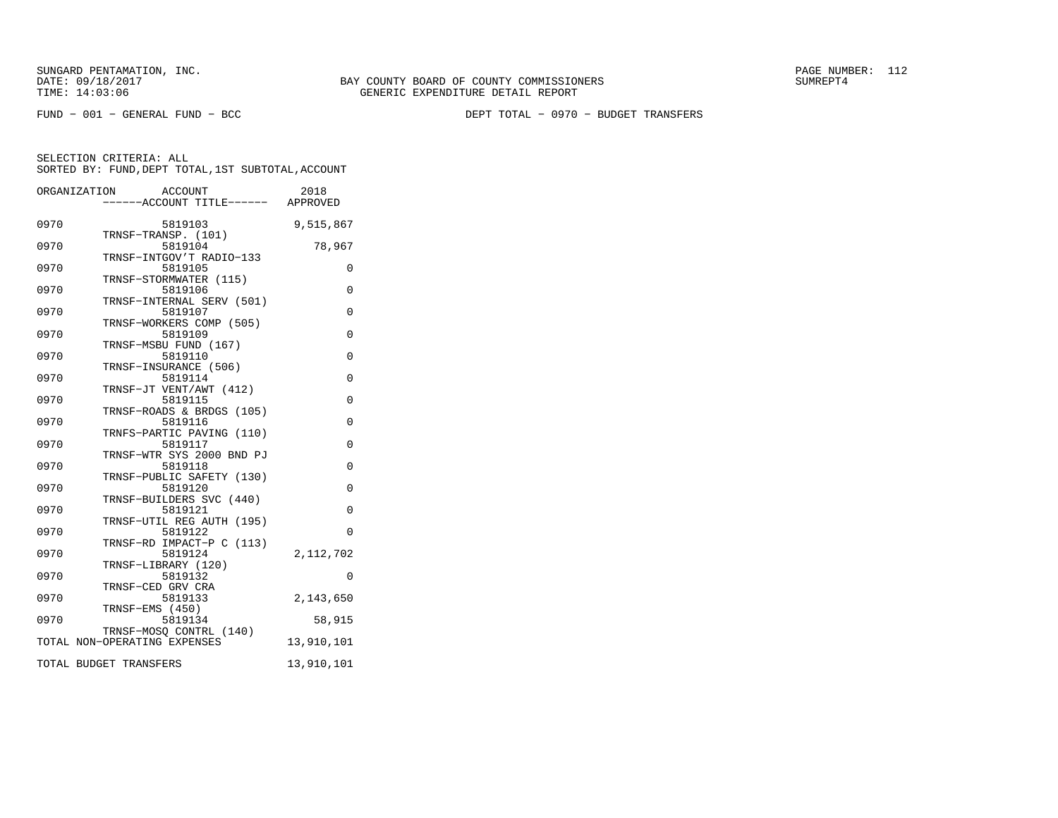FUND − 001 − GENERAL FUND − BCC DEPT TOTAL − 0970 − BUDGET TRANSFERS

|      | ACCOUNT<br>ORGANIZATION<br>-----ACCOUNT TITLE------ APPROVED | 2018       |
|------|--------------------------------------------------------------|------------|
| 0970 | 5819103                                                      | 9,515,867  |
| 0970 | TRNSF-TRANSP. (101)<br>5819104                               | 78,967     |
| 0970 | TRNSF-INTGOV'T RADIO-133<br>5819105                          | 0          |
| 0970 | TRNSF-STORMWATER (115)<br>5819106                            | 0          |
| 0970 | TRNSF-INTERNAL SERV (501)<br>5819107                         | $\Omega$   |
| 0970 | TRNSF-WORKERS COMP (505)<br>5819109                          | $\Omega$   |
| 0970 | TRNSF-MSBU FUND (167)<br>5819110                             | $\Omega$   |
| 0970 | TRNSF-INSURANCE (506)<br>5819114                             | 0          |
| 0970 | TRNSF-JT VENT/AWT (412)<br>5819115                           | $\Omega$   |
| 0970 | TRNSF-ROADS & BRDGS (105)<br>5819116                         | $\Omega$   |
| 0970 | TRNFS-PARTIC PAVING (110)<br>5819117                         | 0          |
| 0970 | TRNSF-WTR SYS 2000 BND PJ<br>5819118                         | 0          |
| 0970 | TRNSF-PUBLIC SAFETY (130)<br>5819120                         | $\Omega$   |
| 0970 | TRNSF-BUILDERS SVC (440)<br>5819121                          | $\Omega$   |
| 0970 | TRNSF-UTIL REG AUTH (195)<br>5819122                         | $\Omega$   |
| 0970 | TRNSF-RD IMPACT-P C (113)<br>5819124                         | 2,112,702  |
| 0970 | TRNSF-LIBRARY (120)<br>5819132                               | 0          |
| 0970 | TRNSF-CED GRV CRA<br>5819133                                 | 2,143,650  |
| 0970 | TRNSF-EMS (450)<br>5819134                                   | 58,915     |
|      | TRNSF-MOSQ CONTRL (140)<br>TOTAL NON-OPERATING EXPENSES      | 13,910,101 |
|      | TOTAL BUDGET TRANSFERS                                       | 13,910,101 |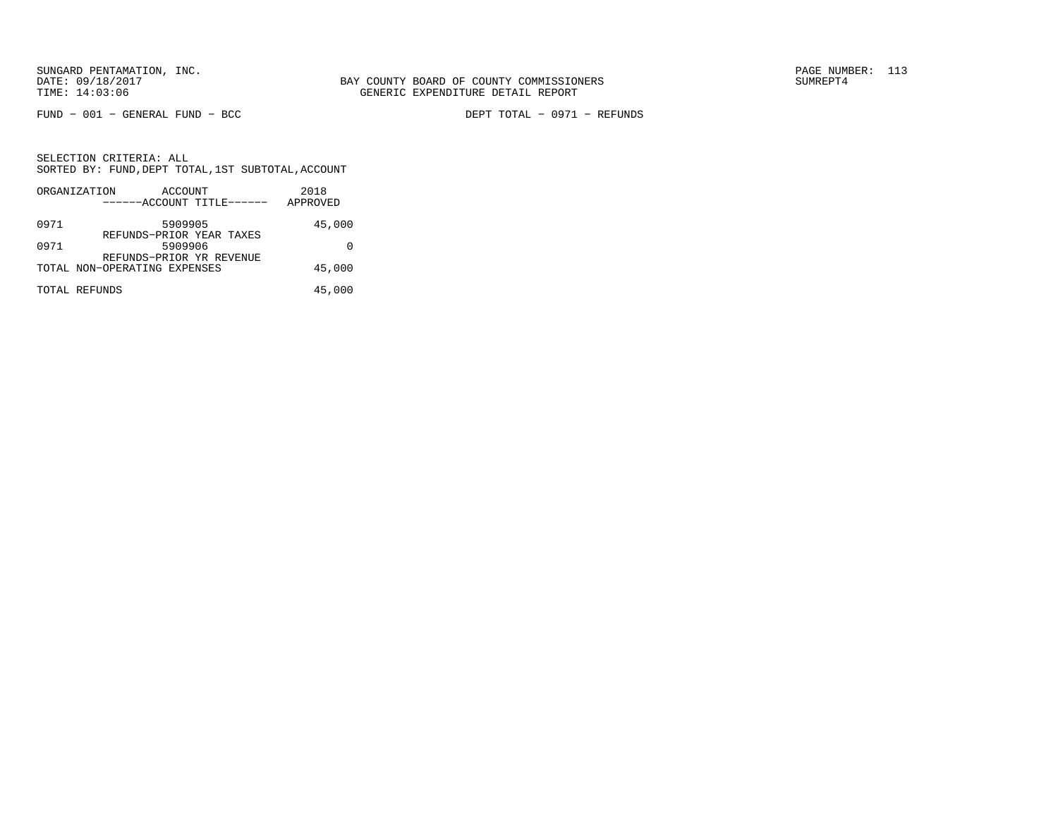FUND − 001 − GENERAL FUND − BCC DEPT TOTAL − 0971 − REFUNDS

|      | ORGANIZATION                 | ACCOUNT |                           | 2018     |
|------|------------------------------|---------|---------------------------|----------|
|      |                              |         | ------ACCOUNT TITLE------ | APPROVED |
| 0971 |                              | 5909905 | REFUNDS-PRIOR YEAR TAXES  | 45,000   |
| 0971 |                              | 5909906 | REFUNDS-PRIOR YR REVENUE  |          |
|      | TOTAL NON-OPERATING EXPENSES |         |                           | 45,000   |
|      | TOTAL REFUNDS                |         |                           | 45,000   |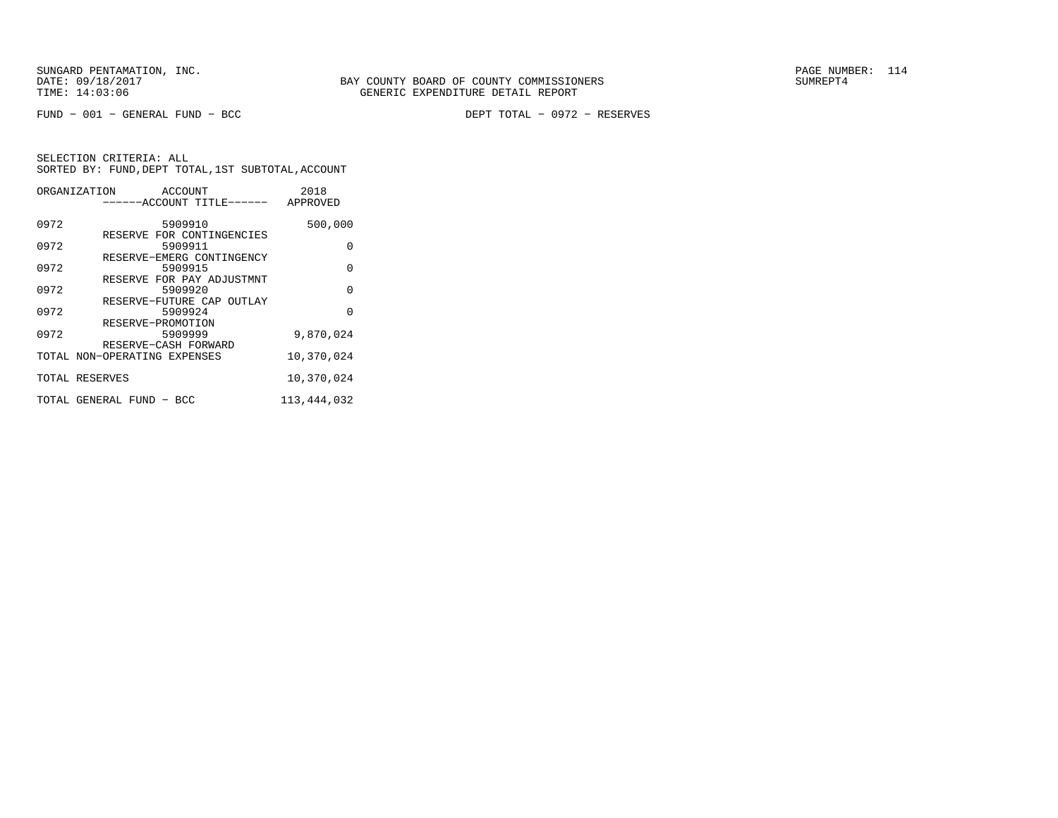FUND − 001 − GENERAL FUND − BCC DEPT TOTAL − 0972 − RESERVES

|      | ORGANIZATION ACCOUNT                 | 2018          |
|------|--------------------------------------|---------------|
|      | ------ACCOUNT TITLE------ APPROVED   |               |
| 0972 | 5909910                              | 500,000       |
| 0972 | RESERVE FOR CONTINGENCIES<br>5909911 | 0             |
| 0972 | RESERVE-EMERG CONTINGENCY<br>5909915 | 0             |
| 0972 | RESERVE FOR PAY ADJUSTMNT<br>5909920 | 0             |
| 0972 | RESERVE-FUTURE CAP OUTLAY<br>5909924 | $\Omega$      |
| 0972 | RESERVE-PROMOTION<br>5909999         | 9,870,024     |
|      | RESERVE-CASH FORWARD                 |               |
|      | TOTAL NON-OPERATING EXPENSES         | 10,370,024    |
|      | TOTAL RESERVES                       | 10,370,024    |
|      | TOTAL GENERAL FUND - BCC             | 113, 444, 032 |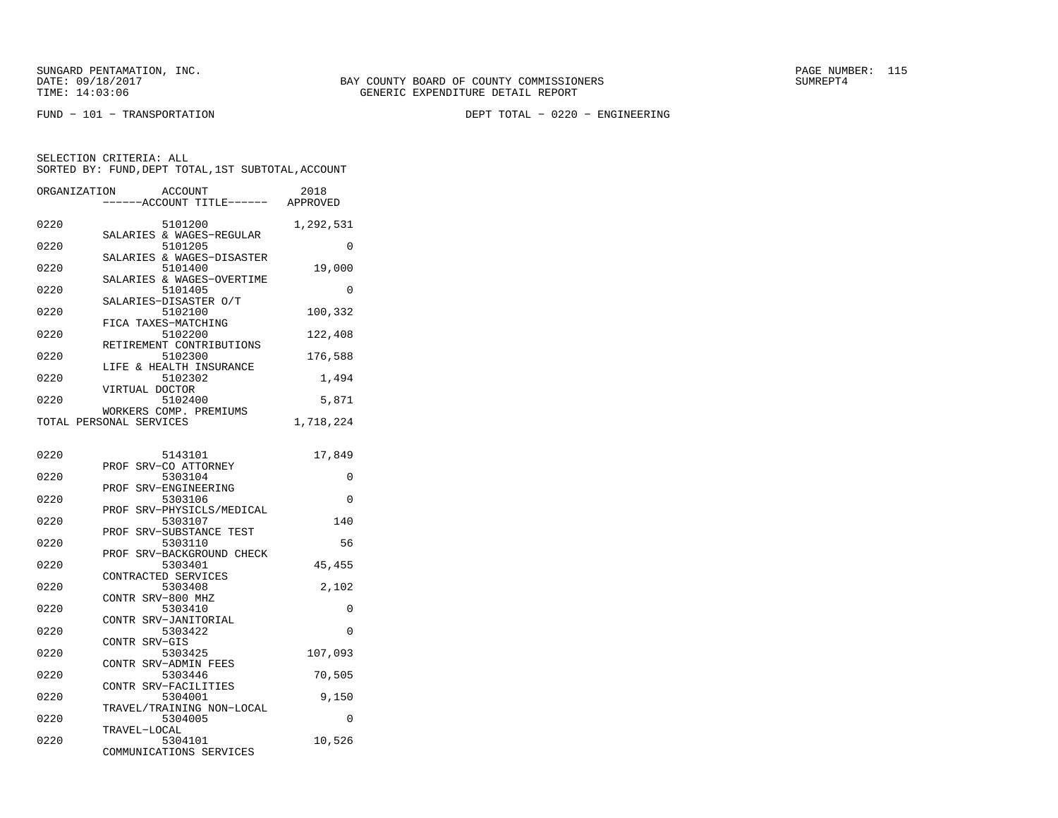FUND − 101 − TRANSPORTATION DEPT TOTAL − 0220 − ENGINEERING

| ORGANIZATION | ACCOUNT<br>---ACCOUNT TITLE------                    | 2018<br>APPROVED |
|--------------|------------------------------------------------------|------------------|
| 0220         | 5101200                                              | 1,292,531        |
| 0220         | SALARIES & WAGES-REGULAR<br>5101205                  | 0                |
| 0220         | SALARIES & WAGES-DISASTER<br>5101400                 | 19,000           |
| 0220         | SALARIES & WAGES-OVERTIME<br>5101405                 | 0                |
| 0220         | SALARIES-DISASTER O/T<br>5102100                     | 100,332          |
| 0220         | FICA TAXES-MATCHING<br>5102200                       | 122,408          |
| 0220         | RETIREMENT CONTRIBUTIONS<br>5102300                  | 176,588          |
| 0220         | LIFE & HEALTH INSURANCE<br>5102302<br>VIRTUAL DOCTOR | 1,494            |
| 0220         | 5102400                                              | 5,871            |
|              | WORKERS COMP. PREMIUMS<br>TOTAL PERSONAL SERVICES    | 1,718,224        |
| 0220         | 5143101                                              | 17,849           |
| 0220         | PROF SRV-CO ATTORNEY<br>5303104                      | 0                |
| 0220         | SRV-ENGINEERING<br>PROF<br>5303106                   | $\Omega$         |
| 0220         | SRV-PHYSICLS/MEDICAL<br>PROF<br>5303107              | 140              |
| 0220         | SRV-SUBSTANCE TEST<br>PROF<br>5303110                | 56               |
| 0220         | SRV-BACKGROUND CHECK<br>PROF<br>5303401              | 45,455           |
| 0220         | CONTRACTED SERVICES<br>5303408                       | 2,102            |
| 0220         | CONTR SRV-800 MHZ<br>5303410                         | 0                |
| 0220         | CONTR SRV-JANITORIAL<br>5303422                      | $\Omega$         |
| 0220         | CONTR SRV-GIS<br>5303425                             | 107,093          |
| 0220         | CONTR SRV-ADMIN FEES<br>5303446                      | 70,505           |
| 0220         | CONTR SRV-FACILITIES<br>5304001                      | 9,150            |
| 0220         | TRAVEL/TRAINING NON-LOCAL<br>5304005                 | 0                |
| 0220         | TRAVEL-LOCAL<br>5304101<br>COMMUNICATIONS SERVICES   | 10,526           |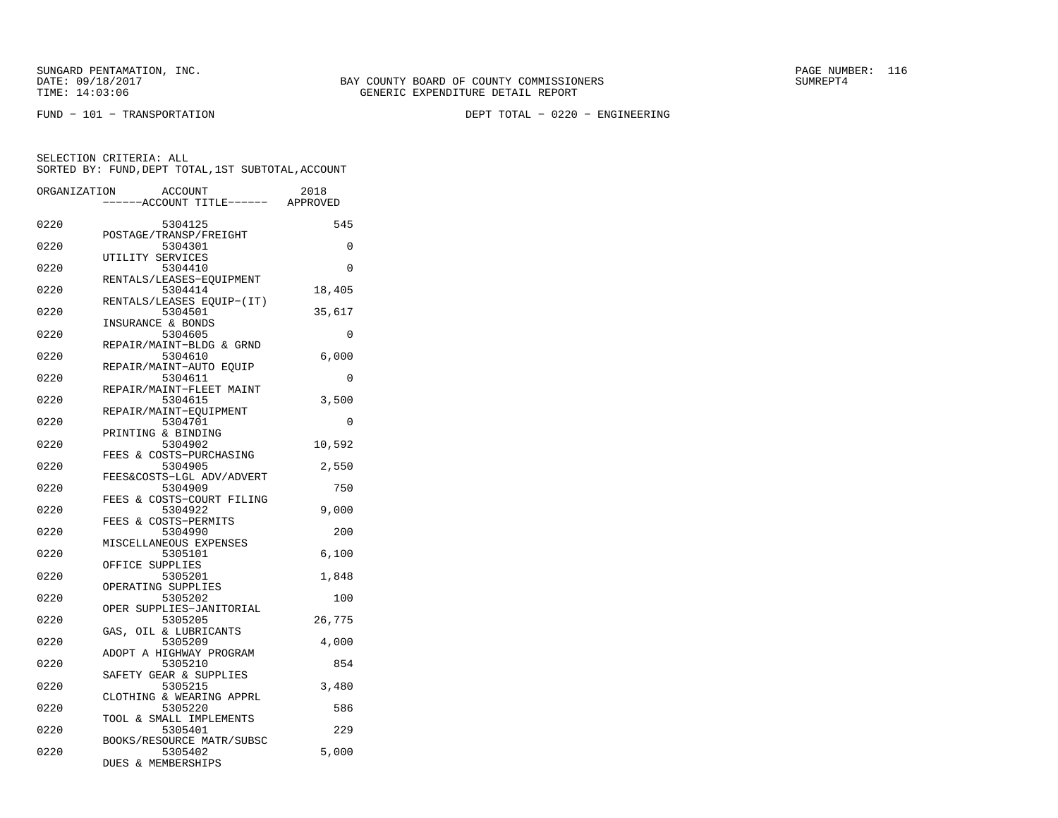FUND − 101 − TRANSPORTATION DEPT TOTAL − 0220 − ENGINEERING

| ORGANIZATION | <b>ACCOUNT</b><br>---ACCOUNT TITLE------ APPROVED          | 2018   |
|--------------|------------------------------------------------------------|--------|
| 0220         | 5304125                                                    | 545    |
| 0220         | POSTAGE/TRANSP/FREIGHT<br>5304301                          | 0      |
| 0220         | UTILITY SERVICES<br>5304410                                | 0      |
| 0220         | RENTALS/LEASES-EOUIPMENT<br>5304414                        | 18,405 |
| 0220         | RENTALS/LEASES EQUIP-(IT)<br>5304501                       | 35,617 |
| 0220         | INSURANCE & BONDS<br>5304605                               | 0      |
| 0220         | REPAIR/MAINT-BLDG & GRND<br>5304610                        | 6,000  |
| 0220         | REPAIR/MAINT-AUTO EOUIP<br>5304611                         | 0      |
| 0220         | REPAIR/MAINT-FLEET MAINT<br>5304615                        | 3,500  |
| 0220         | REPAIR/MAINT-EQUIPMENT<br>5304701                          | 0      |
| 0220         | PRINTING & BINDING<br>5304902                              | 10,592 |
| 0220         | FEES & COSTS-PURCHASING<br>5304905                         | 2,550  |
| 0220         | FEES&COSTS-LGL ADV/ADVERT<br>5304909                       | 750    |
| 0220         | FEES & COSTS-COURT FILING<br>5304922                       | 9,000  |
| 0220         | FEES & COSTS-PERMITS<br>5304990                            | 200    |
| 0220         | MISCELLANEOUS EXPENSES<br>5305101                          | 6,100  |
| 0220         | OFFICE SUPPLIES<br>5305201                                 | 1,848  |
| 0220         | OPERATING SUPPLIES<br>5305202                              | 100    |
| 0220         | OPER SUPPLIES-JANITORIAL<br>5305205                        | 26,775 |
| 0220         | GAS,<br>OIL & LUBRICANTS<br>5305209                        | 4,000  |
| 0220         | ADOPT A HIGHWAY PROGRAM<br>5305210                         | 854    |
| 0220         | SAFETY GEAR & SUPPLIES<br>5305215                          | 3,480  |
| 0220         | CLOTHING & WEARING APPRL<br>5305220                        | 586    |
| 0220         | TOOL & SMALL IMPLEMENTS<br>5305401                         | 229    |
| 0220         | BOOKS/RESOURCE MATR/SUBSC<br>5305402<br>DUES & MEMBERSHIPS | 5,000  |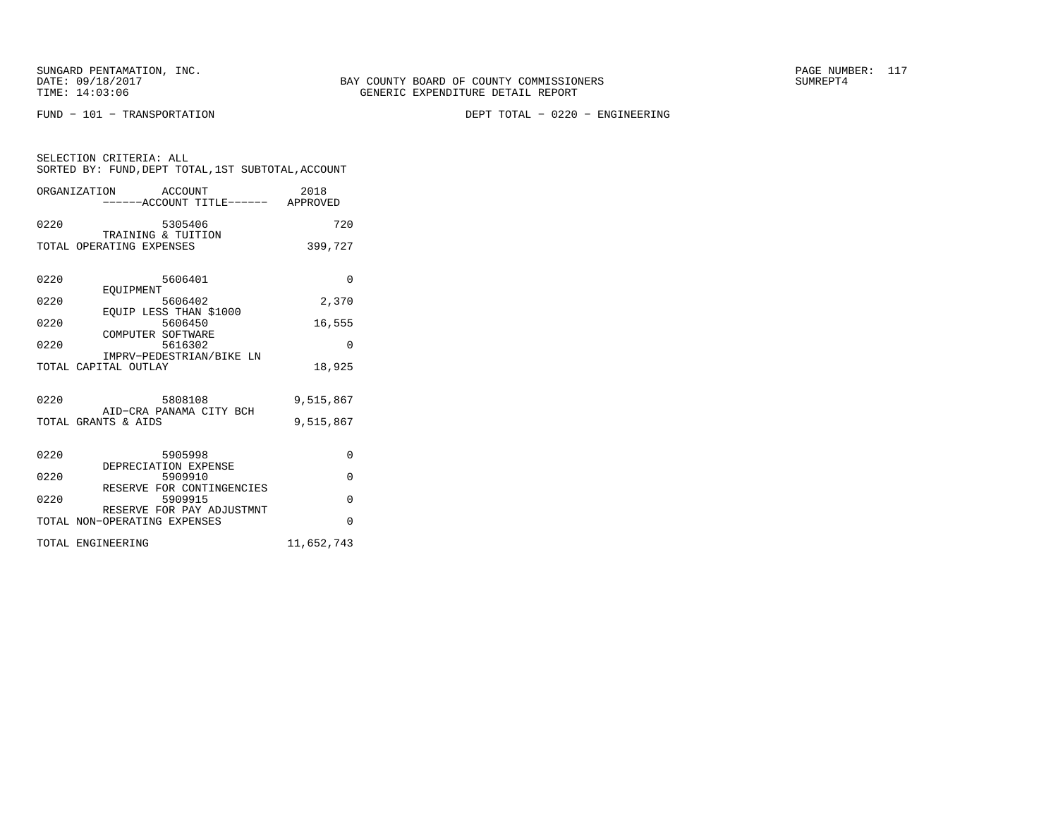SELECTION CRITERIA: ALL

FUND − 101 − TRANSPORTATION DEPT TOTAL − 0220 − ENGINEERING

| ORGANIZATION             | ACCOUNT<br>------ACCOUNT TITLE------              | 2018<br>APPROVED |
|--------------------------|---------------------------------------------------|------------------|
| 0220                     | 5305406                                           | 720              |
| TOTAL OPERATING EXPENSES | TRAINING & TUITION                                | 399,727          |
|                          |                                                   |                  |
| 0220                     | 5606401                                           | U                |
| 0220                     | EOUIPMENT<br>5606402<br>1∩חחו⊅ זגנטיף סיסקז מזזזר | 2,370            |

SORTED BY: FUND,DEPT TOTAL,1ST SUBTOTAL,ACCOUNT

| EOUIP LESS THAN \$1000                                    |            |
|-----------------------------------------------------------|------------|
| 0220<br>5606450                                           | 16,555     |
| COMPUTER SOFTWARE<br>0220<br>5616302                      | U          |
| IMPRV-PEDESTRIAN/BIKE LN                                  |            |
| TOTAL CAPITAL OUTLAY                                      | 18,925     |
|                                                           |            |
| 0220<br>5808108                                           | 9,515,867  |
| AID-CRA PANAMA CITY BCH<br>TOTAL GRANTS & AIDS            | 9,515,867  |
|                                                           |            |
|                                                           |            |
| 0220<br>5905998                                           | $\Omega$   |
| DEPRECIATION EXPENSE<br>0220<br>5909910                   | O          |
| RESERVE FOR CONTINGENCIES                                 |            |
| 0220<br>5909915                                           | O          |
| RESERVE FOR PAY ADJUSTMNT<br>TOTAL NON-OPERATING EXPENSES | U          |
|                                                           |            |
| TOTAL ENGINEERING                                         | 11,652,743 |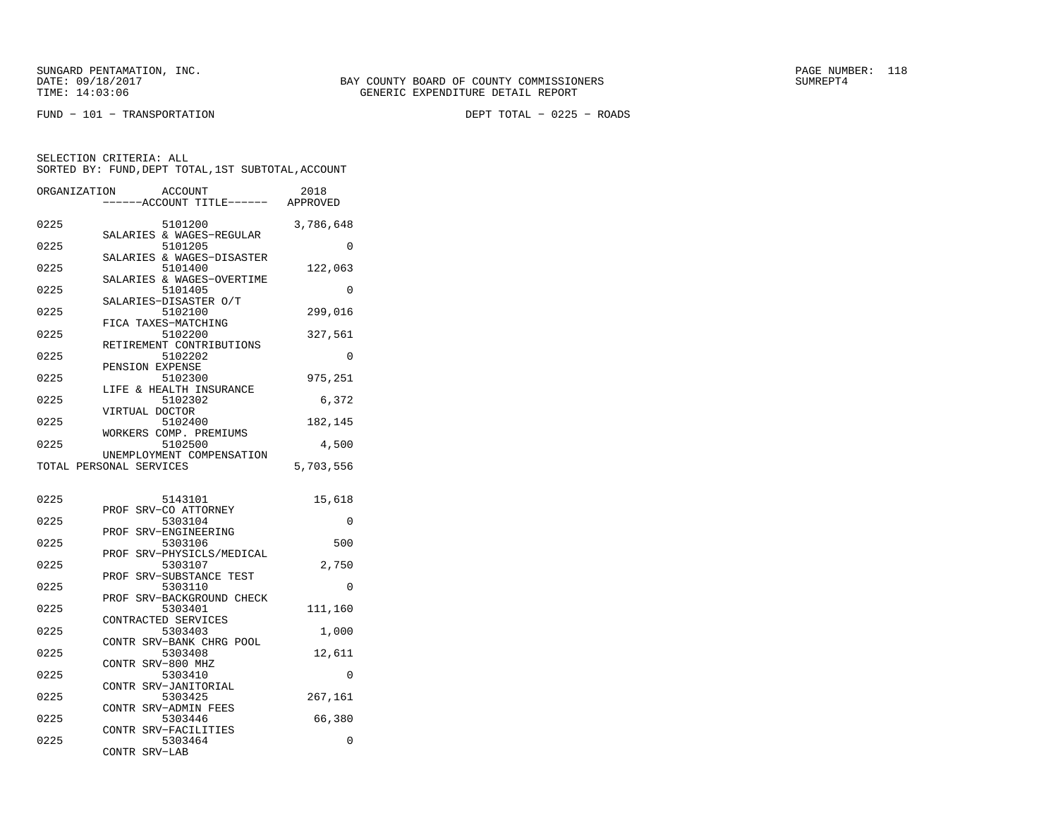FUND − 101 − TRANSPORTATION DEPT TOTAL − 0225 − ROADS

| ORGANIZATION | ACCOUNT<br>----ACCOUNT TITLE------                   | 2018<br>APPROVED |
|--------------|------------------------------------------------------|------------------|
| 0225         | 5101200                                              | 3,786,648        |
| 0225         | SALARIES & WAGES-REGULAR<br>5101205                  | 0                |
| 0225         | SALARIES & WAGES-DISASTER<br>5101400                 | 122,063          |
| 0225         | SALARIES & WAGES-OVERTIME<br>5101405                 | 0                |
| 0225         | SALARIES-DISASTER O/T<br>5102100                     | 299,016          |
| 0225         | FICA TAXES-MATCHING<br>5102200                       | 327,561          |
| 0225         | RETIREMENT CONTRIBUTIONS<br>5102202                  | 0                |
| 0225         | PENSION EXPENSE<br>5102300                           | 975,251          |
| 0225         | LIFE & HEALTH INSURANCE<br>5102302                   | 6,372            |
| 0225         | VIRTUAL DOCTOR<br>5102400                            | 182,145          |
| 0225         | WORKERS COMP. PREMIUMS<br>5102500                    | 4,500            |
|              | UNEMPLOYMENT COMPENSATION<br>TOTAL PERSONAL SERVICES | 5,703,556        |
|              |                                                      |                  |
| 0225         | 5143101<br>SRV-CO ATTORNEY<br>PROF                   | 15,618           |
| 0225         | 5303104<br>SRV-ENGINEERING<br>PROF                   | 0                |
| 0225         | 5303106<br>SRV-PHYSICLS/MEDICAL<br>PROF              | 500              |
| 0225         | 5303107<br>SRV-SUBSTANCE TEST<br>PROF                | 2,750            |
| 0225         | 5303110<br>PROF<br>SRV-BACKGROUND CHECK              | $\Omega$         |
| 0225         | 5303401<br>CONTRACTED SERVICES                       | 111,160          |
| 0225         | 5303403<br>CONTR SRV-BANK CHRG POOL                  | 1,000            |
| 0225         | 5303408<br>CONTR SRV-800 MHZ                         | 12,611           |
| 0225         | 5303410<br>SRV-JANITORIAL                            | 0                |
| 0225         | CONTR<br>5303425                                     | 267,161          |
| 0225         | CONTR SRV-ADMIN FEES<br>5303446                      | 66,380           |
| 0225         | CONTR SRV-FACILITIES<br>5303464<br>CONTR<br>SRV-LAB  | 0                |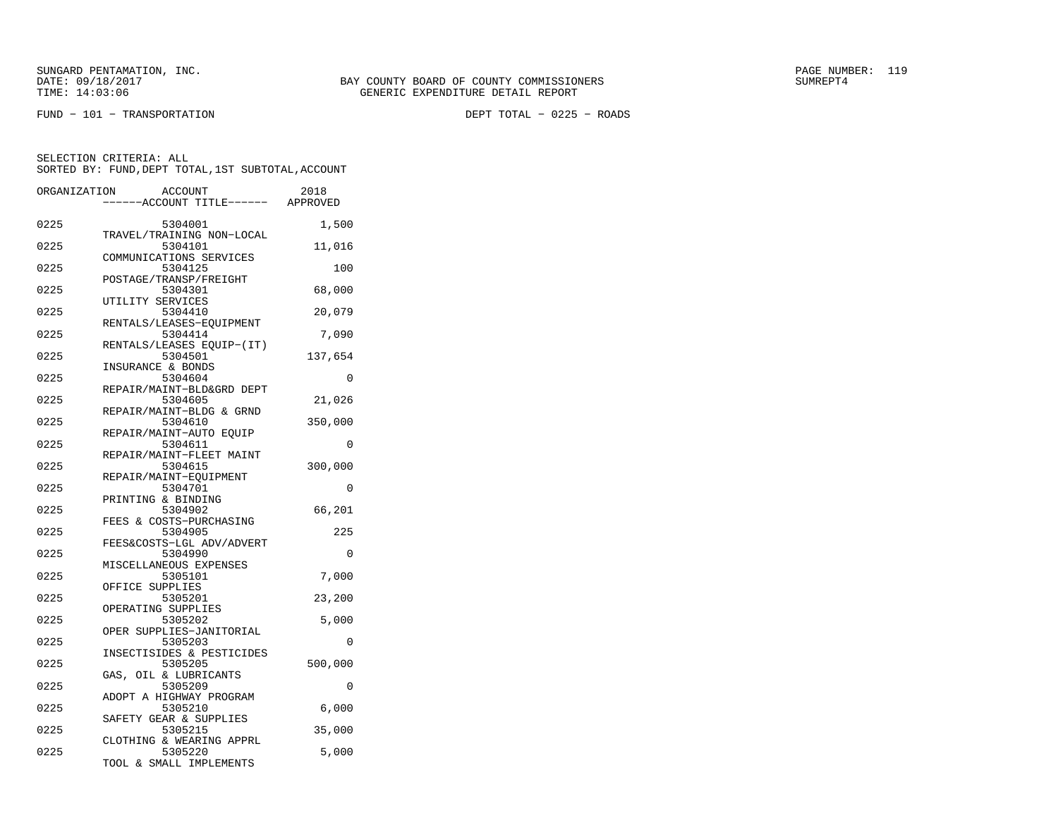FUND − 101 − TRANSPORTATION DEPT TOTAL − 0225 − ROADS

| ORGANIZATION | <b>ACCOUNT</b><br>---ACCOUNT TITLE------ APPROVED              | 2018     |
|--------------|----------------------------------------------------------------|----------|
| 0225         | 5304001<br>TRAVEL/TRAINING NON-LOCAL                           | 1,500    |
| 0225         | 5304101<br>COMMUNICATIONS SERVICES                             | 11,016   |
| 0225         | 5304125                                                        | 100      |
| 0225         | POSTAGE/TRANSP/FREIGHT<br>5304301                              | 68,000   |
| 0225         | UTILITY SERVICES<br>5304410                                    | 20,079   |
| 0225         | RENTALS/LEASES-EOUIPMENT<br>5304414                            | 7,090    |
| 0225         | RENTALS/LEASES EOUIP-(IT)<br>5304501                           | 137,654  |
| 0225         | INSURANCE & BONDS<br>5304604                                   | 0        |
| 0225         | REPAIR/MAINT-BLD&GRD DEPT<br>5304605                           | 21,026   |
| 0225         | REPAIR/MAINT-BLDG & GRND<br>5304610                            | 350,000  |
| 0225         | REPAIR/MAINT-AUTO EQUIP<br>5304611                             | 0        |
| 0225         | REPAIR/MAINT-FLEET MAINT<br>5304615                            | 300,000  |
| 0225         | REPAIR/MAINT-EOUIPMENT<br>5304701                              | 0        |
| 0225         | PRINTING & BINDING<br>5304902                                  | 66,201   |
| 0225         | FEES & COSTS-PURCHASING<br>5304905                             | 225      |
| 0225         | FEES&COSTS-LGL ADV/ADVERT<br>5304990                           | $\Omega$ |
| 0225         | MISCELLANEOUS EXPENSES<br>5305101                              | 7,000    |
| 0225         | OFFICE SUPPLIES<br>5305201                                     | 23,200   |
| 0225         | OPERATING SUPPLIES<br>5305202                                  | 5,000    |
| 0225         | OPER SUPPLIES-JANITORIAL<br>5305203                            | 0        |
| 0225         | INSECTISIDES & PESTICIDES<br>5305205                           | 500,000  |
| 0225         | GAS, OIL & LUBRICANTS<br>5305209                               | 0        |
| 0225         | ADOPT A HIGHWAY PROGRAM<br>5305210                             | 6,000    |
| 0225         | SAFETY GEAR & SUPPLIES<br>5305215                              | 35,000   |
| 0225         | CLOTHING & WEARING APPRL<br>5305220<br>TOOL & SMALL IMPLEMENTS | 5,000    |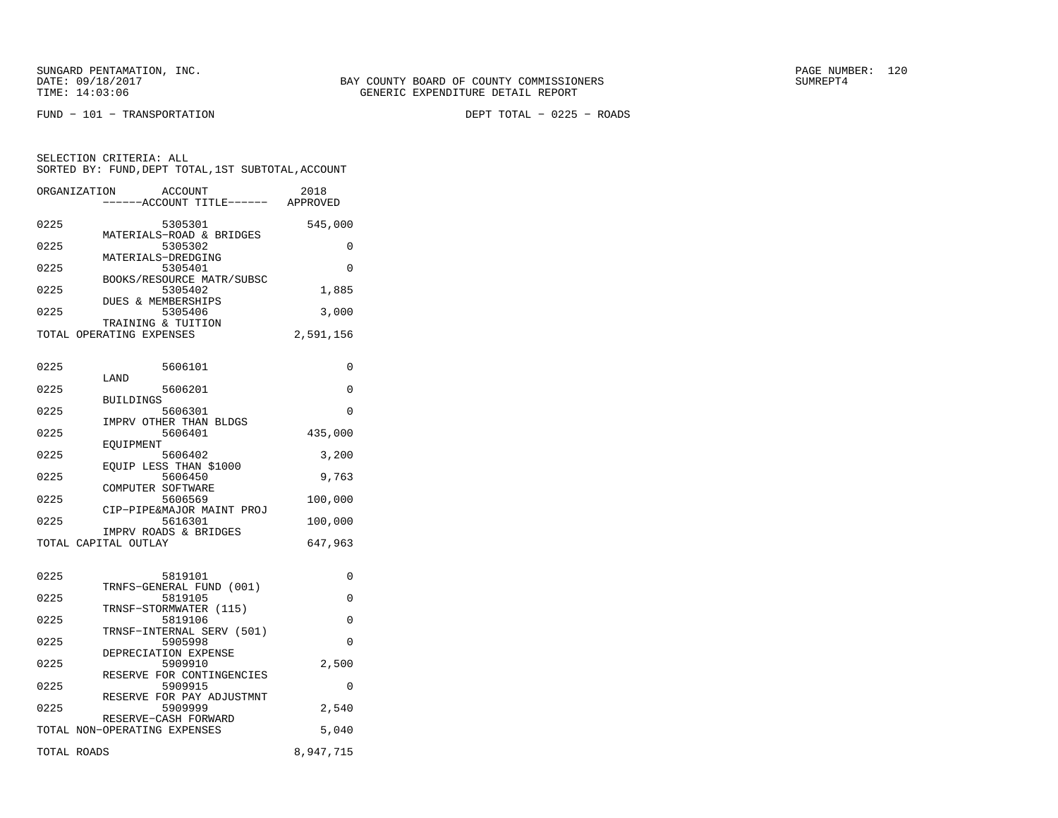SUNGARD PENTAMATION, INC. THE SUNGARD PAGE NUMBER: 120

FUND − 101 − TRANSPORTATION DEPT TOTAL − 0225 − ROADS

SELECTION CRITERIA: ALL

0225 5305301 545,000 MATERIALS−ROAD & BRIDGES0225 5305302 0 MATERIALS−DREDGING0225 5305401 0 BOOKS/RESOURCE MATR/SUBSC<br>5305402 0225 5305402 1,885 DUES & MEMBERSHIPS 0225 5305406 3,000 TRAINING & TUITIONTOTAL OPERATING EXPENSES 2,591,156 0225 5606101 0 LAND0225 5606201 0 BUILDINGS0225 5606301 0 IMPRV OTHER THAN BLDGS0225 5606401 435,000 EQUIPMENT0225 5606402 3,200 EQUIP LESS THAN \$1000<br>0225 5606450 0225 5606450 9,763 COMPUTER SOFTWARE5606569 0225 5606569 100,000 CIP−PIPE&MAJOR MAINT PROJ0225 5616301 100,000 IMPRV ROADS & BRIDGESTOTAL CAPITAL OUTLAY 647,963 0225 5819101 0 TRNFS−GENERAL FUND (001)0225 5819105 0 TRNSF−STORMWATER (115)0225 5819106 0 TRNSF−INTERNAL SERV (501)0225 5905998 0 DEPRECIATION EXPENSE0225 5909910 2,500 RESERVE FOR CONTINGENCIES0225 5909915 0 RESERVE FOR PAY ADJUSTMNT0225 5909999 2,540

 SORTED BY: FUND,DEPT TOTAL,1ST SUBTOTAL,ACCOUNTORGANIZATION ACCOUNT 2018−−−−−−ACCOUNT TITLE−−−−−− APPROVED

| RESERVE-CASH FORWARD<br>TOTAL NON-OPERATING EXPENSES | 5,040     |
|------------------------------------------------------|-----------|
| TOTAL ROADS                                          | 8,947,715 |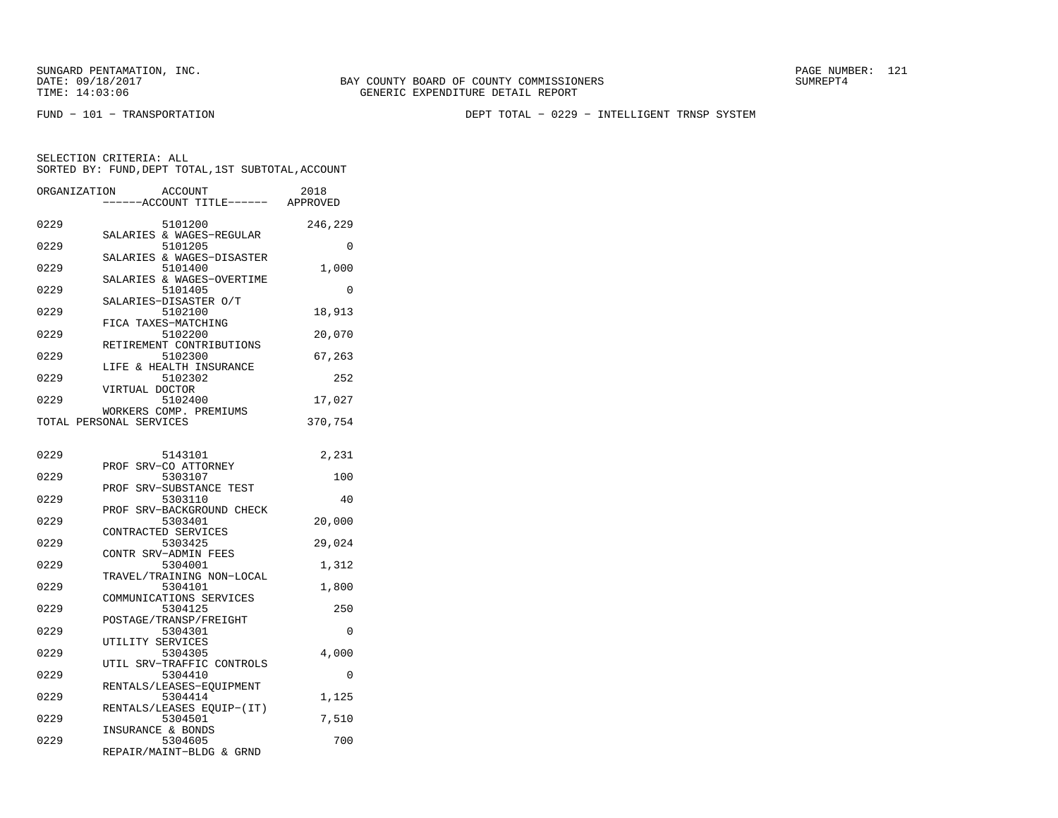FUND − 101 − TRANSPORTATION DEPT TOTAL − 0229 − INTELLIGENT TRNSP SYSTEM

| ORGANIZATION | ACCOUNT<br>----ACCOUNT TITLE------ APPROVED | 2018     |
|--------------|---------------------------------------------|----------|
| 0229         | 5101200<br>SALARIES & WAGES-REGULAR         | 246,229  |
| 0229         | 5101205                                     | 0        |
| 0229         | SALARIES & WAGES-DISASTER<br>5101400        | 1,000    |
| 0229         | SALARIES & WAGES-OVERTIME<br>5101405        | $\Omega$ |
| 0229         | SALARIES-DISASTER O/T<br>5102100            | 18,913   |
| 0229         | FICA TAXES-MATCHING<br>5102200              | 20,070   |
| 0229         | RETIREMENT CONTRIBUTIONS<br>5102300         | 67,263   |
| 0229         | LIFE & HEALTH INSURANCE                     | 252      |
|              | 5102302<br>VIRTUAL DOCTOR                   |          |
| 0229         | 5102400<br>WORKERS COMP. PREMIUMS           | 17,027   |
|              | TOTAL PERSONAL SERVICES                     | 370,754  |
| 0229         | 5143101                                     | 2,231    |
| 0229         | PROF SRV-CO ATTORNEY<br>5303107             | 100      |
| 0229         | SRV-SUBSTANCE TEST<br>PROF<br>5303110       | 40       |
|              | PROF SRV-BACKGROUND CHECK                   |          |
| 0229         | 5303401<br>CONTRACTED SERVICES              | 20,000   |
| 0229         | 5303425<br>CONTR SRV-ADMIN FEES             | 29,024   |
| 0229         | 5304001<br>TRAVEL/TRAINING NON-LOCAL        | 1,312    |
| 0229         | 5304101<br>COMMUNICATIONS SERVICES          | 1,800    |
| 0229         | 5304125                                     | 250      |
| 0229         | POSTAGE/TRANSP/FREIGHT<br>5304301           | $\Omega$ |
| 0229         | UTILITY SERVICES<br>5304305                 | 4,000    |
| 0229         | UTIL SRV-TRAFFIC CONTROLS<br>5304410        | 0        |
| 0229         | RENTALS/LEASES-EOUIPMENT<br>5304414         | 1,125    |
| 0229         | RENTALS/LEASES EQUIP-(IT)<br>5304501        | 7,510    |
|              | INSURANCE & BONDS                           |          |
| 0229         | 5304605<br>REPAIR/MAINT-BLDG & GRND         | 700      |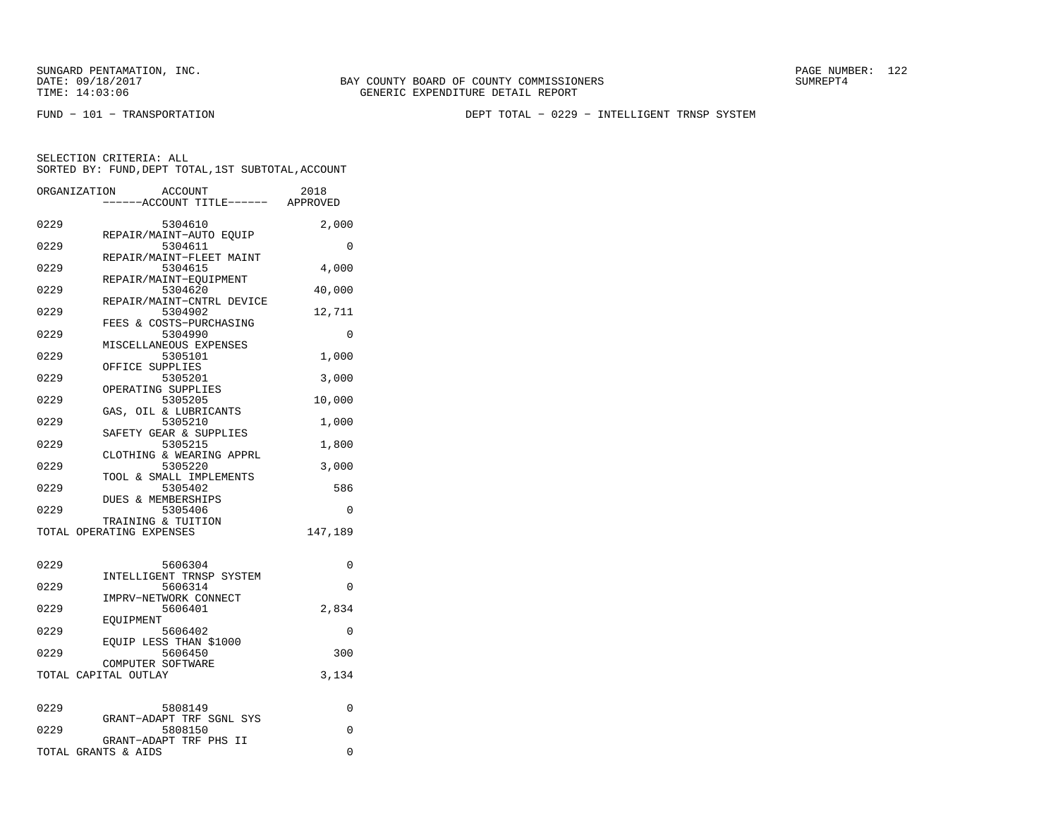FUND − 101 − TRANSPORTATION DEPT TOTAL − 0229 − INTELLIGENT TRNSP SYSTEM

|      | ACCOUNT<br>ORGANIZATION<br>----ACCOUNT TITLE------ APPROVED | 2018     |
|------|-------------------------------------------------------------|----------|
| 0229 | 5304610<br>REPAIR/MAINT-AUTO EQUIP                          | 2,000    |
| 0229 | 5304611                                                     | $\Omega$ |
| 0229 | REPAIR/MAINT-FLEET MAINT<br>5304615                         | 4,000    |
| 0229 | REPAIR/MAINT-EOUIPMENT<br>5304620                           | 40,000   |
| 0229 | REPAIR/MAINT-CNTRL DEVICE<br>5304902                        | 12,711   |
| 0229 | FEES & COSTS-PURCHASING<br>5304990                          | 0        |
| 0229 | MISCELLANEOUS EXPENSES<br>5305101                           | 1,000    |
| 0229 | OFFICE SUPPLIES<br>5305201                                  | 3,000    |
| 0229 | OPERATING SUPPLIES<br>5305205                               | 10,000   |
| 0229 | GAS, OIL & LUBRICANTS<br>5305210                            | 1,000    |
| 0229 | SAFETY GEAR & SUPPLIES<br>5305215                           | 1,800    |
| 0229 | CLOTHING & WEARING APPRL<br>5305220                         | 3,000    |
| 0229 | TOOL & SMALL IMPLEMENTS<br>5305402                          | 586      |
| 0229 | DUES & MEMBERSHIPS<br>5305406                               | 0        |
|      | TRAINING & TUITION<br>TOTAL OPERATING EXPENSES              | 147,189  |
|      |                                                             |          |
| 0229 | 5606304                                                     | 0        |
| 0229 | INTELLIGENT TRNSP SYSTEM<br>5606314                         | $\Omega$ |
| 0229 | IMPRV-NETWORK CONNECT<br>5606401                            | 2,834    |
| 0229 | EOUIPMENT<br>5606402                                        | 0        |
| 0229 | EOUIP LESS THAN \$1000<br>5606450                           | 300      |
|      | COMPUTER SOFTWARE<br>TOTAL CAPITAL OUTLAY                   | 3,134    |
|      |                                                             |          |
| 0229 | 5808149<br>GRANT-ADAPT TRF SGNL SYS                         | 0        |
| 0229 | 5808150<br>GRANT-ADAPT TRF PHS II                           | $\Omega$ |
|      | TOTAL GRANTS & AIDS                                         | 0        |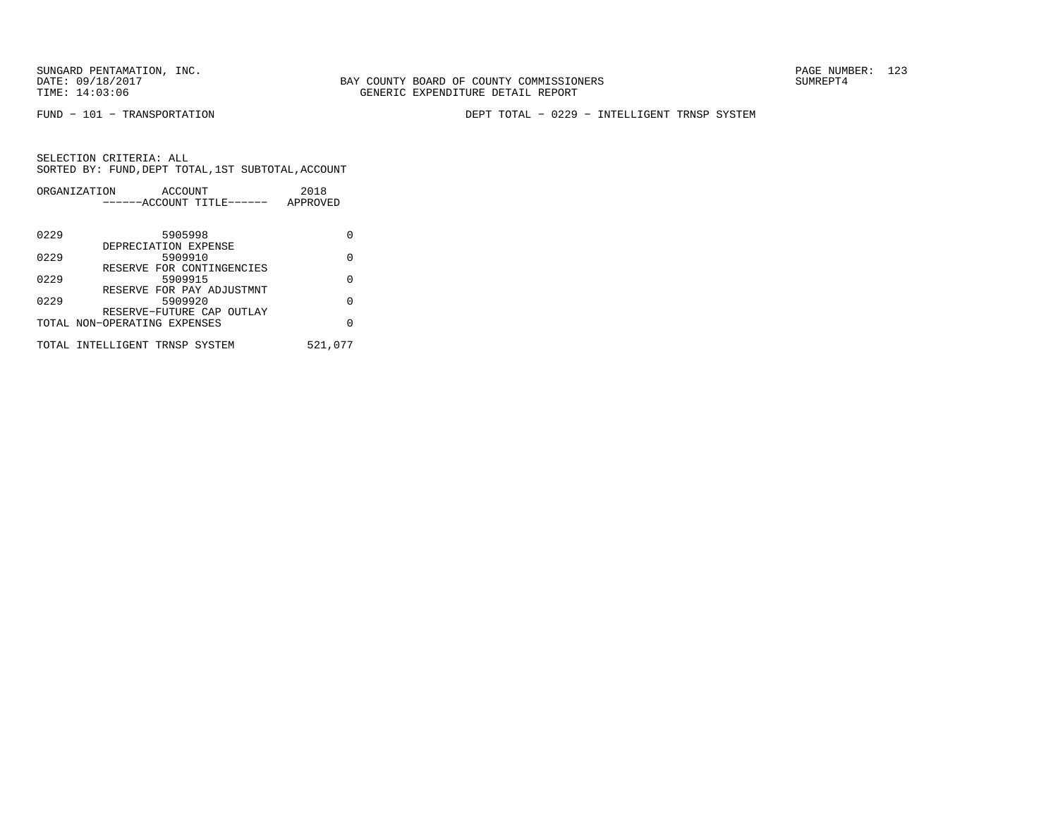FUND − 101 − TRANSPORTATION DEPT TOTAL − 0229 − INTELLIGENT TRNSP SYSTEM

|      | ORGANIZATION<br>ACCOUNT        | 2018     |
|------|--------------------------------|----------|
|      | ------ACCOUNT TITLE------      | APPROVED |
|      |                                |          |
| 0229 | 5905998                        | U        |
|      | DEPRECIATION EXPENSE           |          |
| 0229 | 5909910                        | U        |
|      | RESERVE FOR CONTINGENCIES      |          |
| 0229 | 5909915                        | O        |
|      | RESERVE FOR PAY ADJUSTMNT      |          |
| 0229 | 5909920                        | U        |
|      | RESERVE-FUTURE CAP OUTLAY      |          |
|      | TOTAL NON-OPERATING EXPENSES   | O        |
|      |                                |          |
|      | TOTAL INTELLIGENT TRNSP SYSTEM | 521,077  |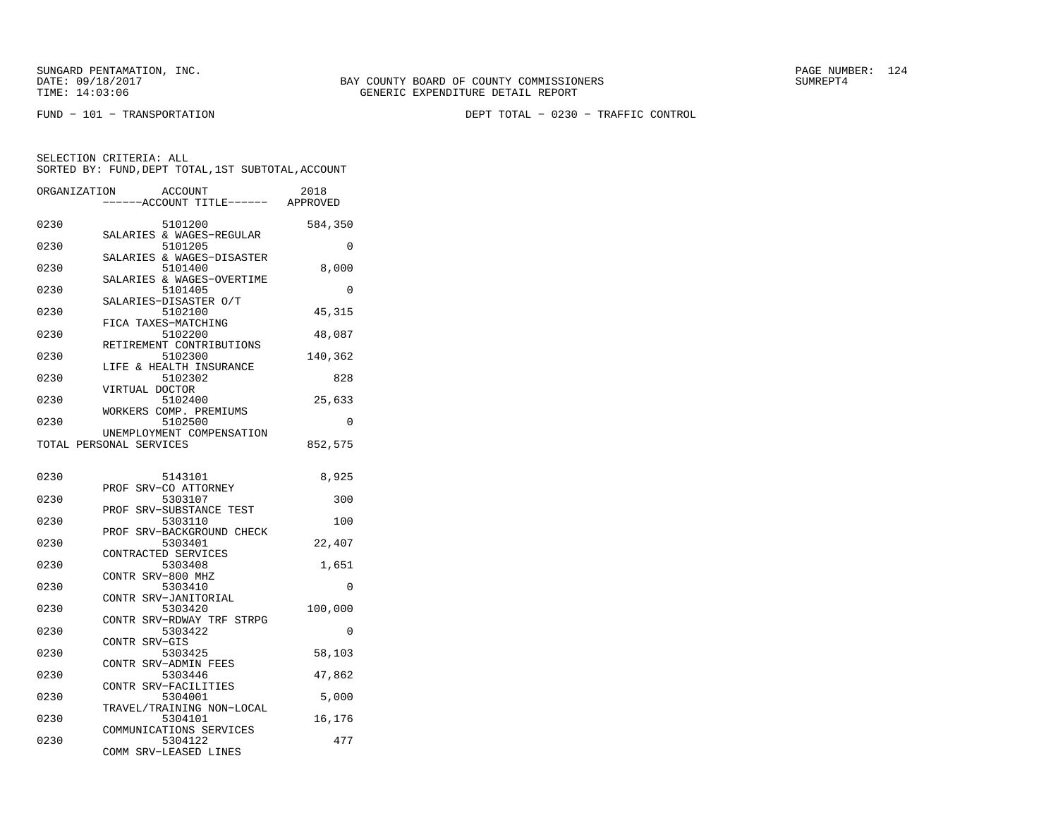FUND − 101 − TRANSPORTATION DEPT TOTAL − 0230 − TRAFFIC CONTROL

| ORGANIZATION |                          | ACCOUNT                              | 2018     |
|--------------|--------------------------|--------------------------------------|----------|
|              |                          | ----ACCOUNT TITLE------ APPROVED     |          |
| 0230         |                          | 5101200                              | 584,350  |
| 0230         |                          | SALARIES & WAGES-REGULAR<br>5101205  | 0        |
| 0230         |                          | SALARIES & WAGES-DISASTER<br>5101400 | 8,000    |
| 0230         |                          | SALARIES & WAGES-OVERTIME<br>5101405 | 0        |
| 0230         | SALARIES-DISASTER O/T    | 5102100                              | 45, 315  |
| 0230         | FICA TAXES-MATCHING      | 5102200                              | 48,087   |
| 0230         | RETIREMENT CONTRIBUTIONS | 5102300                              | 140,362  |
| 0230         | LIFE & HEALTH INSURANCE  | 5102302                              | 828      |
| 0230         | VIRTUAL DOCTOR           | 5102400                              | 25,633   |
| 0230         | WORKERS COMP. PREMIUMS   | 5102500                              |          |
|              |                          | UNEMPLOYMENT COMPENSATION            | 0        |
|              | TOTAL PERSONAL SERVICES  |                                      | 852,575  |
| 0230         |                          | 5143101                              | 8,925    |
| 0230         | PROF                     | SRV-CO ATTORNEY<br>5303107           | 300      |
| 0230         | PROF SRV-SUBSTANCE TEST  | 5303110                              | 100      |
| 0230         | PROF                     | SRV-BACKGROUND CHECK<br>5303401      | 22,407   |
| 0230         | CONTRACTED SERVICES      | 5303408                              | 1,651    |
| 0230         | CONTR SRV-800 MHZ        | 5303410                              | 0        |
|              | CONTR SRV-JANITORIAL     |                                      |          |
| 0230         |                          | 5303420<br>CONTR SRV-RDWAY TRF STRPG | 100,000  |
| 0230         | CONTR SRV-GIS            | 5303422                              | $\Omega$ |
| 0230         | CONTR SRV-ADMIN FEES     | 5303425                              | 58,103   |
| 0230         |                          | 5303446                              | 47,862   |
| 0230         | CONTR SRV-FACILITIES     | 5304001                              | 5,000    |
| 0230         |                          | TRAVEL/TRAINING NON-LOCAL<br>5304101 | 16,176   |
| 0230         | COMMUNICATIONS SERVICES  | 5304122                              | 477      |
|              | COMM SRV-LEASED LINES    |                                      |          |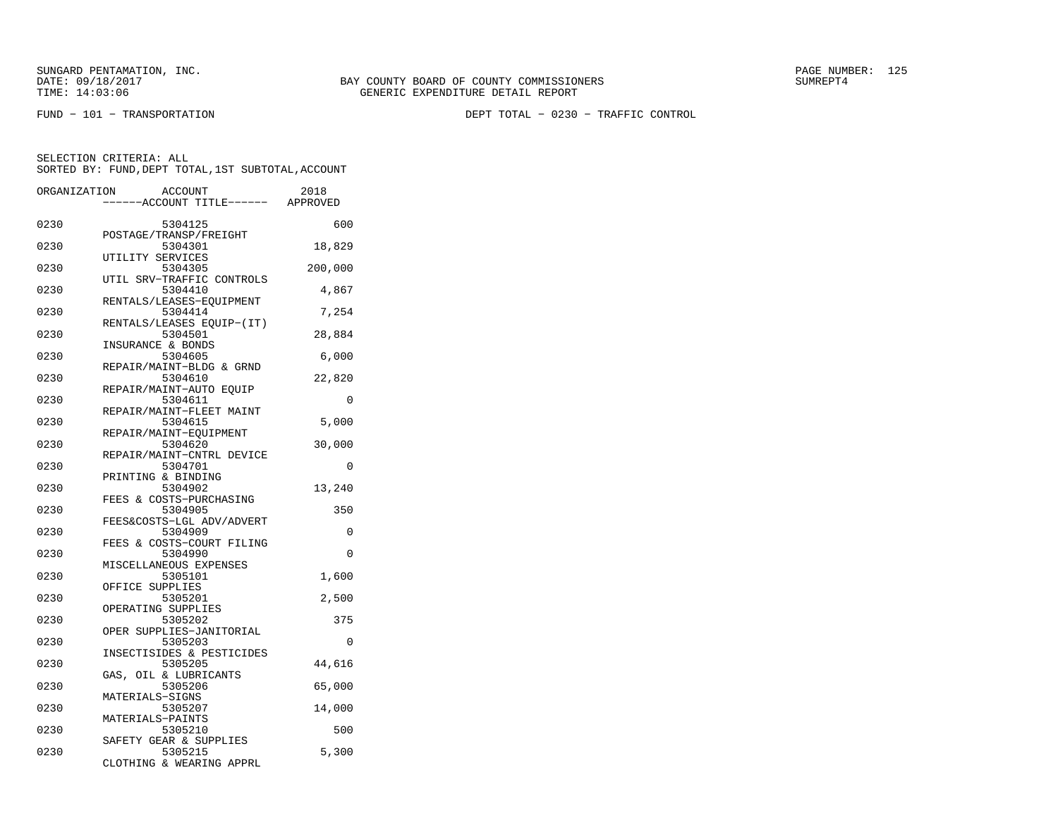FUND − 101 − TRANSPORTATION DEPT TOTAL − 0230 − TRAFFIC CONTROL

| ORGANIZATION | <b>ACCOUNT</b>                       | 2018     |
|--------------|--------------------------------------|----------|
|              | ---ACCOUNT TITLE------               | APPROVED |
| 0230         | 5304125<br>POSTAGE/TRANSP/FREIGHT    | 600      |
| 0230         | 5304301                              | 18,829   |
| 0230         | UTILITY SERVICES<br>5304305          | 200,000  |
| 0230         | UTIL SRV-TRAFFIC CONTROLS<br>5304410 | 4,867    |
| 0230         | RENTALS/LEASES-EOUIPMENT<br>5304414  | 7,254    |
| 0230         | RENTALS/LEASES EQUIP-(IT)<br>5304501 | 28,884   |
| 0230         | INSURANCE & BONDS<br>5304605         | 6,000    |
| 0230         | REPAIR/MAINT-BLDG & GRND<br>5304610  | 22,820   |
| 0230         | REPAIR/MAINT-AUTO EQUIP<br>5304611   | $\Omega$ |
| 0230         | REPAIR/MAINT-FLEET MAINT<br>5304615  | 5,000    |
| 0230         | REPAIR/MAINT-EQUIPMENT<br>5304620    | 30,000   |
| 0230         | REPAIR/MAINT-CNTRL DEVICE<br>5304701 | 0        |
| 0230         | PRINTING & BINDING<br>5304902        | 13,240   |
| 0230         | FEES & COSTS-PURCHASING<br>5304905   | 350      |
| 0230         | FEES&COSTS-LGL ADV/ADVERT<br>5304909 | 0        |
| 0230         | FEES & COSTS-COURT FILING<br>5304990 | 0        |
| 0230         | MISCELLANEOUS EXPENSES<br>5305101    | 1,600    |
| 0230         | OFFICE SUPPLIES<br>5305201           | 2,500    |
| 0230         | OPERATING SUPPLIES<br>5305202        | 375      |
| 0230         | OPER SUPPLIES-JANITORIAL<br>5305203  | $\Omega$ |
| 0230         | INSECTISIDES & PESTICIDES<br>5305205 | 44,616   |
| 0230         | GAS, OIL & LUBRICANTS<br>5305206     | 65,000   |
| 0230         | MATERIALS-SIGNS<br>5305207           | 14,000   |
| 0230         | MATERIALS-PAINTS<br>5305210          | 500      |
| 0230         | SAFETY GEAR & SUPPLIES<br>5305215    | 5,300    |
|              | CLOTHING & WEARING APPRL             |          |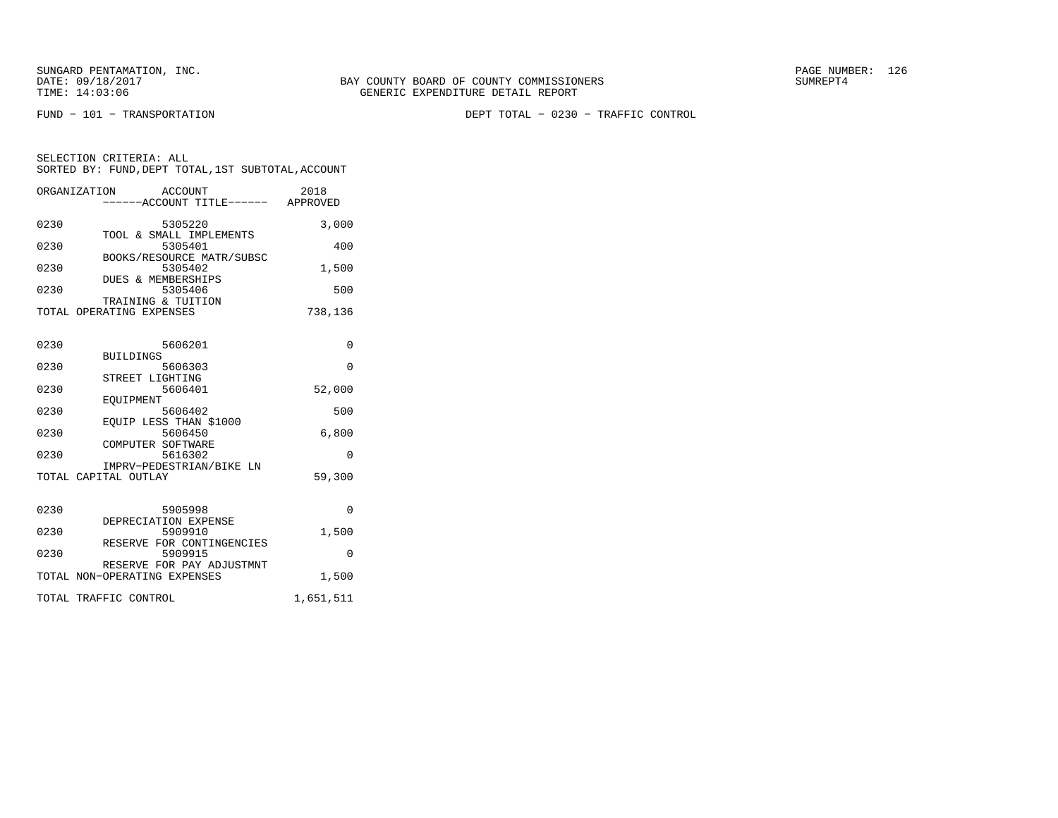FUND − 101 − TRANSPORTATION DEPT TOTAL − 0230 − TRAFFIC CONTROL

|      | ACCOUNT<br>ORGANIZATION<br>----ACCOUNT TITLE------ APPROVED | 2018      |
|------|-------------------------------------------------------------|-----------|
| 0230 | 5305220<br>TOOL & SMALL IMPLEMENTS                          | 3,000     |
| 0230 | 5305401                                                     | 400       |
| 0230 | BOOKS/RESOURCE MATR/SUBSC<br>5305402                        | 1,500     |
| 0230 | DUES & MEMBERSHIPS<br>5305406<br>TRAINING & TUITION         | 500       |
|      | TOTAL OPERATING EXPENSES                                    | 738,136   |
| 0230 | 5606201                                                     | $\Omega$  |
| 0230 | <b>BUILDINGS</b><br>5606303                                 | $\Omega$  |
| 0230 | STREET LIGHTING<br>5606401                                  | 52,000    |
| 0230 | EOUIPMENT<br>5606402                                        | 500       |
| 0230 | EOUIP LESS THAN \$1000<br>5606450                           | 6,800     |
| 0230 | COMPUTER SOFTWARE<br>5616302                                | $\Omega$  |
|      | IMPRV-PEDESTRIAN/BIKE LN<br>TOTAL CAPITAL OUTLAY            | 59,300    |
| 0230 | 5905998<br>DEPRECIATION EXPENSE                             | $\Omega$  |
| 0230 | 5909910<br>RESERVE FOR CONTINGENCIES                        | 1,500     |
| 0230 | 5909915                                                     | 0         |
|      | RESERVE FOR PAY ADJUSTMNT<br>TOTAL NON-OPERATING EXPENSES   | 1,500     |
|      | TOTAL TRAFFIC CONTROL                                       | 1,651,511 |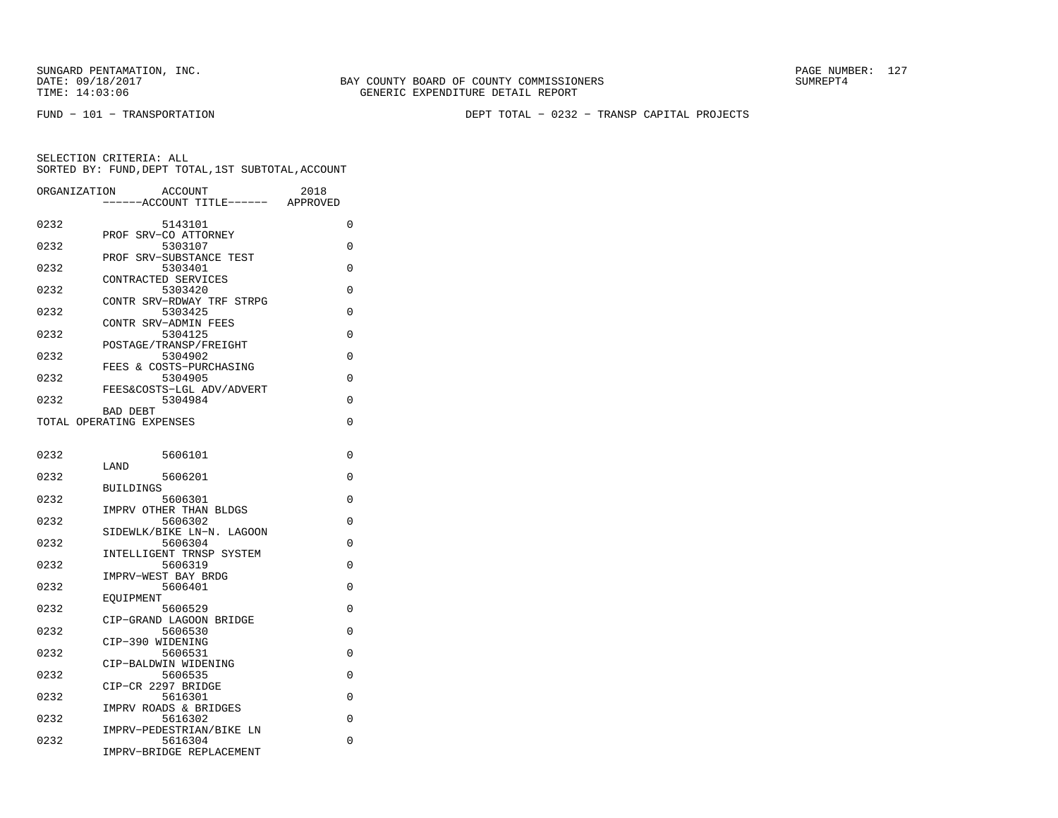BAY COUNTY BOARD OF COUNTY COMMISSIONERS TIME: 14:03:06 GENERIC EXPENDITURE DETAIL REPORT

FUND − 101 − TRANSPORTATION DEPT TOTAL − 0232 − TRANSP CAPITAL PROJECTS

| ORGANIZATION | ACCOUNT<br>--ACCOUNT TITLE------     | 2018<br>APPROVED |
|--------------|--------------------------------------|------------------|
| 0232         | 5143101                              | 0                |
| 0232         | PROF SRV-CO ATTORNEY<br>5303107      | 0                |
| 0232         | PROF SRV-SUBSTANCE TEST<br>5303401   | 0                |
| 0232         | CONTRACTED SERVICES<br>5303420       | 0                |
| 0232         | CONTR SRV-RDWAY TRF STRPG<br>5303425 | 0                |
| 0232         | CONTR SRV-ADMIN FEES<br>5304125      | 0                |
| 0232         | POSTAGE/TRANSP/FREIGHT<br>5304902    | 0                |
| 0232         | FEES & COSTS-PURCHASING<br>5304905   | 0                |
|              | FEES&COSTS-LGL ADV/ADVERT            |                  |
| 0232         | 5304984<br>BAD DEBT                  | 0                |
|              | TOTAL OPERATING EXPENSES             | 0                |
| 0232         | 5606101                              | 0                |
| 0232         | LAND<br>5606201                      | 0                |
|              | <b>BUILDINGS</b>                     |                  |
| 0232         | 5606301<br>IMPRV OTHER THAN BLDGS    | 0                |
| 0232         | 5606302                              | $\Omega$         |
| 0232         | SIDEWLK/BIKE LN-N. LAGOON<br>5606304 | 0                |
|              | INTELLIGENT TRNSP SYSTEM             |                  |
| 0232         | 5606319<br>IMPRV-WEST BAY BRDG       | 0                |
| 0232         | 5606401                              | 0                |
| 0232         | EOUIPMENT<br>5606529                 | 0                |
| 0232         | CIP-GRAND LAGOON BRIDGE<br>5606530   | 0                |
| 0232         | CIP-390 WIDENING<br>5606531          | 0                |
| 0232         | CIP-BALDWIN WIDENING<br>5606535      | 0                |
|              | CIP-CR 2297 BRIDGE                   |                  |
| 0232         | 5616301                              | 0                |
| 0232         | IMPRV ROADS & BRIDGES<br>5616302     | 0                |
| 0232         | IMPRV-PEDESTRIAN/BIKE LN<br>5616304  | 0                |
|              | IMPRV-BRIDGE REPLACEMENT             |                  |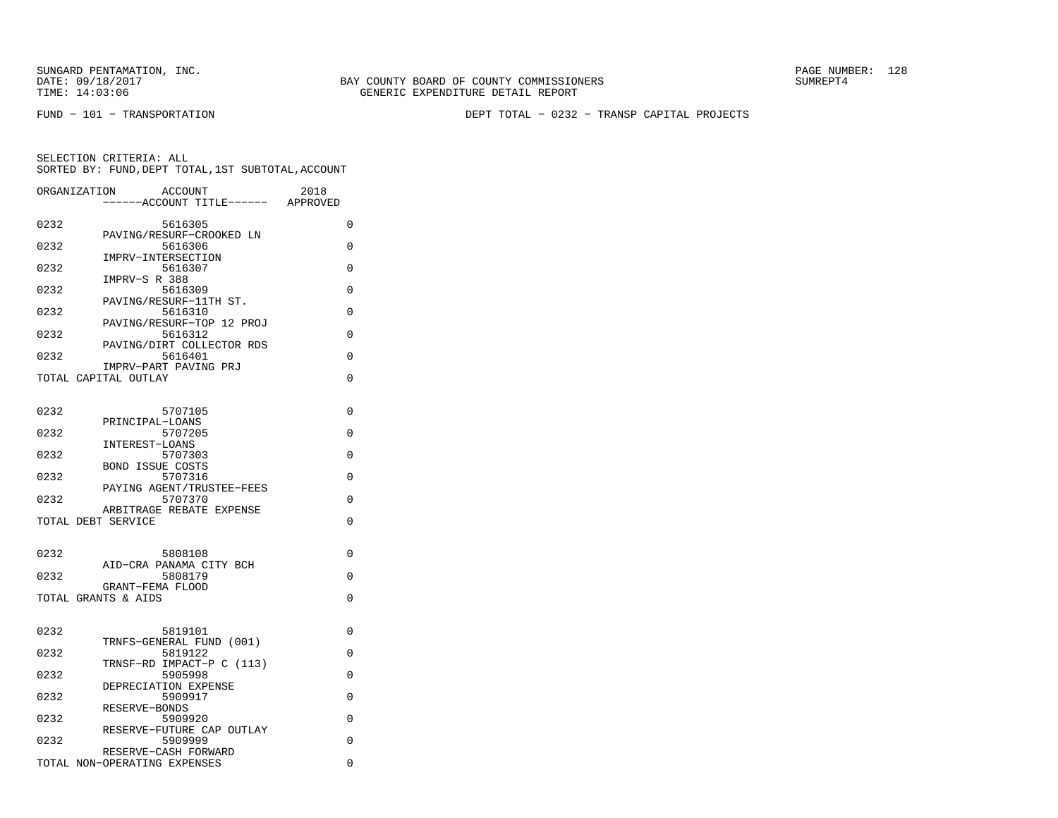BAY COUNTY BOARD OF COUNTY COMMISSIONERS TIME: 14:03:06 GENERIC EXPENDITURE DETAIL REPORT

FUND − 101 − TRANSPORTATION DEPT TOTAL − 0232 − TRANSP CAPITAL PROJECTS

|      | ORGANIZATION<br><b>ACCOUNT</b><br>----ACCOUNT TITLE------ APPROVED | 2018     |
|------|--------------------------------------------------------------------|----------|
| 0232 | 5616305                                                            | 0        |
| 0232 | PAVING/RESURF-CROOKED LN<br>5616306                                | $\Omega$ |
| 0232 | IMPRV-INTERSECTION<br>5616307                                      | 0        |
| 0232 | IMPRV-S R 388<br>5616309                                           | 0        |
| 0232 | PAVING/RESURF-11TH ST.<br>5616310                                  | $\Omega$ |
| 0232 | PAVING/RESURF-TOP 12 PROJ<br>5616312                               | $\Omega$ |
|      | PAVING/DIRT COLLECTOR RDS                                          |          |
| 0232 | 5616401<br>IMPRV-PART PAVING PRJ                                   | $\Omega$ |
|      | TOTAL CAPITAL OUTLAY                                               | 0        |
| 0232 | 5707105                                                            | $\Omega$ |
| 0232 | PRINCIPAL-LOANS<br>5707205                                         | 0        |
|      | INTEREST-LOANS                                                     |          |
| 0232 | 5707303<br><b>BOND ISSUE COSTS</b>                                 | 0        |
| 0232 | 5707316<br>PAYING AGENT/TRUSTEE-FEES                               | $\Omega$ |
| 0232 | 5707370                                                            | 0        |
|      | ARBITRAGE REBATE EXPENSE<br>TOTAL DEBT SERVICE                     | $\Omega$ |
|      |                                                                    |          |
| 0232 | 5808108<br>AID-CRA PANAMA CITY BCH                                 | 0        |
| 0232 | 5808179<br>GRANT-FEMA FLOOD                                        | $\Omega$ |
|      | TOTAL GRANTS & AIDS                                                | $\Omega$ |
|      |                                                                    |          |
| 0232 | 5819101<br>TRNFS-GENERAL FUND (001)                                | 0        |
| 0232 | 5819122<br>TRNSF-RD IMPACT-P C (113)                               | 0        |
| 0232 | 5905998                                                            | $\Omega$ |
| 0232 | DEPRECIATION EXPENSE<br>5909917                                    | 0        |
| 0232 | RESERVE-BONDS<br>5909920                                           | $\Omega$ |
| 0232 | RESERVE-FUTURE CAP OUTLAY<br>5909999                               | 0        |
|      | RESERVE-CASH FORWARD<br>TOTAL NON-OPERATING EXPENSES               | 0        |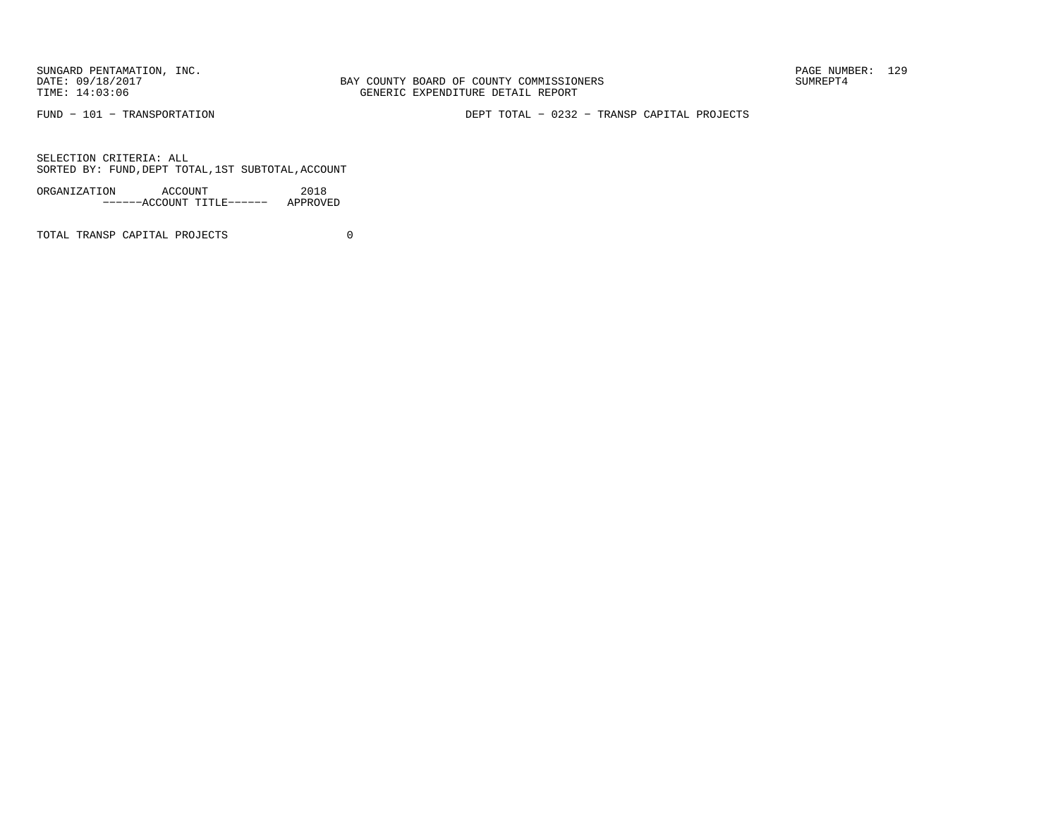SUNGARD PENTAMATION, INC.<br>
DATE: 09/18/2017<br>
DATE: 09/18/2017<br>
SUMREPT4

BAY COUNTY BOARD OF COUNTY COMMISSIONERS TIME: 14:03:06 GENERIC EXPENDITURE DETAIL REPORT

FUND − 101 − TRANSPORTATION DEPT TOTAL − 0232 − TRANSP CAPITAL PROJECTS

SELECTION CRITERIA: ALLSORTED BY: FUND,DEPT TOTAL,1ST SUBTOTAL,ACCOUNT

| ORGANIZATION | ACCOUNT |                           | 2018     |
|--------------|---------|---------------------------|----------|
|              |         | ------ACCOUNT TITLE------ | APPROVED |

TOTAL TRANSP CAPITAL PROJECTS 0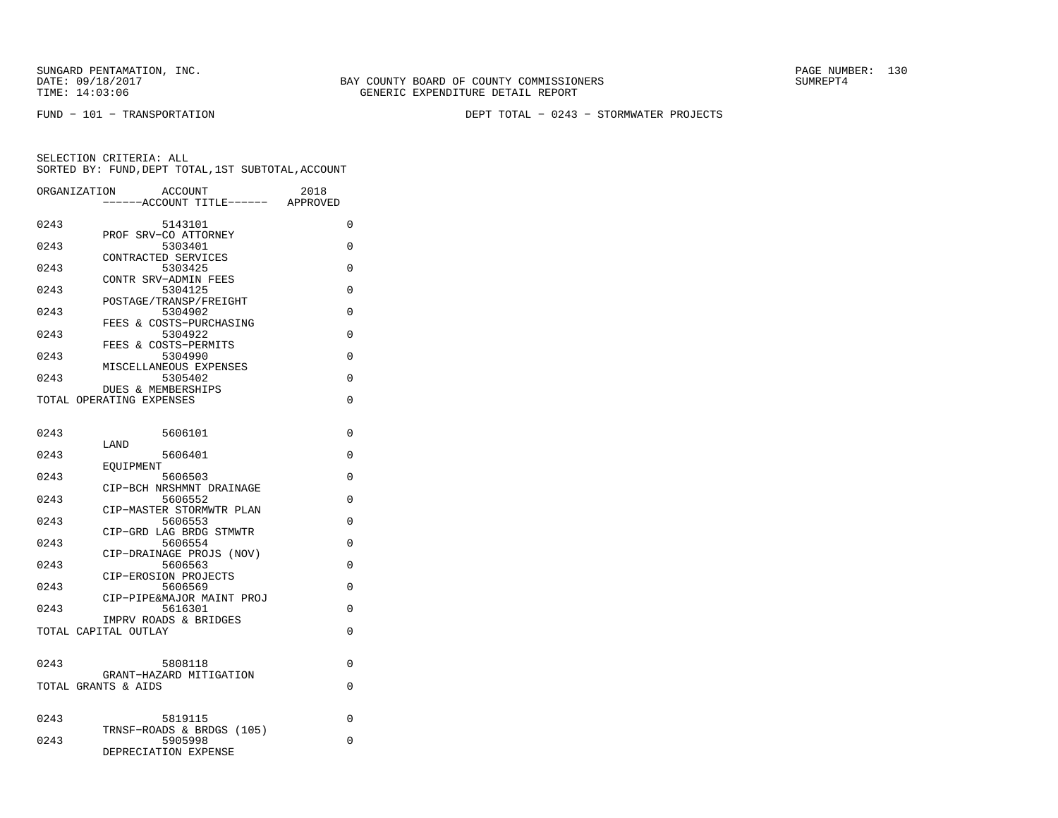BAY COUNTY BOARD OF COUNTY COMMISSIONERS TIME: 14:03:06 GENERIC EXPENDITURE DETAIL REPORT

FUND − 101 − TRANSPORTATION DEPT TOTAL − 0243 − STORMWATER PROJECTS

| ORGANIZATION | ACCOUNT                                       | 2018     |
|--------------|-----------------------------------------------|----------|
|              | ---ACCOUNT TITLE------                        | APPROVED |
| 0243         | 5143101                                       | 0        |
|              | PROF SRV-CO ATTORNEY                          |          |
| 0243         | 5303401<br>CONTRACTED SERVICES                | 0        |
| 0243         | 5303425                                       | 0        |
|              | CONTR SRV-ADMIN FEES                          |          |
| 0243         | 5304125<br>POSTAGE/TRANSP/FREIGHT             | $\Omega$ |
| 0243         | 5304902                                       | $\Omega$ |
|              | FEES & COSTS-PURCHASING                       |          |
| 0243         | 5304922<br>FEES & COSTS-PERMITS               | 0        |
| 0243         | 5304990                                       | 0        |
|              | MISCELLANEOUS EXPENSES                        |          |
| 0243         | 5305402<br>DUES & MEMBERSHIPS                 | 0        |
|              | TOTAL OPERATING EXPENSES                      | $\Omega$ |
|              |                                               |          |
|              |                                               |          |
| 0243         | 5606101<br>LAND                               | 0        |
| 0243         | 5606401                                       | 0        |
|              | EOUIPMENT                                     |          |
| 0243         | 5606503<br>CIP-BCH NRSHMNT DRAINAGE           | $\Omega$ |
| 0243         | 5606552                                       | $\Omega$ |
|              | CIP-MASTER STORMWTR PLAN                      |          |
| 0243         | 5606553<br>CIP-GRD LAG BRDG STMWTR            | $\Omega$ |
| 0243         | 5606554                                       | $\Omega$ |
|              | CIP-DRAINAGE PROJS (NOV)                      |          |
| 0243         | 5606563                                       | $\Omega$ |
| 0243         | CIP-EROSION PROJECTS<br>5606569               | 0        |
|              | CIP-PIPE&MAJOR MAINT PROJ                     |          |
| 0243         | 5616301                                       | 0        |
|              | IMPRV ROADS & BRIDGES<br>TOTAL CAPITAL OUTLAY | $\Omega$ |
|              |                                               |          |
|              |                                               |          |
| 0243         | 5808118<br>GRANT-HAZARD MITIGATION            | 0        |
|              | TOTAL GRANTS & AIDS                           | 0        |
|              |                                               |          |
| 0243         |                                               | 0        |
|              | 5819115<br>TRNSF-ROADS & BRDGS (105)          |          |
| 0243         | 5905998                                       | 0        |
|              | DEPRECIATION EXPENSE                          |          |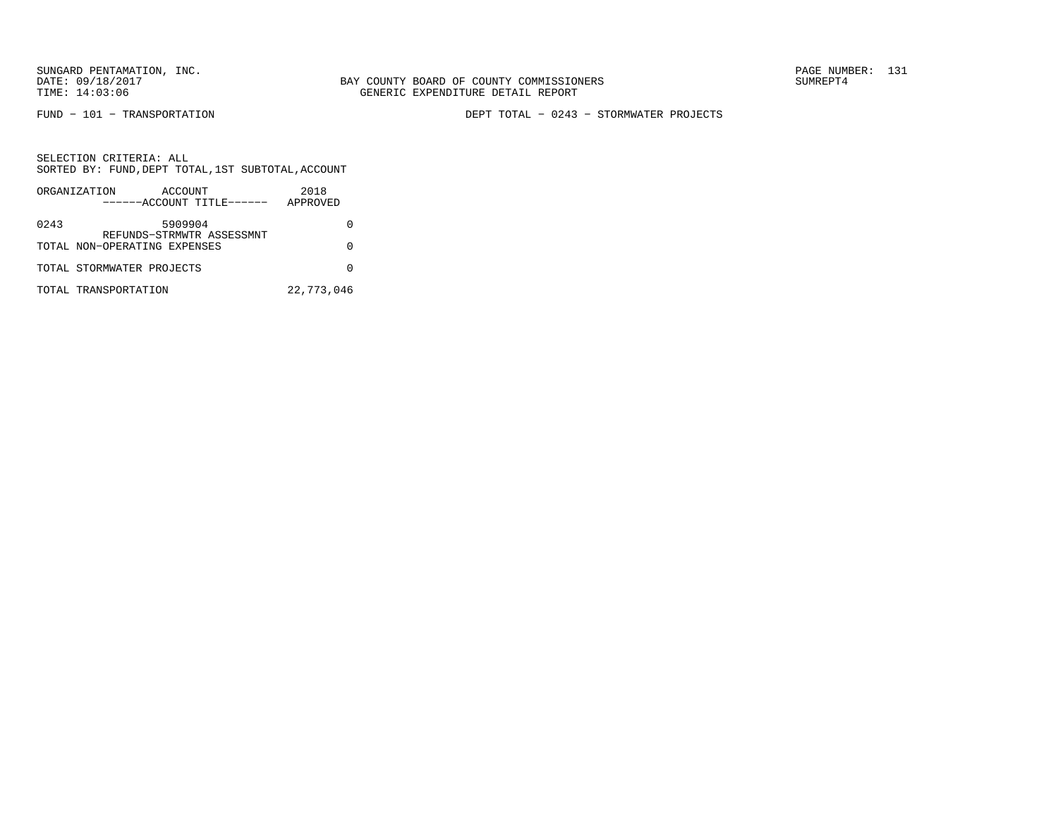FUND − 101 − TRANSPORTATION DEPT TOTAL − 0243 − STORMWATER PROJECTS

SELECTION CRITERIA: ALL SORTED BY: FUND,DEPT TOTAL,1ST SUBTOTAL,ACCOUNTORGANIZATION ACCOUNT 2018

|      | URGANIZAIIUN<br>$A \cup A \cup B$<br>------ACCOUNT TITLE------ | ZU LO<br>APPROVED |
|------|----------------------------------------------------------------|-------------------|
| 0243 | 5909904<br>REFUNDS-STRMWTR ASSESSMNT                           |                   |
|      | TOTAL NON-OPERATING EXPENSES                                   |                   |
|      | TOTAL STORMWATER PROJECTS                                      |                   |
|      | TOTAL TRANSPORTATION                                           | 22,773,046        |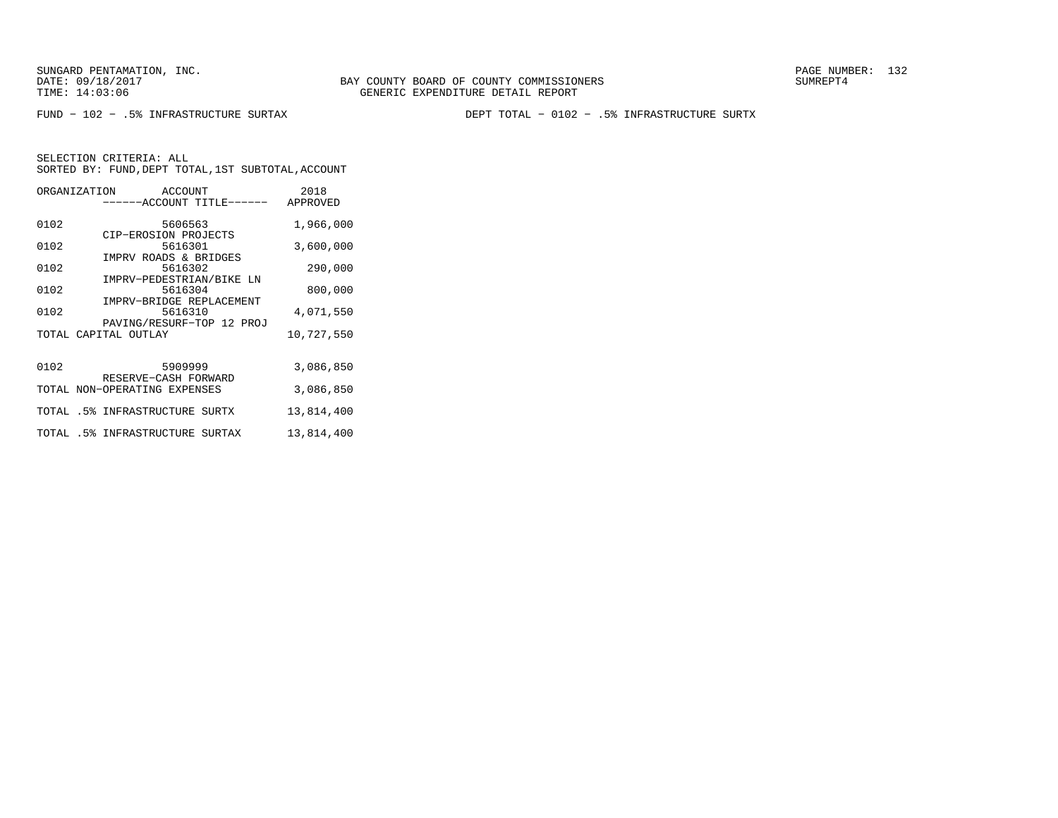FUND − 102 − .5% INFRASTRUCTURE SURTAX DEPT TOTAL − 0102 − .5% INFRASTRUCTURE SURTX

|      | ORGANIZATION ACCOUNT<br>------ACCOUNT TITLE------ | 2018<br>APPROVED |
|------|---------------------------------------------------|------------------|
| 0102 | 5606563<br>CIP-EROSION PROJECTS                   | 1,966,000        |
| 0102 | 5616301<br>IMPRV ROADS & BRIDGES                  | 3,600,000        |
| 0102 | 5616302<br>IMPRV-PEDESTRIAN/BIKE LN               | 290,000          |
| 0102 | 5616304<br>IMPRV-BRIDGE REPLACEMENT               | 800,000          |
| 0102 | 5616310<br>PAVING/RESURF-TOP 12 PROJ              | 4,071,550        |
|      | TOTAL CAPITAL OUTLAY                              | 10,727,550       |
| 0102 | 5909999<br>RESERVE-CASH FORWARD                   | 3,086,850        |
|      | TOTAL NON-OPERATING EXPENSES                      | 3,086,850        |
|      | TOTAL .5% INFRASTRUCTURE SURTX                    | 13,814,400       |
|      | TOTAL .5% INFRASTRUCTURE SURTAX                   | 13,814,400       |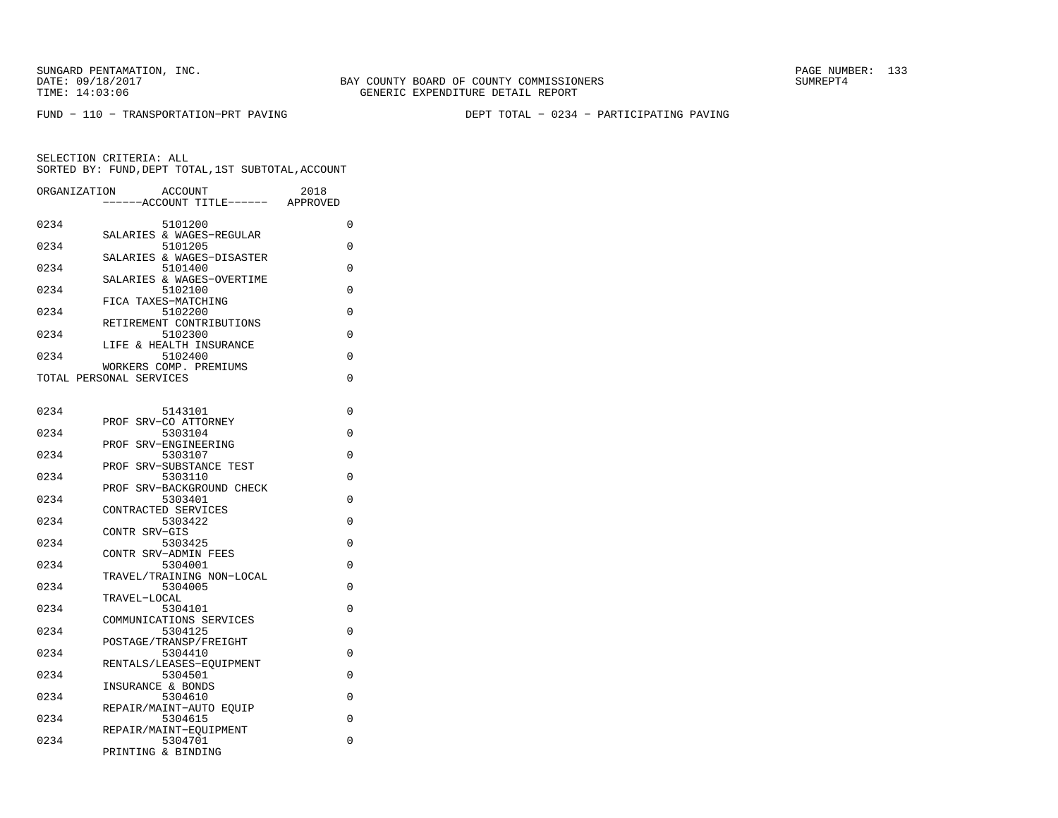FUND − 110 − TRANSPORTATION−PRT PAVING DEPT TOTAL − 0234 − PARTICIPATING PAVING

| ORGANIZATION | ACCOUNT<br>2018<br>--ACCOUNT TITLE------<br>APPROVED |   |
|--------------|------------------------------------------------------|---|
| 0234         | 5101200                                              | 0 |
| 0234         | SALARIES & WAGES-REGULAR<br>5101205                  | 0 |
| 0234         | SALARIES & WAGES-DISASTER<br>5101400                 | 0 |
| 0234         | SALARIES & WAGES-OVERTIME<br>5102100                 | 0 |
| 0234         | FICA TAXES-MATCHING<br>5102200                       | 0 |
| 0234         | RETIREMENT CONTRIBUTIONS<br>5102300                  | 0 |
| 0234         | LIFE & HEALTH INSURANCE<br>5102400                   | 0 |
|              | WORKERS COMP. PREMIUMS<br>TOTAL PERSONAL SERVICES    | 0 |
|              |                                                      |   |
| 0234         | 5143101<br>PROF SRV-CO ATTORNEY                      | 0 |
| 0234         | 5303104<br>PROF SRV-ENGINEERING                      | 0 |
| 0234         | 5303107                                              | 0 |
| 0234         | PROF SRV-SUBSTANCE TEST<br>5303110                   | 0 |
| 0234         | PROF SRV-BACKGROUND CHECK<br>5303401                 | 0 |
| 0234         | CONTRACTED SERVICES<br>5303422                       | 0 |
| 0234         | CONTR SRV-GIS<br>5303425                             | 0 |
| 0234         | CONTR SRV-ADMIN FEES<br>5304001                      | 0 |
| 0234         | TRAVEL/TRAINING NON-LOCAL<br>5304005                 | 0 |
| 0234         | TRAVEL-LOCAL<br>5304101                              | 0 |
| 0234         | COMMUNICATIONS SERVICES                              | 0 |
|              | 5304125<br>POSTAGE/TRANSP/FREIGHT                    |   |
| 0234         | 5304410<br>RENTALS/LEASES-EQUIPMENT                  | 0 |
| 0234         | 5304501<br>INSURANCE & BONDS                         | 0 |
| 0234         | 5304610<br>REPAIR/MAINT-AUTO EOUIP                   | 0 |
| 0234         | 5304615<br>REPAIR/MAINT-EOUIPMENT                    | 0 |
| 0234         | 5304701<br>PRINTING & BINDING                        | 0 |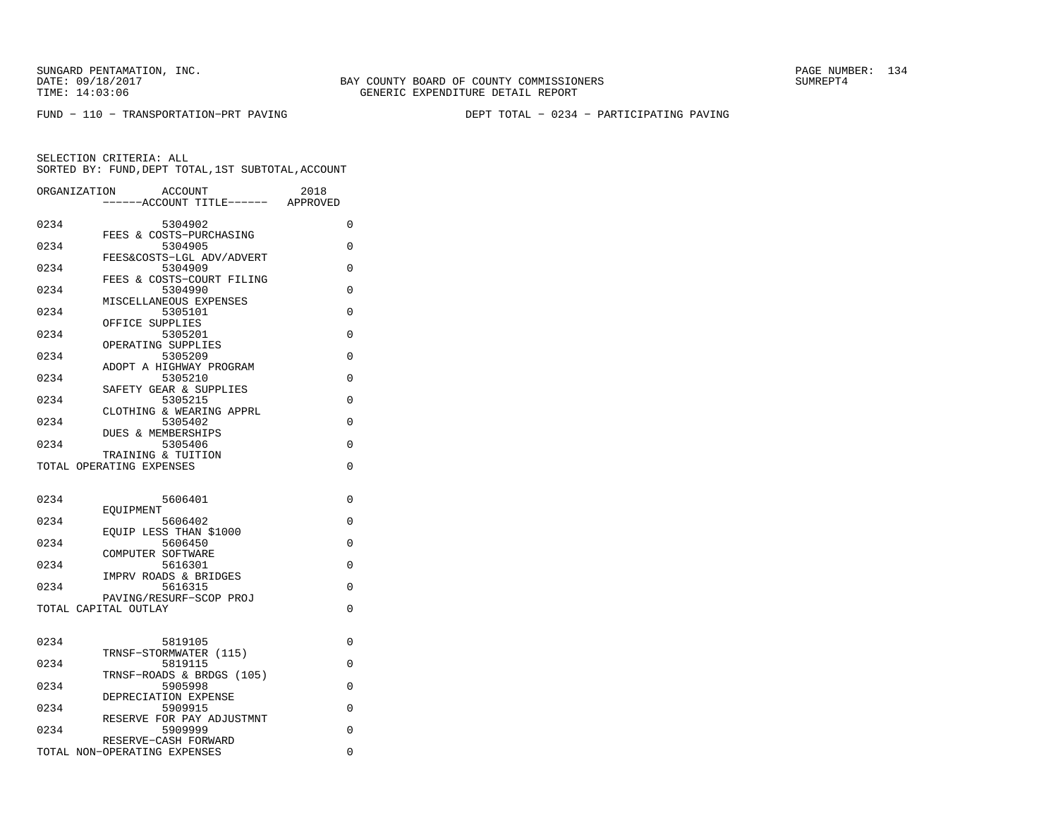FUND − 110 − TRANSPORTATION−PRT PAVING DEPT TOTAL − 0234 − PARTICIPATING PAVING

| ORGANIZATION | <b>ACCOUNT</b>                       | 2018     |
|--------------|--------------------------------------|----------|
|              | ----ACCOUNT TITLE------ APPROVED     |          |
| 0234         | 5304902                              | 0        |
| 0234         | FEES & COSTS-PURCHASING<br>5304905   | 0        |
|              | FEES&COSTS-LGL ADV/ADVERT            |          |
| 0234         | 5304909<br>FEES & COSTS-COURT FILING | 0        |
| 0234         | 5304990                              | $\Omega$ |
| 0234         | MISCELLANEOUS EXPENSES<br>5305101    | $\Omega$ |
|              | OFFICE SUPPLIES                      |          |
| 0234         | 5305201<br>OPERATING SUPPLIES        | 0        |
| 0234         | 5305209                              | $\Omega$ |
| 0234         | ADOPT A HIGHWAY PROGRAM<br>5305210   | $\Omega$ |
|              | SAFETY GEAR & SUPPLIES               |          |
| 0234         | 5305215                              | 0        |
| 0234         | CLOTHING & WEARING APPRL<br>5305402  | 0        |
|              | <b>DUES &amp; MEMBERSHIPS</b>        |          |
| 0234         | 5305406<br>TRAINING & TUITION        | $\Omega$ |
|              | TOTAL OPERATING EXPENSES             | $\Omega$ |
|              |                                      |          |
| 0234         | 5606401                              | 0        |
| 0234         | EOUIPMENT<br>5606402                 | $\Omega$ |
|              | EOUIP LESS THAN \$1000               |          |
| 0234         | 5606450<br>COMPUTER SOFTWARE         | $\Omega$ |
| 0234         | 5616301                              | 0        |
| 0234         | IMPRV ROADS & BRIDGES<br>5616315     | 0        |
|              | PAVING/RESURF-SCOP PROJ              |          |
|              | TOTAL CAPITAL OUTLAY                 | $\Omega$ |
|              |                                      |          |
| 0234         | 5819105                              | 0        |
| 0234         | TRNSF-STORMWATER (115)<br>5819115    | 0        |
|              | TRNSF-ROADS & BRDGS (105)            |          |
| 0234         | 5905998<br>DEPRECIATION EXPENSE      | 0        |
| 0234         | 5909915                              | 0        |
| 0234         | RESERVE FOR PAY ADJUSTMNT<br>5909999 | $\Omega$ |
|              | RESERVE-CASH FORWARD                 |          |
|              | TOTAL NON-OPERATING EXPENSES         | 0        |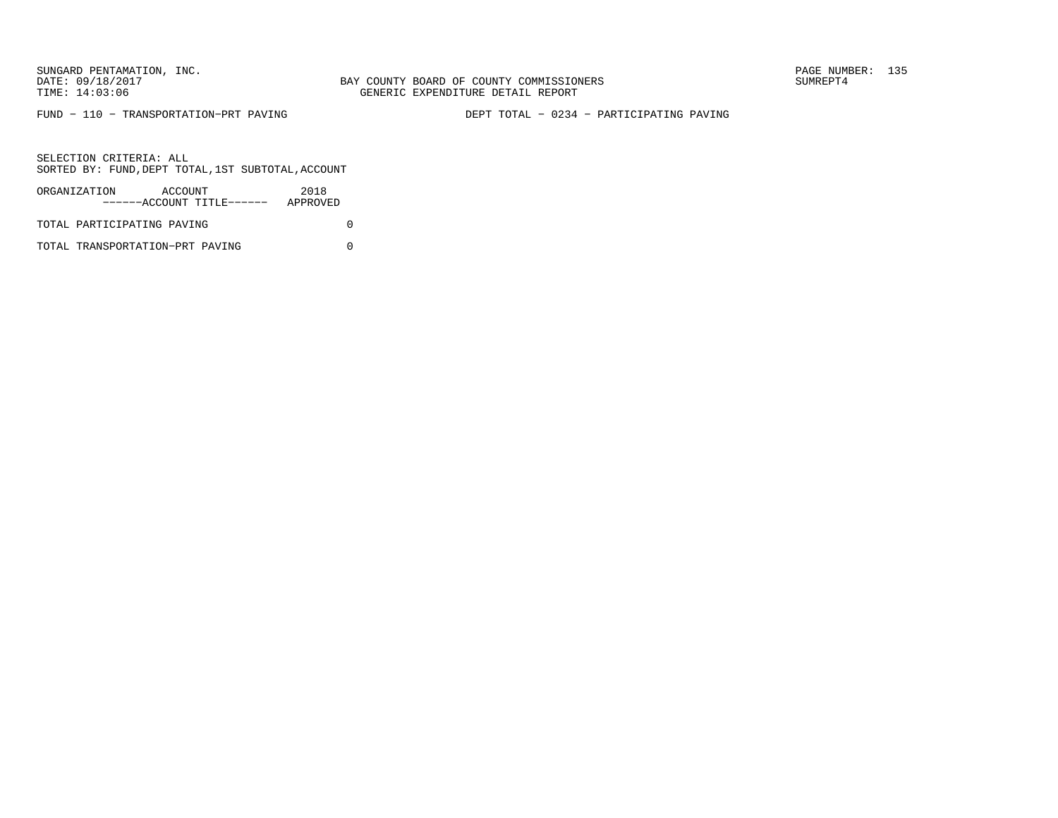BAY COUNTY BOARD OF COUNTY COMMISSIONERS TIME: 14:03:06 GENERIC EXPENDITURE DETAIL REPORT

FUND − 110 − TRANSPORTATION−PRT PAVING DEPT TOTAL − 0234 − PARTICIPATING PAVING

SELECTION CRITERIA: ALLSORTED BY: FUND,DEPT TOTAL,1ST SUBTOTAL,ACCOUNT

| ORGANIZATION               | ACCOUNT | ------ACCOUNT TITLE------ | 2018<br>APPROVED |  |
|----------------------------|---------|---------------------------|------------------|--|
| TOTAL PARTICIPATING PAVING |         |                           |                  |  |

TOTAL TRANSPORTATION−PRT PAVING 0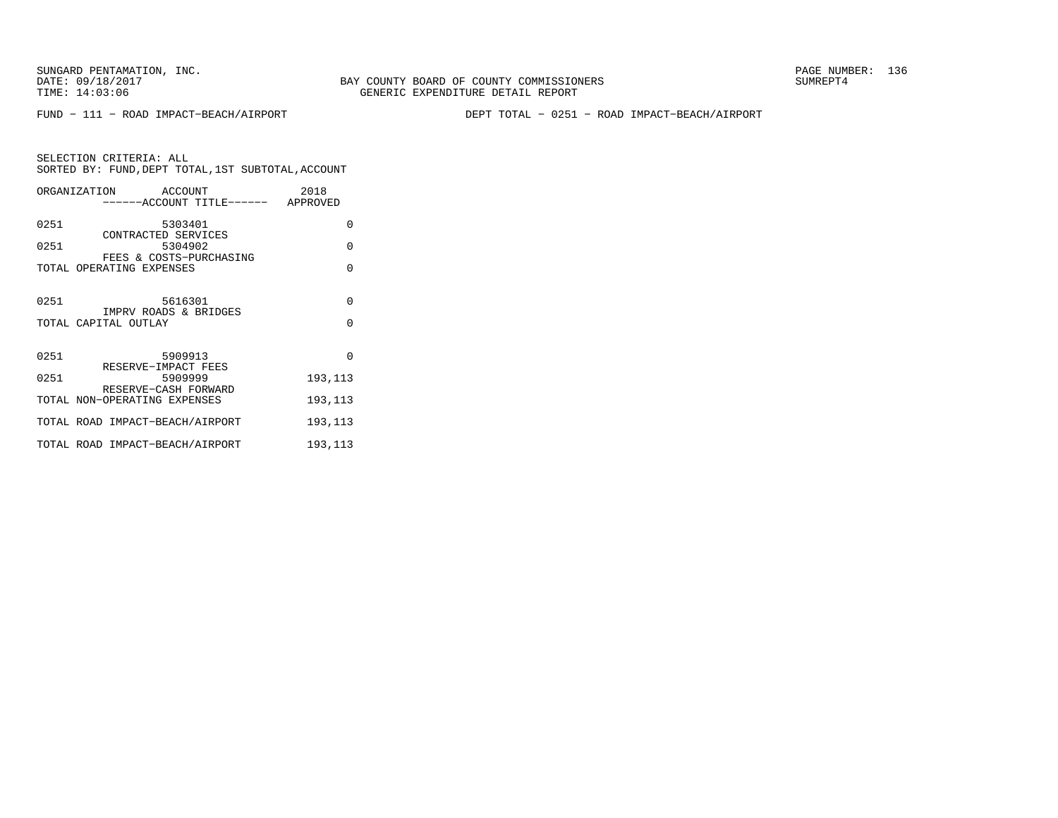FUND − 111 − ROAD IMPACT−BEACH/AIRPORT DEPT TOTAL − 0251 − ROAD IMPACT−BEACH/AIRPORT

| SELECTION CRITERIA: ALL |                       | SORTED BY: FUND, DEPT TOTAL, 1ST SUBTOTAL, ACCOUNT |
|-------------------------|-----------------------|----------------------------------------------------|
| ORGANIZATION            | ACCOUNT               | 2018                                               |
|                         | $---ACCOINT TITLE---$ | APPROVED                                           |

| 0251 | 5303401                                                   | $\Omega$ |
|------|-----------------------------------------------------------|----------|
| 0251 | CONTRACTED SERVICES<br>5304902<br>FEES & COSTS-PURCHASING | $\Omega$ |
|      | TOTAL OPERATING EXPENSES                                  | $\Omega$ |
| 0251 | 5616301                                                   | $\Omega$ |
|      | IMPRV ROADS & BRIDGES<br>TOTAL CAPITAL OUTLAY             | $\Omega$ |
| 0251 | 5909913                                                   | $\Omega$ |
| 0251 | RESERVE-IMPACT FEES<br>5909999<br>RESERVE-CASH FORWARD    | 193,113  |
|      | TOTAL NON-OPERATING EXPENSES                              | 193,113  |
|      | TOTAL ROAD IMPACT-BEACH/AIRPORT                           | 193,113  |
|      | TOTAL ROAD IMPACT-BEACH/AIRPORT                           | 193,113  |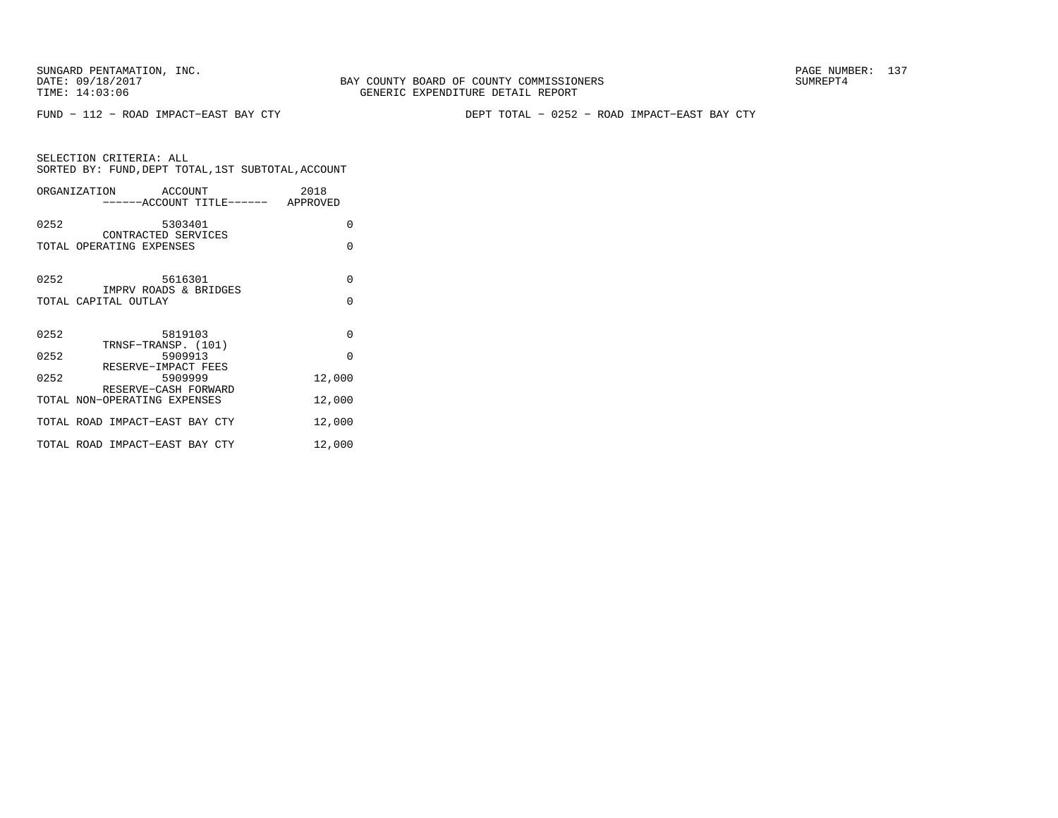FUND − 112 − ROAD IMPACT−EAST BAY CTY DEPT TOTAL − 0252 − ROAD IMPACT−EAST BAY CTY

|      | ORGANIZATION ACCOUNT<br>------ACCOUNT TITLE------ APPROVED | 2018     |
|------|------------------------------------------------------------|----------|
| 0252 | 5303401<br>CONTRACTED SERVICES                             | $\Omega$ |
|      | TOTAL OPERATING EXPENSES                                   | $\Omega$ |
| 0252 | 5616301                                                    | $\Omega$ |
|      | IMPRV ROADS & BRIDGES<br>TOTAL CAPITAL OUTLAY              | $\Omega$ |
| 0252 | 5819103                                                    | $\Omega$ |
| 0252 | TRNSF-TRANSP. (101)<br>5909913                             | $\Omega$ |
| 0252 | RESERVE-IMPACT FEES<br>5909999<br>RESERVE-CASH FORWARD     | 12,000   |
|      | TOTAL NON-OPERATING EXPENSES                               | 12,000   |
|      | TOTAL ROAD IMPACT-EAST BAY CTY                             | 12,000   |
|      | TOTAL ROAD IMPACT-EAST BAY CTY                             | 12,000   |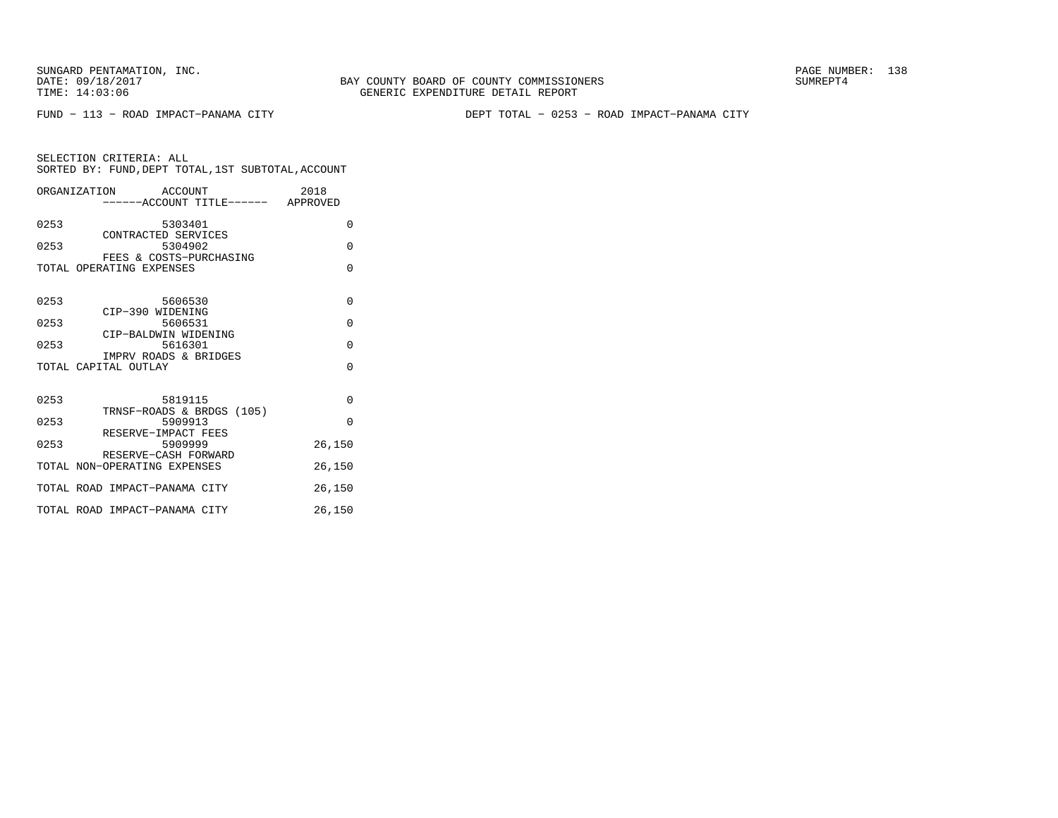BAY COUNTY BOARD OF COUNTY COMMISSIONERS TIME: 14:03:06 GENERIC EXPENDITURE DETAIL REPORT

FUND − 113 − ROAD IMPACT−PANAMA CITY DEPT TOTAL − 0253 − ROAD IMPACT−PANAMA CITY

|      | ORGANIZATION ACCOUNT<br>------ACCOUNT TITLE------ APPROVED | 2018     |
|------|------------------------------------------------------------|----------|
| 0253 | 5303401<br>CONTRACTED SERVICES                             | $\Omega$ |
| 0253 | 5304902<br>FEES & COSTS-PURCHASING                         | $\Omega$ |
|      | TOTAL OPERATING EXPENSES                                   | $\Omega$ |
| 0253 | 5606530                                                    | $\Omega$ |
| 0253 | CIP-390 WIDENING<br>5606531                                | $\Omega$ |
| 0253 | CIP-BALDWIN WIDENING<br>5616301                            | $\Omega$ |
|      | IMPRV ROADS & BRIDGES<br>TOTAL CAPITAL OUTLAY              | $\Omega$ |
| 0253 | 5819115<br>TRNSF-ROADS & BRDGS (105)                       | $\Omega$ |
| 0253 | 5909913<br>RESERVE-IMPACT FEES                             | $\Omega$ |
| 0253 | 5909999<br>RESERVE-CASH FORWARD                            | 26,150   |
|      | TOTAL NON-OPERATING EXPENSES                               | 26,150   |
|      | TOTAL ROAD IMPACT-PANAMA CITY                              | 26,150   |
|      | TOTAL ROAD IMPACT-PANAMA CITY                              | 26,150   |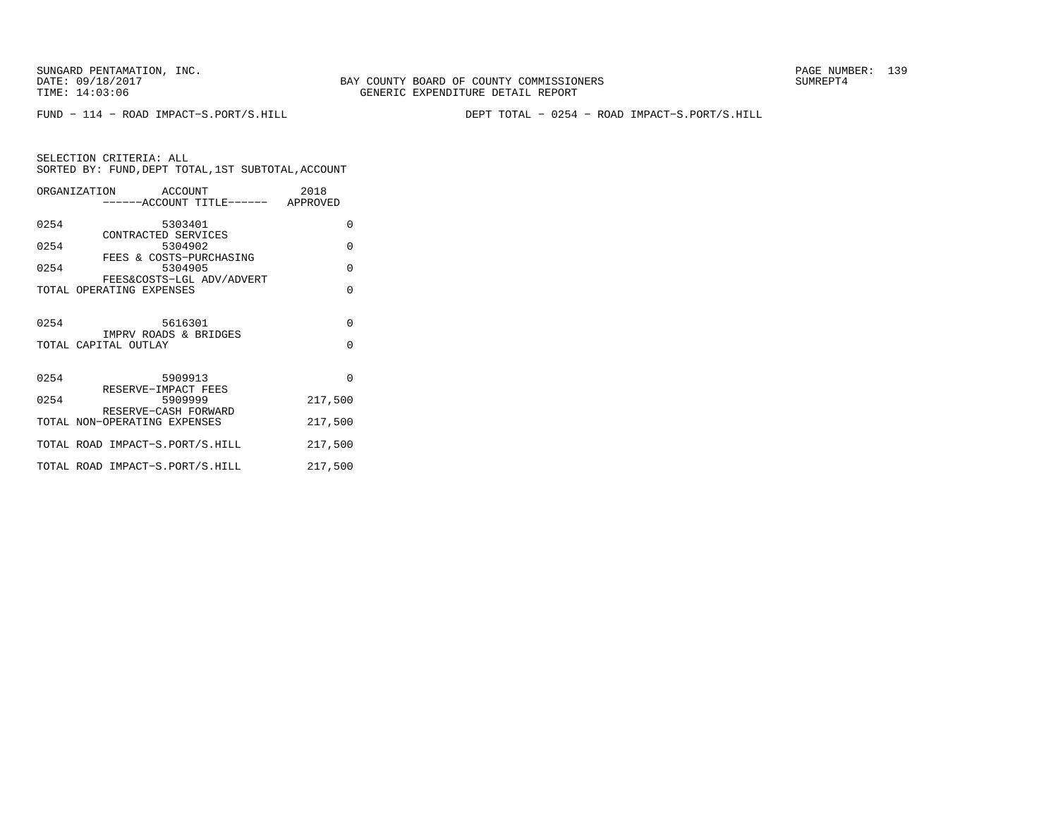BAY COUNTY BOARD OF COUNTY COMMISSIONERS TIME: 14:03:06 GENERIC EXPENDITURE DETAIL REPORT

FUND − 114 − ROAD IMPACT−S.PORT/S.HILL DEPT TOTAL − 0254 − ROAD IMPACT−S.PORT/S.HILL

|      | ORGANIZATION ACCOUNT<br>------ACCOUNT TITLE------ APPROVED | 2018                 |
|------|------------------------------------------------------------|----------------------|
| 0254 | 5303401<br>CONTRACTED SERVICES                             | $\Omega$             |
| 0254 | 5304902<br>FEES & COSTS-PURCHASING                         | $\Omega$             |
| 0254 | 5304905<br>FEES&COSTS-LGL ADV/ADVERT                       | $\Omega$             |
|      | TOTAL OPERATING EXPENSES                                   | $\Omega$             |
| 0254 | 5616301<br>IMPRV ROADS & BRIDGES<br>TOTAL CAPITAL OUTLAY   | $\Omega$<br>$\Omega$ |
| 0254 | 5909913                                                    | $\Omega$             |
| 0254 | RESERVE-IMPACT FEES<br>5909999<br>RESERVE-CASH FORWARD     | 217,500              |
|      | TOTAL NON-OPERATING EXPENSES                               | 217,500              |
|      | TOTAL ROAD IMPACT-S.PORT/S.HILL                            | 217,500              |
|      | TOTAL ROAD IMPACT-S.PORT/S.HILL                            | 217,500              |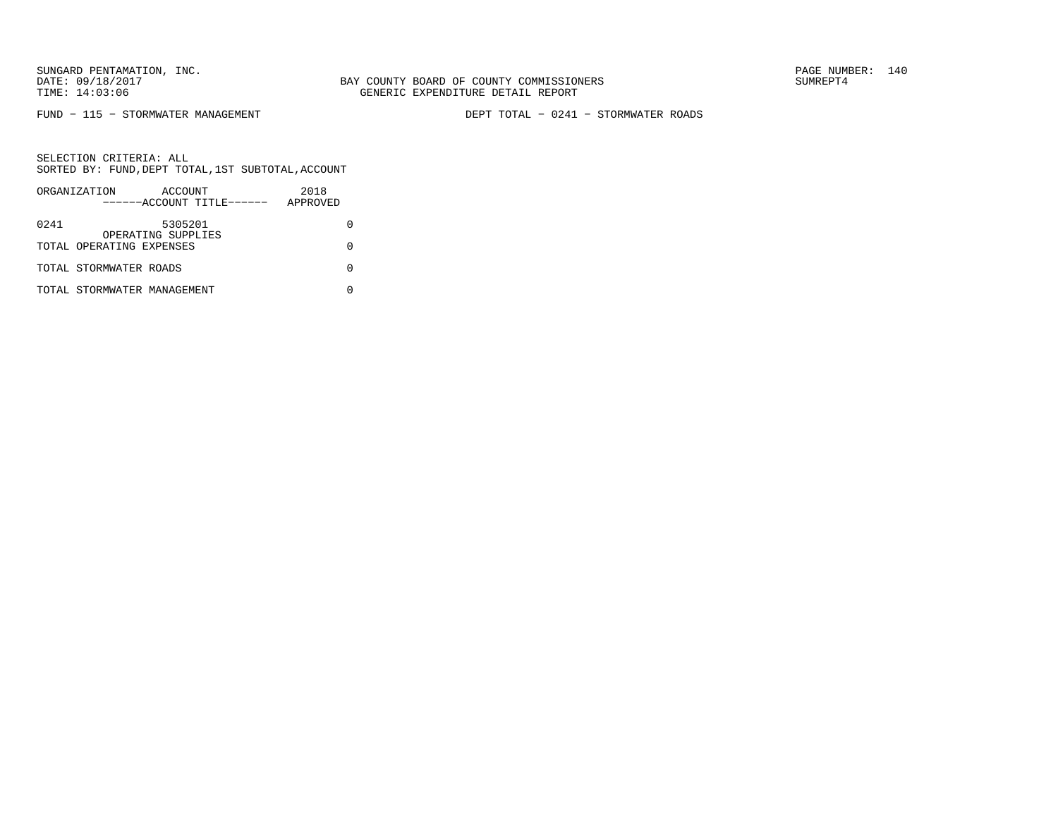FUND − 115 − STORMWATER MANAGEMENT DEPT TOTAL − 0241 − STORMWATER ROADS

|      | ORGANIZATION                | ACCOUNT                       |                           | 2018     |  |
|------|-----------------------------|-------------------------------|---------------------------|----------|--|
|      |                             |                               | ------ACCOUNT TITLE------ | APPROVED |  |
| 0241 |                             | 5305201<br>OPERATING SUPPLIES |                           |          |  |
|      | TOTAL OPERATING EXPENSES    |                               |                           |          |  |
|      | TOTAL STORMWATER ROADS      |                               |                           |          |  |
|      | TOTAL STORMWATER MANAGEMENT |                               |                           |          |  |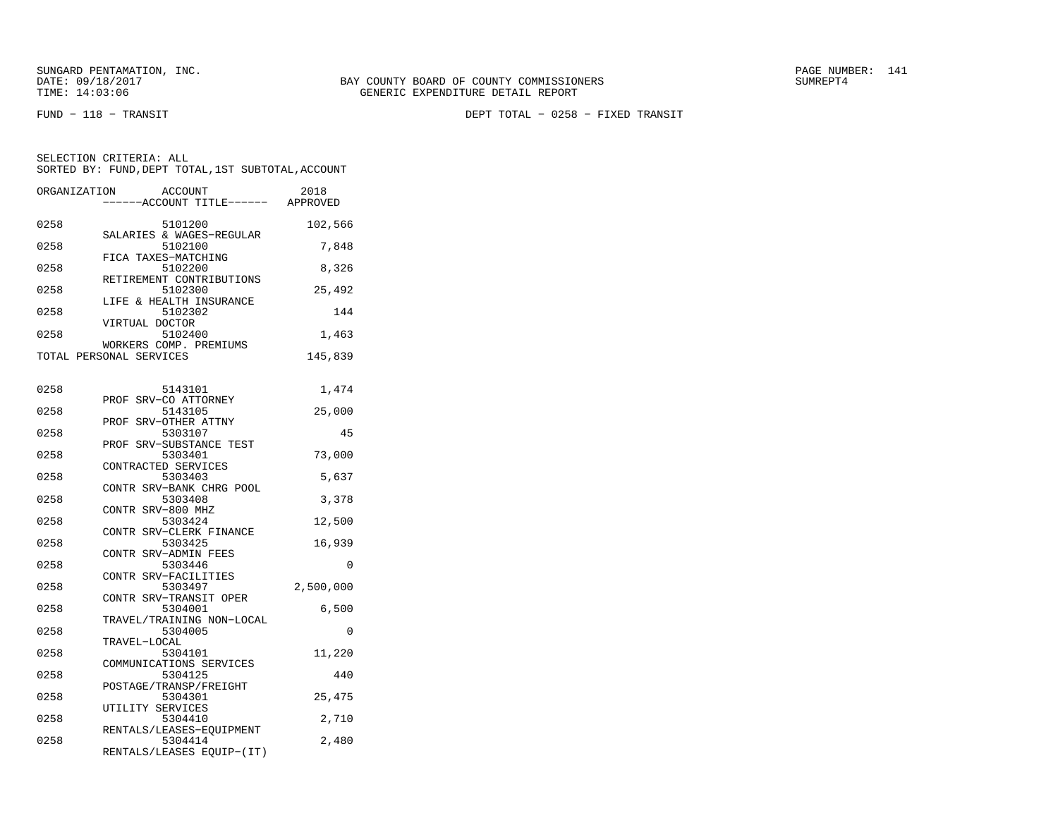FUND − 118 − TRANSIT DEPT TOTAL − 0258 − FIXED TRANSIT

SELECTION CRITERIA: ALL SORTED BY: FUND,DEPT TOTAL,1ST SUBTOTAL,ACCOUNTORGANIZATION ACCOUNT 2018

| ORGANIZATION | <b>ACCOUNT</b>                    | 7018      |
|--------------|-----------------------------------|-----------|
|              | -----ACCOUNT TITLE------ APPROVED |           |
|              |                                   |           |
| 0258         | 5101200                           | 102,566   |
|              | SALARIES & WAGES-REGULAR          |           |
| 0258         | 5102100                           | 7,848     |
|              | FICA TAXES-MATCHING               |           |
| 0258         | 5102200                           | 8,326     |
|              | RETIREMENT CONTRIBUTIONS          |           |
| 0258         | 5102300                           | 25,492    |
|              | LIFE & HEALTH INSURANCE           |           |
| 0258         | 5102302                           | 144       |
| 0258         | VIRTUAL DOCTOR<br>5102400         |           |
|              | WORKERS COMP. PREMIUMS            | 1,463     |
|              | TOTAL PERSONAL SERVICES           |           |
|              |                                   | 145,839   |
|              |                                   |           |
| 0258         | 5143101                           | 1,474     |
|              | PROF SRV-CO ATTORNEY              |           |
| 0258         | 5143105                           | 25,000    |
|              | PROF SRV-OTHER ATTNY              |           |
| 0258         | 5303107                           | 45        |
|              | PROF SRV-SUBSTANCE TEST           |           |
| 0258         | 5303401                           | 73,000    |
|              | CONTRACTED SERVICES               |           |
| 0258         | 5303403                           | 5,637     |
|              | CONTR SRV-BANK CHRG POOL          |           |
| 0258         | 5303408                           | 3,378     |
|              | CONTR SRV-800 MHZ                 |           |
| 0258         | 5303424                           | 12,500    |
|              | CONTR SRV-CLERK FINANCE           |           |
| 0258         | 5303425                           | 16,939    |
|              | CONTR SRV-ADMIN FEES              |           |
| 0258         | 5303446                           | 0         |
|              | CONTR SRV-FACILITIES              |           |
| 0258         | 5303497                           | 2,500,000 |
|              | CONTR SRV-TRANSIT OPER            |           |
| 0258         | 5304001                           | 6,500     |
|              | TRAVEL/TRAINING NON-LOCAL         |           |
| 0258         | 5304005                           | $\Omega$  |
|              | TRAVEL-LOCAL                      |           |
| 0258         | 5304101                           | 11,220    |
|              | COMMUNICATIONS SERVICES           |           |
| 0258         | 5304125                           | 440       |
|              | POSTAGE/TRANSP/FREIGHT            |           |
| 0258         | 5304301                           | 25,475    |
|              | UTILITY SERVICES                  |           |
| 0258         | 5304410                           | 2,710     |
|              | RENTALS/LEASES-EQUIPMENT          |           |
| 0258         | 5304414                           | 2,480     |
|              | RENTALS/LEASES EQUIP-(IT)         |           |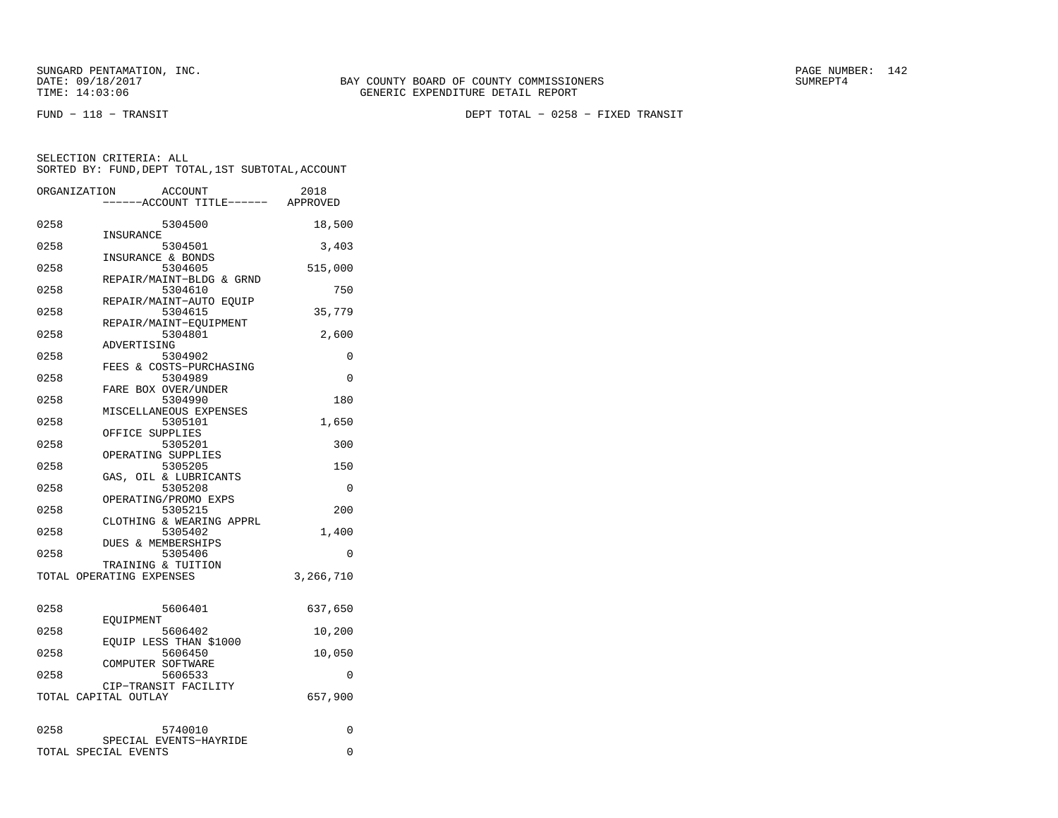FUND − 118 − TRANSIT DEPT TOTAL − 0258 − FIXED TRANSIT

|      | ORGANIZATION             | <b>ACCOUNT</b><br>---ACCOUNT TITLE------ APPROVED | 2018      |
|------|--------------------------|---------------------------------------------------|-----------|
| 0258 | INSURANCE                | 5304500                                           | 18,500    |
| 0258 |                          | 5304501<br>INSURANCE & BONDS                      | 3,403     |
| 0258 |                          | 5304605<br>REPAIR/MAINT-BLDG & GRND               | 515,000   |
| 0258 |                          | 5304610                                           | 750       |
| 0258 |                          | REPAIR/MAINT-AUTO EQUIP<br>5304615                | 35,779    |
| 0258 |                          | REPAIR/MAINT-EQUIPMENT<br>5304801                 | 2,600     |
| 0258 | ADVERTISING              | 5304902                                           | 0         |
| 0258 |                          | FEES & COSTS-PURCHASING<br>5304989                | 0         |
| 0258 |                          | FARE BOX OVER/UNDER<br>5304990                    | 180       |
| 0258 |                          | MISCELLANEOUS EXPENSES<br>5305101                 | 1,650     |
| 0258 |                          | OFFICE SUPPLIES<br>5305201                        | 300       |
| 0258 |                          | OPERATING SUPPLIES<br>5305205                     | 150       |
| 0258 |                          | GAS, OIL & LUBRICANTS<br>5305208                  | $\Omega$  |
| 0258 |                          | OPERATING/PROMO EXPS<br>5305215                   | 200       |
| 0258 |                          | CLOTHING & WEARING APPRL<br>5305402               | 1,400     |
| 0258 |                          | <b>DUES &amp; MEMBERSHIPS</b><br>5305406          | 0         |
|      | TOTAL OPERATING EXPENSES | TRAINING & TUITION                                | 3,266,710 |
| 0258 |                          | 5606401                                           | 637,650   |
| 0258 | EOUIPMENT                | 5606402                                           | 10,200    |
| 0258 |                          | EOUIP LESS THAN \$1000<br>5606450                 | 10,050    |
| 0258 |                          | COMPUTER SOFTWARE<br>5606533                      | $\Omega$  |
|      | TOTAL CAPITAL OUTLAY     | CIP-TRANSIT FACILITY                              | 657,900   |
| 0258 |                          | 5740010                                           | 0         |
|      | TOTAL SPECIAL EVENTS     | SPECIAL EVENTS-HAYRIDE                            | 0         |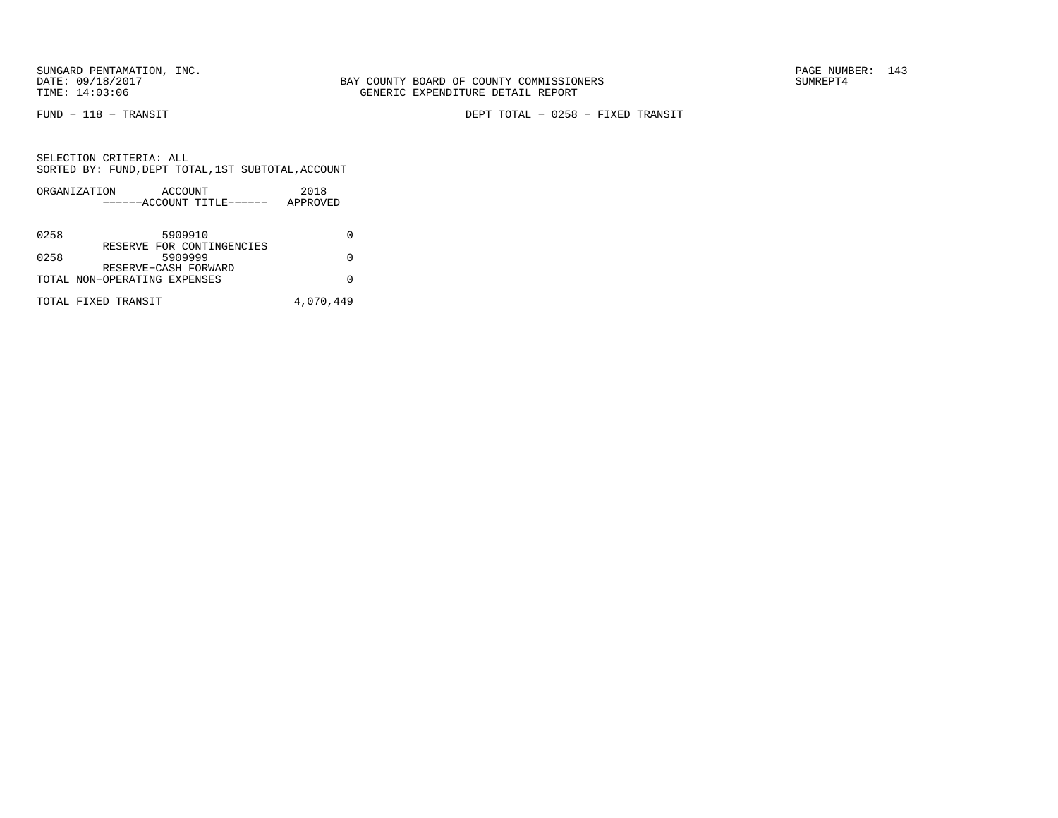FUND − 118 − TRANSIT DEPT TOTAL − 0258 − FIXED TRANSIT

|      | ORGANIZATION                 | ACCOUNT |                           | 2018      |  |
|------|------------------------------|---------|---------------------------|-----------|--|
|      |                              |         | ------ACCOUNT TITLE------ | APPROVED  |  |
|      |                              |         |                           |           |  |
| 0258 |                              | 5909910 |                           |           |  |
|      |                              |         | RESERVE FOR CONTINGENCIES |           |  |
| 0258 |                              | 5909999 |                           | U         |  |
|      | RESERVE-CASH FORWARD         |         |                           |           |  |
|      | TOTAL NON-OPERATING EXPENSES |         |                           | O         |  |
|      | TOTAL FIXED TRANSIT          |         |                           |           |  |
|      |                              |         |                           | 4,070,449 |  |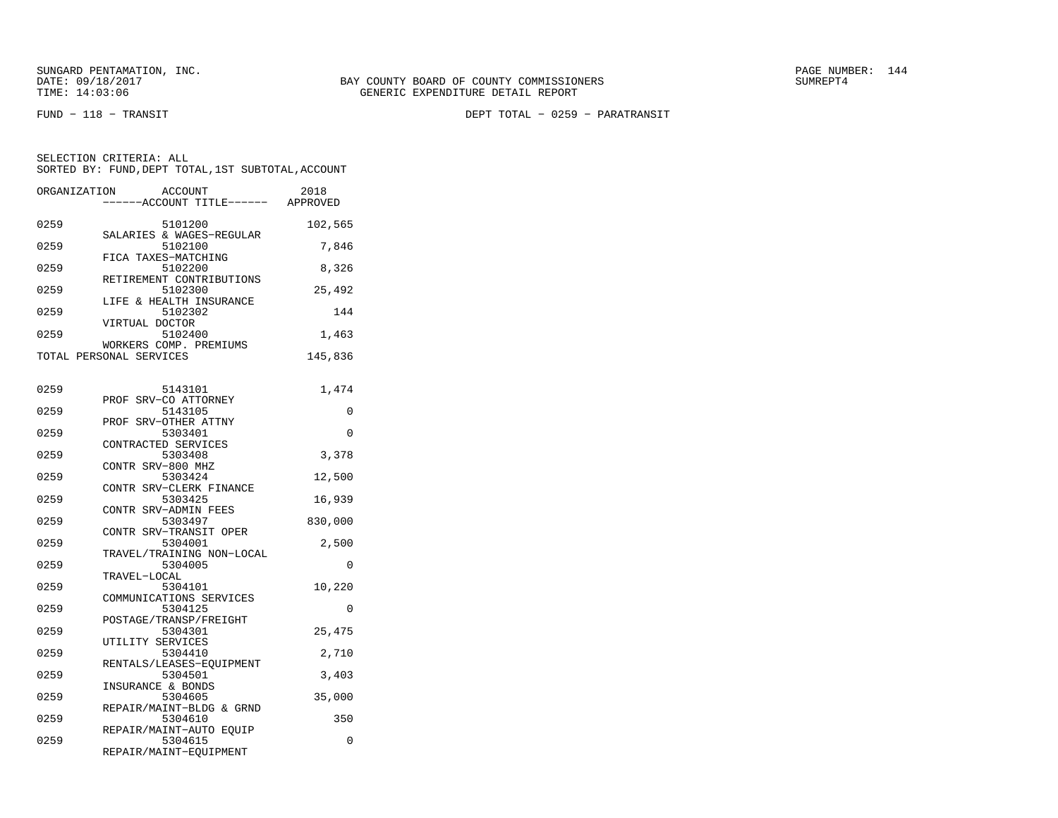SELECTION CRITERIA: ALL

FUND − 118 − TRANSIT DEPT TOTAL − 0259 − PARATRANSIT

ORGANIZATION ACCOUNT 2018 −−−−−−ACCOUNT TITLE−−−−−− APPROVED0259 5101200 102,565 SALARIES & WAGES−REGULAR

SORTED BY: FUND,DEPT TOTAL,1ST SUBTOTAL,ACCOUNT

| 0259 | 5102100                  | 7,846  |
|------|--------------------------|--------|
|      | FICA TAXES-MATCHING      |        |
| 0259 | 5102200                  | 8,326  |
|      | RETIREMENT CONTRIBUTIONS |        |
| 0259 | 5102300                  | 25,492 |
|      | LIFE & HEALTH INSURANCE  |        |
| 0259 | 5102302                  | 144    |
|      | סחייטה ובזויפדנו         |        |

| 0259 | A TIZIOUT DOCTOM<br>5102400 | 1,463    |
|------|-----------------------------|----------|
|      | WORKERS COMP. PREMIUMS      |          |
|      | TOTAL PERSONAL SERVICES     | 145,836  |
|      |                             |          |
| 0259 | 5143101                     | 1,474    |
|      | PROF SRV-CO ATTORNEY        |          |
| 0259 | 5143105                     | 0        |
|      | PROF SRV-OTHER ATTNY        |          |
| 0259 | 5303401                     | $\Omega$ |
|      | CONTRACTED SERVICES         |          |
| 0259 | 5303408                     | 3,378    |
|      | CONTR SRV-800 MHZ           |          |
| 0259 | 5303424                     | 12,500   |
|      | CONTR SRV-CLERK FINANCE     |          |
| 0259 | 5303425                     | 16,939   |
|      | CONTR SRV-ADMIN FEES        |          |
| 0259 | 5303497                     | 830,000  |
|      | CONTR SRV-TRANSIT OPER      |          |
| 0259 | 5304001                     | 2,500    |
|      | TRAVEL/TRAINING NON-LOCAL   |          |
| 0259 | 5304005                     | $\Omega$ |
|      | TRAVEL-LOCAL                |          |
| 0259 | 5304101                     | 10,220   |
|      | COMMUNICATIONS SERVICES     |          |
| 0259 | 5304125                     | $\Omega$ |
|      | POSTAGE/TRANSP/FREIGHT      |          |
| 0259 | 5304301                     | 25,475   |
|      | UTILITY SERVICES            |          |
| 0259 | 5304410                     | 2,710    |
|      | RENTALS/LEASES-EQUIPMENT    |          |

| 0259 | 5304410                  | 2,710  |
|------|--------------------------|--------|
|      | RENTALS/LEASES-EOUIPMENT |        |
| 0259 | 5304501                  | 3,403  |
|      | INSURANCE & BONDS        |        |
| 0259 | 5304605                  | 35,000 |
|      | REPAIR/MAINT-BLDG & GRND |        |
| 0259 | 5304610                  | 350    |
|      | REPAIR/MAINT-AUTO EOUIP  |        |
| 0259 | 5304615                  |        |

REPAIR/MAINT−EQUIPMENT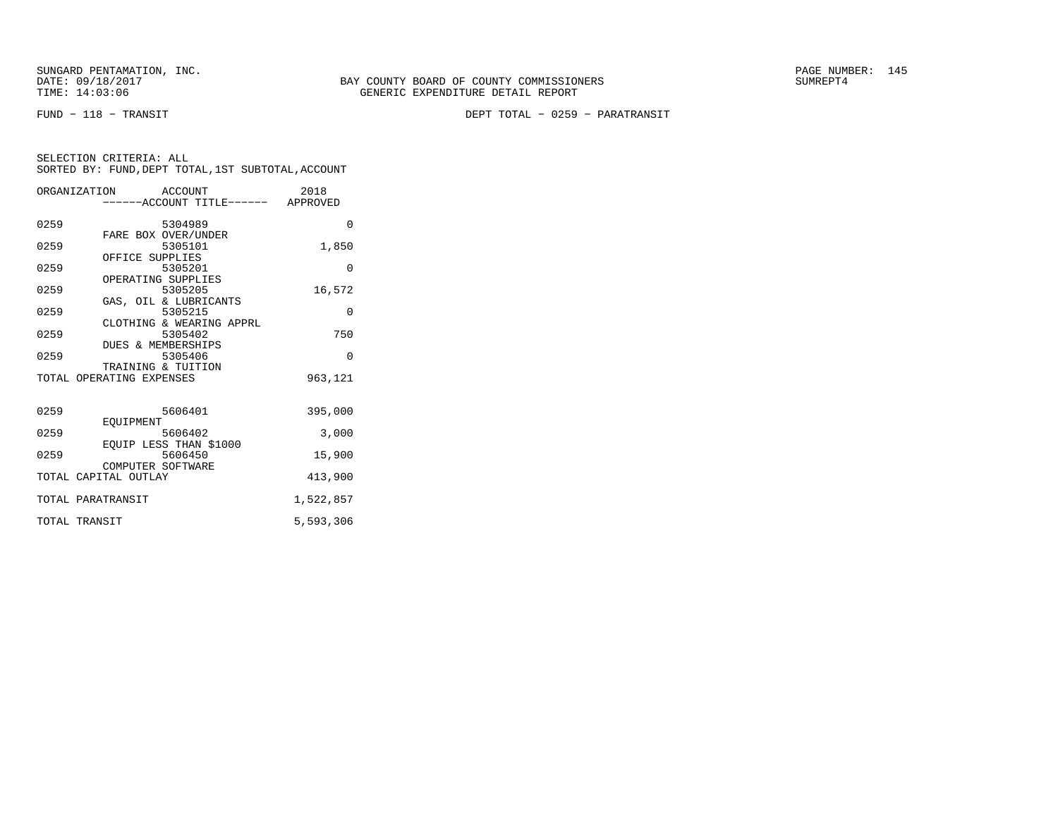FUND − 118 − TRANSIT DEPT TOTAL − 0259 − PARATRANSIT

|      | ORGANIZATION ACCOUNT     |                                   | 2018      |
|------|--------------------------|-----------------------------------|-----------|
|      |                          | -----ACCOUNT TITLE------ APPROVED |           |
| 0259 |                          | 5304989                           | 0         |
|      | FARE BOX OVER/UNDER      |                                   |           |
| 0259 |                          | 5305101                           | 1,850     |
|      | OFFICE SUPPLIES          |                                   |           |
| 0259 |                          | 5305201                           | $\Omega$  |
|      | OPERATING SUPPLIES       |                                   |           |
| 0259 | 5305205                  |                                   | 16,572    |
|      | GAS, OIL & LUBRICANTS    |                                   |           |
| 0259 | 5305215                  |                                   | $\Omega$  |
|      | CLOTHING & WEARING APPRL |                                   |           |
| 0259 |                          | 5305402                           | 750       |
|      | DUES & MEMBERSHIPS       |                                   |           |
| 0259 |                          | 5305406                           | $\Omega$  |
|      | TRAINING & TUITION       |                                   |           |
|      | TOTAL OPERATING EXPENSES |                                   | 963,121   |
|      |                          |                                   |           |
| 0259 |                          | 5606401                           | 395,000   |
|      | EOUIPMENT                |                                   |           |
| 0259 |                          | 5606402                           | 3,000     |
|      | EOUIP LESS THAN \$1000   |                                   |           |
| 0259 |                          | 5606450                           | 15,900    |
|      | COMPUTER SOFTWARE        |                                   |           |
|      | TOTAL CAPITAL OUTLAY     |                                   | 413,900   |
|      | TOTAL PARATRANSIT        |                                   | 1,522,857 |
|      | TOTAL TRANSIT            |                                   | 5,593,306 |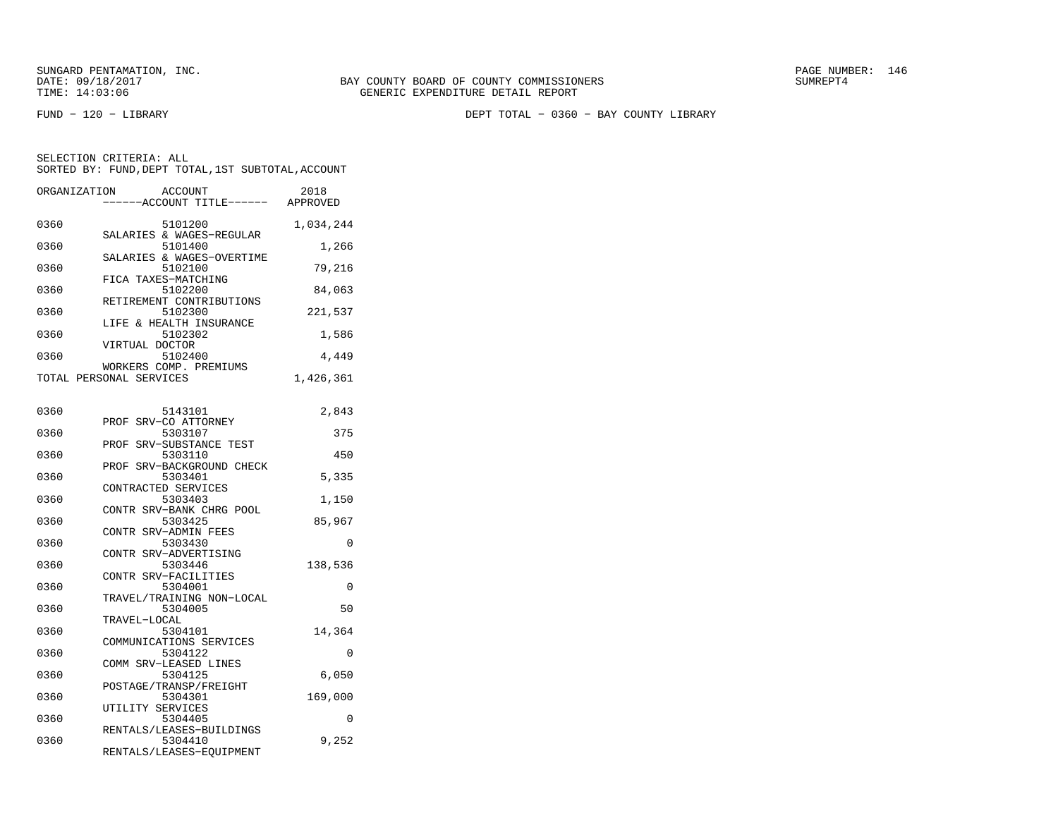FUND − 120 − LIBRARY DEPT TOTAL − 0360 − BAY COUNTY LIBRARY

| ORGANIZATION | ACCOUNT                                                         | 2018<br>----ACCOUNT TITLE------ APPROVED |
|--------------|-----------------------------------------------------------------|------------------------------------------|
| 0360         | 5101200<br>SALARIES & WAGES-REGULAR                             | 1,034,244                                |
| 0360         | 5101400<br>SALARIES & WAGES-OVERTIME                            | 1,266                                    |
| 0360         | 5102100<br>FICA TAXES-MATCHING                                  | 79,216                                   |
| 0360         | 5102200<br>RETIREMENT CONTRIBUTIONS                             | 84,063                                   |
| 0360         | 5102300<br>LIFE & HEALTH INSURANCE                              | 221,537                                  |
| 0360         | 5102302<br>VIRTUAL DOCTOR                                       | 1,586                                    |
| 0360         | 5102400<br>WORKERS COMP. PREMIUMS                               | 4,449                                    |
|              | TOTAL PERSONAL SERVICES                                         | 1,426,361                                |
| 0360         | 5143101<br>PROF SRV-CO ATTORNEY                                 | 2,843                                    |
| 0360         | 5303107                                                         | 375                                      |
| 0360         | SRV-SUBSTANCE TEST<br>PROF<br>5303110                           | 450                                      |
| 0360         | PROF SRV-BACKGROUND CHECK<br>5303401                            | 5,335                                    |
| 0360         | CONTRACTED SERVICES<br>5303403                                  | 1,150                                    |
| 0360         | CONTR SRV-BANK CHRG POOL<br>5303425                             | 85,967                                   |
| 0360         | CONTR SRV-ADMIN FEES<br>5303430                                 | 0                                        |
| 0360         | CONTR SRV-ADVERTISING<br>5303446                                | 138,536                                  |
| 0360         | CONTR SRV-FACILITIES<br>5304001                                 | 0                                        |
| 0360         | TRAVEL/TRAINING NON-LOCAL<br>5304005                            | 50                                       |
| 0360         | TRAVEL-LOCAL<br>5304101                                         | 14,364                                   |
| 0360         | COMMUNICATIONS SERVICES<br>5304122                              | 0                                        |
| 0360         | COMM SRV-LEASED LINES<br>5304125                                | 6,050                                    |
| 0360         | POSTAGE/TRANSP/FREIGHT<br>5304301                               | 169,000                                  |
| 0360         | UTILITY SERVICES<br>5304405                                     | 0                                        |
| 0360         | RENTALS/LEASES-BUILDINGS<br>5304410<br>RENTALS/LEASES-EQUIPMENT | 9,252                                    |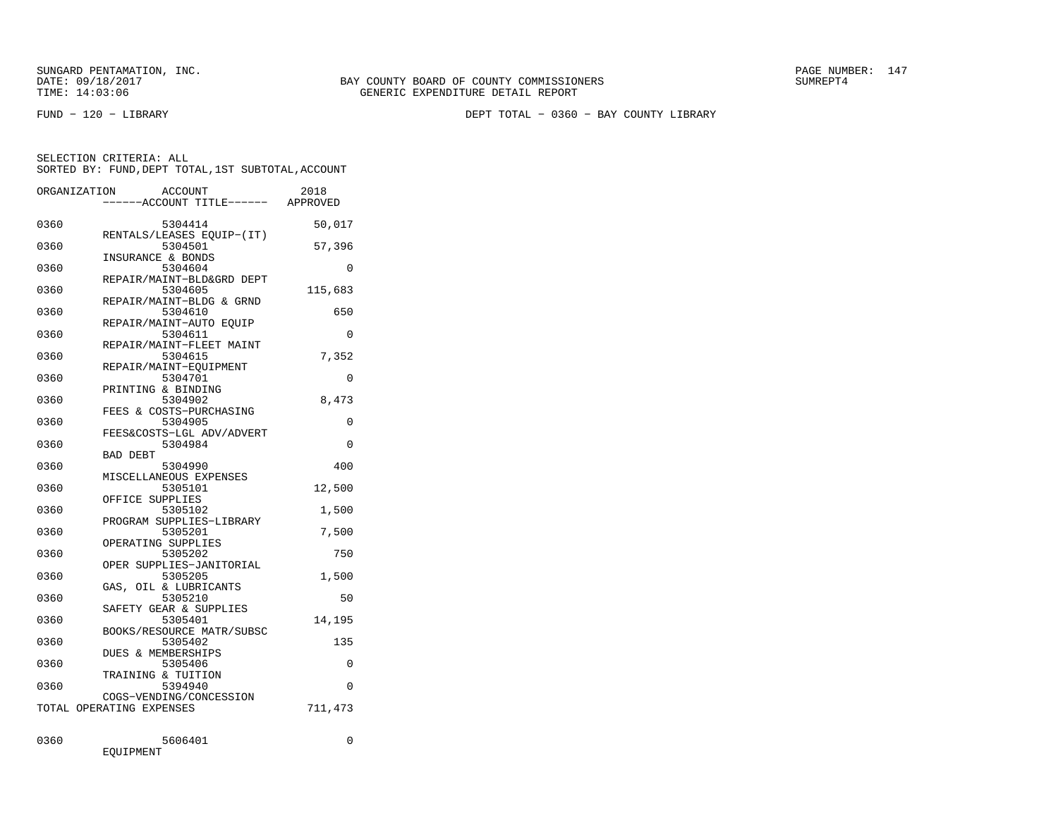FUND − 120 − LIBRARY DEPT TOTAL − 0360 − BAY COUNTY LIBRARY

SELECTION CRITERIA: ALLSORTED BY: FUND,DEPT TOTAL,1ST SUBTOTAL,ACCOUNT

|      | ORGANIZATION<br>ACCOUNT<br>---ACCOUNT TITLE------ APPROVED       | 2018     |
|------|------------------------------------------------------------------|----------|
| 0360 | 5304414                                                          | 50,017   |
| 0360 | RENTALS/LEASES EQUIP-(IT)<br>5304501                             | 57,396   |
| 0360 | INSURANCE & BONDS<br>5304604                                     | 0        |
| 0360 | REPAIR/MAINT-BLD&GRD DEPT<br>5304605<br>REPAIR/MAINT-BLDG & GRND | 115,683  |
| 0360 | 5304610                                                          | 650      |
| 0360 | REPAIR/MAINT-AUTO EOUIP<br>5304611                               | $\Omega$ |
| 0360 | REPAIR/MAINT-FLEET MAINT<br>5304615                              | 7,352    |
| 0360 | REPAIR/MAINT-EQUIPMENT<br>5304701                                | 0        |
| 0360 | PRINTING & BINDING<br>5304902                                    | 8,473    |
| 0360 | FEES & COSTS-PURCHASING<br>5304905                               | $\Omega$ |
| 0360 | FEES&COSTS-LGL ADV/ADVERT<br>5304984                             | $\Omega$ |
| 0360 | <b>BAD DEBT</b><br>5304990                                       | 400      |
| 0360 | MISCELLANEOUS EXPENSES<br>5305101                                | 12,500   |
| 0360 | OFFICE SUPPLIES<br>5305102                                       | 1,500    |
| 0360 | PROGRAM SUPPLIES-LIBRARY<br>5305201                              | 7,500    |
| 0360 | OPERATING SUPPLIES<br>5305202                                    | 750      |
| 0360 | OPER SUPPLIES-JANITORIAL<br>5305205                              | 1,500    |
| 0360 | GAS, OIL & LUBRICANTS<br>5305210                                 | 50       |
| 0360 | SAFETY GEAR & SUPPLIES<br>5305401<br>BOOKS/RESOURCE MATR/SUBSC   | 14,195   |
| 0360 | 5305402                                                          | 135      |
| 0360 | DUES & MEMBERSHIPS<br>5305406<br>TRAINING & TUITION              | $\Omega$ |
| 0360 | 5394940<br>COGS-VENDING/CONCESSION                               | $\Omega$ |
|      | TOTAL OPERATING EXPENSES                                         | 711,473  |
| 0360 | 5606401                                                          | $\Omega$ |

EQUIPMENT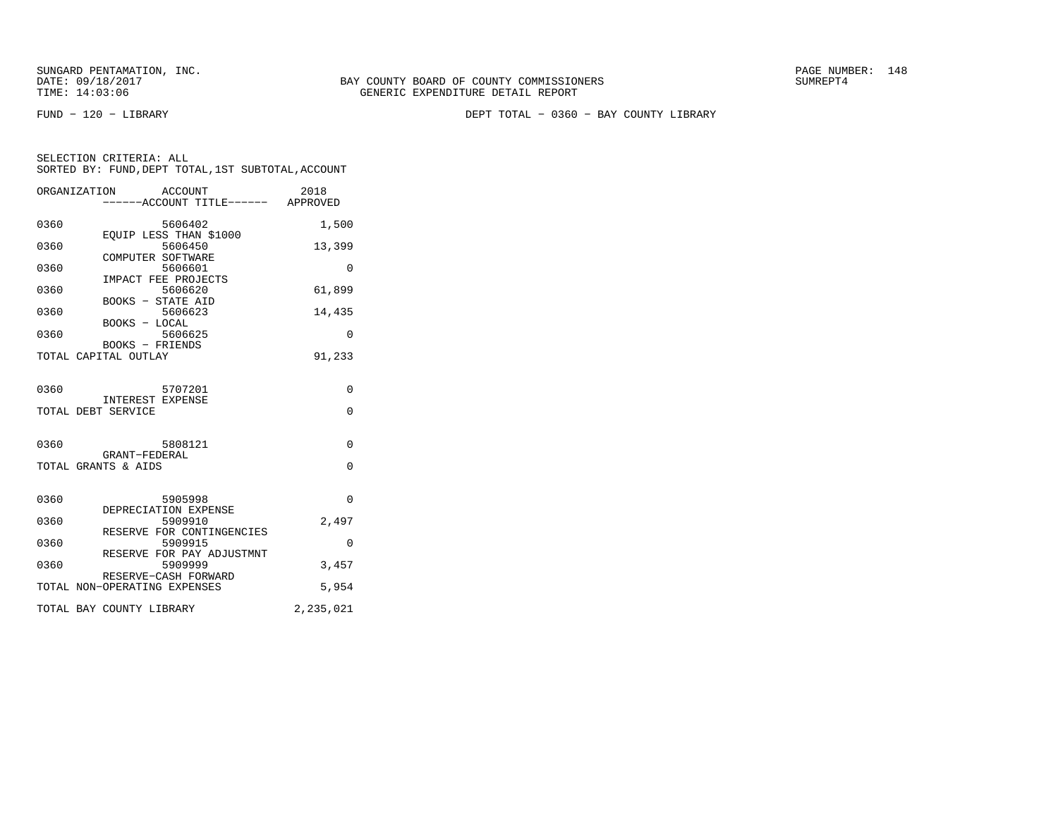FUND − 120 − LIBRARY DEPT TOTAL − 0360 − BAY COUNTY LIBRARY

| ORGANIZATION ACCOUNT                 | ------ACCOUNT TITLE------ APPROVED                  | 2018      |
|--------------------------------------|-----------------------------------------------------|-----------|
| 0360                                 | 5606402                                             | 1,500     |
| 0360                                 | EOUIP LESS THAN \$1000<br>5606450                   | 13,399    |
| 0360                                 | COMPUTER SOFTWARE<br>5606601<br>IMPACT FEE PROJECTS | $\Omega$  |
| 0360                                 | 5606620<br><b>BOOKS - STATE AID</b>                 | 61,899    |
| 0360                                 | 5606623<br>BOOKS - LOCAL                            | 14,435    |
| 0360                                 | 5606625<br>BOOKS - FRIENDS                          | $\Omega$  |
| TOTAL CAPITAL OUTLAY                 |                                                     | 91,233    |
| 0360                                 | 5707201                                             | $\Omega$  |
| TOTAL DEBT SERVICE                   | INTEREST EXPENSE                                    | $\Omega$  |
| 0360                                 | 5808121                                             | $\Omega$  |
| GRANT-FEDERAL<br>TOTAL GRANTS & AIDS |                                                     | $\Omega$  |
| 0360                                 | 5905998<br>DEPRECIATION EXPENSE                     | $\Omega$  |
| 0360                                 | 5909910<br>RESERVE FOR CONTINGENCIES                | 2,497     |
| 0360                                 | 5909915<br>RESERVE FOR PAY ADJUSTMNT                | 0         |
| 0360                                 | 5909999<br>RESERVE-CASH FORWARD                     | 3,457     |
| TOTAL NON-OPERATING EXPENSES         |                                                     | 5,954     |
| TOTAL BAY COUNTY LIBRARY             |                                                     | 2,235,021 |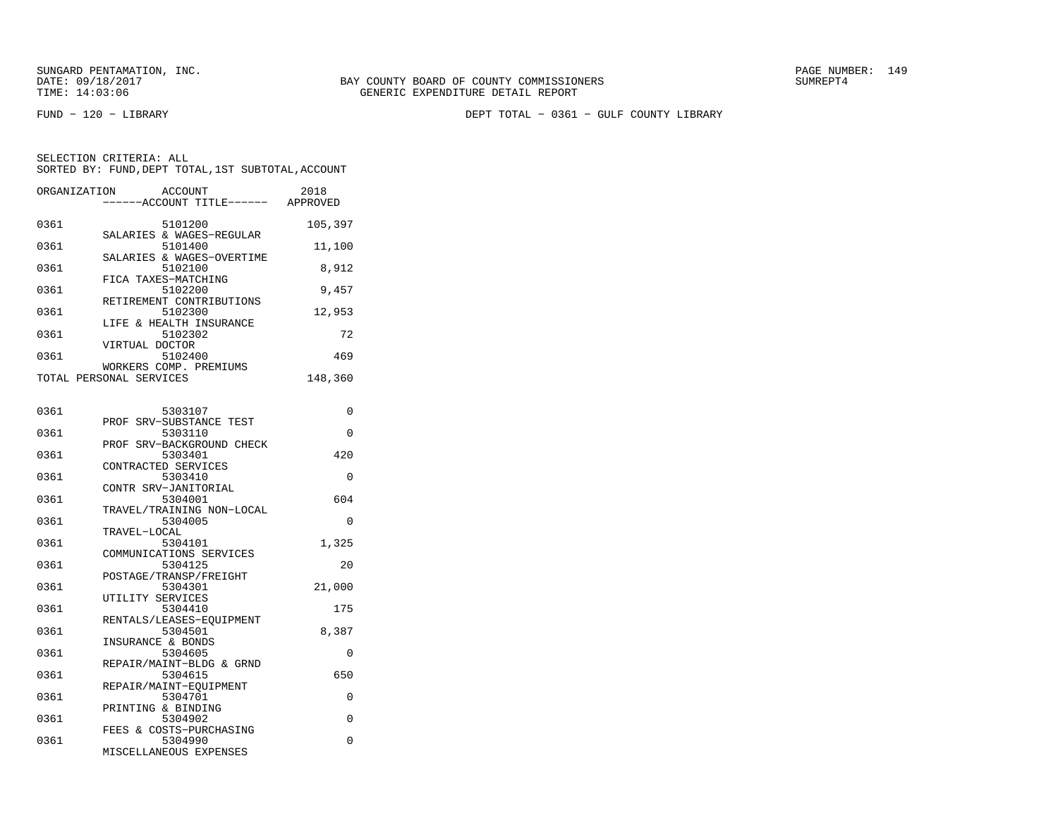FUND − 120 − LIBRARY DEPT TOTAL − 0361 − GULF COUNTY LIBRARY

| ORGANIZATION | <b>ACCOUNT</b><br>---ACCOUNT TITLE------                         | 2018<br>APPROVED |
|--------------|------------------------------------------------------------------|------------------|
| 0361         | 5101200                                                          | 105,397          |
| 0361         | SALARIES & WAGES-REGULAR<br>5101400<br>SALARIES & WAGES-OVERTIME | 11,100           |
| 0361         | 5102100<br>FICA TAXES-MATCHING                                   | 8,912            |
| 0361         | 5102200<br>RETIREMENT CONTRIBUTIONS                              | 9,457            |
| 0361         | 5102300<br>LIFE & HEALTH INSURANCE                               | 12,953           |
| 0361         | 5102302<br>VIRTUAL DOCTOR                                        | 72               |
| 0361         | 5102400<br>WORKERS COMP. PREMIUMS                                | 469              |
|              | TOTAL PERSONAL SERVICES                                          | 148,360          |
| 0361         | 5303107                                                          | 0                |
| 0361         | PROF SRV-SUBSTANCE TEST<br>5303110                               | 0                |
| 0361         | PROF SRV-BACKGROUND CHECK<br>5303401                             | 420              |
| 0361         | CONTRACTED SERVICES<br>5303410                                   | 0                |
| 0361         | CONTR SRV-JANITORIAL<br>5304001                                  | 604              |
| 0361         | TRAVEL/TRAINING NON-LOCAL<br>5304005                             | 0                |
| 0361         | TRAVEL-LOCAL<br>5304101                                          | 1,325            |
| 0361         | COMMUNICATIONS SERVICES<br>5304125                               | 20               |
| 0361         | POSTAGE/TRANSP/FREIGHT<br>5304301                                | 21,000           |
| 0361         | UTILITY SERVICES<br>5304410                                      | 175              |
| 0361         | RENTALS/LEASES-EQUIPMENT<br>5304501                              | 8,387            |
| 0361         | INSURANCE & BONDS<br>5304605                                     | 0                |
| 0361         | REPAIR/MAINT-BLDG & GRND<br>5304615                              | 650              |
| 0361         | REPAIR/MAINT-EQUIPMENT<br>5304701                                | 0                |
| 0361         | PRINTING & BINDING<br>5304902                                    | 0                |
| 0361         | FEES & COSTS-PURCHASING<br>5304990                               | 0                |
|              | MISCELLANEOUS EXPENSES                                           |                  |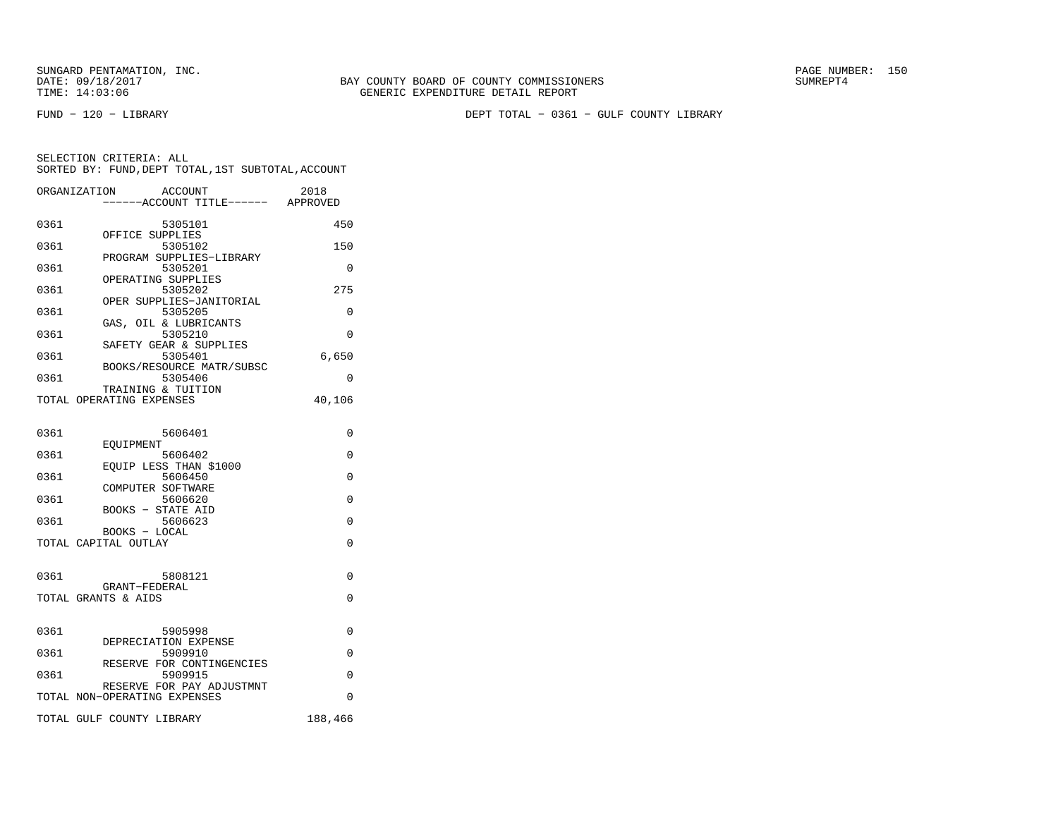FUND − 120 − LIBRARY DEPT TOTAL − 0361 − GULF COUNTY LIBRARY

|      | ORGANIZATION<br>ACCOUNT<br>----ACCOUNT TITLE------ APPROVED | 2018     |
|------|-------------------------------------------------------------|----------|
| 0361 | 5305101                                                     | 450      |
| 0361 | OFFICE SUPPLIES<br>5305102                                  | 150      |
| 0361 | PROGRAM SUPPLIES-LIBRARY<br>5305201                         | 0        |
| 0361 | OPERATING SUPPLIES<br>5305202                               | 275      |
| 0361 | OPER SUPPLIES-JANITORIAL<br>5305205                         | $\Omega$ |
| 0361 | GAS, OIL & LUBRICANTS<br>5305210                            | 0        |
| 0361 | SAFETY GEAR & SUPPLIES<br>5305401                           | 6,650    |
| 0361 | BOOKS/RESOURCE MATR/SUBSC<br>5305406                        | 0        |
|      | TRAINING & TUITION                                          |          |
|      | TOTAL OPERATING EXPENSES                                    | 40,106   |
| 0361 | 5606401                                                     | $\Omega$ |
| 0361 | <b>EOUIPMENT</b><br>5606402                                 | $\Omega$ |
| 0361 | EQUIP LESS THAN \$1000<br>5606450                           | 0        |
| 0361 | COMPUTER SOFTWARE<br>5606620                                | 0        |
| 0361 | BOOKS - STATE AID<br>5606623                                | $\Omega$ |
|      | BOOKS - LOCAL                                               |          |
|      | TOTAL CAPITAL OUTLAY                                        | $\Omega$ |
| 0361 | 5808121                                                     | 0        |
|      | GRANT-FEDERAL<br>TOTAL GRANTS & AIDS                        | $\Omega$ |
|      |                                                             |          |
| 0361 | 5905998<br>DEPRECIATION EXPENSE                             | 0        |
| 0361 | 5909910<br>RESERVE FOR CONTINGENCIES                        | $\Omega$ |
| 0361 | 5909915                                                     | 0        |
|      | RESERVE FOR PAY ADJUSTMNT<br>TOTAL NON-OPERATING EXPENSES   | $\Omega$ |
|      | TOTAL GULF COUNTY LIBRARY                                   | 188,466  |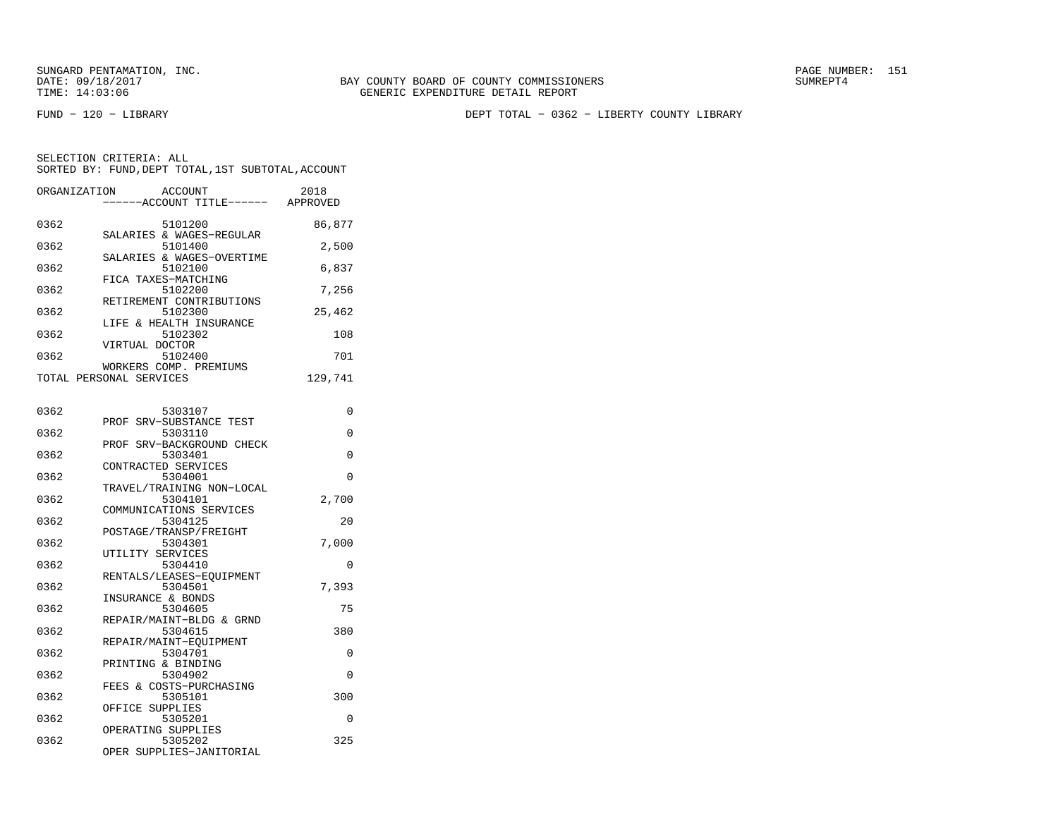FUND − 120 − LIBRARY DEPT TOTAL − 0362 − LIBERTY COUNTY LIBRARY

| ORGANIZATION | <b>ACCOUNT</b><br>----ACCOUNT TITLE------ APPROVED | 2018     |
|--------------|----------------------------------------------------|----------|
| 0362         | 5101200                                            | 86,877   |
|              | SALARIES & WAGES-REGULAR                           |          |
| 0362         | 5101400<br>SALARIES & WAGES-OVERTIME               | 2,500    |
| 0362         | 5102100                                            | 6,837    |
|              | FICA TAXES-MATCHING                                |          |
| 0362         | 5102200<br>RETIREMENT CONTRIBUTIONS                | 7,256    |
| 0362         | 5102300                                            | 25,462   |
|              | LIFE & HEALTH INSURANCE                            |          |
| 0362         | 5102302<br>VIRTUAL DOCTOR                          | 108      |
| 0362         | 5102400                                            | 701      |
|              | WORKERS COMP. PREMIUMS                             |          |
|              | TOTAL PERSONAL SERVICES                            | 129,741  |
|              |                                                    |          |
| 0362         | 5303107<br>PROF SRV-SUBSTANCE TEST                 | 0        |
| 0362         | 5303110                                            | $\Omega$ |
|              | PROF SRV-BACKGROUND CHECK                          |          |
| 0362         | 5303401<br>CONTRACTED SERVICES                     | $\Omega$ |
| 0362         | 5304001                                            | $\Omega$ |
|              | TRAVEL/TRAINING NON-LOCAL                          |          |
| 0362         | 5304101                                            | 2,700    |
| 0362         | COMMUNICATIONS SERVICES<br>5304125                 | 20       |
|              | POSTAGE/TRANSP/FREIGHT                             |          |
| 0362         | 5304301                                            | 7,000    |
|              | UTILITY SERVICES                                   |          |
| 0362         | 5304410<br>RENTALS/LEASES-EOUIPMENT                | 0        |
| 0362         | 5304501                                            | 7,393    |
|              | INSURANCE & BONDS                                  |          |
| 0362         | 5304605                                            | 75       |
| 0362         | REPAIR/MAINT-BLDG & GRND<br>5304615                | 380      |
|              | REPAIR/MAINT-EQUIPMENT                             |          |
| 0362         | 5304701                                            | 0        |
|              | PRINTING & BINDING                                 | 0        |
| 0362         | 5304902<br>FEES & COSTS-PURCHASING                 |          |
| 0362         | 5305101                                            | 300      |
|              | OFFICE SUPPLIES                                    |          |
| 0362         | 5305201                                            | 0        |
| 0362         | OPERATING SUPPLIES<br>5305202                      | 325      |
|              | OPER SUPPLIES-JANITORIAL                           |          |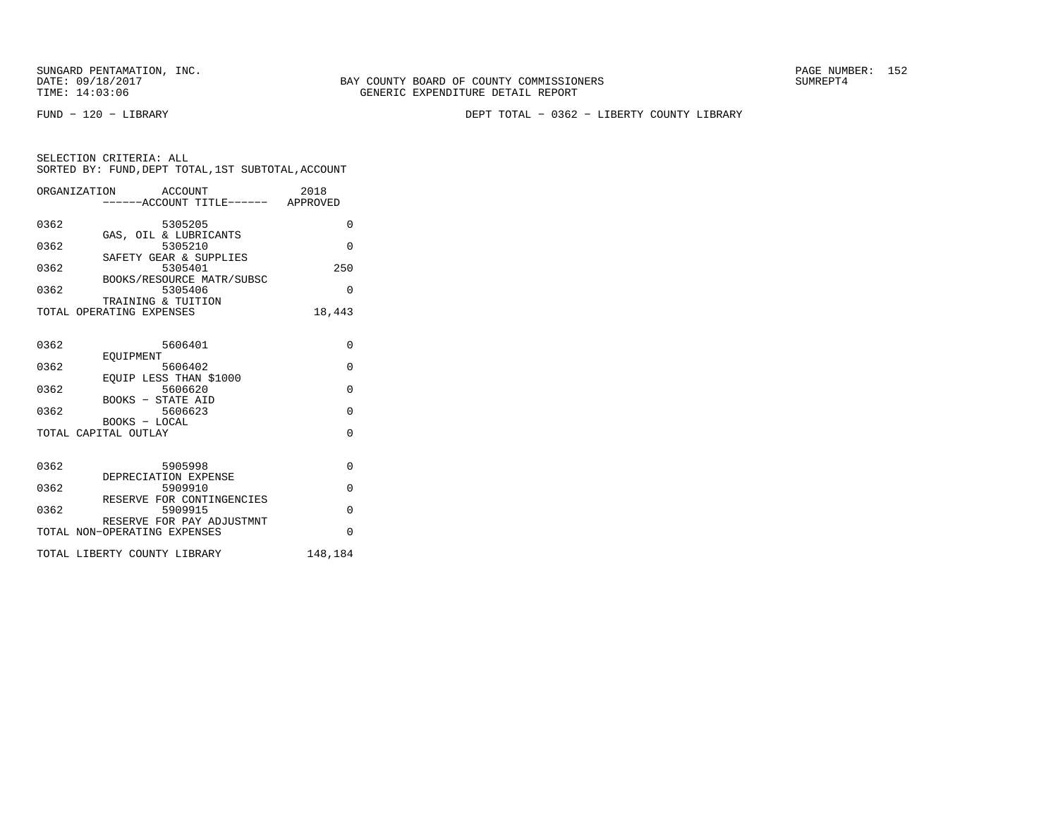FUND − 120 − LIBRARY DEPT TOTAL − 0362 − LIBERTY COUNTY LIBRARY

|      | ORGANIZATION<br>ACCOUNT<br>----ACCOUNT TITLE------ APPROVED | 2018     |
|------|-------------------------------------------------------------|----------|
| 0362 | 5305205                                                     | $\Omega$ |
| 0362 | GAS, OIL & LUBRICANTS<br>5305210                            | $\Omega$ |
| 0362 | SAFETY GEAR & SUPPLIES<br>5305401                           | 250      |
| 0362 | BOOKS/RESOURCE MATR/SUBSC<br>5305406                        | $\Omega$ |
|      | TRAINING & TUITION<br>TOTAL OPERATING EXPENSES              | 18,443   |
| 0362 | 5606401                                                     | $\Omega$ |
| 0362 | EOUIPMENT<br>5606402                                        | $\Omega$ |
|      | EOUIP LESS THAN \$1000                                      |          |
| 0362 | 5606620<br><b>BOOKS - STATE AID</b>                         | $\Omega$ |
| 0362 | 5606623<br>$BOOKS - LOCAL$                                  | $\Omega$ |
|      | TOTAL CAPITAL OUTLAY                                        | $\Omega$ |
| 0362 | 5905998                                                     | $\Omega$ |
| 0362 | DEPRECIATION EXPENSE<br>5909910                             | $\Omega$ |
| 0362 | RESERVE FOR CONTINGENCIES<br>5909915                        | $\Omega$ |
|      | RESERVE FOR PAY ADJUSTMNT<br>TOTAL NON-OPERATING EXPENSES   | $\Omega$ |
|      | TOTAL LIBERTY COUNTY LIBRARY                                | 148,184  |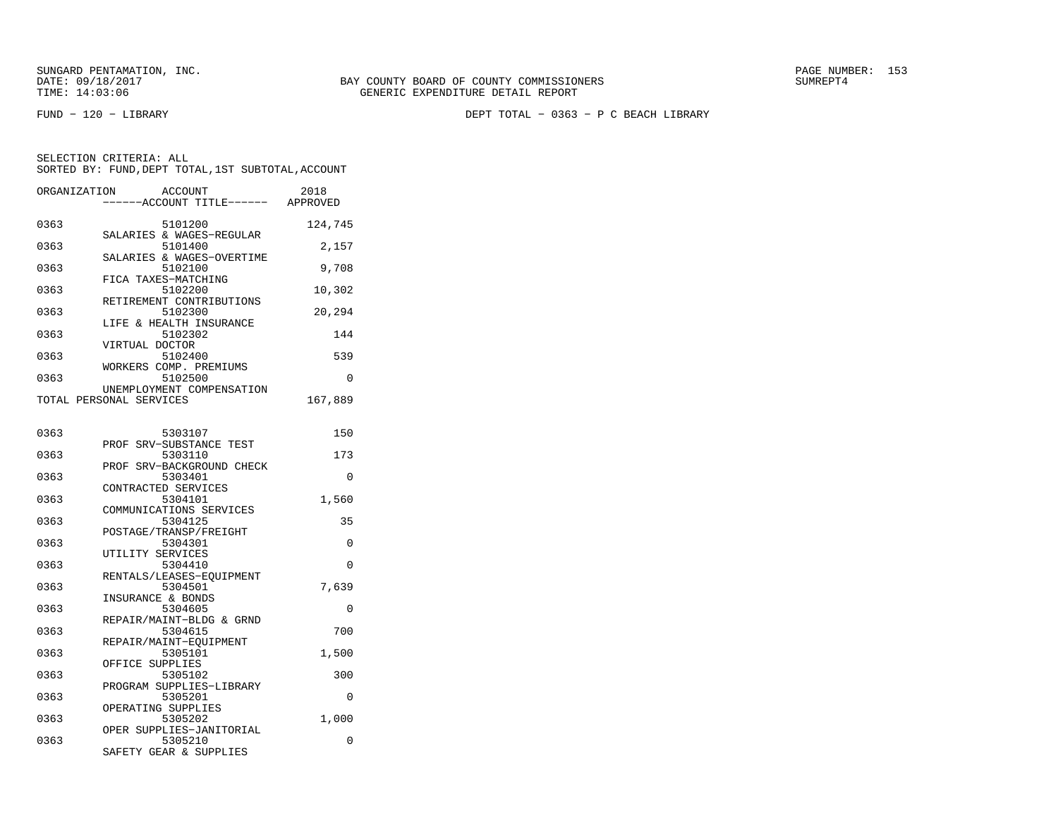FUND − 120 − LIBRARY DEPT TOTAL − 0363 − P C BEACH LIBRARY

| ORGANIZATION | <b>ACCOUNT</b><br>----ACCOUNT TITLE------ APPROVED         | 2018     |
|--------------|------------------------------------------------------------|----------|
| 0363         | 5101200                                                    | 124,745  |
| 0363         | SALARIES & WAGES-REGULAR<br>5101400                        | 2,157    |
| 0363         | SALARIES & WAGES-OVERTIME<br>5102100                       | 9,708    |
| 0363         | FICA TAXES-MATCHING<br>5102200<br>RETIREMENT CONTRIBUTIONS | 10,302   |
| 0363         | 5102300<br>LIFE & HEALTH INSURANCE                         | 20,294   |
| 0363         | 5102302<br>VIRTUAL DOCTOR                                  | 144      |
| 0363         | 5102400<br>WORKERS COMP. PREMIUMS                          | 539      |
| 0363         | 5102500<br>UNEMPLOYMENT COMPENSATION                       | $\Omega$ |
|              | TOTAL PERSONAL SERVICES                                    | 167,889  |
| 0363         | 5303107                                                    | 150      |
| 0363         | PROF SRV-SUBSTANCE TEST<br>5303110                         | 173      |
| 0363         | PROF SRV-BACKGROUND CHECK<br>5303401                       | $\Omega$ |
| 0363         | CONTRACTED SERVICES<br>5304101                             | 1,560    |
| 0363         | COMMUNICATIONS SERVICES<br>5304125                         | 35       |
| 0363         | POSTAGE/TRANSP/FREIGHT<br>5304301                          | $\Omega$ |
| 0363         | UTILITY SERVICES<br>5304410                                | $\Omega$ |
| 0363         | RENTALS/LEASES-EQUIPMENT<br>5304501                        | 7,639    |
| 0363         | INSURANCE & BONDS<br>5304605                               | 0        |
| 0363         | REPAIR/MAINT-BLDG & GRND<br>5304615                        | 700      |
| 0363         | REPAIR/MAINT-EQUIPMENT<br>5305101<br>OFFICE SUPPLIES       | 1,500    |
| 0363         | 5305102<br>PROGRAM SUPPLIES-LIBRARY                        | 300      |
| 0363         | 5305201<br>OPERATING SUPPLIES                              | 0        |
| 0363         | 5305202<br>OPER SUPPLIES-JANITORIAL                        | 1,000    |
| 0363         | 5305210<br>SAFETY GEAR & SUPPLIES                          | 0        |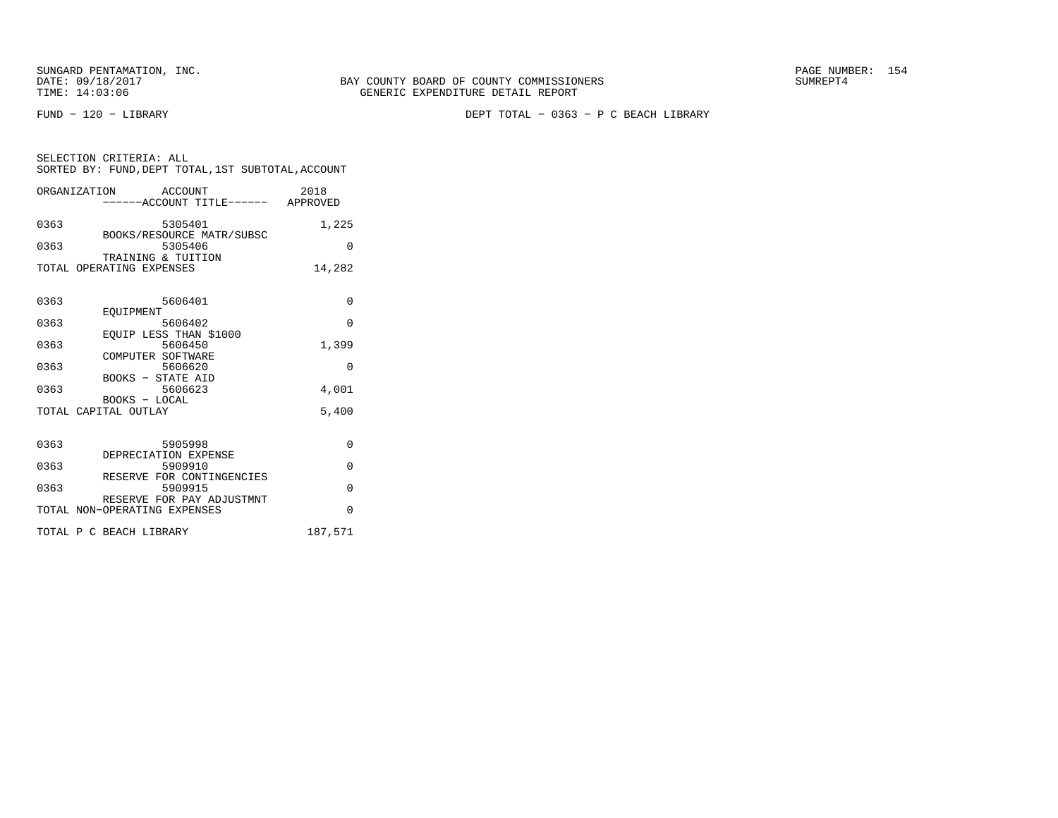FUND − 120 − LIBRARY DEPT TOTAL − 0363 − P C BEACH LIBRARY

| SELECTION CRITERIA: ALL |         | SORTED BY: FUND, DEPT TOTAL, 1ST SUBTOTAL, ACCOUNT |
|-------------------------|---------|----------------------------------------------------|
| ORGANIZATION            | ACCOUNT | 2018                                               |

|      | 0110 <del>.11</del> 14 <del>0.1</del> 140.11<br>ACCOUNT<br>------ACCOUNT TITLE------ APPROVED |          |
|------|-----------------------------------------------------------------------------------------------|----------|
| 0363 | 5305401                                                                                       | 1,225    |
| 0363 | BOOKS/RESOURCE MATR/SUBSC<br>5305406                                                          | $\Omega$ |
|      | TRAINING & TUITION<br>TOTAL OPERATING EXPENSES                                                | 14,282   |
|      |                                                                                               |          |
| 0363 | 5606401                                                                                       | $\Omega$ |
| 0363 | <b>EOUIPMENT</b><br>5606402                                                                   | $\Omega$ |
| 0363 | EQUIP LESS THAN \$1000<br>5606450                                                             | 1,399    |
| 0363 | COMPUTER SOFTWARE<br>5606620                                                                  | $\Omega$ |
|      | BOOKS - STATE AID                                                                             |          |
| 0363 | 5606623<br>BOOKS - LOCAL                                                                      | 4,001    |
|      | TOTAL CAPITAL OUTLAY                                                                          | 5,400    |
|      |                                                                                               |          |
| 0363 | 5905998<br>DEPRECIATION EXPENSE                                                               | $\Omega$ |
| 0363 | 5909910                                                                                       | $\Omega$ |
| 0363 | RESERVE FOR CONTINGENCIES<br>5909915                                                          | $\Omega$ |
|      | RESERVE FOR PAY ADJUSTMNT<br>TOTAL NON-OPERATING EXPENSES                                     | $\Omega$ |
|      | TOTAL P C BEACH LIBRARY                                                                       | 187,571  |
|      |                                                                                               |          |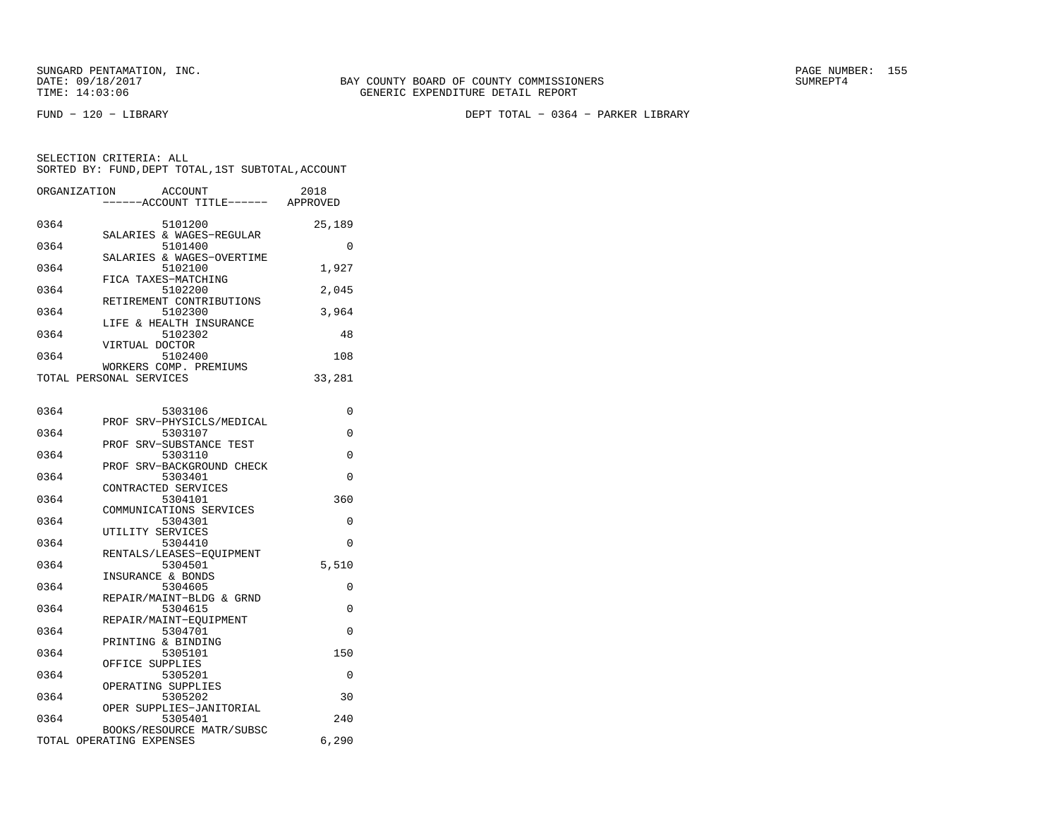FUND − 120 − LIBRARY DEPT TOTAL − 0364 − PARKER LIBRARY

| ORGANIZATION | ACCOUNT<br>------ACCOUNT TITLE------              | 2018<br>APPROVED |
|--------------|---------------------------------------------------|------------------|
| 0364         | 5101200                                           | 25,189           |
| 0364         | SALARIES & WAGES-REGULAR<br>5101400               | $\Omega$         |
| 0364         | SALARIES & WAGES-OVERTIME<br>5102100              | 1,927            |
| 0364         | FICA TAXES-MATCHING<br>5102200                    | 2,045            |
| 0364         | RETIREMENT CONTRIBUTIONS<br>5102300               | 3,964            |
| 0364         | LIFE & HEALTH INSURANCE<br>5102302                | 48               |
| 0364         | VIRTUAL DOCTOR<br>5102400                         | 108              |
|              | WORKERS COMP. PREMIUMS<br>TOTAL PERSONAL SERVICES | 33,281           |
|              |                                                   |                  |
| 0364         | 5303106                                           | 0                |

|      | PROF SRV-PHYSICLS/MEDICAL |          |
|------|---------------------------|----------|
| 0364 | 5303107                   | $\Omega$ |
|      | PROF SRV-SUBSTANCE TEST   |          |
| 0364 | 5303110                   | $\Omega$ |
|      | PROF SRV-BACKGROUND CHECK |          |
| 0364 | 5303401                   | $\Omega$ |
|      | CONTRACTED SERVICES       |          |
| 0364 | 5304101                   | 360      |
|      | COMMUNICATIONS SERVICES   |          |
| 0364 | 5304301                   | $\Omega$ |
|      | UTILITY SERVICES          |          |
| 0364 | 5304410                   | $\Omega$ |
|      | RENTALS/LEASES-EOUIPMENT  |          |
| 0364 | 5304501                   | 5,510    |
|      | INSURANCE & BONDS         |          |
| 0364 | 5304605                   | 0        |
|      | REPAIR/MAINT-BLDG & GRND  |          |
| 0364 | 5304615                   | $\Omega$ |
|      | REPAIR/MAINT-EOUIPMENT    |          |
| 0364 | 5304701                   | $\Omega$ |
|      | PRINTING & BINDING        |          |
| 0364 | 5305101                   | 150      |
|      | OFFICE SUPPLIES           |          |
| 0364 | 5305201                   | $\Omega$ |
|      | OPERATING SUPPLIES        |          |
| 0364 | 5305202                   | 30       |
|      | OPER SUPPLIES-JANITORIAL  |          |
| 0364 | 5305401                   | 240      |
|      | BOOKS/RESOURCE MATR/SUBSC |          |
|      | TOTAL OPERATING EXPENSES  | 6,290    |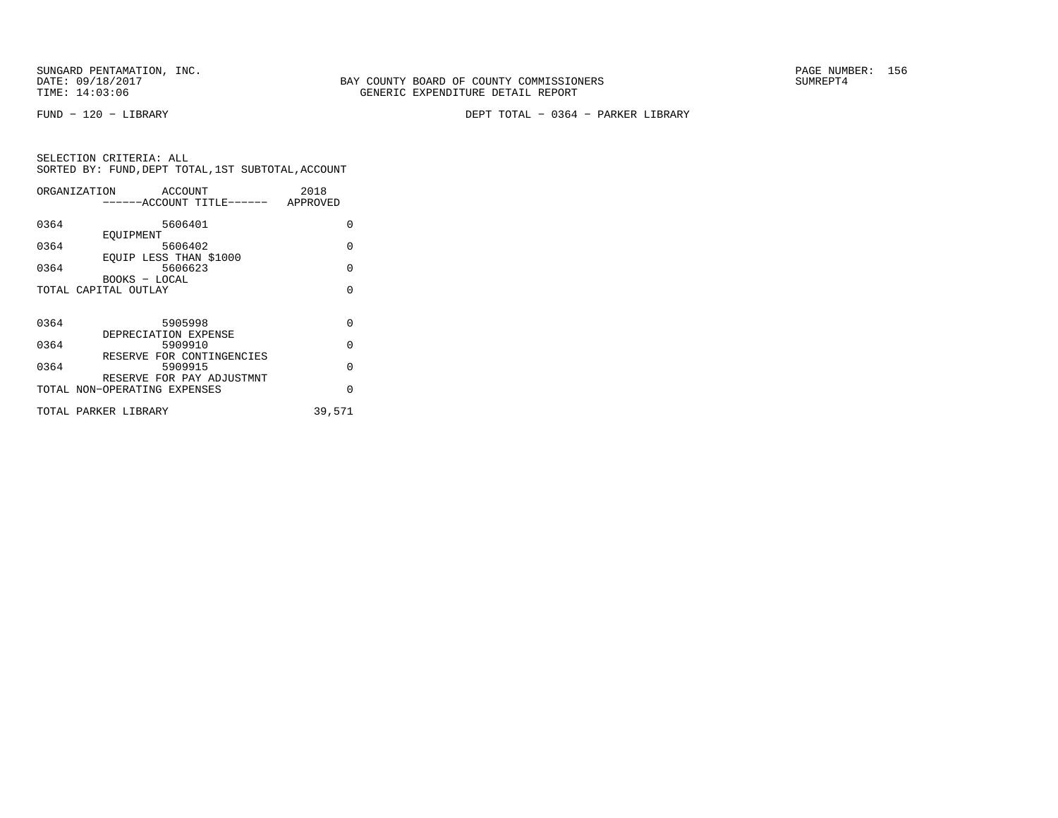FUND − 120 − LIBRARY DEPT TOTAL − 0364 − PARKER LIBRARY

|      | ORGANIZATION ACCOUNT         |         |                                    | 2018   |          |
|------|------------------------------|---------|------------------------------------|--------|----------|
|      |                              |         | ------ACCOUNT TITLE------ APPROVED |        |          |
|      |                              |         |                                    |        |          |
| 0364 |                              | 5606401 |                                    |        | O        |
|      | EOUIPMENT                    |         |                                    |        |          |
| 0364 |                              | 5606402 |                                    |        | $\Omega$ |
|      | EQUIP LESS THAN \$1000       |         |                                    |        |          |
| 0364 |                              | 5606623 |                                    |        | $\Omega$ |
|      | BOOKS - LOCAL                |         |                                    |        |          |
|      | TOTAL CAPITAL OUTLAY         |         |                                    |        | $\Omega$ |
|      |                              |         |                                    |        |          |
| 0364 |                              | 5905998 |                                    |        | $\Omega$ |
|      | DEPRECIATION EXPENSE         |         |                                    |        |          |
| 0364 |                              | 5909910 |                                    |        | $\Omega$ |
|      |                              |         | RESERVE FOR CONTINGENCIES          |        |          |
| 0364 |                              | 5909915 |                                    |        | $\Omega$ |
|      |                              |         | RESERVE FOR PAY ADJUSTMNT          |        |          |
|      | TOTAL NON-OPERATING EXPENSES |         |                                    |        | O        |
|      |                              |         |                                    |        |          |
|      | TOTAL PARKER LIBRARY         |         |                                    | 39,571 |          |
|      |                              |         |                                    |        |          |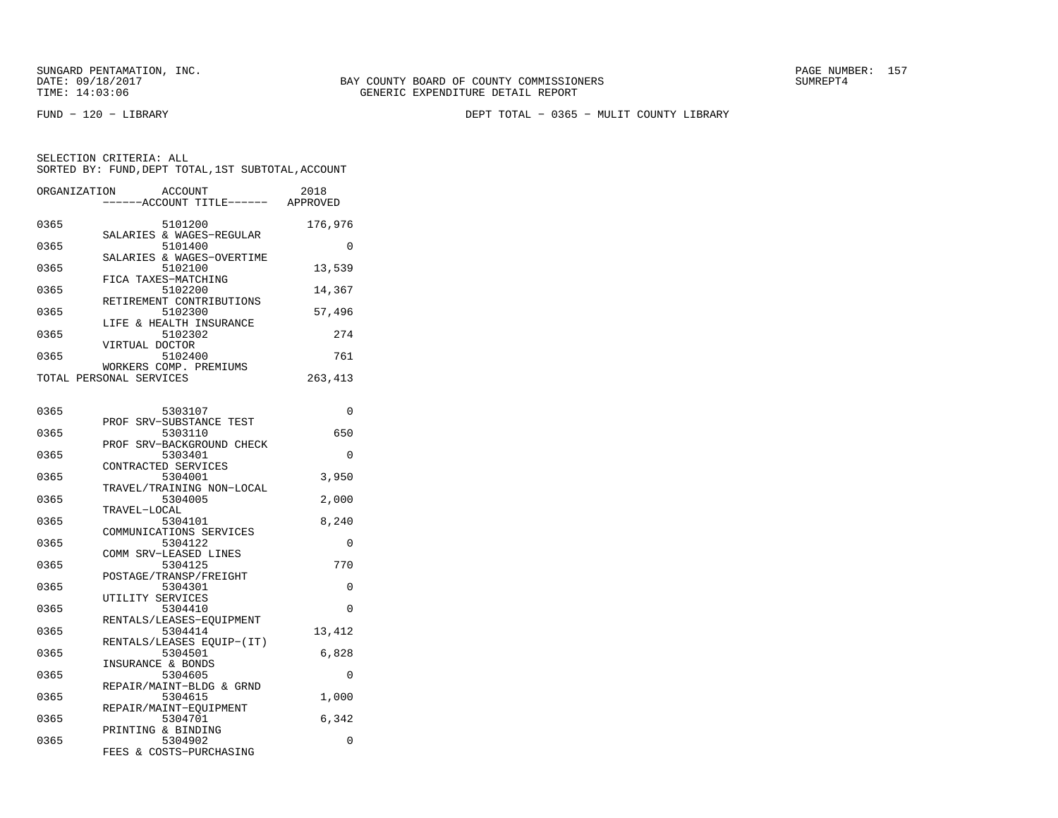FUND − 120 − LIBRARY DEPT TOTAL − 0365 − MULIT COUNTY LIBRARY

| ORGANIZATION | <b>ACCOUNT</b><br>----ACCOUNT TITLE------ | 2018<br>APPROVED |
|--------------|-------------------------------------------|------------------|
|              |                                           |                  |
| 0365         | 5101200                                   | 176,976          |
| 0365         | SALARIES & WAGES-REGULAR<br>5101400       | $\Omega$         |
|              | SALARIES & WAGES-OVERTIME                 |                  |
| 0365         | 5102100                                   | 13,539           |
|              | FICA TAXES-MATCHING                       |                  |
| 0365         | 5102200                                   | 14,367           |
| 0365         | RETIREMENT CONTRIBUTIONS<br>5102300       |                  |
|              | LIFE & HEALTH INSURANCE                   | 57,496           |
| 0365         | 5102302                                   | 274              |
|              | VIRTUAL DOCTOR                            |                  |
| 0365         | 5102400                                   | 761              |
|              | WORKERS COMP. PREMIUMS                    |                  |
|              | TOTAL PERSONAL SERVICES                   | 263,413          |
|              |                                           |                  |
| 0365         | 5303107                                   | 0                |
|              | PROF SRV-SUBSTANCE TEST                   |                  |
| 0365         | 5303110                                   | 650              |
|              | PROF SRV-BACKGROUND CHECK                 |                  |
| 0365         | 5303401                                   | $\Omega$         |
|              | CONTRACTED SERVICES                       |                  |
| 0365         | 5304001<br>TRAVEL/TRAINING NON-LOCAL      | 3,950            |
| 0365         | 5304005                                   | 2,000            |
|              | TRAVEL-LOCAL                              |                  |
| 0365         | 5304101                                   | 8,240            |
|              | COMMUNICATIONS SERVICES                   |                  |
| 0365         | 5304122                                   | 0                |
|              | COMM SRV-LEASED LINES                     |                  |
| 0365         | 5304125<br>POSTAGE/TRANSP/FREIGHT         | 770              |
| 0365         | 5304301                                   | 0                |
|              | UTILITY SERVICES                          |                  |
| 0365         | 5304410                                   | 0                |
|              | RENTALS/LEASES-EQUIPMENT                  |                  |
| 0365         | 5304414                                   | 13,412           |
|              | RENTALS/LEASES EQUIP-(IT)                 |                  |
| 0365         | 5304501<br>INSURANCE & BONDS              | 6,828            |
| 0365         | 5304605                                   | 0                |
|              | REPAIR/MAINT-BLDG & GRND                  |                  |
| 0365         | 5304615                                   | 1,000            |
|              | REPAIR/MAINT-EQUIPMENT                    |                  |
| 0365         | 5304701                                   | 6,342            |
| 0365         | PRINTING & BINDING<br>5304902             | 0                |
|              | FEES & COSTS-PURCHASING                   |                  |
|              |                                           |                  |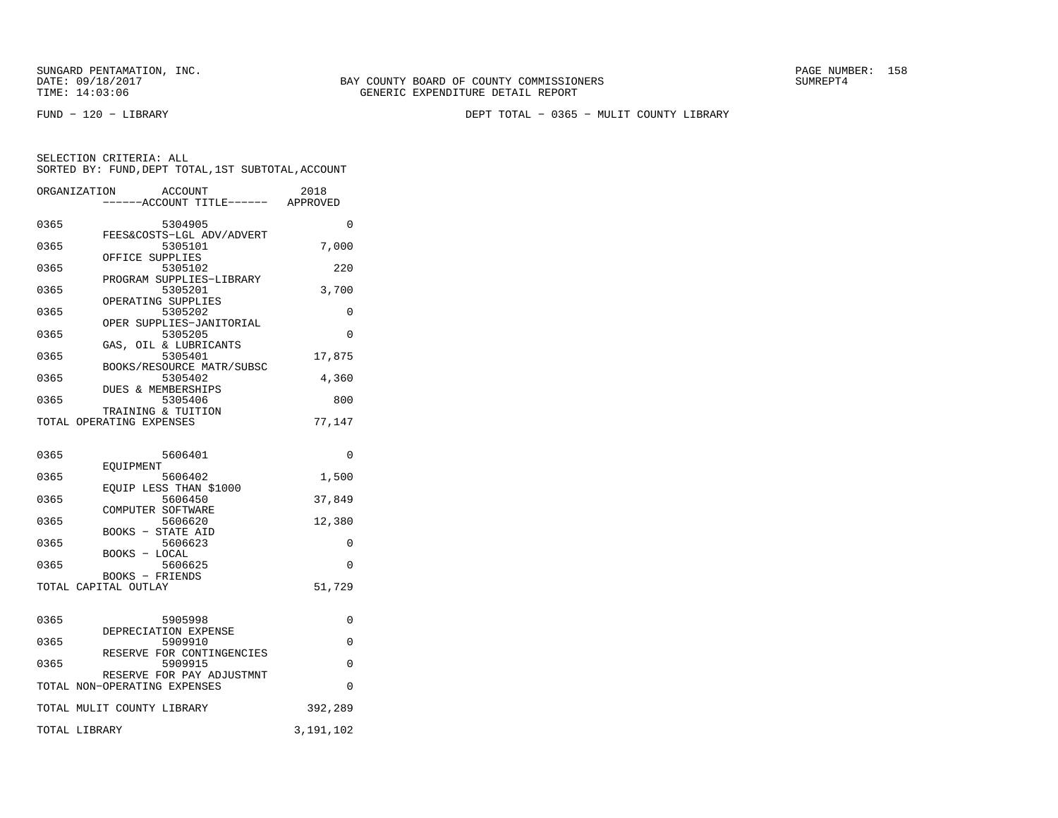FUND − 120 − LIBRARY DEPT TOTAL − 0365 − MULIT COUNTY LIBRARY

|      | ORGANIZATION<br><b>ACCOUNT</b>          | 2018      |
|------|-----------------------------------------|-----------|
|      | ----ACCOUNT TITLE------ APPROVED        |           |
| 0365 | 5304905                                 | $\Omega$  |
|      | FEES&COSTS-LGL ADV/ADVERT               |           |
| 0365 | 5305101                                 | 7,000     |
|      | OFFICE SUPPLIES                         |           |
| 0365 | 5305102                                 | 220       |
|      | PROGRAM SUPPLIES-LIBRARY                |           |
| 0365 | 5305201<br>OPERATING SUPPLIES           | 3,700     |
| 0365 | 5305202                                 | 0         |
|      | OPER SUPPLIES-JANITORIAL                |           |
| 0365 | 5305205                                 | 0         |
|      | GAS, OIL & LUBRICANTS                   |           |
| 0365 | 5305401<br>BOOKS/RESOURCE MATR/SUBSC    | 17,875    |
| 0365 | 5305402                                 | 4,360     |
|      | DUES & MEMBERSHIPS                      |           |
| 0365 | 5305406                                 | 800       |
|      | TRAINING & TUITION                      |           |
|      | TOTAL OPERATING EXPENSES                | 77,147    |
|      |                                         |           |
| 0365 | 5606401                                 | 0         |
|      | EOUIPMENT                               |           |
| 0365 | 5606402                                 | 1,500     |
|      | EOUIP LESS THAN \$1000                  |           |
| 0365 | 5606450<br>COMPUTER SOFTWARE            | 37,849    |
| 0365 | 5606620                                 | 12,380    |
|      | <b>BOOKS - STATE AID</b>                |           |
| 0365 | 5606623                                 | 0         |
|      | BOOKS - LOCAL                           |           |
| 0365 | 5606625                                 | 0         |
|      | BOOKS - FRIENDS<br>TOTAL CAPITAL OUTLAY | 51,729    |
|      |                                         |           |
|      |                                         |           |
| 0365 | 5905998                                 | 0         |
|      | DEPRECIATION EXPENSE                    |           |
| 0365 | 5909910<br>RESERVE FOR CONTINGENCIES    | 0         |
| 0365 | 5909915                                 | 0         |
|      | RESERVE FOR PAY ADJUSTMNT               |           |
|      | TOTAL NON-OPERATING EXPENSES            | 0         |
|      |                                         |           |
|      | TOTAL MULIT COUNTY LIBRARY              | 392,289   |
|      | TOTAL LIBRARY                           | 3,191,102 |
|      |                                         |           |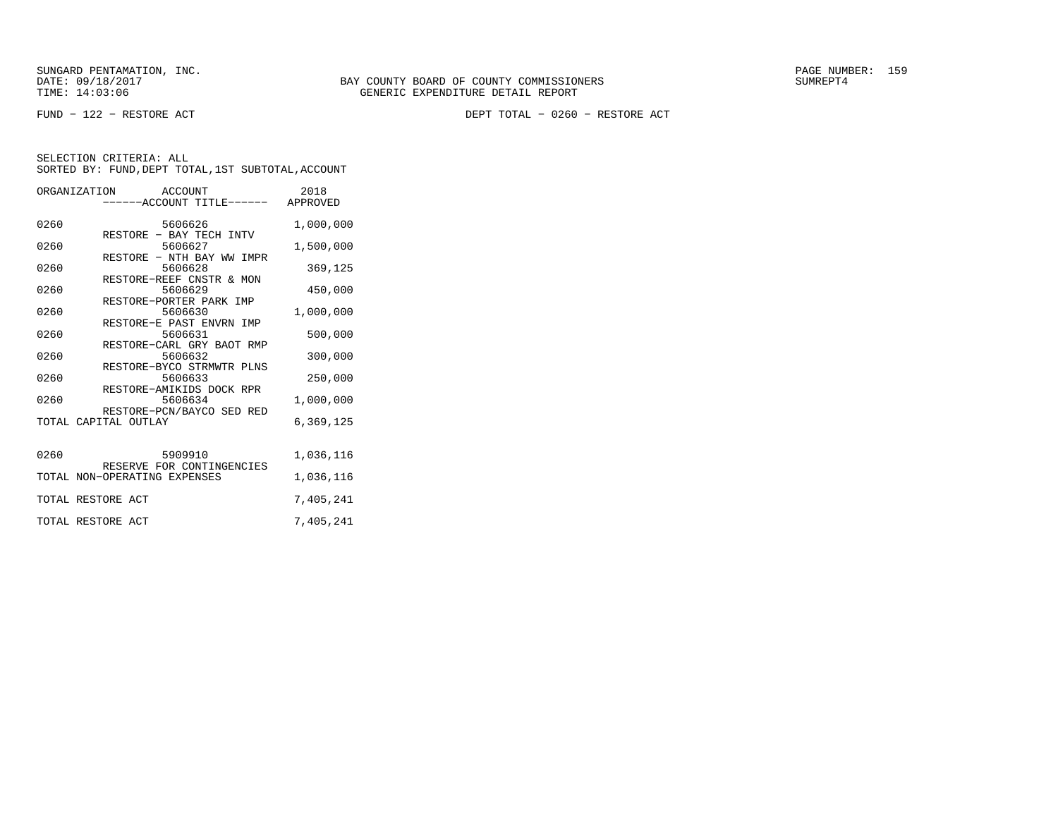FUND − 122 − RESTORE ACT DEPT TOTAL − 0260 − RESTORE ACT

|      | ORGANIZATION ACCOUNT<br>-----ACCOUNT TITLE------ APPROVED       | 2018      |
|------|-----------------------------------------------------------------|-----------|
| 0260 | 5606626                                                         | 1,000,000 |
| 0260 | RESTORE - BAY TECH INTV<br>5606627<br>RESTORE - NTH BAY WW IMPR | 1,500,000 |
| 0260 | 5606628                                                         | 369,125   |
| 0260 | RESTORE-REEF CNSTR & MON<br>5606629                             | 450,000   |
| 0260 | RESTORE-PORTER PARK IMP<br>5606630                              | 1,000,000 |
| 0260 | RESTORE-E PAST ENVRN IMP<br>5606631                             | 500,000   |
| 0260 | RESTORE-CARL GRY BAOT RMP<br>5606632                            | 300,000   |
| 0260 | RESTORE-BYCO STRMWTR PLNS<br>5606633                            | 250,000   |
| 0260 | RESTORE-AMIKIDS DOCK RPR<br>5606634                             | 1,000,000 |
|      | RESTORE-PCN/BAYCO SED RED<br>TOTAL CAPITAL OUTLAY               | 6,369,125 |
| 0260 | 5909910                                                         | 1,036,116 |
|      | RESERVE FOR CONTINGENCIES<br>TOTAL NON-OPERATING EXPENSES       | 1,036,116 |
|      | TOTAL RESTORE ACT                                               | 7,405,241 |
|      | TOTAL RESTORE ACT                                               | 7,405,241 |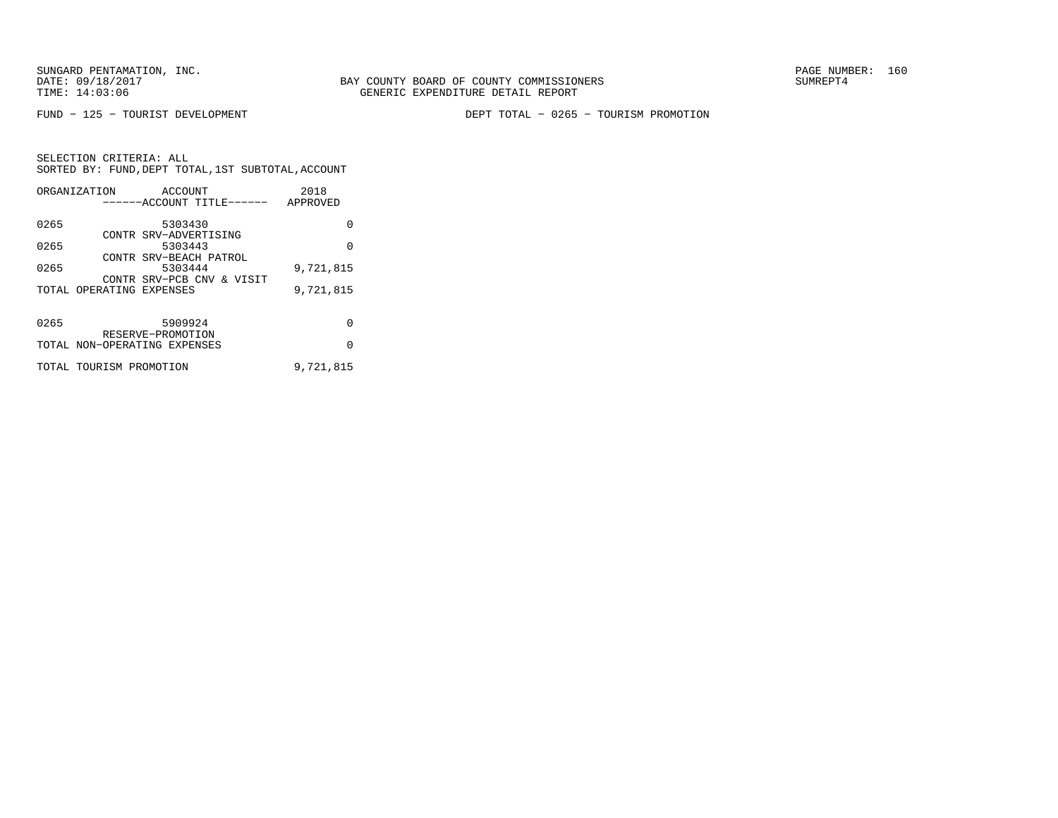FUND − 125 − TOURIST DEVELOPMENT DEPT TOTAL − 0265 − TOURISM PROMOTION

|      | ORGANIZATION                 | ACCOUNT                          |                           | 2018      |
|------|------------------------------|----------------------------------|---------------------------|-----------|
|      |                              |                                  | ------ACCOUNT TITLE------ | APPROVED  |
| 0265 |                              | 5303430                          |                           | 0         |
| 0265 |                              | CONTR SRV-ADVERTISING<br>5303443 |                           | $\Omega$  |
| 0265 |                              | 5303444                          | CONTR SRV-BEACH PATROL    | 9,721,815 |
|      |                              |                                  | CONTR SRV-PCB CNV & VISIT |           |
|      | TOTAL OPERATING EXPENSES     |                                  |                           | 9,721,815 |
| 0265 |                              | 5909924                          |                           | 0         |
|      |                              | RESERVE-PROMOTION                |                           |           |
|      | TOTAL NON-OPERATING EXPENSES |                                  |                           | $\Omega$  |
|      | TOTAL TOURISM PROMOTION      |                                  |                           | 9,721,815 |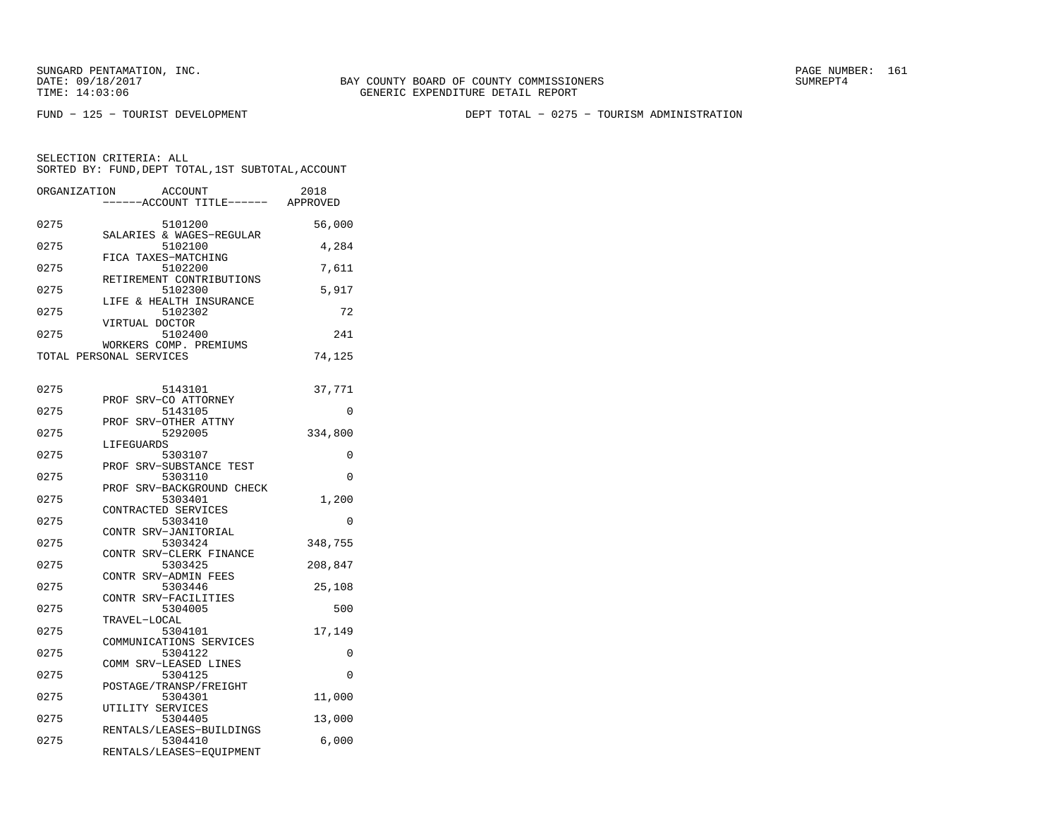BAY COUNTY BOARD OF COUNTY COMMISSIONERS TIME: 14:03:06 GENERIC EXPENDITURE DETAIL REPORT

FUND − 125 − TOURIST DEVELOPMENT DEPT TOTAL − 0275 − TOURISM ADMINISTRATION

| ORGANIZATION | ACCOUNT<br>----ACCOUNT TITLE------                            | 2018<br>APPROVED |
|--------------|---------------------------------------------------------------|------------------|
| 0275         | 5101200<br>SALARIES & WAGES-REGULAR                           | 56,000           |
| 0275         | 5102100<br>FICA TAXES-MATCHING                                | 4,284            |
| 0275         | 5102200<br>RETIREMENT CONTRIBUTIONS                           | 7,611            |
| 0275         | 5102300<br>LIFE & HEALTH INSURANCE                            | 5,917            |
| 0275         | 5102302<br>VIRTUAL DOCTOR                                     | 72               |
| 0275         | 5102400<br>WORKERS COMP. PREMIUMS                             | 241              |
|              | TOTAL PERSONAL SERVICES                                       | 74,125           |
| 0275         | 5143101                                                       | 37,771           |
| 0275         | PROF<br>SRV-CO ATTORNEY<br>5143105<br>SRV-OTHER ATTNY<br>PROF | 0                |
| 0275         | 5292005<br>LIFEGUARDS                                         | 334,800          |
| 0275         | 5303107<br>PROF SRV-SUBSTANCE TEST                            | 0                |
| 0275         | 5303110<br>SRV-BACKGROUND CHECK<br>PROF                       | $\Omega$         |
| 0275         | 5303401<br>CONTRACTED SERVICES                                | 1,200            |
| 0275         | 5303410<br>CONTR SRV-JANITORIAL                               | $\Omega$         |
| 0275         | 5303424<br>CONTR SRV-CLERK FINANCE                            | 348,755          |
| 0275         | 5303425<br>CONTR SRV-ADMIN FEES                               | 208,847          |
| 0275         | 5303446<br>CONTR SRV-FACILITIES                               | 25,108           |
| 0275         | 5304005<br>TRAVEL-LOCAL                                       | 500              |
| 0275         | 5304101<br>COMMUNICATIONS SERVICES                            | 17,149           |
| 0275         | 5304122<br>COMM SRV-LEASED LINES                              | 0                |
| 0275         | 5304125<br>POSTAGE/TRANSP/FREIGHT                             | $\Omega$         |
| 0275         | 5304301<br>UTILITY SERVICES                                   | 11,000           |
| 0275         | 5304405<br>RENTALS/LEASES-BUILDINGS                           | 13,000           |
| 0275         | 5304410<br>RENTALS/LEASES-EQUIPMENT                           | 6,000            |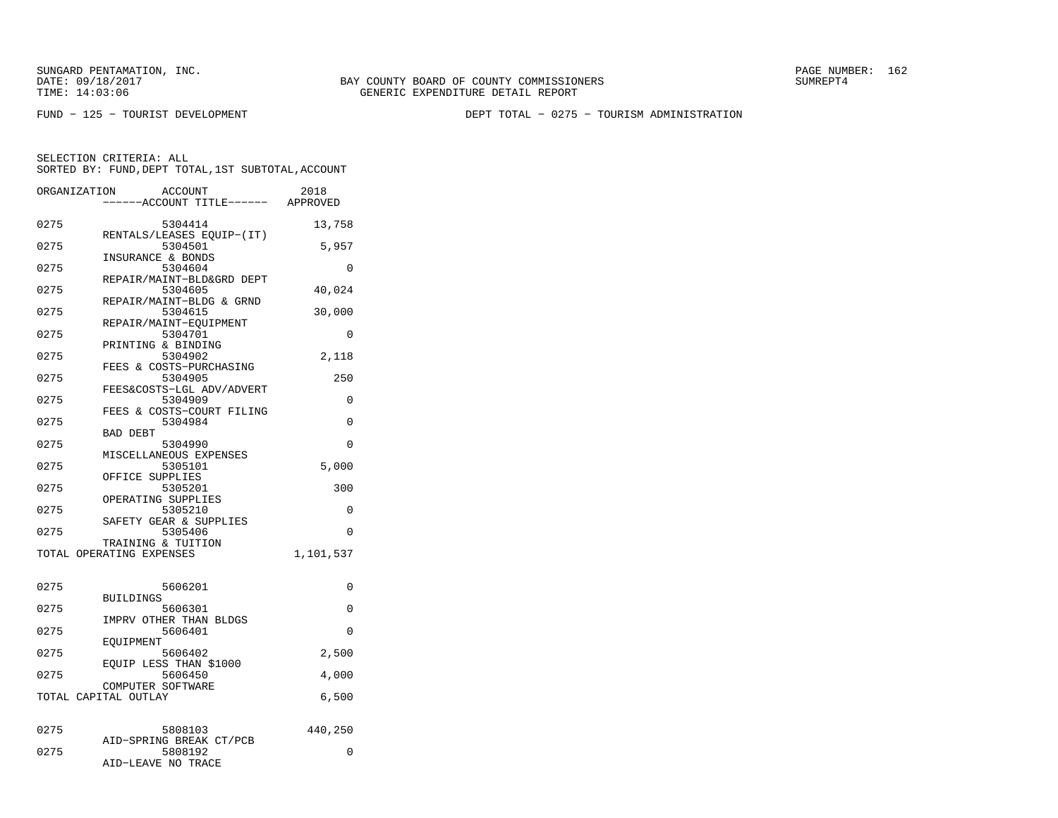BAY COUNTY BOARD OF COUNTY COMMISSIONERS TIME: 14:03:06 GENERIC EXPENDITURE DETAIL REPORT

FUND − 125 − TOURIST DEVELOPMENT DEPT TOTAL − 0275 − TOURISM ADMINISTRATION

| ORGANIZATION             | <b>ACCOUNT</b><br>---ACCOUNT TITLE------ APPROVED | 2018      |
|--------------------------|---------------------------------------------------|-----------|
| 0275                     | 5304414                                           | 13,758    |
| 0275                     | RENTALS/LEASES EQUIP-(IT)<br>5304501              | 5,957     |
| 0275                     | INSURANCE & BONDS<br>5304604                      | 0         |
| 0275                     | REPAIR/MAINT-BLD&GRD DEPT<br>5304605              | 40,024    |
| 0275                     | REPAIR/MAINT-BLDG & GRND<br>5304615               | 30,000    |
| 0275                     | REPAIR/MAINT-EQUIPMENT<br>5304701                 | 0         |
| 0275                     | PRINTING & BINDING<br>5304902                     | 2,118     |
| 0275                     | FEES & COSTS-PURCHASING<br>5304905                | 250       |
| 0275                     | FEES&COSTS-LGL ADV/ADVERT<br>5304909              | $\Omega$  |
| 0275                     | FEES & COSTS-COURT FILING<br>5304984              | 0         |
| 0275                     | <b>BAD DEBT</b><br>5304990                        | 0         |
| 0275                     | MISCELLANEOUS EXPENSES<br>5305101                 | 5,000     |
| 0275                     | OFFICE SUPPLIES<br>5305201                        | 300       |
| 0275                     | OPERATING SUPPLIES<br>5305210                     | 0         |
|                          | SAFETY GEAR & SUPPLIES                            |           |
| 0275                     | 5305406<br>TRAINING & TUITION                     | $\Omega$  |
| TOTAL OPERATING EXPENSES |                                                   | 1,101,537 |
| 0275                     | 5606201                                           | 0         |
| 0275                     | <b>BUILDINGS</b><br>5606301                       | 0         |
| 0275                     | IMPRV OTHER THAN BLDGS<br>5606401                 | 0         |
| 0275                     | EOUIPMENT<br>5606402                              | 2,500     |
| 0275                     | EOUIP LESS THAN \$1000<br>5606450                 | 4,000     |
| TOTAL CAPITAL OUTLAY     | COMPUTER SOFTWARE                                 | 6,500     |
|                          |                                                   |           |
| 0275                     | 5808103<br>AID-SPRING BREAK CT/PCB                | 440,250   |
| 0275                     | 5808192<br>AID-LEAVE NO TRACE                     | 0         |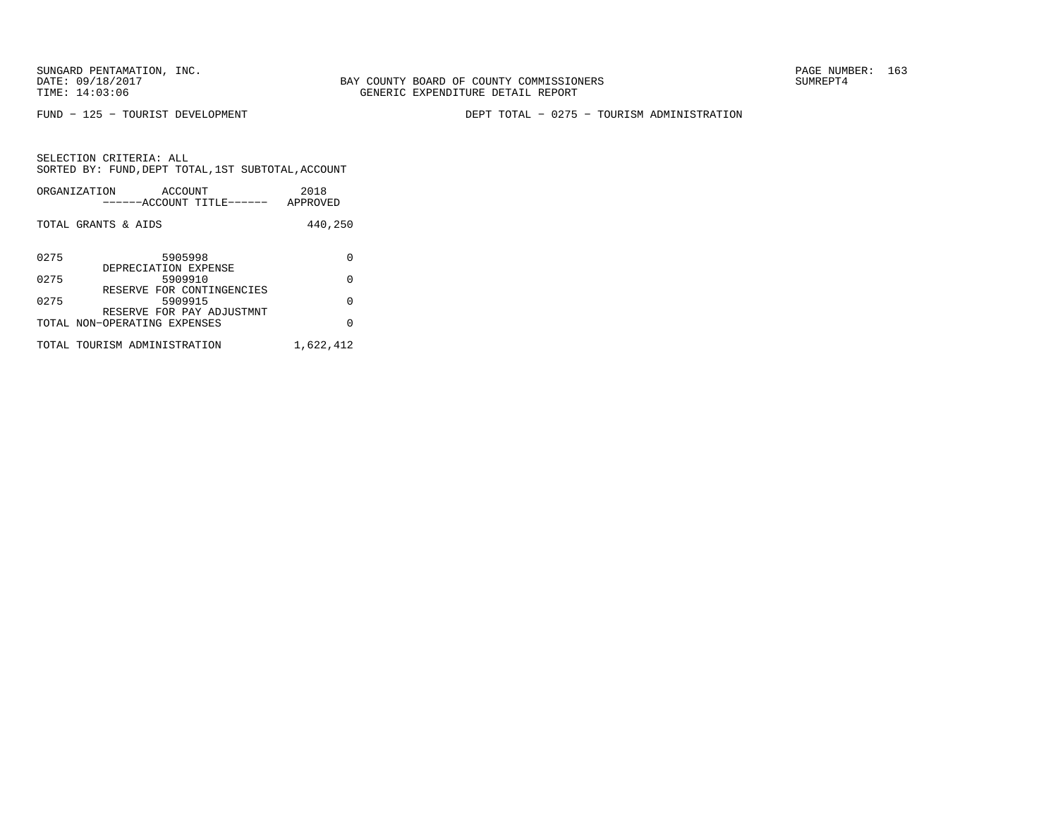FUND − 125 − TOURIST DEVELOPMENT DEPT TOTAL − 0275 − TOURISM ADMINISTRATION

|      | ORGANIZATION<br>ACCOUNT<br>------ACCOUNT TITLE------              | 2018<br>APPROVED |
|------|-------------------------------------------------------------------|------------------|
|      | TOTAL GRANTS & AIDS                                               | 440,250          |
| 0275 | 5905998<br>DEPRECIATION EXPENSE                                   | O                |
| 0275 | 5909910                                                           | O                |
| 0275 | RESERVE FOR CONTINGENCIES<br>5909915<br>RESERVE FOR PAY ADJUSTMNT | O                |
|      | TOTAL NON-OPERATING EXPENSES                                      | U                |
|      | TOTAL TOURISM ADMINISTRATION                                      | 1,622,412        |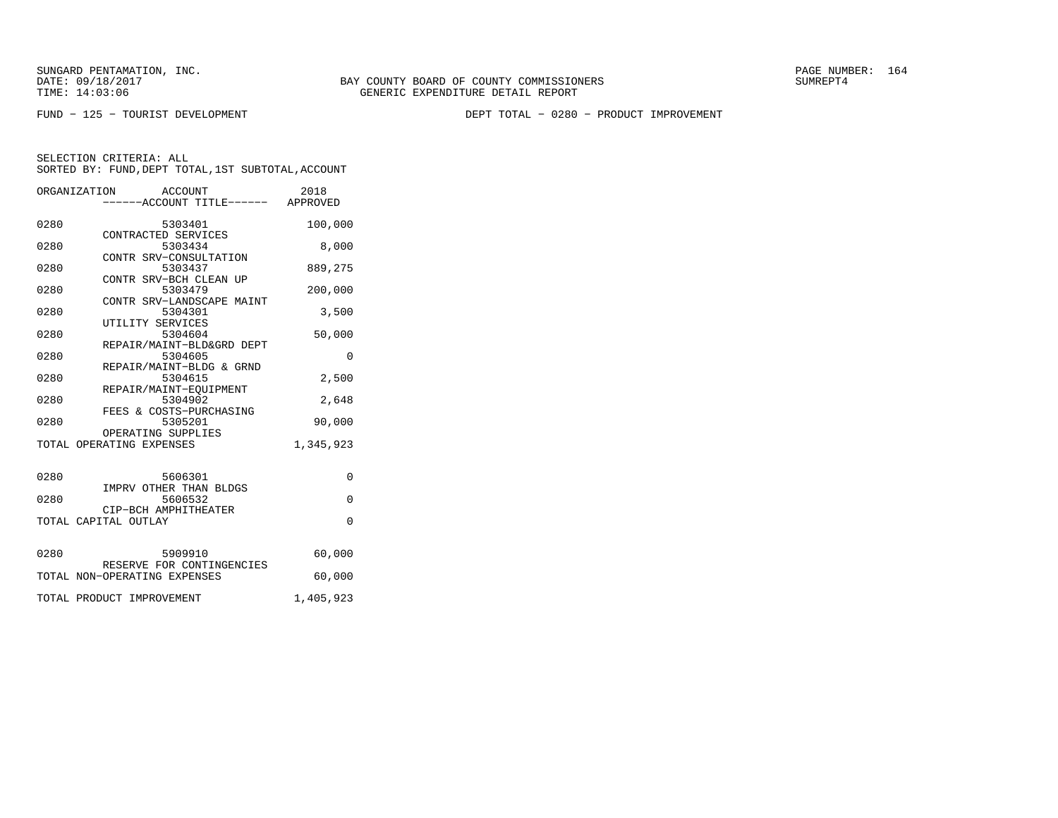FUND − 125 − TOURIST DEVELOPMENT DEPT TOTAL − 0280 − PRODUCT IMPROVEMENT

|      | ORGANIZATION                                   |         | ACCOUNT<br>-----ACCOUNT TITLE------ APPROVED | 2018      |
|------|------------------------------------------------|---------|----------------------------------------------|-----------|
| 0280 |                                                | 5303401 | CONTRACTED SERVICES                          | 100,000   |
| 0280 |                                                | 5303434 |                                              | 8,000     |
| 0280 |                                                | 5303437 | CONTR SRV-CONSULTATION                       | 889,275   |
| 0280 |                                                | 5303479 | CONTR SRV-BCH CLEAN UP                       | 200,000   |
| 0280 |                                                | 5304301 | CONTR SRV-LANDSCAPE MAINT                    | 3,500     |
| 0280 | UTILITY SERVICES                               | 5304604 |                                              | 50,000    |
| 0280 |                                                | 5304605 | REPAIR/MAINT-BLD&GRD DEPT                    | $\Omega$  |
| 0280 |                                                | 5304615 | REPAIR/MAINT-BLDG & GRND                     | 2,500     |
| 0280 |                                                | 5304902 | REPAIR/MAINT-EQUIPMENT                       | 2,648     |
| 0280 |                                                | 5305201 | FEES & COSTS-PURCHASING                      | 90,000    |
|      | OPERATING SUPPLIES<br>TOTAL OPERATING EXPENSES |         |                                              | 1,345,923 |
|      |                                                |         |                                              |           |
| 0280 |                                                |         | 5606301<br>IMPRV OTHER THAN BLDGS            | $\Omega$  |
| 0280 | CIP-BCH AMPHITHEATER                           | 5606532 |                                              | $\Omega$  |
|      | TOTAL CAPITAL OUTLAY                           |         |                                              | $\Omega$  |
| 0280 | 5909910                                        |         |                                              | 60,000    |
|      | TOTAL NON-OPERATING EXPENSES                   |         | RESERVE FOR CONTINGENCIES                    | 60,000    |
|      | TOTAL PRODUCT IMPROVEMENT                      |         |                                              | 1,405,923 |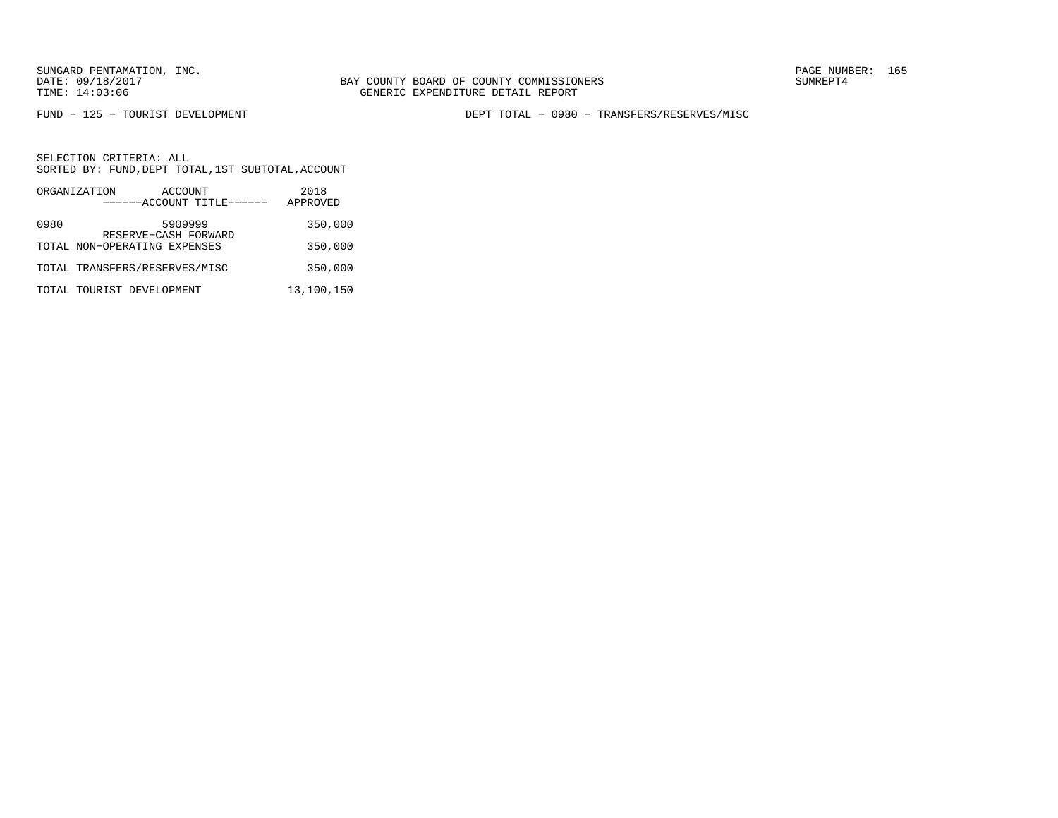FUND − 125 − TOURIST DEVELOPMENT DEPT TOTAL − 0980 − TRANSFERS/RESERVES/MISC

|      | ORGANIZATION                  | ACCOUNT                         | 2018       |
|------|-------------------------------|---------------------------------|------------|
|      |                               | ------ACCOUNT TITLE------       | APPROVED   |
| 0980 |                               | 5909999<br>RESERVE-CASH FORWARD | 350,000    |
|      | TOTAL NON-OPERATING EXPENSES  |                                 | 350,000    |
|      | TOTAL TRANSFERS/RESERVES/MISC |                                 | 350,000    |
|      | TOTAL TOURIST DEVELOPMENT     |                                 | 13,100,150 |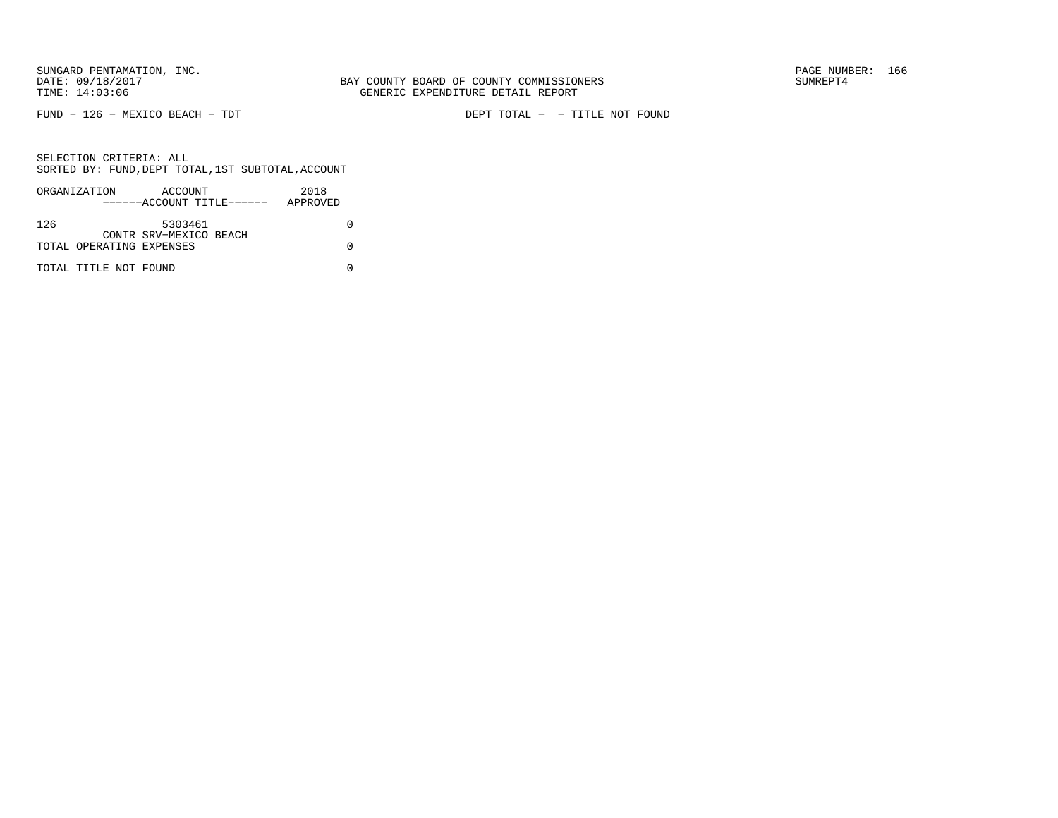FUND − 126 − MEXICO BEACH − TDT DEPT TOTAL − − TITLE NOT FOUND

|     | ORGANIZATION             | ACCOUNT                   | 2018     |
|-----|--------------------------|---------------------------|----------|
|     |                          | ------ACCOUNT TITLE------ | APPROVED |
|     |                          |                           |          |
| 126 |                          | 5303461                   |          |
|     |                          | CONTR SRV-MEXICO BEACH    |          |
|     | TOTAL OPERATING EXPENSES |                           |          |
|     |                          |                           |          |
|     | TOTAL TITLE NOT FOUND    |                           |          |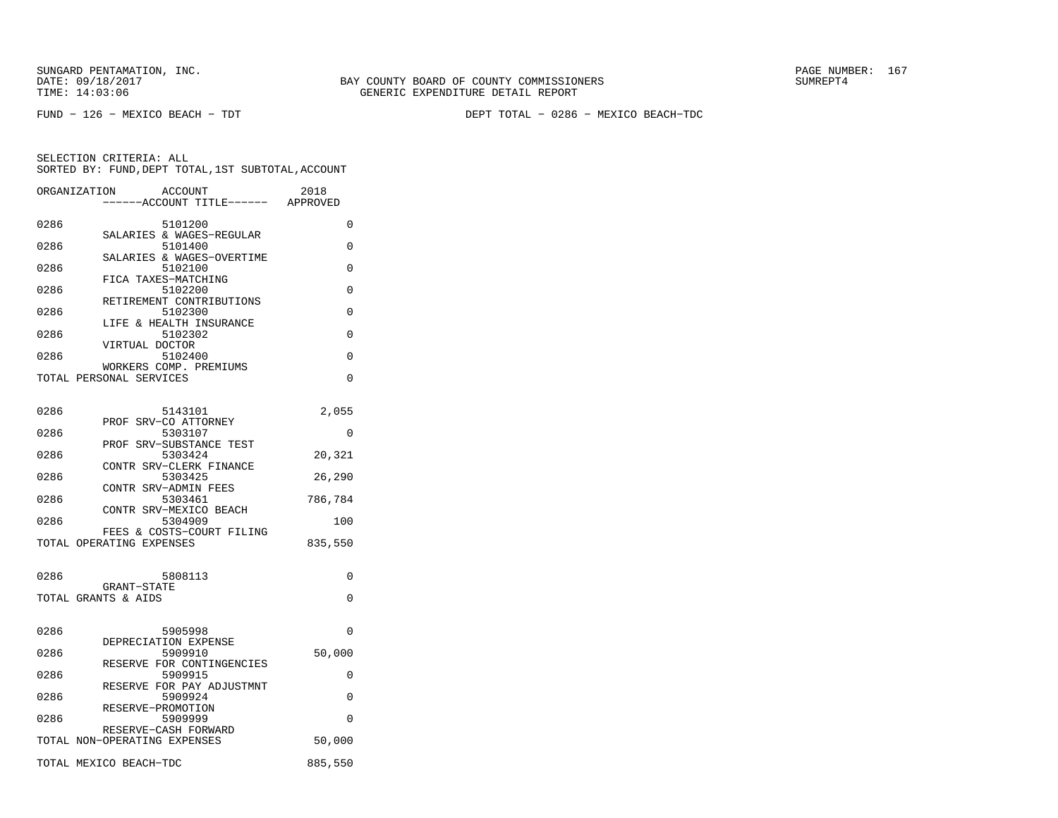FUND − 126 − MEXICO BEACH − TDT DEPT TOTAL − 0286 − MEXICO BEACH−TDC

|      | ORGANIZATION<br><b>ACCOUNT</b><br>---ACCOUNT TITLE------ APPROVED | 2018     |
|------|-------------------------------------------------------------------|----------|
| 0286 | 5101200                                                           | 0        |
| 0286 | SALARIES & WAGES-REGULAR<br>5101400<br>SALARIES & WAGES-OVERTIME  | $\Omega$ |
| 0286 | 5102100<br>FICA TAXES-MATCHING                                    | $\Omega$ |
| 0286 | 5102200<br>RETIREMENT CONTRIBUTIONS                               | $\Omega$ |
| 0286 | 5102300<br>LIFE & HEALTH INSURANCE                                | $\Omega$ |
| 0286 | 5102302<br>VIRTUAL DOCTOR                                         | $\Omega$ |
| 0286 | 5102400<br>WORKERS COMP. PREMIUMS                                 | $\Omega$ |
|      | TOTAL PERSONAL SERVICES                                           | $\Omega$ |
| 0286 | 5143101                                                           | 2,055    |
| 0286 | PROF SRV-CO ATTORNEY<br>5303107                                   | 0        |
| 0286 | PROF SRV-SUBSTANCE TEST<br>5303424                                | 20,321   |
| 0286 | CONTR SRV-CLERK FINANCE<br>5303425                                | 26,290   |
| 0286 | CONTR SRV-ADMIN FEES<br>5303461                                   | 786,784  |
| 0286 | CONTR SRV-MEXICO BEACH<br>5304909                                 | 100      |
|      | FEES & COSTS-COURT FILING<br>TOTAL OPERATING EXPENSES             | 835,550  |
| 0286 | 5808113                                                           | 0        |
|      | GRANT-STATE<br>TOTAL GRANTS & AIDS                                | 0        |
| 0286 | 5905998                                                           | 0        |
| 0286 | DEPRECIATION EXPENSE<br>5909910                                   | 50,000   |
| 0286 | RESERVE FOR CONTINGENCIES<br>5909915                              | 0        |
| 0286 | RESERVE FOR PAY ADJUSTMNT<br>5909924                              | 0        |
| 0286 | RESERVE-PROMOTION<br>5909999                                      | 0        |
|      | RESERVE-CASH FORWARD<br>TOTAL NON-OPERATING EXPENSES              | 50,000   |
|      | TOTAL MEXICO BEACH-TDC                                            | 885,550  |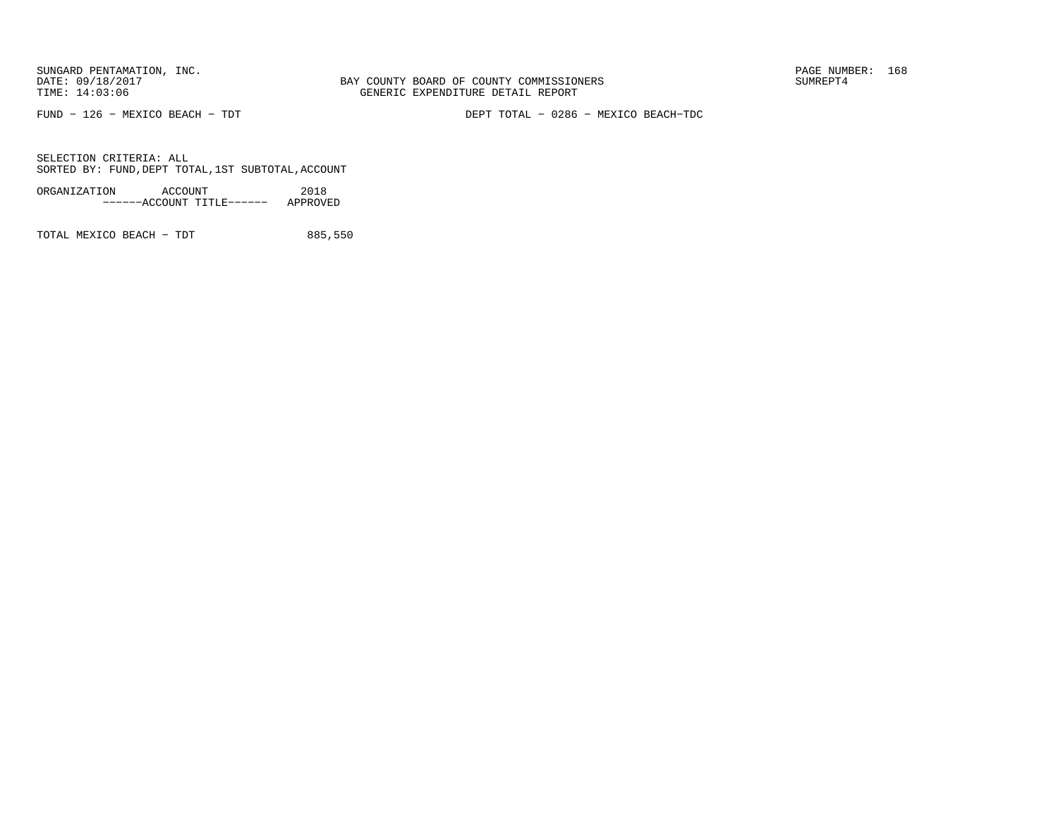BAY COUNTY BOARD OF COUNTY COMMISSIONERS TIME: 14:03:06 GENERIC EXPENDITURE DETAIL REPORT

FUND − 126 − MEXICO BEACH − TDT DEPT TOTAL − 0286 − MEXICO BEACH−TDC

SELECTION CRITERIA: ALLSORTED BY: FUND,DEPT TOTAL,1ST SUBTOTAL,ACCOUNT

ORGANIZATION ACCOUNT 2018−−−−−−ACCOUNT TITLE−−−−−− APPROVED

TOTAL MEXICO BEACH - TDT 885,550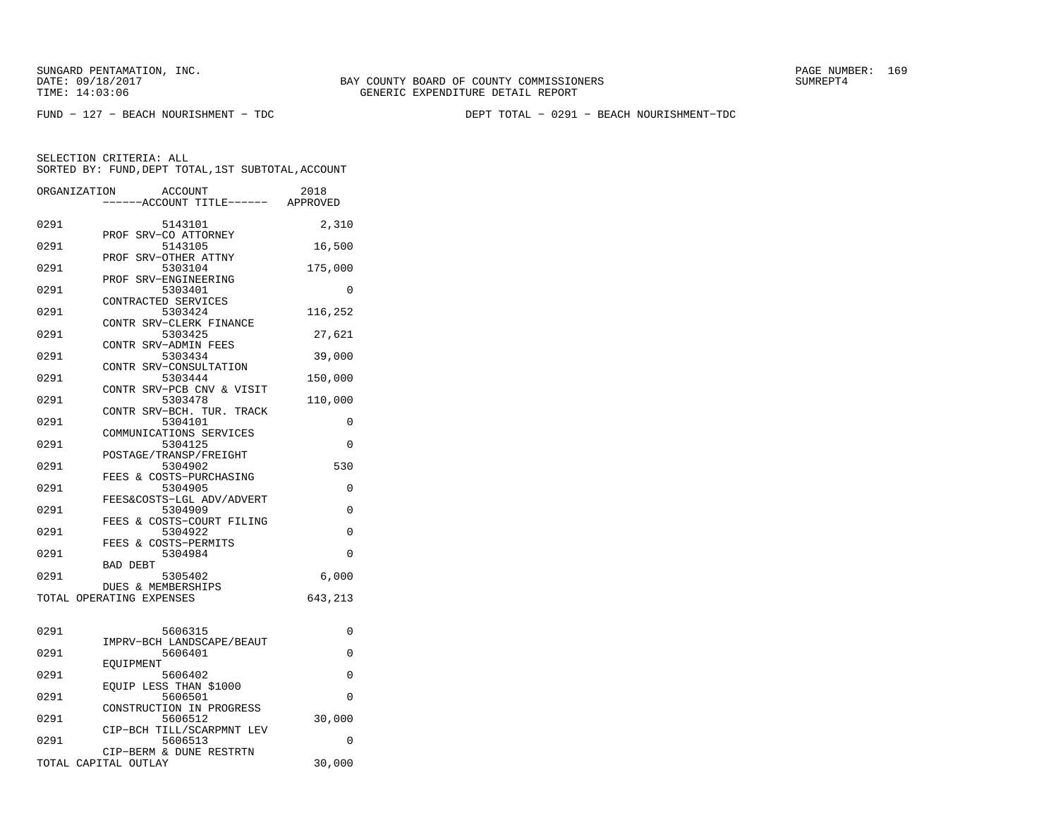FUND − 127 − BEACH NOURISHMENT − TDC DEPT TOTAL − 0291 − BEACH NOURISHMENT−TDC

|      | ORGANIZATION<br><b>ACCOUNT</b><br>---ACCOUNT TITLE------ APPROVED | 2018     |
|------|-------------------------------------------------------------------|----------|
|      |                                                                   |          |
| 0291 | 5143101<br>PROF SRV-CO ATTORNEY                                   | 2,310    |
| 0291 | 5143105<br>SRV-OTHER ATTNY<br>PROF                                | 16,500   |
| 0291 | 5303104                                                           | 175,000  |
| 0291 | SRV-ENGINEERING<br>PROF<br>5303401                                | 0        |
| 0291 | CONTRACTED SERVICES<br>5303424                                    | 116,252  |
| 0291 | CONTR SRV-CLERK FINANCE<br>5303425                                | 27,621   |
| 0291 | CONTR SRV-ADMIN FEES<br>5303434                                   | 39,000   |
| 0291 | CONTR SRV-CONSULTATION<br>5303444                                 | 150,000  |
|      | CONTR SRV-PCB CNV & VISIT                                         |          |
| 0291 | 5303478<br>CONTR SRV-BCH. TUR. TRACK                              | 110,000  |
| 0291 | 5304101<br>COMMUNICATIONS SERVICES                                | 0        |
| 0291 | 5304125<br>POSTAGE/TRANSP/FREIGHT                                 | $\Omega$ |
| 0291 | 5304902<br>FEES & COSTS-PURCHASING                                | 530      |
| 0291 | 5304905                                                           | 0        |
| 0291 | FEES&COSTS-LGL ADV/ADVERT<br>5304909                              | $\Omega$ |
| 0291 | FEES & COSTS-COURT FILING<br>5304922                              | 0        |
| 0291 | FEES & COSTS-PERMITS<br>5304984                                   | $\Omega$ |
| 0291 | <b>BAD DEBT</b><br>5305402                                        | 6,000    |
|      | DUES & MEMBERSHIPS                                                |          |
|      | TOTAL OPERATING EXPENSES                                          | 643,213  |
| 0291 | 5606315                                                           | 0        |
| 0291 | IMPRV-BCH LANDSCAPE/BEAUT<br>5606401                              | 0        |
|      | EOUIPMENT                                                         |          |
| 0291 | 5606402<br>EOUIP LESS THAN \$1000                                 | 0        |
| 0291 | 5606501<br>CONSTRUCTION IN PROGRESS                               | 0        |
| 0291 | 5606512                                                           | 30,000   |
| 0291 | CIP-BCH TILL/SCARPMNT LEV<br>5606513                              | 0        |
|      | CIP-BERM & DUNE RESTRTN<br>TOTAL CAPITAL OUTLAY                   | 30,000   |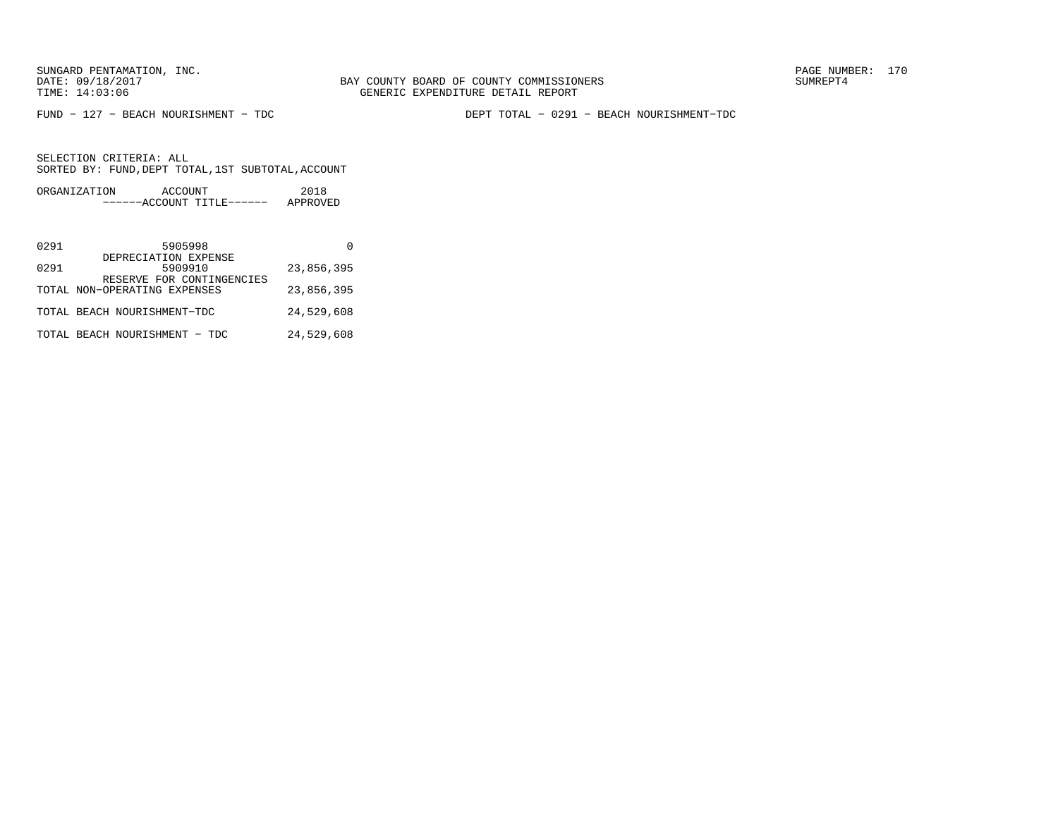FUND − 127 − BEACH NOURISHMENT − TDC DEPT TOTAL − 0291 − BEACH NOURISHMENT−TDC

| ORGANIZATION | ACCOUNT |                           | 2018     |
|--------------|---------|---------------------------|----------|
|              |         | ------ACCOUNT TITLE------ | APPROVED |

| 0291 | 5905998                                                   |            |
|------|-----------------------------------------------------------|------------|
| 0291 | DEPRECIATION EXPENSE<br>5909910                           | 23,856,395 |
|      | RESERVE FOR CONTINGENCIES<br>TOTAL NON-OPERATING EXPENSES | 23,856,395 |
|      | TOTAL BEACH NOURISHMENT-TDC                               | 24,529,608 |
|      | TOTAL BEACH NOURISHMENT - TDC                             | 24,529,608 |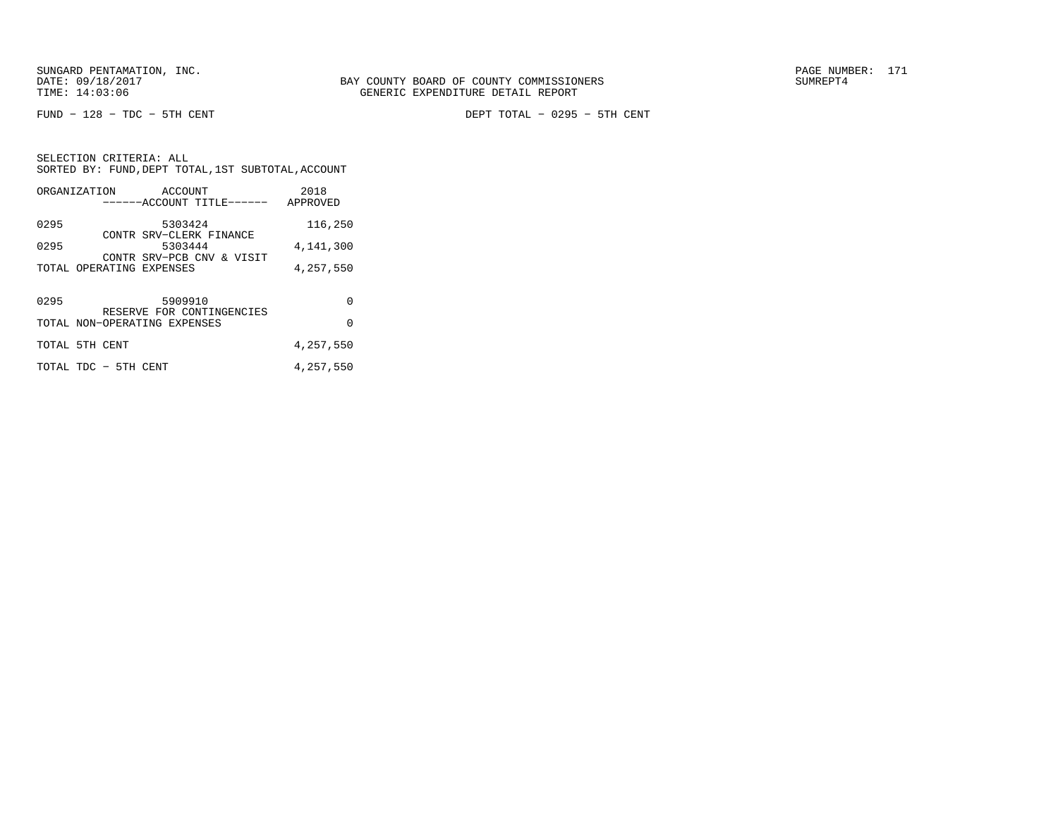FUND − 128 − TDC − 5TH CENT DEPT TOTAL − 0295 − 5TH CENT

SELECTION CRITERIA: ALL SORTED BY: FUND,DEPT TOTAL,1ST SUBTOTAL,ACCOUNTORGANIZATION ACCOUNT 2018

|      |                              | ------ACCOUNT TITLE------ APPROVED   |           |
|------|------------------------------|--------------------------------------|-----------|
| 0295 |                              | 5303424                              | 116,250   |
| 0295 |                              | CONTR SRV-CLERK FINANCE<br>5303444   | 4,141,300 |
|      | TOTAL OPERATING EXPENSES     | CONTR SRV-PCB CNV & VISIT            | 4,257,550 |
|      |                              |                                      |           |
| 0295 |                              | 5909910<br>RESERVE FOR CONTINGENCIES | $\Omega$  |
|      | TOTAL NON-OPERATING EXPENSES |                                      | $\Omega$  |
|      | TOTAL 5TH CENT               |                                      | 4,257,550 |
|      | TOTAL TDC - 5TH CENT         |                                      | 4,257,550 |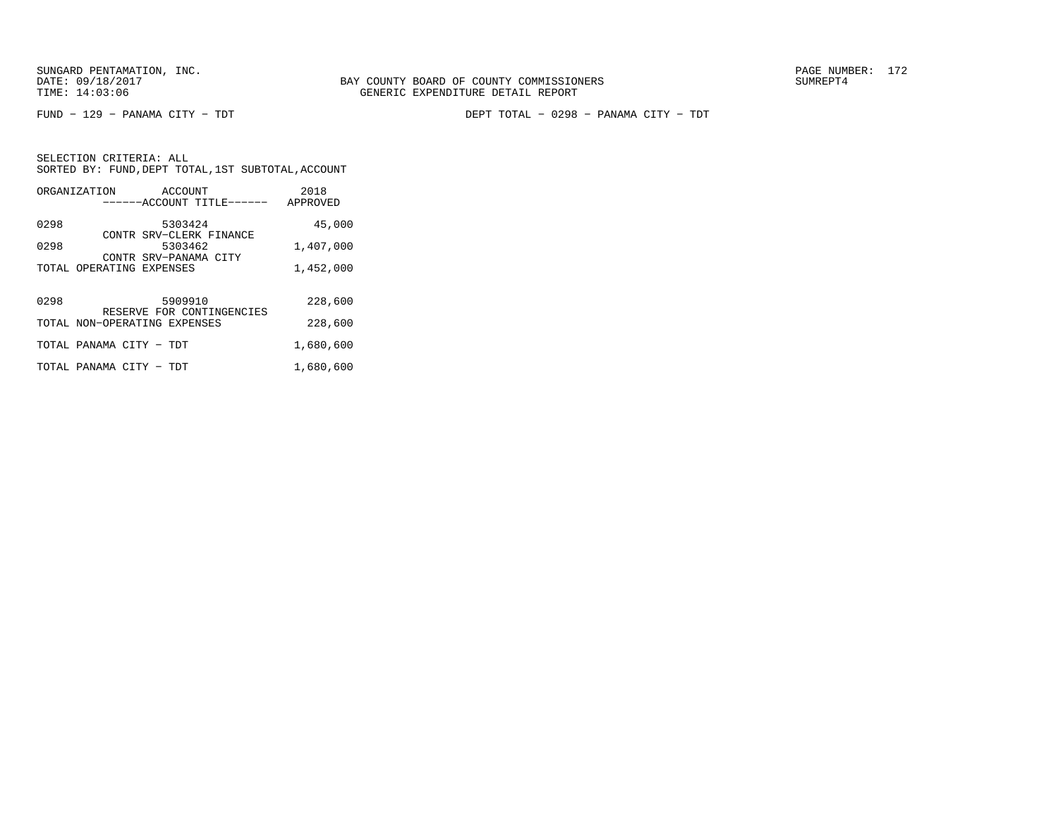FUND − 129 − PANAMA CITY − TDT DEPT TOTAL − 0298 − PANAMA CITY − TDT

| ORGANIZATION                 | ACCOUNT<br>------ACCOUNT TITLE------ | 2018<br>APPROVED |
|------------------------------|--------------------------------------|------------------|
| 0298                         | 5303424                              | 45,000           |
| 0298                         | CONTR SRV-CLERK FINANCE<br>5303462   | 1,407,000        |
| TOTAL OPERATING EXPENSES     | CONTR SRV-PANAMA CITY                | 1,452,000        |
| 0298                         | 5909910                              | 228,600          |
| TOTAL NON-OPERATING EXPENSES | RESERVE FOR CONTINGENCIES            | 228,600          |
| TOTAL PANAMA CITY - TDT      |                                      | 1,680,600        |
| TOTAL PANAMA CITY - TDT      |                                      | 1,680,600        |
|                              |                                      |                  |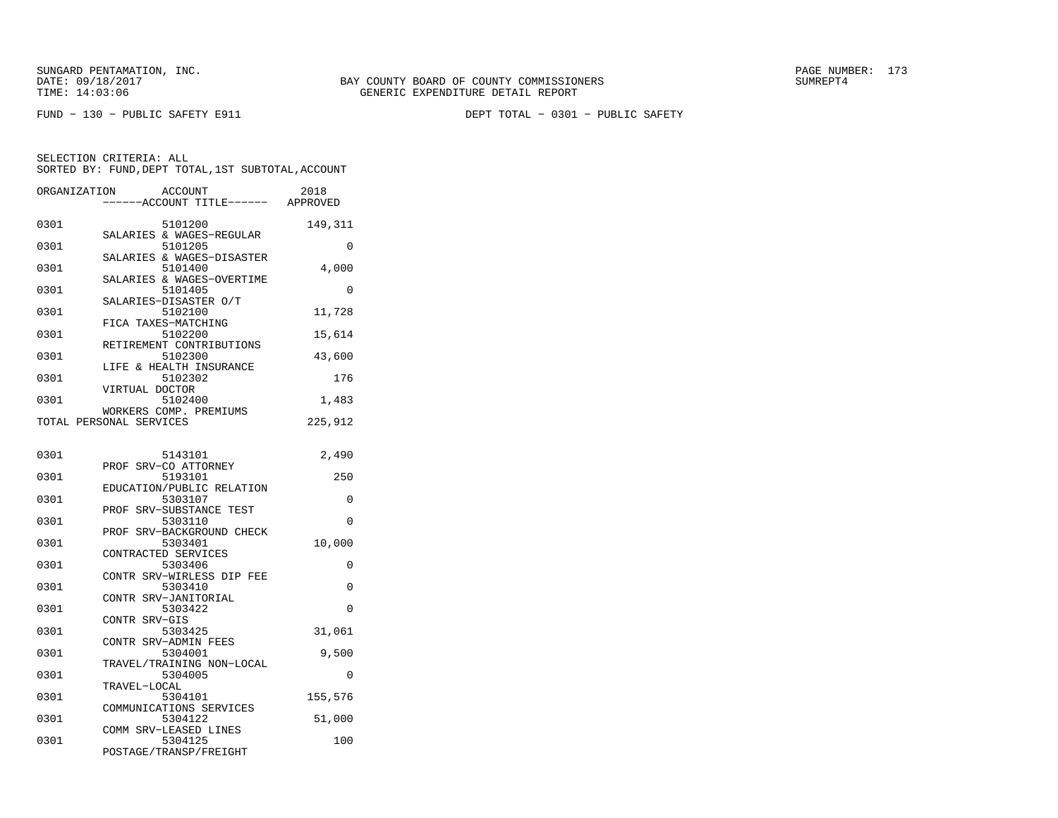| ORGANIZATION<br><b>ACCOUNT</b><br>2018<br>---ACCOUNT TITLE------ APPROVED |          |
|---------------------------------------------------------------------------|----------|
| 0301<br>5101200                                                           | 149,311  |
| SALARIES & WAGES-REGULAR<br>0301<br>5101205                               | 0        |
| SALARIES & WAGES-DISASTER<br>0301<br>5101400                              | 4,000    |
| SALARIES & WAGES-OVERTIME<br>0301<br>5101405                              | 0        |
| SALARIES-DISASTER O/T<br>5102100<br>0301                                  | 11,728   |
| FICA TAXES-MATCHING<br>5102200<br>0301                                    | 15,614   |
| RETIREMENT CONTRIBUTIONS<br>0301<br>5102300                               | 43,600   |
| LIFE & HEALTH INSURANCE<br>0301<br>5102302                                | 176      |
| VIRTUAL DOCTOR<br>0301<br>5102400                                         | 1,483    |
| WORKERS COMP. PREMIUMS<br>TOTAL PERSONAL SERVICES                         | 225,912  |
| 0301<br>5143101                                                           | 2,490    |
| PROF SRV-CO ATTORNEY<br>0301<br>5193101                                   | 250      |
| EDUCATION/PUBLIC RELATION<br>5303107<br>0301                              | 0        |
| PROF SRV-SUBSTANCE TEST                                                   | $\Omega$ |
| 0301<br>5303110<br>PROF SRV-BACKGROUND CHECK                              |          |
| 0301<br>5303401<br>CONTRACTED SERVICES                                    | 10,000   |
| 0301<br>5303406<br>CONTR SRV-WIRLESS DIP FEE                              | 0        |
| 5303410<br>0301<br>CONTR SRV-JANITORIAL                                   | $\Omega$ |
| 0301<br>5303422<br>CONTR SRV-GIS                                          | 0        |
| 0301<br>5303425<br>CONTR SRV-ADMIN FEES                                   | 31,061   |
| 5304001<br>0301<br>TRAVEL/TRAINING NON-LOCAL                              | 9,500    |
| 0301<br>5304005<br>TRAVEL-LOCAL                                           | $\Omega$ |
| 5304101<br>0301                                                           | 155,576  |
| COMMUNICATIONS SERVICES<br>0301<br>5304122                                | 51,000   |
| COMM SRV-LEASED LINES<br>0301<br>5304125<br>POSTAGE/TRANSP/FREIGHT        | 100      |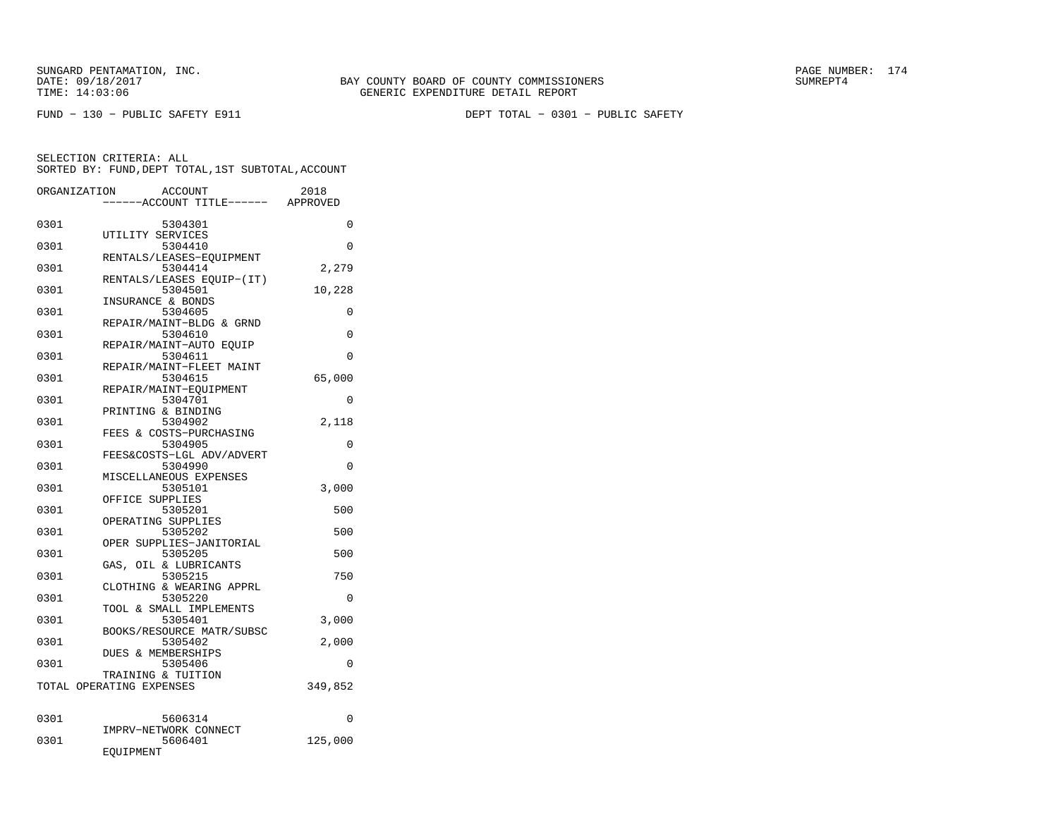| ORGANIZATION | ACCOUNT                             | 2018     |
|--------------|-------------------------------------|----------|
|              | -----ACCOUNT TITLE------            | APPROVED |
| 0301         | 5304301                             | $\Omega$ |
|              | UTILITY SERVICES                    |          |
| 0301         | 5304410                             | $\Omega$ |
|              | RENTALS/LEASES-EOUIPMENT            |          |
| 0301         | 5304414                             | 2,279    |
|              | RENTALS/LEASES EOUIP-(IT)           |          |
| 0301         | 5304501                             | 10,228   |
|              | INSURANCE & BONDS                   |          |
| 0301         | 5304605                             | 0        |
|              | REPAIR/MAINT-BLDG & GRND            |          |
| 0301         | 5304610                             | 0        |
|              | REPAIR/MAINT-AUTO EQUIP             |          |
| 0301         | 5304611                             | 0        |
|              | REPAIR/MAINT-FLEET MAINT            |          |
| 0301         | 5304615                             | 65,000   |
|              | REPAIR/MAINT-EQUIPMENT              |          |
| 0301         | 5304701                             | $\Omega$ |
| 0301         | PRINTING & BINDING<br>5304902       | 2,118    |
|              | FEES & COSTS-PURCHASING             |          |
| 0301         | 5304905                             | 0        |
|              | FEES&COSTS-LGL ADV/ADVERT           |          |
| 0301         | 5304990                             | $\Omega$ |
|              | MISCELLANEOUS EXPENSES              |          |
| 0301         | 5305101                             | 3,000    |
|              | OFFICE SUPPLIES                     |          |
| 0301         | 5305201                             | 500      |
|              | OPERATING SUPPLIES                  |          |
| 0301         | 5305202                             | 500      |
|              | OPER SUPPLIES-JANITORIAL            |          |
| 0301         | 5305205                             | 500      |
|              | GAS, OIL & LUBRICANTS               |          |
| 0301         | 5305215                             | 750      |
| 0301         | CLOTHING & WEARING APPRL<br>5305220 | $\Omega$ |
|              | TOOL & SMALL IMPLEMENTS             |          |
| 0301         | 5305401                             | 3,000    |
|              | BOOKS/RESOURCE MATR/SUBSC           |          |
| 0301         | 5305402                             | 2,000    |
|              | <b>DUES &amp; MEMBERSHIPS</b>       |          |
| 0301         | 5305406                             | 0        |
|              | TRAINING & TUITION                  |          |
|              | TOTAL OPERATING EXPENSES            | 349,852  |
|              |                                     |          |
|              |                                     |          |
| 0301         | 5606314                             | 0        |
|              | IMPRV-NETWORK CONNECT               |          |
| 0301         | 5606401<br>EQUIPMENT                | 125,000  |
|              |                                     |          |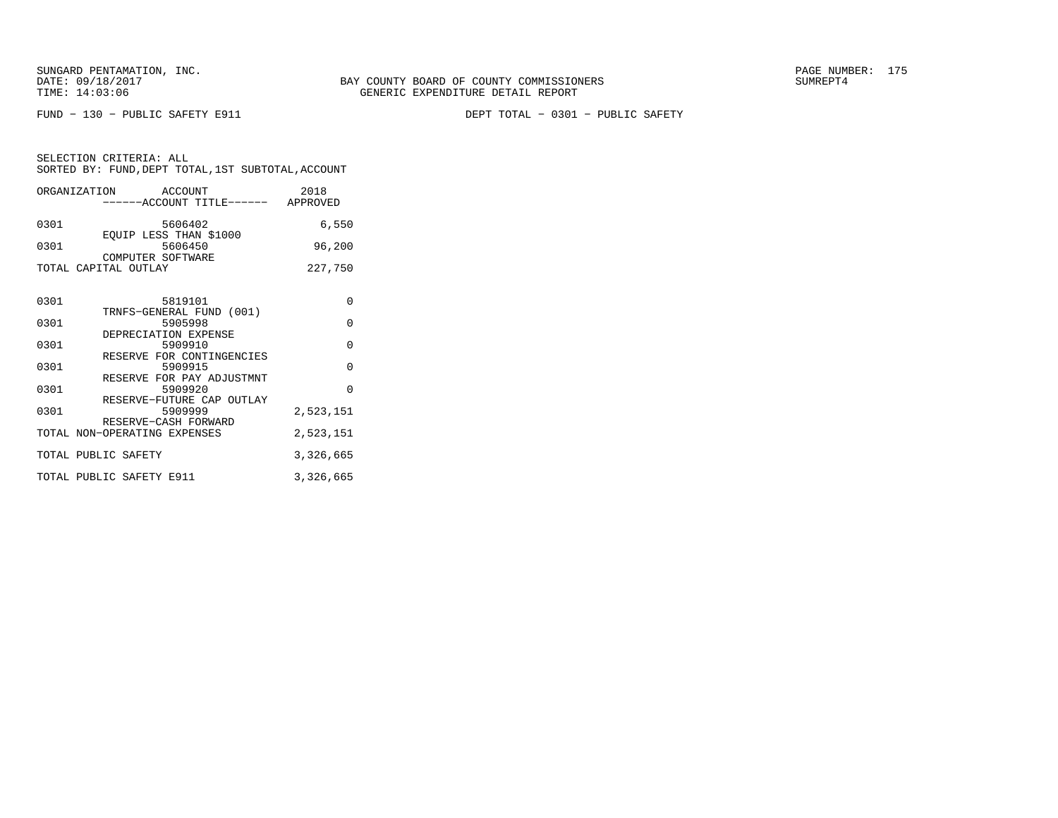FUND − 130 − PUBLIC SAFETY E911 DEPT TOTAL − 0301 − PUBLIC SAFETY

|      | ORGANIZATION ACCOUNT<br>-----ACCOUNT TITLE------ APPROVED    | 2018      |
|------|--------------------------------------------------------------|-----------|
| 0301 | 5606402<br>EOUIP LESS THAN \$1000                            | 6,550     |
| 0301 | 5606450<br>COMPUTER SOFTWARE                                 | 96,200    |
|      | TOTAL CAPITAL OUTLAY                                         | 227,750   |
| 0301 | 5819101<br>TRNFS-GENERAL FUND (001)                          | $\Omega$  |
| 0301 | 5905998                                                      | $\Omega$  |
| 0301 | DEPRECIATION EXPENSE<br>5909910<br>RESERVE FOR CONTINGENCIES | $\Omega$  |
| 0301 | 5909915<br>RESERVE FOR PAY ADJUSTMNT                         | $\Omega$  |
| 0301 | 5909920<br>RESERVE-FUTURE CAP OUTLAY                         | $\Omega$  |
| 0301 | 5909999<br>RESERVE-CASH FORWARD                              | 2,523,151 |
|      | TOTAL NON-OPERATING EXPENSES                                 | 2,523,151 |
|      | TOTAL PUBLIC SAFETY                                          | 3,326,665 |
|      | TOTAL PUBLIC SAFETY E911                                     | 3,326,665 |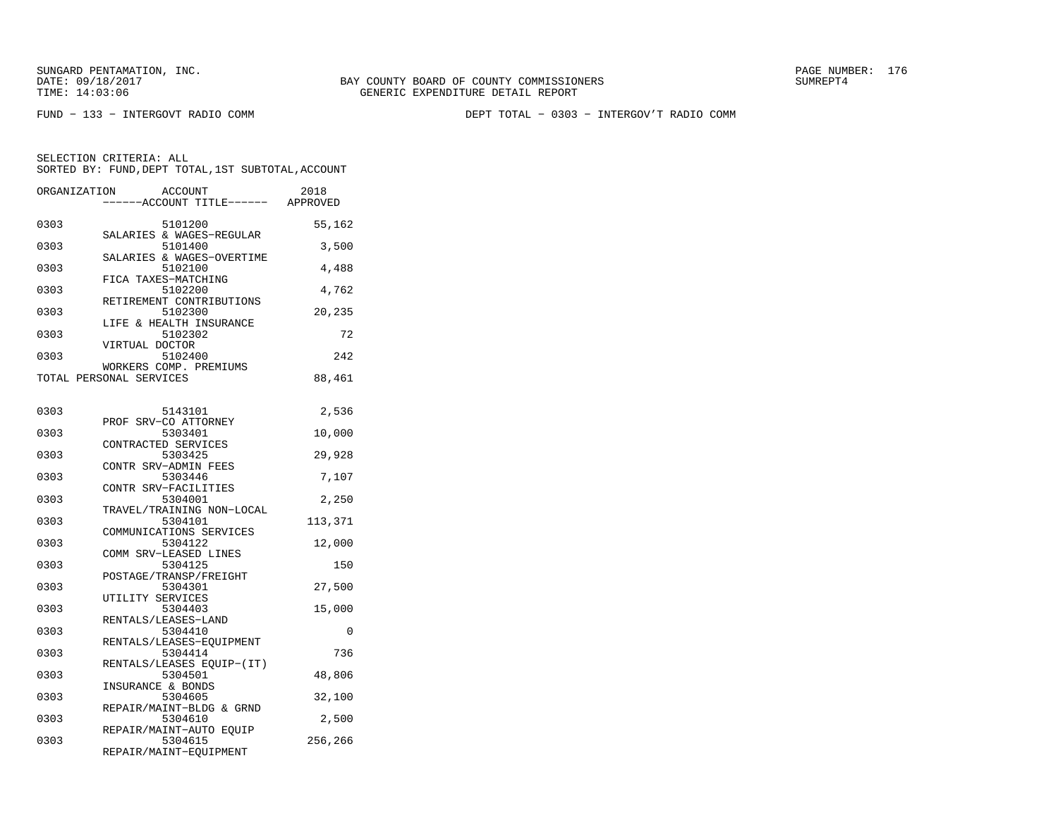FUND − 133 − INTERGOVT RADIO COMM DEPT TOTAL − 0303 − INTERGOV'T RADIO COMM

| ORGANIZATION            |                   | <b>ACCOUNT</b><br>----ACCOUNT TITLE------ APPROVED          | 2018    |
|-------------------------|-------------------|-------------------------------------------------------------|---------|
| 0303                    |                   | 5101200                                                     | 55,162  |
| 0303                    |                   | SALARIES & WAGES-REGULAR<br>5101400                         | 3,500   |
| 0303                    |                   | SALARIES & WAGES-OVERTIME<br>5102100<br>FICA TAXES-MATCHING | 4,488   |
| 0303                    |                   | 5102200<br>RETIREMENT CONTRIBUTIONS                         | 4,762   |
| 0303                    |                   | 5102300<br>LIFE & HEALTH INSURANCE                          | 20,235  |
| 0303                    | VIRTUAL DOCTOR    | 5102302                                                     | 72      |
| 0303                    |                   | 5102400<br>WORKERS COMP. PREMIUMS                           | 242     |
| TOTAL PERSONAL SERVICES |                   |                                                             | 88,461  |
| 0303                    |                   | 5143101                                                     | 2,536   |
| 0303                    |                   | PROF SRV-CO ATTORNEY<br>5303401                             | 10,000  |
| 0303                    |                   | CONTRACTED SERVICES<br>5303425<br>CONTR SRV-ADMIN FEES      | 29,928  |
| 0303                    |                   | 5303446<br>CONTR SRV-FACILITIES                             | 7,107   |
| 0303                    |                   | 5304001<br>TRAVEL/TRAINING NON-LOCAL                        | 2,250   |
| 0303                    |                   | 5304101<br>COMMUNICATIONS SERVICES                          | 113,371 |
| 0303                    |                   | 5304122<br>COMM SRV-LEASED LINES                            | 12,000  |
| 0303                    |                   | 5304125<br>POSTAGE/TRANSP/FREIGHT                           | 150     |
| 0303                    | UTILITY SERVICES  | 5304301                                                     | 27,500  |
| 0303                    |                   | 5304403<br>RENTALS/LEASES-LAND                              | 15,000  |
| 0303                    |                   | 5304410<br>RENTALS/LEASES-EOUIPMENT                         | 0       |
| 0303                    |                   | 5304414<br>RENTALS/LEASES EQUIP-(IT)                        | 736     |
| 0303                    | INSURANCE & BONDS | 5304501                                                     | 48,806  |
| 0303                    |                   | 5304605<br>REPAIR/MAINT-BLDG & GRND                         | 32,100  |
| 0303                    |                   | 5304610<br>REPAIR/MAINT-AUTO EOUIP                          | 2,500   |
| 0303                    |                   | 5304615<br>REPAIR/MAINT-EQUIPMENT                           | 256,266 |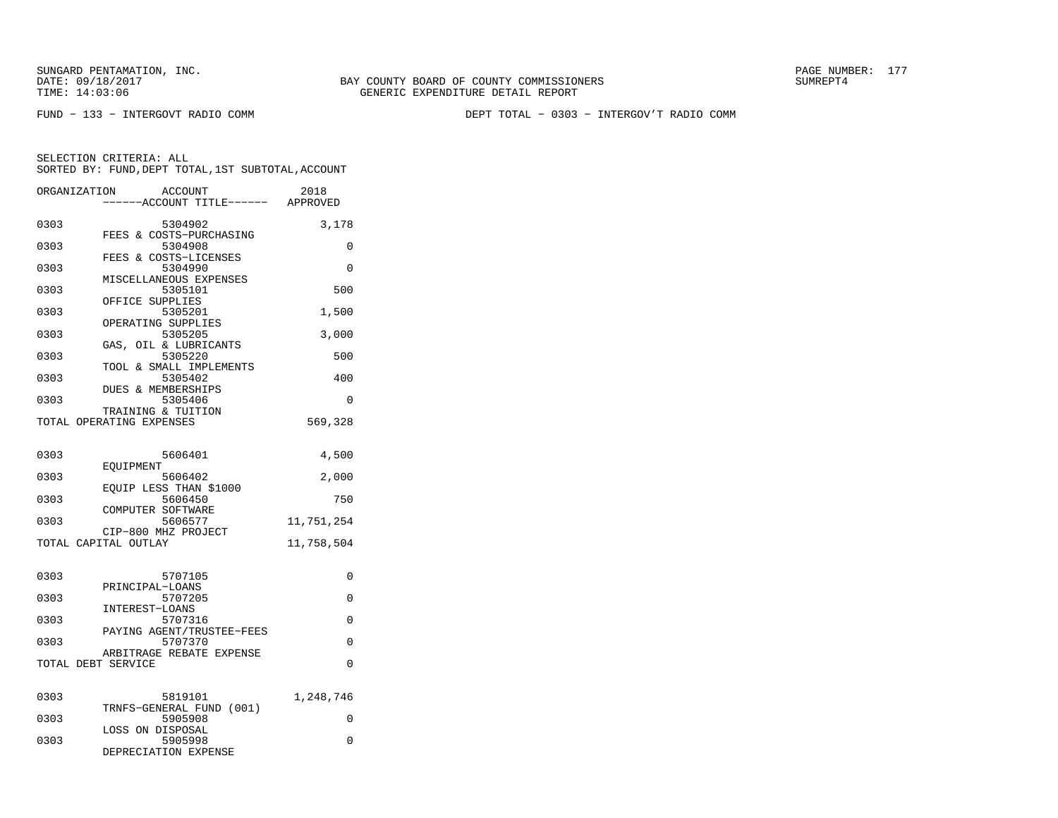FUND − 133 − INTERGOVT RADIO COMM DEPT TOTAL − 0303 − INTERGOV'T RADIO COMM

| ORGANIZATION       | ACCOUNT<br>--ACCOUNT TITLE------                    | 2018<br>APPROVED |
|--------------------|-----------------------------------------------------|------------------|
| 0303               | 5304902<br>FEES & COSTS-PURCHASING                  | 3,178            |
| 0303               | 5304908<br>FEES & COSTS-LICENSES                    | 0                |
| 0303               | 5304990<br>MISCELLANEOUS EXPENSES                   | $\Omega$         |
| 0303               | 5305101<br>OFFICE SUPPLIES                          | 500              |
| 0303               | 5305201<br>OPERATING SUPPLIES                       | 1,500            |
| 0303               | 5305205                                             | 3,000            |
| 0303               | OIL & LUBRICANTS<br>GAS,<br>5305220                 | 500              |
| 0303               | TOOL & SMALL IMPLEMENTS<br>5305402                  | 400              |
| 0303               | DUES & MEMBERSHIPS<br>5305406                       | 0                |
|                    | TRAINING & TUITION<br>TOTAL OPERATING EXPENSES      | 569,328          |
| 0303               | 5606401                                             | 4,500            |
| 0303               | EOUIPMENT<br>5606402                                | 2,000            |
| 0303               | EQUIP LESS THAN \$1000<br>5606450                   | 750              |
| 0303               | COMPUTER SOFTWARE<br>5606577                        | 11,751,254       |
|                    | CIP-800 MHZ PROJECT<br>TOTAL CAPITAL OUTLAY         | 11,758,504       |
|                    |                                                     |                  |
| 0303               | 5707105<br>PRINCIPAL-LOANS                          | 0                |
| 0303               | 5707205<br>INTEREST-LOANS                           | 0                |
| 0303               | 5707316<br>PAYING AGENT/TRUSTEE-FEES                | 0                |
| 0303               | 5707370<br>ARBITRAGE REBATE EXPENSE                 | 0                |
| TOTAL DEBT SERVICE |                                                     | $\Omega$         |
| 0303               | 5819101                                             | 1,248,746        |
| 0303               | TRNFS-GENERAL FUND<br>(001)<br>5905908              | 0                |
| 0303               | LOSS ON DISPOSAL<br>5905998<br>DEPRECIATION EXPENSE | 0                |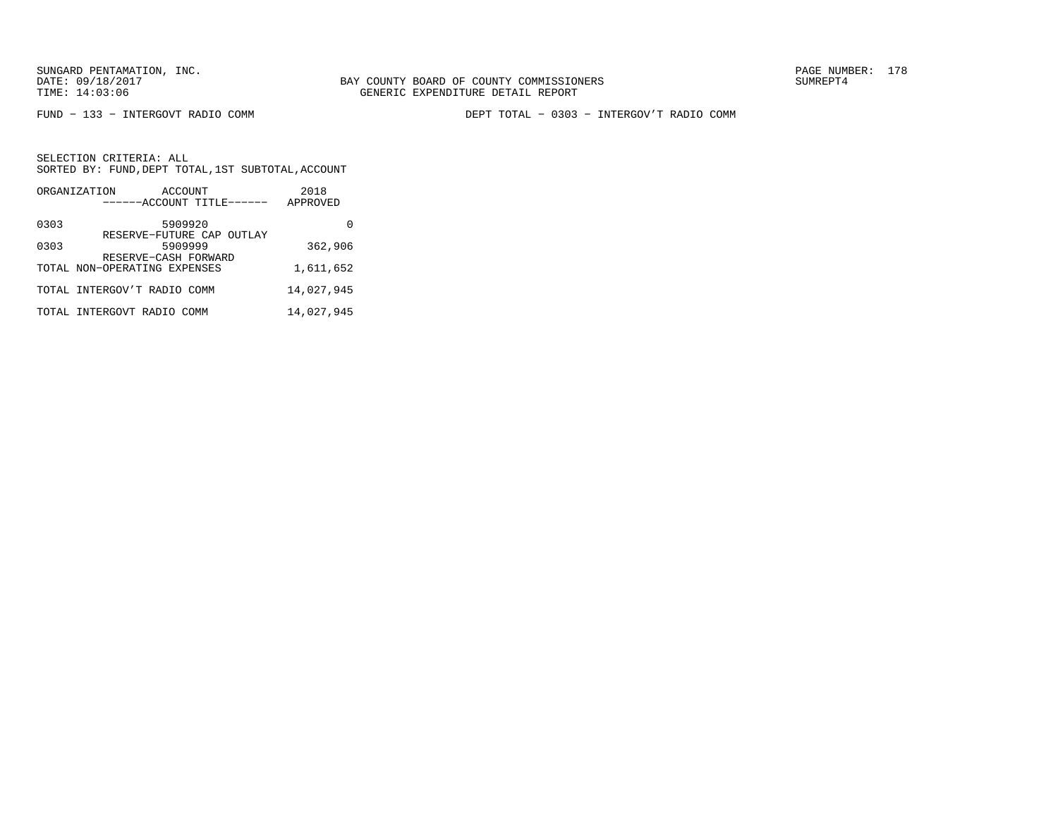FUND − 133 − INTERGOVT RADIO COMM DEPT TOTAL − 0303 − INTERGOV'T RADIO COMM

|      | ORGANIZATION                                         | ACCOUNT<br>------ACCOUNT TITLE------ | 2018<br>APPROVED |
|------|------------------------------------------------------|--------------------------------------|------------------|
| 0303 |                                                      | 5909920                              |                  |
| 0303 |                                                      | RESERVE-FUTURE CAP OUTLAY<br>5909999 | 362,906          |
|      | RESERVE-CASH FORWARD<br>TOTAL NON-OPERATING EXPENSES |                                      | 1,611,652        |
|      | TOTAL INTERGOV'T RADIO COMM                          |                                      | 14,027,945       |
|      | TOTAL INTERGOVT RADIO COMM                           |                                      | 14,027,945       |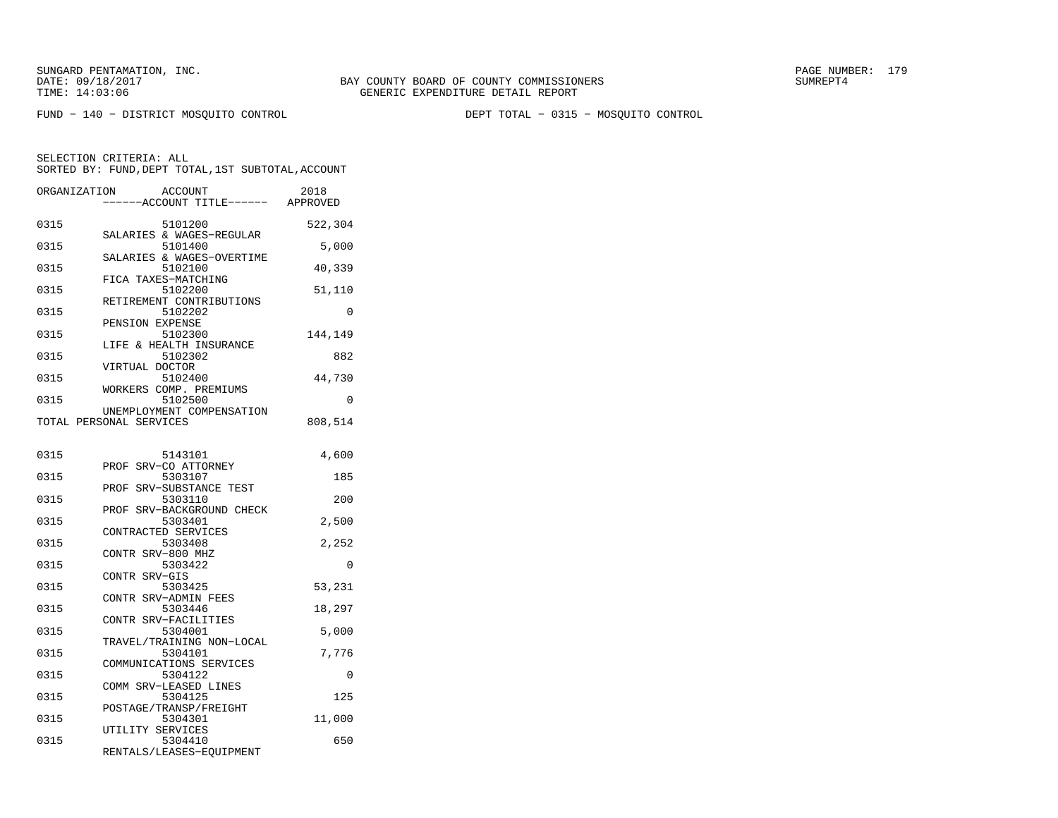FUND − 140 − DISTRICT MOSQUITO CONTROL DEPT TOTAL − 0315 − MOSQUITO CONTROL

| ORGANIZATION | ACCOUNT<br>----ACCOUNT TITLE------ APPROVED             | 2018     |
|--------------|---------------------------------------------------------|----------|
| 0315         | 5101200                                                 | 522,304  |
| 0315         | SALARIES & WAGES-REGULAR<br>5101400                     | 5,000    |
| 0315         | SALARIES & WAGES-OVERTIME<br>5102100                    | 40,339   |
| 0315         | FICA TAXES-MATCHING<br>5102200                          | 51,110   |
| 0315         | RETIREMENT CONTRIBUTIONS<br>5102202                     | $\Omega$ |
| 0315         | PENSION EXPENSE<br>5102300                              | 144,149  |
| 0315         | LIFE & HEALTH INSURANCE<br>5102302                      | 882      |
| 0315         | VIRTUAL DOCTOR<br>5102400                               | 44,730   |
| 0315         | WORKERS COMP. PREMIUMS<br>5102500                       | 0        |
|              | UNEMPLOYMENT COMPENSATION<br>TOTAL PERSONAL SERVICES    | 808,514  |
| 0315         | 5143101                                                 | 4,600    |
| 0315         | PROF<br>SRV-CO ATTORNEY<br>5303107                      | 185      |
| 0315         | SRV-SUBSTANCE TEST<br>PROF<br>5303110                   | 200      |
| 0315         | PROF SRV-BACKGROUND CHECK<br>5303401                    | 2,500    |
| 0315         | CONTRACTED SERVICES<br>5303408                          | 2,252    |
| 0315         | CONTR SRV-800 MHZ<br>5303422                            | 0        |
| 0315         | CONTR SRV-GIS<br>5303425                                | 53,231   |
| 0315         | CONTR<br>SRV-ADMIN FEES<br>5303446                      | 18,297   |
| 0315         | CONTR SRV-FACILITIES<br>5304001                         | 5,000    |
| 0315         | TRAVEL/TRAINING NON-LOCAL<br>5304101                    | 7,776    |
| 0315         | COMMUNICATIONS SERVICES<br>5304122                      | 0        |
| 0315         | COMM SRV-LEASED LINES<br>5304125                        | 125      |
| 0315         | POSTAGE/TRANSP/FREIGHT<br>5304301                       | 11,000   |
| 0315         | UTILITY SERVICES<br>5304410<br>RENTALS/LEASES-EOUIPMENT | 650      |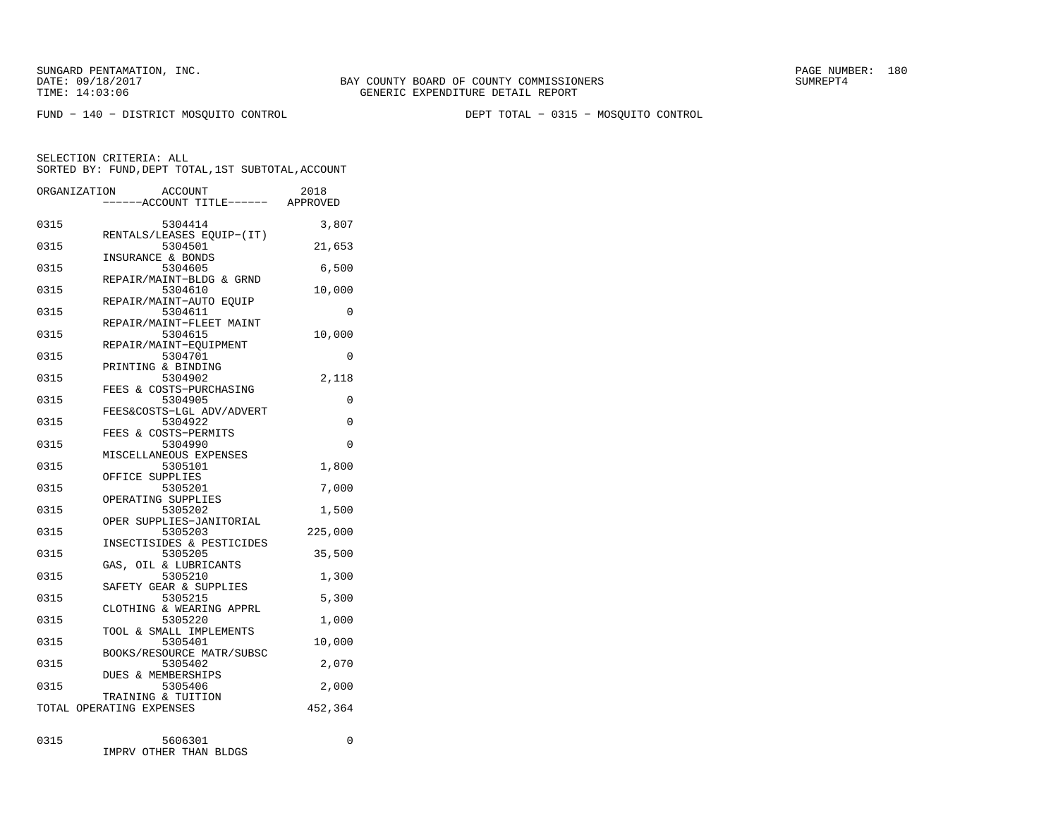FUND − 140 − DISTRICT MOSQUITO CONTROL DEPT TOTAL − 0315 − MOSQUITO CONTROL

SELECTION CRITERIA: ALLSORTED BY: FUND,DEPT TOTAL,1ST SUBTOTAL,ACCOUNT

|      | ORGANIZATION<br>ACCOUNT<br>------ACCOUNT TITLE------ APPROVED | 2018        |
|------|---------------------------------------------------------------|-------------|
| 0315 | 5304414                                                       | 3,807       |
| 0315 | RENTALS/LEASES EOUIP-(IT)<br>5304501<br>INSURANCE & BONDS     | 21,653      |
| 0315 | 5304605                                                       | 6,500       |
| 0315 | REPAIR/MAINT-BLDG & GRND<br>5304610                           | 10,000      |
| 0315 | REPAIR/MAINT-AUTO EQUIP<br>5304611                            | 0           |
| 0315 | REPAIR/MAINT-FLEET MAINT<br>5304615                           | 10,000      |
| 0315 | REPAIR/MAINT-EOUIPMENT<br>5304701                             | 0           |
| 0315 | PRINTING & BINDING<br>5304902                                 | 2,118       |
| 0315 | FEES & COSTS-PURCHASING<br>5304905                            | $\Omega$    |
| 0315 | FEES&COSTS-LGL ADV/ADVERT<br>5304922                          | 0           |
| 0315 | FEES & COSTS-PERMITS<br>5304990                               | $\Omega$    |
| 0315 | MISCELLANEOUS EXPENSES<br>5305101                             | 1,800       |
| 0315 | OFFICE SUPPLIES<br>5305201                                    | 7,000       |
| 0315 | OPERATING SUPPLIES<br>5305202                                 | 1,500       |
| 0315 | OPER SUPPLIES-JANITORIAL<br>5305203                           | 225,000     |
| 0315 | INSECTISIDES & PESTICIDES<br>5305205                          | 35,500      |
| 0315 | GAS, OIL & LUBRICANTS<br>5305210                              | 1,300       |
| 0315 | SAFETY GEAR & SUPPLIES<br>5305215                             | 5,300       |
| 0315 | CLOTHING & WEARING APPRL<br>5305220                           | 1,000       |
| 0315 | TOOL & SMALL IMPLEMENTS<br>5305401                            | 10,000      |
| 0315 | BOOKS/RESOURCE MATR/SUBSC<br>5305402                          | 2,070       |
| 0315 | <b>DUES &amp; MEMBERSHIPS</b><br>5305406                      | 2,000       |
|      | TRAINING & TUITION<br>TOTAL OPERATING EXPENSES                | 452,364     |
| 0315 | 5606301                                                       | $\mathbf 0$ |

IMPRV OTHER THAN BLDGS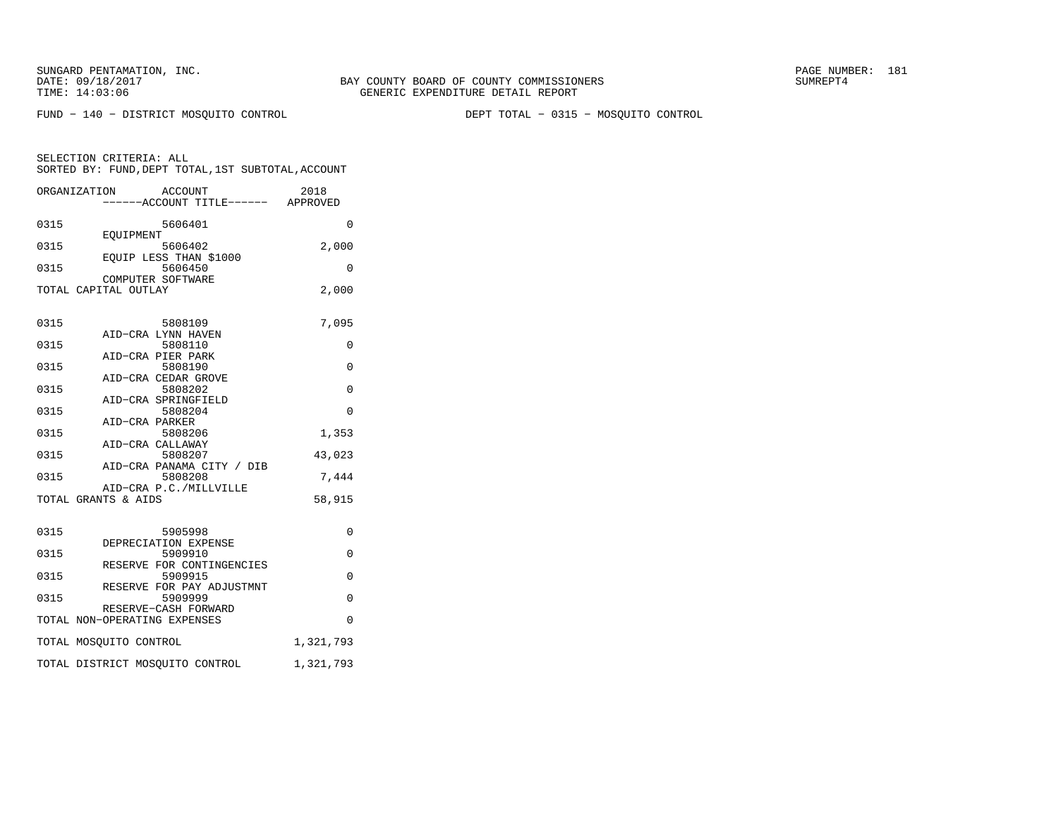FUND − 140 − DISTRICT MOSQUITO CONTROL DEPT TOTAL − 0315 − MOSQUITO CONTROL

|      | ORGANIZATION                 | ACCOUNT<br>----ACCOUNT TITLE------ APPROVED | 2018      |
|------|------------------------------|---------------------------------------------|-----------|
| 0315 |                              | 5606401                                     | $\Omega$  |
| 0315 | <b>EOUIPMENT</b>             | 5606402                                     | 2,000     |
| 0315 |                              | EQUIP LESS THAN \$1000<br>5606450           | 0         |
|      | TOTAL CAPITAL OUTLAY         | COMPUTER SOFTWARE                           | 2,000     |
|      |                              |                                             |           |
| 0315 |                              | 5808109                                     | 7,095     |
| 0315 |                              | AID-CRA LYNN HAVEN<br>5808110               | 0         |
| 0315 |                              | AID-CRA PIER PARK<br>5808190                | $\Omega$  |
| 0315 |                              | AID-CRA CEDAR GROVE<br>5808202              | $\Omega$  |
| 0315 |                              | AID-CRA SPRINGFIELD<br>5808204              | $\Omega$  |
| 0315 | AID-CRA PARKER               | 5808206                                     | 1,353     |
|      |                              | AID-CRA CALLAWAY                            |           |
| 0315 |                              | 5808207<br>AID-CRA PANAMA CITY / DIB        | 43,023    |
| 0315 |                              | 5808208<br>AID-CRA P.C./MILLVILLE           | 7.444     |
|      | TOTAL GRANTS & AIDS          |                                             | 58,915    |
| 0315 |                              | 5905998                                     | 0         |
| 0315 |                              | DEPRECIATION EXPENSE<br>5909910             |           |
|      |                              | RESERVE FOR CONTINGENCIES                   | 0         |
| 0315 |                              | 5909915<br>RESERVE FOR PAY ADJUSTMNT        | $\Omega$  |
| 0315 |                              | 5909999<br>RESERVE-CASH FORWARD             | $\Omega$  |
|      | TOTAL NON-OPERATING EXPENSES |                                             | $\Omega$  |
|      | TOTAL MOSQUITO CONTROL       |                                             | 1,321,793 |
|      |                              | TOTAL DISTRICT MOSQUITO CONTROL             | 1,321,793 |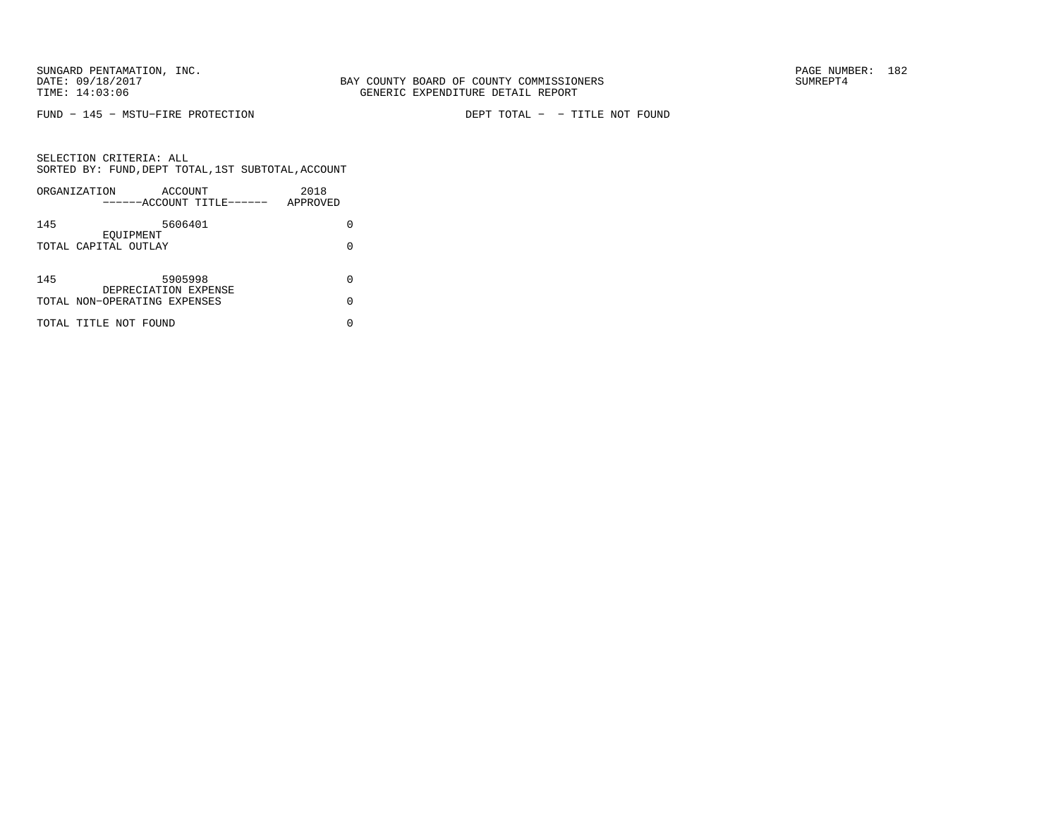FUND − 145 − MSTU−FIRE PROTECTION DEPT TOTAL − − TITLE NOT FOUND

|     | ORGANIZATION<br>ACCOUNT<br>------ACCOUNT TITLE------ | 2018<br>APPROVED |  |
|-----|------------------------------------------------------|------------------|--|
| 145 | 5606401                                              | O                |  |
|     | EOUIPMENT<br>TOTAL CAPITAL OUTLAY                    | O                |  |
| 145 | 5905998                                              | O                |  |
|     | DEPRECIATION EXPENSE<br>TOTAL NON-OPERATING EXPENSES | O                |  |
|     | TOTAL TITLE NOT FOUND                                |                  |  |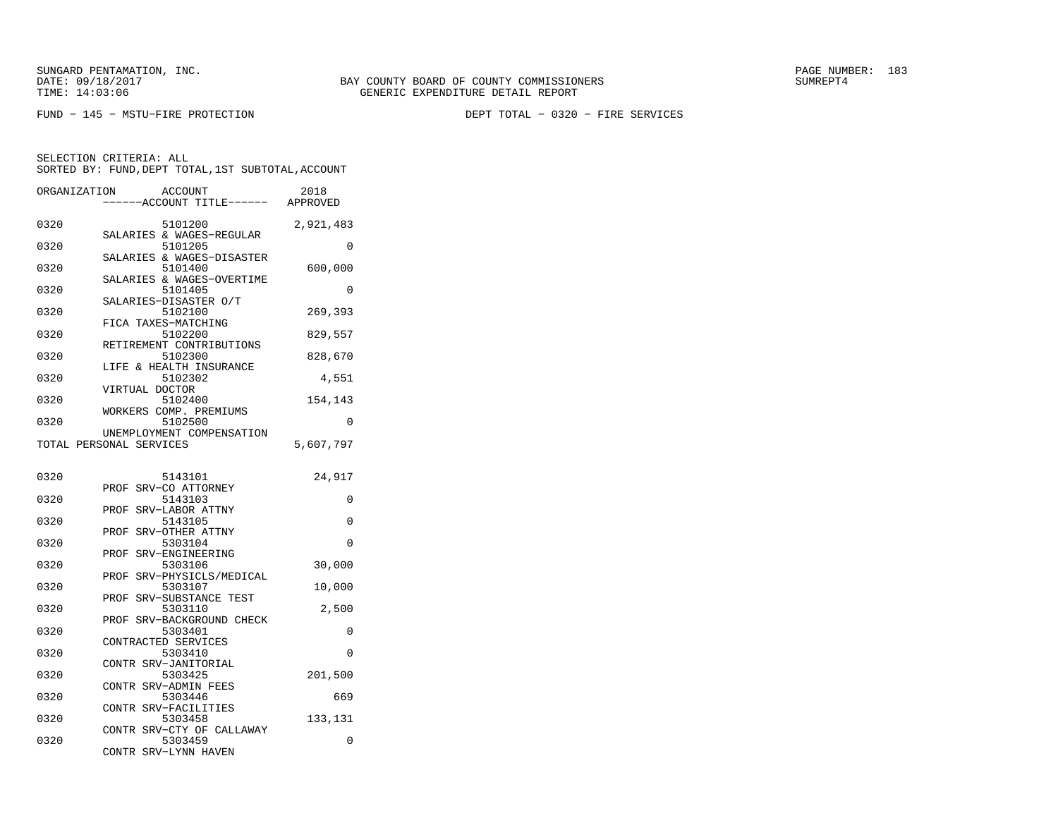FUND − 145 − MSTU−FIRE PROTECTION DEPT TOTAL − 0320 − FIRE SERVICES

| ORGANIZATION |                         | <b>ACCOUNT</b><br>---ACCOUNT TITLE------ APPROVED | 2018      |
|--------------|-------------------------|---------------------------------------------------|-----------|
| 0320         |                         | 5101200<br>SALARIES & WAGES-REGULAR               | 2,921,483 |
| 0320         |                         | 5101205<br>SALARIES & WAGES-DISASTER              | $\Omega$  |
| 0320         |                         | 5101400                                           | 600,000   |
| 0320         |                         | SALARIES & WAGES-OVERTIME<br>5101405              | 0         |
| 0320         | SALARIES-DISASTER O/T   | 5102100                                           | 269,393   |
| 0320         | FICA TAXES-MATCHING     | 5102200                                           | 829,557   |
| 0320         |                         | RETIREMENT CONTRIBUTIONS<br>5102300               | 828,670   |
| 0320         |                         | LIFE & HEALTH INSURANCE<br>5102302                | 4,551     |
| 0320         | VIRTUAL DOCTOR          | 5102400                                           | 154,143   |
| 0320         |                         | WORKERS COMP. PREMIUMS<br>5102500                 | $\Omega$  |
|              | TOTAL PERSONAL SERVICES | UNEMPLOYMENT COMPENSATION                         | 5,607,797 |
| 0320         |                         | 5143101                                           | 24,917    |
| 0320         | PROF                    | SRV-CO ATTORNEY<br>5143103                        | 0         |
| 0320         | PROF                    | SRV-LABOR ATTNY<br>5143105                        | 0         |
| 0320         | PROF                    | SRV-OTHER ATTNY<br>5303104                        | 0         |
|              | PROF                    | SRV-ENGINEERING                                   |           |
| 0320         | PROF                    | 5303106<br>SRV-PHYSICLS/MEDICAL                   | 30,000    |
| 0320         | PROF                    | 5303107<br>SRV-SUBSTANCE TEST                     | 10,000    |
| 0320         |                         | 5303110<br>PROF SRV-BACKGROUND CHECK              | 2,500     |
| 0320         | CONTRACTED SERVICES     | 5303401                                           | 0         |
| 0320         | CONTR SRV-JANITORIAL    | 5303410                                           | $\Omega$  |
| 0320         | CONTR SRV-ADMIN FEES    | 5303425                                           | 201,500   |
| 0320         | CONTR SRV-FACILITIES    | 5303446                                           | 669       |
| 0320         |                         | 5303458<br>CONTR SRV-CTY OF CALLAWAY              | 133,131   |
| 0320         | CONTR SRV-LYNN HAVEN    | 5303459                                           | 0         |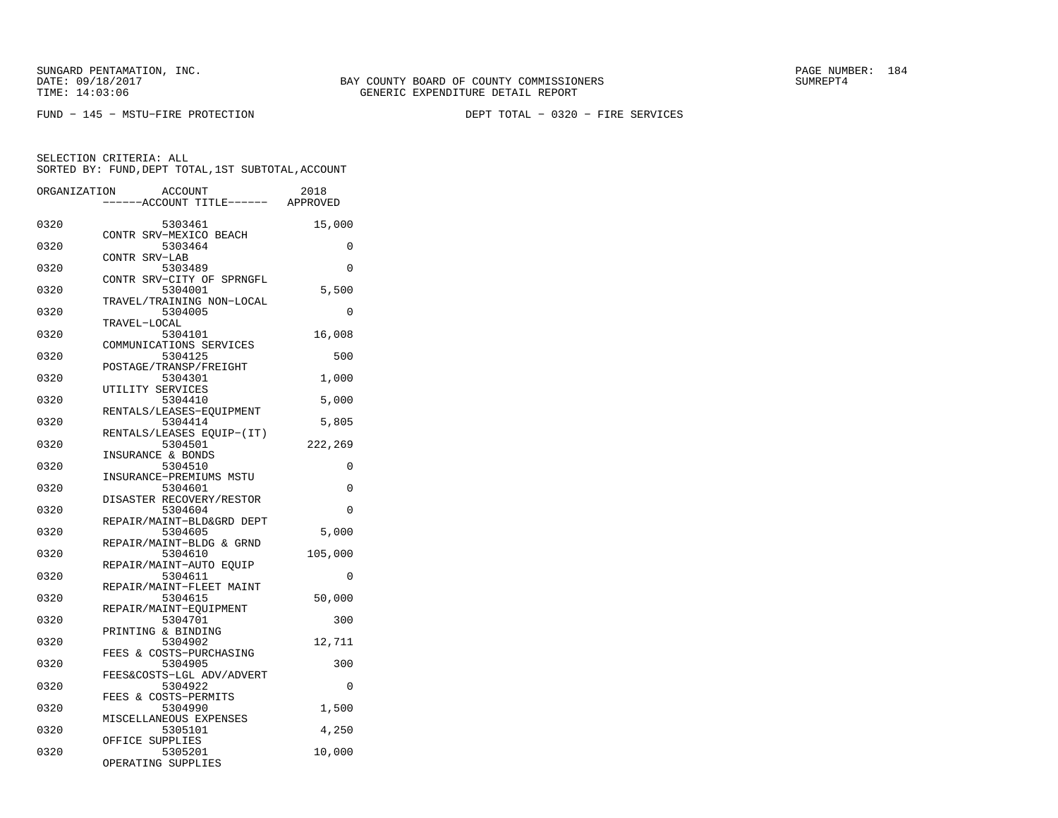FUND − 145 − MSTU−FIRE PROTECTION DEPT TOTAL − 0320 − FIRE SERVICES

| ORGANIZATION | <b>ACCOUNT</b>                       | 2018     |
|--------------|--------------------------------------|----------|
|              | ---ACCOUNT TITLE------ APPROVED      |          |
| 0320         | 5303461                              | 15,000   |
| 0320         | CONTR SRV-MEXICO BEACH<br>5303464    | 0        |
| 0320         | CONTR SRV-LAB<br>5303489             | $\Omega$ |
| 0320         | CONTR SRV-CITY OF SPRNGFL<br>5304001 | 5,500    |
| 0320         | TRAVEL/TRAINING NON-LOCAL<br>5304005 | 0        |
|              | TRAVEL-LOCAL                         |          |
| 0320         | 5304101                              | 16,008   |
| 0320         | COMMUNICATIONS SERVICES<br>5304125   | 500      |
| 0320         | POSTAGE/TRANSP/FREIGHT<br>5304301    | 1,000    |
|              | UTILITY SERVICES                     |          |
| 0320         | 5304410<br>RENTALS/LEASES-EQUIPMENT  | 5,000    |
| 0320         | 5304414                              | 5,805    |
| 0320         | RENTALS/LEASES EQUIP-(IT)<br>5304501 | 222,269  |
| 0320         | INSURANCE & BONDS<br>5304510         | 0        |
| 0320         | INSURANCE-PREMIUMS MSTU<br>5304601   | 0        |
|              | DISASTER RECOVERY/RESTOR             |          |
| 0320         | 5304604                              | $\Omega$ |
| 0320         | REPAIR/MAINT-BLD&GRD DEPT<br>5304605 | 5,000    |
|              | REPAIR/MAINT-BLDG & GRND             |          |
| 0320         | 5304610<br>REPAIR/MAINT-AUTO EOUIP   | 105,000  |
| 0320         | 5304611                              | 0        |
| 0320         | REPAIR/MAINT-FLEET MAINT<br>5304615  | 50,000   |
| 0320         | REPAIR/MAINT-EQUIPMENT               |          |
|              | 5304701<br>PRINTING & BINDING        | 300      |
| 0320         | 5304902                              | 12,711   |
| 0320         | FEES & COSTS-PURCHASING<br>5304905   | 300      |
| 0320         | FEES&COSTS-LGL ADV/ADVERT<br>5304922 | $\Omega$ |
| 0320         | FEES & COSTS-PERMITS<br>5304990      | 1,500    |
|              | MISCELLANEOUS EXPENSES               |          |
| 0320         | 5305101                              | 4,250    |
| 0320         | OFFICE SUPPLIES<br>5305201           | 10,000   |
|              | OPERATING SUPPLIES                   |          |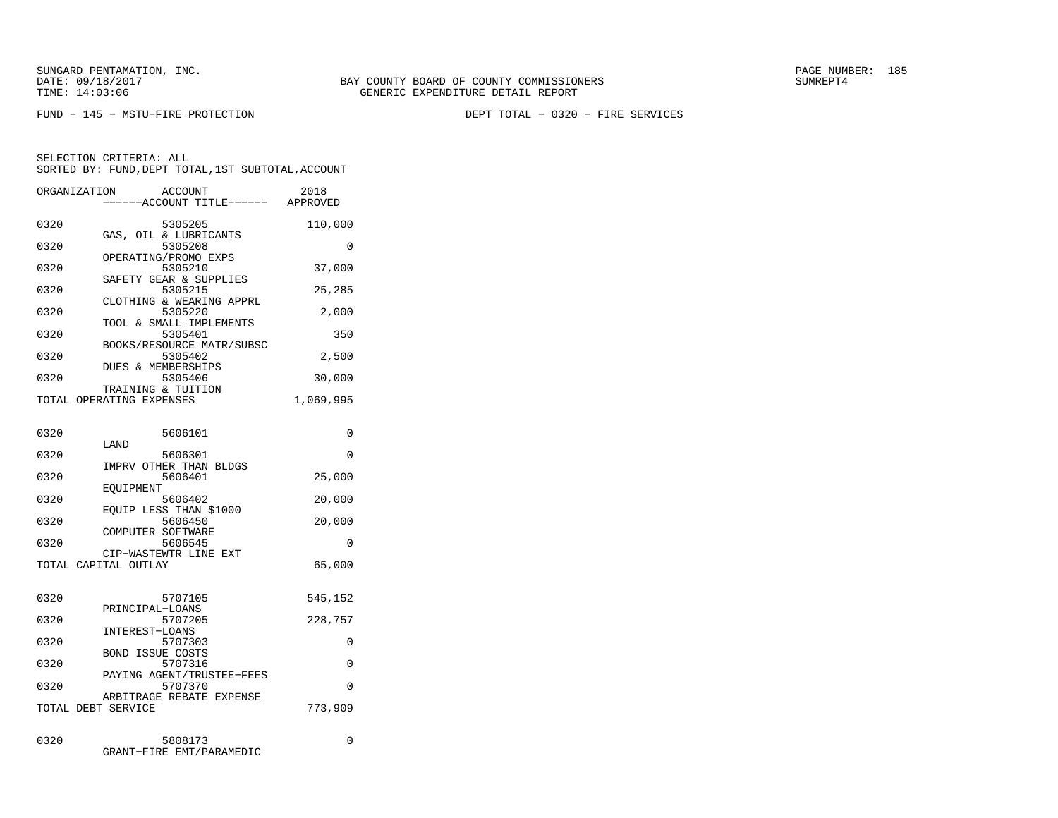FUND − 145 − MSTU−FIRE PROTECTION DEPT TOTAL − 0320 − FIRE SERVICES

SELECTION CRITERIA: ALLSORTED BY: FUND,DEPT TOTAL,1ST SUBTOTAL,ACCOUNT

|      | ORGANIZATION<br><b>ACCOUNT</b>       | 2018      |
|------|--------------------------------------|-----------|
|      | ----ACCOUNT TITLE------              | APPROVED  |
| 0320 | 5305205                              | 110,000   |
|      | GAS, OIL & LUBRICANTS                |           |
| 0320 | 5305208<br>OPERATING/PROMO EXPS      | 0         |
| 0320 | 5305210                              | 37,000    |
|      | SAFETY GEAR & SUPPLIES               |           |
| 0320 | 5305215                              | 25,285    |
|      | CLOTHING & WEARING APPRL             |           |
| 0320 | 5305220<br>TOOL & SMALL IMPLEMENTS   | 2,000     |
| 0320 | 5305401                              | 350       |
|      | BOOKS/RESOURCE MATR/SUBSC            |           |
| 0320 | 5305402<br>DUES & MEMBERSHIPS        | 2,500     |
| 0320 | 5305406                              | 30,000    |
|      | TRAINING & TUITION                   |           |
|      | TOTAL OPERATING EXPENSES             | 1,069,995 |
|      |                                      |           |
| 0320 | 5606101                              | $\Omega$  |
|      | LAND                                 |           |
| 0320 | 5606301                              | 0         |
| 0320 | IMPRV OTHER THAN BLDGS<br>5606401    | 25,000    |
|      | EOUIPMENT                            |           |
| 0320 | 5606402                              | 20,000    |
|      | EQUIP LESS THAN \$1000               |           |
| 0320 | 5606450<br>COMPUTER SOFTWARE         | 20,000    |
| 0320 | 5606545                              | 0         |
|      | CIP-WASTEWTR LINE EXT                |           |
|      | TOTAL CAPITAL OUTLAY                 | 65,000    |
|      |                                      |           |
| 0320 | 5707105                              | 545,152   |
|      | PRINCIPAL-LOANS                      |           |
| 0320 | 5707205<br>INTEREST-LOANS            | 228,757   |
| 0320 | 5707303                              | $\Omega$  |
|      | <b>BOND ISSUE COSTS</b>              |           |
| 0320 | 5707316                              | 0         |
| 0320 | PAYING AGENT/TRUSTEE-FEES<br>5707370 | $\Omega$  |
|      | ARBITRAGE REBATE EXPENSE             |           |
|      | TOTAL DEBT SERVICE                   | 773,909   |
|      |                                      |           |
| 0320 | 5808173                              | 0         |
|      |                                      |           |

GRANT−FIRE EMT/PARAMEDIC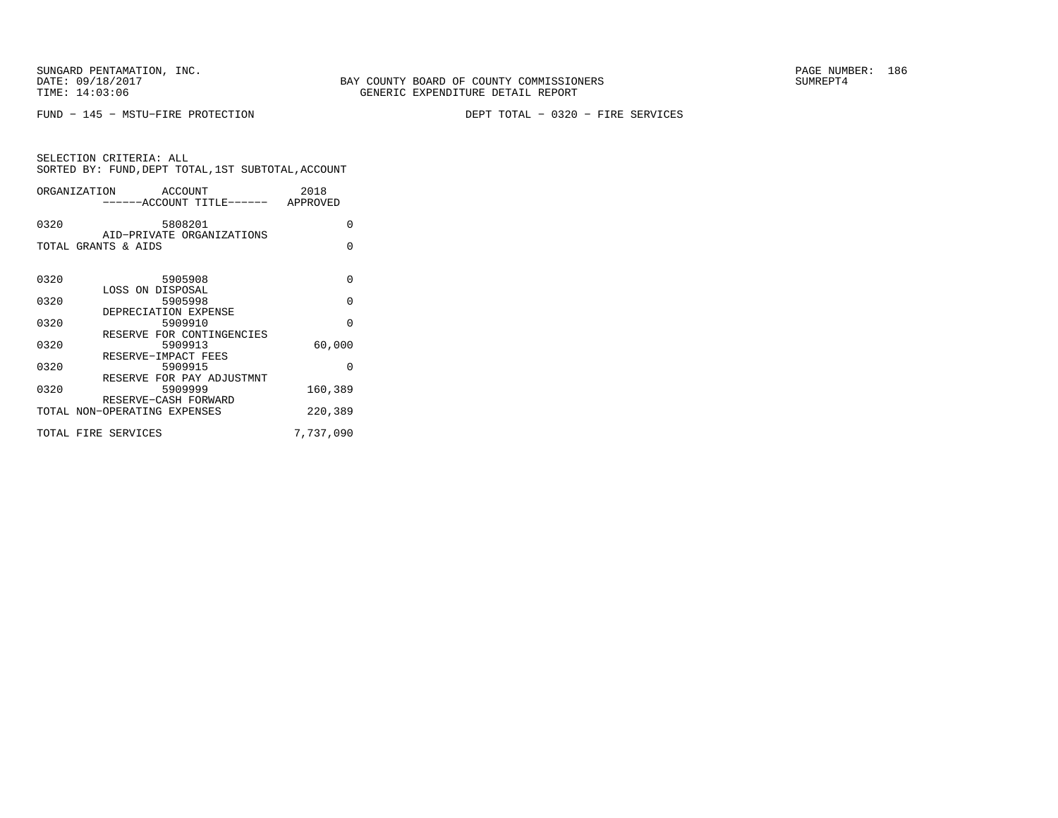FUND − 145 − MSTU−FIRE PROTECTION DEPT TOTAL − 0320 − FIRE SERVICES

| SELECTION CRITERIA: ALL |                                                    |
|-------------------------|----------------------------------------------------|
|                         | SORTED BY: FUND, DEPT TOTAL, 1ST SUBTOTAL, ACCOUNT |
|                         |                                                    |

| ORGANIZATION        | ACCOUNT<br>------ACCOUNT TITLE------ APPROVED       | 2018      |
|---------------------|-----------------------------------------------------|-----------|
| 0320                | 5808201                                             | $\Omega$  |
| TOTAL GRANTS & AIDS | AID-PRIVATE ORGANIZATIONS                           | $\Omega$  |
| 0320                | 5905908                                             | $\Omega$  |
| 0320                | LOSS ON DISPOSAL<br>5905998<br>DEPRECIATION EXPENSE | $\Omega$  |
| 0320                | 5909910<br>RESERVE FOR CONTINGENCIES                | $\Omega$  |
| 0320                | 5909913<br>RESERVE-IMPACT FEES                      | 60,000    |
| 0320                | 5909915<br>RESERVE FOR PAY ADJUSTMNT                | $\Omega$  |
| 0320                | 5909999<br>RESERVE-CASH FORWARD                     | 160,389   |
|                     | TOTAL NON-OPERATING EXPENSES                        | 220,389   |
| TOTAL FIRE SERVICES |                                                     | 7,737,090 |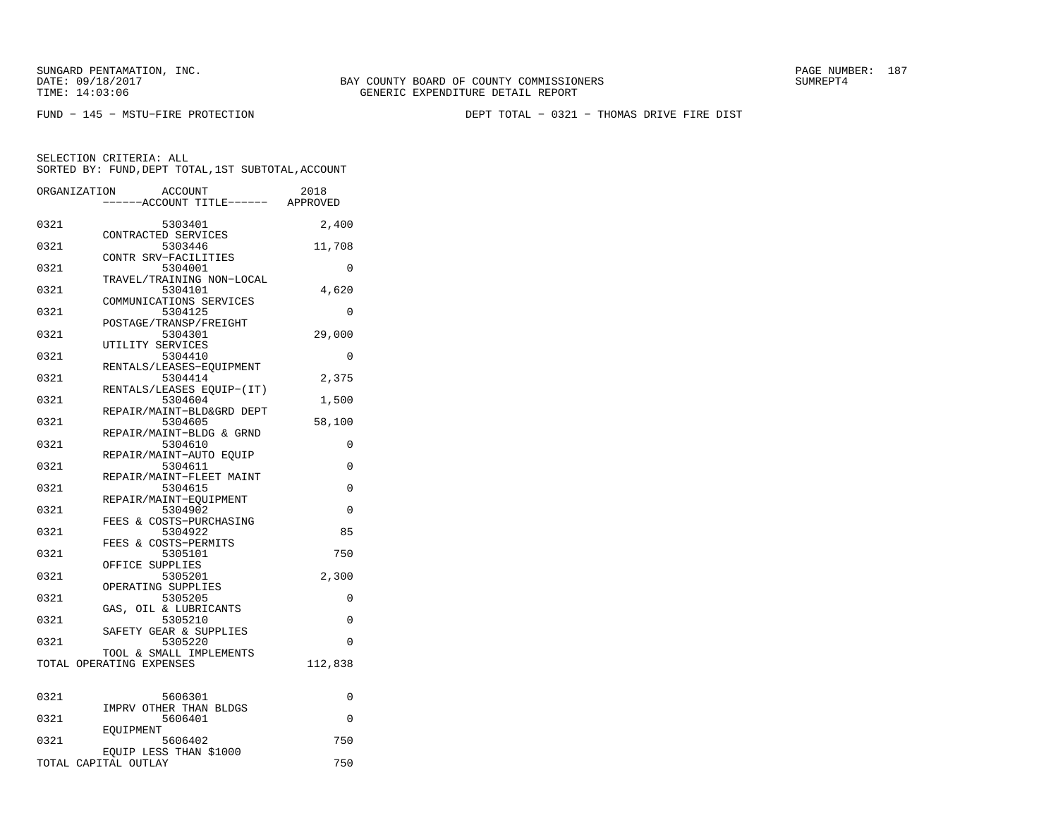BAY COUNTY BOARD OF COUNTY COMMISSIONERS TIME: 14:03:06 GENERIC EXPENDITURE DETAIL REPORT

FUND − 145 − MSTU−FIRE PROTECTION DEPT TOTAL − 0321 − THOMAS DRIVE FIRE DIST

| ORGANIZATION | ACCOUNT<br>---ACCOUNT TITLE------ APPROVED          | 2018     |
|--------------|-----------------------------------------------------|----------|
| 0321         | 5303401                                             | 2,400    |
| 0321         | CONTRACTED SERVICES<br>5303446                      | 11,708   |
| 0321         | CONTR SRV-FACILITIES<br>5304001                     | 0        |
| 0321         | TRAVEL/TRAINING NON-LOCAL<br>5304101                | 4,620    |
| 0321         | COMMUNICATIONS SERVICES<br>5304125                  | 0        |
| 0321         | POSTAGE/TRANSP/FREIGHT<br>5304301                   | 29,000   |
| 0321         | UTILITY SERVICES<br>5304410                         | 0        |
| 0321         | RENTALS/LEASES-EQUIPMENT<br>5304414                 | 2,375    |
| 0321         | RENTALS/LEASES EQUIP-(IT)<br>5304604                | 1,500    |
| 0321         | REPAIR/MAINT-BLD&GRD DEPT<br>5304605                | 58,100   |
| 0321         | REPAIR/MAINT-BLDG & GRND<br>5304610                 | 0        |
| 0321         | REPAIR/MAINT-AUTO EOUIP<br>5304611                  | 0        |
| 0321         | REPAIR/MAINT-FLEET MAINT<br>5304615                 | 0        |
| 0321         | REPAIR/MAINT-EQUIPMENT<br>5304902                   | $\Omega$ |
| 0321         | FEES & COSTS-PURCHASING<br>5304922                  | 85       |
| 0321         | FEES & COSTS-PERMITS<br>5305101                     | 750      |
| 0321         | OFFICE SUPPLIES<br>5305201                          | 2,300    |
| 0321         | OPERATING SUPPLIES<br>5305205                       | 0        |
| 0321         | GAS, OIL & LUBRICANTS<br>5305210                    | 0        |
| 0321         | SAFETY GEAR & SUPPLIES<br>5305220                   | 0        |
|              | TOOL & SMALL IMPLEMENTS<br>TOTAL OPERATING EXPENSES | 112,838  |
| 0321         | 5606301                                             | 0        |
| 0321         | IMPRV OTHER THAN BLDGS<br>5606401                   | $\Omega$ |
| 0321         | <b>EOUIPMENT</b><br>5606402                         | 750      |
|              | EOUIP LESS THAN \$1000<br>TOTAL CAPITAL OUTLAY      | 750      |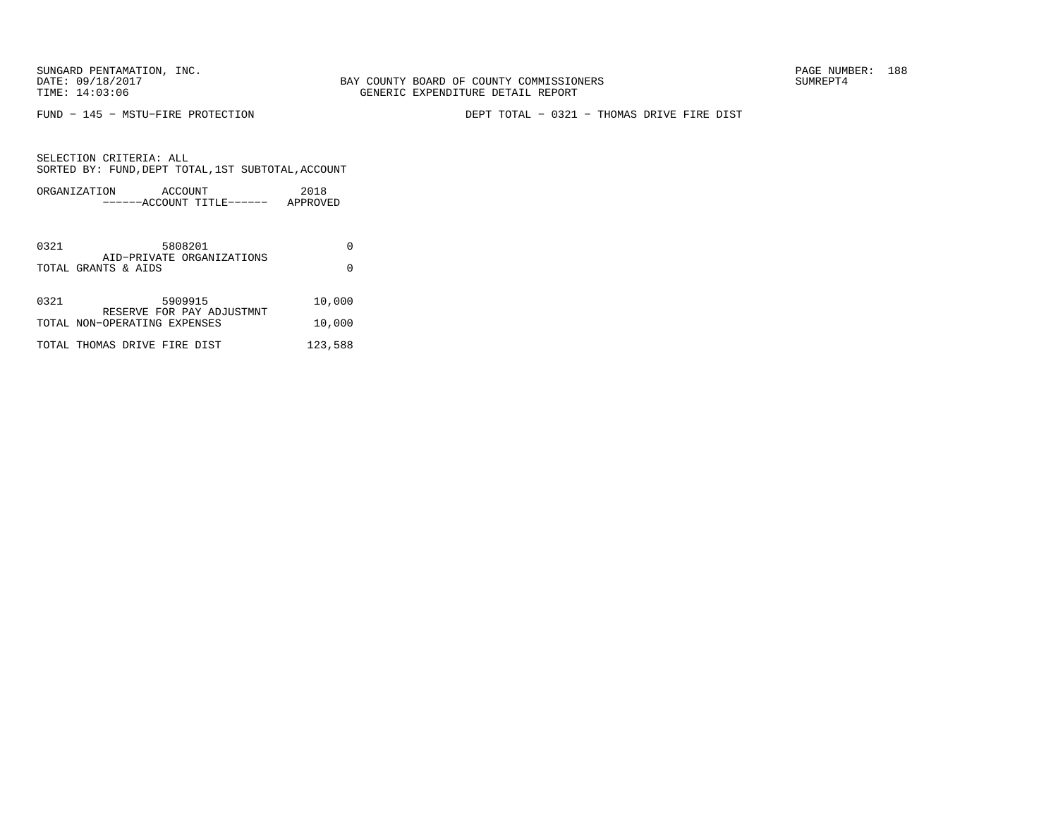FUND − 145 − MSTU−FIRE PROTECTION DEPT TOTAL − 0321 − THOMAS DRIVE FIRE DIST

| ORGANIZATION | ACCOUNT               | 2018     |
|--------------|-----------------------|----------|
|              | $---ACCOINT TITLE---$ | APPROVED |

| 0321 | 5808201                                                   |         |
|------|-----------------------------------------------------------|---------|
|      | AID-PRIVATE ORGANIZATIONS<br>TOTAL GRANTS & AIDS          |         |
| 0321 | 5909915                                                   | 10,000  |
|      | RESERVE FOR PAY ADJUSTMNT<br>TOTAL NON-OPERATING EXPENSES | 10,000  |
|      | TOTAL THOMAS DRIVE FIRE DIST                              | 123,588 |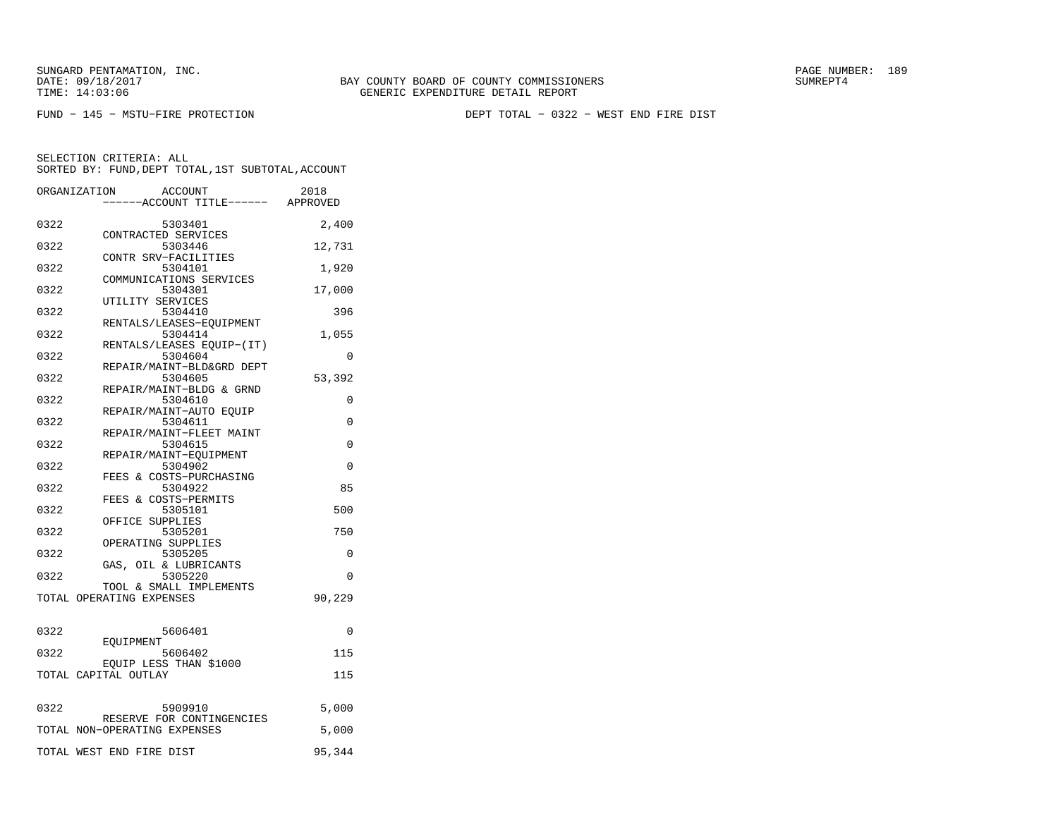FUND − 145 − MSTU−FIRE PROTECTION DEPT TOTAL − 0322 − WEST END FIRE DIST

|      | ORGANIZATION<br><b>ACCOUNT</b><br>----ACCOUNT TITLE------ APPROVED | 2018     |
|------|--------------------------------------------------------------------|----------|
| 0322 | 5303401                                                            | 2,400    |
| 0322 | CONTRACTED SERVICES<br>5303446                                     | 12,731   |
| 0322 | CONTR SRV-FACILITIES<br>5304101                                    | 1,920    |
| 0322 | COMMUNICATIONS SERVICES<br>5304301                                 | 17,000   |
| 0322 | UTILITY SERVICES<br>5304410                                        | 396      |
| 0322 | RENTALS/LEASES-EQUIPMENT<br>5304414                                | 1,055    |
| 0322 | RENTALS/LEASES EQUIP-(IT)<br>5304604                               | 0        |
| 0322 | REPAIR/MAINT-BLD&GRD DEPT<br>5304605                               | 53,392   |
| 0322 | REPAIR/MAINT-BLDG & GRND<br>5304610                                | 0        |
| 0322 | REPAIR/MAINT-AUTO EQUIP<br>5304611                                 | $\Omega$ |
| 0322 | REPAIR/MAINT-FLEET MAINT<br>5304615                                | 0        |
| 0322 | REPAIR/MAINT-EQUIPMENT<br>5304902                                  | 0        |
| 0322 | FEES & COSTS-PURCHASING<br>5304922                                 | 85       |
| 0322 | FEES & COSTS-PERMITS<br>5305101                                    | 500      |
| 0322 | OFFICE SUPPLIES<br>5305201                                         | 750      |
| 0322 | OPERATING SUPPLIES<br>5305205                                      | 0        |
|      | GAS, OIL & LUBRICANTS                                              |          |
| 0322 | 5305220<br>TOOL & SMALL IMPLEMENTS                                 | 0        |
|      | TOTAL OPERATING EXPENSES                                           | 90,229   |
| 0322 | 5606401                                                            | 0        |
| 0322 | EOUIPMENT<br>5606402                                               | 115      |
|      | EQUIP LESS THAN \$1000<br>TOTAL CAPITAL OUTLAY                     | 115      |
| 0322 | 5909910                                                            | 5,000    |
|      | RESERVE FOR CONTINGENCIES<br>TOTAL NON-OPERATING EXPENSES          | 5,000    |
|      |                                                                    |          |
|      | TOTAL WEST END FIRE DIST                                           | 95,344   |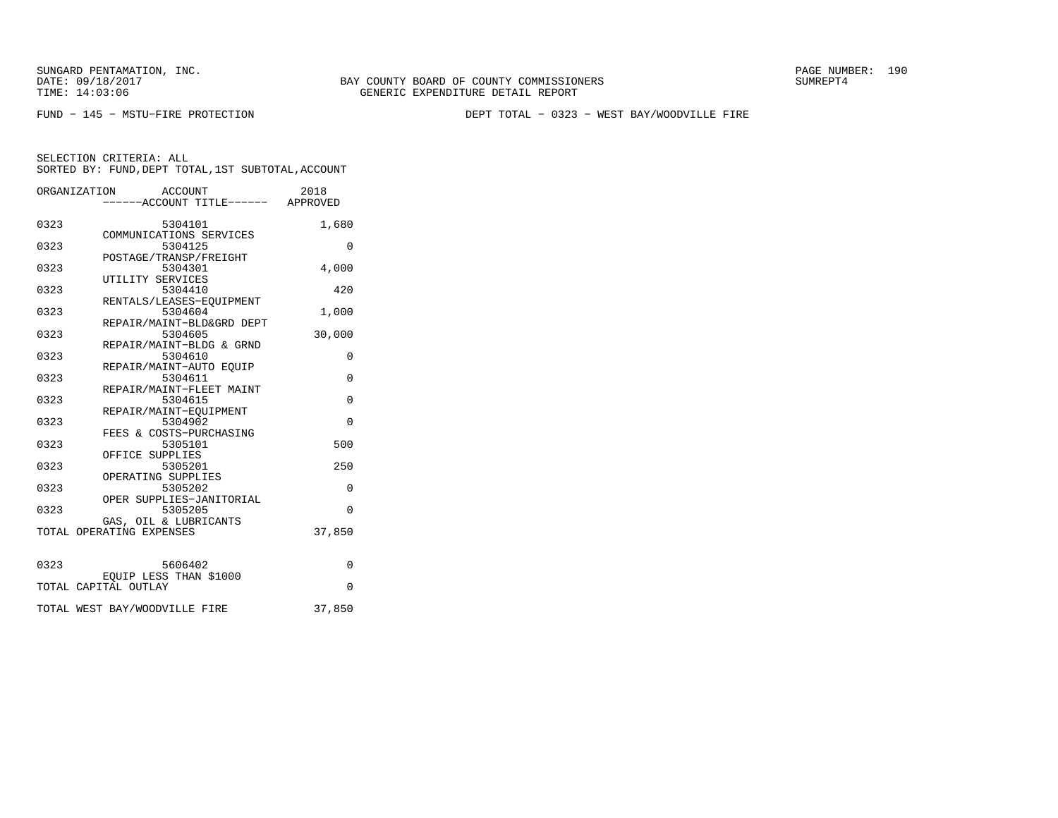FUND − 145 − MSTU−FIRE PROTECTION DEPT TOTAL − 0323 − WEST BAY/WOODVILLE FIRE

|      | ORGANIZATION<br>ACCOUNT<br>-----ACCOUNT TITLE------ APPROVED | 2018     |
|------|--------------------------------------------------------------|----------|
|      |                                                              |          |
| 0323 | 5304101                                                      | 1,680    |
| 0323 | COMMUNICATIONS SERVICES<br>5304125                           | $\Omega$ |
|      | POSTAGE/TRANSP/FREIGHT                                       |          |
| 0323 | 5304301                                                      | 4,000    |
|      | UTILITY SERVICES                                             |          |
| 0323 | 5304410                                                      | 420      |
|      | RENTALS/LEASES-EOUIPMENT                                     |          |
| 0323 | 5304604                                                      | 1,000    |
|      | REPAIR/MAINT-BLD&GRD DEPT                                    |          |
| 0323 | 5304605                                                      | 30,000   |
|      | REPAIR/MAINT-BLDG & GRND                                     |          |
| 0323 | 5304610                                                      | 0        |
| 0323 | REPAIR/MAINT-AUTO EOUIP<br>5304611                           | $\Omega$ |
|      | REPAIR/MAINT-FLEET MAINT                                     |          |
| 0323 | 5304615                                                      | $\Omega$ |
|      | REPAIR/MAINT-EOUIPMENT                                       |          |
| 0323 | 5304902                                                      | $\Omega$ |
|      | FEES & COSTS-PURCHASING                                      |          |
| 0323 | 5305101                                                      | 500      |
|      | OFFICE SUPPLIES                                              |          |
| 0323 | 5305201                                                      | 250      |
|      | OPERATING SUPPLIES                                           |          |
| 0323 | 5305202                                                      | $\Omega$ |
|      | OPER SUPPLIES-JANITORIAL                                     |          |
| 0323 | 5305205                                                      | $\Omega$ |
|      | GAS, OIL & LUBRICANTS                                        |          |
|      | TOTAL OPERATING EXPENSES                                     | 37,850   |
|      |                                                              |          |
| 0323 | 5606402                                                      | 0        |
|      | EQUIP LESS THAN \$1000                                       |          |
|      | TOTAL CAPITAL OUTLAY                                         | $\Omega$ |
|      |                                                              |          |
|      | TOTAL WEST BAY/WOODVILLE FIRE                                | 37,850   |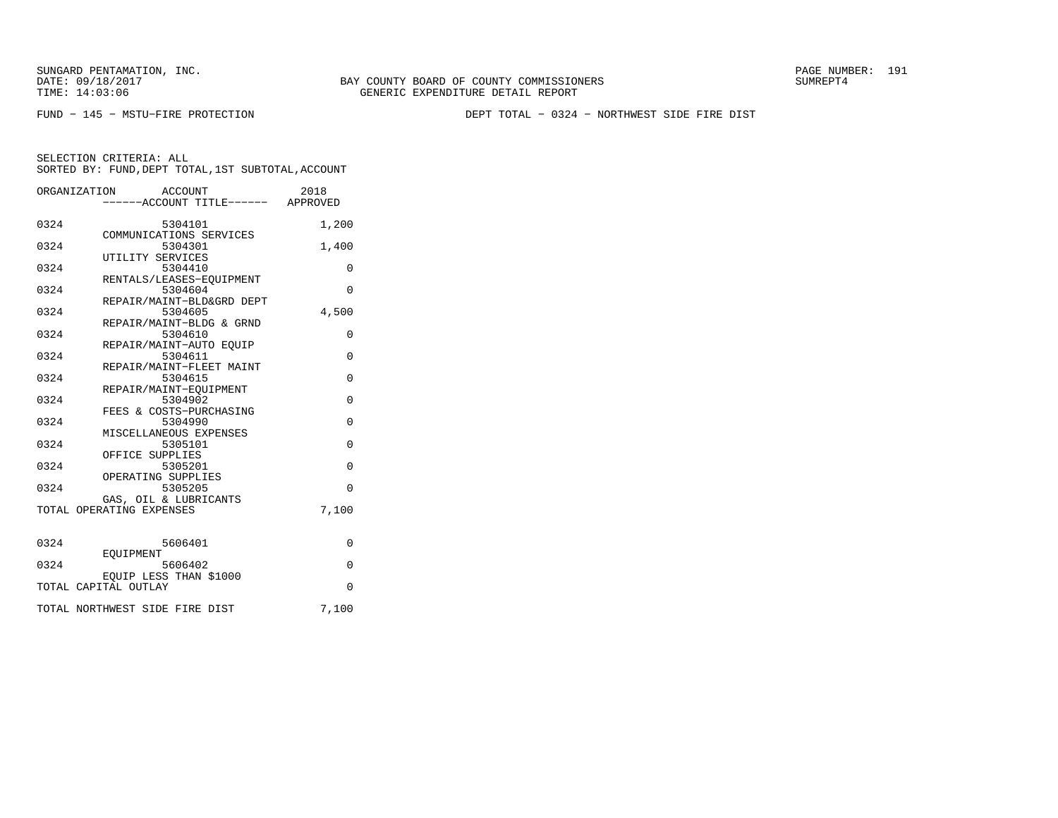BAY COUNTY BOARD OF COUNTY COMMISSIONERS TIME: 14:03:06 GENERIC EXPENDITURE DETAIL REPORT

FUND − 145 − MSTU−FIRE PROTECTION DEPT TOTAL − 0324 − NORTHWEST SIDE FIRE DIST

|      | ORGANIZATION<br>ACCOUNT<br>-----ACCOUNT TITLE------ APPROVED | 2018     |
|------|--------------------------------------------------------------|----------|
| 0324 | 5304101<br>COMMUNICATIONS SERVICES                           | 1,200    |
| 0324 | 5304301                                                      | 1,400    |
| 0324 | UTILITY SERVICES<br>5304410                                  | 0        |
| 0324 | RENTALS/LEASES-EOUIPMENT<br>5304604                          | $\Omega$ |
| 0324 | REPAIR/MAINT-BLD&GRD DEPT<br>5304605                         | 4,500    |
| 0324 | REPAIR/MAINT-BLDG & GRND<br>5304610                          | 0        |
| 0324 | REPAIR/MAINT-AUTO EOUIP<br>5304611                           | $\Omega$ |
| 0324 | REPAIR/MAINT-FLEET MAINT<br>5304615                          | $\Omega$ |
| 0324 | REPAIR/MAINT-EQUIPMENT<br>5304902                            | $\Omega$ |
| 0324 | FEES & COSTS-PURCHASING<br>5304990                           | $\Omega$ |
| 0324 | MISCELLANEOUS EXPENSES<br>5305101                            | $\Omega$ |
| 0324 | OFFICE SUPPLIES<br>5305201                                   | $\Omega$ |
| 0324 | OPERATING SUPPLIES<br>5305205                                | $\Omega$ |
|      | GAS, OIL & LUBRICANTS<br>TOTAL OPERATING EXPENSES            | 7,100    |
| 0324 | 5606401                                                      | $\Omega$ |
| 0324 | EOUIPMENT<br>5606402                                         | $\Omega$ |
|      | EQUIP LESS THAN \$1000<br>TOTAL CAPITAL OUTLAY               | $\Omega$ |
|      | TOTAL NORTHWEST SIDE FIRE DIST                               | 7,100    |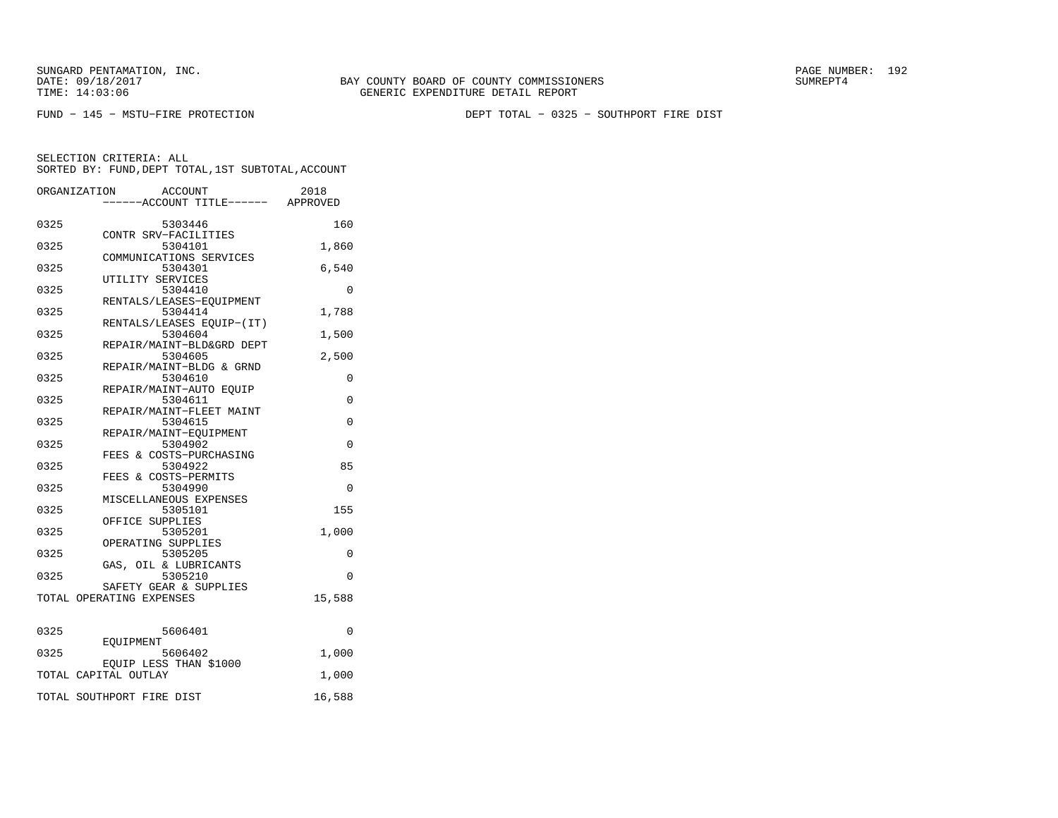FUND − 145 − MSTU−FIRE PROTECTION DEPT TOTAL − 0325 − SOUTHPORT FIRE DIST

|      | ORGANIZATION<br>ACCOUNT<br>----ACCOUNT TITLE------ APPROVED | 2018     |
|------|-------------------------------------------------------------|----------|
|      |                                                             |          |
| 0325 | 5303446                                                     | 160      |
|      | CONTR SRV-FACILITIES                                        |          |
| 0325 | 5304101                                                     | 1,860    |
|      | COMMUNICATIONS SERVICES                                     |          |
| 0325 | 5304301<br>UTILITY SERVICES                                 | 6,540    |
| 0325 | 5304410                                                     | $\Omega$ |
|      | RENTALS/LEASES-EQUIPMENT                                    |          |
| 0325 | 5304414                                                     | 1,788    |
|      | RENTALS/LEASES EOUIP-(IT)                                   |          |
| 0325 | 5304604                                                     | 1,500    |
|      | REPAIR/MAINT-BLD&GRD DEPT                                   |          |
| 0325 | 5304605                                                     | 2,500    |
| 0325 | REPAIR/MAINT-BLDG & GRND                                    |          |
|      | 5304610<br>REPAIR/MAINT-AUTO EQUIP                          | 0        |
| 0325 | 5304611                                                     | 0        |
|      | REPAIR/MAINT-FLEET MAINT                                    |          |
| 0325 | 5304615                                                     | 0        |
|      | REPAIR/MAINT-EOUIPMENT                                      |          |
| 0325 | 5304902                                                     | $\Omega$ |
|      | FEES & COSTS-PURCHASING                                     |          |
| 0325 | 5304922                                                     | 85       |
|      | FEES & COSTS-PERMITS                                        |          |
| 0325 | 5304990                                                     | $\Omega$ |
| 0325 | MISCELLANEOUS EXPENSES<br>5305101                           | 155      |
|      | OFFICE SUPPLIES                                             |          |
| 0325 | 5305201                                                     | 1,000    |
|      | OPERATING SUPPLIES                                          |          |
| 0325 | 5305205                                                     | 0        |
|      | GAS, OIL & LUBRICANTS                                       |          |
| 0325 | 5305210                                                     | 0        |
|      | SAFETY GEAR & SUPPLIES                                      |          |
|      | TOTAL OPERATING EXPENSES                                    | 15,588   |
| 0325 | 5606401                                                     | $\Omega$ |
|      | EOUIPMENT                                                   |          |
| 0325 | 5606402                                                     | 1,000    |
|      | EQUIP LESS THAN \$1000                                      |          |
|      | TOTAL CAPITAL OUTLAY                                        | 1,000    |
|      | TOTAL SOUTHPORT FIRE DIST                                   | 16,588   |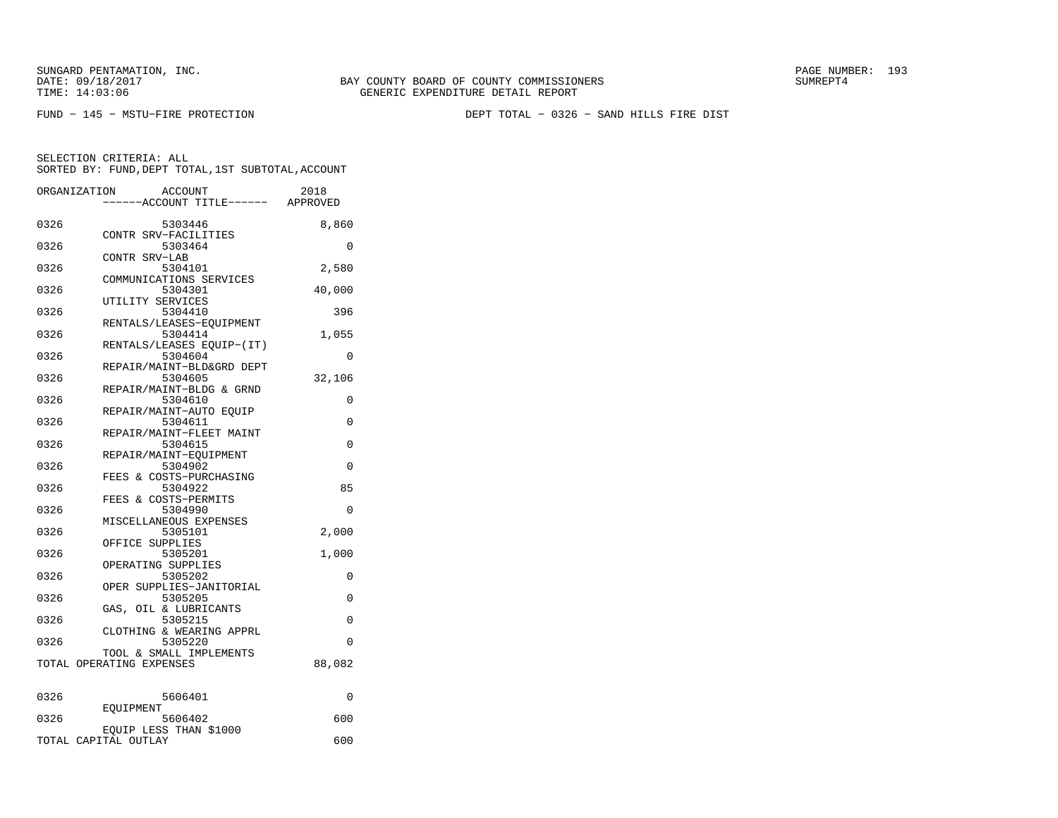BAY COUNTY BOARD OF COUNTY COMMISSIONERS TIME: 14:03:06 GENERIC EXPENDITURE DETAIL REPORT

FUND − 145 − MSTU−FIRE PROTECTION DEPT TOTAL − 0326 − SAND HILLS FIRE DIST

| ORGANIZATION | <b>ACCOUNT</b><br>---ACCOUNT TITLE------ APPROVED   | 2018     |
|--------------|-----------------------------------------------------|----------|
| 0326         | 5303446                                             | 8,860    |
| 0326         | CONTR SRV-FACILITIES<br>5303464                     | 0        |
| 0326         | CONTR SRV-LAB<br>5304101                            | 2,580    |
| 0326         | COMMUNICATIONS SERVICES<br>5304301                  | 40,000   |
| 0326         | UTILITY SERVICES<br>5304410                         | 396      |
| 0326         | RENTALS/LEASES-EQUIPMENT<br>5304414                 | 1,055    |
| 0326         | RENTALS/LEASES EQUIP-(IT)<br>5304604                | $\Omega$ |
| 0326         | REPAIR/MAINT-BLD&GRD DEPT<br>5304605                | 32,106   |
| 0326         | REPAIR/MAINT-BLDG & GRND<br>5304610                 | 0        |
| 0326         | REPAIR/MAINT-AUTO EQUIP<br>5304611                  | 0        |
| 0326         | REPAIR/MAINT-FLEET MAINT<br>5304615                 | 0        |
| 0326         | REPAIR/MAINT-EQUIPMENT<br>5304902                   | 0        |
| 0326         | FEES & COSTS-PURCHASING<br>5304922                  | 85       |
| 0326         | FEES & COSTS-PERMITS<br>5304990                     | 0        |
| 0326         | MISCELLANEOUS EXPENSES<br>5305101                   | 2,000    |
| 0326         | OFFICE SUPPLIES<br>5305201                          | 1,000    |
| 0326         | OPERATING SUPPLIES<br>5305202                       | 0        |
| 0326         | OPER SUPPLIES-JANITORIAL<br>5305205                 | 0        |
| 0326         | GAS, OIL & LUBRICANTS<br>5305215                    | $\Omega$ |
| 0326         | CLOTHING & WEARING APPRL<br>5305220                 | 0        |
|              | TOOL & SMALL IMPLEMENTS<br>TOTAL OPERATING EXPENSES | 88,082   |
| 0326         | 5606401                                             | 0        |
| 0326         | EOUIPMENT<br>5606402                                | 600      |
|              | EQUIP LESS THAN \$1000<br>TOTAL CAPITAL OUTLAY      | 600      |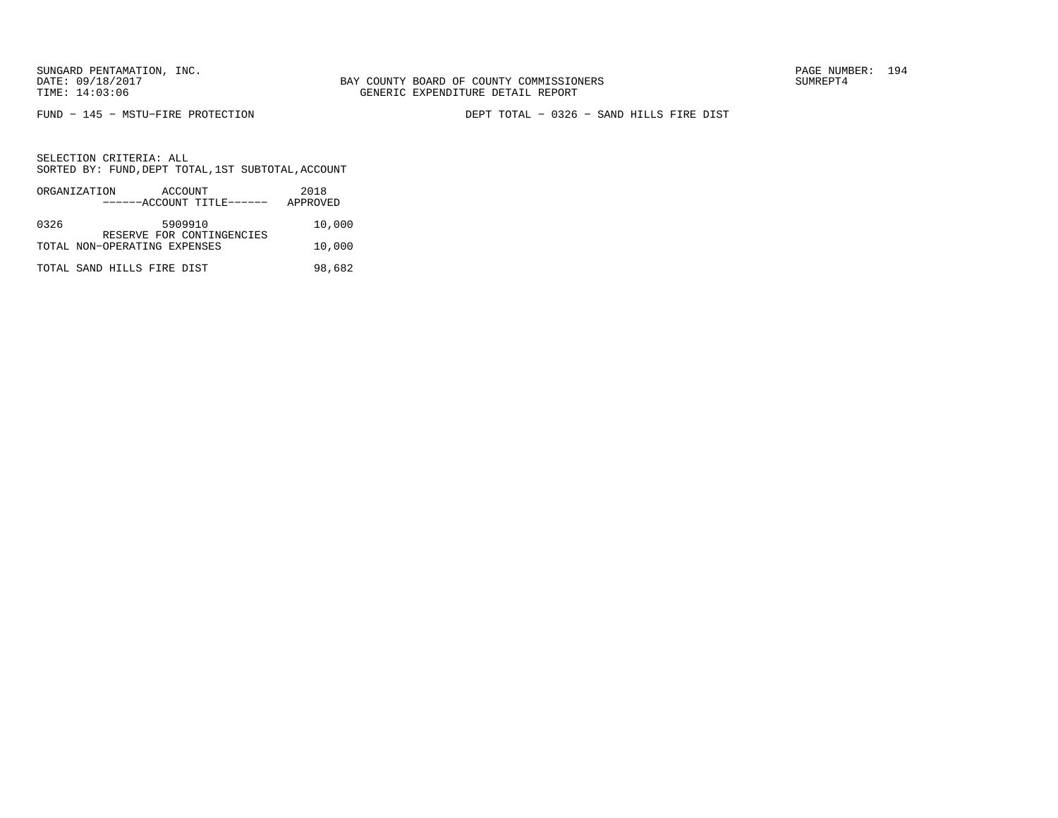FUND − 145 − MSTU−FIRE PROTECTION DEPT TOTAL − 0326 − SAND HILLS FIRE DIST

|      | ORGANIZATION<br>ACCOUNT<br>------ACCOUNT TITLE------ | 2018<br>APPROVED |
|------|------------------------------------------------------|------------------|
| 0326 | 5909910<br>RESERVE FOR CONTINGENCIES                 | 10,000           |
|      | TOTAL NON-OPERATING EXPENSES                         | 10,000           |
|      | TOTAL SAND HILLS FIRE DIST                           | 98,682           |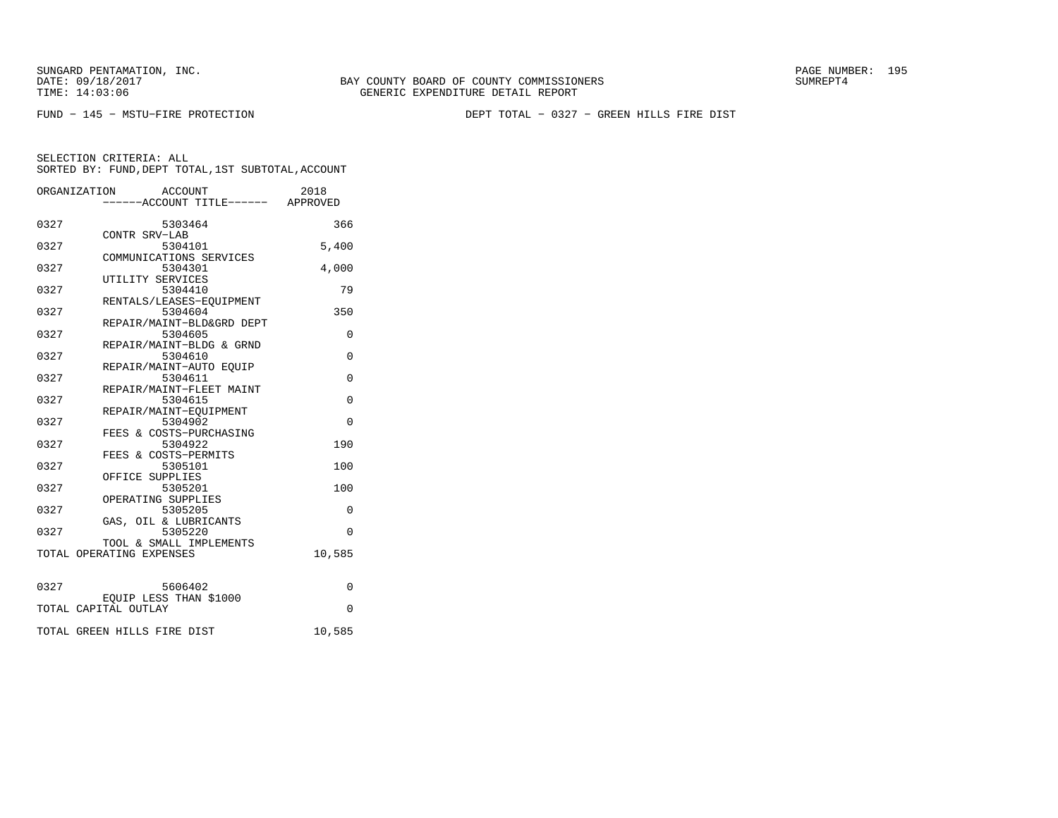BAY COUNTY BOARD OF COUNTY COMMISSIONERS TIME: 14:03:06 GENERIC EXPENDITURE DETAIL REPORT

FUND − 145 − MSTU−FIRE PROTECTION DEPT TOTAL − 0327 − GREEN HILLS FIRE DIST

|      | ORGANIZATION ACCOUNT                 | 2018           |
|------|--------------------------------------|----------------|
|      | ------ACCOUNT TITLE------ APPROVED   |                |
| 0327 | 5303464<br>CONTR SRV-LAB             | 366            |
| 0327 | 5304101<br>COMMUNICATIONS SERVICES   | 5.400          |
| 0327 | 5304301<br>UTILITY SERVICES          | 4,000          |
| 0327 | 5304410<br>RENTALS/LEASES-EQUIPMENT  | 79             |
| 0327 | 5304604<br>REPAIR/MAINT-BLD&GRD DEPT | 350            |
| 0327 | 5304605<br>REPAIR/MAINT-BLDG & GRND  | 0              |
| 0327 | 5304610<br>REPAIR/MAINT-AUTO EOUIP   | $\Omega$       |
| 0327 | 5304611<br>REPAIR/MAINT-FLEET MAINT  | $\Omega$       |
| 0327 | 5304615<br>REPAIR/MAINT-EOUIPMENT    | $\overline{0}$ |
| 0327 | 5304902<br>FEES & COSTS-PURCHASING   | $\Omega$       |
| 0327 | 5304922<br>FEES & COSTS-PERMITS      | 190            |
| 0327 | 5305101<br>OFFICE SUPPLIES           | 100            |
| 0327 | 5305201<br>OPERATING SUPPLIES        | 100            |
| 0327 | 5305205<br>GAS, OIL & LUBRICANTS     | 0              |
| 0327 | 5305220<br>TOOL & SMALL IMPLEMENTS   | $\Omega$       |
|      | TOTAL OPERATING EXPENSES             | 10,585         |
| 0327 | 5606402<br>EQUIP LESS THAN \$1000    | 0              |
|      | TOTAL CAPITAL OUTLAY                 | $\Omega$       |
|      | TOTAL GREEN HILLS FIRE DIST          | 10,585         |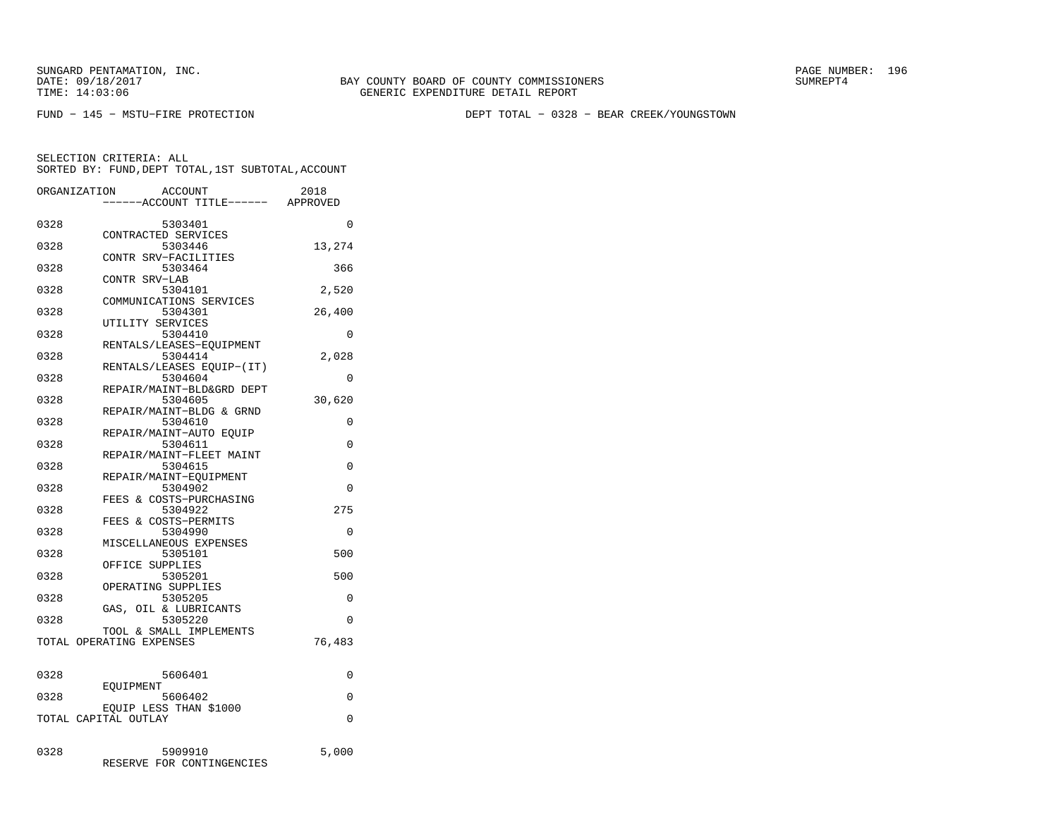BAY COUNTY BOARD OF COUNTY COMMISSIONERS TIME: 14:03:06 GENERIC EXPENDITURE DETAIL REPORT

FUND − 145 − MSTU−FIRE PROTECTION DEPT TOTAL − 0328 − BEAR CREEK/YOUNGSTOWN

| ORGANIZATION | <b>ACCOUNT</b>                       | 2018     |
|--------------|--------------------------------------|----------|
|              | ---ACCOUNT TITLE------ APPROVED      |          |
| 0328         | 5303401                              | $\Omega$ |
|              | CONTRACTED SERVICES                  |          |
| 0328         | 5303446                              | 13,274   |
| 0328         | CONTR SRV-FACILITIES<br>5303464      | 366      |
|              | CONTR SRV-LAB                        |          |
| 0328         | 5304101                              | 2,520    |
|              | COMMUNICATIONS SERVICES              |          |
| 0328         | 5304301                              | 26,400   |
| 0328         | UTILITY SERVICES<br>5304410          | 0        |
|              | RENTALS/LEASES-EOUIPMENT             |          |
| 0328         | 5304414                              | 2,028    |
|              | RENTALS/LEASES EOUIP-(IT)            |          |
| 0328         | 5304604                              | 0        |
|              | REPAIR/MAINT-BLD&GRD DEPT            |          |
| 0328         | 5304605<br>REPAIR/MAINT-BLDG & GRND  | 30,620   |
| 0328         | 5304610                              | $\Omega$ |
|              | REPAIR/MAINT-AUTO EQUIP              |          |
| 0328         | 5304611                              | $\Omega$ |
|              | REPAIR/MAINT-FLEET MAINT             |          |
| 0328         | 5304615                              | $\Omega$ |
| 0328         | REPAIR/MAINT-EQUIPMENT<br>5304902    | $\Omega$ |
|              | FEES & COSTS-PURCHASING              |          |
| 0328         | 5304922                              | 275      |
|              | FEES & COSTS-PERMITS                 |          |
| 0328         | 5304990                              | $\Omega$ |
|              | MISCELLANEOUS EXPENSES               | 500      |
| 0328         | 5305101<br>OFFICE SUPPLIES           |          |
| 0328         | 5305201                              | 500      |
|              | OPERATING SUPPLIES                   |          |
| 0328         | 5305205                              | 0        |
|              | GAS, OIL & LUBRICANTS                |          |
| 0328         | 5305220<br>TOOL & SMALL IMPLEMENTS   | 0        |
|              | TOTAL OPERATING EXPENSES             | 76,483   |
|              |                                      |          |
|              |                                      |          |
| 0328         | 5606401                              | 0        |
| 0328         | EOUIPMENT                            | 0        |
|              | 5606402<br>EOUIP LESS THAN \$1000    |          |
|              | TOTAL CAPITAL OUTLAY                 | 0        |
|              |                                      |          |
|              |                                      |          |
| 0328         | 5909910<br>RESERVE FOR CONTINGENCIES | 5,000    |
|              |                                      |          |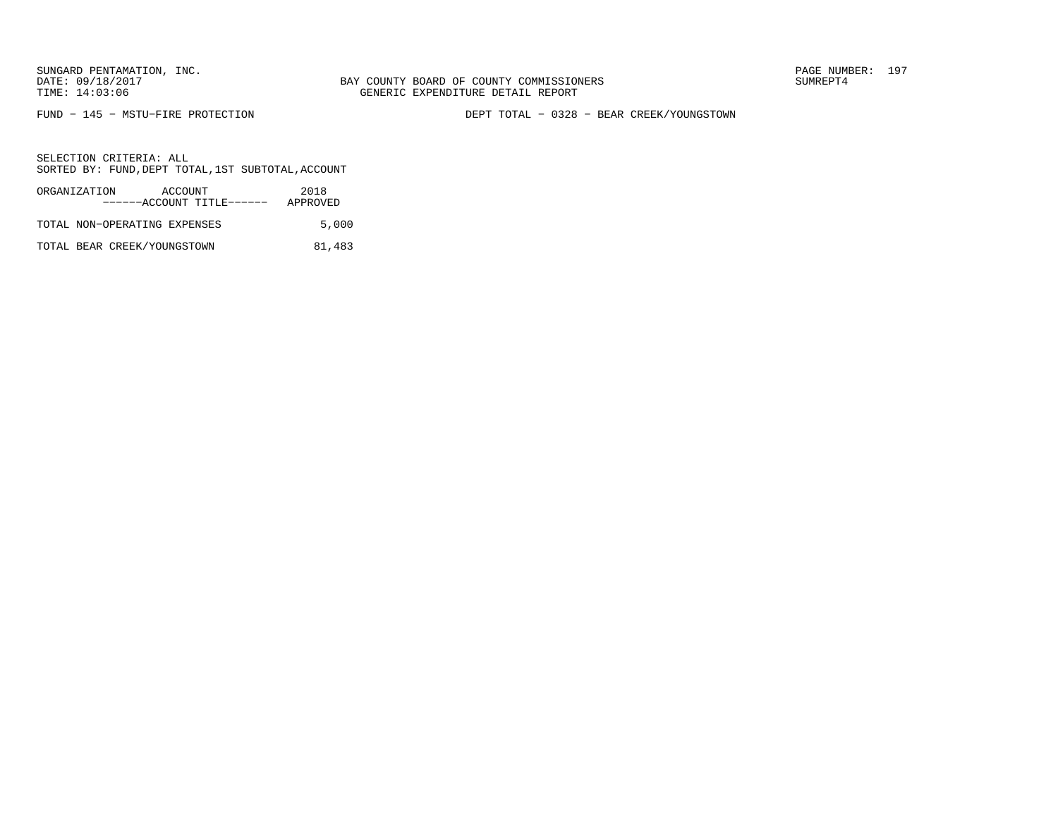BAY COUNTY BOARD OF COUNTY COMMISSIONERS TIME: 14:03:06 GENERIC EXPENDITURE DETAIL REPORT

FUND − 145 − MSTU−FIRE PROTECTION DEPT TOTAL − 0328 − BEAR CREEK/YOUNGSTOWN

SELECTION CRITERIA: ALLSORTED BY: FUND,DEPT TOTAL,1ST SUBTOTAL,ACCOUNT

| ORGANIZATION                 | ACCOUNT |                           | 2018     |
|------------------------------|---------|---------------------------|----------|
|                              |         | ------ACCOUNT TITLE------ | APPROVED |
| TOTAL NON-OPERATING EXPENSES |         |                           | 5,000    |

TOTAL BEAR CREEK/YOUNGSTOWN 81,483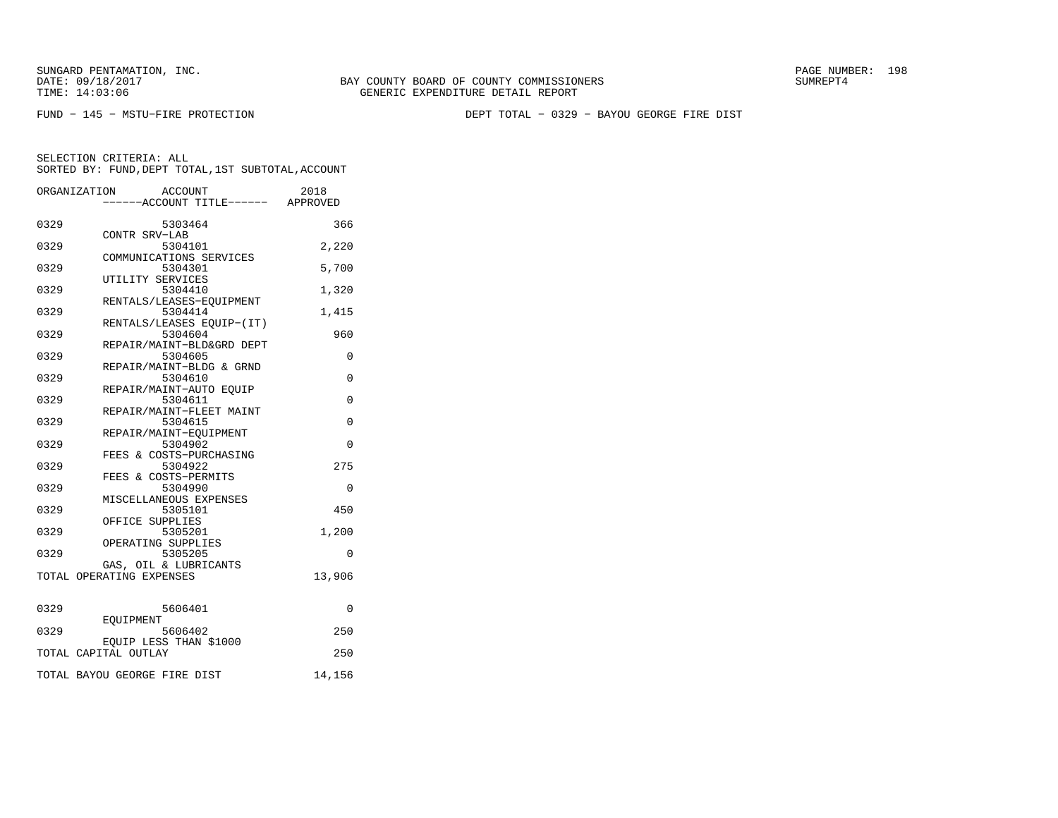BAY COUNTY BOARD OF COUNTY COMMISSIONERS TIME: 14:03:06 GENERIC EXPENDITURE DETAIL REPORT

FUND − 145 − MSTU−FIRE PROTECTION DEPT TOTAL − 0329 − BAYOU GEORGE FIRE DIST

|      | ACCOUNT<br>ORGANIZATION              | 2018        |
|------|--------------------------------------|-------------|
|      | ----ACCOUNT TITLE------ APPROVED     |             |
| 0329 | 5303464                              | 366         |
| 0329 | CONTR SRV-LAB<br>5304101             | 2,220       |
|      | COMMUNICATIONS SERVICES              |             |
| 0329 | 5304301                              | 5,700       |
| 0329 | UTILITY SERVICES<br>5304410          | 1,320       |
|      | RENTALS/LEASES-EQUIPMENT             |             |
| 0329 | 5304414                              | 1,415       |
| 0329 | RENTALS/LEASES EQUIP-(IT)<br>5304604 | 960         |
|      | REPAIR/MAINT-BLD&GRD DEPT            |             |
| 0329 | 5304605<br>REPAIR/MAINT-BLDG & GRND  | $\Omega$    |
| 0329 | 5304610                              | 0           |
|      | REPAIR/MAINT-AUTO EOUIP              |             |
| 0329 | 5304611<br>REPAIR/MAINT-FLEET MAINT  | $\mathbf 0$ |
| 0329 | 5304615                              | $\Omega$    |
|      | REPAIR/MAINT-EQUIPMENT               |             |
| 0329 | 5304902<br>FEES & COSTS-PURCHASING   | $\Omega$    |
| 0329 | 5304922                              | 275         |
|      | FEES & COSTS-PERMITS                 |             |
| 0329 | 5304990<br>MISCELLANEOUS EXPENSES    | 0           |
| 0329 | 5305101                              | 450         |
|      | OFFICE SUPPLIES                      |             |
| 0329 | 5305201<br>OPERATING SUPPLIES        | 1,200       |
| 0329 | 5305205                              | $\Omega$    |
|      | GAS, OIL & LUBRICANTS                |             |
|      | TOTAL OPERATING EXPENSES             | 13,906      |
|      |                                      |             |
| 0329 | 5606401                              | 0           |
| 0329 | EOUIPMENT<br>5606402                 | 250         |
|      | EQUIP LESS THAN \$1000               |             |
|      | TOTAL CAPITAL OUTLAY                 | 250         |
|      | TOTAL BAYOU GEORGE FIRE DIST         | 14,156      |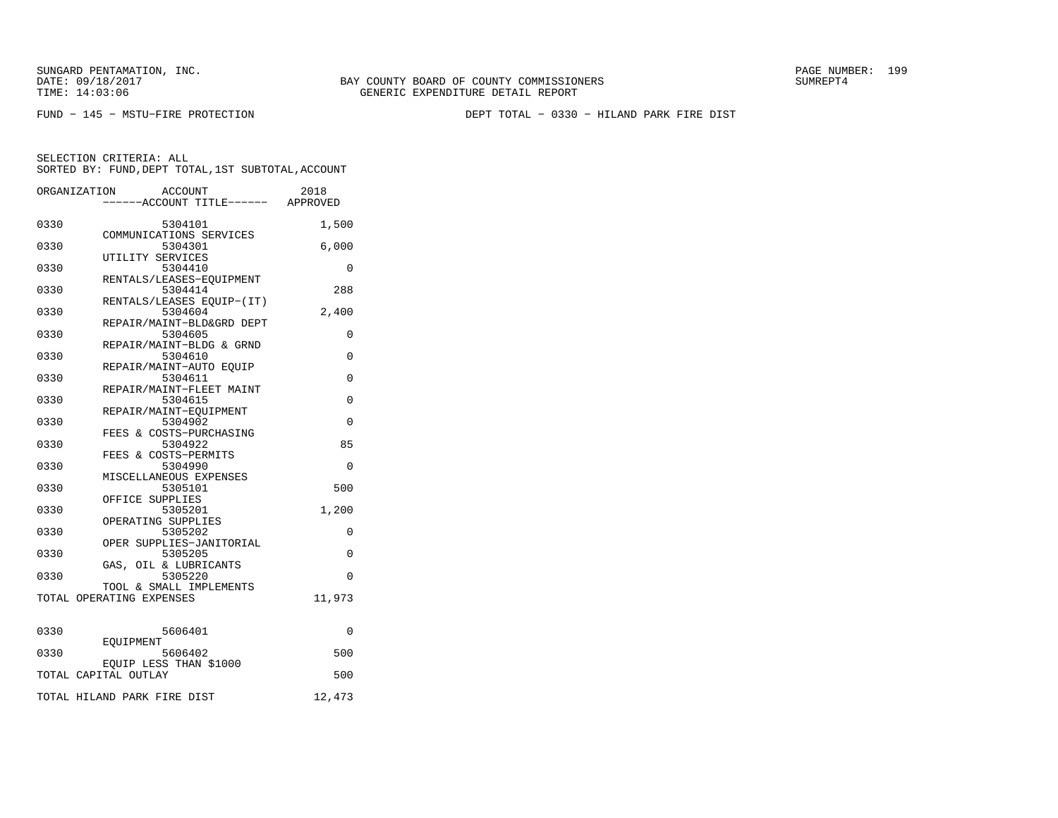BAY COUNTY BOARD OF COUNTY COMMISSIONERS TIME: 14:03:06 GENERIC EXPENDITURE DETAIL REPORT

FUND − 145 − MSTU−FIRE PROTECTION DEPT TOTAL − 0330 − HILAND PARK FIRE DIST

|      | ORGANIZATION<br>ACCOUNT<br>-----ACCOUNT TITLE------ APPROVED | 2018     |
|------|--------------------------------------------------------------|----------|
| 0330 | 5304101                                                      | 1,500    |
| 0330 | COMMUNICATIONS SERVICES<br>5304301                           | 6,000    |
| 0330 | UTILITY SERVICES<br>5304410                                  | 0        |
| 0330 | RENTALS/LEASES-EQUIPMENT<br>5304414                          | 288      |
| 0330 | RENTALS/LEASES EQUIP-(IT)<br>5304604                         | 2,400    |
| 0330 | REPAIR/MAINT-BLD&GRD DEPT<br>5304605                         | 0        |
| 0330 | REPAIR/MAINT-BLDG & GRND<br>5304610                          | 0        |
| 0330 | REPAIR/MAINT-AUTO EOUIP<br>5304611                           | $\Omega$ |
| 0330 | REPAIR/MAINT-FLEET MAINT<br>5304615                          | 0        |
| 0330 | REPAIR/MAINT-EOUIPMENT<br>5304902                            | $\Omega$ |
| 0330 | FEES & COSTS-PURCHASING<br>5304922<br>FEES & COSTS-PERMITS   | 85       |
| 0330 | 5304990<br>MISCELLANEOUS EXPENSES                            | $\Omega$ |
| 0330 | 5305101<br>OFFICE SUPPLIES                                   | 500      |
| 0330 | 5305201<br>OPERATING SUPPLIES                                | 1,200    |
| 0330 | 5305202<br>OPER SUPPLIES-JANITORIAL                          | 0        |
| 0330 | 5305205<br>GAS, OIL & LUBRICANTS                             | $\Omega$ |
| 0330 | 5305220<br>TOOL & SMALL IMPLEMENTS                           | 0        |
|      | TOTAL OPERATING EXPENSES                                     | 11,973   |
| 0330 | 5606401                                                      | 0        |
| 0330 | EOUIPMENT<br>5606402                                         | 500      |
|      | EQUIP LESS THAN \$1000<br>TOTAL CAPITAL OUTLAY               | 500      |
|      | TOTAL HILAND PARK FIRE DIST                                  | 12,473   |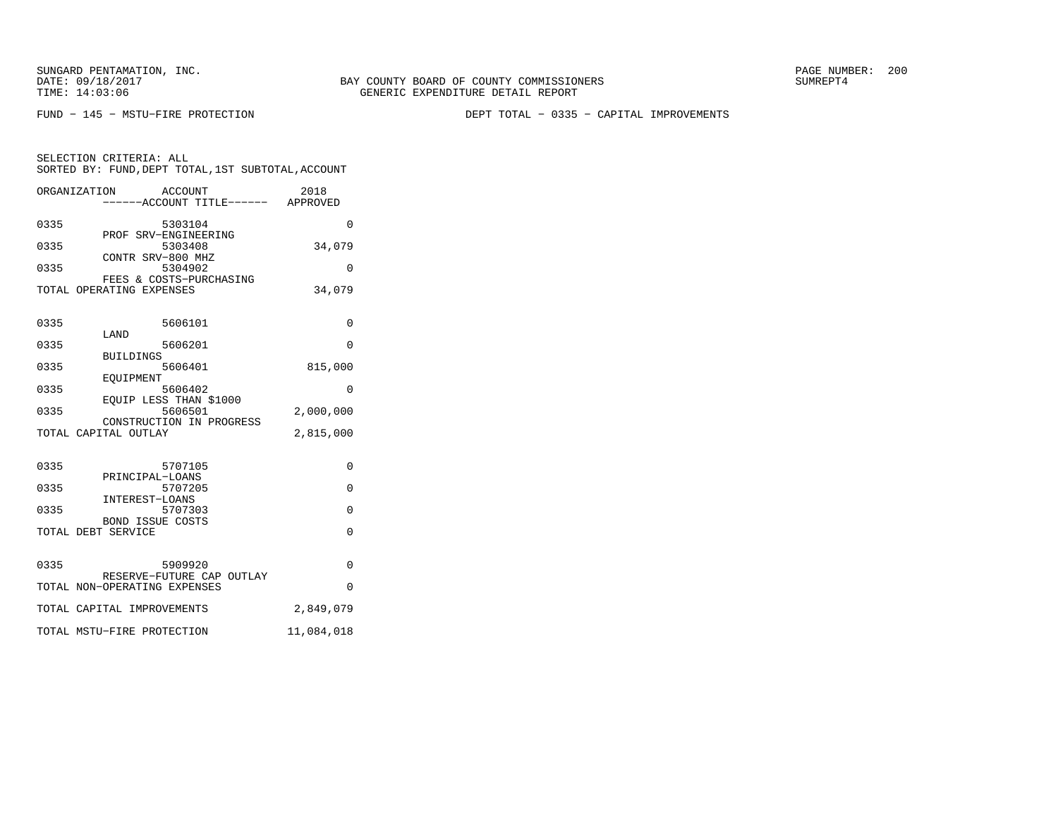SELECTION CRITERIA: ALL

FUND − 145 − MSTU−FIRE PROTECTION DEPT TOTAL − 0335 − CAPITAL IMPROVEMENTS

| ORGANIZATION             | ACCOUNT<br>------ACCOUNT TITLE------ | 2018<br>APPROVED |
|--------------------------|--------------------------------------|------------------|
| 0335                     | 5303104                              | O                |
|                          | PROF SRV-ENGINEERING                 |                  |
| 0335                     | 5303408                              | 34,079           |
|                          | CONTR SRV-800 MHZ                    |                  |
| 0335                     | 5304902                              | U                |
|                          | FEES & COSTS-PURCHASING              |                  |
| TOTAL OPERATING EXPENSES |                                      | 34,079           |
|                          |                                      |                  |
| 0335<br>- - - -          | 5606101                              | N                |

SORTED BY: FUND,DEPT TOTAL,1ST SUBTOTAL,ACCOUNT

|      | LAND                                                          |            |
|------|---------------------------------------------------------------|------------|
| 0335 | 5606201                                                       | $\Omega$   |
| 0335 | <b>BUILDINGS</b><br>5606401<br>EOUIPMENT                      | 815,000    |
| 0335 | 5606402                                                       | 0          |
| 0335 | EQUIP LESS THAN \$1000<br>5606501<br>CONSTRUCTION IN PROGRESS | 2,000,000  |
|      | TOTAL CAPITAL OUTLAY                                          | 2,815,000  |
|      |                                                               |            |
| 0335 | 5707105                                                       | $\Omega$   |
| 0335 | PRINCIPAL-LOANS<br>5707205                                    | $\Omega$   |
| 0335 | INTEREST-LOANS<br>5707303                                     | $\Omega$   |
|      | <b>BOND ISSUE COSTS</b><br>TOTAL DEBT SERVICE                 | $\Omega$   |
|      |                                                               |            |
| 0335 | 5909920<br>RESERVE-FUTURE CAP OUTLAY                          | $\Omega$   |
|      | TOTAL NON-OPERATING EXPENSES                                  | $\Omega$   |
|      | TOTAL CAPITAL IMPROVEMENTS                                    | 2,849,079  |
|      | TOTAL MSTU-FIRE PROTECTION                                    | 11,084,018 |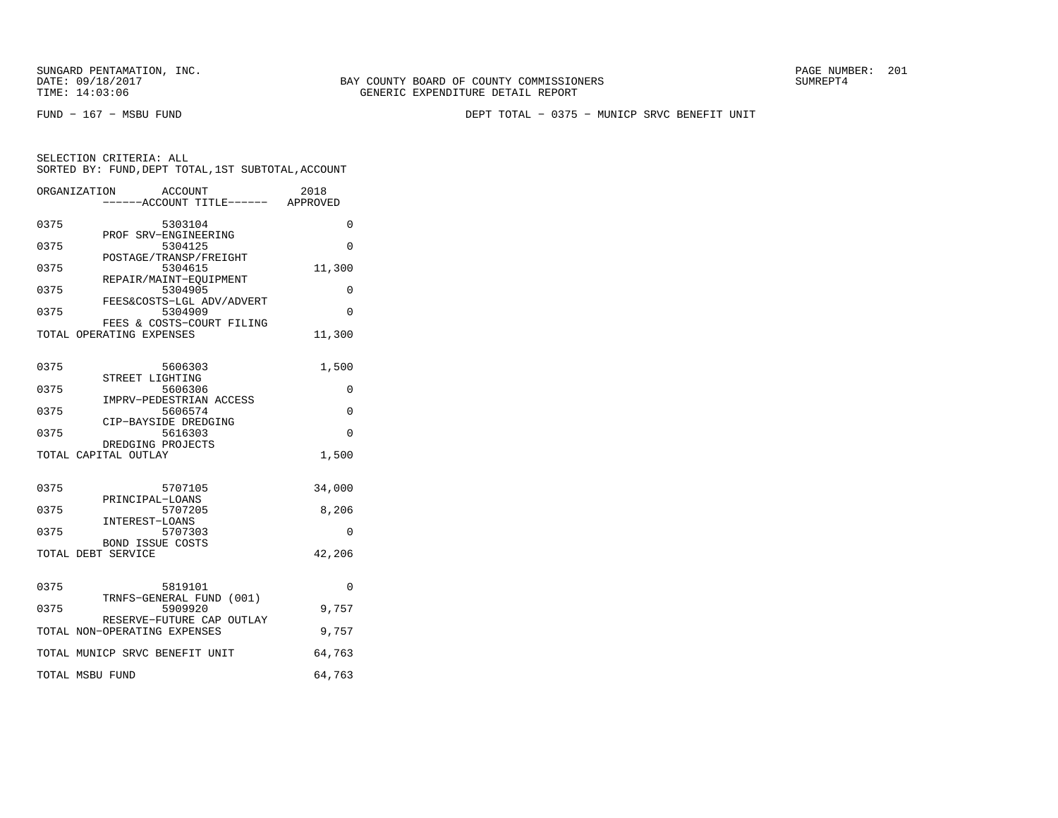FUND − 167 − MSBU FUND DEPT TOTAL − 0375 − MUNICP SRVC BENEFIT UNIT

| SELECTION CRITERIA: ALL                            |  |  |
|----------------------------------------------------|--|--|
| SORTED BY: FUND, DEPT TOTAL, 1ST SUBTOTAL, ACCOUNT |  |  |
|                                                    |  |  |

| ORGANIZATION                   | ACCOUNT                             | ----ACCOUNT TITLE------ APPROVED | 2018     |
|--------------------------------|-------------------------------------|----------------------------------|----------|
| 0375                           | 5303104                             |                                  | 0        |
| 0375                           | PROF SRV-ENGINEERING<br>5304125     |                                  | 0        |
| 0375                           | POSTAGE/TRANSP/FREIGHT<br>5304615   |                                  | 11,300   |
| 0375                           | REPAIR/MAINT-EQUIPMENT<br>5304905   |                                  | 0        |
| 0375                           | 5304909                             | FEES&COSTS-LGL ADV/ADVERT        | 0        |
| TOTAL OPERATING EXPENSES       |                                     | FEES & COSTS-COURT FILING        | 11,300   |
| 0375                           | 5606303                             |                                  | 1,500    |
| 0375                           | STREET LIGHTING<br>5606306          |                                  | 0        |
| 0375                           | IMPRV-PEDESTRIAN ACCESS<br>5606574  |                                  | 0        |
| 0375                           | CIP-BAYSIDE DREDGING<br>5616303     |                                  | $\Omega$ |
| TOTAL CAPITAL OUTLAY           | DREDGING PROJECTS                   |                                  | 1,500    |
| 0375                           | 5707105                             |                                  | 34,000   |
| 0375                           | PRINCIPAL-LOANS<br>5707205          |                                  | 8,206    |
| 0375                           | INTEREST-LOANS<br>5707303           |                                  | 0        |
| TOTAL DEBT SERVICE             | BOND ISSUE COSTS                    |                                  | 42,206   |
| 0375                           | 5819101                             |                                  | 0        |
| 0375                           | TRNFS-GENERAL FUND (001)<br>5909920 |                                  | 9,757    |
| TOTAL NON-OPERATING EXPENSES   |                                     | RESERVE-FUTURE CAP OUTLAY        | 9,757    |
| TOTAL MUNICP SRVC BENEFIT UNIT |                                     |                                  | 64,763   |
| TOTAL MSBU FUND                |                                     |                                  | 64,763   |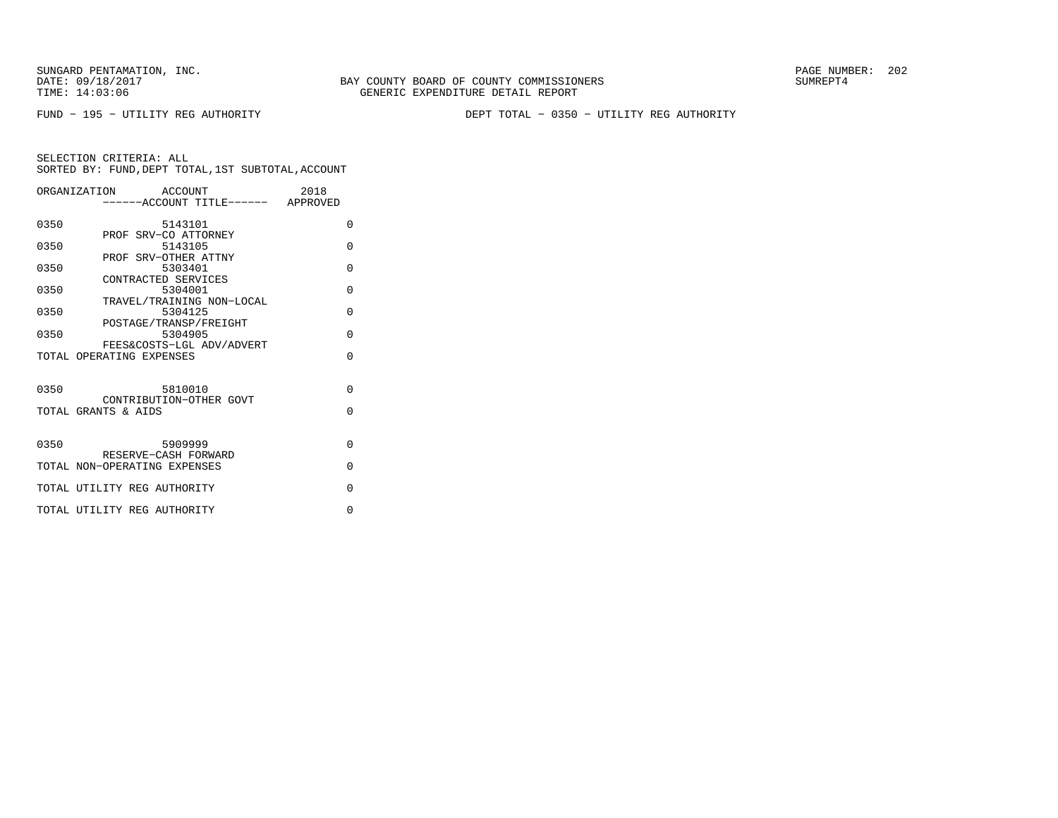FUND − 195 − UTILITY REG AUTHORITY DEPT TOTAL − 0350 − UTILITY REG AUTHORITY

|      | ORGANIZATION ACCOUNT                 | 2018     |
|------|--------------------------------------|----------|
|      | -----ACCOUNT TITLE------ APPROVED    |          |
|      |                                      |          |
| 0350 | 5143101<br>PROF SRV-CO ATTORNEY      | $\Omega$ |
| 0350 | 5143105                              | $\Omega$ |
|      | PROF SRV-OTHER ATTNY                 |          |
| 0350 | 5303401                              | $\Omega$ |
|      | CONTRACTED SERVICES                  |          |
| 0350 | 5304001                              | $\Omega$ |
| 0350 | TRAVEL/TRAINING NON-LOCAL<br>5304125 | $\Omega$ |
|      | POSTAGE/TRANSP/FREIGHT               |          |
| 0350 | 5304905                              | $\Omega$ |
|      | FEES&COSTS-LGL ADV/ADVERT            |          |
|      | TOTAL OPERATING EXPENSES             | $\Omega$ |
|      |                                      |          |
| 0350 | 5810010                              | $\Omega$ |
|      | CONTRIBUTION-OTHER GOVT              |          |
|      | TOTAL GRANTS & AIDS                  | $\Omega$ |
|      |                                      |          |
|      |                                      |          |
| 0350 | 5909999                              | $\Omega$ |
|      | RESERVE-CASH FORWARD                 |          |
|      | TOTAL NON-OPERATING EXPENSES         | $\Omega$ |
|      | TOTAL UTILITY REG AUTHORITY          | $\Omega$ |
|      |                                      |          |
|      | TOTAL UTILITY REG AUTHORITY          | $\Omega$ |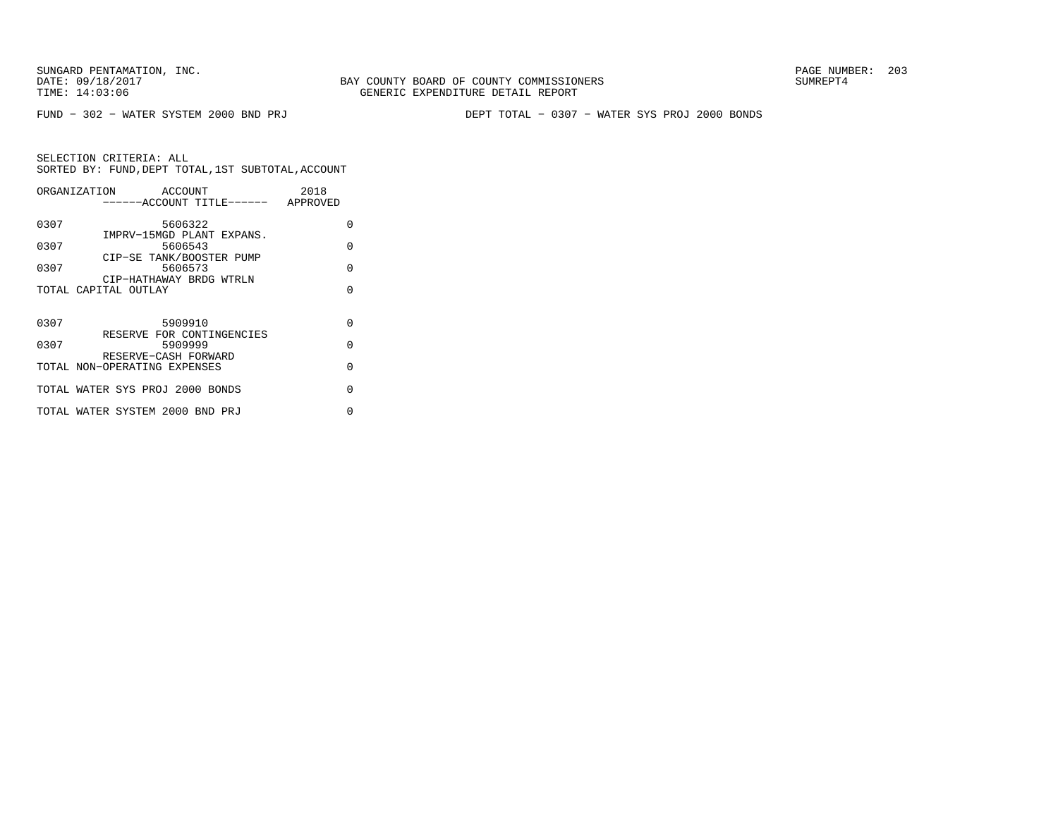FUND − 302 − WATER SYSTEM 2000 BND PRJ DEPT TOTAL − 0307 − WATER SYS PROJ 2000 BONDS

|      | ORGANIZATION<br>ACCOUNT<br>------ACCOUNT TITLE------ APPROVED | 2018     |
|------|---------------------------------------------------------------|----------|
| 0307 | 5606322                                                       | O        |
| 0307 | IMPRV-15MGD PLANT EXPANS.<br>5606543                          | O        |
| 0307 | CIP-SE TANK/BOOSTER PUMP<br>5606573                           | $\cap$   |
|      | CIP-HATHAWAY BRDG WTRLN<br>TOTAL CAPITAL OUTLAY               | U        |
|      |                                                               |          |
| 0307 | 5909910                                                       | $\cap$   |
| 0307 | RESERVE FOR CONTINGENCIES<br>5909999                          | $\Omega$ |
|      | RESERVE-CASH FORWARD<br>TOTAL NON-OPERATING EXPENSES          | $\Omega$ |
|      | TOTAL WATER SYS PROJ 2000 BONDS                               | U        |
|      | TOTAL WATER SYSTEM 2000 BND PRJ                               | ∩        |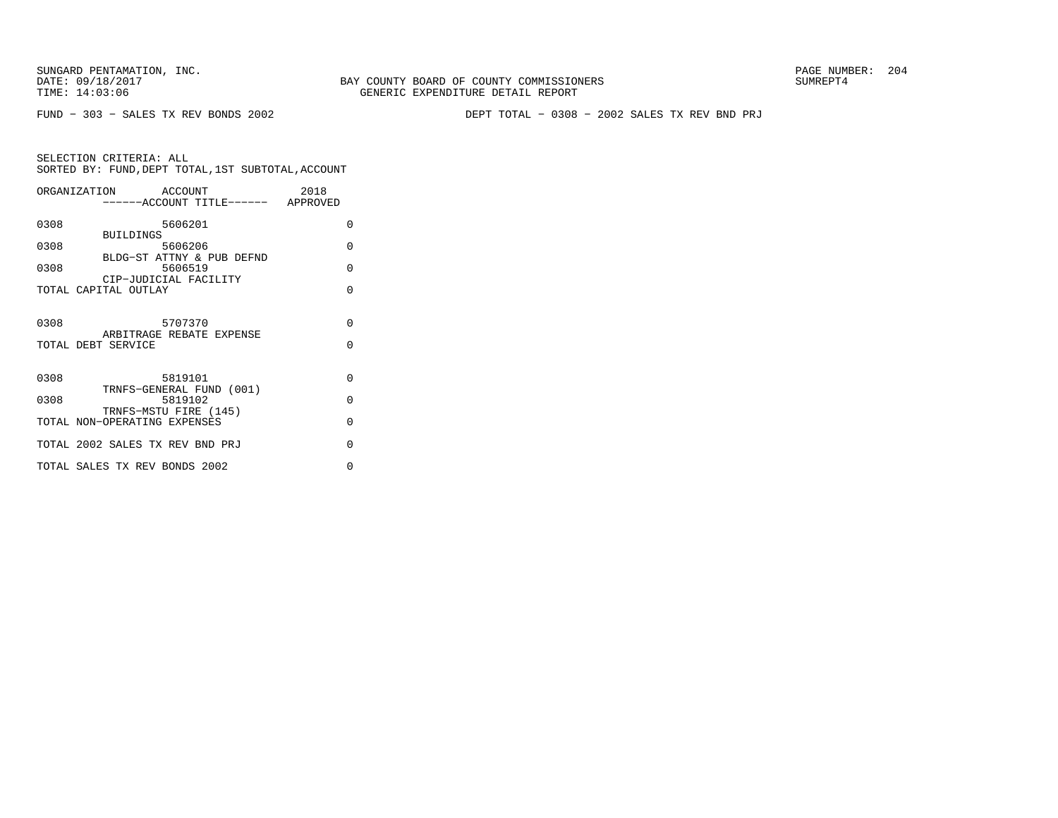FUND − 303 − SALES TX REV BONDS 2002 DEPT TOTAL − 0308 − 2002 SALES TX REV BND PRJ

|      | ORGANIZATION ACCOUNT<br>------ACCOUNT TITLE------ APPROVED | 2018               |
|------|------------------------------------------------------------|--------------------|
| 0308 | 5606201<br><b>BUILDINGS</b>                                | 0                  |
| 0308 | 5606206<br>BLDG-ST ATTNY & PUB DEFND                       | $\Omega$           |
| 0308 | 5606519<br>CIP-JUDICIAL FACILITY                           | $\Omega$           |
|      | TOTAL CAPITAL OUTLAY                                       | $\Omega$           |
| 0308 | 5707370<br>ARBITRAGE REBATE EXPENSE<br>TOTAL DEBT SERVICE  | $\Omega$<br>$\cap$ |
| 0308 | 5819101<br>TRNFS-GENERAL FUND (001)                        | $\Omega$           |
| 0308 | 5819102<br>TRNFS-MSTU FIRE (145)                           | $\Omega$           |
|      | TOTAL NON-OPERATING EXPENSES                               | $\Omega$           |
|      | TOTAL 2002 SALES TX REV BND PRJ                            | $\Omega$           |
|      | TOTAL SALES TX REV BONDS 2002                              | $\Omega$           |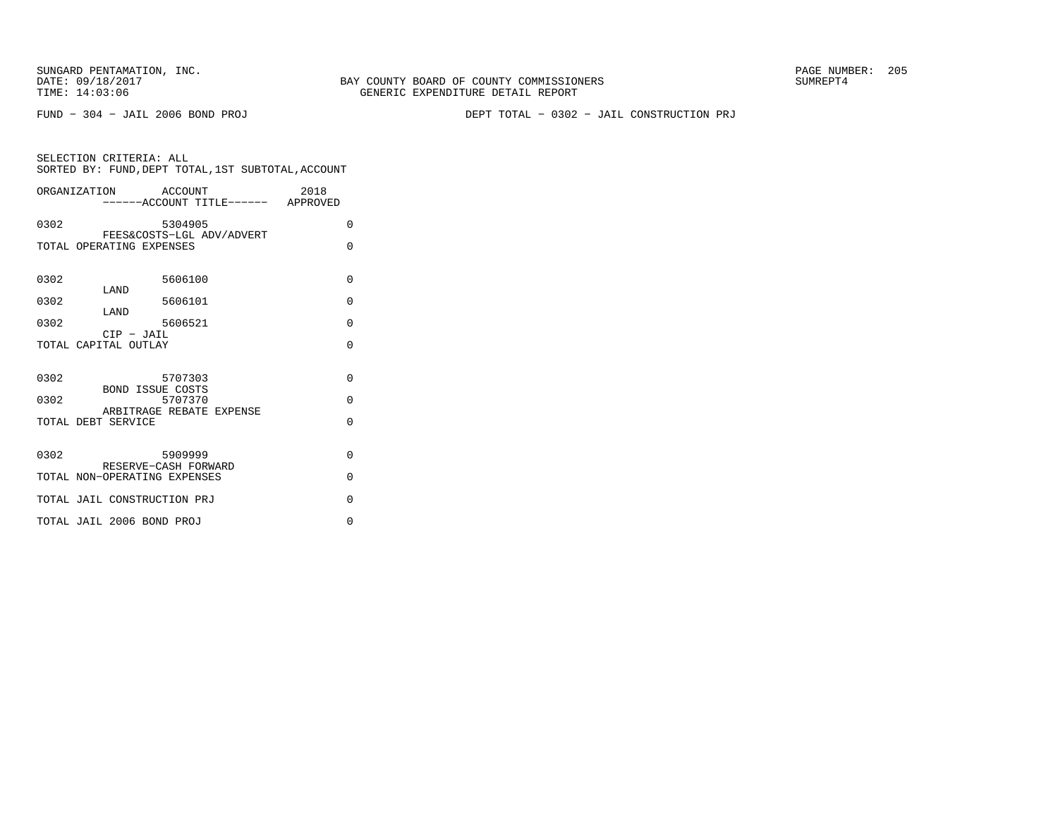FUND − 304 − JAIL 2006 BOND PROJ DEPT TOTAL − 0302 − JAIL CONSTRUCTION PRJ

| ORGANIZATION ACCOUNT                                                   | 2018<br>-----ACCOUNT TITLE------ APPROVED |  |
|------------------------------------------------------------------------|-------------------------------------------|--|
| 0302<br>5304905<br>FEES&COSTS-LGL ADV/ADVERT                           | $\Omega$                                  |  |
| TOTAL OPERATING EXPENSES                                               | $\Omega$                                  |  |
| 5606100<br>0302<br>LAND                                                | $\Omega$                                  |  |
| 0302<br>5606101<br>LAND                                                | $\Omega$                                  |  |
| 0302<br>5606521<br>$CIP$ - $JAIL$                                      | $\Omega$                                  |  |
| TOTAL CAPITAL OUTLAY                                                   | $\Omega$                                  |  |
| 0302<br>5707303                                                        | $\Omega$                                  |  |
| <b>BOND ISSUE COSTS</b><br>5707370<br>0302<br>ARBITRAGE REBATE EXPENSE | $\Omega$                                  |  |
| TOTAL DEBT SERVICE                                                     | $\Omega$                                  |  |
| 0302<br>5909999<br>RESERVE-CASH FORWARD                                | $\Omega$                                  |  |
| TOTAL NON-OPERATING EXPENSES                                           | $\Omega$                                  |  |
| TOTAL JAIL CONSTRUCTION PRJ                                            | $\Omega$                                  |  |
| TOTAL JAIL 2006 BOND PROJ                                              | $\Omega$                                  |  |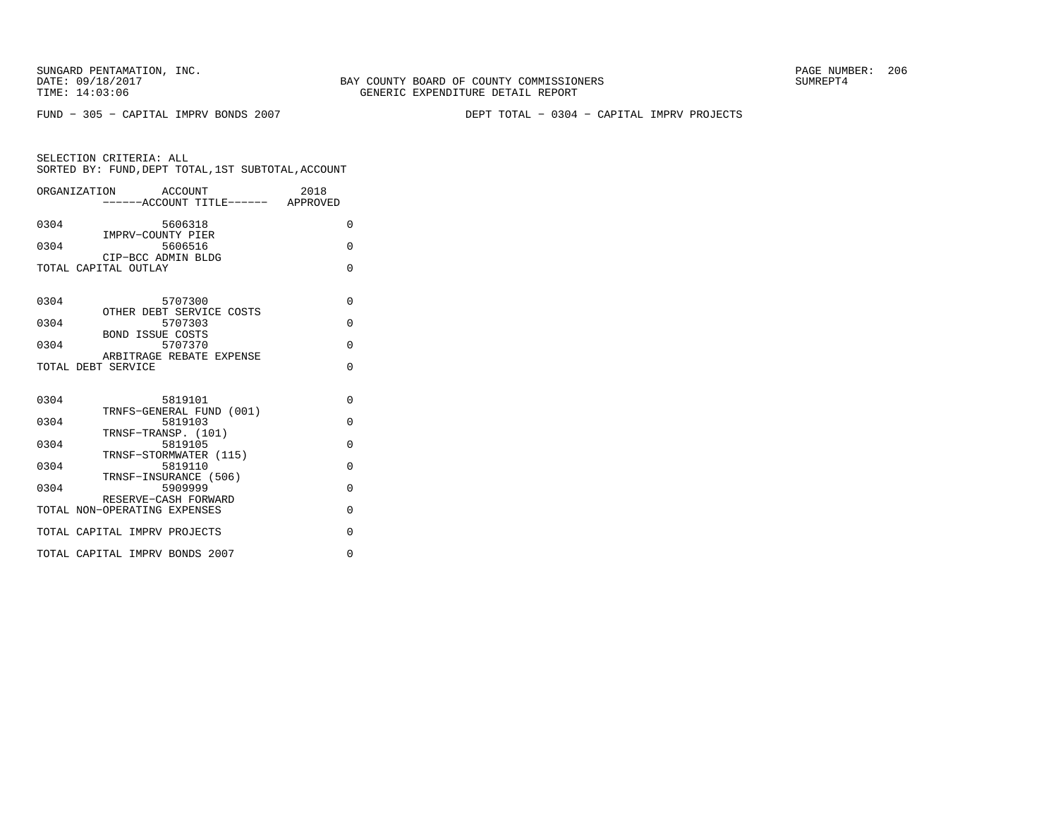BAY COUNTY BOARD OF COUNTY COMMISSIONERS TIME: 14:03:06 GENERIC EXPENDITURE DETAIL REPORT

FUND − 305 − CAPITAL IMPRV BONDS 2007 DEPT TOTAL − 0304 − CAPITAL IMPRV PROJECTS

| ORGANIZATION ACCOUNT                                           |                                                                | -----ACCOUNT TITLE------ APPROVED | 2018 |                      |
|----------------------------------------------------------------|----------------------------------------------------------------|-----------------------------------|------|----------------------|
| 0304                                                           | 5606318                                                        |                                   |      | 0                    |
| 0304                                                           | IMPRV-COUNTY PIER<br>5606516<br>CIP-BCC ADMIN BLDG             |                                   |      | $\Omega$             |
| TOTAL CAPITAL OUTLAY                                           |                                                                |                                   |      | $\Omega$             |
| 0304                                                           | 5707300                                                        |                                   |      | $\Omega$             |
| 0304                                                           | OTHER DEBT SERVICE COSTS<br>5707303                            |                                   |      | $\Omega$             |
| 0304                                                           | <b>BOND ISSUE COSTS</b><br>5707370<br>ARBITRAGE REBATE EXPENSE |                                   |      | $\Omega$             |
| TOTAL DEBT SERVICE                                             |                                                                |                                   |      | $\Omega$             |
| 0304                                                           | 5819101                                                        |                                   |      | $\Omega$             |
| 0304                                                           | TRNFS-GENERAL FUND (001)<br>5819103<br>TRNSF-TRANSP. (101)     |                                   |      | $\Omega$             |
| 0304                                                           | 5819105<br>TRNSF-STORMWATER (115)                              |                                   |      | $\Omega$             |
| 0304                                                           | 5819110<br>TRNSF-INSURANCE (506)                               |                                   |      | $\Omega$             |
| 0304                                                           | 5909999<br>RESERVE-CASH FORWARD                                |                                   |      | $\Omega$             |
| TOTAL NON-OPERATING EXPENSES                                   |                                                                |                                   |      | $\Omega$             |
| TOTAL CAPITAL IMPRV PROJECTS<br>TOTAL CAPITAL IMPRV BONDS 2007 |                                                                |                                   |      | $\Omega$<br>$\Omega$ |
|                                                                |                                                                |                                   |      |                      |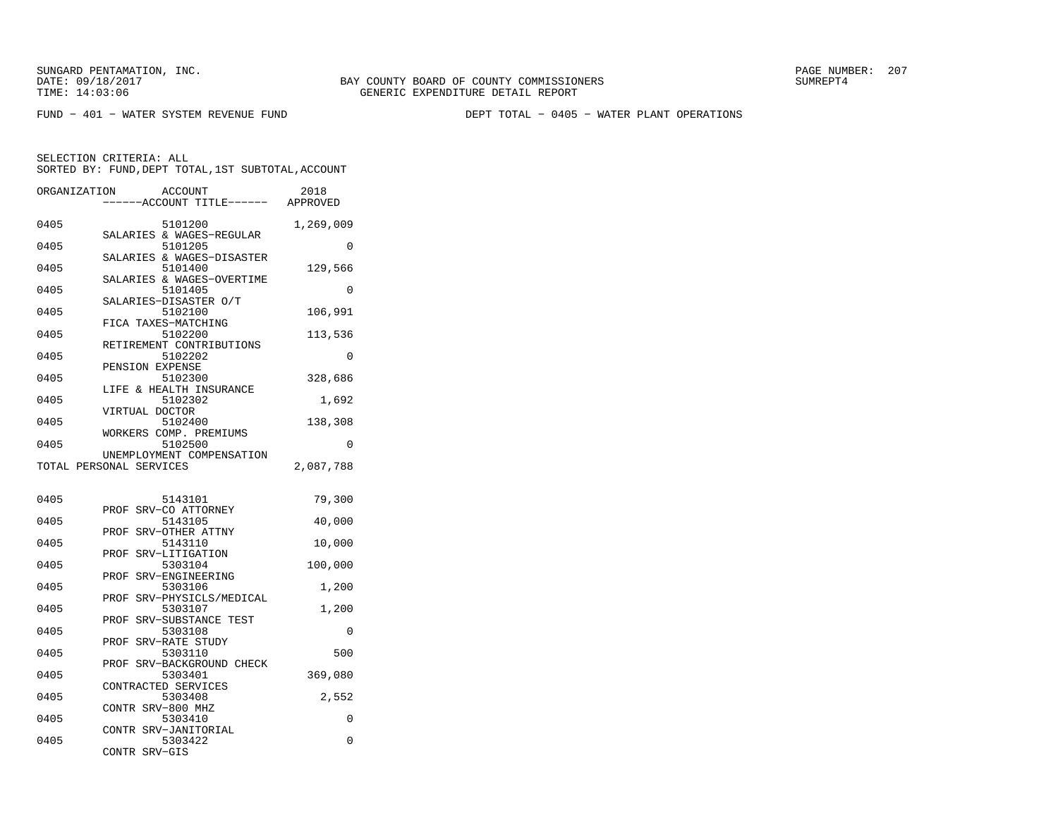SUNGARD PENTAMATION, INC.<br>
DATE: 09/18/2017<br>
DATE: 09/18/2017<br>
SUMREPT4

BAY COUNTY BOARD OF COUNTY COMMISSIONERS TIME: 14:03:06 GENERIC EXPENDITURE DETAIL REPORT

FUND − 401 − WATER SYSTEM REVENUE FUND DEPT TOTAL − 0405 − WATER PLANT OPERATIONS

SELECTION CRITERIA: ALL

| SORTED BY: FUND, DEPT TOTAL, IST SUBTOTAL, ACCOUNT |                                      |                  |
|----------------------------------------------------|--------------------------------------|------------------|
| ORGANIZATION                                       | ACCOUNT<br>------ACCOUNT TITLE------ | 2018<br>APPROVED |

| 0405 | 5101200                              | 1,269,009 |
|------|--------------------------------------|-----------|
|      | SALARIES & WAGES-REGULAR             |           |
| 0405 | 5101205<br>SALARIES & WAGES-DISASTER | 0         |
| 0405 | 5101400                              | 129,566   |
|      | SALARIES & WAGES-OVERTIME            |           |
| 0405 | 5101405                              | 0         |
|      | SALARIES-DISASTER O/T                |           |
| 0405 | 5102100                              | 106,991   |
|      | FICA TAXES-MATCHING                  |           |
| 0405 | 5102200                              | 113,536   |
|      | RETIREMENT CONTRIBUTIONS             |           |
| 0405 | 5102202                              | 0         |
|      | PENSION EXPENSE                      |           |
| 0405 | 5102300                              | 328,686   |
|      | & HEALTH INSURANCE<br>LIFE           |           |
| 0405 | 5102302<br>VIRTUAL DOCTOR            | 1,692     |
| 0405 | 5102400                              | 138,308   |
|      | WORKERS COMP. PREMIUMS               |           |
| 0405 | 5102500                              | 0         |
|      | UNEMPLOYMENT COMPENSATION            |           |
|      | TOTAL PERSONAL SERVICES              | 2,087,788 |
|      |                                      |           |
|      |                                      |           |
|      |                                      |           |
| 0405 | 5143101                              | 79,300    |
|      | SRV-CO ATTORNEY<br>PROF              |           |
| 0405 | 5143105                              | 40,000    |
|      | SRV-OTHER ATTNY<br>PROF              |           |
| 0405 | 5143110                              | 10,000    |
|      | SRV-LITIGATION<br>PROF               |           |
| 0405 | 5303104                              | 100,000   |
|      | SRV-ENGINEERING<br>PROF              |           |
| 0405 | 5303106<br>PROF                      | 1,200     |
| 0405 | SRV-PHYSICLS/MEDICAL<br>5303107      | 1,200     |
|      | SRV-SUBSTANCE TEST<br>PROF           |           |
| 0405 | 5303108                              | 0         |
|      | SRV-RATE STUDY<br>PROF               |           |
| 0405 | 5303110                              | 500       |
|      | SRV-BACKGROUND CHECK<br>PROF         |           |
| 0405 | 5303401                              | 369,080   |
|      | CONTRACTED SERVICES                  |           |
| 0405 | 5303408                              | 2,552     |
|      | CONTR SRV-800 MHZ                    |           |
| 0405 | 5303410                              | $\Omega$  |
|      | CONTR SRV-JANITORIAL                 |           |
| 0405 | 5303422<br>SRV-GIS<br>CONTR          | 0         |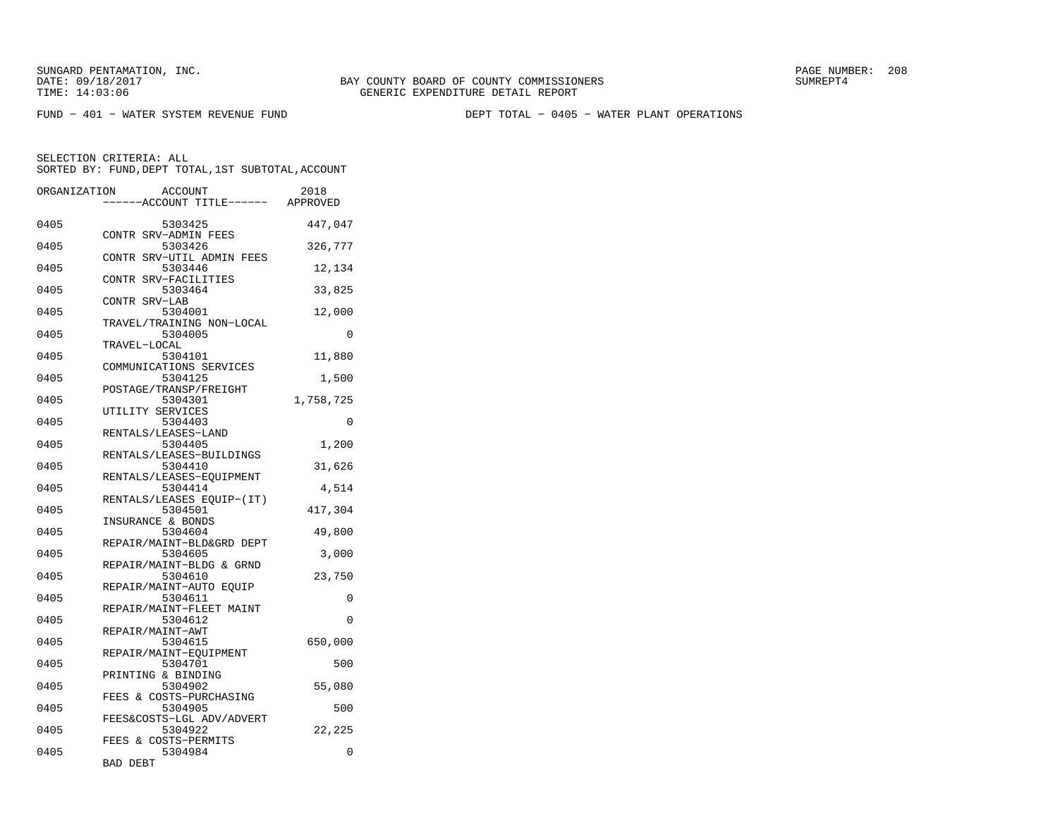FUND − 401 − WATER SYSTEM REVENUE FUND DEPT TOTAL − 0405 − WATER PLANT OPERATIONS

SELECTION CRITERIA: ALL

|              | SORTED BY: FUND, DEPT TOTAL, 1ST SUBTOTAL, ACCOUNT |           |
|--------------|----------------------------------------------------|-----------|
| ORGANIZATION | ACCOUNT<br>----ACCOUNT TITLE------ APPROVED        | 2018      |
| 0405         | 5303425                                            | 447,047   |
| 0405         | CONTR SRV-ADMIN FEES<br>5303426                    | 326,777   |
| 0405         | CONTR SRV-UTIL ADMIN FEES<br>5303446               | 12,134    |
| 0405         | CONTR SRV-FACILITIES<br>5303464                    | 33,825    |
| 0405         | CONTR SRV-LAB<br>5304001                           | 12,000    |
| 0405         | TRAVEL/TRAINING NON-LOCAL<br>5304005               | $\Omega$  |
| 0405         | TRAVEL-LOCAL<br>5304101                            | 11,880    |
| 0405         | COMMUNICATIONS SERVICES<br>5304125                 | 1,500     |
| 0405         | POSTAGE/TRANSP/FREIGHT<br>5304301                  | 1,758,725 |
| 0405         | UTILITY SERVICES<br>5304403                        | $\Omega$  |
| 0405         | RENTALS/LEASES-LAND<br>5304405                     | 1,200     |
| 0405         | RENTALS/LEASES-BUILDINGS<br>5304410                | 31,626    |
| 0405         | RENTALS/LEASES-EQUIPMENT<br>5304414                | 4,514     |
| 0405         | RENTALS/LEASES EQUIP-(IT)<br>5304501               | 417,304   |
| 0405         | INSURANCE & BONDS<br>5304604                       | 49,800    |
| 0405         | REPAIR/MAINT-BLD&GRD DEPT<br>5304605               | 3,000     |
| 0405         | REPAIR/MAINT-BLDG & GRND<br>5304610                | 23,750    |
| 0405         | REPAIR/MAINT-AUTO EQUIP<br>5304611                 | 0         |
| 0405         | REPAIR/MAINT-FLEET MAINT<br>5304612                | 0         |
| 0405         | REPAIR/MAINT-AWT<br>5304615                        | 650,000   |
| 0405         | REPAIR/MAINT-EOUIPMENT<br>5304701                  | 500       |
| 0405         | PRINTING & BINDING<br>5304902                      | 55,080    |
| 0405         | FEES & COSTS-PURCHASING<br>5304905                 | 500       |
| 0405         | FEES&COSTS-LGL ADV/ADVERT<br>5304922               | 22,225    |
| 0405         | FEES & COSTS-PERMITS<br>5304984                    | 0         |
|              | <b>BAD DEBT</b>                                    |           |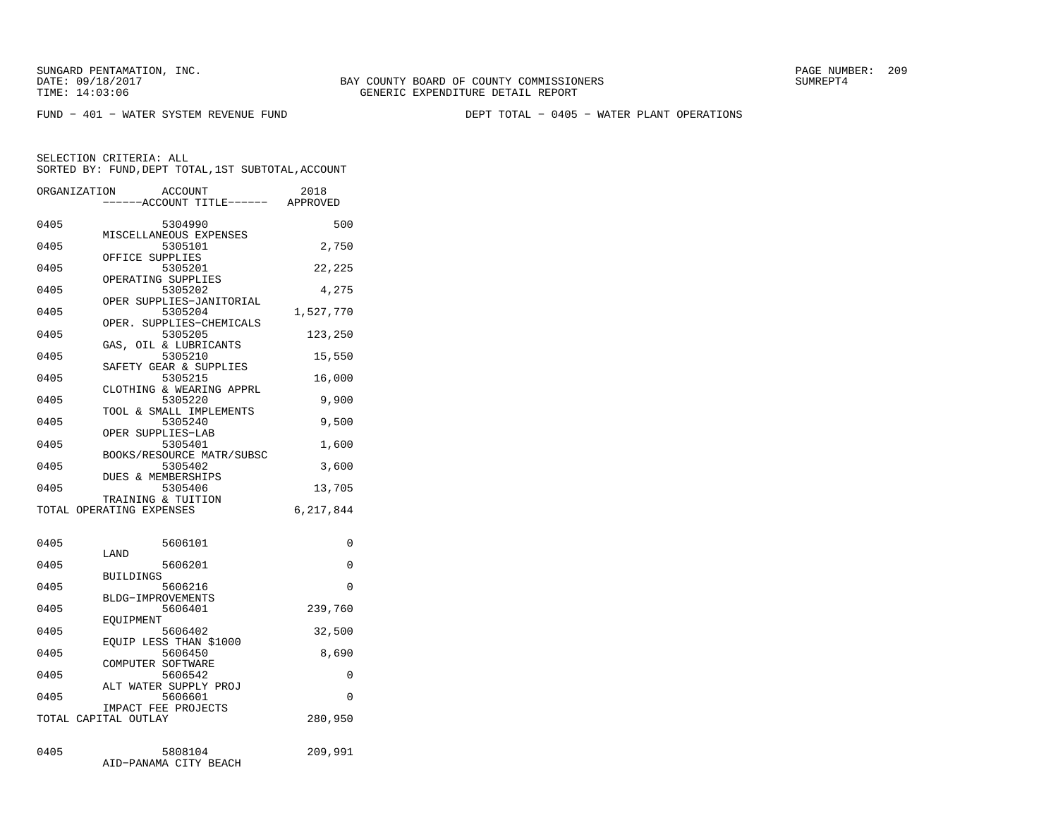SUNGARD PENTAMATION, INC.<br>
DATE: 09/18/2017<br>
DATE: 09/18/2017<br>
SUMREPT4

FUND − 401 − WATER SYSTEM REVENUE FUND DEPT TOTAL − 0405 − WATER PLANT OPERATIONS

SELECTION CRITERIA: ALLSORTED BY: FUND,DEPT TOTAL,1ST SUBTOTAL,ACCOUNT

|      | ORGANIZATION<br>ACCOUNT<br>-----ACCOUNT TITLE------ APPROVED | 2018      |
|------|--------------------------------------------------------------|-----------|
| 0405 | 5304990                                                      | 500       |
| 0405 | MISCELLANEOUS EXPENSES<br>5305101                            | 2,750     |
| 0405 | OFFICE SUPPLIES<br>5305201                                   | 22,225    |
| 0405 | OPERATING SUPPLIES<br>5305202                                | 4,275     |
| 0405 | OPER SUPPLIES-JANITORIAL<br>5305204                          | 1,527,770 |
| 0405 | OPER.<br>SUPPLIES-CHEMICALS<br>5305205                       | 123,250   |
| 0405 | GAS, OIL & LUBRICANTS<br>5305210                             | 15,550    |
| 0405 | SAFETY GEAR & SUPPLIES<br>5305215                            | 16,000    |
| 0405 | CLOTHING & WEARING APPRL<br>5305220                          | 9,900     |
| 0405 | TOOL & SMALL IMPLEMENTS<br>5305240                           | 9,500     |
| 0405 | OPER SUPPLIES-LAB<br>5305401                                 | 1,600     |
| 0405 | BOOKS/RESOURCE MATR/SUBSC<br>5305402                         | 3,600     |
| 0405 | DUES & MEMBERSHIPS<br>5305406                                | 13,705    |
|      | TRAINING & TUITION<br>TOTAL OPERATING EXPENSES               | 6,217,844 |
| 0405 | 5606101                                                      | 0         |
| 0405 | LAND<br>5606201                                              | 0         |
| 0405 | <b>BUILDINGS</b><br>5606216                                  | 0         |
| 0405 | BLDG-IMPROVEMENTS<br>5606401                                 | 239,760   |
| 0405 | EQUIPMENT<br>5606402                                         | 32,500    |
| 0405 | EQUIP LESS THAN \$1000<br>5606450                            | 8,690     |
| 0405 | COMPUTER SOFTWARE<br>5606542                                 | 0         |
| 0405 | ALT WATER SUPPLY PROJ<br>5606601                             | 0         |
|      | IMPACT FEE PROJECTS<br>TOTAL CAPITAL OUTLAY                  | 280,950   |
| 0405 | 5808104                                                      | 209,991   |

AID−PANAMA CITY BEACH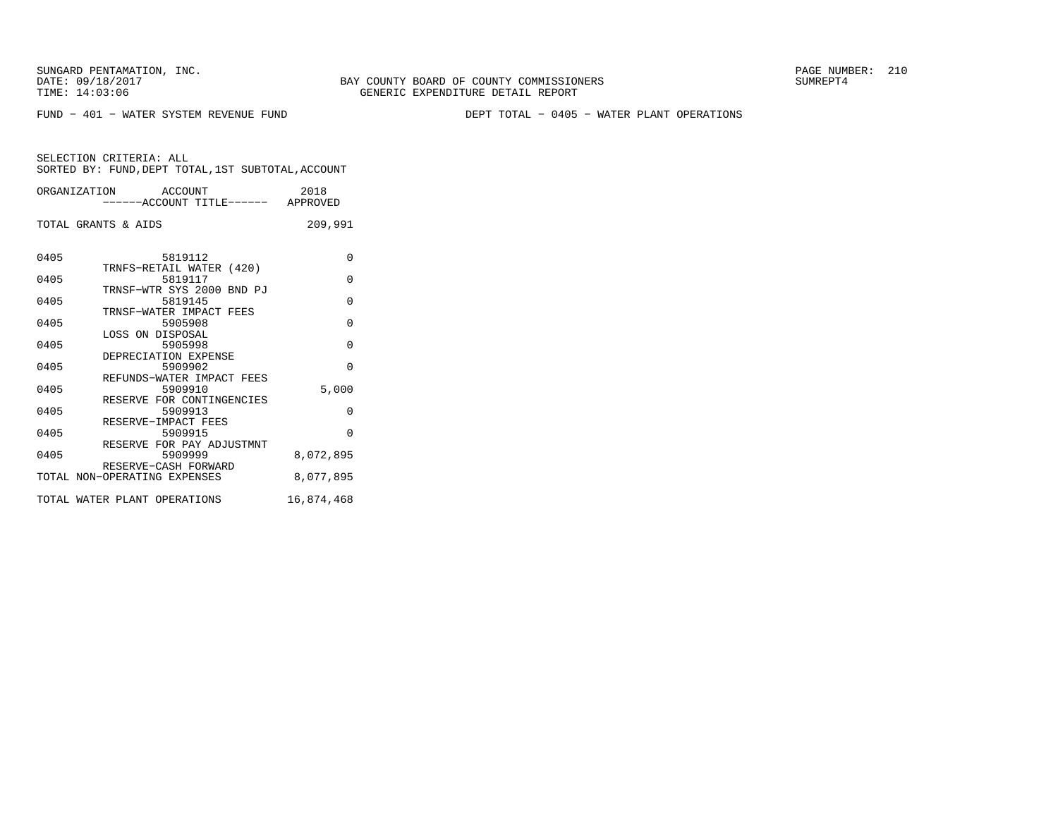BAY COUNTY BOARD OF COUNTY COMMISSIONERS TIME: 14:03:06 GENERIC EXPENDITURE DETAIL REPORT

FUND − 401 − WATER SYSTEM REVENUE FUND DEPT TOTAL − 0405 − WATER PLANT OPERATIONS

|      | ORGANIZATION ACCOUNT<br>------ACCOUNT TITLE------ APPROVED                                                                                                  | 2018                                 |
|------|-------------------------------------------------------------------------------------------------------------------------------------------------------------|--------------------------------------|
|      | TOTAL GRANTS & AIDS                                                                                                                                         | 209,991                              |
| 0405 | 5819112                                                                                                                                                     | O                                    |
| 0405 | 5819117                                                                                                                                                     | 0                                    |
| 0405 | 5819145                                                                                                                                                     | O                                    |
| 0405 | 5905908                                                                                                                                                     | O                                    |
| 0405 | LOSS ON DISPOSAL<br>5905998                                                                                                                                 | $\Omega$                             |
| 0405 | DEPRECIATION EXPENSE<br>5909902                                                                                                                             | $\Omega$                             |
| 0405 | REFUNDS-WATER IMPACT FEES<br>5909910                                                                                                                        | 5,000                                |
| 0405 | RESERVE FOR CONTINGENCIES<br>5909913                                                                                                                        | O                                    |
| 0405 | RESERVE-IMPACT FEES<br>5909915                                                                                                                              | $\Omega$                             |
|      | RESERVE FOR PAY ADJUSTMNT                                                                                                                                   |                                      |
|      | RESERVE-CASH FORWARD                                                                                                                                        |                                      |
|      |                                                                                                                                                             |                                      |
| 0405 | TRNFS-RETAIL WATER (420)<br>TRNSF-WTR SYS 2000 BND PJ<br>TRNSF-WATER IMPACT FEES<br>5909999<br>TOTAL NON-OPERATING EXPENSES<br>TOTAL WATER PLANT OPERATIONS | 8,072,895<br>8,077,895<br>16,874,468 |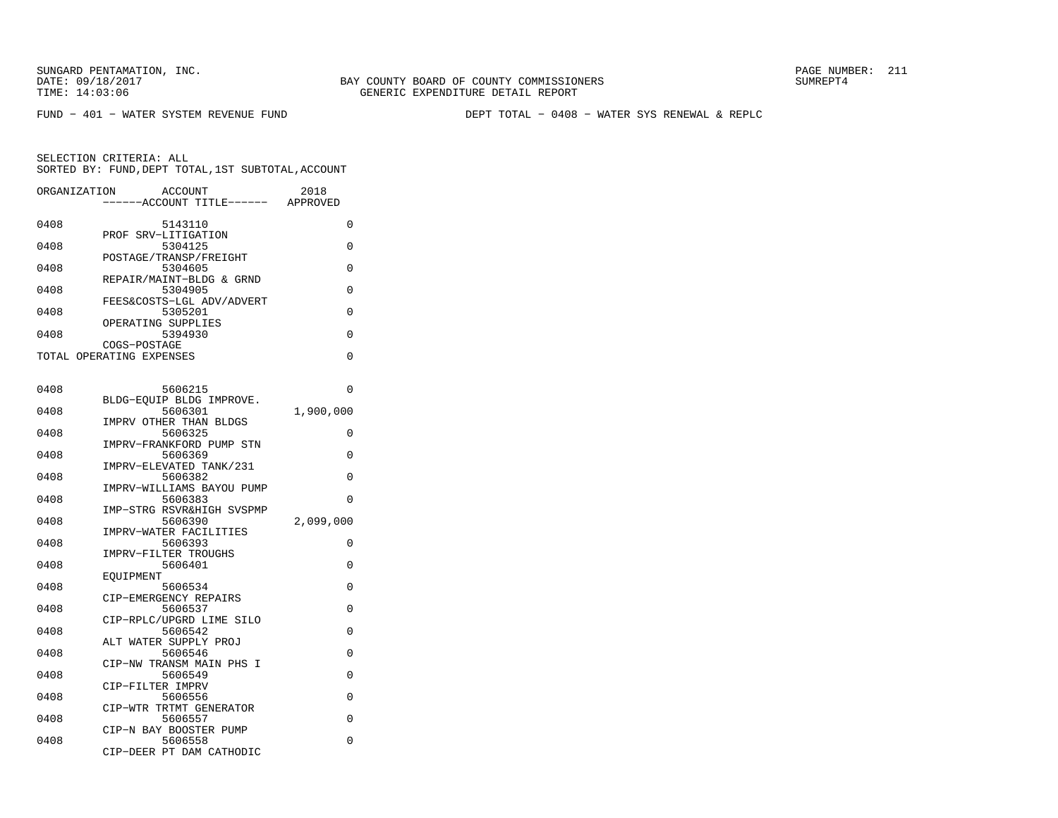FUND − 401 − WATER SYSTEM REVENUE FUND DEPT TOTAL − 0408 − WATER SYS RENEWAL & REPLC

| ORGANIZATION | ACCOUNT<br>---ACCOUNT TITLE------ APPROVED                    | 2018      |
|--------------|---------------------------------------------------------------|-----------|
| 0408         | 5143110                                                       | 0         |
| 0408         | PROF SRV-LITIGATION<br>5304125                                | 0         |
| 0408         | POSTAGE/TRANSP/FREIGHT<br>5304605                             | 0         |
| 0408         | REPAIR/MAINT-BLDG & GRND<br>5304905                           | 0         |
| 0408         | FEES&COSTS-LGL ADV/ADVERT<br>5305201                          | 0         |
| 0408         | OPERATING SUPPLIES<br>5394930                                 | 0         |
|              | COGS-POSTAGE<br>TOTAL OPERATING EXPENSES                      | 0         |
|              |                                                               |           |
| 0408         | 5606215                                                       | 0         |
| 0408         | BLDG-EOUIP BLDG IMPROVE.<br>5606301                           | 1,900,000 |
| 0408         | IMPRV OTHER THAN BLDGS<br>5606325                             | 0         |
| 0408         | IMPRV-FRANKFORD PUMP STN<br>5606369                           | 0         |
| 0408         | IMPRV-ELEVATED TANK/231<br>5606382                            | 0         |
| 0408         | IMPRV-WILLIAMS BAYOU PUMP<br>5606383                          | 0         |
| 0408         | IMP-STRG RSVR&HIGH SVSPMP<br>5606390                          | 2,099,000 |
|              | IMPRV-WATER FACILITIES                                        |           |
| 0408         | 5606393<br>IMPRV-FILTER TROUGHS                               | 0         |
| 0408         | 5606401<br>EQUIPMENT                                          | 0         |
| 0408         | 5606534<br>CIP-EMERGENCY REPAIRS                              | 0         |
| 0408         | 5606537<br>CIP-RPLC/UPGRD LIME SILO                           | 0         |
| 0408         | 5606542<br>ALT WATER SUPPLY PROJ                              | 0         |
| 0408         | 5606546                                                       | 0         |
| 0408         | CIP-NW TRANSM MAIN PHS I<br>5606549                           | 0         |
| 0408         | CIP-FILTER IMPRV<br>5606556                                   | 0         |
| 0408         | CIP-WTR TRTMT GENERATOR<br>5606557                            | 0         |
| 0408         | CIP-N BAY BOOSTER PUMP<br>5606558<br>CIP-DEER PT DAM CATHODIC | 0         |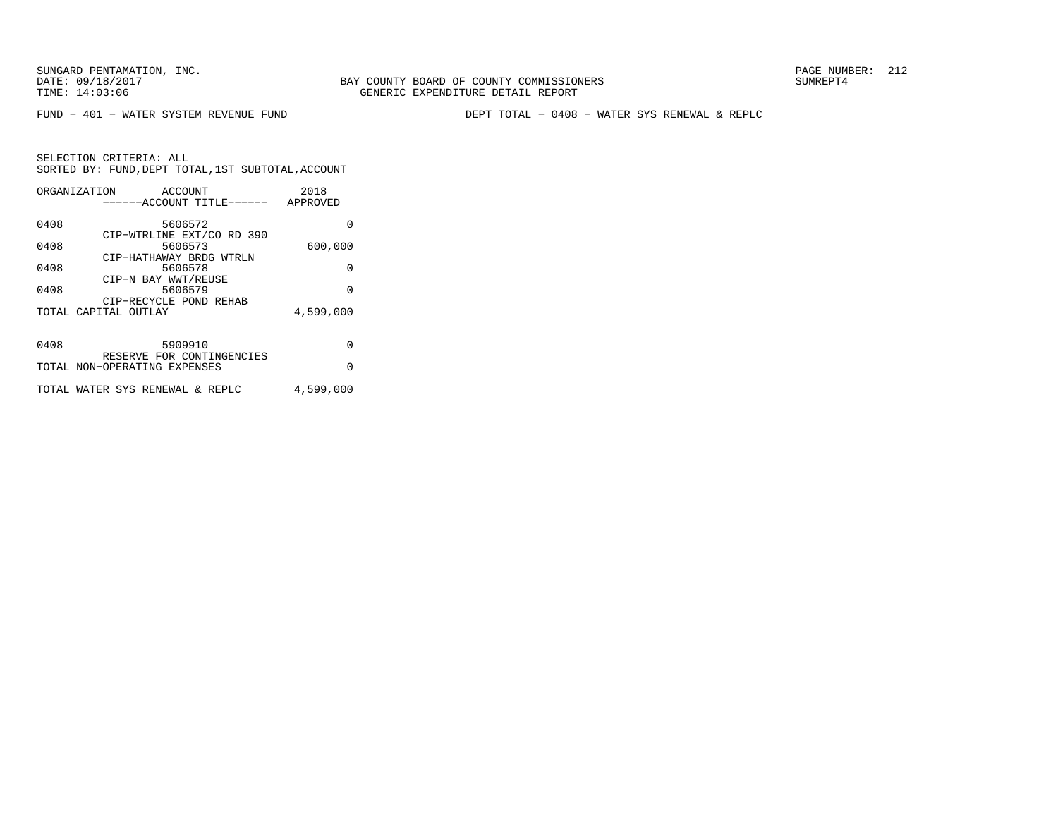FUND − 401 − WATER SYSTEM REVENUE FUND DEPT TOTAL − 0408 − WATER SYS RENEWAL & REPLC

|      | ORGANIZATION<br>ACCOUNT<br>-----ACCOUNT TITLE------       | 2018<br>APPROVED |
|------|-----------------------------------------------------------|------------------|
| 0408 | 5606572                                                   | O                |
| 0408 | CIP-WTRLINE EXT/CO RD 390<br>5606573                      | 600,000          |
| 0408 | CIP-HATHAWAY BRDG WTRLN<br>5606578                        | 0                |
| 0408 | CIP-N BAY WWT/REUSE<br>5606579                            | $\Omega$         |
|      | CIP-RECYCLE POND REHAB<br>TOTAL CAPITAL OUTLAY            | 4,599,000        |
|      |                                                           |                  |
| 0408 | 5909910                                                   | O                |
|      | RESERVE FOR CONTINGENCIES<br>TOTAL NON-OPERATING EXPENSES | $\Omega$         |
|      | TOTAL WATER SYS RENEWAL & REPLC                           | 4,599,000        |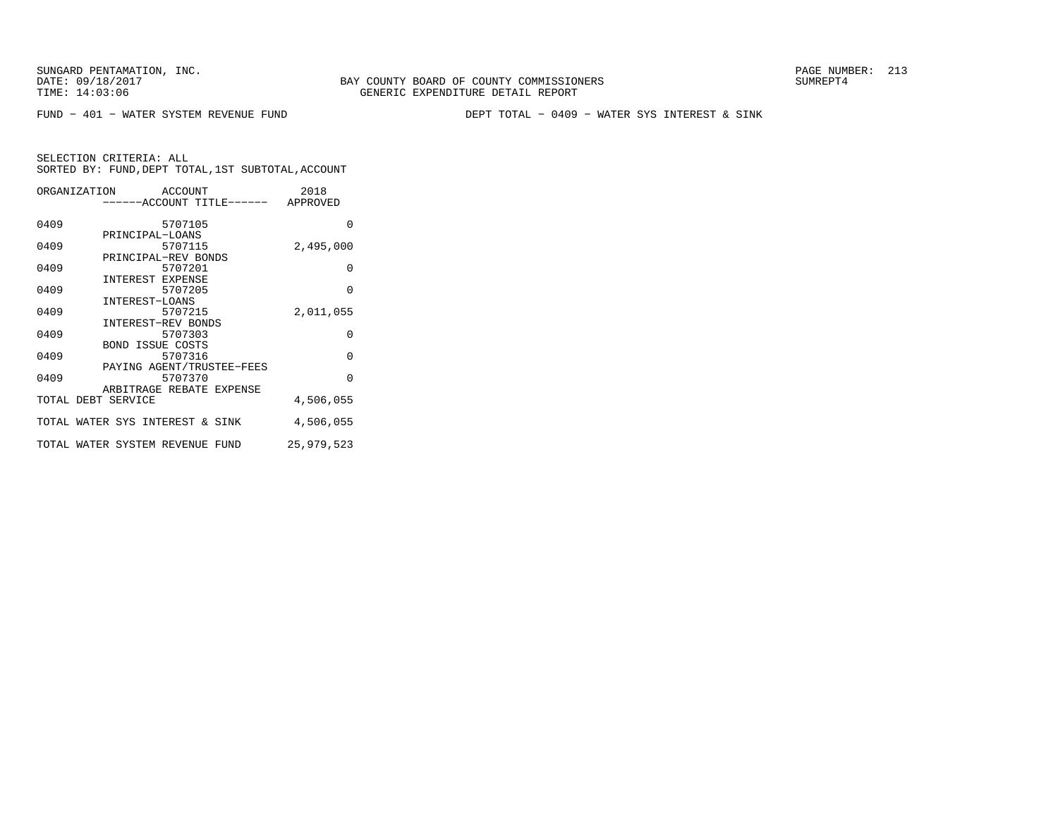FUND − 401 − WATER SYSTEM REVENUE FUND DEPT TOTAL − 0409 − WATER SYS INTEREST & SINK

| ORGANIZATION ACCOUNT |                                    | 2018       |
|----------------------|------------------------------------|------------|
|                      | ------ACCOUNT TITLE------ APPROVED |            |
|                      |                                    |            |
| 0409                 | 5707105                            | $\Omega$   |
|                      | PRINCIPAL-LOANS                    |            |
| 0409                 | 5707115<br>PRINCIPAL-REV BONDS     | 2,495,000  |
| 0409                 | 5707201                            | $\Omega$   |
|                      | INTEREST EXPENSE                   |            |
| 0409                 | 5707205                            | $\Omega$   |
|                      | INTEREST-LOANS                     |            |
| 0409                 | 5707215                            | 2,011,055  |
|                      | INTEREST-REV BONDS                 |            |
| 0409                 | 5707303                            | $\Omega$   |
|                      | <b>BOND ISSUE COSTS</b>            |            |
| 0409                 | 5707316                            | $\Omega$   |
|                      | PAYING AGENT/TRUSTEE-FEES          |            |
| 0409                 | 5707370                            | $\Omega$   |
|                      | ARBITRAGE REBATE EXPENSE           |            |
|                      | TOTAL DEBT SERVICE                 | 4,506,055  |
|                      | TOTAL WATER SYS INTEREST & SINK    | 4,506,055  |
|                      |                                    |            |
|                      | TOTAL WATER SYSTEM REVENUE FUND    | 25,979,523 |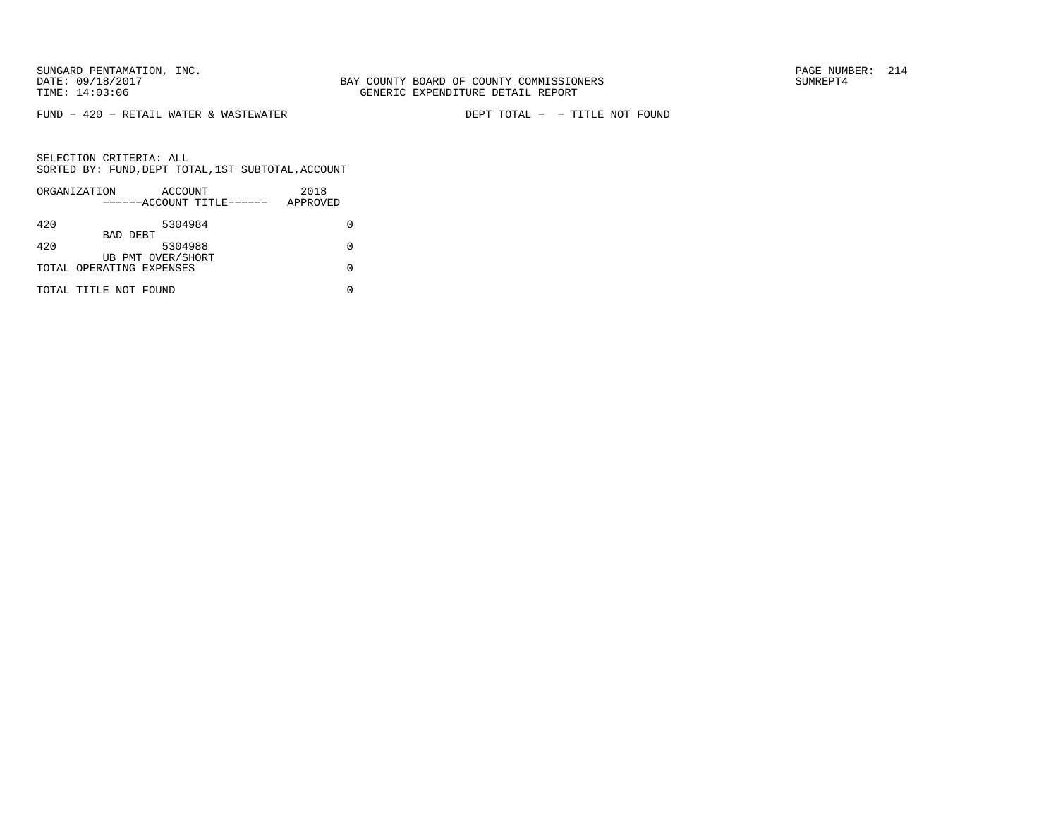FUND − 420 − RETAIL WATER & WASTEWATER DEPT TOTAL − − TITLE NOT FOUND

| ORGANIZATION | ACCOUNT<br>------ACCOUNT TITLE------          | 2018<br>APPROVED |
|--------------|-----------------------------------------------|------------------|
| 420          | 5304984                                       |                  |
| 420          | BAD DEBT<br>5304988                           |                  |
|              | UB PMT OVER/SHORT<br>TOTAL OPERATING EXPENSES |                  |
|              | TOTAL TITLE NOT FOUND                         |                  |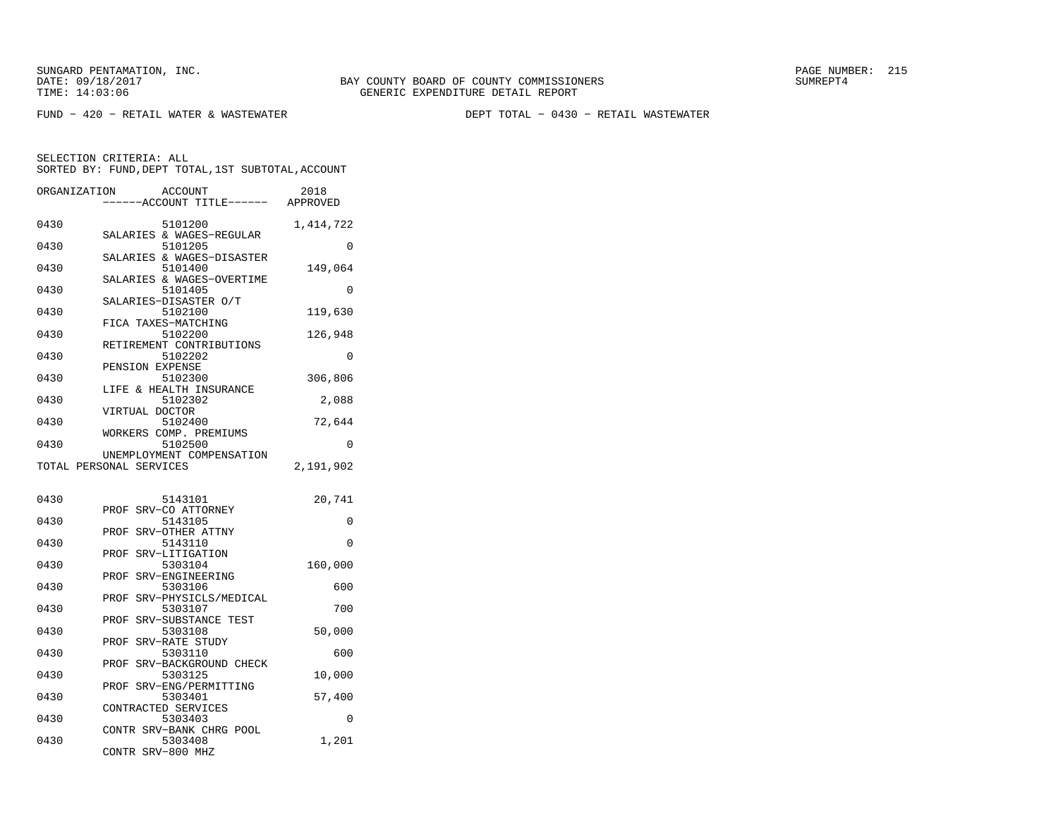FUND − 420 − RETAIL WATER & WASTEWATER DEPT TOTAL − 0430 − RETAIL WASTEWATER

| ORGANIZATION | <b>ACCOUNT</b>                          | 2018      |
|--------------|-----------------------------------------|-----------|
|              | ---ACCOUNT TITLE------                  | APPROVED  |
| 0430         | 5101200                                 | 1,414,722 |
| 0430         | SALARIES & WAGES-REGULAR<br>5101205     | 0         |
| 0430         | SALARIES & WAGES-DISASTER<br>5101400    | 149,064   |
| 0430         | SALARIES & WAGES-OVERTIME<br>5101405    | 0         |
| 0430         | SALARIES-DISASTER O/T<br>5102100        | 119,630   |
| 0430         | FICA TAXES-MATCHING<br>5102200          | 126,948   |
| 0430         | RETIREMENT CONTRIBUTIONS<br>5102202     | $\Omega$  |
|              | PENSION EXPENSE                         |           |
| 0430         | 5102300<br>LIFE & HEALTH INSURANCE      | 306,806   |
| 0430         | 5102302<br>VIRTUAL DOCTOR               | 2,088     |
| 0430         | 5102400<br>WORKERS COMP. PREMIUMS       | 72,644    |
| 0430         | 5102500<br>UNEMPLOYMENT COMPENSATION    | 0         |
|              | TOTAL PERSONAL SERVICES                 | 2,191,902 |
|              |                                         |           |
| 0430         | 5143101<br>SRV-CO ATTORNEY<br>PROF      | 20,741    |
| 0430         | 5143105<br>PROF<br>SRV-OTHER ATTNY      | 0         |
| 0430         | 5143110                                 | 0         |
| 0430         | PROF<br>SRV-LITIGATION<br>5303104       | 160,000   |
| 0430         | SRV-ENGINEERING<br>PROF<br>5303106      | 600       |
| 0430         | SRV-PHYSICLS/MEDICAL<br>PROF<br>5303107 | 700       |
| 0430         | SRV-SUBSTANCE TEST<br>PROF<br>5303108   | 50,000    |
| 0430         | SRV-RATE STUDY<br>PROF<br>5303110       | 600       |
|              | SRV-BACKGROUND CHECK<br>PROF            |           |
| 0430         | 5303125<br>SRV-ENG/PERMITTING<br>PROF   | 10,000    |
| 0430         | 5303401<br>CONTRACTED SERVICES          | 57,400    |
| 0430         | 5303403<br>CONTR SRV-BANK CHRG POOL     | $\Omega$  |
| 0430         | 5303408<br><b>CONTR</b><br>SRV-800 MHZ  | 1,201     |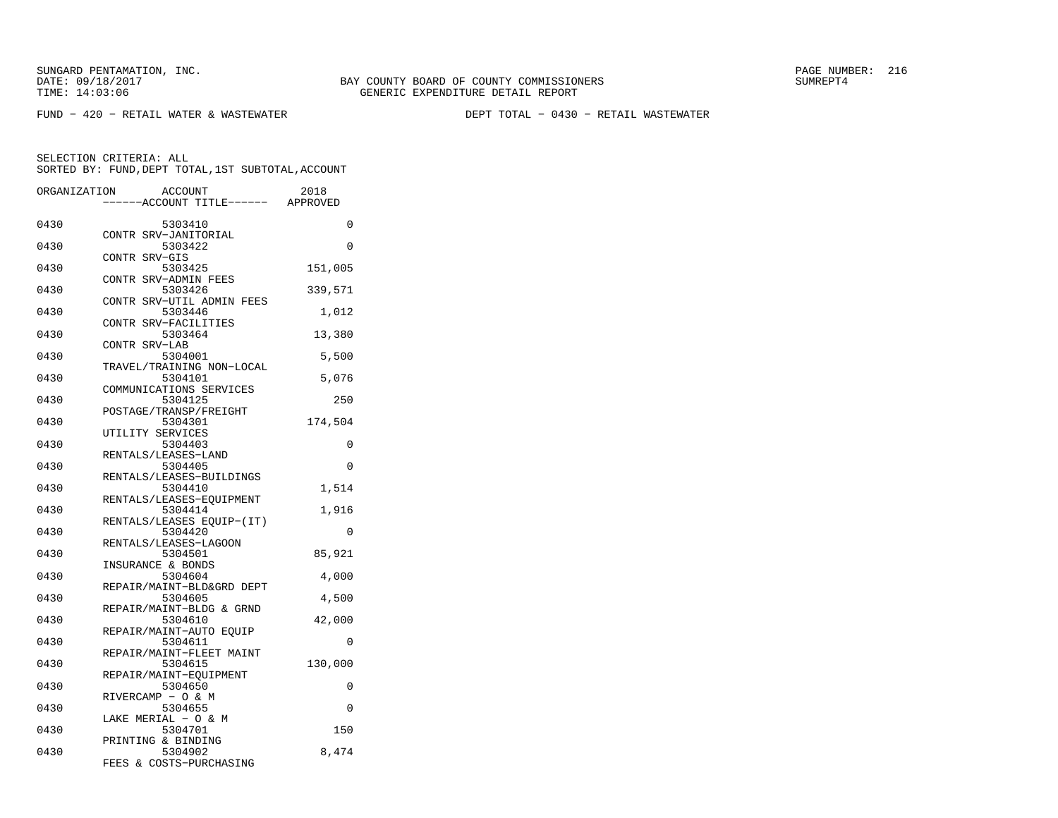FUND − 420 − RETAIL WATER & WASTEWATER DEPT TOTAL − 0430 − RETAIL WASTEWATER

| ORGANIZATION |       | <b>ACCOUNT</b>                      | 2018     |
|--------------|-------|-------------------------------------|----------|
|              |       | ---ACCOUNT TITLE------              | APPROVED |
| 0430         |       | 5303410                             | 0        |
|              |       | CONTR SRV-JANITORIAL                |          |
| 0430         |       | 5303422                             | $\Omega$ |
|              |       | CONTR SRV-GIS                       |          |
| 0430         |       | 5303425                             | 151,005  |
|              |       | CONTR SRV-ADMIN FEES                |          |
| 0430         |       | 5303426                             | 339,571  |
| 0430         | CONTR | SRV-UTIL ADMIN FEES<br>5303446      |          |
|              |       | CONTR SRV-FACILITIES                | 1,012    |
| 0430         |       | 5303464                             | 13,380   |
|              |       | CONTR SRV-LAB                       |          |
| 0430         |       | 5304001                             | 5,500    |
|              |       | TRAVEL/TRAINING NON-LOCAL           |          |
| 0430         |       | 5304101                             | 5,076    |
|              |       | COMMUNICATIONS SERVICES             |          |
| 0430         |       | 5304125                             | 250      |
|              |       | POSTAGE/TRANSP/FREIGHT              |          |
| 0430         |       | 5304301                             | 174,504  |
|              |       | UTILITY SERVICES                    |          |
| 0430         |       | 5304403                             | 0        |
|              |       | RENTALS/LEASES-LAND                 |          |
| 0430         |       | 5304405<br>RENTALS/LEASES-BUILDINGS | 0        |
| 0430         |       | 5304410                             | 1,514    |
|              |       | RENTALS/LEASES-EQUIPMENT            |          |
| 0430         |       | 5304414                             | 1,916    |
|              |       | RENTALS/LEASES EQUIP-(IT)           |          |
| 0430         |       | 5304420                             | 0        |
|              |       | RENTALS/LEASES-LAGOON               |          |
| 0430         |       | 5304501                             | 85,921   |
|              |       | INSURANCE & BONDS                   |          |
| 0430         |       | 5304604                             | 4,000    |
|              |       | REPAIR/MAINT-BLD&GRD DEPT           |          |
| 0430         |       | 5304605                             | 4,500    |
|              |       | REPAIR/MAINT-BLDG & GRND            |          |
| 0430         |       | 5304610<br>REPAIR/MAINT-AUTO EQUIP  | 42,000   |
| 0430         |       | 5304611                             | 0        |
|              |       | REPAIR/MAINT-FLEET MAINT            |          |
| 0430         |       | 5304615                             | 130,000  |
|              |       | REPAIR/MAINT-EQUIPMENT              |          |
| 0430         |       | 5304650                             | 0        |
|              |       | RIVERCAMP - O & M                   |          |
| 0430         |       | 5304655                             | 0        |
|              |       | LAKE MERIAL - O & M                 |          |
| 0430         |       | 5304701                             | 150      |
|              |       | PRINTING & BINDING                  |          |
| 0430         |       | 5304902<br>FEES & COSTS-PURCHASING  | 8,474    |
|              |       |                                     |          |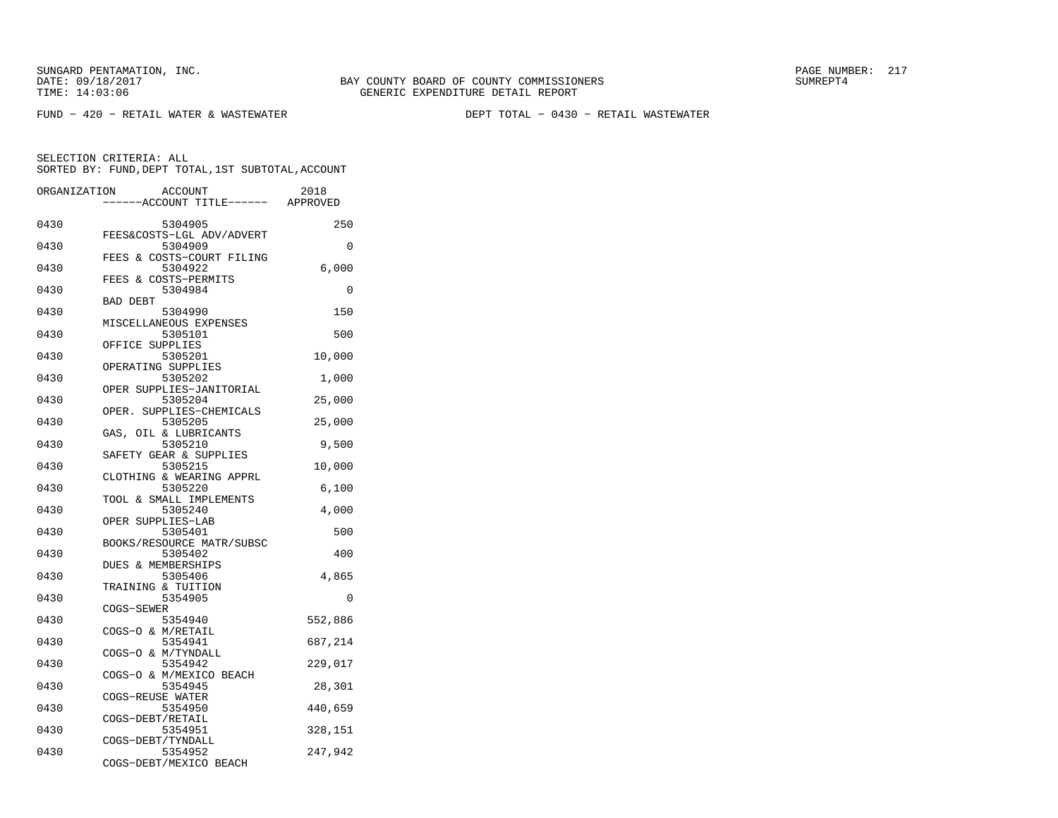FUND − 420 − RETAIL WATER & WASTEWATER DEPT TOTAL − 0430 − RETAIL WASTEWATER

| ORGANIZATION | ACCOUNT<br>---ACCOUNT TITLE------ APPROVED | 2018     |
|--------------|--------------------------------------------|----------|
|              |                                            |          |
| 0430         | 5304905                                    | 250      |
| 0430         | FEES&COSTS-LGL ADV/ADVERT<br>5304909       | 0        |
|              | FEES & COSTS-COURT FILING                  |          |
| 0430         | 5304922                                    | 6,000    |
|              | FEES & COSTS-PERMITS                       |          |
| 0430         | 5304984                                    | $\Omega$ |
|              | <b>BAD DEBT</b>                            |          |
| 0430         | 5304990                                    | 150      |
|              | MISCELLANEOUS EXPENSES                     |          |
| 0430         | 5305101                                    | 500      |
|              | OFFICE SUPPLIES                            |          |
| 0430         | 5305201                                    | 10,000   |
|              | OPERATING SUPPLIES                         |          |
| 0430         | 5305202                                    | 1,000    |
| 0430         | OPER SUPPLIES-JANITORIAL                   |          |
|              | 5305204<br>OPER.<br>SUPPLIES-CHEMICALS     | 25,000   |
| 0430         | 5305205                                    | 25,000   |
|              | GAS, OIL & LUBRICANTS                      |          |
| 0430         | 5305210                                    | 9,500    |
|              | SAFETY GEAR & SUPPLIES                     |          |
| 0430         | 5305215                                    | 10,000   |
|              | CLOTHING & WEARING APPRL                   |          |
| 0430         | 5305220                                    | 6,100    |
|              | TOOL & SMALL IMPLEMENTS                    |          |
| 0430         | 5305240                                    | 4,000    |
|              | OPER SUPPLIES-LAB                          |          |
| 0430         | 5305401                                    | 500      |
|              | BOOKS/RESOURCE MATR/SUBSC                  |          |
| 0430         | 5305402                                    | 400      |
|              | DUES & MEMBERSHIPS                         |          |
| 0430         | 5305406<br>TRAINING & TUITION              | 4,865    |
| 0430         | 5354905                                    | 0        |
|              | COGS-SEWER                                 |          |
| 0430         | 5354940                                    | 552,886  |
|              | COGS-O & M/RETAIL                          |          |
| 0430         | 5354941                                    | 687,214  |
|              | COGS-O & M/TYNDALL                         |          |
| 0430         | 5354942                                    | 229,017  |
|              | COGS-O & M/MEXICO BEACH                    |          |
| 0430         | 5354945                                    | 28,301   |
|              | COGS-REUSE WATER                           |          |
| 0430         | 5354950                                    | 440,659  |
|              | COGS-DEBT/RETAIL                           |          |
| 0430         | 5354951                                    | 328,151  |
| 0430         | COGS-DEBT/TYNDALL<br>5354952               | 247,942  |
|              | COGS-DEBT/MEXICO BEACH                     |          |
|              |                                            |          |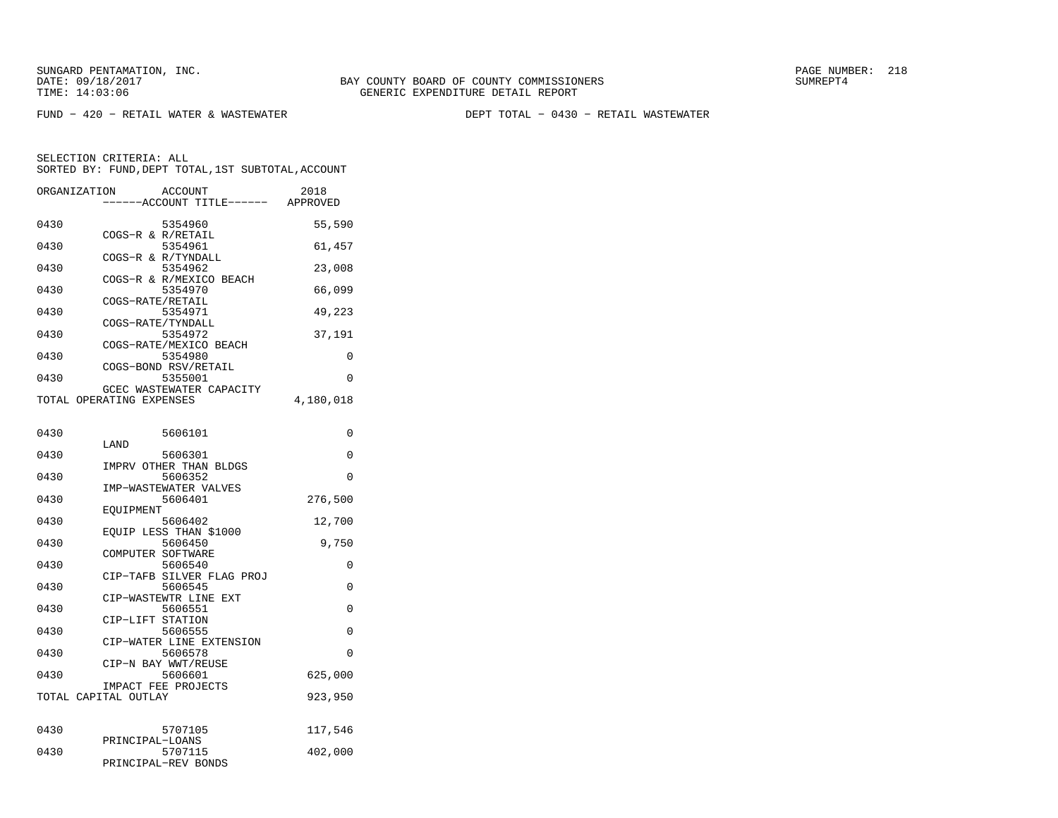FUND − 420 − RETAIL WATER & WASTEWATER DEPT TOTAL − 0430 − RETAIL WASTEWATER

| ORGANIZATION             |                  | ACCOUNT<br>---ACCOUNT TITLE------ APPROVED | 2018      |
|--------------------------|------------------|--------------------------------------------|-----------|
| 0430                     |                  | 5354960<br>COGS-R & R/RETAIL               | 55,590    |
| 0430                     |                  | 5354961                                    | 61,457    |
| 0430                     |                  | COGS-R & R/TYNDALL<br>5354962              | 23,008    |
| 0430                     |                  | COGS-R & R/MEXICO BEACH<br>5354970         | 66,099    |
| 0430                     | COGS-RATE/RETAIL | 5354971                                    | 49,223    |
| 0430                     |                  | COGS-RATE/TYNDALL<br>5354972               | 37,191    |
| 0430                     |                  | COGS-RATE/MEXICO BEACH<br>5354980          | 0         |
| 0430                     |                  | COGS-BOND RSV/RETAIL<br>5355001            | 0         |
| TOTAL OPERATING EXPENSES |                  | GCEC WASTEWATER CAPACITY                   | 4,180,018 |
| 0430                     |                  | 5606101                                    | 0         |
| 0430                     | LAND             | 5606301                                    | $\Omega$  |
| 0430                     |                  | IMPRV OTHER THAN BLDGS<br>5606352          | 0         |
| 0430                     |                  | IMP-WASTEWATER VALVES<br>5606401           | 276,500   |
| 0430                     | EOUIPMENT        | 5606402                                    | 12,700    |
| 0430                     |                  | EQUIP LESS THAN \$1000<br>5606450          | 9,750     |
| 0430                     |                  | COMPUTER SOFTWARE<br>5606540               | 0         |
| 0430                     |                  | CIP-TAFB SILVER FLAG PROJ<br>5606545       | 0         |
| 0430                     |                  | CIP-WASTEWTR LINE EXT<br>5606551           | 0         |
|                          | CIP-LIFT STATION |                                            |           |
| 0430                     |                  | 5606555<br>CIP-WATER LINE EXTENSION        | 0         |
| 0430                     |                  | 5606578<br>CIP-N BAY WWT/REUSE             | $\Omega$  |
| 0430                     |                  | 5606601<br>IMPACT FEE PROJECTS             | 625,000   |
| TOTAL CAPITAL OUTLAY     |                  |                                            | 923,950   |
| 0430                     |                  | 5707105                                    | 117,546   |
| 0430                     | PRINCIPAL-LOANS  | 5707115<br>PRINCIPAL-REV BONDS             | 402,000   |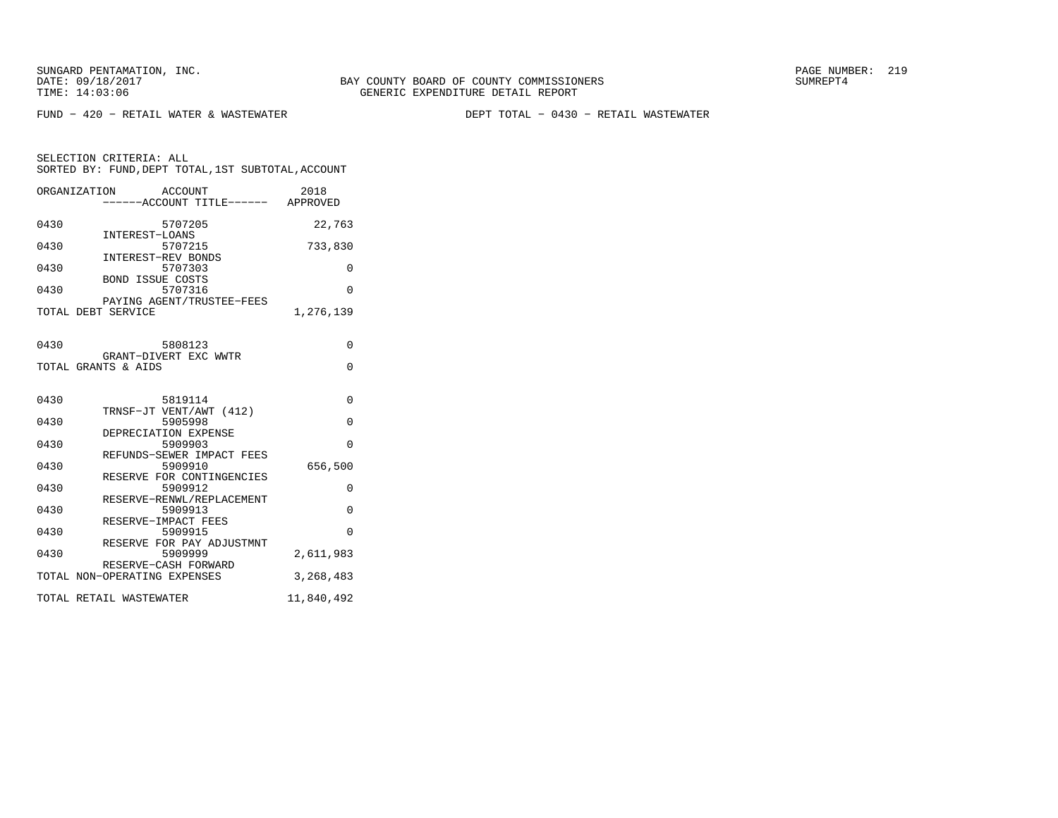FUND − 420 − RETAIL WATER & WASTEWATER DEPT TOTAL − 0430 − RETAIL WASTEWATER

|      | ORGANIZATION<br>ACCOUNT            | 2018       |
|------|------------------------------------|------------|
|      | ------ACCOUNT TITLE------ APPROVED |            |
|      |                                    |            |
| 0430 | 5707205                            | 22,763     |
|      | INTEREST-LOANS                     |            |
| 0430 | 5707215                            | 733,830    |
| 0430 | INTEREST-REV BONDS<br>5707303      | 0          |
|      | <b>BOND ISSUE COSTS</b>            |            |
| 0430 | 5707316                            | $\Omega$   |
|      | PAYING AGENT/TRUSTEE-FEES          |            |
|      | TOTAL DEBT SERVICE                 | 1,276,139  |
|      |                                    |            |
|      |                                    |            |
| 0430 | 5808123                            | $\Omega$   |
|      | GRANT-DIVERT EXC WWTR              |            |
|      | TOTAL GRANTS & AIDS                | $\Omega$   |
|      |                                    |            |
| 0430 | 5819114                            | $\Omega$   |
|      | TRNSF-JT VENT/AWT (412)            |            |
| 0430 | 5905998                            | $\Omega$   |
|      | DEPRECIATION EXPENSE               |            |
| 0430 | 5909903                            | $\Omega$   |
|      | REFUNDS-SEWER IMPACT FEES          |            |
| 0430 | 5909910                            | 656,500    |
|      | RESERVE FOR CONTINGENCIES          |            |
| 0430 | 5909912                            | 0          |
|      | RESERVE-RENWL/REPLACEMENT          |            |
| 0430 | 5909913<br>RESERVE-IMPACT FEES     | $\Omega$   |
| 0430 | 5909915                            | $\Omega$   |
|      | RESERVE FOR PAY ADJUSTMNT          |            |
| 0430 | 5909999                            | 2,611,983  |
|      | RESERVE-CASH FORWARD               |            |
|      | TOTAL NON-OPERATING EXPENSES       | 3,268,483  |
|      |                                    |            |
|      | TOTAL RETAIL WASTEWATER            | 11,840,492 |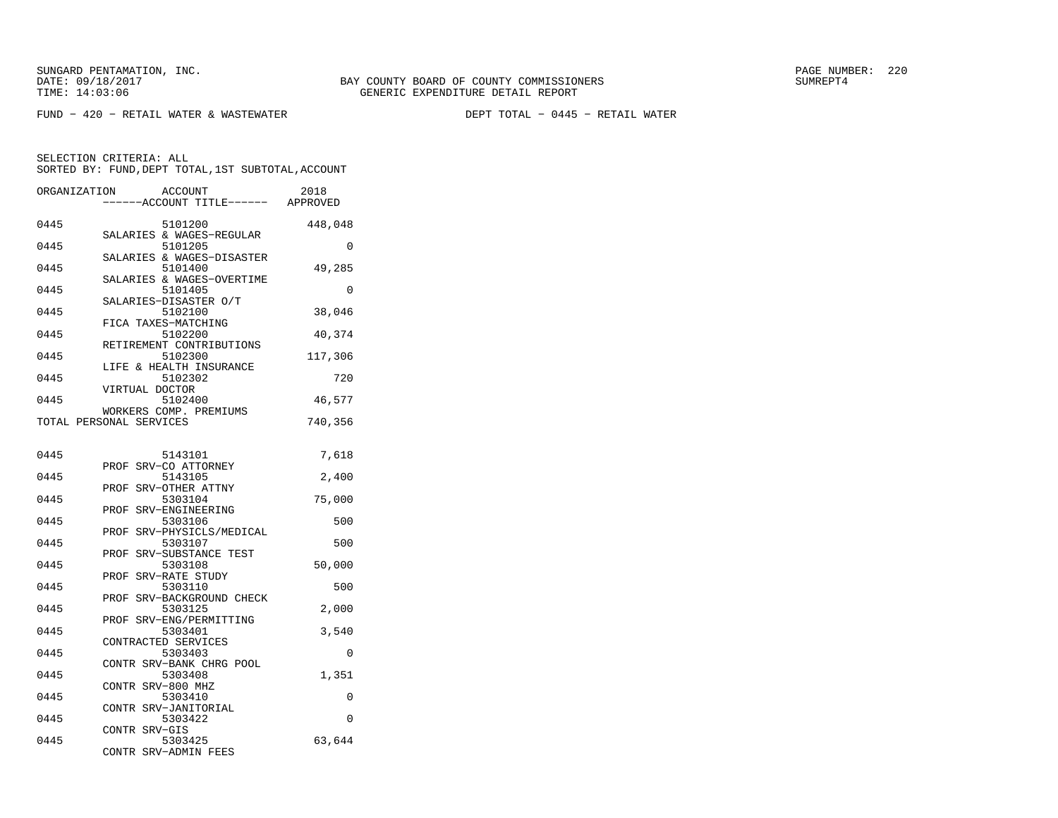FUND − 420 − RETAIL WATER & WASTEWATER DEPT TOTAL − 0445 − RETAIL WATER

| ORGANIZATION | <b>ACCOUNT</b><br>---ACCOUNT TITLE------ APPROVED | 2018     |
|--------------|---------------------------------------------------|----------|
| 0445         | 5101200                                           | 448,048  |
| 0445         | SALARIES & WAGES-REGULAR<br>5101205               | 0        |
| 0445         | SALARIES & WAGES-DISASTER<br>5101400              | 49,285   |
| 0445         | SALARIES & WAGES-OVERTIME<br>5101405              | 0        |
| 0445         | SALARIES-DISASTER O/T<br>5102100                  | 38,046   |
| 0445         | FICA TAXES-MATCHING<br>5102200                    | 40,374   |
| 0445         | RETIREMENT CONTRIBUTIONS<br>5102300               | 117,306  |
| 0445         | LIFE & HEALTH INSURANCE<br>5102302                | 720      |
| 0445         | VIRTUAL DOCTOR<br>5102400                         | 46,577   |
|              | WORKERS COMP. PREMIUMS<br>TOTAL PERSONAL SERVICES | 740,356  |
| 0445         | 5143101                                           | 7,618    |
| 0445         | SRV-CO ATTORNEY<br>PROF<br>5143105                | 2,400    |
| 0445         | PROF<br>SRV-OTHER ATTNY<br>5303104                | 75,000   |
| 0445         | SRV-ENGINEERING<br>PROF<br>5303106                | 500      |
| 0445         | PROF<br>SRV-PHYSICLS/MEDICAL<br>5303107           | 500      |
| 0445         | SRV-SUBSTANCE TEST<br>PROF<br>5303108             | 50,000   |
| 0445         | SRV-RATE STUDY<br>PROF<br>5303110                 | 500      |
| 0445         | SRV-BACKGROUND CHECK<br>PROF<br>5303125           | 2,000    |
|              | SRV-ENG/PERMITTING<br>PROF                        |          |
| 0445         | 5303401<br>CONTRACTED SERVICES                    | 3,540    |
| 0445         | 5303403<br>CONTR SRV-BANK CHRG POOL               | $\Omega$ |
| 0445         | 5303408<br>CONTR SRV-800 MHZ                      | 1,351    |
| 0445         | 5303410<br>SRV-JANITORIAL<br>CONTR                | 0        |
| 0445         | 5303422<br>CONTR SRV-GIS                          | $\Omega$ |
| 0445         | 5303425<br>CONTR<br>SRV-ADMIN FEES                | 63,644   |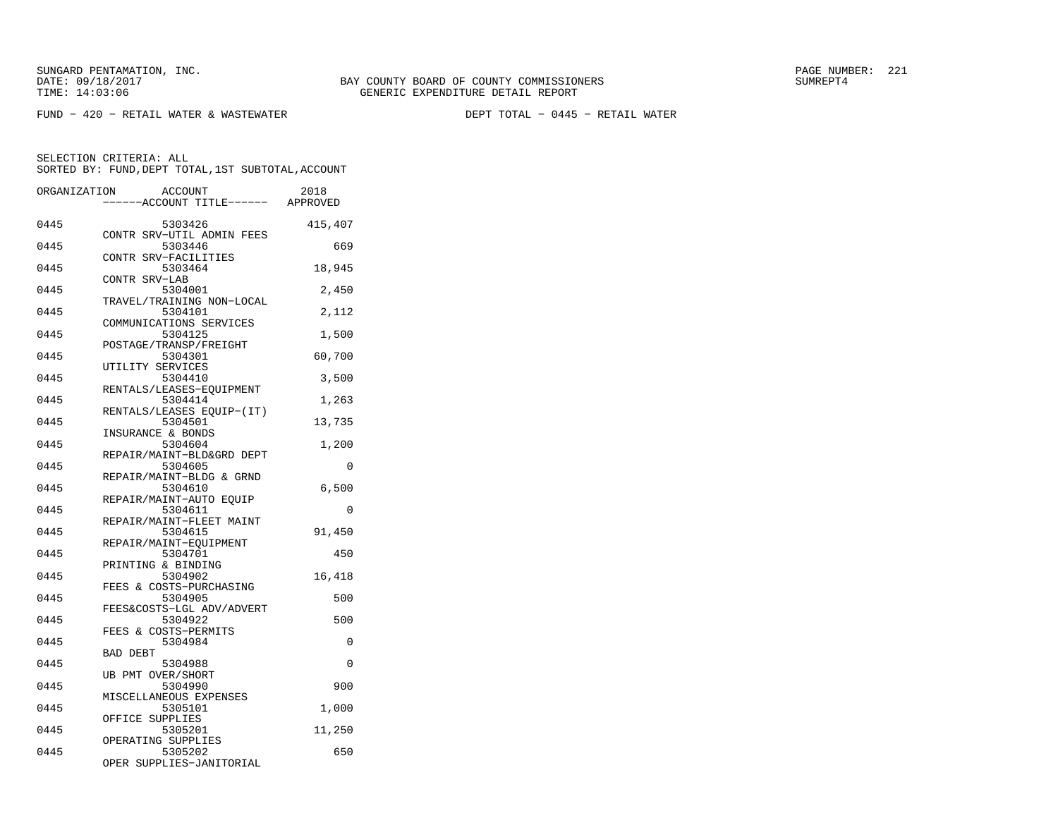FUND − 420 − RETAIL WATER & WASTEWATER DEPT TOTAL − 0445 − RETAIL WATER

| ORGANIZATION | <b>ACCOUNT</b>                       | 2018     |
|--------------|--------------------------------------|----------|
|              | ---ACCOUNT TITLE------               | APPROVED |
| 0445         | 5303426                              | 415,407  |
| 0445         | CONTR SRV-UTIL ADMIN FEES<br>5303446 | 669      |
| 0445         | CONTR SRV-FACILITIES<br>5303464      | 18,945   |
| 0445         | CONTR SRV-LAB<br>5304001             | 2,450    |
| 0445         | TRAVEL/TRAINING NON-LOCAL<br>5304101 | 2,112    |
| 0445         | COMMUNICATIONS SERVICES<br>5304125   | 1,500    |
| 0445         | POSTAGE/TRANSP/FREIGHT<br>5304301    | 60,700   |
| 0445         | UTILITY SERVICES<br>5304410          | 3,500    |
| 0445         | RENTALS/LEASES-EQUIPMENT<br>5304414  | 1,263    |
| 0445         | RENTALS/LEASES EQUIP-(IT)<br>5304501 | 13,735   |
| 0445         | INSURANCE & BONDS<br>5304604         | 1,200    |
| 0445         | REPAIR/MAINT-BLD&GRD DEPT<br>5304605 | 0        |
| 0445         | REPAIR/MAINT-BLDG & GRND<br>5304610  | 6,500    |
| 0445         | REPAIR/MAINT-AUTO EQUIP<br>5304611   | $\Omega$ |
| 0445         | REPAIR/MAINT-FLEET MAINT<br>5304615  | 91,450   |
| 0445         | REPAIR/MAINT-EQUIPMENT               |          |
|              | 5304701<br>PRINTING & BINDING        | 450      |
| 0445         | 5304902<br>FEES & COSTS-PURCHASING   | 16,418   |
| 0445         | 5304905<br>FEES&COSTS-LGL ADV/ADVERT | 500      |
| 0445         | 5304922<br>FEES & COSTS-PERMITS      | 500      |
| 0445         | 5304984<br><b>BAD DEBT</b>           | 0        |
| 0445         | 5304988<br>UB PMT OVER/SHORT         | $\Omega$ |
| 0445         | 5304990<br>MISCELLANEOUS EXPENSES    | 900      |
| 0445         | 5305101<br>OFFICE SUPPLIES           | 1,000    |
| 0445         | 5305201<br>OPERATING SUPPLIES        | 11,250   |
| 0445         | 5305202<br>OPER SUPPLIES-JANITORIAL  | 650      |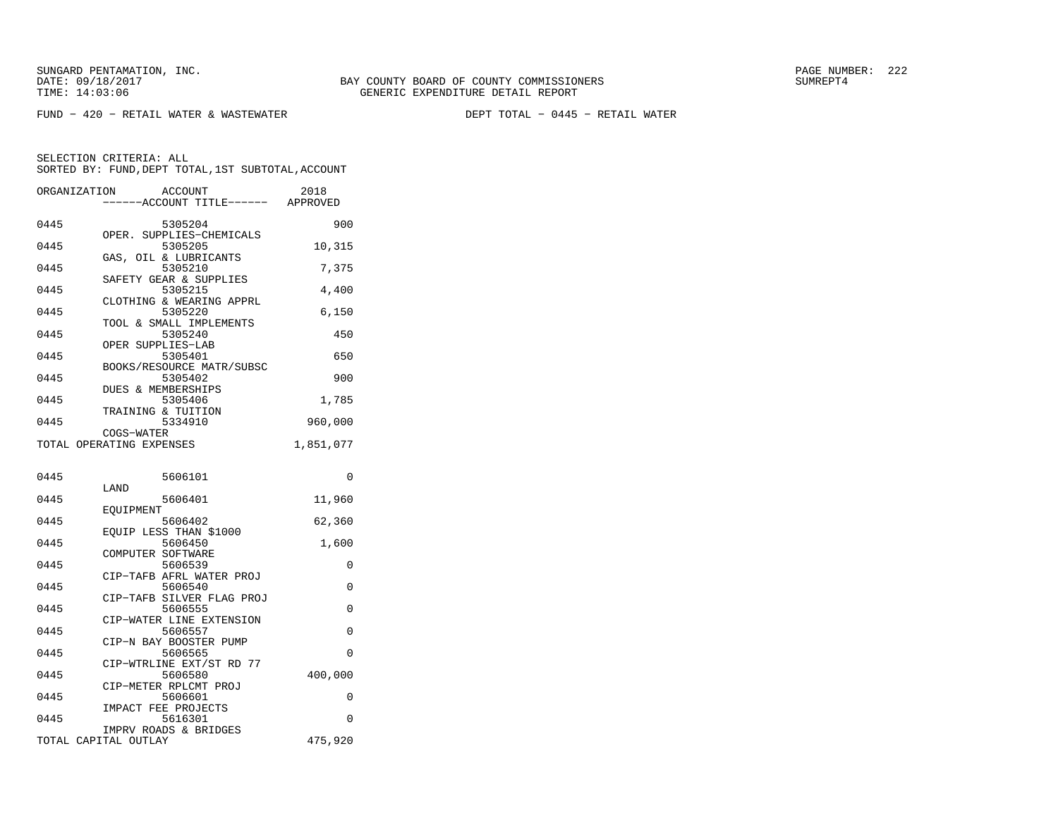FUND − 420 − RETAIL WATER & WASTEWATER DEPT TOTAL − 0445 − RETAIL WATER

| ORGANIZATION | <b>ACCOUNT</b><br>----ACCOUNT TITLE------ APPROVED            | 2018      |
|--------------|---------------------------------------------------------------|-----------|
| 0445         | 5305204<br>OPER. SUPPLIES-CHEMICALS                           | 900       |
| 0445         | 5305205<br>GAS, OIL & LUBRICANTS                              | 10,315    |
| 0445         | 5305210                                                       | 7,375     |
| 0445         | SAFETY GEAR & SUPPLIES<br>5305215<br>CLOTHING & WEARING APPRL | 4,400     |
| 0445         | 5305220                                                       | 6,150     |
| 0445         | TOOL & SMALL IMPLEMENTS<br>5305240                            | 450       |
| 0445         | OPER SUPPLIES-LAB<br>5305401                                  | 650       |
| 0445         | BOOKS/RESOURCE MATR/SUBSC<br>5305402                          | 900       |
| 0445         | DUES & MEMBERSHIPS<br>5305406                                 | 1,785     |
| 0445         | TRAINING & TUITION<br>5334910                                 | 960,000   |
|              | COGS-WATER<br>TOTAL OPERATING EXPENSES                        | 1,851,077 |
| 0445         | 5606101                                                       | 0         |
| 0445         | LAND<br>5606401                                               | 11,960    |
| 0445         | EQUIPMENT<br>5606402                                          | 62,360    |
| 0445         | EOUIP LESS THAN \$1000<br>5606450                             | 1,600     |
| 0445         | COMPUTER SOFTWARE<br>5606539                                  | 0         |
| 0445         | CIP-TAFB AFRL WATER PROJ<br>5606540                           | 0         |
| 0445         | CIP-TAFB SILVER FLAG PROJ<br>5606555                          | 0         |
| 0445         | CIP-WATER LINE EXTENSION<br>5606557                           | 0         |
| 0445         | CIP-N BAY BOOSTER PUMP<br>5606565                             | 0         |
| 0445         | CIP-WTRLINE EXT/ST RD 77<br>5606580                           | 400,000   |
| 0445         | CIP-METER RPLCMT PROJ<br>5606601                              | 0         |
| 0445         | IMPACT FEE PROJECTS<br>5616301                                | 0         |
|              | IMPRV ROADS & BRIDGES<br>TOTAL CAPITAL OUTLAY                 | 475,920   |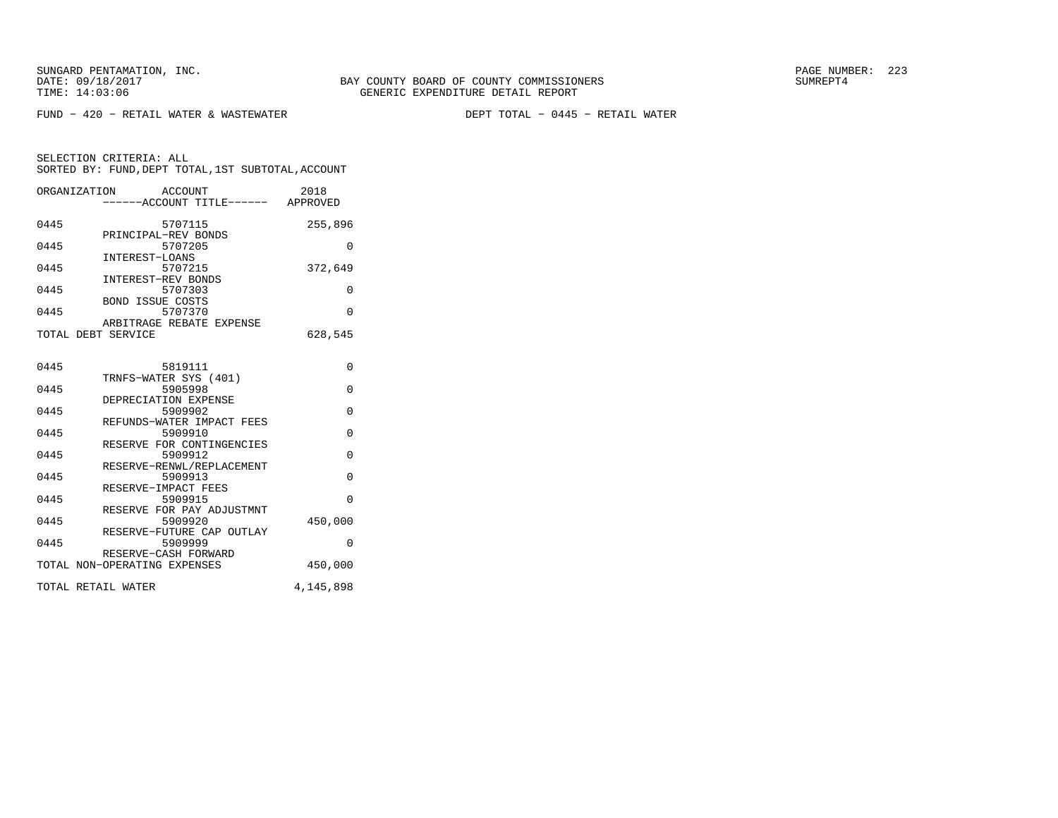FUND − 420 − RETAIL WATER & WASTEWATER DEPT TOTAL − 0445 − RETAIL WATER

| ORGANIZATION | ACCOUNT                            | 2018      |
|--------------|------------------------------------|-----------|
|              | ------ACCOUNT TITLE------ APPROVED |           |
|              |                                    |           |
| 0445         | 5707115                            | 255,896   |
|              | PRINCIPAL-REV BONDS                |           |
| 0445         | 5707205                            | $\Omega$  |
|              | INTEREST-LOANS                     |           |
| 0445         | 5707215                            | 372,649   |
| 0445         | INTEREST-REV BONDS<br>5707303      | $\Omega$  |
|              | <b>BOND ISSUE COSTS</b>            |           |
| 0445         | 5707370                            | $\Omega$  |
|              | ARBITRAGE REBATE EXPENSE           |           |
|              | TOTAL DEBT SERVICE                 | 628,545   |
|              |                                    |           |
|              |                                    |           |
| 0445         | 5819111                            | $\Omega$  |
|              | TRNFS-WATER SYS (401)              |           |
| 0445         | 5905998                            | $\Omega$  |
|              | DEPRECIATION EXPENSE               |           |
| 0445         | 5909902                            | $\Omega$  |
|              | REFUNDS-WATER IMPACT FEES          |           |
| 0445         | 5909910                            | $\Omega$  |
|              | RESERVE FOR CONTINGENCIES          |           |
| 0445         | 5909912                            | 0         |
|              | RESERVE-RENWL/REPLACEMENT          |           |
| 0445         | 5909913                            | $\Omega$  |
|              | RESERVE-IMPACT FEES                |           |
| 0445         | 5909915                            | $\Omega$  |
|              | RESERVE FOR PAY ADJUSTMNT          |           |
| 0445         | 5909920                            | 450,000   |
|              | RESERVE-FUTURE CAP OUTLAY          |           |
| 0445         | 5909999                            | 0         |
|              | RESERVE-CASH FORWARD               |           |
|              | TOTAL NON-OPERATING EXPENSES       | 450,000   |
|              | TOTAL RETAIL WATER                 |           |
|              |                                    | 4,145,898 |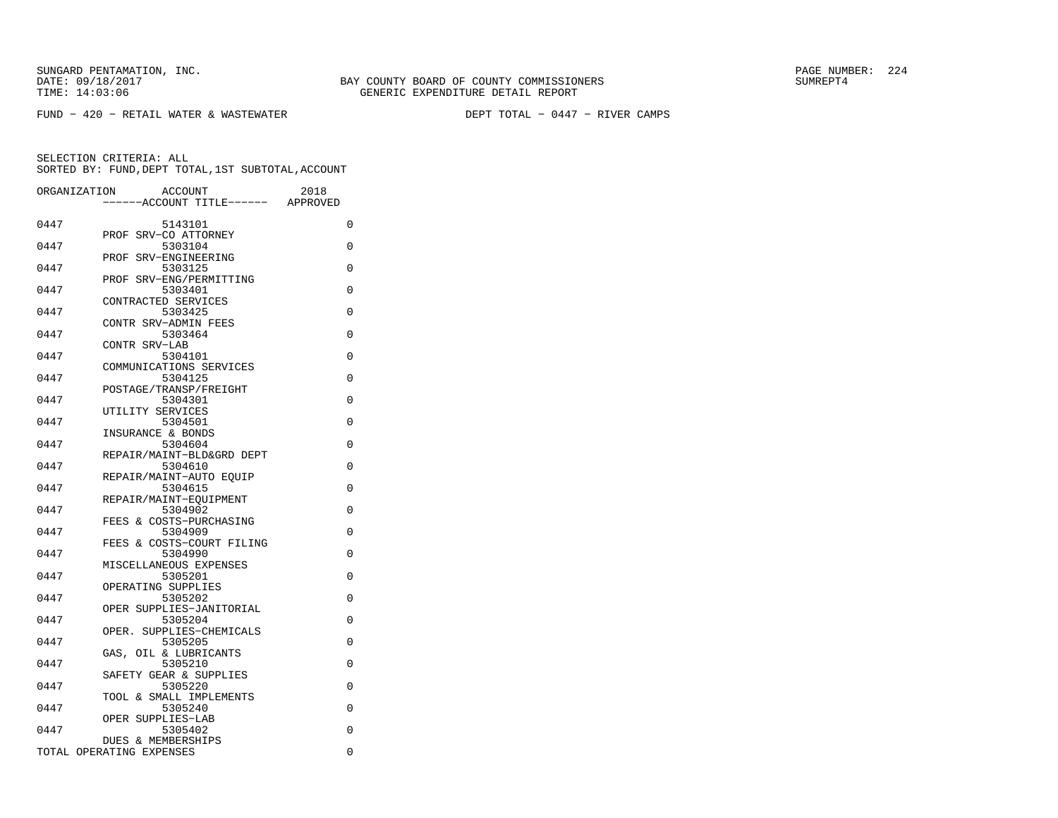FUND − 420 − RETAIL WATER & WASTEWATER DEPT TOTAL − 0447 − RIVER CAMPS

| ORGANIZATION | <b>ACCOUNT</b><br>--ACCOUNT TITLE------        | 2018<br>APPROVED |
|--------------|------------------------------------------------|------------------|
| 0447         | 5143101                                        | 0                |
| 0447         | SRV-CO ATTORNEY<br>PROF<br>5303104             | 0                |
| 0447         | PROF SRV-ENGINEERING<br>5303125                | 0                |
| 0447         | PROF SRV-ENG/PERMITTING<br>5303401             | $\Omega$         |
| 0447         | CONTRACTED SERVICES<br>5303425                 | 0                |
| 0447         | CONTR SRV-ADMIN FEES<br>5303464                | 0                |
| 0447         | CONTR SRV-LAB<br>5304101                       | 0                |
| 0447         | COMMUNICATIONS SERVICES<br>5304125             | 0                |
| 0447         | POSTAGE/TRANSP/FREIGHT<br>5304301              | 0                |
| 0447         | UTILITY SERVICES<br>5304501                    | 0                |
|              | INSURANCE & BONDS                              |                  |
| 0447         | 5304604<br>REPAIR/MAINT-BLD&GRD DEPT           | 0                |
| 0447         | 5304610<br>REPAIR/MAINT-AUTO EOUIP             | $\Omega$         |
| 0447         | 5304615<br>REPAIR/MAINT-EQUIPMENT              | 0                |
| 0447         | 5304902<br>FEES & COSTS-PURCHASING             | 0                |
| 0447         | 5304909<br>FEES & COSTS-COURT FILING           | 0                |
| 0447         | 5304990<br>MISCELLANEOUS EXPENSES              | 0                |
| 0447         | 5305201<br>OPERATING SUPPLIES                  | 0                |
| 0447         | 5305202<br>OPER SUPPLIES-JANITORIAL            | 0                |
| 0447         | 5305204<br>SUPPLIES-CHEMICALS<br>OPER.         | 0                |
| 0447         | 5305205<br>OIL & LUBRICANTS<br>GAS.            | 0                |
| 0447         | 5305210<br>SAFETY GEAR & SUPPLIES              | 0                |
| 0447         | 5305220                                        | 0                |
| 0447         | TOOL & SMALL IMPLEMENTS<br>5305240             | $\Omega$         |
| 0447         | OPER SUPPLIES-LAB<br>5305402                   | 0                |
|              | DUES & MEMBERSHIPS<br>TOTAL OPERATING EXPENSES | 0                |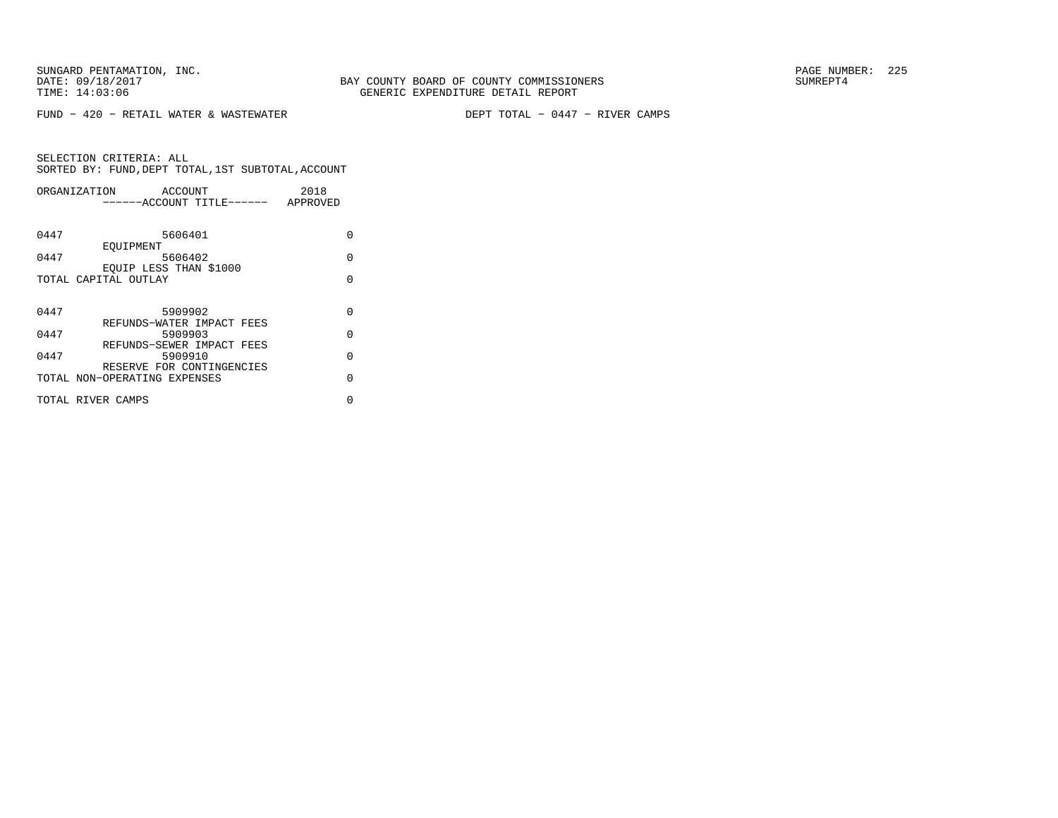FUND − 420 − RETAIL WATER & WASTEWATER DEPT TOTAL − 0447 − RIVER CAMPS

| ORGANIZATION      |                              | ACCOUNT                   | 2018     |
|-------------------|------------------------------|---------------------------|----------|
|                   |                              | ------ACCOUNT TITLE------ | APPROVED |
|                   |                              |                           |          |
| 0447              |                              | 5606401                   | U        |
|                   | EOUIPMENT                    |                           |          |
| 0447              |                              | 5606402                   | $\Omega$ |
|                   | EOUIP LESS THAN \$1000       |                           |          |
|                   | TOTAL CAPITAL OUTLAY         |                           | U        |
|                   |                              |                           |          |
| 0447              |                              | 5909902                   | $\Omega$ |
|                   |                              | REFUNDS-WATER IMPACT FEES |          |
| 0447              |                              | 5909903                   | $\Omega$ |
|                   |                              | REFUNDS-SEWER IMPACT FEES |          |
| 0447              |                              | 5909910                   | $\Omega$ |
|                   |                              | RESERVE FOR CONTINGENCIES |          |
|                   | TOTAL NON-OPERATING EXPENSES |                           | $\cap$   |
| TOTAL RIVER CAMPS |                              |                           | U        |
|                   |                              |                           |          |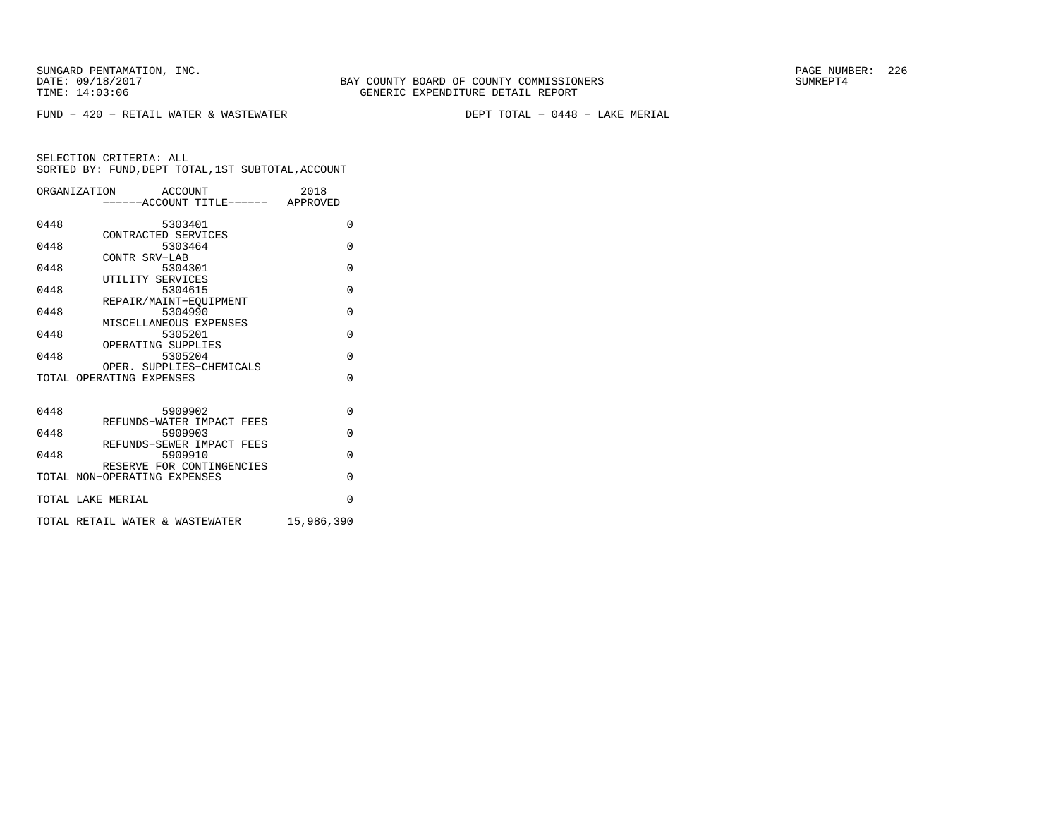FUND − 420 − RETAIL WATER & WASTEWATER DEPT TOTAL − 0448 − LAKE MERIAL

|      | ORGANIZATION ACCOUNT<br>-----ACCOUNT TITLE------ APPROVED | 2018       |
|------|-----------------------------------------------------------|------------|
| 0448 | 5303401                                                   | $\Omega$   |
| 0448 | CONTRACTED SERVICES<br>5303464                            | $\Omega$   |
| 0448 | CONTR SRV-LAB<br>5304301                                  | $\Omega$   |
| 0448 | UTILITY SERVICES<br>5304615                               | $\Omega$   |
| 0448 | REPAIR/MAINT-EOUIPMENT<br>5304990                         | $\Omega$   |
| 0448 | MISCELLANEOUS EXPENSES<br>5305201                         | $\Omega$   |
| 0448 | OPERATING SUPPLIES<br>5305204<br>OPER. SUPPLIES-CHEMICALS | $\Omega$   |
|      | TOTAL OPERATING EXPENSES                                  | $\Omega$   |
| 0448 | 5909902                                                   | $\Omega$   |
| 0448 | REFUNDS-WATER IMPACT FEES<br>5909903                      | $\Omega$   |
| 0448 | REFUNDS-SEWER IMPACT FEES<br>5909910                      | $\Omega$   |
|      | RESERVE FOR CONTINGENCIES<br>TOTAL NON-OPERATING EXPENSES | $\Omega$   |
|      | TOTAL LAKE MERIAL                                         | $\Omega$   |
|      | TOTAL RETAIL WATER & WASTEWATER                           | 15,986,390 |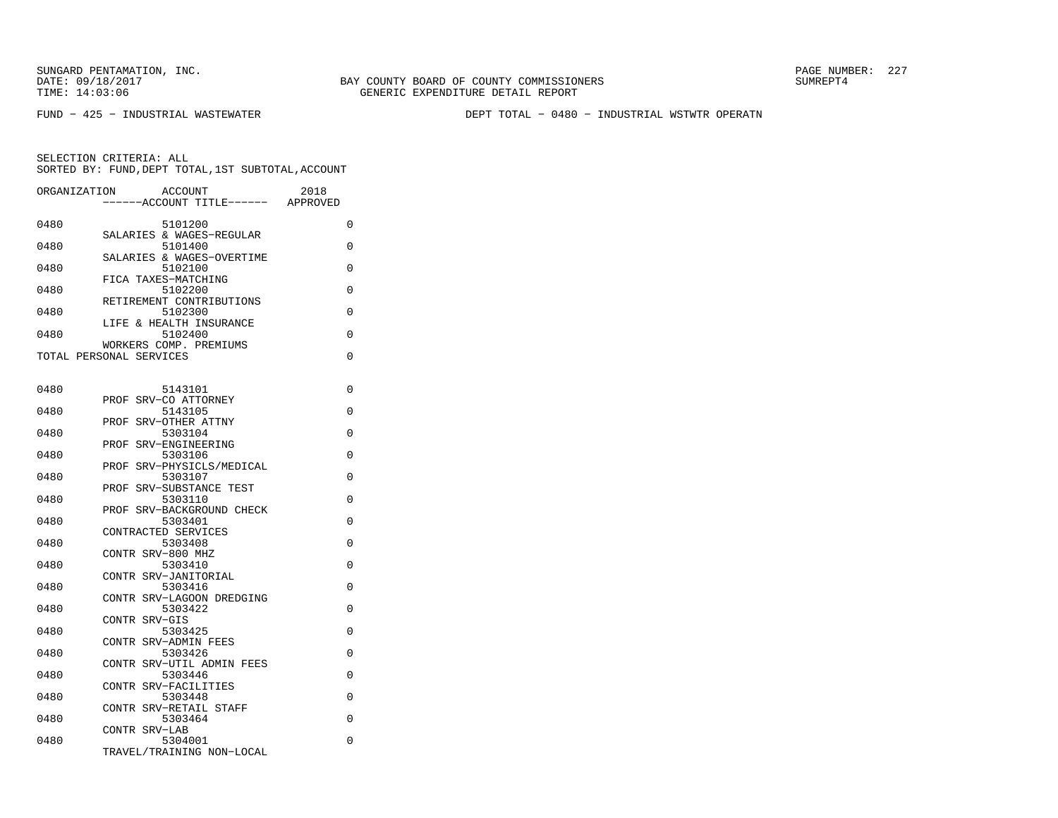FUND − 425 − INDUSTRIAL WASTEWATER DEPT TOTAL − 0480 − INDUSTRIAL WSTWTR OPERATN

| ORGANIZATION | 2018<br><b>ACCOUNT</b><br>--ACCOUNT TITLE------<br>APPROVED |          |
|--------------|-------------------------------------------------------------|----------|
| 0480         | 5101200                                                     | 0        |
| 0480         | SALARIES & WAGES-REGULAR<br>5101400                         | 0        |
|              | SALARIES & WAGES-OVERTIME                                   |          |
| 0480         | 5102100<br>FICA TAXES-MATCHING                              | 0        |
| 0480         | 5102200                                                     | 0        |
| 0480         | RETIREMENT CONTRIBUTIONS<br>5102300                         | 0        |
| 0480         | LIFE & HEALTH INSURANCE<br>5102400                          | 0        |
|              | WORKERS COMP. PREMIUMS                                      |          |
|              | TOTAL PERSONAL SERVICES                                     | 0        |
|              |                                                             |          |
| 0480         | 5143101<br>SRV-CO ATTORNEY<br>PROF                          | 0        |
| 0480         | 5143105                                                     | 0        |
| 0480         | SRV-OTHER ATTNY<br>PROF<br>5303104                          | 0        |
|              | SRV-ENGINEERING<br>PROF                                     |          |
| 0480         | 5303106                                                     | 0        |
| 0480         | PROF SRV-PHYSICLS/MEDICAL<br>5303107                        | 0        |
|              | PROF SRV-SUBSTANCE TEST                                     |          |
| 0480         | 5303110<br>PROF SRV-BACKGROUND CHECK                        | 0        |
| 0480         | 5303401                                                     | 0        |
|              | CONTRACTED SERVICES                                         |          |
| 0480         | 5303408<br>CONTR SRV-800 MHZ                                | 0        |
| 0480         | 5303410                                                     | 0        |
| 0480         | CONTR SRV-JANITORIAL<br>5303416                             | $\Omega$ |
|              | CONTR SRV-LAGOON DREDGING                                   |          |
| 0480         | 5303422<br>CONTR SRV-GIS                                    | 0        |
| 0480         | 5303425                                                     | 0        |
|              | CONTR SRV-ADMIN FEES<br>5303426                             |          |
| 0480         | CONTR SRV-UTIL ADMIN FEES                                   | 0        |
| 0480         | 5303446                                                     | 0        |
| 0480         | CONTR SRV-FACILITIES<br>5303448                             | 0        |
|              | CONTR SRV-RETAIL STAFF                                      |          |
| 0480         | 5303464<br>CONTR SRV-LAB                                    | 0        |
| 0480         | 5304001                                                     | 0        |
|              | TRAVEL/TRAINING NON-LOCAL                                   |          |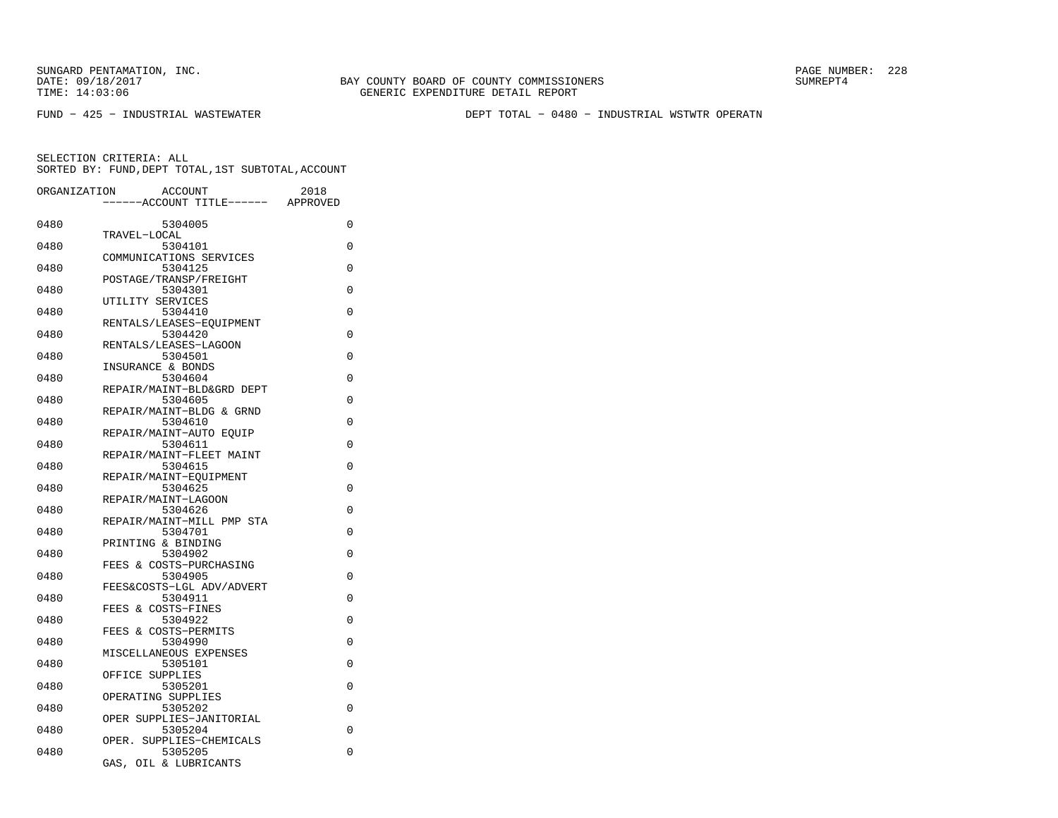FUND − 425 − INDUSTRIAL WASTEWATER DEPT TOTAL − 0480 − INDUSTRIAL WSTWTR OPERATN

| ORGANIZATION | <b>ACCOUNT</b><br>---ACCOUNT TITLE------ | 2018<br>APPROVED |
|--------------|------------------------------------------|------------------|
| 0480         | 5304005                                  | 0                |
|              | TRAVEL-LOCAL                             |                  |
| 0480         | 5304101<br>COMMUNICATIONS SERVICES       | 0                |
| 0480         | 5304125                                  | 0                |
|              | POSTAGE/TRANSP/FREIGHT                   |                  |
| 0480         | 5304301<br>UTILITY SERVICES              | 0                |
| 0480         | 5304410                                  | $\Omega$         |
|              | RENTALS/LEASES-EQUIPMENT                 |                  |
| 0480         | 5304420<br>RENTALS/LEASES-LAGOON         | 0                |
| 0480         | 5304501                                  | 0                |
|              | INSURANCE & BONDS                        |                  |
| 0480         | 5304604                                  | 0                |
| 0480         | REPAIR/MAINT-BLD&GRD DEPT<br>5304605     | 0                |
|              | REPAIR/MAINT-BLDG & GRND                 |                  |
| 0480         | 5304610                                  | 0                |
|              | REPAIR/MAINT-AUTO EOUIP                  |                  |
| 0480         | 5304611                                  | 0                |
| 0480         | REPAIR/MAINT-FLEET MAINT<br>5304615      | 0                |
|              | REPAIR/MAINT-EOUIPMENT                   |                  |
| 0480         | 5304625                                  | 0                |
|              | REPAIR/MAINT-LAGOON                      |                  |
| 0480         | 5304626<br>REPAIR/MAINT-MILL PMP STA     | 0                |
| 0480         | 5304701                                  | 0                |
|              | PRINTING & BINDING                       |                  |
| 0480         | 5304902                                  | 0                |
|              | FEES & COSTS-PURCHASING                  | 0                |
| 0480         | 5304905<br>FEES&COSTS-LGL ADV/ADVERT     |                  |
| 0480         | 5304911                                  | 0                |
|              | FEES & COSTS-FINES                       |                  |
| 0480         | 5304922                                  | 0                |
| 0480         | FEES & COSTS-PERMITS<br>5304990          | $\Omega$         |
|              | MISCELLANEOUS EXPENSES                   |                  |
| 0480         | 5305101                                  | 0                |
|              | OFFICE SUPPLIES                          |                  |
| 0480         | 5305201<br>OPERATING SUPPLIES            | 0                |
| 0480         | 5305202                                  | 0                |
|              | OPER SUPPLIES-JANITORIAL                 |                  |
| 0480         | 5305204                                  | 0                |
| 0480         | SUPPLIES-CHEMICALS<br>OPER.<br>5305205   | $\Omega$         |
|              | GAS,<br>OIL & LUBRICANTS                 |                  |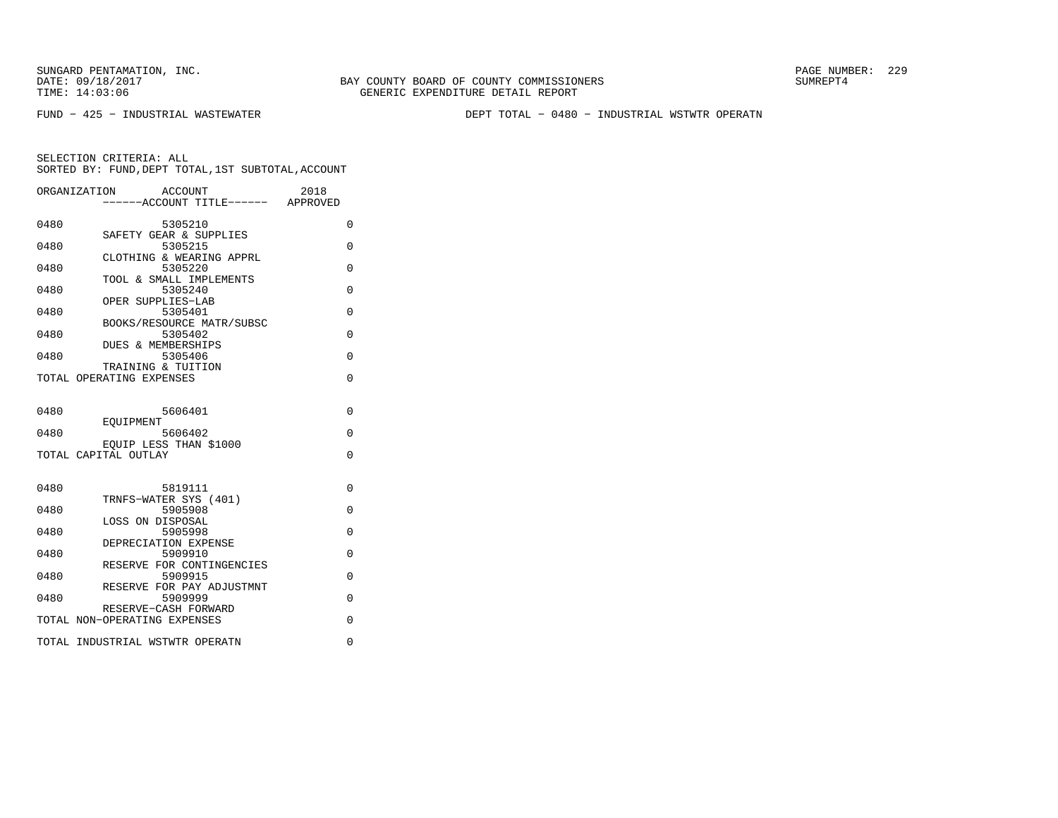SUNGARD PENTAMATION, INC.<br>
DATE: 09/18/2017<br>
DATE: 09/18/2017<br>
SUMREPT4

BAY COUNTY BOARD OF COUNTY COMMISSIONERS TIME: 14:03:06 GENERIC EXPENDITURE DETAIL REPORT

FUND − 425 − INDUSTRIAL WASTEWATER DEPT TOTAL − 0480 − INDUSTRIAL WSTWTR OPERATN

| ORGANIZATION | ACCOUNT<br>------ACCOUNT TITLE------ APPROVED        | 2018        |
|--------------|------------------------------------------------------|-------------|
| 0480         | 5305210<br>SAFETY GEAR & SUPPLIES                    | 0           |
| 0480         | 5305215<br>CLOTHING & WEARING APPRL                  | $\Omega$    |
| 0480         | 5305220<br>TOOL & SMALL IMPLEMENTS                   | 0           |
| 0480         | 5305240<br>OPER SUPPLIES-LAB                         | $\Omega$    |
| 0480         | 5305401<br>BOOKS/RESOURCE MATR/SUBSC                 | $\Omega$    |
| 0480         | 5305402<br>DUES & MEMBERSHIPS                        | $\Omega$    |
| 0480         | 5305406<br>TRAINING & TUITION                        | $\Omega$    |
|              | TOTAL OPERATING EXPENSES                             | $\Omega$    |
| 0480         | 5606401                                              | $\Omega$    |
| 0480         | EOUIPMENT<br>5606402                                 | $\Omega$    |
|              | EOUIP LESS THAN \$1000<br>TOTAL CAPITAL OUTLAY       | $\Omega$    |
| 0480         | 5819111                                              | $\Omega$    |
| 0480         | TRNFS-WATER SYS (401)<br>5905908                     | $\Omega$    |
| 0480         | LOSS ON DISPOSAL<br>5905998                          | 0           |
| 0480         | DEPRECIATION EXPENSE<br>5909910                      | $\mathbf 0$ |
| 0480         | RESERVE FOR CONTINGENCIES<br>5909915                 | $\Omega$    |
| 0480         | RESERVE FOR PAY ADJUSTMNT<br>5909999                 | 0           |
|              | RESERVE-CASH FORWARD<br>TOTAL NON-OPERATING EXPENSES | 0           |
|              | TOTAL INDUSTRIAL WSTWTR OPERATN                      | 0           |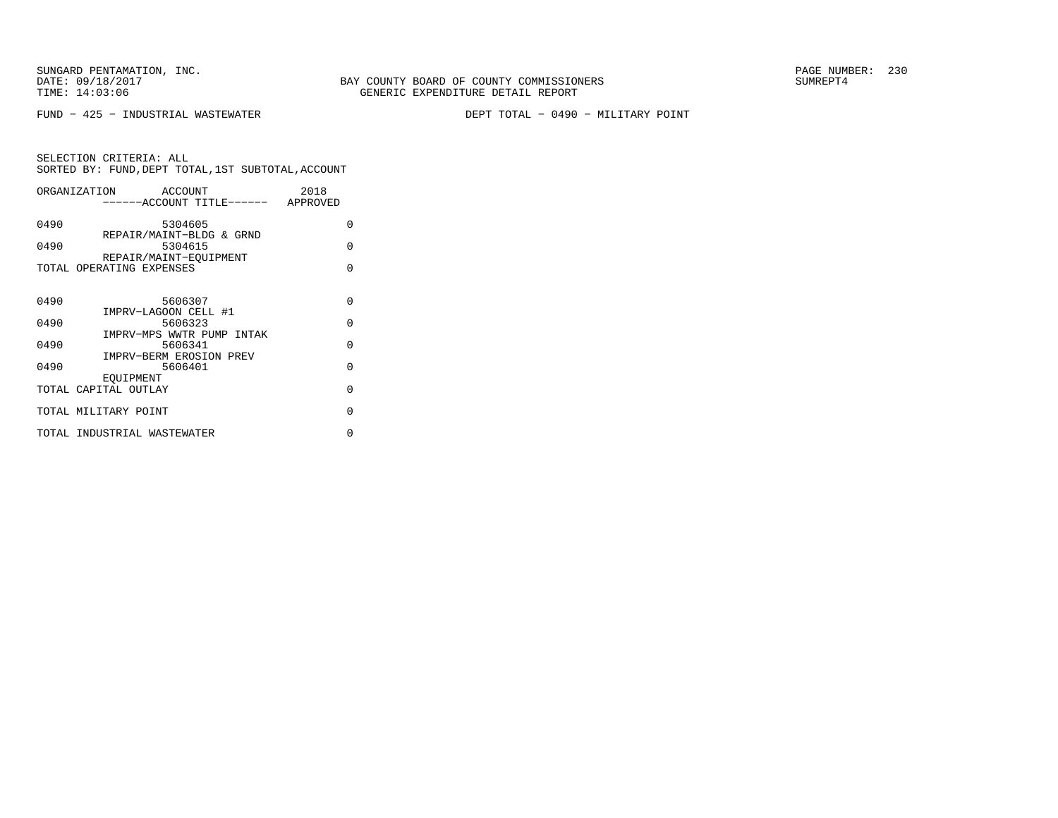FUND − 425 − INDUSTRIAL WASTEWATER DEPT TOTAL − 0490 − MILITARY POINT

|      | ORGANIZATION<br>ACCOUNT                            | 2018     |
|------|----------------------------------------------------|----------|
|      | -----ACCOUNT TITLE------ APPROVED                  |          |
| 0490 | 5304605                                            | $\Omega$ |
| 0490 | REPAIR/MAINT-BLDG & GRND<br>5304615                | $\Omega$ |
|      | REPAIR/MAINT-EOUIPMENT<br>TOTAL OPERATING EXPENSES | $\Omega$ |
|      |                                                    |          |
| 0490 | 5606307                                            | $\Omega$ |
| 0490 | IMPRV-LAGOON CELL #1<br>5606323                    | $\Omega$ |
| 0490 | IMPRV-MPS WWTR PUMP INTAK<br>5606341               | $\Omega$ |
| 0490 | IMPRV-BERM EROSION PREV<br>5606401                 | $\Omega$ |
|      | EOUIPMENT                                          |          |
|      | TOTAL CAPITAL OUTLAY                               | $\Omega$ |
|      | TOTAL MILITARY POINT                               | $\Omega$ |
|      | TOTAL INDUSTRIAL WASTEWATER                        | U        |
|      |                                                    |          |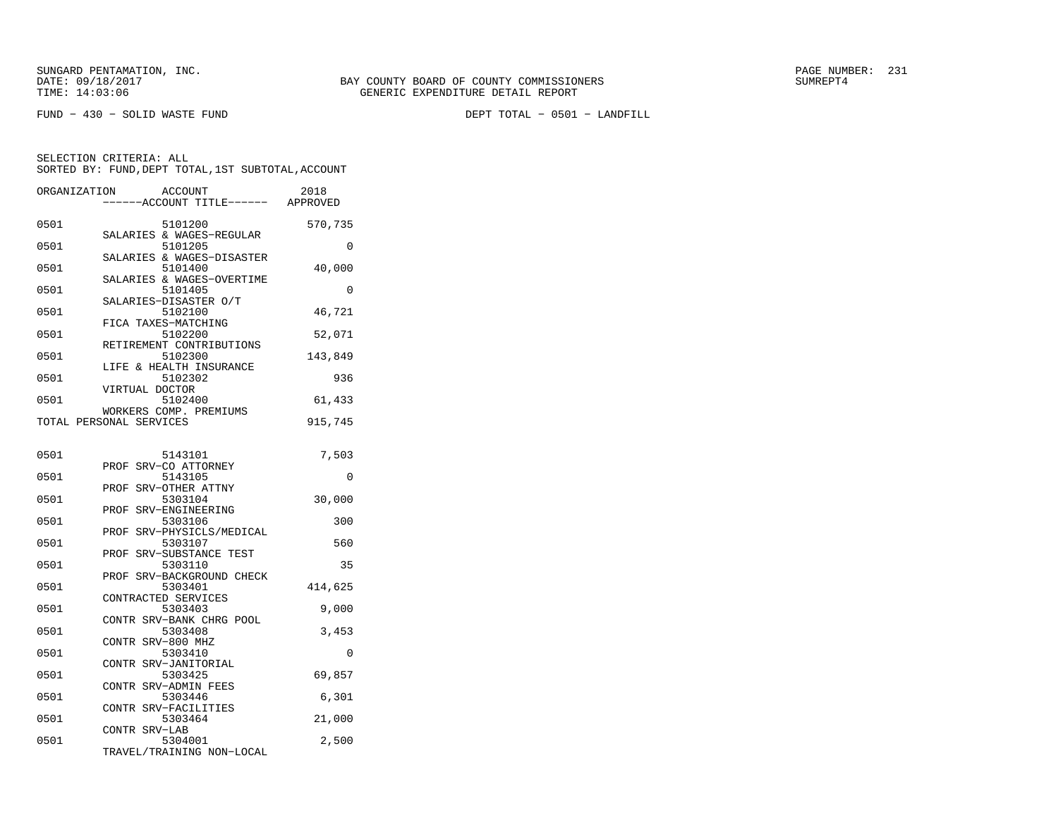FUND − 430 − SOLID WASTE FUND DEPT TOTAL − 0501 − LANDFILL

| ORGANIZATION | <b>ACCOUNT</b><br>--ACCOUNT TITLE------           | 2018<br>APPROVED |
|--------------|---------------------------------------------------|------------------|
| 0501         | 5101200                                           | 570,735          |
| 0501         | SALARIES & WAGES-REGULAR<br>5101205               | 0                |
| 0501         | SALARIES & WAGES-DISASTER<br>5101400              | 40,000           |
| 0501         | SALARIES & WAGES-OVERTIME<br>5101405              | $\Omega$         |
| 0501         | SALARIES-DISASTER O/T<br>5102100                  | 46,721           |
| 0501         | FICA TAXES-MATCHING<br>5102200                    | 52,071           |
| 0501         | RETIREMENT CONTRIBUTIONS<br>5102300               | 143,849          |
| 0501         | & HEALTH INSURANCE<br>LIFE<br>5102302             | 936              |
| 0501         | VIRTUAL DOCTOR<br>5102400                         | 61,433           |
|              | WORKERS COMP. PREMIUMS<br>TOTAL PERSONAL SERVICES | 915,745          |
| 0501         | 5143101                                           | 7,503            |
| 0501         | SRV-CO ATTORNEY<br>PROF<br>5143105                | 0                |
| 0501         | SRV-OTHER ATTNY<br>PROF<br>5303104                | 30,000           |
| 0501         | PROF SRV-ENGINEERING<br>5303106                   | 300              |
| 0501         | SRV-PHYSICLS/MEDICAL<br>PROF<br>5303107           | 560              |
| 0501         | SRV-SUBSTANCE TEST<br>PROF<br>5303110             | 35               |
| 0501         | SRV-BACKGROUND CHECK<br>PROF<br>5303401           | 414,625          |
| 0501         | CONTRACTED SERVICES<br>5303403                    | 9,000            |
| 0501         | CONTR SRV-BANK CHRG POOL<br>5303408               | 3,453            |
| 0501         | SRV-800 MHZ<br><b>CONTR</b><br>5303410            | 0                |
| 0501         | CONTR SRV-JANITORIAL<br>5303425                   | 69,857           |
| 0501         | CONTR SRV-ADMIN FEES<br>5303446                   | 6,301            |
|              | SRV-FACILITIES<br>CONTR                           |                  |
| 0501         | 5303464<br>CONTR SRV-LAB                          | 21,000           |
| 0501         | 5304001<br>TRAVEL/TRAINING NON-LOCAL              | 2,500            |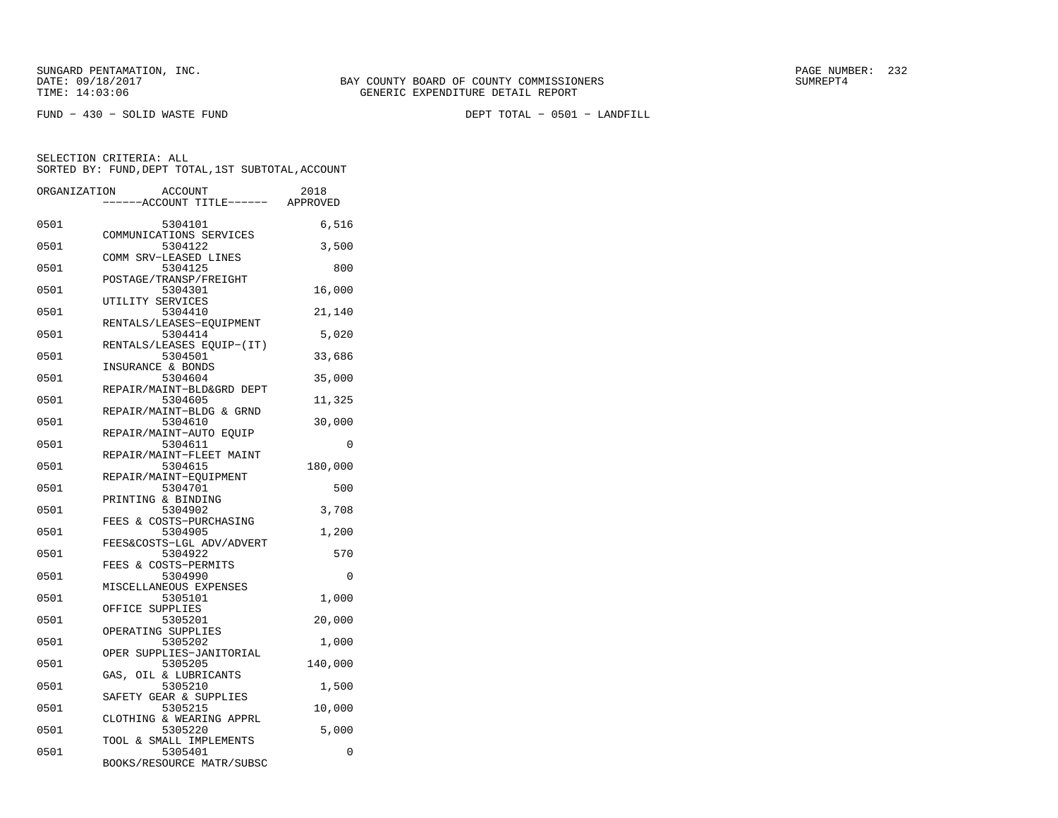FUND − 430 − SOLID WASTE FUND DEPT TOTAL − 0501 − LANDFILL

| ORGANIZATION | <b>ACCOUNT</b>                       | 2018    |
|--------------|--------------------------------------|---------|
|              | ----ACCOUNT TITLE------ APPROVED     |         |
| 0501         | 5304101                              | 6,516   |
| 0501         | COMMUNICATIONS SERVICES<br>5304122   | 3,500   |
| 0501         | COMM SRV-LEASED LINES<br>5304125     | 800     |
| 0501         | POSTAGE/TRANSP/FREIGHT<br>5304301    | 16,000  |
| 0501         | UTILITY SERVICES<br>5304410          | 21,140  |
| 0501         | RENTALS/LEASES-EQUIPMENT<br>5304414  | 5,020   |
| 0501         | RENTALS/LEASES EQUIP-(IT)<br>5304501 | 33,686  |
| 0501         | INSURANCE & BONDS<br>5304604         | 35,000  |
| 0501         | REPAIR/MAINT-BLD&GRD DEPT<br>5304605 | 11,325  |
| 0501         | REPAIR/MAINT-BLDG & GRND<br>5304610  |         |
|              | REPAIR/MAINT-AUTO EQUIP              | 30,000  |
| 0501         | 5304611<br>REPAIR/MAINT-FLEET MAINT  | 0       |
| 0501         | 5304615<br>REPAIR/MAINT-EQUIPMENT    | 180,000 |
| 0501         | 5304701<br>PRINTING & BINDING        | 500     |
| 0501         | 5304902<br>FEES & COSTS-PURCHASING   | 3,708   |
| 0501         | 5304905<br>FEES&COSTS-LGL ADV/ADVERT | 1,200   |
| 0501         | 5304922<br>FEES & COSTS-PERMITS      | 570     |
| 0501         | 5304990<br>MISCELLANEOUS EXPENSES    | 0       |
| 0501         | 5305101<br>OFFICE SUPPLIES           | 1,000   |
| 0501         | 5305201                              | 20,000  |
| 0501         | OPERATING SUPPLIES<br>5305202        | 1,000   |
| 0501         | OPER SUPPLIES-JANITORIAL<br>5305205  | 140,000 |
| 0501         | GAS, OIL & LUBRICANTS<br>5305210     | 1,500   |
| 0501         | SAFETY GEAR & SUPPLIES<br>5305215    | 10,000  |
| 0501         | CLOTHING & WEARING APPRL<br>5305220  | 5,000   |
| 0501         | TOOL & SMALL IMPLEMENTS<br>5305401   | 0       |
|              | BOOKS/RESOURCE MATR/SUBSC            |         |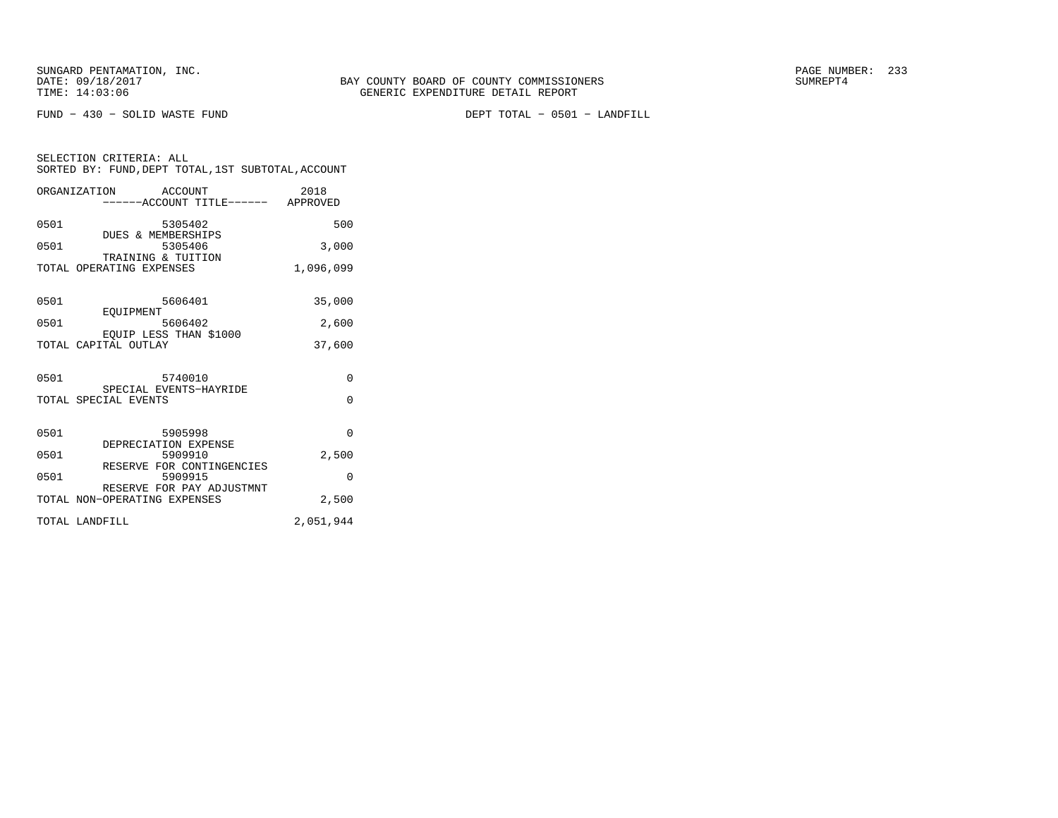FUND − 430 − SOLID WASTE FUND DEPT TOTAL − 0501 − LANDFILL

SELECTION CRITERIA: ALL SORTED BY: FUND,DEPT TOTAL,1ST SUBTOTAL,ACCOUNTORGANIZATION ACCOUNT 2018

|              | URGANIZAIIUN<br>AULUUN 1<br>------ACCOUNT TITLE------ APPROVED | 40 T O          |
|--------------|----------------------------------------------------------------|-----------------|
| 0501         | 5305402                                                        | 500             |
| 0501         | <b>DUES &amp; MEMBERSHIPS</b><br>5305406<br>TRAINING & TUITION | 3,000           |
|              | TOTAL OPERATING EXPENSES                                       | 1,096,099       |
| 0501<br>0501 | 5606401<br>EOUIPMENT<br>5606402                                | 35,000<br>2,600 |
|              | EQUIP LESS THAN \$1000<br>TOTAL CAPITAL OUTLAY                 | 37,600          |
|              |                                                                |                 |
| 0501         | 5740010<br>SPECIAL EVENTS-HAYRIDE                              | 0               |
|              | TOTAL SPECIAL EVENTS                                           | $\Omega$        |
| 0501         | 5905998<br>DEPRECIATION EXPENSE                                | $\Omega$        |
| 0501         | 5909910<br>RESERVE FOR CONTINGENCIES                           | 2,500           |
| 0501         | 5909915<br>RESERVE FOR PAY ADJUSTMNT                           | $\Omega$        |
|              | TOTAL NON-OPERATING EXPENSES                                   | 2,500           |
|              | TOTAL LANDFILL                                                 | 2,051,944       |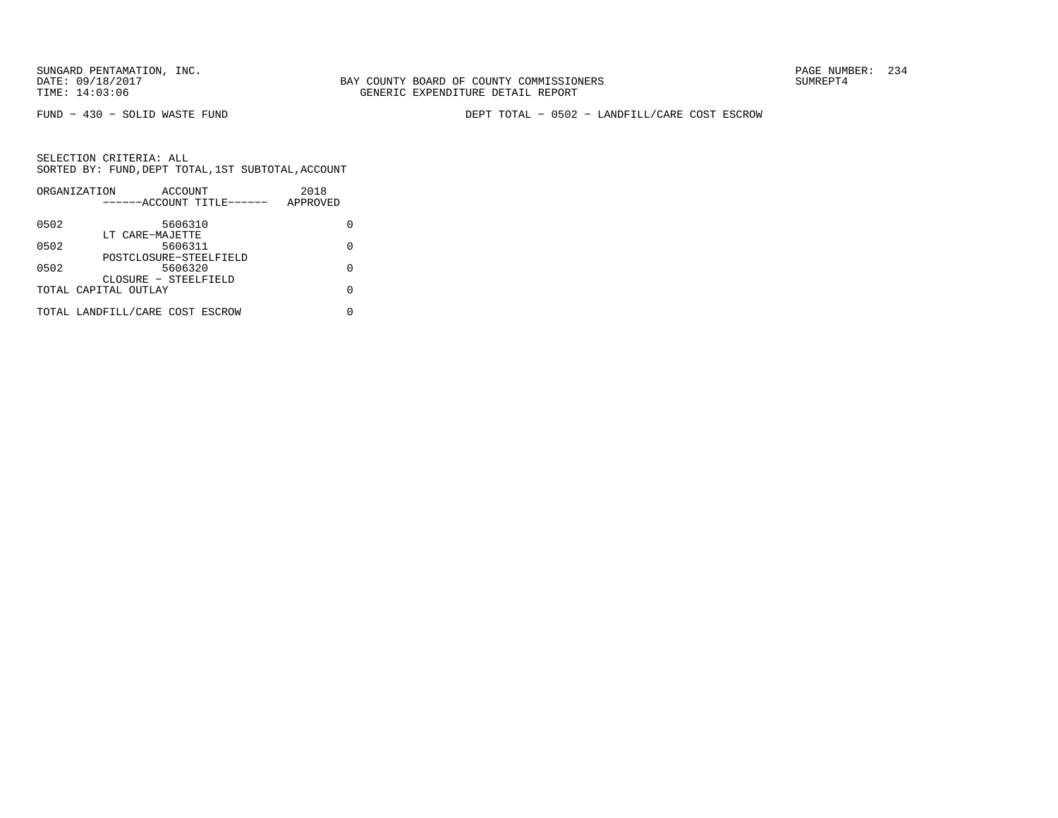BAY COUNTY BOARD OF COUNTY COMMISSIONERS TIME: 14:03:06 GENERIC EXPENDITURE DETAIL REPORT

FUND − 430 − SOLID WASTE FUND DEPT TOTAL − 0502 − LANDFILL/CARE COST ESCROW

|      | ORGANIZATION<br>ACCOUNT         | 2018     |
|------|---------------------------------|----------|
|      | ------ACCOUNT TITLE------       | APPROVED |
| 0502 | 5606310                         |          |
|      | LT CARE-MAJETTE                 |          |
| 0502 | 5606311                         | U        |
|      | POSTCLOSURE-STEELFIELD          |          |
| 0502 | 5606320                         |          |
|      | CLOSURE - STEELFIELD            |          |
|      | TOTAL CAPITAL OUTLAY            | U        |
|      | TOTAL LANDFILL/CARE COST ESCROW |          |
|      |                                 |          |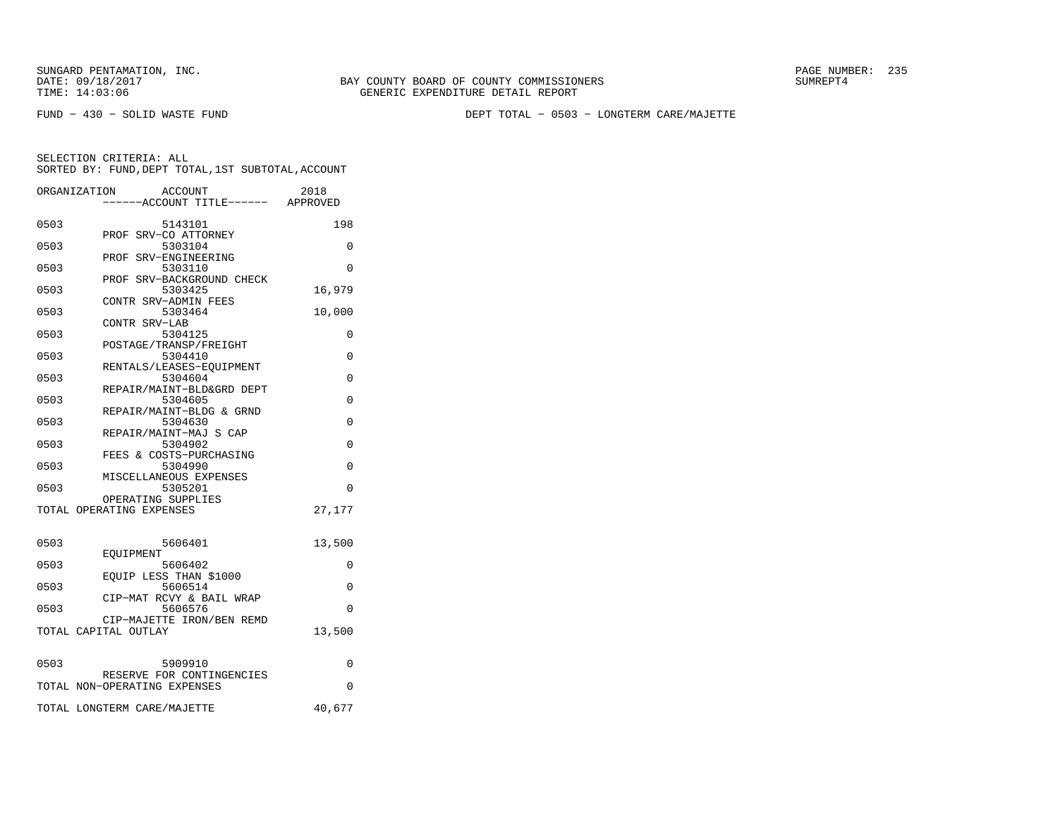BAY COUNTY BOARD OF COUNTY COMMISSIONERS TIME: 14:03:06 GENERIC EXPENDITURE DETAIL REPORT

FUND − 430 − SOLID WASTE FUND DEPT TOTAL − 0503 − LONGTERM CARE/MAJETTE

|      | ORGANIZATION<br>ACCOUNT<br>----ACCOUNT TITLE------ APPROVED | 2018     |
|------|-------------------------------------------------------------|----------|
|      |                                                             |          |
| 0503 | 5143101                                                     | 198      |
| 0503 | PROF SRV-CO ATTORNEY<br>5303104                             | 0        |
|      | PROF SRV-ENGINEERING                                        |          |
| 0503 | 5303110                                                     | $\Omega$ |
|      | PROF SRV-BACKGROUND CHECK                                   |          |
| 0503 | 5303425                                                     | 16,979   |
|      | CONTR SRV-ADMIN FEES                                        |          |
| 0503 | 5303464                                                     | 10,000   |
|      | CONTR SRV-LAB                                               |          |
| 0503 | 5304125                                                     | 0        |
|      | POSTAGE/TRANSP/FREIGHT                                      |          |
| 0503 | 5304410<br>RENTALS/LEASES-EQUIPMENT                         | 0        |
| 0503 | 5304604                                                     | 0        |
|      | REPAIR/MAINT-BLD&GRD DEPT                                   |          |
| 0503 | 5304605                                                     | $\Omega$ |
|      | REPAIR/MAINT-BLDG & GRND                                    |          |
| 0503 | 5304630                                                     | $\Omega$ |
|      | REPAIR/MAINT-MAJ S CAP                                      |          |
| 0503 | 5304902                                                     | 0        |
|      | FEES & COSTS-PURCHASING                                     |          |
| 0503 | 5304990                                                     | 0        |
| 0503 | MISCELLANEOUS EXPENSES<br>5305201                           | $\Omega$ |
|      | OPERATING SUPPLIES                                          |          |
|      | TOTAL OPERATING EXPENSES                                    | 27,177   |
|      |                                                             |          |
| 0503 | 5606401                                                     | 13,500   |
| 0503 | EOUIPMENT<br>5606402                                        | $\Omega$ |
|      | EQUIP LESS THAN \$1000                                      |          |
| 0503 | 5606514                                                     | $\Omega$ |
|      | CIP-MAT RCVY & BAIL WRAP                                    |          |
| 0503 | 5606576                                                     | $\Omega$ |
|      | CIP-MAJETTE IRON/BEN REMD                                   |          |
|      | TOTAL CAPITAL OUTLAY                                        | 13,500   |
| 0503 | 5909910                                                     | 0        |
|      | RESERVE FOR CONTINGENCIES                                   |          |
|      | TOTAL NON-OPERATING EXPENSES                                | $\Omega$ |
|      | TOTAL LONGTERM CARE/MAJETTE                                 | 40,677   |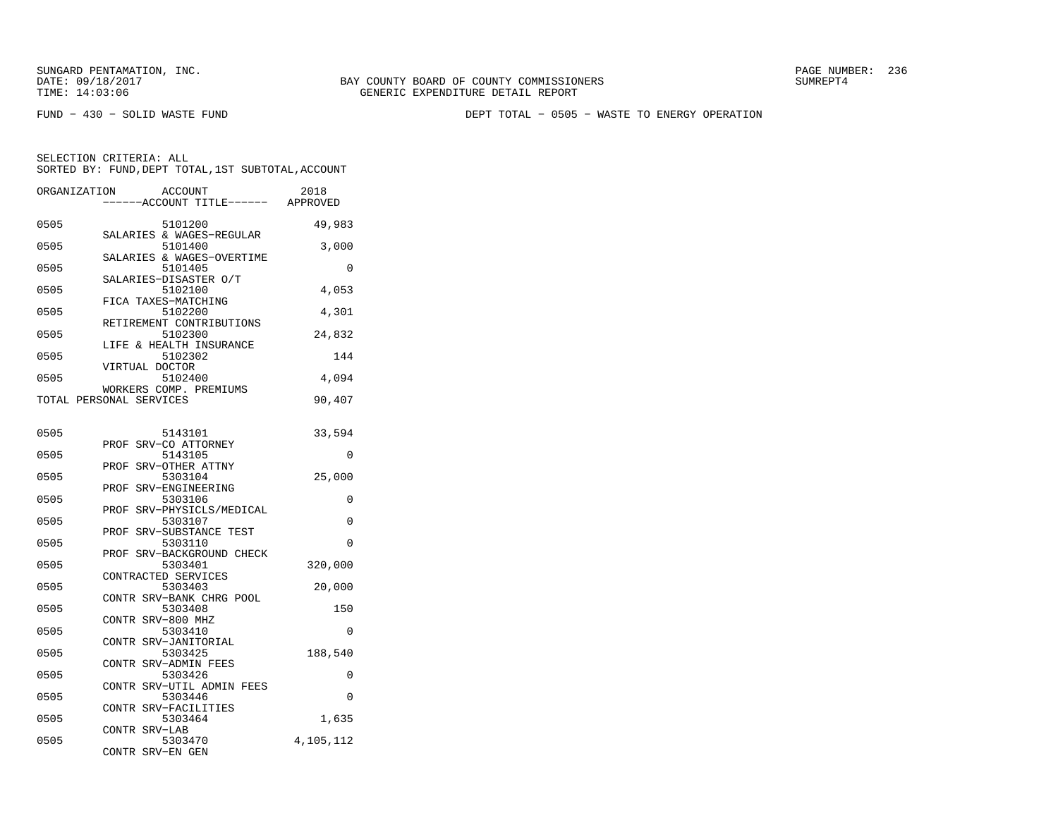FUND − 430 − SOLID WASTE FUND DEPT TOTAL − 0505 − WASTE TO ENERGY OPERATION

| ORGANIZATION            |                   | <b>ACCOUNT</b><br>--ACCOUNT TITLE------ | 2018<br>APPROVED |
|-------------------------|-------------------|-----------------------------------------|------------------|
| 0505                    |                   | 5101200                                 | 49,983           |
| 0505                    |                   | SALARIES & WAGES-REGULAR<br>5101400     | 3,000            |
| 0505                    |                   | SALARIES & WAGES-OVERTIME<br>5101405    | 0                |
| 0505                    |                   | SALARIES-DISASTER O/T<br>5102100        | 4,053            |
| 0505                    |                   | FICA TAXES-MATCHING<br>5102200          | 4,301            |
| 0505                    |                   | RETIREMENT CONTRIBUTIONS<br>5102300     | 24,832           |
| 0505                    |                   | LIFE & HEALTH INSURANCE<br>5102302      | 144              |
| 0505                    | VIRTUAL DOCTOR    | 5102400                                 | 4,094            |
| TOTAL PERSONAL SERVICES |                   | WORKERS COMP. PREMIUMS                  | 90,407           |
|                         |                   |                                         |                  |
| 0505                    | PROF              | 5143101<br>SRV-CO ATTORNEY              | 33,594           |
| 0505                    | PROF              | 5143105                                 | 0                |
| 0505                    |                   | SRV-OTHER ATTNY<br>5303104              | 25,000           |
| 0505                    | PROF              | SRV-ENGINEERING<br>5303106              | 0                |
| 0505                    |                   | PROF SRV-PHYSICLS/MEDICAL<br>5303107    | $\Omega$         |
| 0505                    | PROF              | SRV-SUBSTANCE TEST<br>5303110           | $\Omega$         |
| 0505                    | PROF              | SRV-BACKGROUND CHECK<br>5303401         | 320,000          |
| 0505                    |                   | CONTRACTED SERVICES<br>5303403          | 20,000           |
| 0505                    |                   | CONTR SRV-BANK CHRG POOL<br>5303408     | 150              |
| 0505                    | CONTR SRV-800 MHZ | 5303410                                 | 0                |
| 0505                    | CONTR             | SRV-JANITORIAL<br>5303425               | 188,540          |
|                         |                   | CONTR SRV-ADMIN FEES                    |                  |
| 0505                    |                   | 5303426<br>CONTR SRV-UTIL ADMIN FEES    | 0                |
| 0505                    | CONTR             | 5303446<br>SRV-FACILITIES               | $\Omega$         |
| 0505                    | CONTR SRV-LAB     | 5303464                                 | 1,635            |
| 0505                    | CONTR             | 5303470<br>SRV-EN GEN                   | 4,105,112        |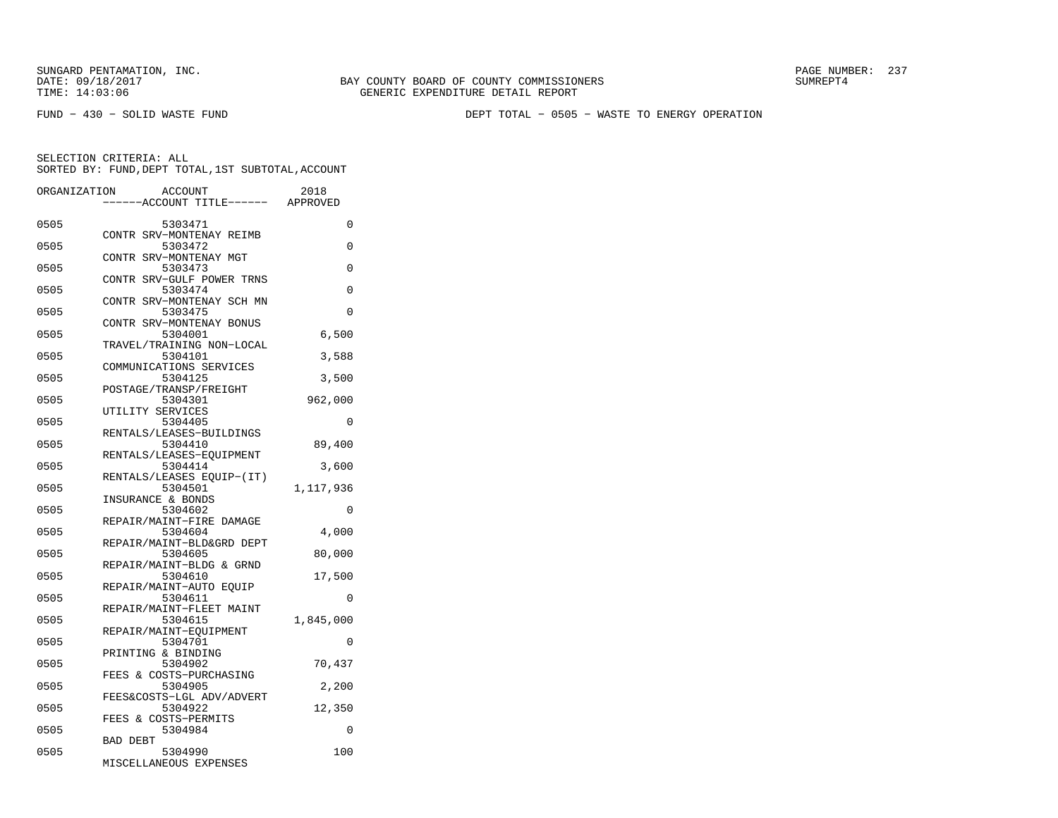FUND − 430 − SOLID WASTE FUND DEPT TOTAL − 0505 − WASTE TO ENERGY OPERATION

| ORGANIZATION | <b>ACCOUNT</b>                              | 2018      |
|--------------|---------------------------------------------|-----------|
|              | ---ACCOUNT TITLE------                      | APPROVED  |
| 0505         | 5303471                                     | 0         |
| 0505         | CONTR SRV-MONTENAY REIMB<br>5303472         | 0         |
| 0505         | SRV-MONTENAY MGT<br><b>CONTR</b><br>5303473 | 0         |
|              | CONTR SRV-GULF POWER TRNS                   |           |
| 0505         | 5303474<br>CONTR SRV-MONTENAY SCH MN        | $\Omega$  |
| 0505         | 5303475<br>CONTR SRV-MONTENAY BONUS         | 0         |
| 0505         | 5304001                                     | 6,500     |
| 0505         | TRAVEL/TRAINING NON-LOCAL<br>5304101        | 3,588     |
| 0505         | COMMUNICATIONS SERVICES<br>5304125          | 3,500     |
|              | POSTAGE/TRANSP/FREIGHT                      |           |
| 0505         | 5304301<br>UTILITY SERVICES                 | 962,000   |
| 0505         | 5304405                                     | 0         |
| 0505         | RENTALS/LEASES-BUILDINGS<br>5304410         | 89,400    |
| 0505         | RENTALS/LEASES-EQUIPMENT<br>5304414         | 3,600     |
|              | RENTALS/LEASES EQUIP-(IT)                   |           |
| 0505         | 5304501<br>INSURANCE & BONDS                | 1,117,936 |
| 0505         | 5304602<br>REPAIR/MAINT-FIRE DAMAGE         | 0         |
| 0505         | 5304604                                     | 4,000     |
| 0505         | REPAIR/MAINT-BLD&GRD DEPT<br>5304605        | 80,000    |
| 0505         | REPAIR/MAINT-BLDG & GRND<br>5304610         | 17,500    |
|              | REPAIR/MAINT-AUTO EQUIP                     |           |
| 0505         | 5304611<br>REPAIR/MAINT-FLEET MAINT         | 0         |
| 0505         | 5304615<br>REPAIR/MAINT-EQUIPMENT           | 1,845,000 |
| 0505         | 5304701                                     | 0         |
| 0505         | PRINTING & BINDING<br>5304902               | 70,437    |
| 0505         | FEES & COSTS-PURCHASING<br>5304905          | 2,200     |
|              | FEES&COSTS-LGL ADV/ADVERT                   |           |
| 0505         | 5304922<br>FEES & COSTS-PERMITS             | 12,350    |
| 0505         | 5304984                                     | 0         |
| 0505         | <b>BAD DEBT</b><br>5304990                  | 100       |
|              | MISCELLANEOUS EXPENSES                      |           |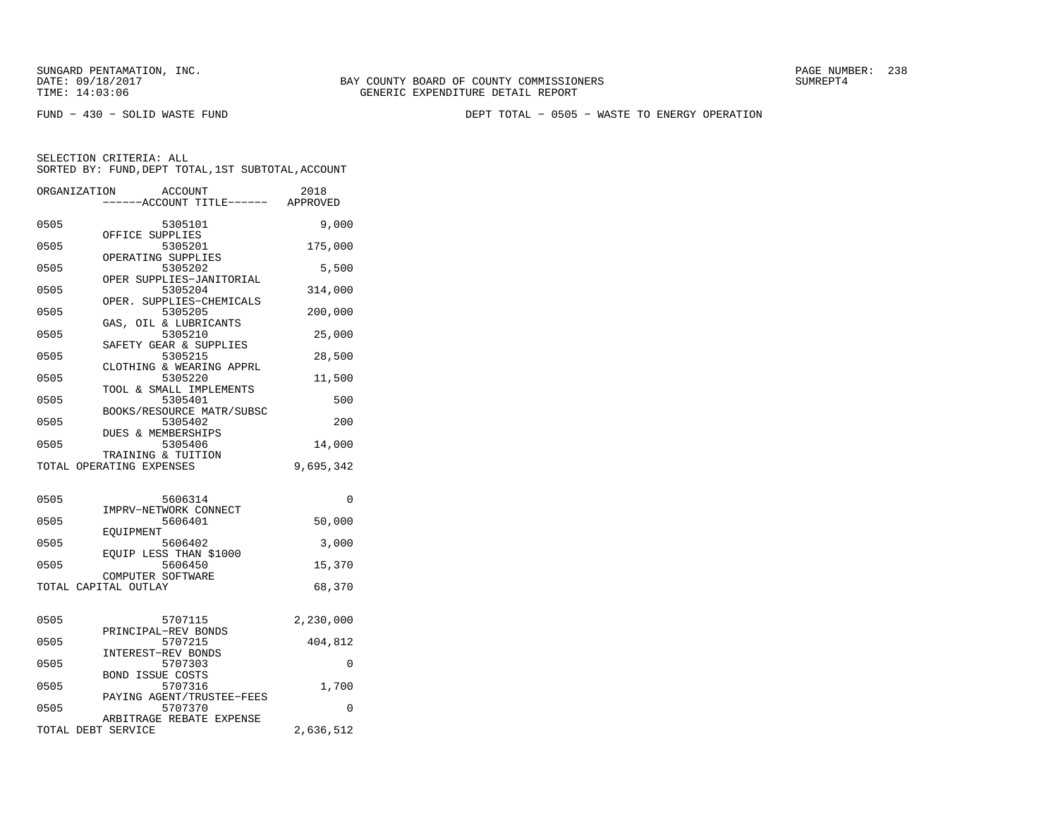FUND − 430 − SOLID WASTE FUND DEPT TOTAL − 0505 − WASTE TO ENERGY OPERATION

| ORGANIZATION       | <b>ACCOUNT</b><br>---ACCOUNT TITLE------ APPROVED | 2018      |
|--------------------|---------------------------------------------------|-----------|
| 0505               | 5305101                                           | 9,000     |
| 0505               | OFFICE SUPPLIES<br>5305201                        | 175,000   |
| 0505               | OPERATING SUPPLIES<br>5305202                     | 5,500     |
| 0505               | OPER SUPPLIES-JANITORIAL<br>5305204               | 314,000   |
| 0505               | OPER. SUPPLIES-CHEMICALS<br>5305205               | 200,000   |
| 0505               | GAS, OIL & LUBRICANTS<br>5305210                  | 25,000    |
| 0505               | SAFETY GEAR & SUPPLIES<br>5305215                 | 28,500    |
| 0505               | CLOTHING & WEARING APPRL<br>5305220               | 11,500    |
| 0505               | TOOL & SMALL IMPLEMENTS<br>5305401                | 500       |
| 0505               | BOOKS/RESOURCE MATR/SUBSC<br>5305402              | 200       |
| 0505               | DUES & MEMBERSHIPS<br>5305406                     | 14,000    |
|                    | TRAINING & TUITION<br>TOTAL OPERATING EXPENSES    | 9,695,342 |
|                    |                                                   |           |
| 0505               | 5606314<br>IMPRV-NETWORK CONNECT                  | 0         |
| 0505               | 5606401<br>EOUIPMENT                              | 50,000    |
| 0505               | 5606402<br>EOUIP LESS THAN \$1000                 | 3,000     |
| 0505               | 5606450<br>COMPUTER SOFTWARE                      | 15,370    |
|                    | TOTAL CAPITAL OUTLAY                              | 68,370    |
| 0505               | 5707115                                           | 2,230,000 |
|                    | PRINCIPAL-REV BONDS                               |           |
| 0505               | 5707215<br>INTEREST-REV BONDS                     | 404,812   |
| 0505               | 5707303<br><b>BOND ISSUE COSTS</b>                | 0         |
| 0505               | 5707316<br>PAYING AGENT/TRUSTEE-FEES              | 1,700     |
| 0505               | 5707370<br>ARBITRAGE REBATE EXPENSE               | $\Omega$  |
| TOTAL DEBT SERVICE |                                                   | 2,636,512 |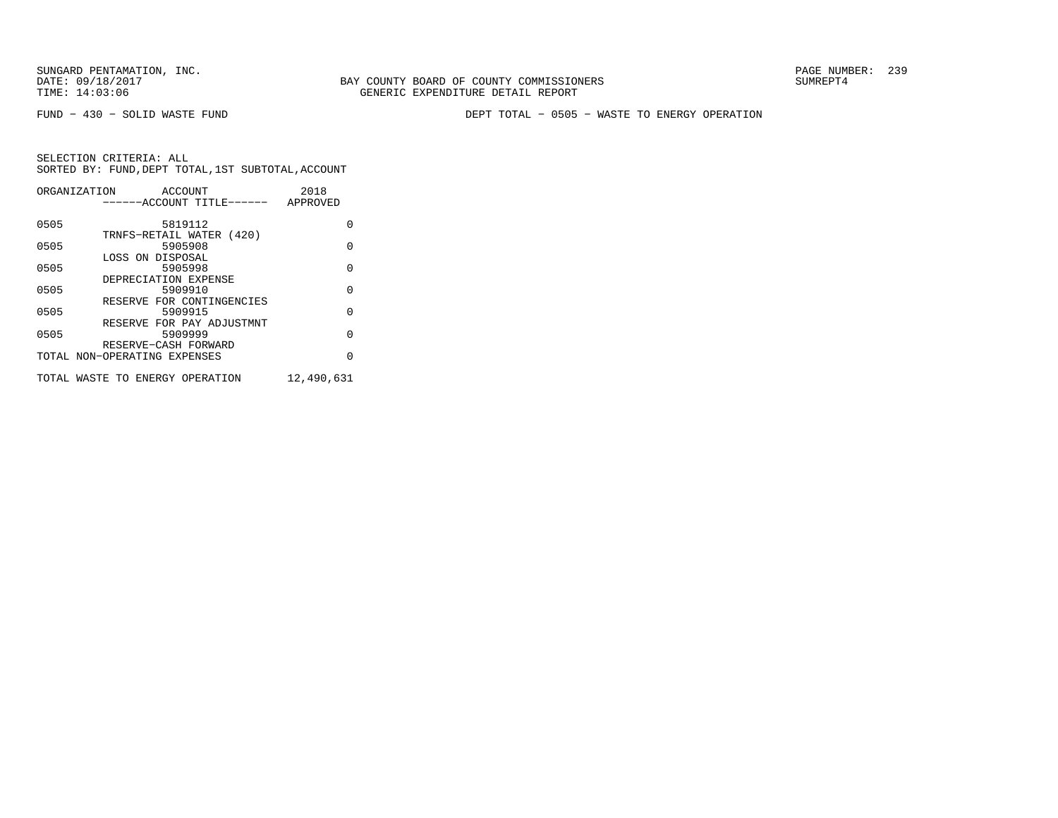BAY COUNTY BOARD OF COUNTY COMMISSIONERS TIME: 14:03:06 GENERIC EXPENDITURE DETAIL REPORT

FUND − 430 − SOLID WASTE FUND DEPT TOTAL − 0505 − WASTE TO ENERGY OPERATION

| ORGANIZATION | ACCOUNT                         | 2018       |
|--------------|---------------------------------|------------|
|              | ------ACCOUNT TITLE------       | APPROVED   |
|              |                                 |            |
| 0505         | 5819112                         | O          |
|              | TRNFS-RETAIL WATER (420)        |            |
| 0505         | 5905908                         | $\Omega$   |
|              | LOSS ON DISPOSAL                |            |
| 0505         | 5905998                         | $\Omega$   |
|              | DEPRECIATION EXPENSE            |            |
| 0505         | 5909910                         | $\Omega$   |
|              | RESERVE FOR CONTINGENCIES       |            |
| 0505         | 5909915                         | $\Omega$   |
|              | RESERVE FOR PAY ADJUSTMNT       |            |
| 0505         | 5909999                         | $\Omega$   |
|              | RESERVE-CASH FORWARD            |            |
|              | TOTAL NON-OPERATING EXPENSES    | $\Omega$   |
|              |                                 |            |
|              | TOTAL WASTE TO ENERGY OPERATION | 12,490,631 |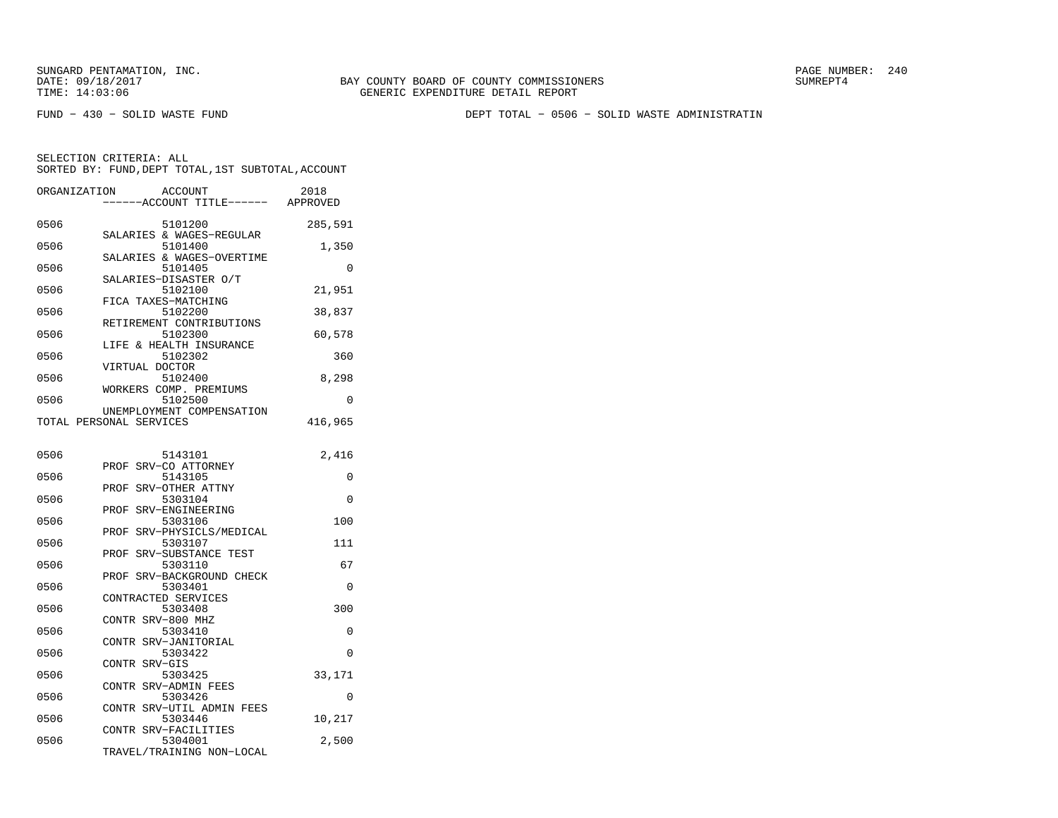FUND − 430 − SOLID WASTE FUND DEPT TOTAL − 0506 − SOLID WASTE ADMINISTRATIN

| ORGANIZATION | <b>ACCOUNT</b><br>----ACCOUNT TITLE------ APPROVED           | 2018     |
|--------------|--------------------------------------------------------------|----------|
| 0506         | 5101200                                                      | 285,591  |
| 0506         | SALARIES & WAGES-REGULAR<br>5101400                          | 1,350    |
| 0506         | SALARIES & WAGES-OVERTIME<br>5101405                         | 0        |
| 0506         | SALARIES-DISASTER O/T<br>5102100                             | 21,951   |
| 0506         | FICA TAXES-MATCHING<br>5102200                               | 38,837   |
| 0506         | RETIREMENT CONTRIBUTIONS<br>5102300                          | 60,578   |
| 0506         | LIFE & HEALTH INSURANCE<br>5102302                           | 360      |
| 0506         | VIRTUAL DOCTOR<br>5102400                                    | 8,298    |
| 0506         | WORKERS COMP. PREMIUMS<br>5102500                            | 0        |
|              | UNEMPLOYMENT COMPENSATION<br>TOTAL PERSONAL SERVICES         | 416,965  |
| 0506         | 5143101                                                      | 2,416    |
| 0506         | PROF<br>SRV-CO ATTORNEY<br>5143105                           | 0        |
| 0506         | SRV-OTHER ATTNY<br>PROF<br>5303104                           | 0        |
| 0506         | PROF SRV-ENGINEERING<br>5303106                              | 100      |
| 0506         | SRV-PHYSICLS/MEDICAL<br>PROF<br>5303107                      | 111      |
| 0506         | SRV-SUBSTANCE TEST<br>PROF<br>5303110                        | 67       |
| 0506         | SRV-BACKGROUND CHECK<br>PROF<br>5303401                      | 0        |
| 0506         | CONTRACTED SERVICES<br>5303408                               | 300      |
| 0506         | CONTR SRV-800 MHZ<br>5303410                                 | 0        |
| 0506         | SRV-JANITORIAL<br><b>CONTR</b><br>5303422                    | 0        |
| 0506         | CONTR SRV-GIS<br>5303425                                     | 33,171   |
| 0506         | CONTR SRV-ADMIN FEES<br>5303426                              | $\Omega$ |
| 0506         | CONTR SRV-UTIL ADMIN FEES<br>5303446                         | 10,217   |
| 0506         | CONTR SRV-FACILITIES<br>5304001<br>TRAVEL/TRAINING NON-LOCAL | 2,500    |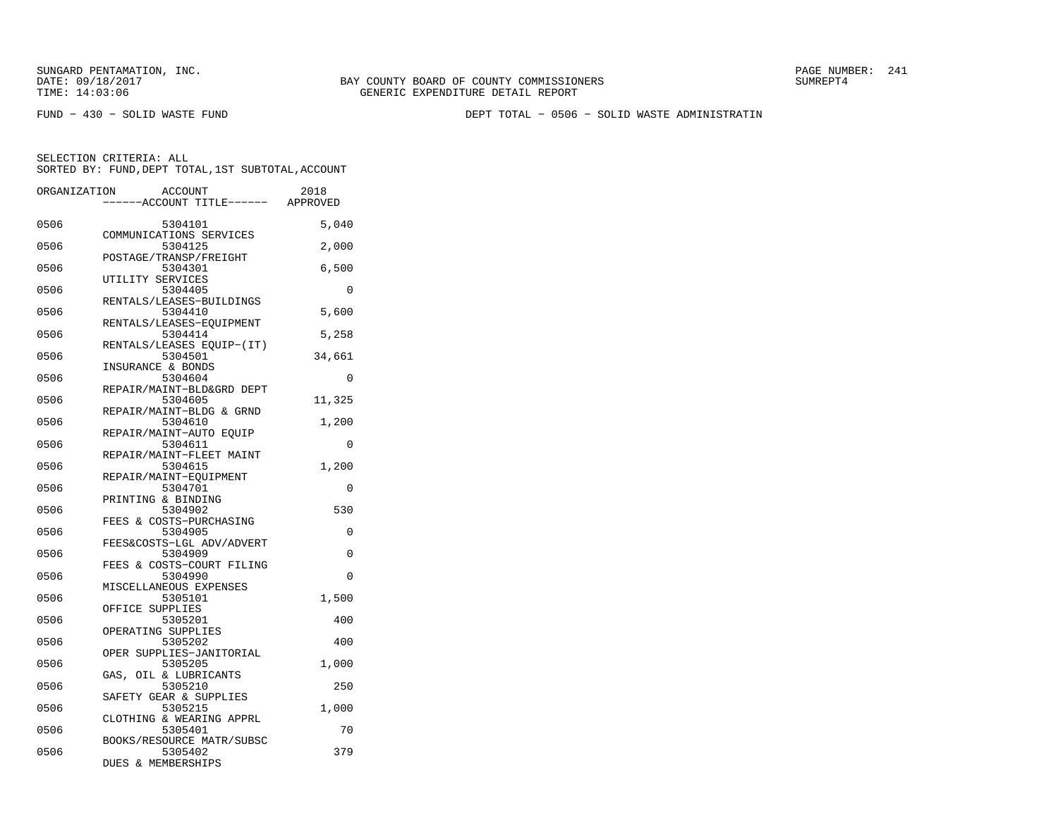FUND − 430 − SOLID WASTE FUND DEPT TOTAL − 0506 − SOLID WASTE ADMINISTRATIN

| ORGANIZATION | <b>ACCOUNT</b><br>---ACCOUNT TITLE------ APPROVED | 2018     |
|--------------|---------------------------------------------------|----------|
|              |                                                   |          |
| 0506         | 5304101                                           | 5,040    |
|              | COMMUNICATIONS SERVICES                           |          |
| 0506         | 5304125<br>POSTAGE/TRANSP/FREIGHT                 | 2,000    |
| 0506         | 5304301                                           | 6,500    |
|              | UTILITY SERVICES                                  |          |
| 0506         | 5304405                                           | 0        |
|              | RENTALS/LEASES-BUILDINGS                          |          |
| 0506         | 5304410                                           | 5,600    |
|              | RENTALS/LEASES-EQUIPMENT                          |          |
| 0506         | 5304414                                           | 5,258    |
|              | RENTALS/LEASES EOUIP-(IT)                         |          |
| 0506         | 5304501                                           | 34,661   |
| 0506         | INSURANCE & BONDS<br>5304604                      | $\Omega$ |
|              | REPAIR/MAINT-BLD&GRD DEPT                         |          |
| 0506         | 5304605                                           | 11,325   |
|              | REPAIR/MAINT-BLDG & GRND                          |          |
| 0506         | 5304610                                           | 1,200    |
|              | REPAIR/MAINT-AUTO EOUIP                           |          |
| 0506         | 5304611                                           | 0        |
|              | REPAIR/MAINT-FLEET MAINT                          |          |
| 0506         | 5304615                                           | 1,200    |
|              | REPAIR/MAINT-EQUIPMENT                            |          |
| 0506         | 5304701                                           | 0        |
|              | PRINTING & BINDING                                |          |
| 0506         | 5304902<br>FEES & COSTS-PURCHASING                | 530      |
| 0506         | 5304905                                           | 0        |
|              | FEES&COSTS-LGL ADV/ADVERT                         |          |
| 0506         | 5304909                                           | 0        |
|              | FEES & COSTS-COURT FILING                         |          |
| 0506         | 5304990                                           | $\Omega$ |
|              | MISCELLANEOUS EXPENSES                            |          |
| 0506         | 5305101                                           | 1,500    |
|              | OFFICE SUPPLIES                                   |          |
| 0506         | 5305201                                           | 400      |
| 0506         | OPERATING SUPPLIES<br>5305202                     | 400      |
|              | OPER SUPPLIES-JANITORIAL                          |          |
| 0506         | 5305205                                           | 1,000    |
|              | GAS, OIL & LUBRICANTS                             |          |
| 0506         | 5305210                                           | 250      |
|              | SAFETY GEAR & SUPPLIES                            |          |
| 0506         | 5305215                                           | 1,000    |
|              | CLOTHING & WEARING APPRL                          |          |
| 0506         | 5305401                                           | 70       |
|              | BOOKS/RESOURCE MATR/SUBSC                         |          |
| 0506         | 5305402<br>DUES & MEMBERSHIPS                     | 379      |
|              |                                                   |          |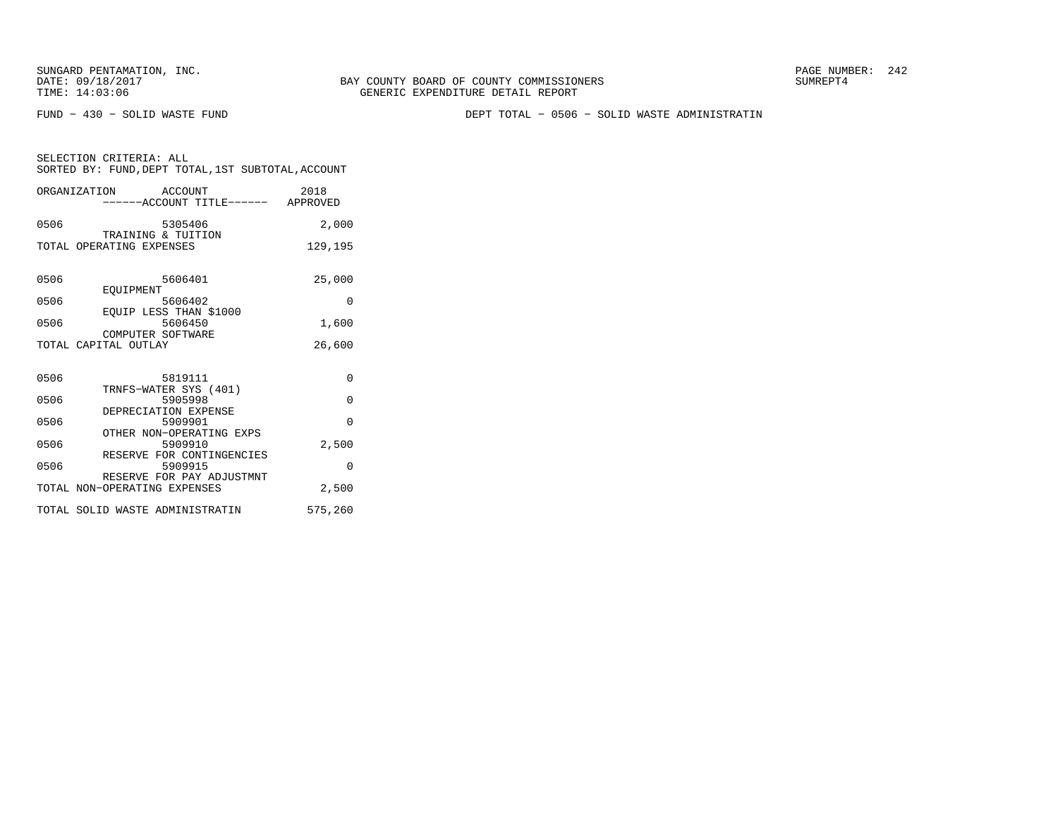FUND − 430 − SOLID WASTE FUND DEPT TOTAL − 0506 − SOLID WASTE ADMINISTRATIN

|                          | ORGANIZATION ACCOUNT<br>-----ACCOUNT TITLE------ APPROVED | 2018     |
|--------------------------|-----------------------------------------------------------|----------|
| 0506                     | 5305406<br>TRAINING & TUITION                             | 2,000    |
| TOTAL OPERATING EXPENSES |                                                           | 129,195  |
| 0506                     | 5606401                                                   | 25,000   |
| 0506                     | EOUIPMENT<br>5606402<br>EOUIP LESS THAN \$1000            | $\Omega$ |
| 0506                     | 5606450<br>COMPUTER SOFTWARE                              | 1,600    |
| TOTAL CAPITAL OUTLAY     |                                                           | 26,600   |
| 0506                     | 5819111                                                   | $\Omega$ |
| 0506                     | TRNFS-WATER SYS (401)<br>5905998<br>DEPRECIATION EXPENSE  | $\Omega$ |
| 0506                     | 5909901<br>OTHER NON-OPERATING EXPS                       | $\Omega$ |
| 0506                     | 5909910<br>RESERVE FOR CONTINGENCIES                      | 2,500    |
| 0506                     | 5909915<br>RESERVE FOR PAY ADJUSTMNT                      | $\Omega$ |
|                          | TOTAL NON-OPERATING EXPENSES                              | 2,500    |
|                          | TOTAL SOLID WASTE ADMINISTRATIN                           | 575,260  |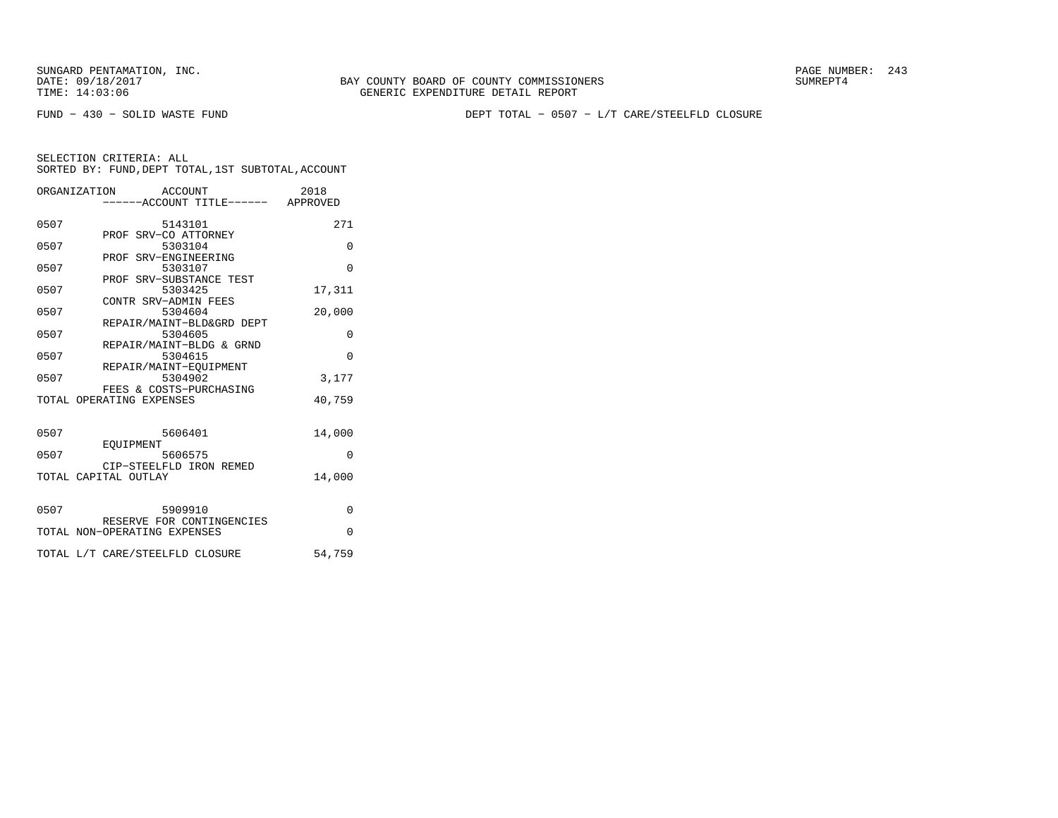BAY COUNTY BOARD OF COUNTY COMMISSIONERS TIME: 14:03:06 GENERIC EXPENDITURE DETAIL REPORT

FUND − 430 − SOLID WASTE FUND DEPT TOTAL − 0507 − L/T CARE/STEELFLD CLOSURE

|      | ORGANIZATION ACCOUNT<br>-----ACCOUNT TITLE------ APPROVED | 2018     |
|------|-----------------------------------------------------------|----------|
| 0507 | 5143101                                                   | 271      |
| 0507 | PROF SRV-CO ATTORNEY<br>5303104                           | $\Omega$ |
| 0507 | PROF SRV-ENGINEERING<br>5303107                           | $\Omega$ |
| 0507 | PROF SRV-SUBSTANCE TEST<br>5303425                        | 17,311   |
| 0507 | CONTR SRV-ADMIN FEES<br>5304604                           | 20,000   |
| 0507 | REPAIR/MAINT-BLD&GRD DEPT<br>5304605                      | $\Omega$ |
| 0507 | REPAIR/MAINT-BLDG & GRND<br>5304615                       | $\Omega$ |
| 0507 | REPAIR/MAINT-EOUIPMENT<br>5304902                         | 3,177    |
|      | FEES & COSTS-PURCHASING<br>TOTAL OPERATING EXPENSES       | 40,759   |
|      |                                                           |          |
| 0507 | 5606401                                                   | 14,000   |
| 0507 | EOUIPMENT<br>5606575                                      | $\Omega$ |
|      | CIP-STEELFLD IRON REMED<br>TOTAL CAPITAL OUTLAY           | 14,000   |
|      |                                                           |          |
| 0507 | 5909910<br>RESERVE FOR CONTINGENCIES                      | $\Omega$ |
|      | TOTAL NON-OPERATING EXPENSES                              | $\Omega$ |
|      | TOTAL L/T CARE/STEELFLD CLOSURE                           | 54,759   |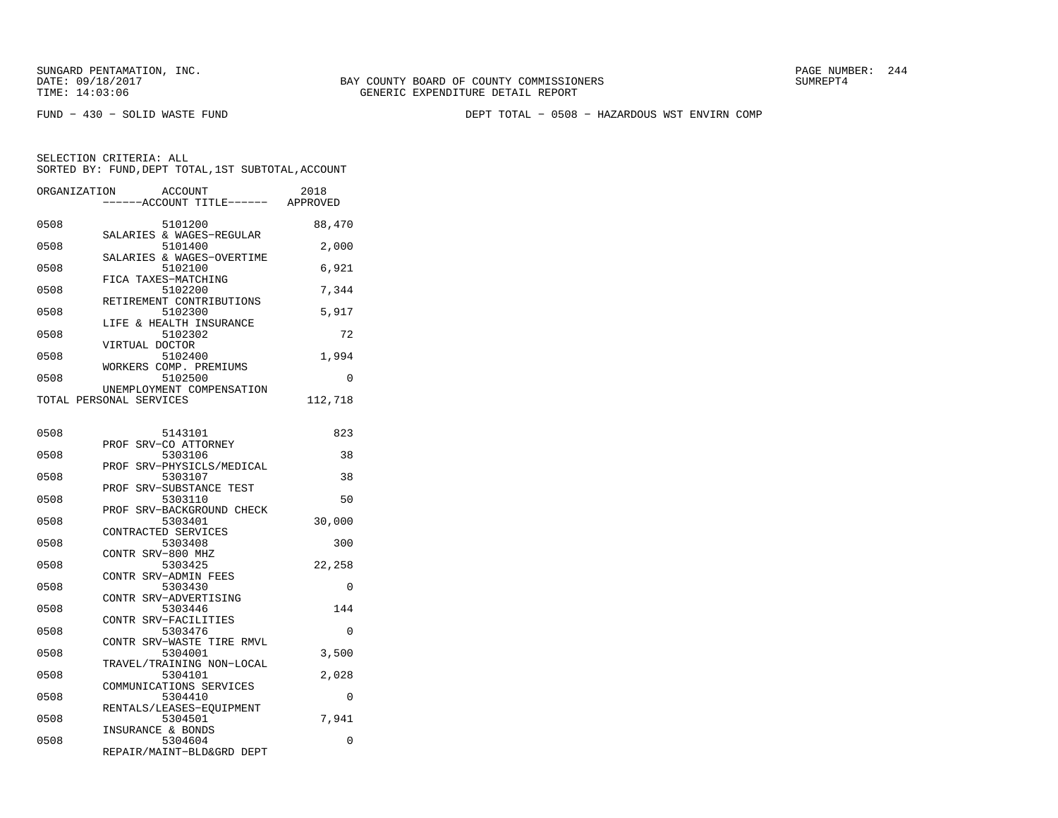FUND − 430 − SOLID WASTE FUND DEPT TOTAL − 0508 − HAZARDOUS WST ENVIRN COMP

| ORGANIZATION | <b>ACCOUNT</b>                                       | 2018     |
|--------------|------------------------------------------------------|----------|
|              | ---ACCOUNT TITLE------ APPROVED                      |          |
| 0508         | 5101200                                              | 88,470   |
| 0508         | SALARIES & WAGES-REGULAR<br>5101400                  | 2,000    |
| 0508         | SALARIES & WAGES-OVERTIME<br>5102100                 | 6,921    |
| 0508         | FICA TAXES-MATCHING<br>5102200                       | 7.344    |
| 0508         | RETIREMENT CONTRIBUTIONS<br>5102300                  | 5,917    |
| 0508         | LIFE & HEALTH INSURANCE<br>5102302                   | 72       |
| 0508         | VIRTUAL DOCTOR<br>5102400                            | 1,994    |
| 0508         | WORKERS COMP. PREMIUMS<br>5102500                    | 0        |
|              | UNEMPLOYMENT COMPENSATION<br>TOTAL PERSONAL SERVICES | 112,718  |
|              |                                                      |          |
| 0508         | 5143101<br>PROF SRV-CO ATTORNEY                      | 823      |
| 0508         | 5303106<br>PROF SRV-PHYSICLS/MEDICAL                 | 38       |
| 0508         | 5303107<br>PROF SRV-SUBSTANCE TEST                   | 38       |
| 0508         | 5303110                                              | 50       |
| 0508         | PROF SRV-BACKGROUND CHECK<br>5303401                 | 30,000   |
| 0508         | CONTRACTED SERVICES<br>5303408                       | 300      |
| 0508         | CONTR SRV-800 MHZ<br>5303425                         | 22,258   |
| 0508         | CONTR SRV-ADMIN FEES<br>5303430                      | $\Omega$ |
| 0508         | CONTR SRV-ADVERTISING<br>5303446                     | 144      |
| 0508         | CONTR SRV-FACILITIES<br>5303476                      | $\Omega$ |
| 0508         | CONTR SRV-WASTE TIRE RMVL<br>5304001                 | 3,500    |
| 0508         | TRAVEL/TRAINING NON-LOCAL<br>5304101                 | 2,028    |
| 0508         | COMMUNICATIONS SERVICES<br>5304410                   | 0        |
| 0508         | RENTALS/LEASES-EOUIPMENT<br>5304501                  | 7,941    |
| 0508         | INSURANCE & BONDS<br>5304604                         | 0        |
|              | REPAIR/MAINT-BLD&GRD DEPT                            |          |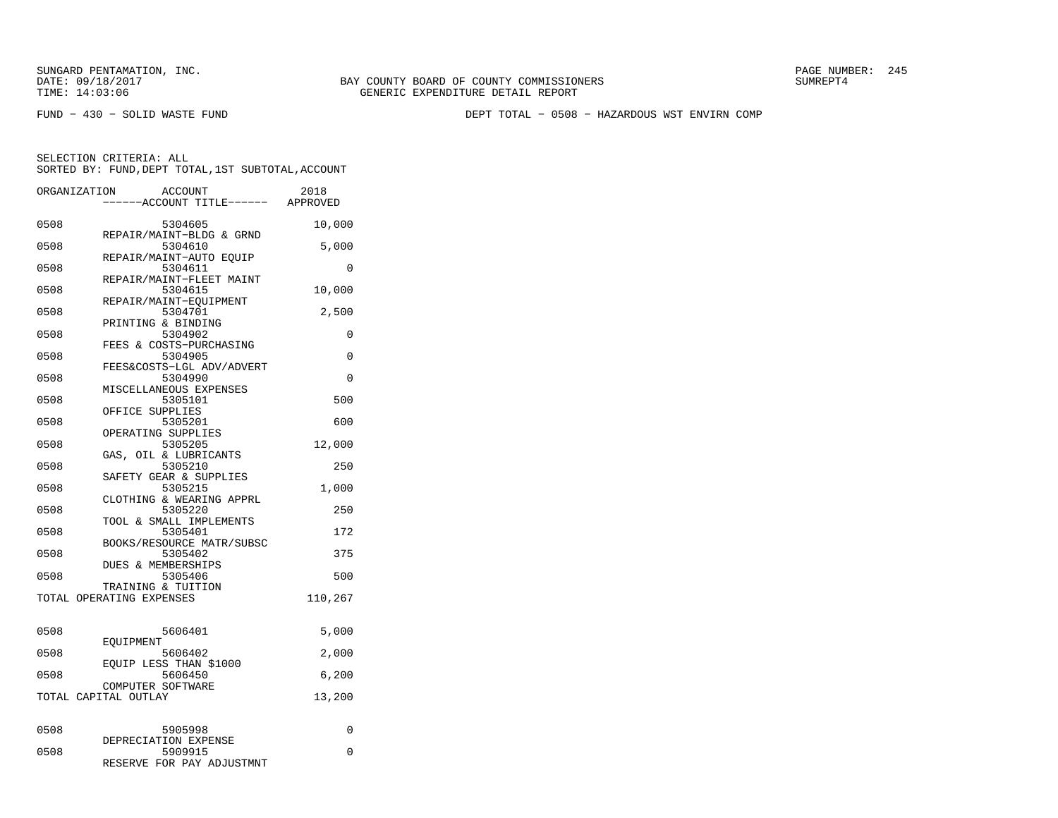FUND − 430 − SOLID WASTE FUND DEPT TOTAL − 0508 − HAZARDOUS WST ENVIRN COMP

| ORGANIZATION | <b>ACCOUNT</b><br>--ACCOUNT TITLE------ APPROVED               | 2018     |
|--------------|----------------------------------------------------------------|----------|
| 0508         | 5304605                                                        | 10,000   |
| 0508         | REPAIR/MAINT-BLDG & GRND<br>5304610<br>REPAIR/MAINT-AUTO EOUIP | 5,000    |
| 0508         | 5304611<br>REPAIR/MAINT-FLEET MAINT                            | 0        |
| 0508         | 5304615<br>REPAIR/MAINT-EOUIPMENT                              | 10,000   |
| 0508         | 5304701<br>PRINTING & BINDING                                  | 2,500    |
| 0508         | 5304902<br>FEES & COSTS-PURCHASING                             | 0        |
| 0508         | 5304905<br>FEES&COSTS-LGL ADV/ADVERT                           | $\Omega$ |
| 0508         | 5304990<br>MISCELLANEOUS EXPENSES                              | 0        |
| 0508         | 5305101<br>OFFICE SUPPLIES                                     | 500      |
| 0508         | 5305201<br>OPERATING SUPPLIES                                  | 600      |
| 0508         | 5305205<br>GAS, OIL & LUBRICANTS                               | 12,000   |
| 0508         | 5305210<br>SAFETY GEAR & SUPPLIES                              | 250      |
| 0508         | 5305215<br>CLOTHING & WEARING APPRL                            | 1,000    |
| 0508         | 5305220<br>TOOL & SMALL IMPLEMENTS                             | 250      |
| 0508         | 5305401<br>BOOKS/RESOURCE MATR/SUBSC                           | 172      |
| 0508         | 5305402<br>DUES & MEMBERSHIPS                                  | 375      |
| 0508         | 5305406<br>TRAINING & TUITION                                  | 500      |
|              | TOTAL OPERATING EXPENSES                                       | 110,267  |
| 0508         | 5606401                                                        | 5,000    |
| 0508         | EOUIPMENT<br>5606402                                           | 2,000    |
| 0508         | EQUIP LESS THAN \$1000<br>5606450                              | 6,200    |
|              | COMPUTER SOFTWARE<br>TOTAL CAPITAL OUTLAY                      | 13,200   |
| 0508         | 5905998                                                        | 0        |
| 0508         | DEPRECIATION EXPENSE<br>5909915<br>RESERVE FOR PAY ADJUSTMNT   | 0        |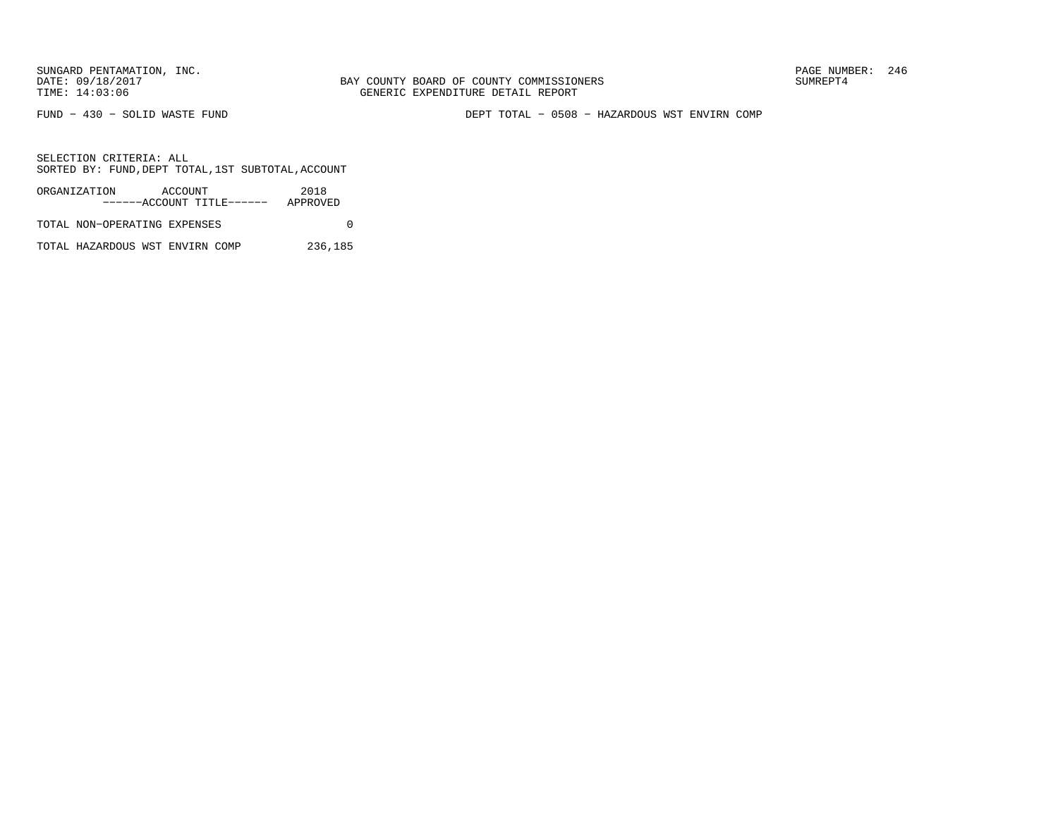FUND − 430 − SOLID WASTE FUND DEPT TOTAL − 0508 − HAZARDOUS WST ENVIRN COMP

SELECTION CRITERIA: ALLSORTED BY: FUND,DEPT TOTAL,1ST SUBTOTAL,ACCOUNT

| ORGANIZATION                 | ACCOUNT |                           | 2018     |  |
|------------------------------|---------|---------------------------|----------|--|
|                              |         | ------ACCOUNT TITLE------ | APPROVED |  |
| TOTAL NON-OPERATING EXPENSES |         |                           |          |  |
|                              |         |                           |          |  |

TOTAL HAZARDOUS WST ENVIRN COMP 236,185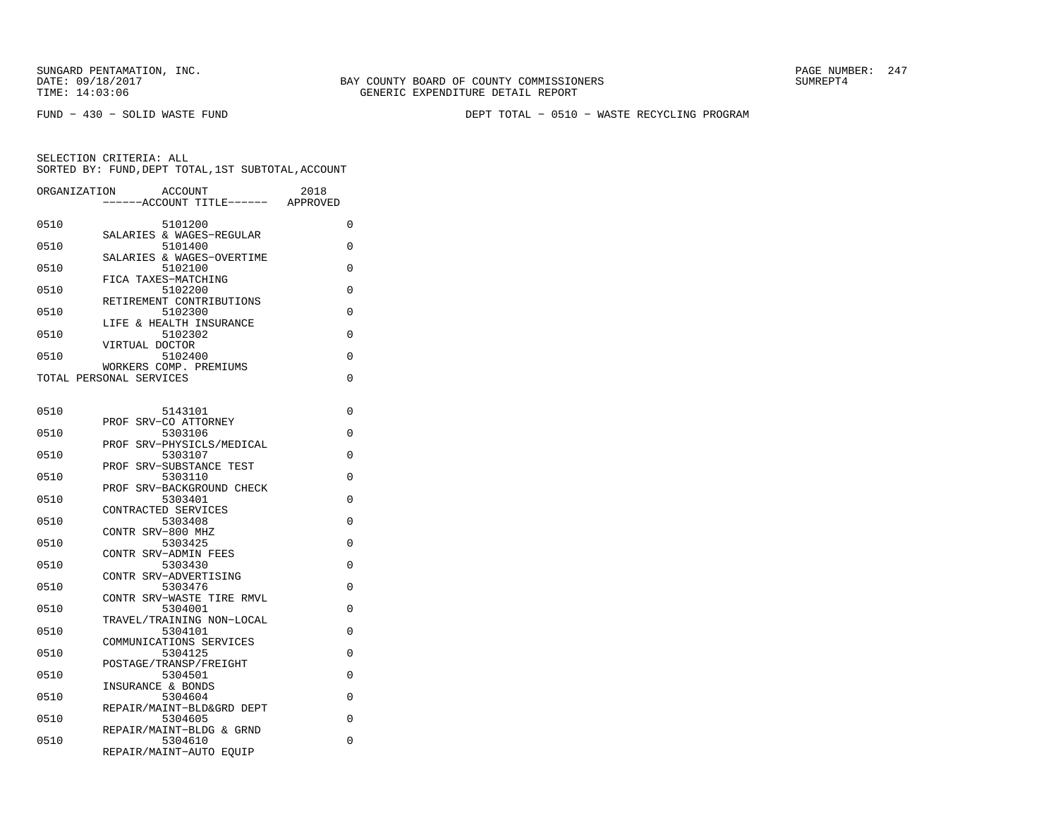BAY COUNTY BOARD OF COUNTY COMMISSIONERS TIME: 14:03:06 GENERIC EXPENDITURE DETAIL REPORT

FUND − 430 − SOLID WASTE FUND DEPT TOTAL − 0510 − WASTE RECYCLING PROGRAM

| ORGANIZATION | <b>ACCOUNT</b><br>----ACCOUNT TITLE------         | 2018<br>APPROVED |
|--------------|---------------------------------------------------|------------------|
| 0510         | 5101200                                           | 0                |
| 0510         | SALARIES & WAGES-REGULAR<br>5101400               | 0                |
| 0510         | SALARIES & WAGES-OVERTIME<br>5102100              | 0                |
| 0510         | FICA TAXES-MATCHING<br>5102200                    | 0                |
| 0510         | RETIREMENT CONTRIBUTIONS<br>5102300               | 0                |
| 0510         | LIFE & HEALTH INSURANCE<br>5102302                | 0                |
| 0510         | VIRTUAL DOCTOR<br>5102400                         | 0                |
|              | WORKERS COMP. PREMIUMS<br>TOTAL PERSONAL SERVICES | 0                |
|              |                                                   |                  |
| 0510         | 5143101<br>PROF SRV-CO ATTORNEY                   | 0                |
| 0510         | 5303106<br>SRV-PHYSICLS/MEDICAL<br>PROF           | 0                |
| 0510         | 5303107<br>PROF SRV-SUBSTANCE TEST                | $\Omega$         |
| 0510         | 5303110                                           | 0                |
| 0510         | PROF SRV-BACKGROUND CHECK<br>5303401              | 0                |
| 0510         | CONTRACTED SERVICES<br>5303408                    | 0                |
| 0510         | CONTR SRV-800 MHZ<br>5303425                      | 0                |
| 0510         | CONTR SRV-ADMIN FEES<br>5303430                   | 0                |
| 0510         | CONTR SRV-ADVERTISING<br>5303476                  | 0                |
| 0510         | CONTR SRV-WASTE TIRE RMVL<br>5304001              | 0                |
| 0510         | TRAVEL/TRAINING NON-LOCAL<br>5304101              | 0                |
| 0510         | COMMUNICATIONS SERVICES<br>5304125                | 0                |
|              | POSTAGE/TRANSP/FREIGHT                            | 0                |
| 0510         | 5304501<br>INSURANCE & BONDS                      |                  |
| 0510         | 5304604<br>REPAIR/MAINT-BLD&GRD DEPT              | 0                |
| 0510         | 5304605<br>REPAIR/MAINT-BLDG & GRND               | 0                |
| 0510         | 5304610<br>REPAIR/MAINT-AUTO EQUIP                | 0                |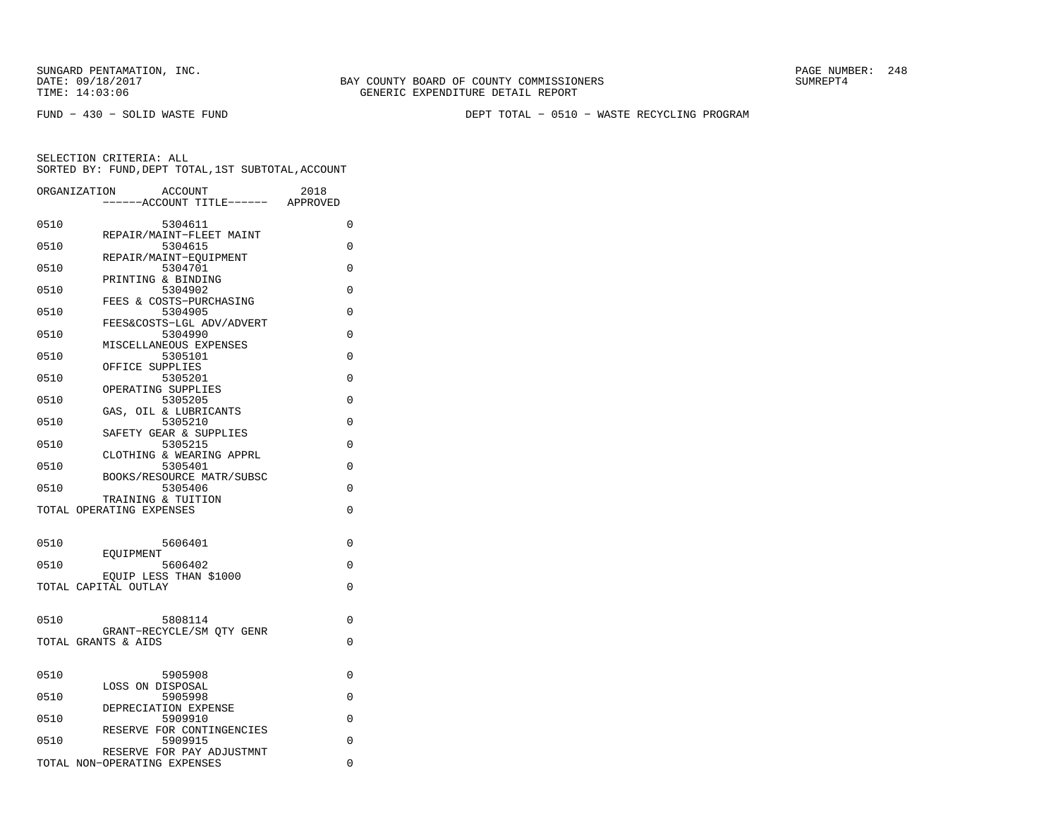FUND − 430 − SOLID WASTE FUND DEPT TOTAL − 0510 − WASTE RECYCLING PROGRAM

|      | ORGANIZATION<br><b>ACCOUNT</b><br>----ACCOUNT TITLE------ | 2018<br>APPROVED |
|------|-----------------------------------------------------------|------------------|
| 0510 | 5304611                                                   | 0                |
| 0510 | REPAIR/MAINT-FLEET MAINT<br>5304615                       | $\Omega$         |
|      | REPAIR/MAINT-EOUIPMENT                                    |                  |
| 0510 | 5304701<br>PRINTING & BINDING                             | $\Omega$         |
| 0510 | 5304902                                                   | 0                |
| 0510 | FEES & COSTS-PURCHASING<br>5304905                        | 0                |
|      | FEES&COSTS-LGL ADV/ADVERT                                 |                  |
| 0510 | 5304990<br>MISCELLANEOUS EXPENSES                         | 0                |
| 0510 | 5305101                                                   | 0                |
| 0510 | OFFICE SUPPLIES<br>5305201                                | 0                |
|      | OPERATING SUPPLIES                                        |                  |
| 0510 | 5305205<br>OIL & LUBRICANTS<br>GAS,                       | $\Omega$         |
| 0510 | 5305210                                                   | $\Omega$         |
| 0510 | SAFETY GEAR & SUPPLIES<br>5305215                         | $\Omega$         |
|      | CLOTHING & WEARING APPRL                                  |                  |
| 0510 | 5305401                                                   | 0                |
| 0510 | BOOKS/RESOURCE MATR/SUBSC<br>5305406                      | 0                |
|      | TRAINING & TUITION                                        |                  |
|      | TOTAL OPERATING EXPENSES                                  | $\Omega$         |
|      |                                                           |                  |
| 0510 | 5606401<br>EOUIPMENT                                      | $\Omega$         |
| 0510 | 5606402                                                   | $\Omega$         |
|      | EOUIP LESS THAN \$1000<br>TOTAL CAPITAL OUTLAY            | $\Omega$         |
|      |                                                           |                  |
| 0510 | 5808114                                                   | 0                |
|      | GRANT-RECYCLE/SM OTY GENR                                 |                  |
|      | TOTAL GRANTS & AIDS                                       | 0                |
|      |                                                           |                  |
| 0510 | 5905908                                                   | 0                |
| 0510 | LOSS ON DISPOSAL<br>5905998                               | 0                |
|      | DEPRECIATION EXPENSE                                      |                  |
| 0510 | 5909910<br>RESERVE FOR CONTINGENCIES                      | 0                |
| 0510 | 5909915                                                   | 0                |
|      | RESERVE FOR PAY ADJUSTMNT<br>TOTAL NON-OPERATING EXPENSES | 0                |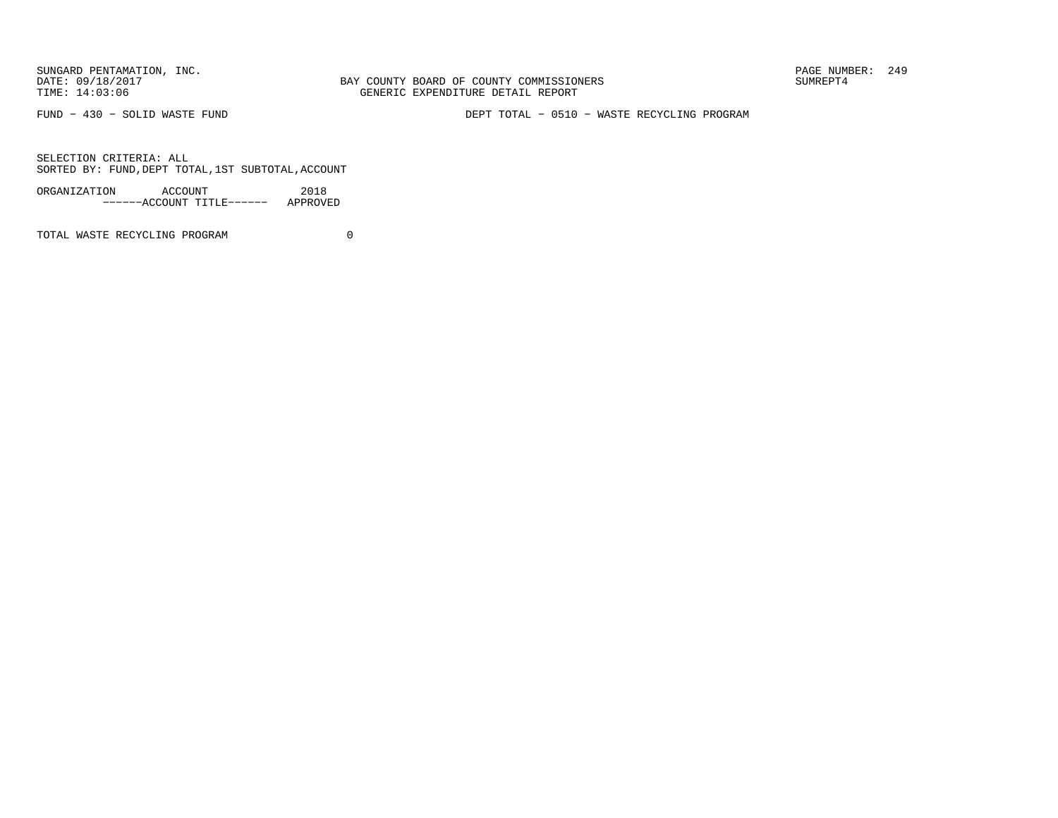SUNGARD PENTAMATION, INC.<br>
DATE: 09/18/2017<br>
DATE: 09/18/2017<br>
SUMREPT4

BAY COUNTY BOARD OF COUNTY COMMISSIONERS TIME: 14:03:06 GENERIC EXPENDITURE DETAIL REPORT

FUND − 430 − SOLID WASTE FUND DEPT TOTAL − 0510 − WASTE RECYCLING PROGRAM

SELECTION CRITERIA: ALLSORTED BY: FUND,DEPT TOTAL,1ST SUBTOTAL,ACCOUNT

| ORGANIZATION | ACCOUNT |                           | 2018     |
|--------------|---------|---------------------------|----------|
|              |         | ------ACCOUNT TITLE------ | APPROVED |

TOTAL WASTE RECYCLING PROGRAM 0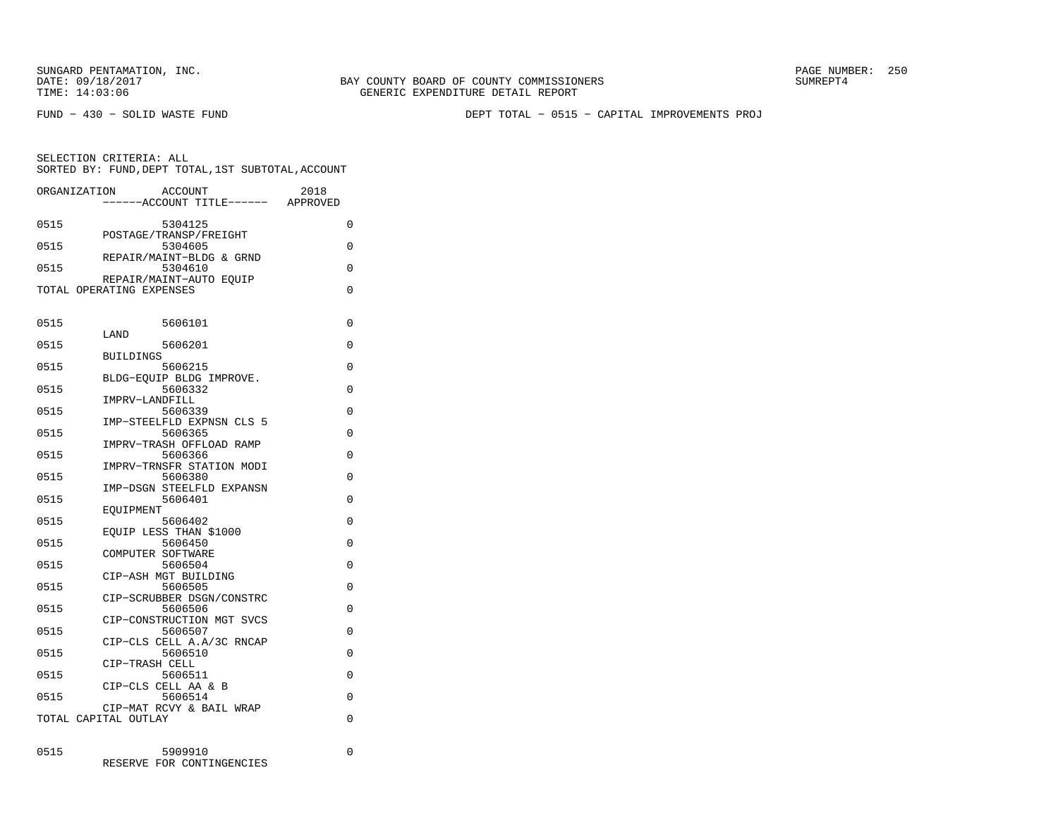BAY COUNTY BOARD OF COUNTY COMMISSIONERS TIME: 14:03:06 GENERIC EXPENDITURE DETAIL REPORT

FUND − 430 − SOLID WASTE FUND DEPT TOTAL − 0515 − CAPITAL IMPROVEMENTS PROJ

| ORGANIZATION             |                  | <b>ACCOUNT</b>                       | 2018     |
|--------------------------|------------------|--------------------------------------|----------|
|                          |                  | -----ACCOUNT TITLE------ APPROVED    |          |
| 0515                     |                  | 5304125                              | 0        |
|                          |                  | POSTAGE/TRANSP/FREIGHT               |          |
| 0515                     |                  | 5304605                              | 0        |
| 0515                     |                  | REPAIR/MAINT-BLDG & GRND<br>5304610  | $\Omega$ |
|                          |                  | REPAIR/MAINT-AUTO EOUIP              |          |
| TOTAL OPERATING EXPENSES |                  |                                      | $\Omega$ |
|                          |                  |                                      |          |
| 0515                     |                  | 5606101                              | 0        |
|                          | LAND             |                                      |          |
| 0515                     |                  | 5606201                              | 0        |
|                          | <b>BUILDINGS</b> |                                      |          |
| 0515                     |                  | 5606215<br>BLDG-EQUIP BLDG IMPROVE.  | $\Omega$ |
| 0515                     |                  | 5606332                              | $\Omega$ |
|                          |                  | IMPRV-LANDFILL                       |          |
| 0515                     |                  | 5606339                              | 0        |
| 0515                     |                  | IMP-STEELFLD EXPNSN CLS 5<br>5606365 | $\Omega$ |
|                          |                  | IMPRV-TRASH OFFLOAD RAMP             |          |
| 0515                     |                  | 5606366                              | 0        |
|                          |                  | IMPRV-TRNSFR STATION MODI            |          |
| 0515                     |                  | 5606380                              | 0        |
| 0515                     |                  | IMP-DSGN STEELFLD EXPANSN<br>5606401 | $\Omega$ |
|                          | EOUIPMENT        |                                      |          |
| 0515                     |                  | 5606402                              | $\Omega$ |
|                          |                  | EOUIP LESS THAN \$1000               |          |
| 0515                     |                  | 5606450<br>COMPUTER SOFTWARE         | $\Omega$ |
| 0515                     |                  | 5606504                              | $\Omega$ |
|                          |                  | CIP-ASH MGT BUILDING                 |          |
| 0515                     |                  | 5606505                              | 0        |
| 0515                     |                  | CIP-SCRUBBER DSGN/CONSTRC<br>5606506 | 0        |
|                          |                  | CIP-CONSTRUCTION MGT SVCS            |          |
| 0515                     |                  | 5606507                              | $\Omega$ |
|                          |                  | CIP-CLS CELL A.A/3C RNCAP            |          |
| 0515                     |                  | 5606510                              | 0        |
| 0515                     |                  | CIP-TRASH CELL<br>5606511            | $\Omega$ |
|                          |                  | CIP-CLS CELL AA & B                  |          |
| 0515                     |                  | 5606514                              | $\Omega$ |
|                          |                  | CIP-MAT RCVY & BAIL WRAP             |          |
| TOTAL CAPITAL OUTLAY     |                  |                                      | $\Omega$ |
|                          |                  |                                      |          |
| 0515                     |                  | 5909910                              | 0        |
|                          |                  | RESERVE FOR CONTINGENCIES            |          |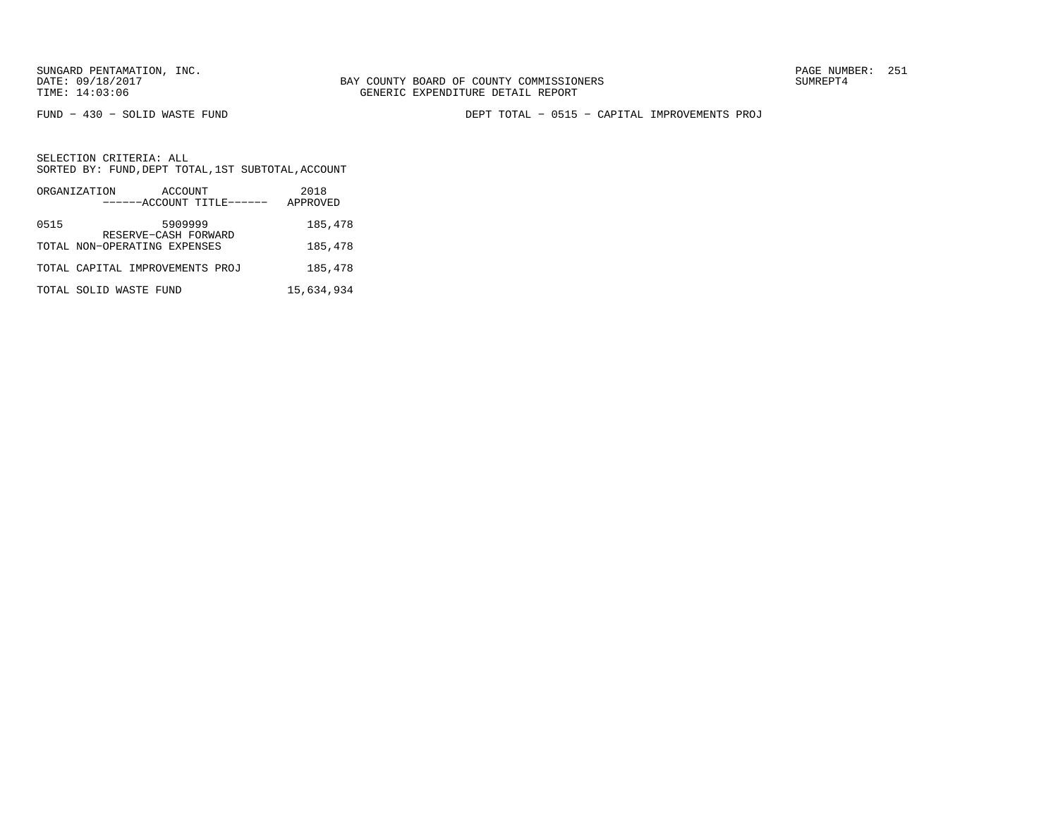FUND − 430 − SOLID WASTE FUND DEPT TOTAL − 0515 − CAPITAL IMPROVEMENTS PROJ

|      | ORGANIZATION<br>ACCOUNT<br>------ACCOUNT TITLE------ | 2018<br>APPROVED |
|------|------------------------------------------------------|------------------|
| 0515 | 5909999                                              | 185,478          |
|      | RESERVE-CASH FORWARD<br>TOTAL NON-OPERATING EXPENSES | 185,478          |
|      | TOTAL CAPITAL IMPROVEMENTS PROJ                      | 185,478          |
|      | TOTAL SOLID WASTE FUND                               | 15,634,934       |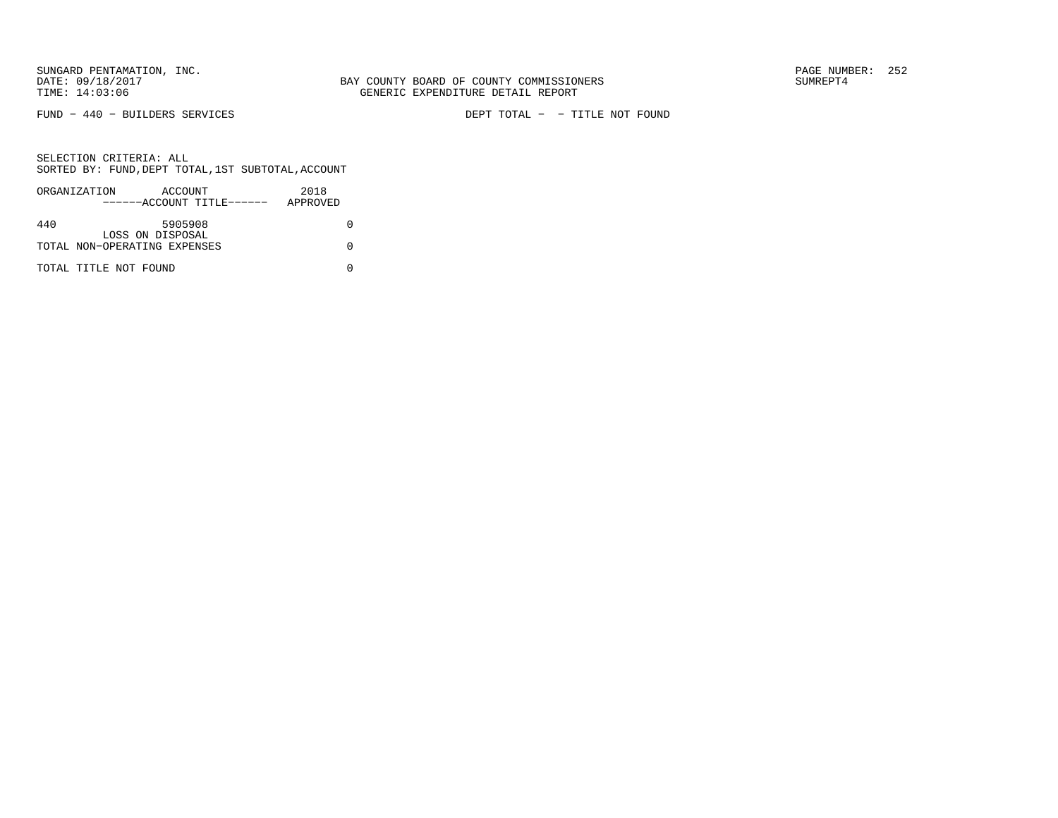FUND − 440 − BUILDERS SERVICES DEPT TOTAL − − TITLE NOT FOUND

|     | ORGANIZATION                 | ACCOUNT          | ------ACCOUNT TITLE------ | 2018<br>APPROVED |  |
|-----|------------------------------|------------------|---------------------------|------------------|--|
|     |                              |                  |                           |                  |  |
| 440 |                              | 5905908          |                           |                  |  |
|     |                              | LOSS ON DISPOSAL |                           |                  |  |
|     | TOTAL NON-OPERATING EXPENSES |                  |                           |                  |  |
|     | TOTAL TITLE NOT FOUND        |                  |                           |                  |  |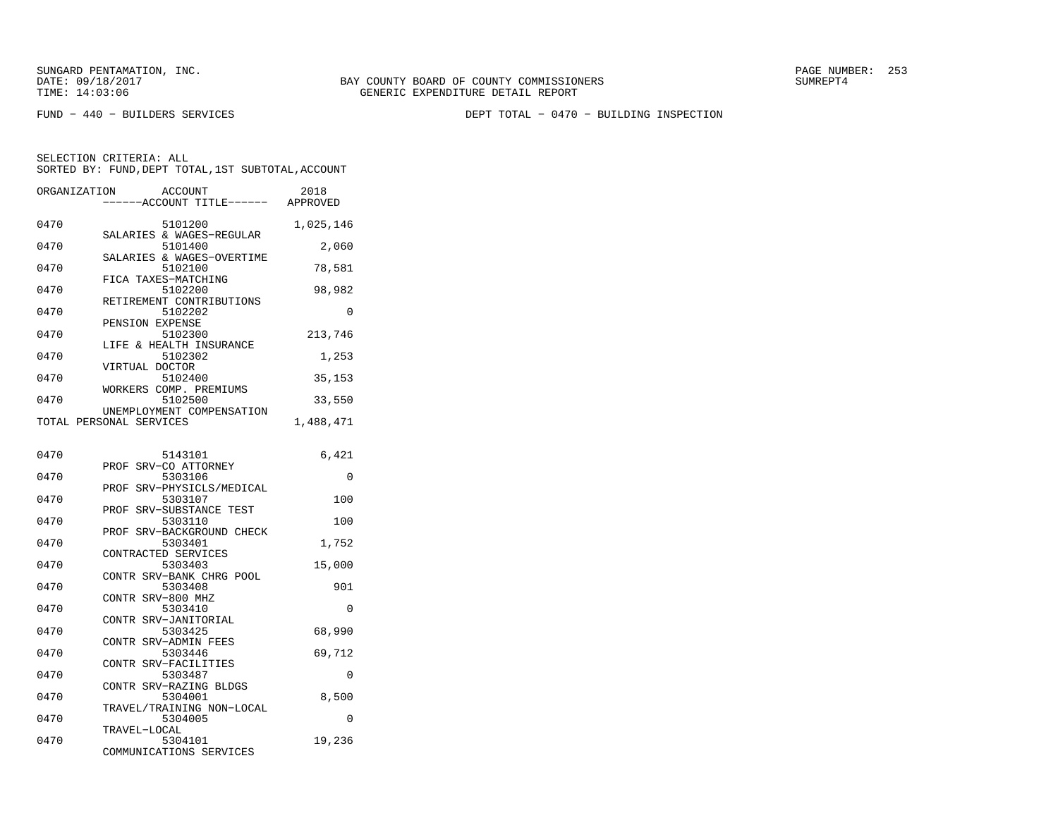FUND − 440 − BUILDERS SERVICES DEPT TOTAL − 0470 − BUILDING INSPECTION

| ORGANIZATION | <b>ACCOUNT</b><br>----ACCOUNT TITLE------            | 2018<br>APPROVED |
|--------------|------------------------------------------------------|------------------|
| 0470         | 5101200                                              | 1,025,146        |
| 0470         | SALARIES & WAGES-REGULAR<br>5101400                  | 2,060            |
| 0470         | SALARIES & WAGES-OVERTIME<br>5102100                 | 78,581           |
| 0470         | FICA TAXES-MATCHING<br>5102200                       | 98,982           |
| 0470         | RETIREMENT CONTRIBUTIONS<br>5102202                  | $\Omega$         |
| 0470         | PENSION EXPENSE<br>5102300                           | 213,746          |
| 0470         | & HEALTH INSURANCE<br>LIFE<br>5102302                | 1,253            |
| 0470         | VIRTUAL DOCTOR<br>5102400                            | 35,153           |
| 0470         | WORKERS COMP. PREMIUMS<br>5102500                    | 33,550           |
|              | UNEMPLOYMENT COMPENSATION<br>TOTAL PERSONAL SERVICES | 1,488,471        |
| 0470         | 5143101                                              | 6,421            |
| 0470         | PROF SRV-CO ATTORNEY<br>5303106                      | 0                |
| 0470         | SRV-PHYSICLS/MEDICAL<br>PROF<br>5303107              | 100              |
|              | SRV-SUBSTANCE TEST<br>PROF                           |                  |
| 0470         | 5303110<br>SRV-BACKGROUND CHECK<br>PROF              | 100              |
| 0470         | 5303401<br>CONTRACTED SERVICES                       | 1,752            |
| 0470         | 5303403<br>CONTR SRV-BANK CHRG POOL                  | 15,000           |
| 0470         | 5303408<br>CONTR<br>SRV-800 MHZ                      | 901              |
| 0470         | 5303410<br>CONTR SRV-JANITORIAL                      | $\Omega$         |
| 0470         | 5303425<br>CONTR SRV-ADMIN FEES                      | 68,990           |
| 0470         | 5303446<br>CONTR SRV-FACILITIES                      | 69,712           |
| 0470         | 5303487<br>CONTR SRV-RAZING BLDGS                    | $\Omega$         |
| 0470         | 5304001<br>TRAVEL/TRAINING NON-LOCAL                 | 8,500            |
| 0470         | 5304005<br>TRAVEL-LOCAL                              | $\Omega$         |
| 0470         | 5304101<br>COMMUNICATIONS SERVICES                   | 19,236           |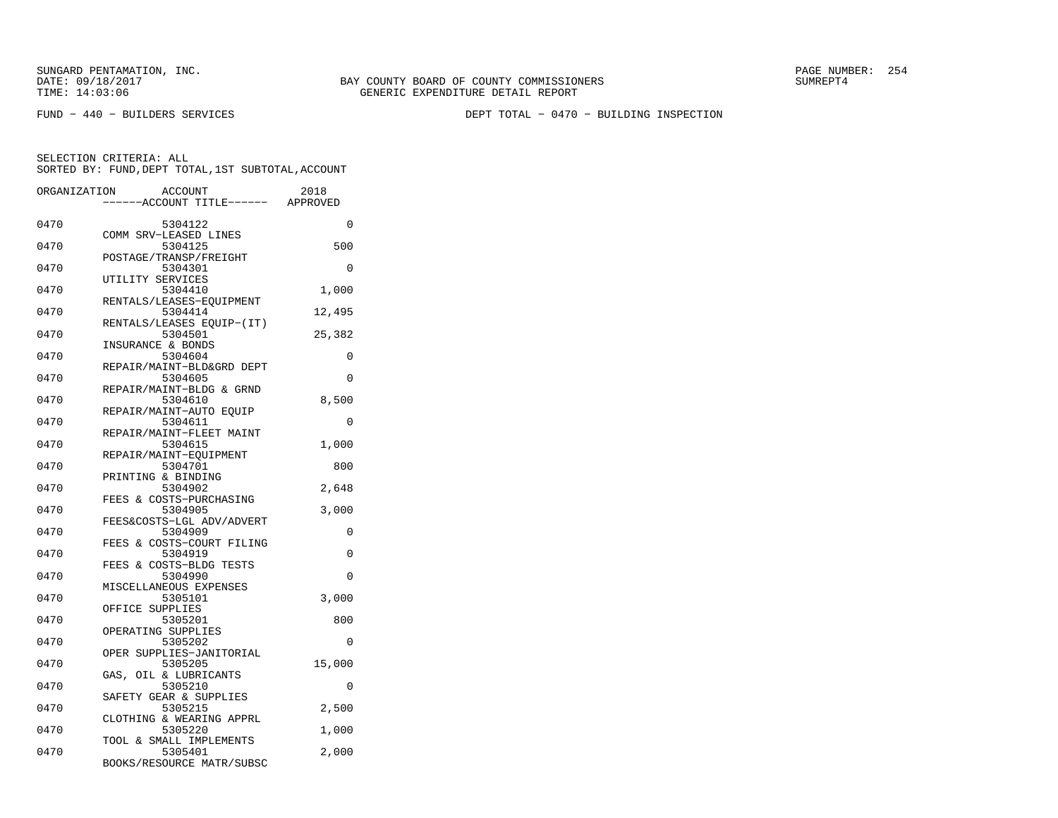FUND − 440 − BUILDERS SERVICES DEPT TOTAL − 0470 − BUILDING INSPECTION

| ORGANIZATION | <b>ACCOUNT</b>                       | 2018     |
|--------------|--------------------------------------|----------|
|              | ---ACCOUNT TITLE------ APPROVED      |          |
| 0470         | 5304122                              | 0        |
| 0470         | COMM SRV-LEASED LINES<br>5304125     | 500      |
|              | POSTAGE/TRANSP/FREIGHT               |          |
| 0470         | 5304301                              | $\Omega$ |
|              | UTILITY SERVICES                     |          |
| 0470         | 5304410<br>RENTALS/LEASES-EQUIPMENT  | 1,000    |
| 0470         | 5304414                              | 12,495   |
|              | RENTALS/LEASES EQUIP-(IT)            |          |
| 0470         | 5304501                              | 25,382   |
| 0470         | INSURANCE & BONDS<br>5304604         | $\Omega$ |
|              | REPAIR/MAINT-BLD&GRD DEPT            |          |
| 0470         | 5304605                              | $\Omega$ |
|              | REPAIR/MAINT-BLDG & GRND             |          |
| 0470         | 5304610<br>REPAIR/MAINT-AUTO EOUIP   | 8,500    |
| 0470         | 5304611                              | 0        |
|              | REPAIR/MAINT-FLEET MAINT             |          |
| 0470         | 5304615                              | 1,000    |
|              | REPAIR/MAINT-EQUIPMENT               |          |
| 0470         | 5304701<br>PRINTING & BINDING        | 800      |
| 0470         | 5304902                              | 2,648    |
|              | FEES & COSTS-PURCHASING              |          |
| 0470         | 5304905                              | 3,000    |
| 0470         | FEES&COSTS-LGL ADV/ADVERT            | 0        |
|              | 5304909<br>FEES & COSTS-COURT FILING |          |
| 0470         | 5304919                              | 0        |
|              | FEES & COSTS-BLDG TESTS              |          |
| 0470         | 5304990                              | 0        |
| 0470         | MISCELLANEOUS EXPENSES<br>5305101    | 3,000    |
|              | OFFICE SUPPLIES                      |          |
| 0470         | 5305201                              | 800      |
|              | OPERATING SUPPLIES                   |          |
| 0470         | 5305202                              | $\Omega$ |
| 0470         | OPER SUPPLIES-JANITORIAL<br>5305205  | 15,000   |
|              | GAS, OIL & LUBRICANTS                |          |
| 0470         | 5305210                              | 0        |
|              | SAFETY GEAR & SUPPLIES               |          |
| 0470         | 5305215<br>CLOTHING & WEARING APPRL  | 2,500    |
| 0470         | 5305220                              | 1,000    |
|              | TOOL & SMALL IMPLEMENTS              |          |
| 0470         | 5305401                              | 2,000    |
|              | BOOKS/RESOURCE MATR/SUBSC            |          |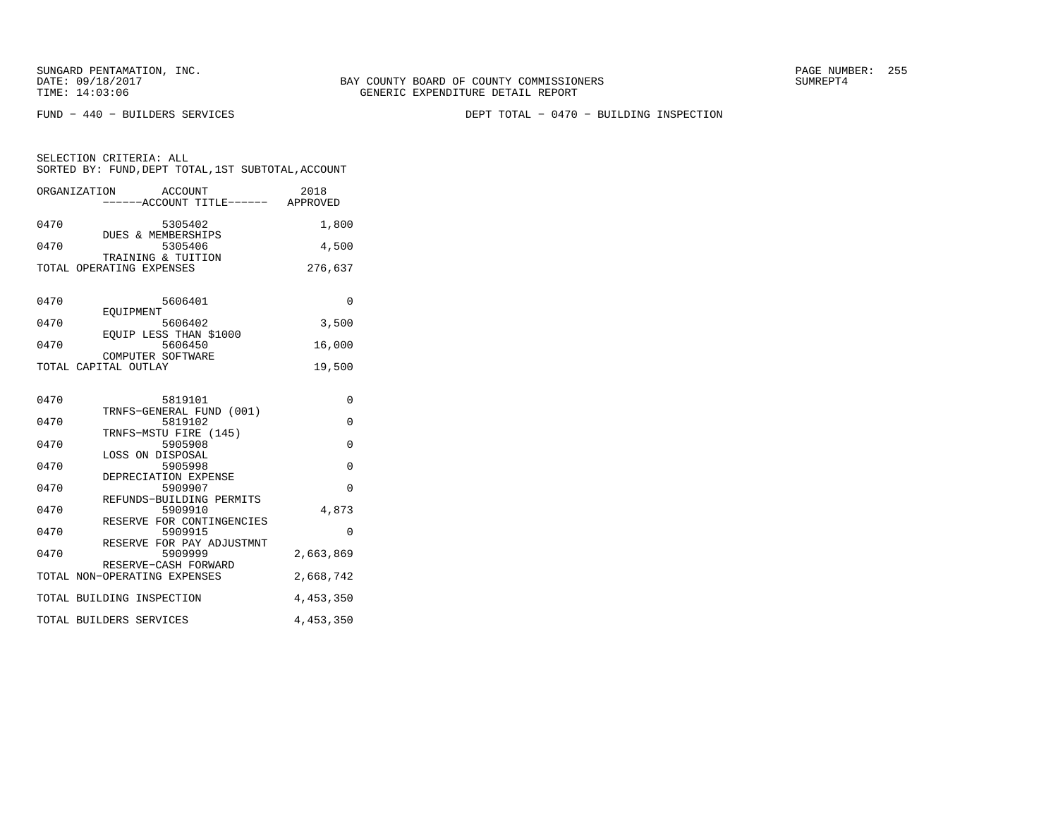FUND − 440 − BUILDERS SERVICES DEPT TOTAL − 0470 − BUILDING INSPECTION

SELECTION CRITERIA: ALL SORTED BY: FUND,DEPT TOTAL,1ST SUBTOTAL,ACCOUNTORGANIZATION ACCOUNT 2018

| URGANIZATION ACCOUNT<br>-----ACCOUNT TITLE------ APPROVED | 20 T R         |
|-----------------------------------------------------------|----------------|
| 0470<br>5305402                                           | 1,800          |
| DUES & MEMBERSHIPS<br>5305406<br>0470                     | 4,500          |
| TRAINING & TUITION<br>TOTAL OPERATING EXPENSES            | 276,637        |
| 0470<br>5606401                                           | 0              |
| EOUIPMENT                                                 |                |
| 0470<br>5606402<br>EQUIP LESS THAN \$1000                 | 3,500          |
| 0470<br>5606450<br>COMPUTER SOFTWARE                      | 16,000         |
| TOTAL CAPITAL OUTLAY                                      | 19,500         |
| 0470<br>5819101                                           | $\Omega$       |
| TRNFS-GENERAL FUND (001)<br>0470<br>5819102               | $\overline{0}$ |
| TRNFS-MSTU FIRE (145)<br>0470<br>5905908                  | $\mathbf 0$    |
| LOSS ON DISPOSAL                                          |                |
| 5905998<br>0470<br>DEPRECIATION EXPENSE                   | $\mathbf 0$    |
| 0470<br>5909907<br>REFUNDS-BUILDING PERMITS               | $\Omega$       |
| 0470<br>5909910                                           | 4,873          |
| RESERVE FOR CONTINGENCIES<br>5909915<br>0470              | 0              |
| RESERVE FOR PAY ADJUSTMNT<br>0470<br>5909999              | 2,663,869      |
| RESERVE-CASH FORWARD<br>TOTAL NON-OPERATING EXPENSES      | 2,668,742      |
| TOTAL BUILDING INSPECTION                                 | 4,453,350      |
| TOTAL BUILDERS SERVICES                                   | 4, 453, 350    |
|                                                           |                |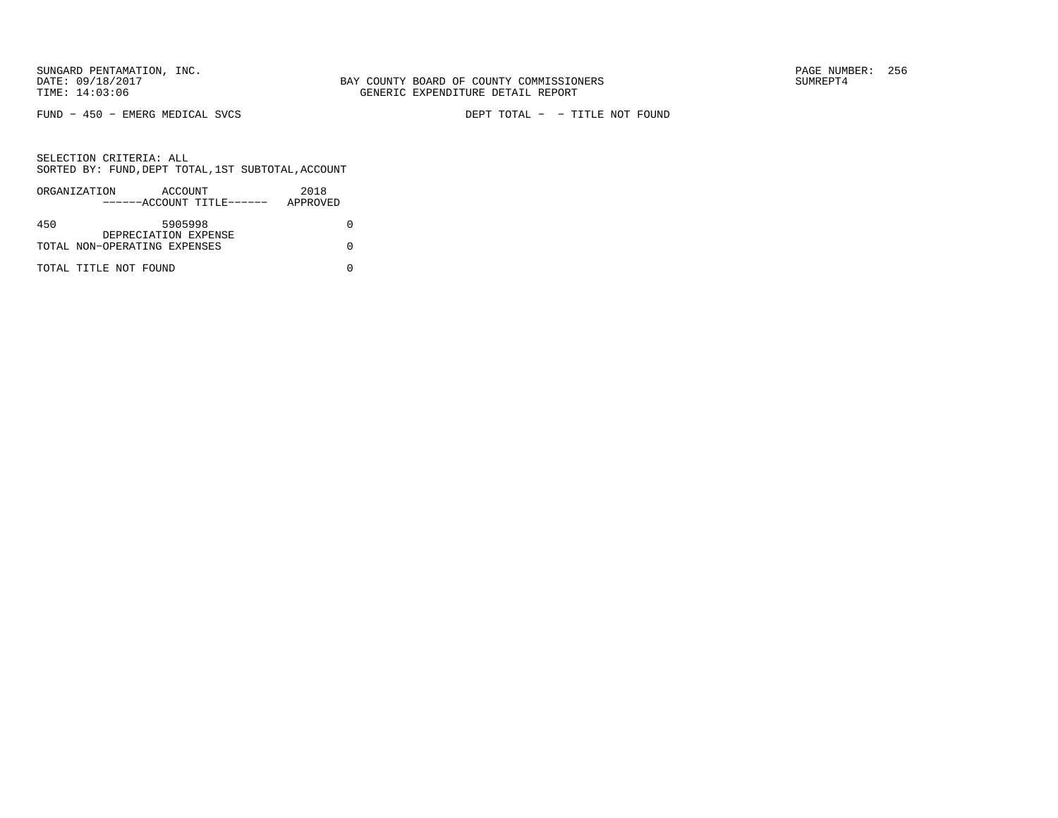FUND − 450 − EMERG MEDICAL SVCS DEPT TOTAL − − TITLE NOT FOUND

|     | ORGANIZATION                 | ACCOUNT              | ------ACCOUNT TITLE------ | 2018<br>APPROVED |  |
|-----|------------------------------|----------------------|---------------------------|------------------|--|
|     |                              |                      |                           |                  |  |
| 450 |                              | 5905998              |                           |                  |  |
|     | TOTAL NON-OPERATING EXPENSES | DEPRECIATION EXPENSE |                           |                  |  |
|     |                              |                      |                           |                  |  |
|     | TOTAL TITLE NOT FOUND        |                      |                           |                  |  |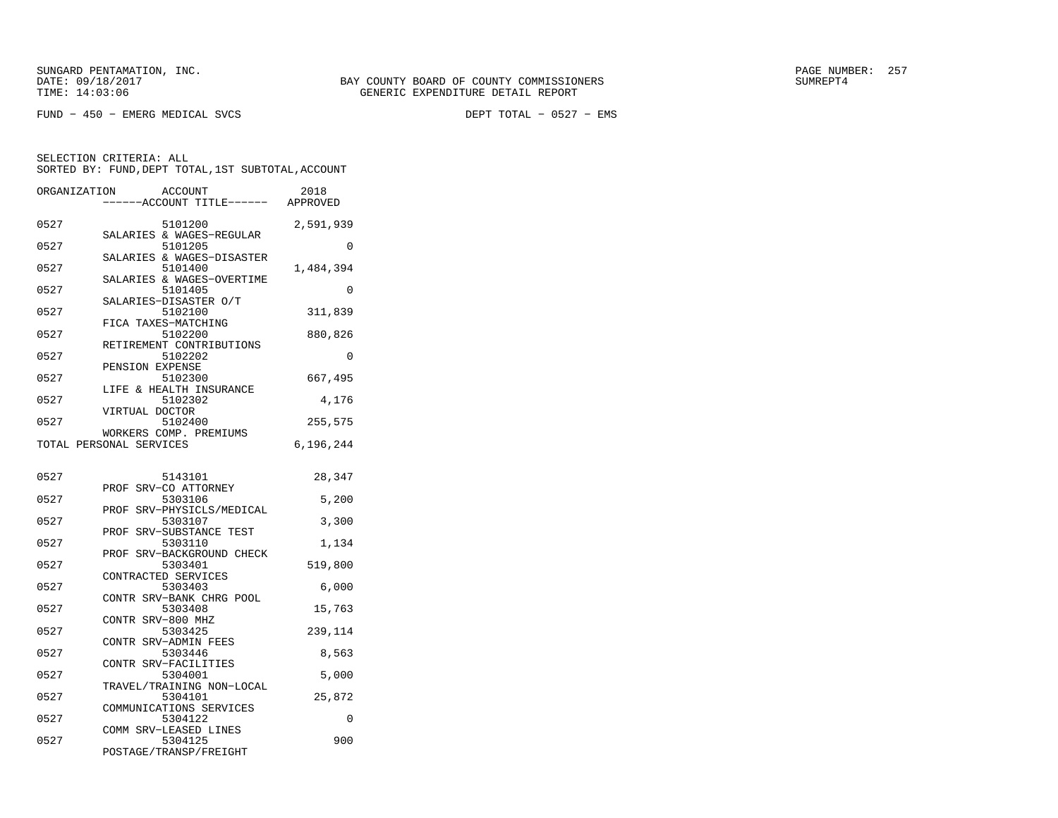FUND − 450 − EMERG MEDICAL SVCS DEPT TOTAL − 0527 − EMS

| ORGANIZATION | ACCOUNT                                           | 2018      |
|--------------|---------------------------------------------------|-----------|
|              | ---ACCOUNT TITLE------                            | APPROVED  |
| 0527         | 5101200<br>SALARIES & WAGES-REGULAR               | 2,591,939 |
| 0527         | 5101205                                           | 0         |
| 0527         | SALARIES & WAGES-DISASTER<br>5101400              | 1,484,394 |
| 0527         | SALARIES & WAGES-OVERTIME<br>5101405              | 0         |
| 0527         | SALARIES-DISASTER O/T<br>5102100                  | 311,839   |
| 0527         | FICA TAXES-MATCHING<br>5102200                    | 880,826   |
| 0527         | RETIREMENT CONTRIBUTIONS<br>5102202               | $\Omega$  |
| 0527         | PENSION EXPENSE<br>5102300                        | 667,495   |
| 0527         | LIFE & HEALTH INSURANCE<br>5102302                | 4,176     |
| 0527         | VIRTUAL DOCTOR<br>5102400                         | 255,575   |
|              | WORKERS COMP. PREMIUMS<br>TOTAL PERSONAL SERVICES | 6,196,244 |
| 0527         |                                                   |           |
|              | 5143101<br>SRV-CO ATTORNEY<br>PROF                | 28,347    |
| 0527         | 5303106<br>PROF SRV-PHYSICLS/MEDICAL              | 5,200     |
| 0527         | 5303107<br>PROF<br>SRV-SUBSTANCE TEST             | 3,300     |
| 0527         | 5303110<br>PROF SRV-BACKGROUND CHECK              | 1,134     |
| 0527         | 5303401<br>CONTRACTED SERVICES                    | 519,800   |
| 0527         | 5303403<br>CONTR SRV-BANK CHRG POOL               | 6,000     |
| 0527         | 5303408<br>CONTR SRV-800 MHZ                      | 15,763    |
| 0527         | 5303425<br>CONTR SRV-ADMIN FEES                   | 239,114   |
| 0527         | 5303446<br>CONTR SRV-FACILITIES                   | 8,563     |
| 0527         | 5304001                                           | 5,000     |
| 0527         | TRAVEL/TRAINING NON-LOCAL<br>5304101              | 25,872    |
| 0527         | COMMUNICATIONS SERVICES<br>5304122                | 0         |
| 0527         | COMM SRV-LEASED LINES<br>5304125                  | 900       |
|              | POSTAGE/TRANSP/FREIGHT                            |           |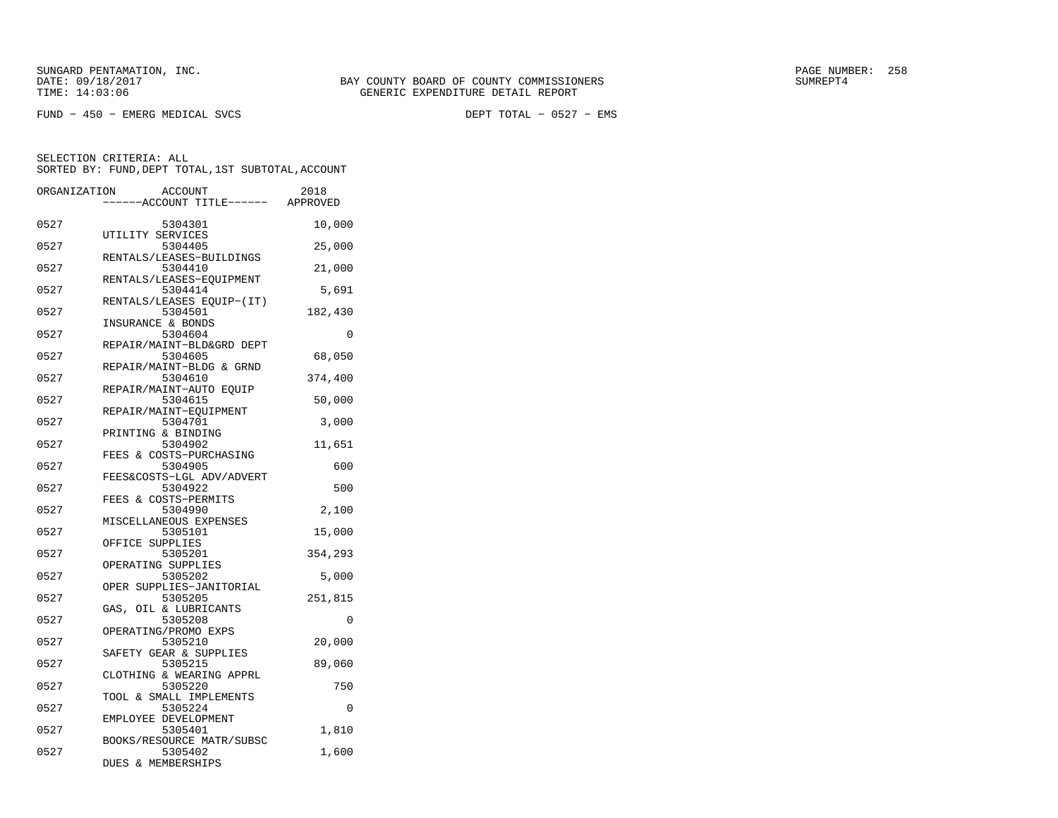FUND − 450 − EMERG MEDICAL SVCS DEPT TOTAL − 0527 − EMS

| ORGANIZATION | ACCOUNT<br>----ACCOUNT TITLE------ APPROVED                          | 2018     |
|--------------|----------------------------------------------------------------------|----------|
| 0527         | 5304301                                                              | 10,000   |
| 0527         | UTILITY SERVICES<br>5304405                                          | 25,000   |
| 0527         | RENTALS/LEASES-BUILDINGS<br>5304410                                  | 21,000   |
| 0527         | RENTALS/LEASES-EOUIPMENT<br>5304414                                  | 5,691    |
| 0527         | RENTALS/LEASES EQUIP-(IT)<br>5304501                                 | 182,430  |
| 0527         | INSURANCE & BONDS<br>5304604                                         | 0        |
| 0527         | REPAIR/MAINT-BLD&GRD DEPT<br>5304605                                 | 68,050   |
| 0527         | REPAIR/MAINT-BLDG & GRND<br>5304610                                  | 374,400  |
| 0527         | REPAIR/MAINT-AUTO EQUIP<br>5304615                                   | 50,000   |
| 0527         | REPAIR/MAINT-EOUIPMENT<br>5304701                                    | 3,000    |
| 0527         | PRINTING & BINDING<br>5304902                                        | 11,651   |
| 0527         | FEES & COSTS-PURCHASING<br>5304905                                   | 600      |
| 0527         | FEES&COSTS-LGL ADV/ADVERT<br>5304922                                 | 500      |
| 0527         | FEES & COSTS-PERMITS<br>5304990                                      | 2,100    |
| 0527         | MISCELLANEOUS EXPENSES<br>5305101                                    | 15,000   |
| 0527         | OFFICE SUPPLIES<br>5305201                                           | 354,293  |
| 0527         | OPERATING SUPPLIES<br>5305202                                        | 5,000    |
| 0527         | OPER SUPPLIES-JANITORIAL<br>5305205                                  | 251,815  |
| 0527         | GAS, OIL & LUBRICANTS<br>5305208                                     | $\Omega$ |
| 0527         | OPERATING/PROMO EXPS<br>5305210                                      | 20,000   |
| 0527         | SAFETY GEAR & SUPPLIES<br>5305215                                    | 89,060   |
| 0527         | CLOTHING & WEARING APPRL<br>5305220                                  | 750      |
| 0527         | TOOL & SMALL IMPLEMENTS<br>5305224                                   | $\Omega$ |
| 0527         | EMPLOYEE DEVELOPMENT<br>5305401                                      | 1,810    |
| 0527         | BOOKS/RESOURCE MATR/SUBSC<br>5305402<br><b>DUES</b><br>& MEMBERSHIPS | 1,600    |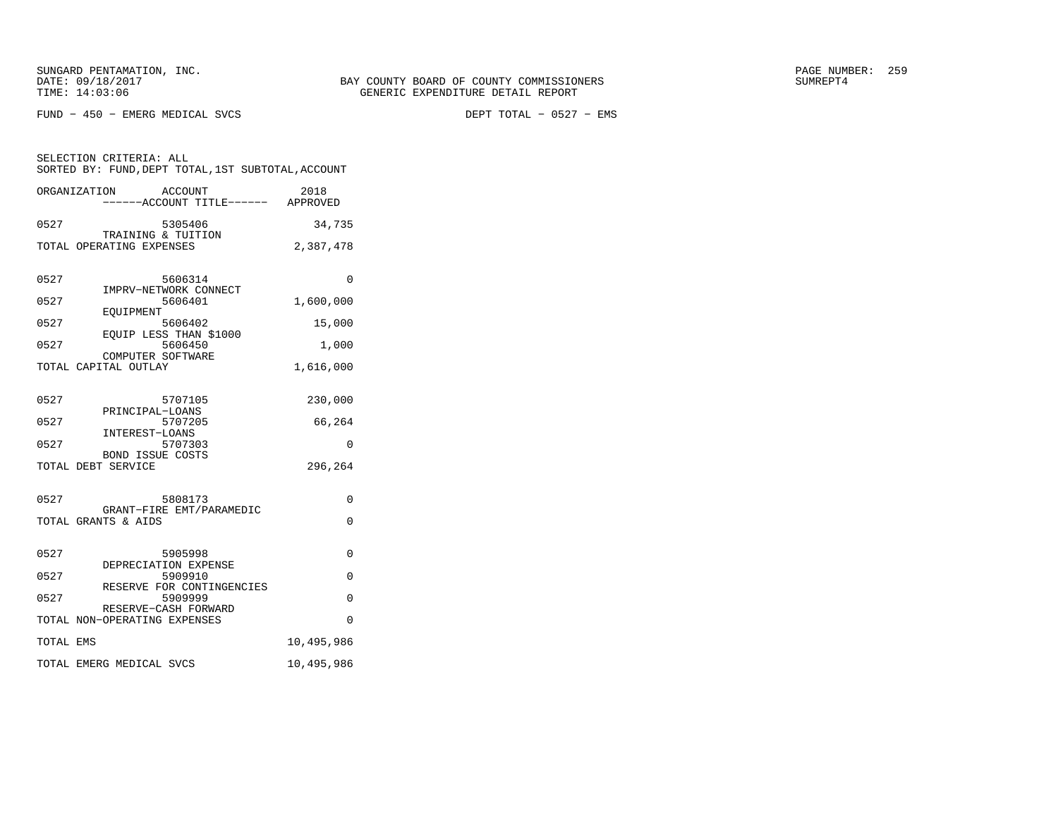SELECTION CRITERIA: ALL

FUND − 450 − EMERG MEDICAL SVCS DEPT TOTAL − 0527 − EMS

|                                            | ------ACCOUNT TITLE------                                                                                                                  | APPROVED                                 |
|--------------------------------------------|--------------------------------------------------------------------------------------------------------------------------------------------|------------------------------------------|
| 0527                                       | 5305406<br>TRAINING & TUITION                                                                                                              | 34,735                                   |
|                                            | TOTAL OPERATING EXPENSES                                                                                                                   | 2,387,478                                |
| 0527<br>0527                               | 5606314<br>IMPRV-NETWORK CONNECT<br>5606401<br>EOUIPMENT                                                                                   | 0<br>1,600,000                           |
| 0527                                       | 5606402<br>EOUIP LESS THAN \$1000                                                                                                          | 15,000                                   |
| 0527                                       | 5606450<br>COMPUTER SOFTWARE                                                                                                               | 1,000                                    |
|                                            | TOTAL CAPITAL OUTLAY                                                                                                                       | 1,616,000                                |
| 0527<br>0527<br>0527<br>TOTAL DEBT SERVICE | 5707105<br>PRINCIPAL-LOANS<br>5707205<br>INTEREST-LOANS<br>5707303<br><b>BOND ISSUE COSTS</b>                                              | 230,000<br>66,264<br>$\Omega$<br>296,264 |
| 0527                                       | 5808173                                                                                                                                    | $\Omega$                                 |
| TOTAL GRANTS & AIDS                        | GRANT-FIRE EMT/PARAMEDIC                                                                                                                   | $\Omega$                                 |
| 0527<br>0527<br>0527                       | 5905998<br>DEPRECIATION EXPENSE<br>5909910<br>RESERVE FOR CONTINGENCIES<br>5909999<br>RESERVE-CASH FORWARD<br>TOTAL NON-OPERATING EXPENSES | $\Omega$<br>$\Omega$<br>0<br>$\Omega$    |
| TOTAL EMS                                  |                                                                                                                                            | 10,495,986                               |
|                                            | TOTAL EMERG MEDICAL SVCS                                                                                                                   | 10,495,986                               |
|                                            |                                                                                                                                            |                                          |

 SORTED BY: FUND,DEPT TOTAL,1ST SUBTOTAL,ACCOUNTORGANIZATION ACCOUNT 2018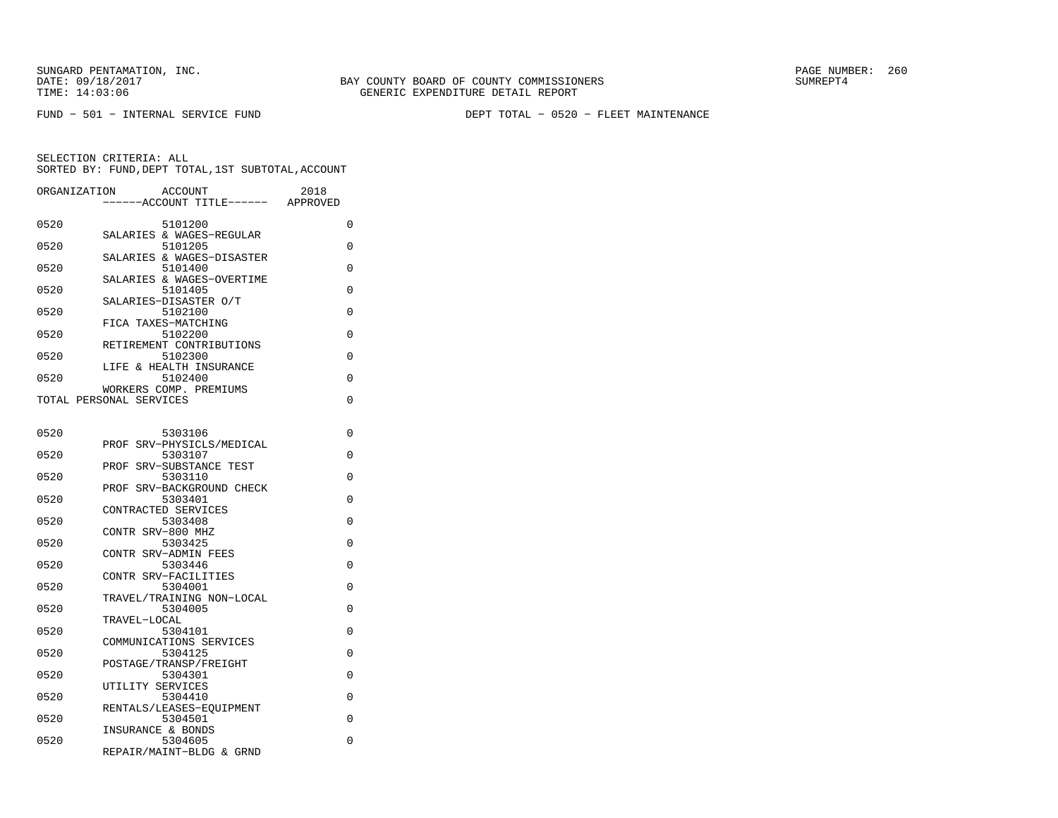FUND − 501 − INTERNAL SERVICE FUND DEPT TOTAL − 0520 − FLEET MAINTENANCE

| ORGANIZATION | <b>ACCOUNT</b><br>----ACCOUNT TITLE------         | 2018<br>APPROVED |
|--------------|---------------------------------------------------|------------------|
| 0520         | 5101200                                           | 0                |
| 0520         | SALARIES & WAGES-REGULAR<br>5101205               | 0                |
| 0520         | SALARIES & WAGES-DISASTER<br>5101400              | 0                |
| 0520         | SALARIES & WAGES-OVERTIME<br>5101405              | 0                |
| 0520         | SALARIES-DISASTER O/T<br>5102100                  | 0                |
| 0520         | FICA TAXES-MATCHING<br>5102200                    | 0                |
| 0520         | RETIREMENT CONTRIBUTIONS<br>5102300               | 0                |
| 0520         | LIFE & HEALTH INSURANCE<br>5102400                | 0                |
|              | WORKERS COMP. PREMIUMS<br>TOTAL PERSONAL SERVICES | 0                |
|              |                                                   |                  |
| 0520         | 5303106<br>SRV-PHYSICLS/MEDICAL<br>PROF           | 0                |
| 0520         | 5303107<br>PROF SRV-SUBSTANCE TEST                | $\Omega$         |
| 0520         | 5303110<br>PROF SRV-BACKGROUND CHECK              | 0                |
| 0520         | 5303401<br>CONTRACTED SERVICES                    | 0                |
| 0520         | 5303408                                           | 0                |
| 0520         | CONTR SRV-800 MHZ<br>5303425                      | 0                |
| 0520         | CONTR SRV-ADMIN FEES<br>5303446                   | 0                |
| 0520         | CONTR SRV-FACILITIES<br>5304001                   | 0                |
| 0520         | TRAVEL/TRAINING NON-LOCAL<br>5304005              | 0                |
| 0520         | TRAVEL-LOCAL<br>5304101                           | 0                |
| 0520         | COMMUNICATIONS SERVICES<br>5304125                | 0                |
| 0520         | POSTAGE/TRANSP/FREIGHT<br>5304301                 | 0                |
| 0520         | UTILITY SERVICES<br>5304410                       | 0                |
| 0520         | RENTALS/LEASES-EOUIPMENT<br>5304501               | 0                |
| 0520         | INSURANCE & BONDS<br>5304605                      | 0                |
|              | REPAIR/MAINT-BLDG & GRND                          |                  |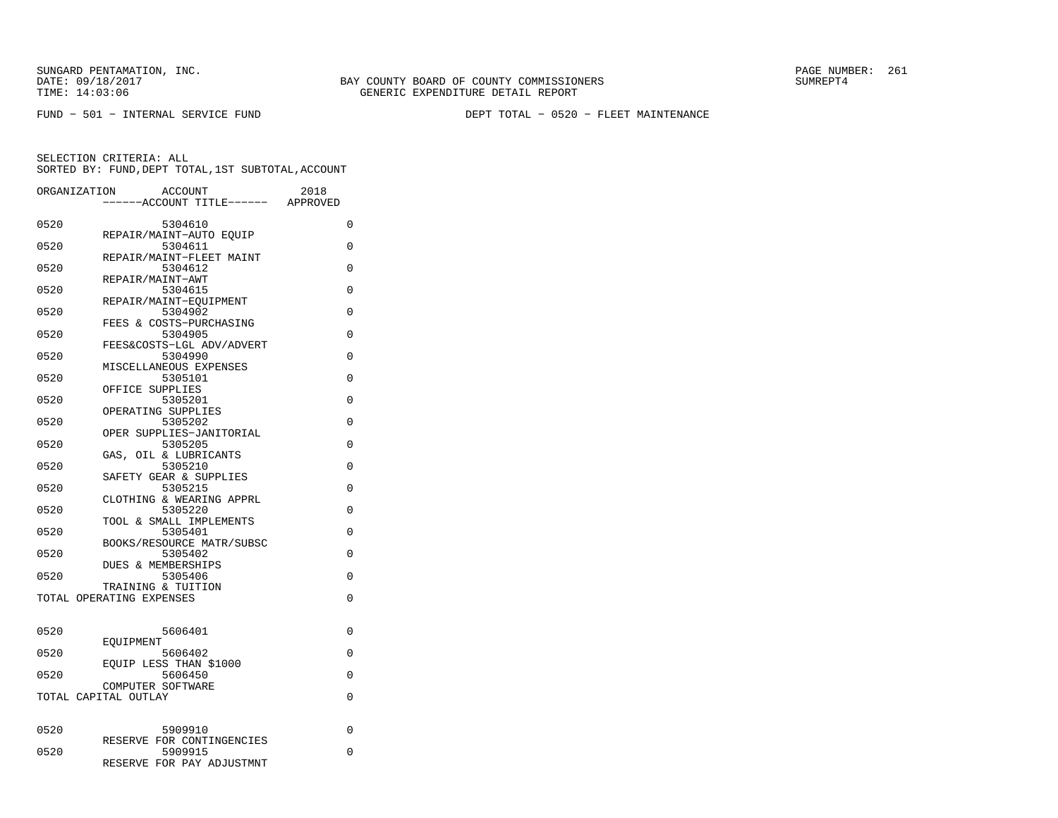FUND − 501 − INTERNAL SERVICE FUND DEPT TOTAL − 0520 − FLEET MAINTENANCE

| ORGANIZATION | <b>ACCOUNT</b>                       | 2018     |
|--------------|--------------------------------------|----------|
|              | ---ACCOUNT TITLE------               | APPROVED |
| 0520         | 5304610                              | 0        |
|              | REPAIR/MAINT-AUTO EQUIP              |          |
| 0520         | 5304611<br>REPAIR/MAINT-FLEET MAINT  | $\Omega$ |
| 0520         | 5304612                              | $\Omega$ |
|              | REPAIR/MAINT-AWT                     |          |
| 0520         | 5304615                              | 0        |
| 0520         | REPAIR/MAINT-EOUIPMENT<br>5304902    | 0        |
|              | FEES & COSTS-PURCHASING              |          |
| 0520         | 5304905                              | 0        |
|              | FEES&COSTS-LGL ADV/ADVERT            |          |
| 0520         | 5304990<br>MISCELLANEOUS EXPENSES    | 0        |
| 0520         | 5305101                              | 0        |
|              | OFFICE SUPPLIES                      |          |
| 0520         | 5305201                              | $\Omega$ |
|              | OPERATING SUPPLIES                   |          |
| 0520         | 5305202<br>OPER SUPPLIES-JANITORIAL  | $\Omega$ |
| 0520         | 5305205                              | $\Omega$ |
|              | OIL & LUBRICANTS<br>GAS,             |          |
| 0520         | 5305210                              | 0        |
| 0520         | SAFETY GEAR & SUPPLIES               | 0        |
|              | 5305215<br>CLOTHING & WEARING APPRL  |          |
| 0520         | 5305220                              | $\Omega$ |
|              | TOOL & SMALL IMPLEMENTS              |          |
| 0520         | 5305401                              | 0        |
| 0520         | BOOKS/RESOURCE MATR/SUBSC<br>5305402 | 0        |
|              | <b>DUES &amp; MEMBERSHIPS</b>        |          |
| 0520         | 5305406                              | 0        |
|              | TRAINING & TUITION                   |          |
|              | TOTAL OPERATING EXPENSES             | 0        |
|              |                                      |          |
| 0520         | 5606401                              | 0        |
|              | EOUIPMENT                            |          |
| 0520         | 5606402<br>EOUIP LESS THAN \$1000    | $\Omega$ |
| 0520         | 5606450                              | 0        |
|              | COMPUTER SOFTWARE                    |          |
|              | TOTAL CAPITAL OUTLAY                 | 0        |
|              |                                      |          |
| 0520         | 5909910                              | 0        |
|              | RESERVE FOR CONTINGENCIES            |          |
| 0520         | 5909915                              | 0        |
|              | RESERVE FOR PAY ADJUSTMNT            |          |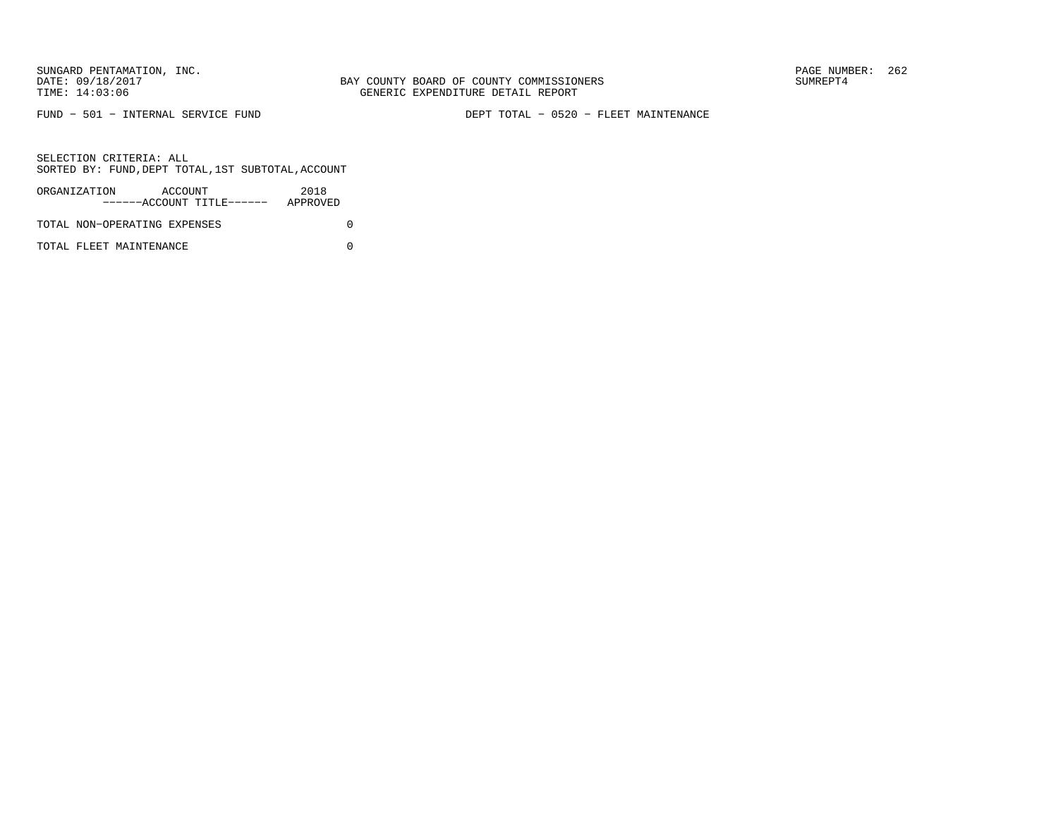FUND − 501 − INTERNAL SERVICE FUND DEPT TOTAL − 0520 − FLEET MAINTENANCE

SELECTION CRITERIA: ALLSORTED BY: FUND,DEPT TOTAL,1ST SUBTOTAL,ACCOUNT

| ORGANIZATION                 | ACCOUNT |                           | 2018     |  |
|------------------------------|---------|---------------------------|----------|--|
|                              |         | ------ACCOUNT TITLE------ | APPROVED |  |
| TOTAL NON-OPERATING EXPENSES |         |                           |          |  |

TOTAL FLEET MAINTENANCE 0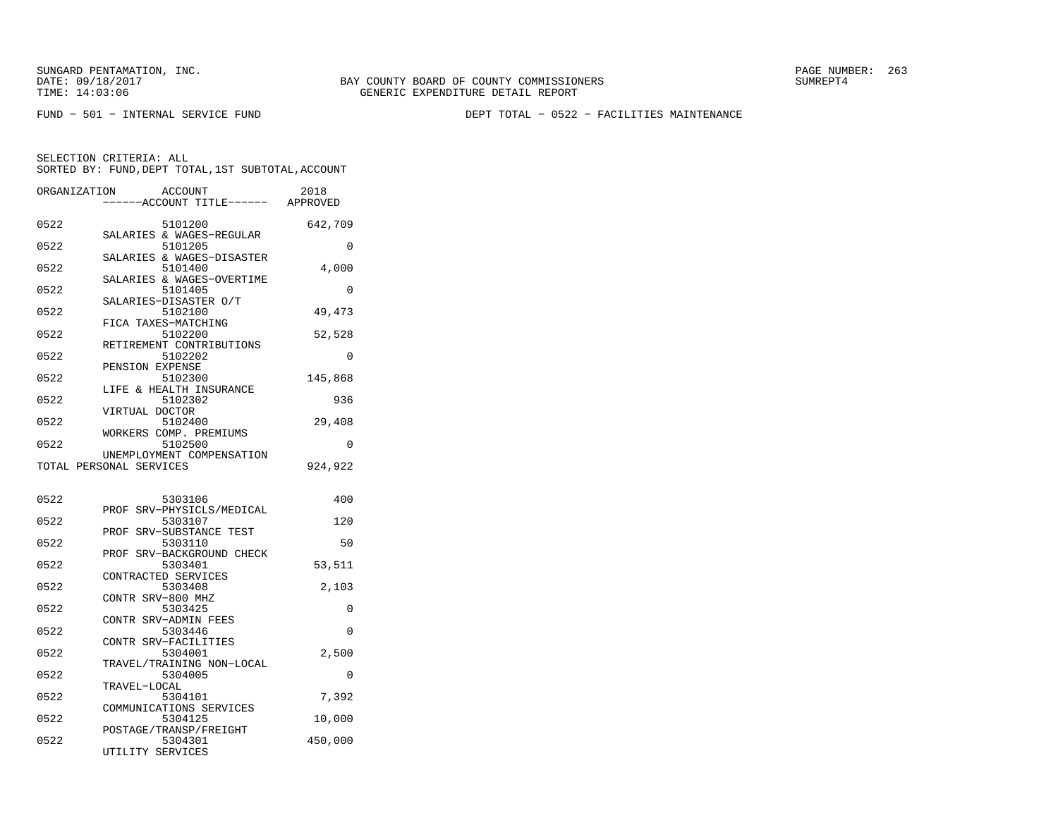FUND − 501 − INTERNAL SERVICE FUND DEPT TOTAL − 0522 − FACILITIES MAINTENANCE

| ORGANIZATION | ACCOUNT                              | ---ACCOUNT TITLE------ APPROVED | 2018     |
|--------------|--------------------------------------|---------------------------------|----------|
|              |                                      |                                 |          |
| 0522         | 5101200                              |                                 | 642,709  |
|              | SALARIES & WAGES-REGULAR             |                                 |          |
| 0522         | 5101205                              |                                 | $\Omega$ |
| 0522         | SALARIES & WAGES-DISASTER<br>5101400 |                                 | 4,000    |
|              | SALARIES & WAGES-OVERTIME            |                                 |          |
| 0522         | 5101405                              |                                 | 0        |
|              | SALARIES-DISASTER O/T                |                                 |          |
| 0522         | 5102100                              |                                 | 49,473   |
|              | FICA TAXES-MATCHING                  |                                 |          |
| 0522         | 5102200                              |                                 | 52,528   |
|              | RETIREMENT CONTRIBUTIONS             |                                 |          |
| 0522         | 5102202<br>PENSION EXPENSE           |                                 | $\Omega$ |
| 0522         | 5102300                              |                                 | 145,868  |
|              | LIFE & HEALTH INSURANCE              |                                 |          |
| 0522         | 5102302                              |                                 | 936      |
|              | VIRTUAL DOCTOR                       |                                 |          |
| 0522         | 5102400                              |                                 | 29,408   |
|              | WORKERS COMP. PREMIUMS               |                                 |          |
| 0522         | 5102500                              |                                 | 0        |
|              | UNEMPLOYMENT COMPENSATION            |                                 |          |
|              | TOTAL PERSONAL SERVICES              |                                 | 924,922  |
|              |                                      |                                 |          |
| 0522         | 5303106                              |                                 | 400      |
|              | PROF SRV-PHYSICLS/MEDICAL            |                                 |          |
| 0522         | 5303107                              |                                 | 120      |
|              | PROF                                 | SRV-SUBSTANCE TEST              |          |
| 0522         | 5303110                              |                                 | 50       |
|              | PROF                                 | SRV-BACKGROUND CHECK            |          |
| 0522         | 5303401                              |                                 | 53,511   |
|              | CONTRACTED SERVICES                  |                                 |          |
| 0522         | 5303408<br>CONTR SRV-800 MHZ         |                                 | 2,103    |
| 0522         | 5303425                              |                                 | 0        |
|              | CONTR SRV-ADMIN FEES                 |                                 |          |
| 0522         | 5303446                              |                                 | 0        |
|              | CONTR SRV-FACILITIES                 |                                 |          |
| 0522         | 5304001                              |                                 | 2,500    |
|              | TRAVEL/TRAINING NON-LOCAL            |                                 |          |
| 0522         | 5304005                              |                                 | $\Omega$ |
|              | TRAVEL-LOCAL                         |                                 |          |
| 0522         | 5304101<br>COMMUNICATIONS SERVICES   |                                 | 7,392    |
| 0522         | 5304125                              |                                 | 10,000   |
|              | POSTAGE/TRANSP/FREIGHT               |                                 |          |
| 0522         | 5304301                              |                                 | 450,000  |
|              | UTILITY SERVICES                     |                                 |          |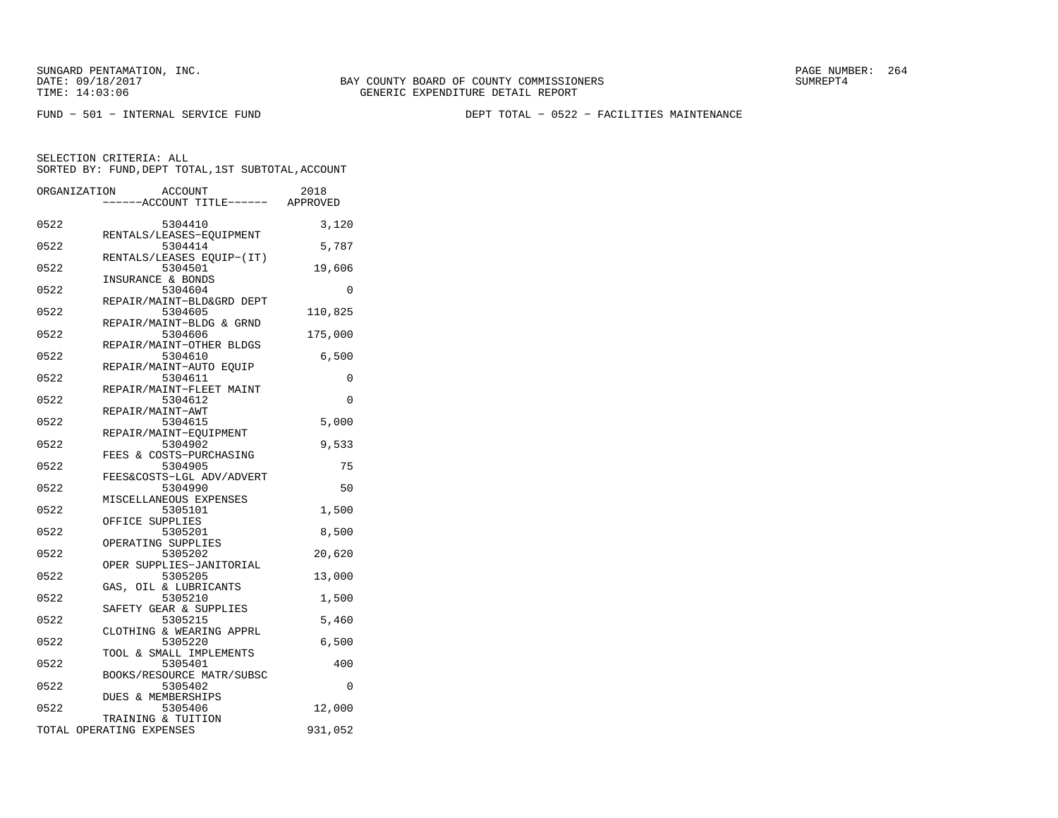FUND − 501 − INTERNAL SERVICE FUND DEPT TOTAL − 0522 − FACILITIES MAINTENANCE

|      | ORGANIZATION<br>ACCOUNT<br>---ACCOUNT TITLE------ APPROVED   | 2018     |
|------|--------------------------------------------------------------|----------|
| 0522 | 5304410                                                      | 3,120    |
| 0522 | RENTALS/LEASES-EQUIPMENT<br>5304414                          | 5,787    |
| 0522 | RENTALS/LEASES EQUIP-(IT)<br>5304501                         | 19,606   |
| 0522 | INSURANCE & BONDS<br>5304604                                 | 0        |
| 0522 | REPAIR/MAINT-BLD&GRD DEPT<br>5304605                         | 110,825  |
| 0522 | REPAIR/MAINT-BLDG & GRND<br>5304606                          | 175,000  |
| 0522 | REPAIR/MAINT-OTHER BLDGS<br>5304610                          | 6,500    |
| 0522 | REPAIR/MAINT-AUTO EOUIP<br>5304611                           | 0        |
| 0522 | REPAIR/MAINT-FLEET MAINT<br>5304612                          | $\Omega$ |
| 0522 | REPAIR/MAINT-AWT<br>5304615                                  | 5,000    |
| 0522 | REPAIR/MAINT-EQUIPMENT<br>5304902<br>FEES & COSTS-PURCHASING | 9,533    |
| 0522 | 5304905<br>FEES&COSTS-LGL ADV/ADVERT                         | 75       |
| 0522 | 5304990<br>MISCELLANEOUS EXPENSES                            | 50       |
| 0522 | 5305101                                                      | 1,500    |
| 0522 | OFFICE SUPPLIES<br>5305201<br>OPERATING SUPPLIES             | 8,500    |
| 0522 | 5305202<br>OPER SUPPLIES-JANITORIAL                          | 20,620   |
| 0522 | 5305205<br>GAS, OIL & LUBRICANTS                             | 13,000   |
| 0522 | 5305210<br>SAFETY GEAR & SUPPLIES                            | 1,500    |
| 0522 | 5305215<br>CLOTHING & WEARING APPRL                          | 5,460    |
| 0522 | 5305220<br>TOOL & SMALL IMPLEMENTS                           | 6,500    |
| 0522 | 5305401<br>BOOKS/RESOURCE MATR/SUBSC                         | 400      |
| 0522 | 5305402<br><b>DUES &amp; MEMBERSHIPS</b>                     | $\Omega$ |
| 0522 | 5305406<br>TRAINING & TUITION                                | 12,000   |
|      | TOTAL OPERATING EXPENSES                                     | 931,052  |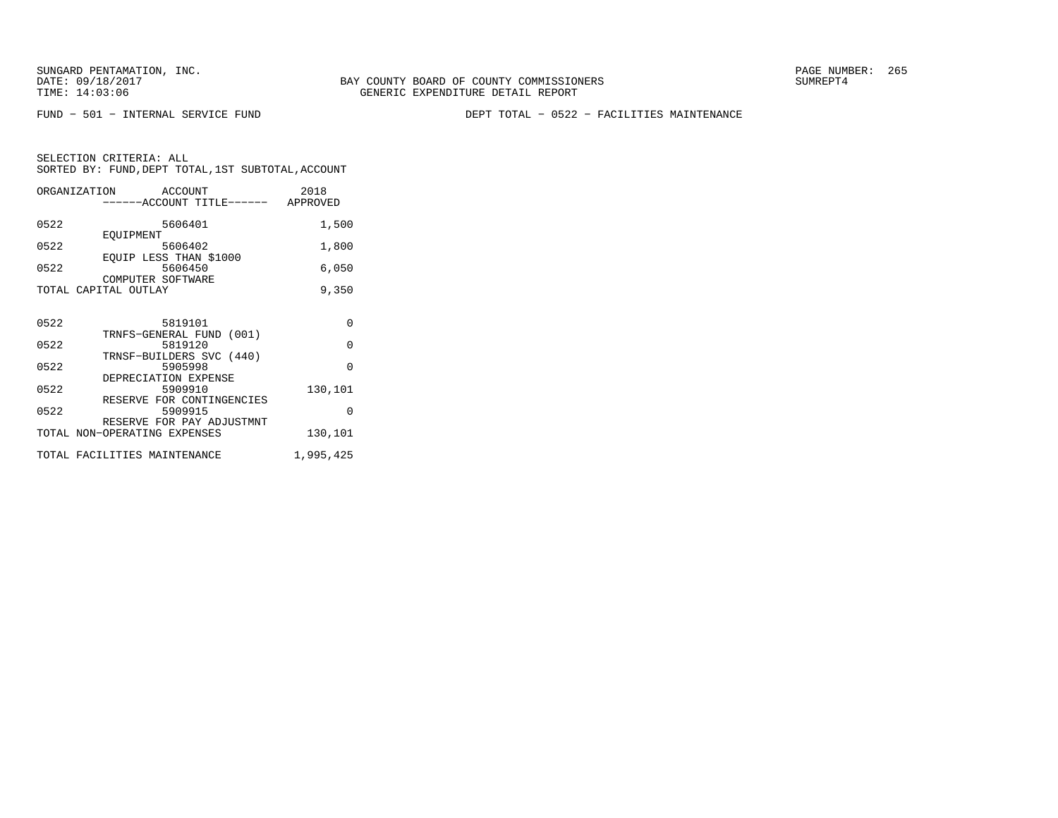FUND − 501 − INTERNAL SERVICE FUND DEPT TOTAL − 0522 − FACILITIES MAINTENANCE

SELECTION CRITERIA: ALLSORTED BY: FUND,DEPT TOTAL,1ST SUBTOTAL,ACCOUNT

|      | ORGANIZATION ACCOUNT                      | ------ACCOUNT TITLE------ APPROVED   | 2018     |
|------|-------------------------------------------|--------------------------------------|----------|
| 0522 |                                           | 5606401                              | 1,500    |
| 0522 | EOUIPMENT                                 | 5606402                              | 1,800    |
| 0522 |                                           | EOUIP LESS THAN \$1000<br>5606450    | 6,050    |
|      | COMPUTER SOFTWARE<br>TOTAL CAPITAL OUTLAY |                                      | 9,350    |
|      |                                           |                                      |          |
| 0522 |                                           | 5819101                              | $\Omega$ |
| 0522 |                                           | TRNFS-GENERAL FUND (001)<br>5819120  | $\Omega$ |
| 0522 |                                           | TRNSF-BUILDERS SVC (440)<br>5905998  | $\Omega$ |
| 0522 |                                           | DEPRECIATION EXPENSE<br>5909910      | 130,101  |
| 0522 |                                           | RESERVE FOR CONTINGENCIES<br>5909915 | $\Omega$ |
|      | TOTAL NON-OPERATING EXPENSES              | RESERVE FOR PAY ADJUSTMNT            | 130,101  |

TOTAL FACILITIES MAINTENANCE 1,995,425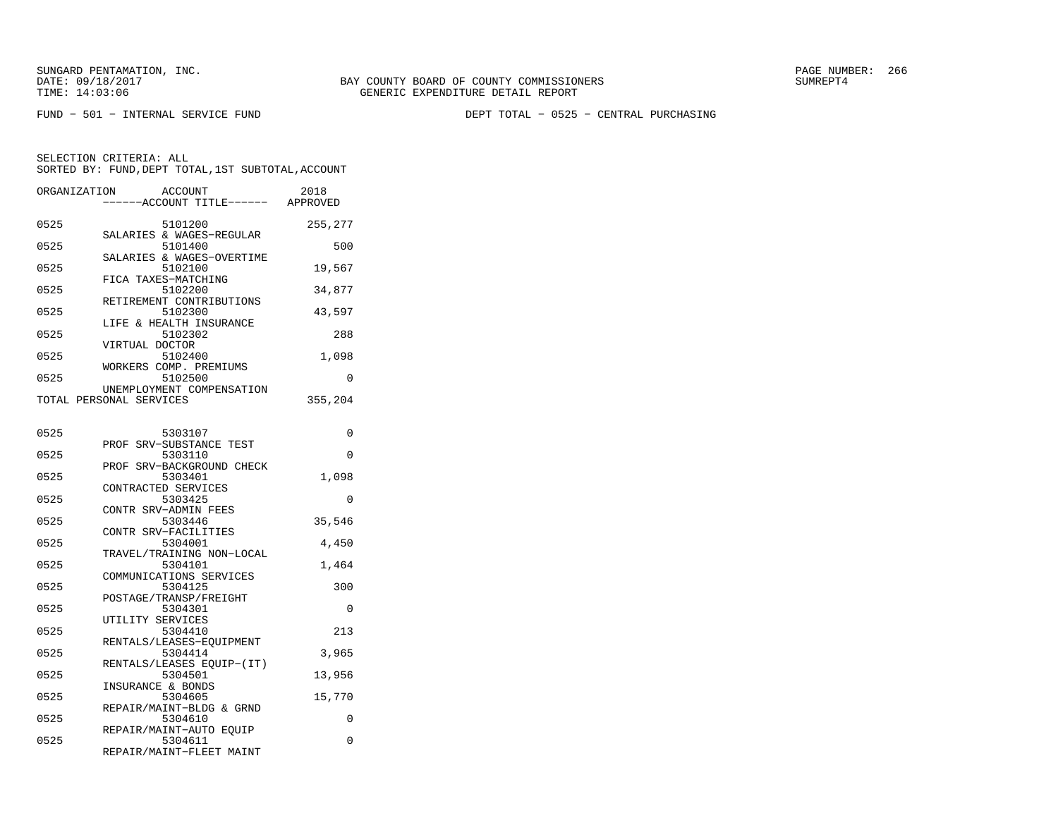FUND − 501 − INTERNAL SERVICE FUND DEPT TOTAL − 0525 − CENTRAL PURCHASING

| ACCOUNT<br>ORGANIZATION<br>---ACCOUNT TITLE------ APPROVED             | 2018     |
|------------------------------------------------------------------------|----------|
| 0525<br>5101200<br>SALARIES & WAGES-REGULAR                            | 255,277  |
| 0525<br>5101400                                                        | 500      |
| SALARIES & WAGES-OVERTIME<br>0525<br>5102100                           | 19,567   |
| FICA TAXES-MATCHING<br>0525<br>5102200                                 | 34,877   |
| RETIREMENT CONTRIBUTIONS<br>0525<br>5102300                            | 43,597   |
| LIFE & HEALTH INSURANCE<br>0525<br>5102302                             | 288      |
| VIRTUAL DOCTOR<br>0525<br>5102400                                      | 1,098    |
| WORKERS COMP. PREMIUMS<br>0525<br>5102500                              | 0        |
| UNEMPLOYMENT COMPENSATION<br>TOTAL PERSONAL SERVICES                   | 355,204  |
|                                                                        |          |
| 0525<br>5303107<br>PROF SRV-SUBSTANCE TEST                             | 0        |
| 0525<br>5303110<br>SRV-BACKGROUND CHECK<br>PROF                        | 0        |
| 0525<br>5303401<br>CONTRACTED SERVICES                                 | 1,098    |
| 0525<br>5303425<br>CONTR SRV-ADMIN FEES                                | 0        |
| 0525<br>5303446<br>CONTR SRV-FACILITIES                                | 35,546   |
| 0525<br>5304001<br>TRAVEL/TRAINING NON-LOCAL                           | 4,450    |
| 0525<br>5304101<br>COMMUNICATIONS SERVICES                             | 1,464    |
| 0525<br>5304125<br>POSTAGE/TRANSP/FREIGHT                              | 300      |
| 0525<br>5304301<br>UTILITY SERVICES                                    | 0        |
| 0525<br>5304410                                                        | 213      |
| RENTALS/LEASES-EOUIPMENT<br>0525<br>5304414                            | 3,965    |
| RENTALS/LEASES EOUIP-(IT)<br>0525<br>5304501                           | 13,956   |
| INSURANCE & BONDS<br>0525<br>5304605                                   | 15,770   |
| REPAIR/MAINT-BLDG & GRND<br>0525<br>5304610                            | 0        |
| REPAIR/MAINT-AUTO EQUIP<br>0525<br>5304611<br>REPAIR/MAINT-FLEET MAINT | $\Omega$ |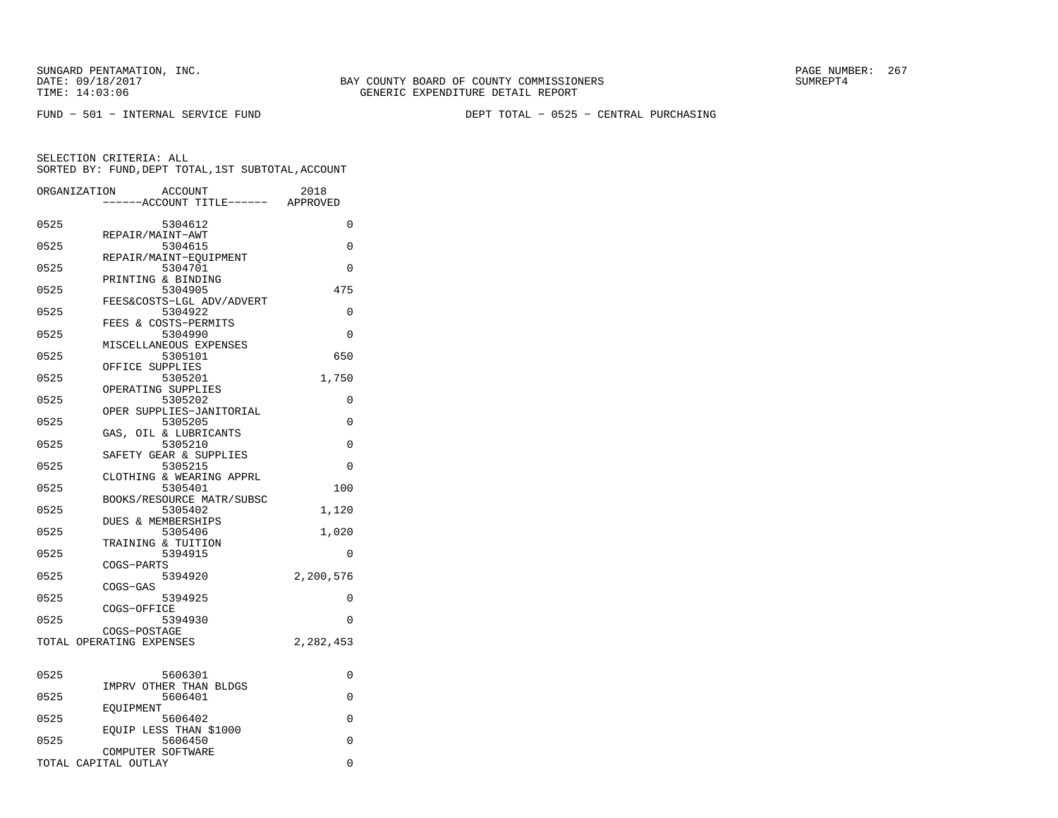FUND − 501 − INTERNAL SERVICE FUND DEPT TOTAL − 0525 − CENTRAL PURCHASING

| ORGANIZATION             |                   | <b>ACCOUNT</b><br>---ACCOUNT TITLE------ APPROVED | 2018      |
|--------------------------|-------------------|---------------------------------------------------|-----------|
| 0525                     |                   | 5304612                                           | 0         |
|                          | REPAIR/MAINT-AWT  |                                                   |           |
| 0525                     |                   | 5304615<br>REPAIR/MAINT-EQUIPMENT                 | $\Omega$  |
| 0525                     |                   | 5304701                                           | $\Omega$  |
| 0525                     |                   | PRINTING & BINDING<br>5304905                     | 475       |
|                          |                   | FEES&COSTS-LGL ADV/ADVERT                         |           |
| 0525                     |                   | 5304922                                           | $\Omega$  |
| 0525                     |                   | FEES & COSTS-PERMITS<br>5304990                   | 0         |
|                          |                   | MISCELLANEOUS EXPENSES                            |           |
| 0525                     | OFFICE SUPPLIES   | 5305101                                           | 650       |
| 0525                     |                   | 5305201                                           | 1,750     |
|                          |                   | OPERATING SUPPLIES                                |           |
| 0525                     |                   | 5305202<br>OPER SUPPLIES-JANITORIAL               | 0         |
| 0525                     |                   | 5305205                                           | $\Omega$  |
|                          |                   | GAS, OIL & LUBRICANTS                             |           |
| 0525                     |                   | 5305210<br>SAFETY GEAR & SUPPLIES                 | 0         |
| 0525                     |                   | 5305215                                           | $\Omega$  |
| 0525                     |                   | CLOTHING & WEARING APPRL<br>5305401               | 100       |
|                          |                   | BOOKS/RESOURCE MATR/SUBSC                         |           |
| 0525                     |                   | 5305402                                           | 1,120     |
| 0525                     |                   | <b>DUES &amp; MEMBERSHIPS</b><br>5305406          | 1,020     |
|                          |                   | TRAINING & TUITION                                |           |
| 0525                     |                   | 5394915                                           | 0         |
| 0525                     | COGS-PARTS        | 5394920                                           | 2,200,576 |
|                          | COGS-GAS          |                                                   |           |
| 0525                     | COGS-OFFICE       | 5394925                                           | $\Omega$  |
| 0525                     |                   | 5394930                                           | $\Omega$  |
|                          | COGS-POSTAGE      |                                                   |           |
| TOTAL OPERATING EXPENSES |                   |                                                   | 2,282,453 |
|                          |                   |                                                   |           |
| 0525                     |                   | 5606301                                           | 0         |
| 0525                     |                   | IMPRV OTHER THAN BLDGS<br>5606401                 | 0         |
|                          | EOUIPMENT         |                                                   |           |
| 0525                     |                   | 5606402<br>EQUIP LESS THAN \$1000                 | 0         |
| 0525                     |                   | 5606450                                           | 0         |
|                          | COMPUTER SOFTWARE |                                                   |           |
| TOTAL CAPITAL OUTLAY     |                   |                                                   | 0         |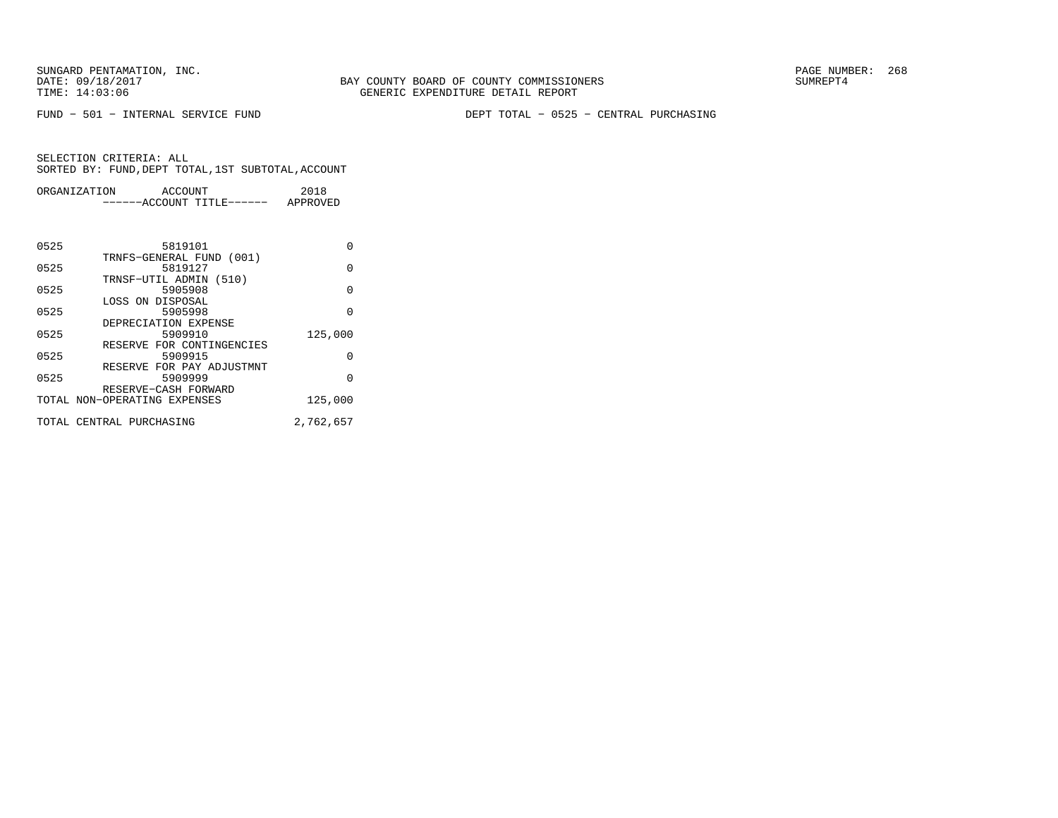FUND − 501 − INTERNAL SERVICE FUND DEPT TOTAL − 0525 − CENTRAL PURCHASING

| ORGANIZATION | ACCOUNT                   | 2018     |  |
|--------------|---------------------------|----------|--|
|              | ------ACCOUNT TITLE------ | APPROVED |  |
|              |                           |          |  |
|              |                           |          |  |
|              |                           |          |  |
| 0525         | 5819101                   |          |  |
|              | TRNFS-GENERAL FUND (001)  |          |  |

| 0525 | TIMILD GENERATI LOMD (AATI)<br>5819127               | U         |
|------|------------------------------------------------------|-----------|
| 0525 | TRNSF-UTIL ADMIN (510)<br>5905908                    | U         |
| 0525 | LOSS ON DISPOSAL<br>5905998                          | O         |
| 0525 | DEPRECIATION EXPENSE<br>5909910                      | 125,000   |
| 0525 | RESERVE FOR CONTINGENCIES<br>5909915                 | 0         |
| 0525 | RESERVE FOR PAY ADJUSTMNT<br>5909999                 | 0         |
|      | RESERVE-CASH FORWARD<br>TOTAL NON-OPERATING EXPENSES | 125,000   |
|      | TOTAL CENTRAL PURCHASING                             | 2,762,657 |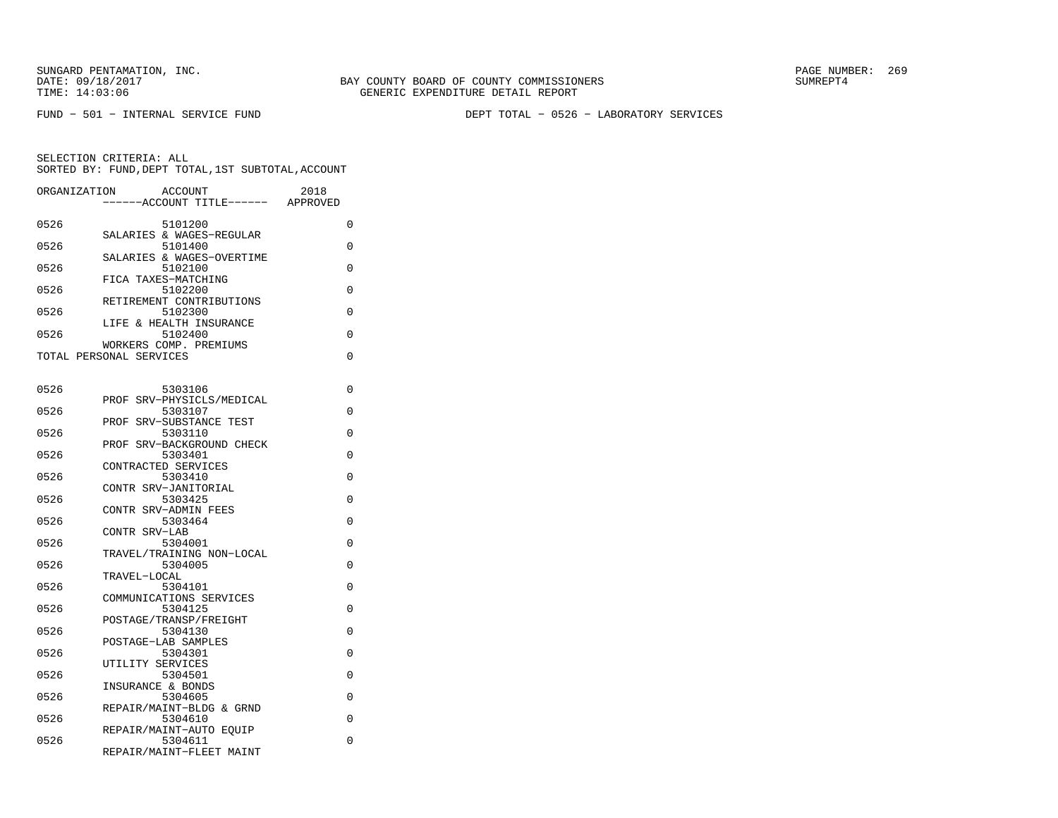FUND − 501 − INTERNAL SERVICE FUND DEPT TOTAL − 0526 − LABORATORY SERVICES

| ORGANIZATION | ACCOUNT<br>--ACCOUNT TITLE------                  | 2018<br>APPROVED |
|--------------|---------------------------------------------------|------------------|
| 0526         | 5101200                                           | 0                |
| 0526         | SALARIES & WAGES-REGULAR<br>5101400               | 0                |
| 0526         | SALARIES & WAGES-OVERTIME<br>5102100              | 0                |
| 0526         | FICA TAXES-MATCHING<br>5102200                    | 0                |
| 0526         | RETIREMENT CONTRIBUTIONS<br>5102300               | 0                |
| 0526         | LIFE & HEALTH INSURANCE<br>5102400                | 0                |
|              | WORKERS COMP. PREMIUMS<br>TOTAL PERSONAL SERVICES | 0                |
|              |                                                   |                  |
| 0526         | 5303106                                           | 0                |
| 0526         | SRV-PHYSICLS/MEDICAL<br>PROF<br>5303107           | 0                |
| 0526         | PROF SRV-SUBSTANCE TEST<br>5303110                | 0                |
| 0526         | PROF SRV-BACKGROUND CHECK<br>5303401              | 0                |
| 0526         | CONTRACTED SERVICES<br>5303410                    | 0                |
| 0526         | CONTR SRV-JANITORIAL<br>5303425                   | 0                |
| 0526         | CONTR SRV-ADMIN FEES<br>5303464                   | $\Omega$         |
| 0526         | CONTR SRV-LAB<br>5304001                          | 0                |
|              | TRAVEL/TRAINING NON-LOCAL                         |                  |
| 0526         | 5304005<br>TRAVEL-LOCAL                           | 0                |
| 0526         | 5304101<br>COMMUNICATIONS SERVICES                | 0                |
| 0526         | 5304125<br>POSTAGE/TRANSP/FREIGHT                 | 0                |
| 0526         | 5304130<br>POSTAGE-LAB SAMPLES                    | 0                |
| 0526         | 5304301<br>UTILITY SERVICES                       | 0                |
| 0526         | 5304501                                           | 0                |
| 0526         | INSURANCE & BONDS<br>5304605                      | 0                |
| 0526         | REPAIR/MAINT-BLDG & GRND<br>5304610               | 0                |
| 0526         | REPAIR/MAINT-AUTO EQUIP<br>5304611                | 0                |
|              | REPAIR/MAINT-FLEET MAINT                          |                  |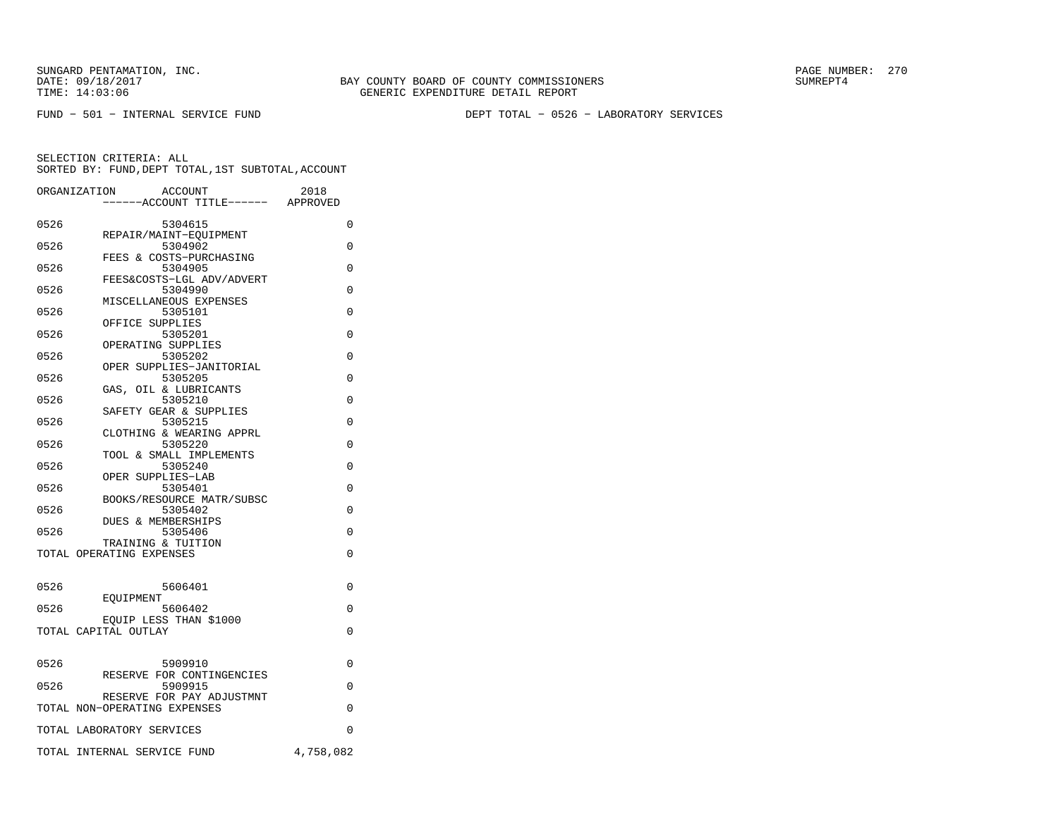FUND − 501 − INTERNAL SERVICE FUND DEPT TOTAL − 0526 − LABORATORY SERVICES

|      | ORGANIZATION<br>ACCOUNT<br>----ACCOUNT TITLE------ APPROVED     | 2018      |
|------|-----------------------------------------------------------------|-----------|
| 0526 | 5304615                                                         | 0         |
| 0526 | REPAIR/MAINT-EOUIPMENT<br>5304902                               | $\Omega$  |
| 0526 | FEES & COSTS-PURCHASING<br>5304905<br>FEES&COSTS-LGL ADV/ADVERT | 0         |
| 0526 | 5304990<br>MISCELLANEOUS EXPENSES                               | 0         |
| 0526 | 5305101<br>OFFICE SUPPLIES                                      | 0         |
| 0526 | 5305201<br>OPERATING SUPPLIES                                   | 0         |
| 0526 | 5305202<br>OPER SUPPLIES-JANITORIAL                             | 0         |
| 0526 | 5305205<br>GAS, OIL & LUBRICANTS                                | 0         |
| 0526 | 5305210<br>SAFETY GEAR & SUPPLIES                               | $\Omega$  |
| 0526 | 5305215<br>CLOTHING & WEARING APPRL                             | 0         |
| 0526 | 5305220<br>TOOL & SMALL IMPLEMENTS                              | $\Omega$  |
| 0526 | 5305240<br>OPER SUPPLIES-LAB                                    | $\Omega$  |
| 0526 | 5305401<br>BOOKS/RESOURCE MATR/SUBSC                            | $\Omega$  |
| 0526 | 5305402<br>DUES & MEMBERSHIPS                                   | $\Omega$  |
| 0526 | 5305406<br>TRAINING & TUITION                                   | $\Omega$  |
|      | TOTAL OPERATING EXPENSES                                        | 0         |
| 0526 | 5606401                                                         | $\Omega$  |
| 0526 | EOUIPMENT<br>5606402                                            | $\Omega$  |
|      | EOUIP LESS THAN \$1000<br>TOTAL CAPITAL OUTLAY                  | $\Omega$  |
| 0526 | 5909910                                                         | $\Omega$  |
| 0526 | RESERVE FOR CONTINGENCIES<br>5909915                            | $\Omega$  |
|      | RESERVE FOR PAY ADJUSTMNT<br>TOTAL NON-OPERATING EXPENSES       | 0         |
|      | TOTAL LABORATORY SERVICES                                       | 0         |
|      | TOTAL INTERNAL SERVICE FUND                                     | 4,758,082 |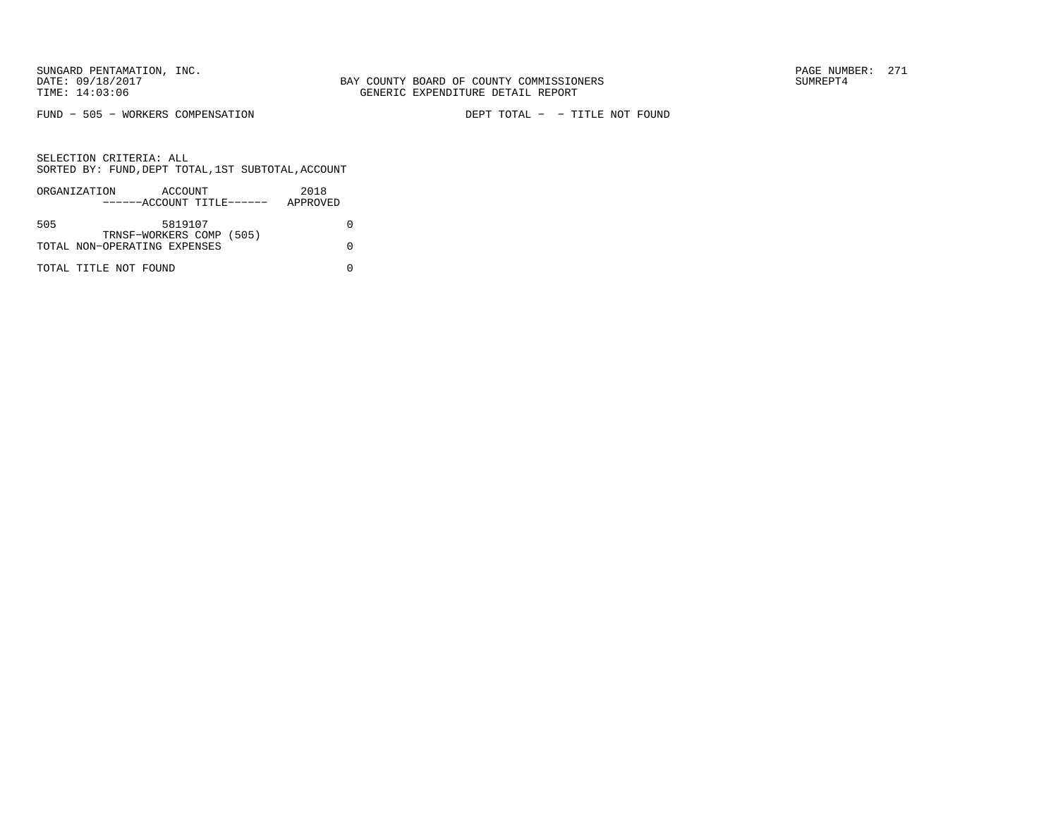FUND − 505 − WORKERS COMPENSATION DEPT TOTAL − − TITLE NOT FOUND

|     | ORGANIZATION                 | ACCOUNT                   |  | 2018     |  |
|-----|------------------------------|---------------------------|--|----------|--|
|     |                              | ------ACCOUNT TITLE------ |  | APPROVED |  |
|     |                              |                           |  |          |  |
| 505 |                              | 5819107                   |  |          |  |
|     |                              | TRNSF-WORKERS COMP (505)  |  |          |  |
|     | TOTAL NON-OPERATING EXPENSES |                           |  |          |  |
|     |                              |                           |  |          |  |
|     | TOTAL TITLE NOT FOUND        |                           |  |          |  |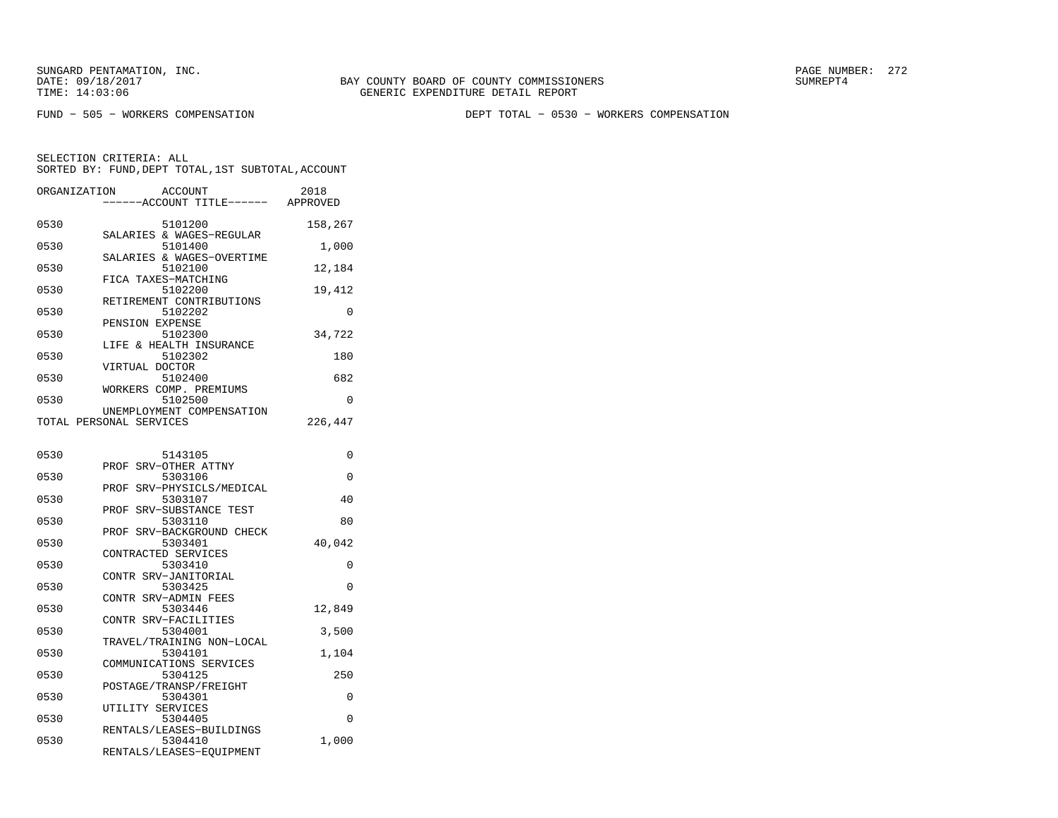BAY COUNTY BOARD OF COUNTY COMMISSIONERS TIME: 14:03:06 GENERIC EXPENDITURE DETAIL REPORT

FUND − 505 − WORKERS COMPENSATION DEPT TOTAL − 0530 − WORKERS COMPENSATION

| ORGANIZATION | ACCOUNT<br>---ACCOUNT TITLE------                    | 2018<br>APPROVED |
|--------------|------------------------------------------------------|------------------|
| 0530         | 5101200<br>SALARIES & WAGES-REGULAR                  | 158,267          |
| 0530         | 5101400                                              | 1,000            |
| 0530         | SALARIES & WAGES-OVERTIME<br>5102100                 | 12,184           |
| 0530         | FICA TAXES-MATCHING<br>5102200                       | 19,412           |
| 0530         | RETIREMENT CONTRIBUTIONS<br>5102202                  | 0                |
| 0530         | PENSION EXPENSE<br>5102300                           | 34,722           |
| 0530         | LIFE & HEALTH INSURANCE<br>5102302                   | 180              |
| 0530         | VIRTUAL DOCTOR<br>5102400                            | 682              |
| 0530         | WORKERS COMP. PREMIUMS<br>5102500                    | 0                |
|              | UNEMPLOYMENT COMPENSATION<br>TOTAL PERSONAL SERVICES | 226,447          |
| 0530         | 5143105                                              | 0                |
| 0530         | SRV-OTHER ATTNY<br>PROF<br>5303106                   | 0                |
| 0530         | SRV-PHYSICLS/MEDICAL<br>PROF<br>5303107              | 40               |
| 0530         | SRV-SUBSTANCE TEST<br>PROF<br>5303110                | 80               |
| 0530         | SRV-BACKGROUND CHECK<br>PROF<br>5303401              | 40,042           |
| 0530         | CONTRACTED SERVICES<br>5303410                       | 0                |
| 0530         | CONTR SRV-JANITORIAL<br>5303425                      | 0                |
| 0530         | CONTR SRV-ADMIN FEES<br>5303446                      | 12,849           |
| 0530         | CONTR SRV-FACILITIES                                 |                  |
|              | 5304001<br>TRAVEL/TRAINING NON-LOCAL                 | 3,500            |
| 0530         | 5304101<br>COMMUNICATIONS SERVICES                   | 1,104            |
| 0530         | 5304125<br>POSTAGE/TRANSP/FREIGHT                    | 250              |
| 0530         | 5304301<br>UTILITY SERVICES                          | 0                |
| 0530         | 5304405<br>RENTALS/LEASES-BUILDINGS                  | 0                |
| 0530         | 5304410<br>RENTALS/LEASES-EOUIPMENT                  | 1,000            |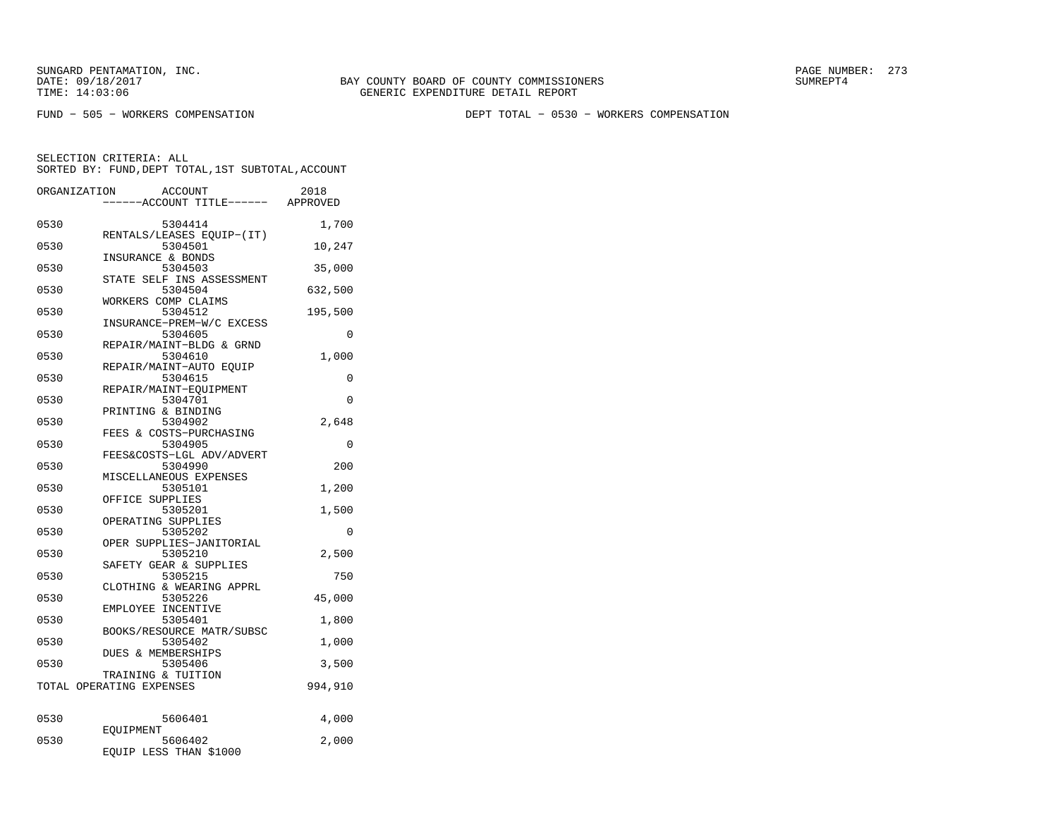TIME: 14:03:06 GENERIC EXPENDITURE DETAIL REPORT

BAY COUNTY BOARD OF COUNTY COMMISSIONERS

FUND − 505 − WORKERS COMPENSATION DEPT TOTAL − 0530 − WORKERS COMPENSATION

|      | ORGANIZATION<br><b>ACCOUNT</b><br>---ACCOUNT TITLE------ | 2018<br>APPROVED |
|------|----------------------------------------------------------|------------------|
|      |                                                          |                  |
| 0530 | 5304414<br>RENTALS/LEASES EQUIP-(IT)                     | 1,700            |
| 0530 | 5304501                                                  | 10,247           |
| 0530 | INSURANCE & BONDS<br>5304503                             | 35,000           |
| 0530 | STATE SELF INS ASSESSMENT<br>5304504                     | 632,500          |
| 0530 | WORKERS COMP CLAIMS<br>5304512                           | 195,500          |
| 0530 | INSURANCE-PREM-W/C EXCESS<br>5304605                     | 0                |
| 0530 | REPAIR/MAINT-BLDG & GRND<br>5304610                      | 1,000            |
| 0530 | REPAIR/MAINT-AUTO EOUIP<br>5304615                       | 0                |
| 0530 | REPAIR/MAINT-EQUIPMENT<br>5304701                        | 0                |
| 0530 | PRINTING & BINDING<br>5304902                            | 2,648            |
| 0530 | FEES & COSTS-PURCHASING<br>5304905                       | $\Omega$         |
| 0530 | FEES&COSTS-LGL ADV/ADVERT<br>5304990                     | 200              |
| 0530 | MISCELLANEOUS EXPENSES<br>5305101                        | 1,200            |
| 0530 | OFFICE SUPPLIES<br>5305201                               | 1,500            |
| 0530 | OPERATING SUPPLIES<br>5305202                            | 0                |
| 0530 | OPER SUPPLIES-JANITORIAL<br>5305210                      | 2,500            |
| 0530 | SAFETY GEAR & SUPPLIES<br>5305215                        | 750              |
|      | CLOTHING & WEARING APPRL                                 |                  |
| 0530 | 5305226<br>EMPLOYEE INCENTIVE                            | 45,000           |
| 0530 | 5305401<br>BOOKS/RESOURCE MATR/SUBSC                     | 1,800            |
| 0530 | 5305402<br>DUES & MEMBERSHIPS                            | 1,000            |
| 0530 | 5305406<br>TRAINING & TUITION                            | 3,500            |
|      | TOTAL OPERATING EXPENSES                                 | 994,910          |
| 0530 | 5606401                                                  | 4,000            |
| 0530 | EOUIPMENT<br>5606402                                     | 2,000            |
|      | EQUIP LESS THAN \$1000                                   |                  |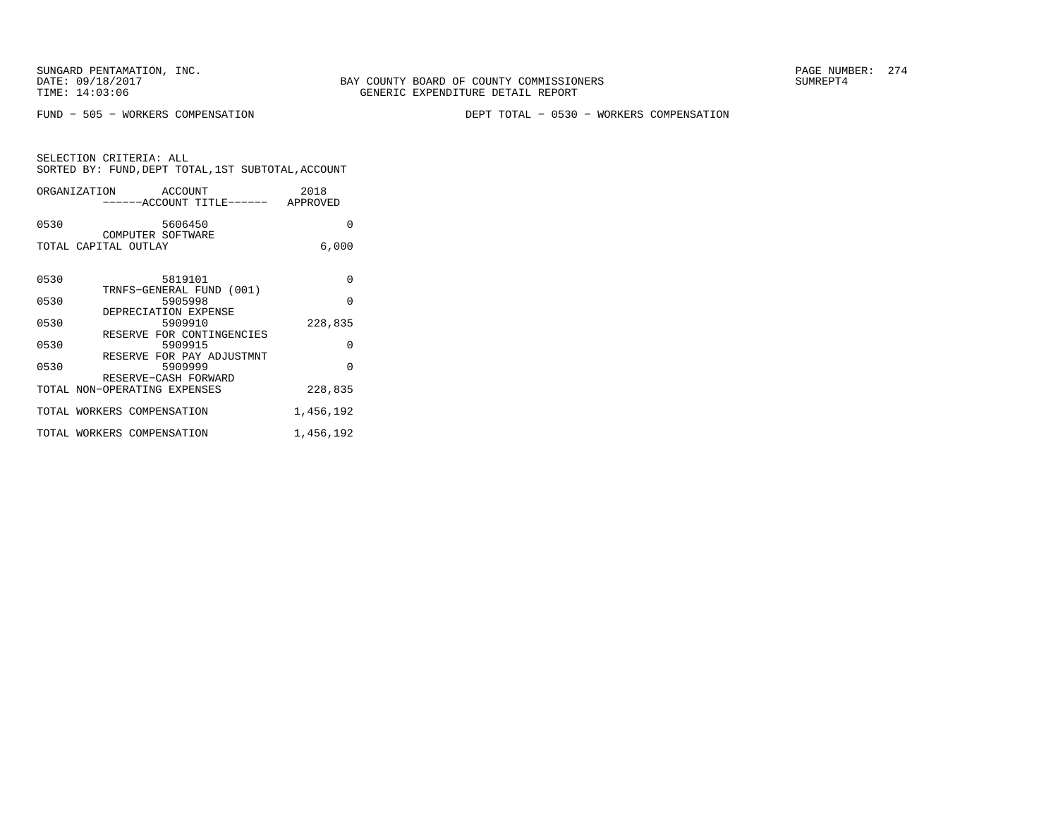FUND − 505 − WORKERS COMPENSATION DEPT TOTAL − 0530 − WORKERS COMPENSATION

| SELECTION CRITERIA: ALL                            |  |
|----------------------------------------------------|--|
| SORTED BY: FUND, DEPT TOTAL, 1ST SUBTOTAL, ACCOUNT |  |

| ORGANIZATION ACCOUNT<br>------ACCOUNT TITLE------ APPROVED           | 2018      |
|----------------------------------------------------------------------|-----------|
| 0530<br>5606450<br>COMPUTER SOFTWARE                                 | $\Omega$  |
| TOTAL CAPITAL OUTLAY                                                 | 6,000     |
| 0530<br>5819101                                                      | $\Omega$  |
| TRNFS-GENERAL FUND (001)<br>0530<br>5905998                          | $\Omega$  |
| DEPRECIATION EXPENSE<br>0530<br>5909910<br>RESERVE FOR CONTINGENCIES | 228,835   |
| 0530<br>5909915<br>RESERVE FOR PAY ADJUSTMNT                         | $\Omega$  |
| 0530<br>5909999<br>RESERVE-CASH FORWARD                              | $\Omega$  |
| TOTAL NON-OPERATING EXPENSES                                         | 228,835   |
| TOTAL WORKERS COMPENSATION                                           | 1,456,192 |
| TOTAL WORKERS COMPENSATION                                           | 1,456,192 |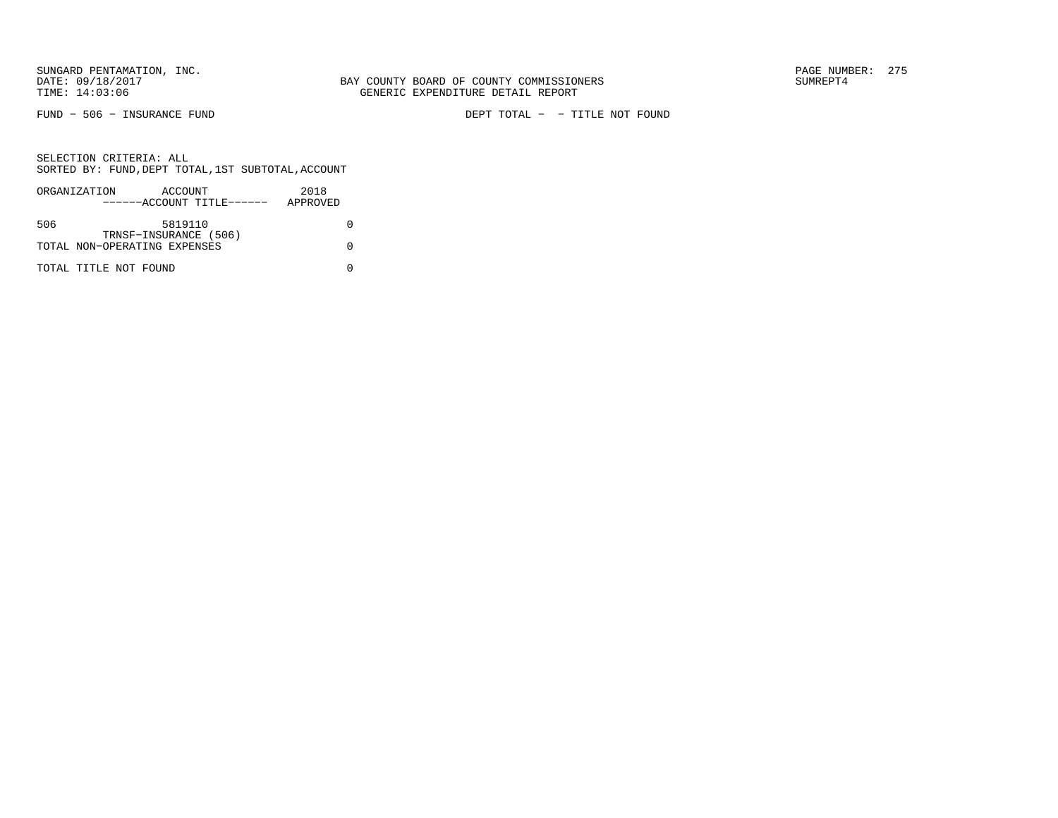FUND − 506 − INSURANCE FUND DEPT TOTAL − − TITLE NOT FOUND

|     | ORGANIZATION                 | ACCOUNT               |                           | 2018     |  |
|-----|------------------------------|-----------------------|---------------------------|----------|--|
|     |                              |                       | ------ACCOUNT TITLE------ | APPROVED |  |
|     |                              |                       |                           |          |  |
| 506 |                              | 5819110               |                           |          |  |
|     |                              | TRNSF-INSURANCE (506) |                           |          |  |
|     | TOTAL NON-OPERATING EXPENSES |                       |                           |          |  |
|     |                              |                       |                           |          |  |
|     | TOTAL TITLE NOT FOUND        |                       |                           |          |  |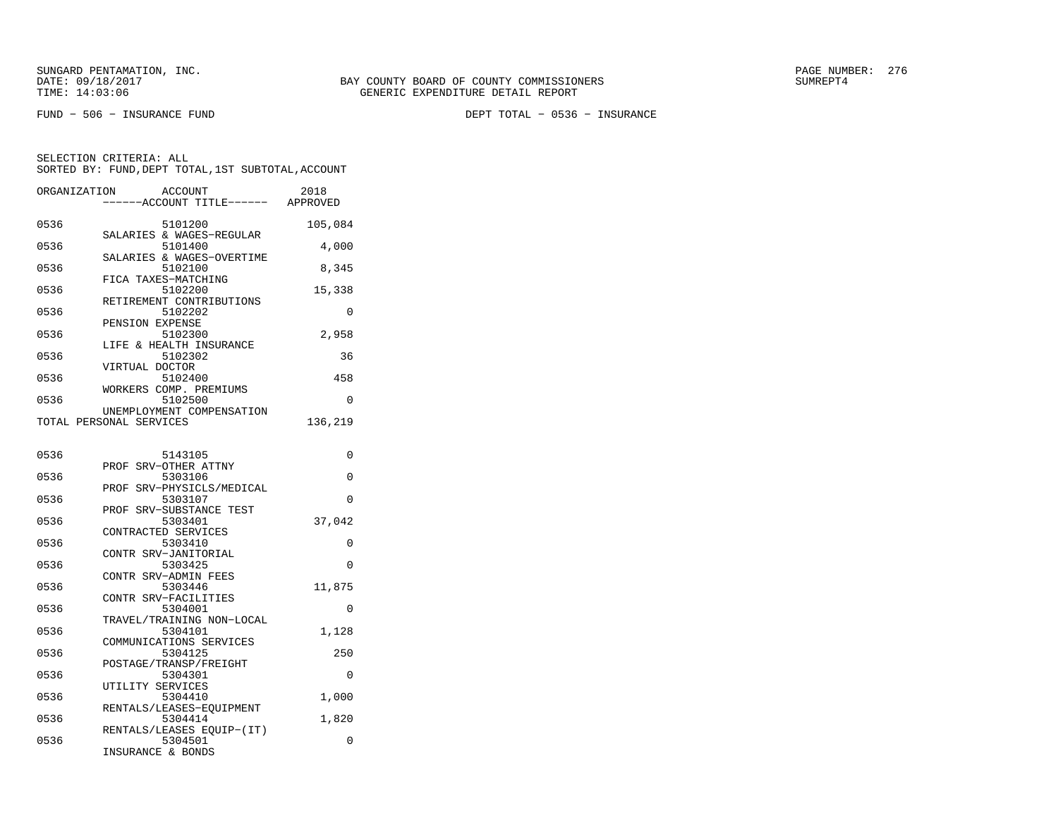FUND − 506 − INSURANCE FUND DEPT TOTAL − 0536 − INSURANCE

| ORGANIZATION | ACCOUNT<br>---ACCOUNT TITLE------                    | 2018<br>APPROVED |
|--------------|------------------------------------------------------|------------------|
| 0536         | 5101200<br>SALARIES & WAGES-REGULAR                  | 105,084          |
| 0536         | 5101400                                              | 4,000            |
| 0536         | SALARIES & WAGES-OVERTIME<br>5102100                 | 8,345            |
| 0536         | FICA TAXES-MATCHING<br>5102200                       | 15,338           |
| 0536         | RETIREMENT CONTRIBUTIONS<br>5102202                  | 0                |
| 0536         | PENSION EXPENSE<br>5102300                           | 2,958            |
| 0536         | LIFE & HEALTH INSURANCE<br>5102302                   | 36               |
| 0536         | VIRTUAL DOCTOR<br>5102400                            | 458              |
| 0536         | WORKERS COMP. PREMIUMS<br>5102500                    | 0                |
|              | UNEMPLOYMENT COMPENSATION<br>TOTAL PERSONAL SERVICES | 136,219          |
| 0536         | 5143105                                              | 0                |
| 0536         | PROF<br>SRV-OTHER ATTNY<br>5303106                   | 0                |
| 0536         | SRV-PHYSICLS/MEDICAL<br>PROF<br>5303107              | $\Omega$         |
| 0536         | PROF SRV-SUBSTANCE TEST<br>5303401                   | 37,042           |
| 0536         | CONTRACTED SERVICES<br>5303410                       | $\Omega$         |
| 0536         | CONTR SRV-JANITORIAL<br>5303425                      | 0                |
| 0536         | CONTR SRV-ADMIN FEES<br>5303446                      | 11,875           |
| 0536         | CONTR SRV-FACILITIES<br>5304001                      | 0                |
| 0536         | TRAVEL/TRAINING NON-LOCAL<br>5304101                 | 1,128            |
| 0536         | COMMUNICATIONS SERVICES<br>5304125                   | 250              |
| 0536         | POSTAGE/TRANSP/FREIGHT<br>5304301                    | $\Omega$         |
| 0536         | UTILITY SERVICES<br>5304410                          | 1,000            |
| 0536         | RENTALS/LEASES-EOUIPMENT<br>5304414                  | 1,820            |
| 0536         | RENTALS/LEASES EOUIP-(IT)<br>5304501                 | 0                |
|              | INSURANCE & BONDS                                    |                  |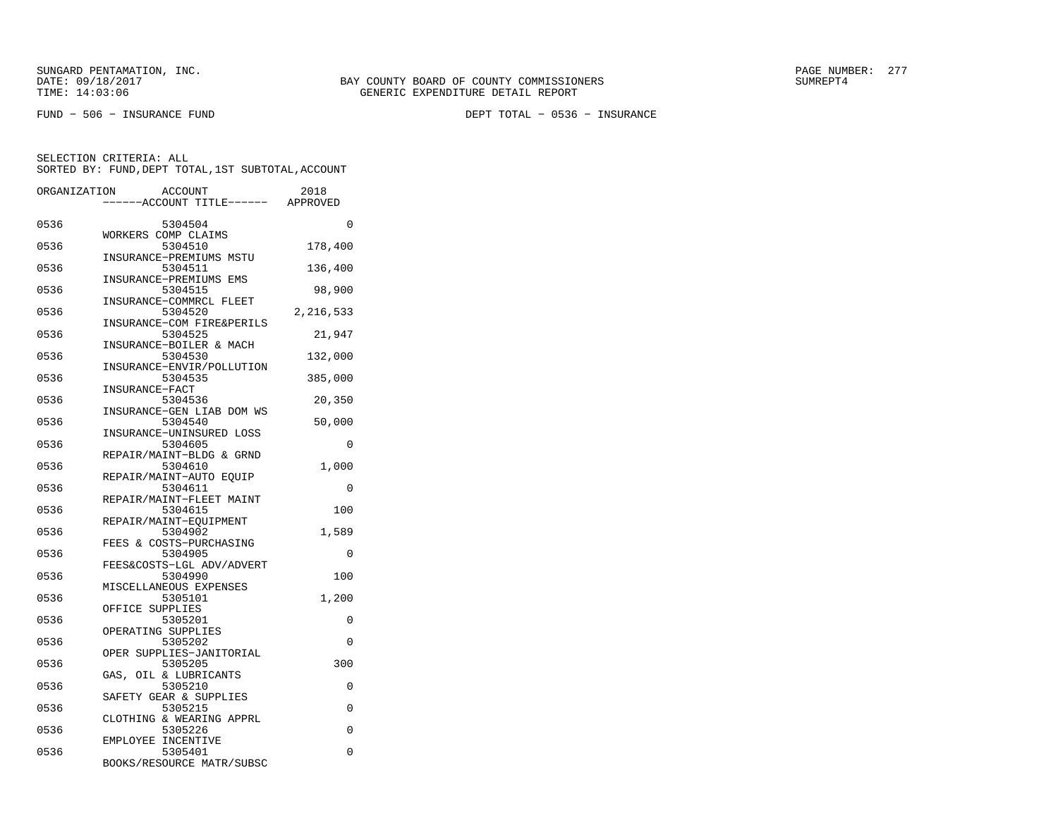FUND − 506 − INSURANCE FUND DEPT TOTAL − 0536 − INSURANCE

| ORGANIZATION | <b>ACCOUNT</b><br>---ACCOUNT TITLE------                  | 2018<br>APPROVED |
|--------------|-----------------------------------------------------------|------------------|
| 0536         | 5304504                                                   | 0                |
| 0536         | WORKERS COMP CLAIMS<br>5304510<br>INSURANCE-PREMIUMS MSTU | 178,400          |
| 0536         | 5304511<br>INSURANCE-PREMIUMS EMS                         | 136,400          |
| 0536         | 5304515<br>INSURANCE-COMMRCL FLEET                        | 98,900           |
| 0536         | 5304520<br>INSURANCE-COM FIRE&PERILS                      | 2,216,533        |
| 0536         | 5304525<br>INSURANCE-BOILER & MACH                        | 21,947           |
| 0536         | 5304530<br>INSURANCE-ENVIR/POLLUTION                      | 132,000          |
| 0536         | 5304535<br>INSURANCE-FACT                                 | 385,000          |
| 0536         | 5304536<br>INSURANCE-GEN LIAB DOM WS                      | 20,350           |
| 0536         | 5304540<br>INSURANCE-UNINSURED LOSS                       | 50,000           |
| 0536         | 5304605<br>REPAIR/MAINT-BLDG & GRND                       | $\Omega$         |
| 0536         | 5304610<br>REPAIR/MAINT-AUTO EQUIP                        | 1,000            |
| 0536         | 5304611<br>REPAIR/MAINT-FLEET MAINT                       | $\Omega$         |
| 0536         | 5304615<br>REPAIR/MAINT-EQUIPMENT                         | 100              |
| 0536         | 5304902<br>FEES & COSTS-PURCHASING                        | 1,589            |
| 0536         | 5304905<br>FEES&COSTS-LGL ADV/ADVERT                      | 0                |
| 0536         | 5304990<br>MISCELLANEOUS EXPENSES                         | 100              |
| 0536         | 5305101<br>OFFICE SUPPLIES                                | 1,200            |
| 0536         | 5305201<br>OPERATING SUPPLIES                             | 0                |
| 0536         | 5305202<br>OPER SUPPLIES-JANITORIAL                       | 0                |
| 0536         | 5305205<br>GAS, OIL & LUBRICANTS                          | 300              |
| 0536         | 5305210<br>SAFETY GEAR & SUPPLIES                         | 0                |
| 0536         | 5305215<br>CLOTHING & WEARING APPRL                       | 0                |
| 0536         | 5305226<br>EMPLOYEE INCENTIVE                             | $\Omega$         |
| 0536         | 5305401<br>BOOKS/RESOURCE MATR/SUBSC                      | 0                |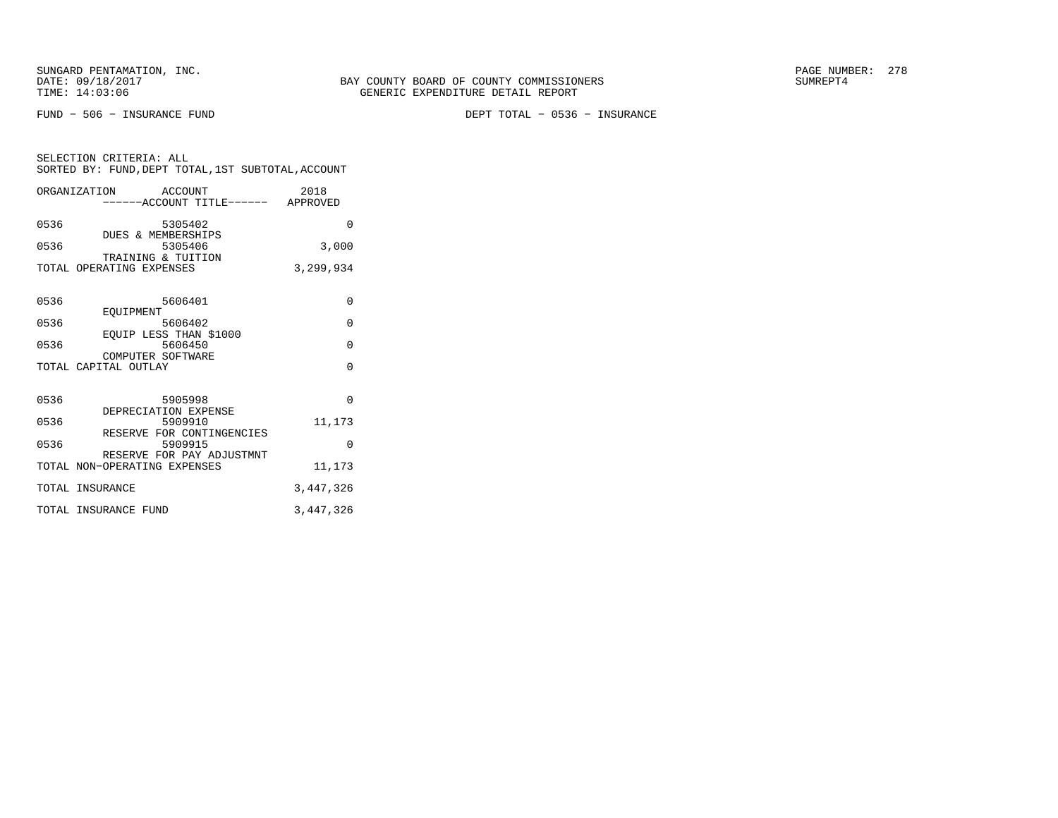FUND − 506 − INSURANCE FUND DEPT TOTAL − 0536 − INSURANCE

| SELECTION CRITERIA: ALL |  |  |                                                    |  |
|-------------------------|--|--|----------------------------------------------------|--|
|                         |  |  | SORTED BY: FUND, DEPT TOTAL, 1ST SUBTOTAL, ACCOUNT |  |

|      | ORGANIZATION ACCOUNT                      | -----ACCOUNT TITLE------ APPROVED    | 2018      |
|------|-------------------------------------------|--------------------------------------|-----------|
| 0536 | DUES & MEMBERSHIPS                        | 5305402                              | $\Omega$  |
| 0536 | TRAINING & TUITION                        | 5305406                              | 3,000     |
|      | TOTAL OPERATING EXPENSES                  |                                      | 3,299,934 |
| 0536 |                                           | 5606401                              | 0         |
| 0536 | EOUIPMENT                                 | 5606402                              | $\Omega$  |
| 0536 | EQUIP LESS THAN \$1000                    | 5606450                              | $\Omega$  |
|      | COMPUTER SOFTWARE<br>TOTAL CAPITAL OUTLAY |                                      | $\Omega$  |
| 0536 |                                           | 5905998                              | $\Omega$  |
| 0536 | DEPRECIATION EXPENSE                      | 5909910                              | 11,173    |
| 0536 |                                           | RESERVE FOR CONTINGENCIES<br>5909915 | $\Omega$  |
|      | TOTAL NON-OPERATING EXPENSES              | RESERVE FOR PAY ADJUSTMNT            | 11,173    |
|      | TOTAL INSURANCE                           |                                      | 3,447,326 |
|      | TOTAL INSURANCE FUND                      |                                      | 3,447,326 |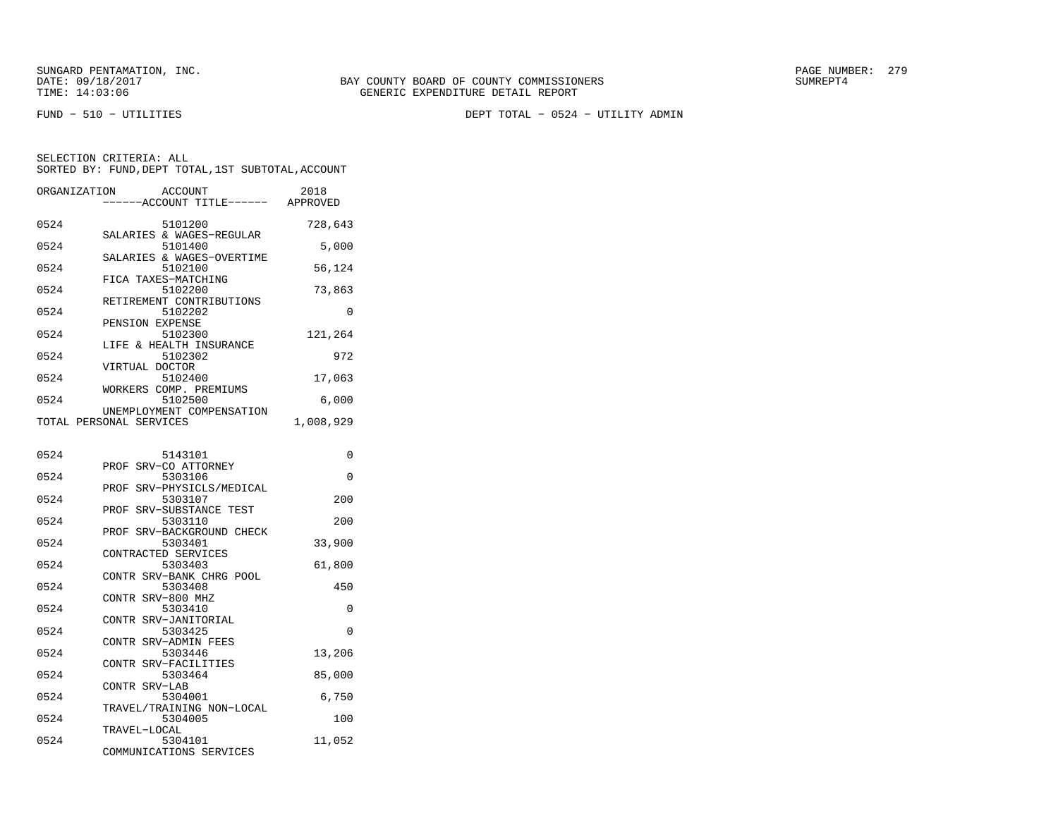FUND − 510 − UTILITIES DEPT TOTAL − 0524 − UTILITY ADMIN

| ORGANIZATION | <b>ACCOUNT</b>                     | 2018      |
|--------------|------------------------------------|-----------|
|              | ------ACCOUNT TITLE------ APPROVED |           |
|              |                                    |           |
| 0524         | 5101200                            | 728,643   |
|              | SALARIES & WAGES-REGULAR           |           |
| 0524         | 5101400                            | 5,000     |
|              | SALARIES & WAGES-OVERTIME          |           |
| 0524         | 5102100                            | 56,124    |
|              | FICA TAXES-MATCHING                |           |
| 0524         | 5102200                            | 73,863    |
|              | RETIREMENT CONTRIBUTIONS           |           |
| 0524         | 5102202                            | 0         |
|              | PENSION EXPENSE                    |           |
| 0524         | 5102300                            | 121,264   |
|              | LIFE & HEALTH INSURANCE            |           |
| 0524         | 5102302                            | 972       |
|              | VIRTUAL DOCTOR                     |           |
| 0524         | 5102400                            | 17,063    |
|              | WORKERS COMP. PREMIUMS             |           |
| 0524         | 5102500                            | 6,000     |
|              | UNEMPLOYMENT COMPENSATION          |           |
|              | TOTAL PERSONAL SERVICES            | 1,008,929 |
|              |                                    |           |
|              |                                    |           |
| 0524         | 5143101                            | 0         |
|              | PROF SRV-CO ATTORNEY               |           |
| 0524         | 5303106                            | $\Omega$  |
|              | PROF SRV-PHYSICLS/MEDICAL          |           |
| 0524         | 5303107                            | 200       |
|              | SRV-SUBSTANCE TEST<br>PROF         |           |
| 0524         | 5303110                            | 200       |
|              | SRV-BACKGROUND CHECK<br>PROF       |           |
| 0524         | 5303401                            | 33,900    |
|              | CONTRACTED SERVICES                |           |
| 0524         | 5303403                            | 61,800    |
|              | CONTR SRV-BANK CHRG POOL           |           |
| 0524         | 5303408                            | 450       |
|              | CONTR SRV-800 MHZ                  |           |
| 0524         | 5303410                            | 0         |
|              | CONTR SRV-JANITORIAL               |           |
| 0524         | 5303425                            | $\Omega$  |
|              | CONTR SRV-ADMIN FEES               |           |
| 0524         | 5303446                            | 13,206    |
|              | CONTR SRV-FACILITIES               |           |
| 0524         | 5303464                            | 85,000    |
|              | CONTR SRV-LAB                      |           |
| 0524         | 5304001                            | 6,750     |
|              | TRAVEL/TRAINING NON-LOCAL          |           |
| 0524         | 5304005                            | 100       |
|              | TRAVEL-LOCAL                       |           |
| 0524         | 5304101                            | 11,052    |
|              | COMMUNICATIONS SERVICES            |           |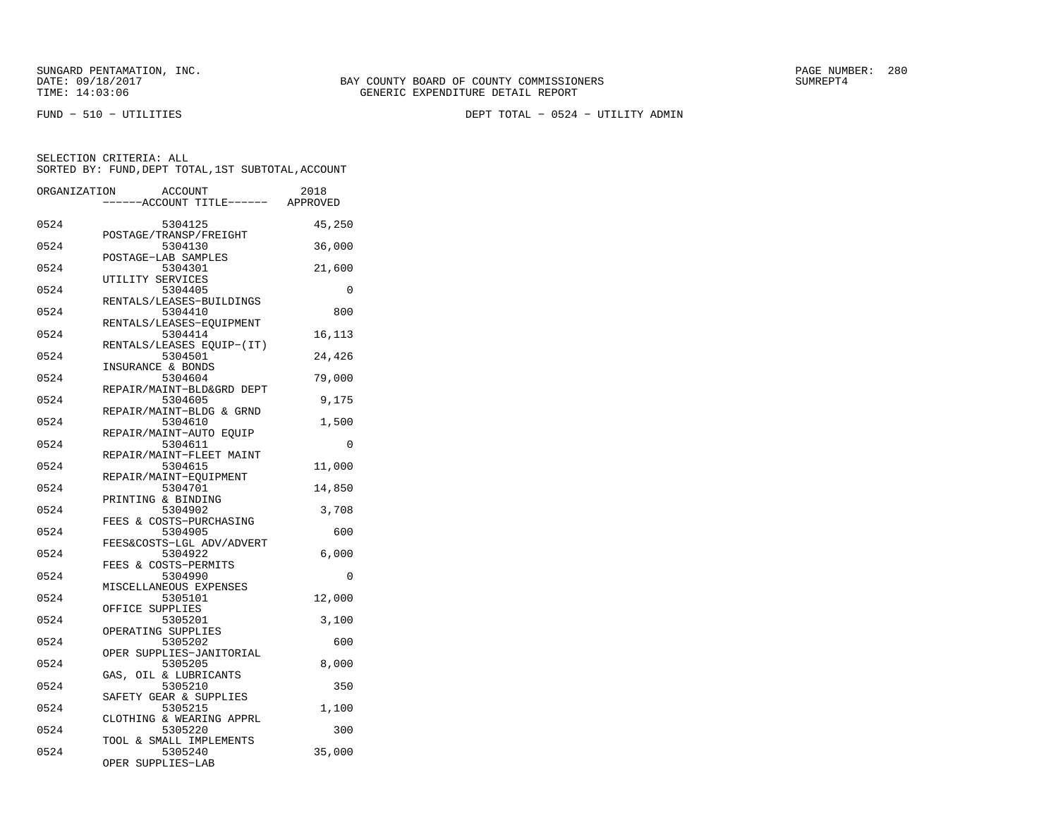FUND − 510 − UTILITIES DEPT TOTAL − 0524 − UTILITY ADMIN

| ORGANIZATION | <b>ACCOUNT</b><br>---ACCOUNT TITLE------ APPROVED | 2018     |
|--------------|---------------------------------------------------|----------|
|              |                                                   |          |
| 0524         | 5304125<br>POSTAGE/TRANSP/FREIGHT                 | 45,250   |
| 0524         | 5304130<br>POSTAGE-LAB SAMPLES                    | 36,000   |
| 0524         | 5304301                                           | 21,600   |
| 0524         | UTILITY SERVICES<br>5304405                       | 0        |
| 0524         | RENTALS/LEASES-BUILDINGS<br>5304410               | 800      |
| 0524         | RENTALS/LEASES-EQUIPMENT<br>5304414               | 16,113   |
| 0524         | RENTALS/LEASES EQUIP-(IT)<br>5304501              | 24,426   |
| 0524         | INSURANCE & BONDS<br>5304604                      | 79,000   |
| 0524         | REPAIR/MAINT-BLD&GRD DEPT<br>5304605              | 9,175    |
| 0524         | REPAIR/MAINT-BLDG & GRND<br>5304610               | 1,500    |
| 0524         | REPAIR/MAINT-AUTO EQUIP<br>5304611                | $\Omega$ |
| 0524         | REPAIR/MAINT-FLEET MAINT<br>5304615               | 11,000   |
| 0524         | REPAIR/MAINT-EQUIPMENT<br>5304701                 | 14,850   |
| 0524         | PRINTING & BINDING<br>5304902                     | 3,708    |
| 0524         | FEES & COSTS-PURCHASING<br>5304905                | 600      |
| 0524         | FEES&COSTS-LGL ADV/ADVERT<br>5304922              | 6,000    |
| 0524         | FEES & COSTS-PERMITS<br>5304990                   | 0        |
| 0524         | MISCELLANEOUS EXPENSES<br>5305101                 | 12,000   |
| 0524         | OFFICE SUPPLIES<br>5305201                        | 3,100    |
| 0524         | OPERATING SUPPLIES<br>5305202                     | 600      |
| 0524         | OPER SUPPLIES-JANITORIAL<br>5305205               | 8,000    |
|              | GAS, OIL & LUBRICANTS                             |          |
| 0524         | 5305210<br>SAFETY GEAR & SUPPLIES                 | 350      |
| 0524         | 5305215<br>CLOTHING & WEARING APPRL               | 1,100    |
| 0524         | 5305220<br>TOOL & SMALL IMPLEMENTS                | 300      |
| 0524         | 5305240<br>OPER SUPPLIES-LAB                      | 35,000   |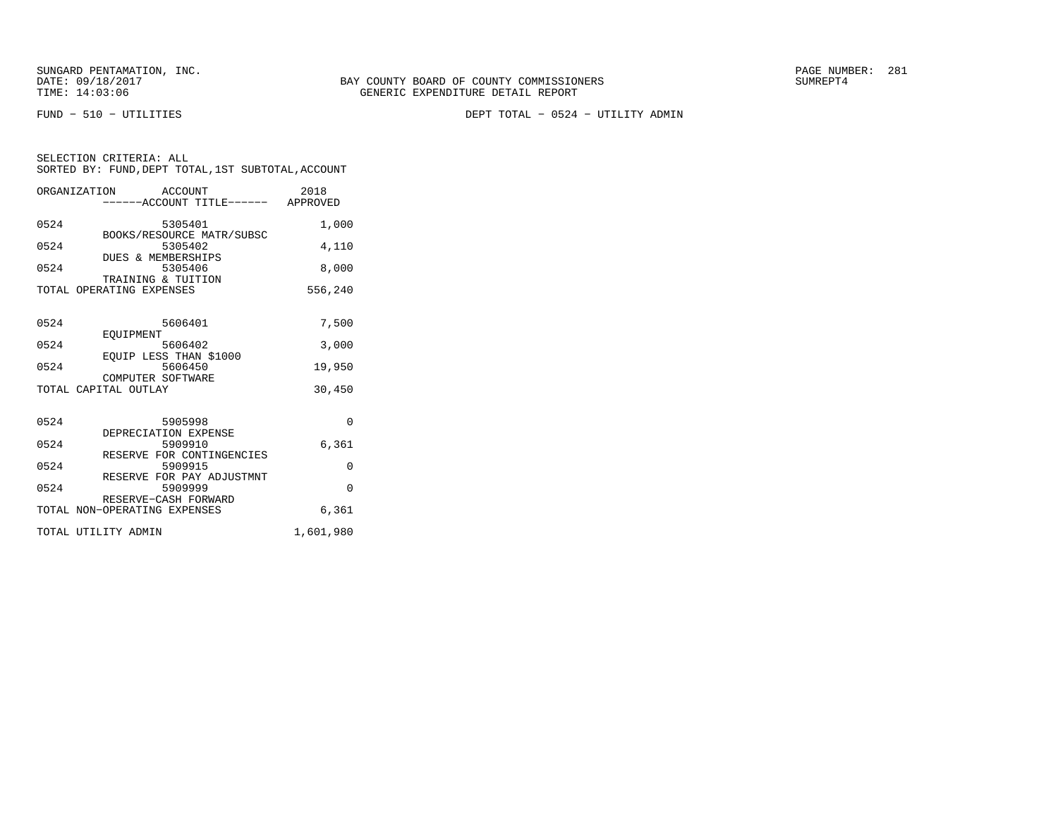FUND − 510 − UTILITIES DEPT TOTAL − 0524 − UTILITY ADMIN

|      | ORGANIZATION<br>ACCOUNT<br>------ACCOUNT TITLE------ APPROVED     | 2018      |
|------|-------------------------------------------------------------------|-----------|
| 0524 | 5305401                                                           | 1,000     |
| 0524 | BOOKS/RESOURCE MATR/SUBSC<br>5305402<br>DUES & MEMBERSHIPS        | 4,110     |
| 0524 | 5305406<br>TRAINING & TUITION                                     | 8,000     |
|      | TOTAL OPERATING EXPENSES                                          | 556,240   |
| 0524 | 5606401                                                           | 7,500     |
| 0524 | EOUIPMENT<br>5606402                                              | 3,000     |
| 0524 | EOUIP LESS THAN \$1000<br>5606450                                 | 19,950    |
|      | COMPUTER SOFTWARE<br>TOTAL CAPITAL OUTLAY                         | 30,450    |
| 0524 | 5905998                                                           | $\Omega$  |
| 0524 | DEPRECIATION EXPENSE<br>5909910                                   | 6,361     |
| 0524 | RESERVE FOR CONTINGENCIES<br>5909915<br>RESERVE FOR PAY ADJUSTMNT | $\Omega$  |
| 0524 | 5909999<br>RESERVE-CASH FORWARD                                   | $\Omega$  |
|      | TOTAL NON-OPERATING EXPENSES                                      | 6,361     |
|      | TOTAL UTILITY ADMIN                                               | 1,601,980 |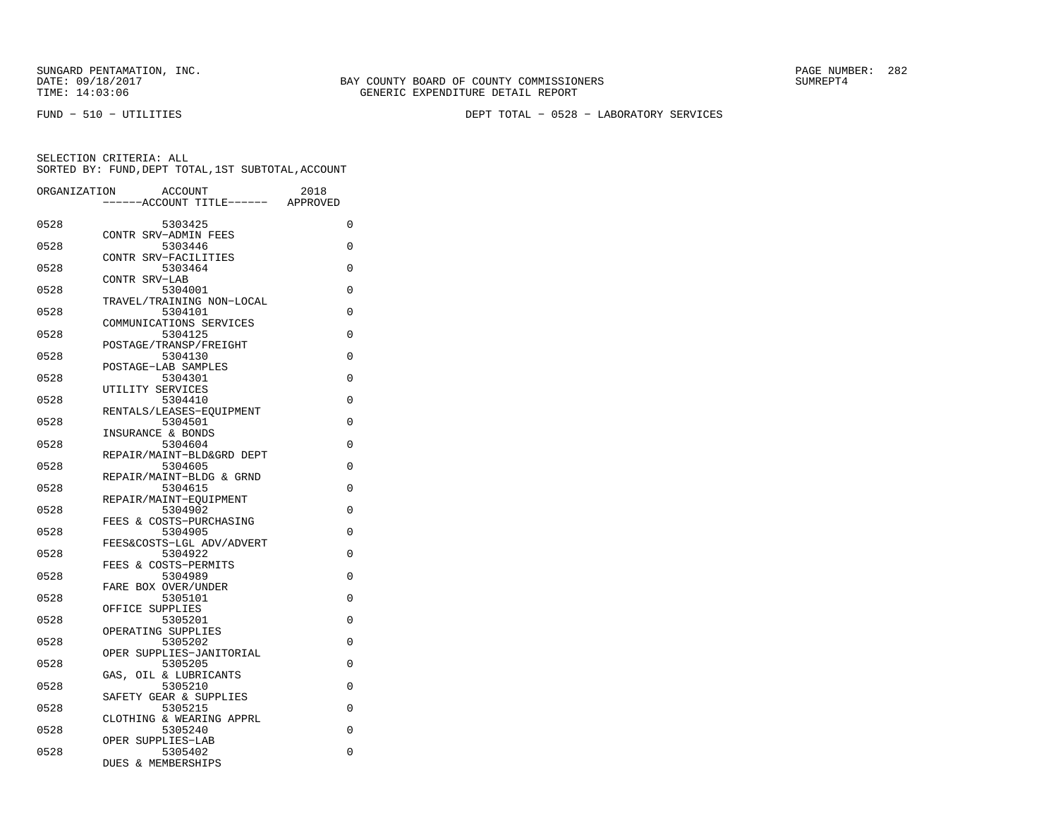FUND − 510 − UTILITIES DEPT TOTAL − 0528 − LABORATORY SERVICES

| ORGANIZATION | <b>ACCOUNT</b>                  |                           | 2018     |          |
|--------------|---------------------------------|---------------------------|----------|----------|
|              |                                 | ---ACCOUNT TITLE------    | APPROVED |          |
| 0528         | 5303425                         |                           |          | $\Omega$ |
| 0528         | CONTR SRV-ADMIN FEES<br>5303446 |                           |          | 0        |
| 0528         | CONTR SRV-FACILITIES<br>5303464 |                           |          | 0        |
| 0528         | CONTR SRV-LAB<br>5304001        |                           |          | 0        |
|              |                                 | TRAVEL/TRAINING NON-LOCAL |          |          |
| 0528         | 5304101                         | COMMUNICATIONS SERVICES   |          | $\Omega$ |
| 0528         | 5304125                         | POSTAGE/TRANSP/FREIGHT    |          | $\Omega$ |
| 0528         | 5304130                         |                           |          | 0        |
| 0528         | POSTAGE-LAB SAMPLES<br>5304301  |                           |          | 0        |
| 0528         | UTILITY SERVICES<br>5304410     |                           |          | 0        |
| 0528         | 5304501                         | RENTALS/LEASES-EOUIPMENT  |          | 0        |
|              | INSURANCE & BONDS               |                           |          |          |
| 0528         | 5304604                         | REPAIR/MAINT-BLD&GRD DEPT |          | 0        |
| 0528         | 5304605                         | REPAIR/MAINT-BLDG & GRND  |          | $\Omega$ |
| 0528         | 5304615                         |                           |          | 0        |
| 0528         | 5304902                         | REPAIR/MAINT-EQUIPMENT    |          | 0        |
| 0528         | 5304905                         | FEES & COSTS-PURCHASING   |          | 0        |
|              |                                 | FEES&COSTS-LGL ADV/ADVERT |          |          |
| 0528         | 5304922<br>FEES & COSTS-PERMITS |                           |          | 0        |
| 0528         | 5304989<br>FARE BOX OVER/UNDER  |                           |          | 0        |
| 0528         | 5305101<br>OFFICE SUPPLIES      |                           |          | $\Omega$ |
| 0528         | 5305201                         |                           |          | 0        |
| 0528         | OPERATING SUPPLIES<br>5305202   |                           |          | 0        |
| 0528         | 5305205                         | OPER SUPPLIES-JANITORIAL  |          | 0        |
|              |                                 | GAS, OIL & LUBRICANTS     |          |          |
| 0528         | 5305210                         | SAFETY GEAR & SUPPLIES    |          | 0        |
| 0528         | 5305215                         | CLOTHING & WEARING APPRL  |          | 0        |
| 0528         | 5305240                         |                           |          | 0        |
| 0528         | OPER SUPPLIES-LAB<br>5305402    |                           |          | 0        |
|              | DUES & MEMBERSHIPS              |                           |          |          |